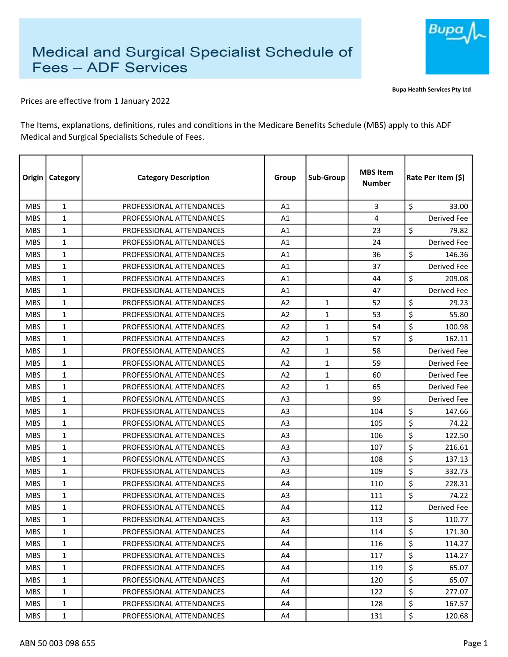

Bupa Health Services Pty Ltd

Prices are effective from 1 January 2022

The Items, explanations, definitions, rules and conditions in the Medicare Benefits Schedule (MBS) apply to this ADF Medical and Surgical Specialists Schedule of Fees.

| Origin     | Category     | <b>Category Description</b> | Group          | Sub-Group    | <b>MBS Item</b><br><b>Number</b> | Rate Per Item (\$) |
|------------|--------------|-----------------------------|----------------|--------------|----------------------------------|--------------------|
| <b>MBS</b> | 1            | PROFESSIONAL ATTENDANCES    | A1             |              | 3                                | \$<br>33.00        |
| <b>MBS</b> | $\mathbf{1}$ | PROFESSIONAL ATTENDANCES    | A1             |              | 4                                | Derived Fee        |
| <b>MBS</b> | $\mathbf{1}$ | PROFESSIONAL ATTENDANCES    | A1             |              | 23                               | \$<br>79.82        |
| <b>MBS</b> | $\mathbf{1}$ | PROFESSIONAL ATTENDANCES    | A1             |              | 24                               | <b>Derived Fee</b> |
| <b>MBS</b> | $\mathbf{1}$ | PROFESSIONAL ATTENDANCES    | A1             |              | 36                               | \$<br>146.36       |
| <b>MBS</b> | 1            | PROFESSIONAL ATTENDANCES    | A1             |              | 37                               | Derived Fee        |
| <b>MBS</b> | 1            | PROFESSIONAL ATTENDANCES    | A1             |              | 44                               | \$<br>209.08       |
| <b>MBS</b> | $\mathbf{1}$ | PROFESSIONAL ATTENDANCES    | Α1             |              | 47                               | Derived Fee        |
| <b>MBS</b> | $\mathbf{1}$ | PROFESSIONAL ATTENDANCES    | A2             | $\mathbf{1}$ | 52                               | \$<br>29.23        |
| <b>MBS</b> | $\mathbf{1}$ | PROFESSIONAL ATTENDANCES    | A <sub>2</sub> | 1            | 53                               | \$<br>55.80        |
| <b>MBS</b> | 1            | PROFESSIONAL ATTENDANCES    | A2             | $\mathbf{1}$ | 54                               | \$<br>100.98       |
| <b>MBS</b> | 1            | PROFESSIONAL ATTENDANCES    | A2             | $\mathbf{1}$ | 57                               | \$<br>162.11       |
| <b>MBS</b> | 1            | PROFESSIONAL ATTENDANCES    | A2             | $\mathbf{1}$ | 58                               | <b>Derived Fee</b> |
| <b>MBS</b> | $\mathbf{1}$ | PROFESSIONAL ATTENDANCES    | A2             | $\mathbf{1}$ | 59                               | <b>Derived Fee</b> |
| <b>MBS</b> | 1            | PROFESSIONAL ATTENDANCES    | A2             | $\mathbf{1}$ | 60                               | <b>Derived Fee</b> |
| <b>MBS</b> | 1            | PROFESSIONAL ATTENDANCES    | A2             | $\mathbf{1}$ | 65                               | <b>Derived Fee</b> |
| <b>MBS</b> | $\mathbf{1}$ | PROFESSIONAL ATTENDANCES    | A <sub>3</sub> |              | 99                               | Derived Fee        |
| <b>MBS</b> | 1            | PROFESSIONAL ATTENDANCES    | A3             |              | 104                              | \$<br>147.66       |
| <b>MBS</b> | $\mathbf{1}$ | PROFESSIONAL ATTENDANCES    | A <sub>3</sub> |              | 105                              | \$<br>74.22        |
| <b>MBS</b> | $\mathbf{1}$ | PROFESSIONAL ATTENDANCES    | A <sub>3</sub> |              | 106                              | \$<br>122.50       |
| <b>MBS</b> | $\mathbf{1}$ | PROFESSIONAL ATTENDANCES    | A <sub>3</sub> |              | 107                              | \$<br>216.61       |
| <b>MBS</b> | 1            | PROFESSIONAL ATTENDANCES    | A <sub>3</sub> |              | 108                              | \$<br>137.13       |
| <b>MBS</b> | 1            | PROFESSIONAL ATTENDANCES    | A <sub>3</sub> |              | 109                              | \$<br>332.73       |
| <b>MBS</b> | $\mathbf{1}$ | PROFESSIONAL ATTENDANCES    | A4             |              | 110                              | \$<br>228.31       |
| <b>MBS</b> | 1            | PROFESSIONAL ATTENDANCES    | A <sub>3</sub> |              | 111                              | \$<br>74.22        |
| <b>MBS</b> | 1            | PROFESSIONAL ATTENDANCES    | A4             |              | 112                              | Derived Fee        |
| <b>MBS</b> | $\mathbf{1}$ | PROFESSIONAL ATTENDANCES    | A3             |              | 113                              | \$<br>110.77       |
| <b>MBS</b> | $\mathbf{1}$ | PROFESSIONAL ATTENDANCES    | A4             |              | 114                              | \$<br>171.30       |
| <b>MBS</b> | $\mathbf{1}$ | PROFESSIONAL ATTENDANCES    | A4             |              | 116                              | \$<br>114.27       |
| <b>MBS</b> | $\mathbf 1$  | PROFESSIONAL ATTENDANCES    | A4             |              | 117                              | \$<br>114.27       |
| <b>MBS</b> | 1            | PROFESSIONAL ATTENDANCES    | A4             |              | 119                              | \$<br>65.07        |
| <b>MBS</b> | $\mathbf{1}$ | PROFESSIONAL ATTENDANCES    | A4             |              | 120                              | \$<br>65.07        |
| <b>MBS</b> | $\mathbf{1}$ | PROFESSIONAL ATTENDANCES    | A4             |              | 122                              | \$<br>277.07       |
| <b>MBS</b> | 1            | PROFESSIONAL ATTENDANCES    | A4             |              | 128                              | \$<br>167.57       |
| <b>MBS</b> | $\mathbf{1}$ | PROFESSIONAL ATTENDANCES    | A4             |              | 131                              | \$<br>120.68       |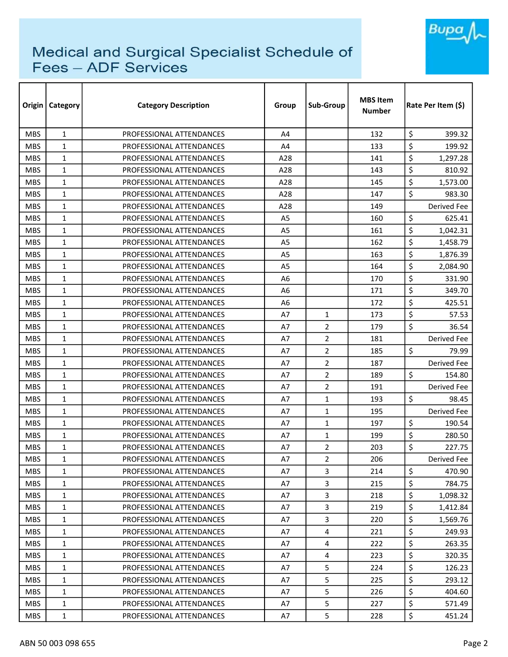

| Origin     | <b>Category</b> | <b>Category Description</b> | Group          | Sub-Group      | <b>MBS Item</b><br><b>Number</b> | Rate Per Item (\$) |  |
|------------|-----------------|-----------------------------|----------------|----------------|----------------------------------|--------------------|--|
| <b>MBS</b> | $\mathbf{1}$    | PROFESSIONAL ATTENDANCES    | A4             |                | 132                              | \$<br>399.32       |  |
| <b>MBS</b> | $\mathbf{1}$    | PROFESSIONAL ATTENDANCES    | A4             |                | 133                              | \$<br>199.92       |  |
| <b>MBS</b> | $\mathbf{1}$    | PROFESSIONAL ATTENDANCES    | A28            |                | 141                              | \$<br>1,297.28     |  |
| <b>MBS</b> | $\mathbf{1}$    | PROFESSIONAL ATTENDANCES    | A28            |                | 143                              | \$<br>810.92       |  |
| <b>MBS</b> | $\mathbf{1}$    | PROFESSIONAL ATTENDANCES    | A28            |                | 145                              | \$<br>1,573.00     |  |
| <b>MBS</b> | $\mathbf{1}$    | PROFESSIONAL ATTENDANCES    | A28            |                | 147                              | \$<br>983.30       |  |
| <b>MBS</b> | $\mathbf{1}$    | PROFESSIONAL ATTENDANCES    | A28            |                | 149                              | Derived Fee        |  |
| <b>MBS</b> | $\mathbf{1}$    | PROFESSIONAL ATTENDANCES    | A <sub>5</sub> |                | 160                              | \$<br>625.41       |  |
| <b>MBS</b> | $\mathbf{1}$    | PROFESSIONAL ATTENDANCES    | A5             |                | 161                              | \$<br>1,042.31     |  |
| <b>MBS</b> | $\mathbf{1}$    | PROFESSIONAL ATTENDANCES    | A5             |                | 162                              | \$<br>1,458.79     |  |
| <b>MBS</b> | $\mathbf{1}$    | PROFESSIONAL ATTENDANCES    | A <sub>5</sub> |                | 163                              | \$<br>1,876.39     |  |
| <b>MBS</b> | $\mathbf{1}$    | PROFESSIONAL ATTENDANCES    | A5             |                | 164                              | \$<br>2,084.90     |  |
| <b>MBS</b> | $\mathbf{1}$    | PROFESSIONAL ATTENDANCES    | A <sub>6</sub> |                | 170                              | \$<br>331.90       |  |
| <b>MBS</b> | $\mathbf{1}$    | PROFESSIONAL ATTENDANCES    | A6             |                | 171                              | \$<br>349.70       |  |
| <b>MBS</b> | $\mathbf{1}$    | PROFESSIONAL ATTENDANCES    | A6             |                | 172                              | \$<br>425.51       |  |
| <b>MBS</b> | $\mathbf{1}$    | PROFESSIONAL ATTENDANCES    | A7             | $\mathbf{1}$   | 173                              | \$<br>57.53        |  |
| <b>MBS</b> | $\mathbf{1}$    | PROFESSIONAL ATTENDANCES    | A7             | $\overline{2}$ | 179                              | \$<br>36.54        |  |
| <b>MBS</b> | $\mathbf{1}$    | PROFESSIONAL ATTENDANCES    | A7             | $\overline{2}$ | 181                              | Derived Fee        |  |
| <b>MBS</b> | $\mathbf{1}$    | PROFESSIONAL ATTENDANCES    | A7             | $\overline{2}$ | 185                              | \$<br>79.99        |  |
| <b>MBS</b> | $\mathbf{1}$    | PROFESSIONAL ATTENDANCES    | A7             | $\overline{2}$ | 187                              | Derived Fee        |  |
| <b>MBS</b> | $\mathbf{1}$    | PROFESSIONAL ATTENDANCES    | A7             | $\overline{2}$ | 189                              | \$<br>154.80       |  |
| <b>MBS</b> | $\mathbf{1}$    | PROFESSIONAL ATTENDANCES    | A7             | 2              | 191                              | Derived Fee        |  |
| <b>MBS</b> | $\mathbf{1}$    | PROFESSIONAL ATTENDANCES    | A7             | $\mathbf{1}$   | 193                              | \$<br>98.45        |  |
| <b>MBS</b> | $\mathbf{1}$    | PROFESSIONAL ATTENDANCES    | Α7             | 1              | 195                              | Derived Fee        |  |
| <b>MBS</b> | $\mathbf{1}$    | PROFESSIONAL ATTENDANCES    | A7             | $\mathbf{1}$   | 197                              | \$<br>190.54       |  |
| <b>MBS</b> | $\mathbf{1}$    | PROFESSIONAL ATTENDANCES    | A7             | $\mathbf{1}$   | 199                              | \$<br>280.50       |  |
| <b>MBS</b> | 1               | PROFESSIONAL ATTENDANCES    | A7             | 2              | 203                              | \$<br>227.75       |  |
| <b>MBS</b> | 1               | PROFESSIONAL ATTENDANCES    | A7             | $\overline{2}$ | 206                              | Derived Fee        |  |
| <b>MBS</b> | 1               | PROFESSIONAL ATTENDANCES    | Α7             | 3              | 214                              | \$<br>470.90       |  |
| <b>MBS</b> | $\mathbf{1}$    | PROFESSIONAL ATTENDANCES    | A7             | $\overline{3}$ | 215                              | \$<br>784.75       |  |
| <b>MBS</b> | $\mathbf{1}$    | PROFESSIONAL ATTENDANCES    | A7             | $\overline{3}$ | 218                              | \$<br>1,098.32     |  |
| <b>MBS</b> | $\mathbf{1}$    | PROFESSIONAL ATTENDANCES    | A7             | 3              | 219                              | \$<br>1,412.84     |  |
| MBS.       | $\mathbf{1}$    | PROFESSIONAL ATTENDANCES    | A7             | 3              | 220                              | \$<br>1,569.76     |  |
| <b>MBS</b> | 1               | PROFESSIONAL ATTENDANCES    | A7             | 4              | 221                              | \$<br>249.93       |  |
| <b>MBS</b> | $\mathbf{1}$    | PROFESSIONAL ATTENDANCES    | A7             | 4              | 222                              | \$<br>263.35       |  |
| <b>MBS</b> | $\mathbf{1}$    | PROFESSIONAL ATTENDANCES    | A7             | 4              | 223                              | \$<br>320.35       |  |
| <b>MBS</b> | 1               | PROFESSIONAL ATTENDANCES    | A7             | 5              | 224                              | \$<br>126.23       |  |
| <b>MBS</b> | $\mathbf{1}$    | PROFESSIONAL ATTENDANCES    | A7             | 5              | 225                              | \$<br>293.12       |  |
| <b>MBS</b> | 1               | PROFESSIONAL ATTENDANCES    | A7             | 5              | 226                              | \$<br>404.60       |  |
| <b>MBS</b> | 1               | PROFESSIONAL ATTENDANCES    | A7             | 5              | 227                              | \$<br>571.49       |  |
| <b>MBS</b> | $\mathbf{1}$    | PROFESSIONAL ATTENDANCES    | A7             | 5              | 228                              | \$<br>451.24       |  |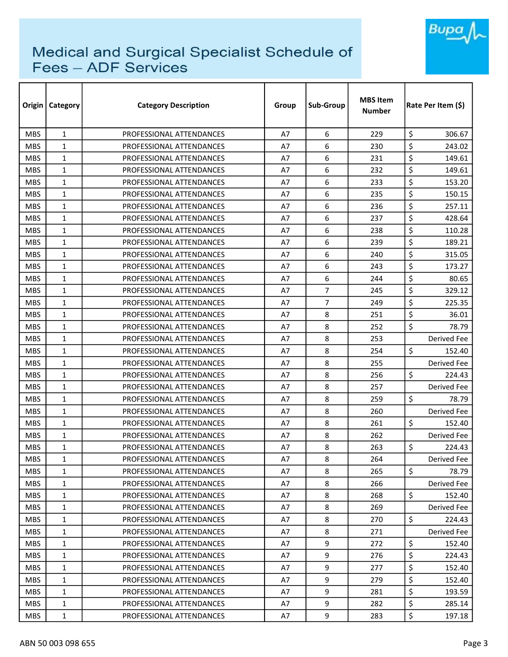

| Origin     | <b>Category</b> | <b>Category Description</b> | Group | Sub-Group      | <b>MBS Item</b><br><b>Number</b> | Rate Per Item (\$) |  |
|------------|-----------------|-----------------------------|-------|----------------|----------------------------------|--------------------|--|
| <b>MBS</b> | $\mathbf{1}$    | PROFESSIONAL ATTENDANCES    | A7    | 6              | 229                              | \$<br>306.67       |  |
| <b>MBS</b> | $\mathbf{1}$    | PROFESSIONAL ATTENDANCES    | A7    | 6              | 230                              | \$<br>243.02       |  |
| <b>MBS</b> | $\mathbf{1}$    | PROFESSIONAL ATTENDANCES    | A7    | 6              | 231                              | \$<br>149.61       |  |
| <b>MBS</b> | $\mathbf{1}$    | PROFESSIONAL ATTENDANCES    | A7    | 6              | 232                              | \$<br>149.61       |  |
| <b>MBS</b> | $\mathbf{1}$    | PROFESSIONAL ATTENDANCES    | Α7    | 6              | 233                              | \$<br>153.20       |  |
| <b>MBS</b> | $\mathbf{1}$    | PROFESSIONAL ATTENDANCES    | A7    | 6              | 235                              | \$<br>150.15       |  |
| <b>MBS</b> | $\mathbf{1}$    | PROFESSIONAL ATTENDANCES    | A7    | 6              | 236                              | \$<br>257.11       |  |
| <b>MBS</b> | $\mathbf{1}$    | PROFESSIONAL ATTENDANCES    | A7    | 6              | 237                              | \$<br>428.64       |  |
| <b>MBS</b> | $\mathbf{1}$    | PROFESSIONAL ATTENDANCES    | A7    | 6              | 238                              | \$<br>110.28       |  |
| <b>MBS</b> | $\mathbf{1}$    | PROFESSIONAL ATTENDANCES    | A7    | 6              | 239                              | \$<br>189.21       |  |
| <b>MBS</b> | $\mathbf{1}$    | PROFESSIONAL ATTENDANCES    | A7    | 6              | 240                              | \$<br>315.05       |  |
| <b>MBS</b> | $\mathbf{1}$    | PROFESSIONAL ATTENDANCES    | A7    | 6              | 243                              | \$<br>173.27       |  |
| <b>MBS</b> | $\mathbf{1}$    | PROFESSIONAL ATTENDANCES    | A7    | 6              | 244                              | \$<br>80.65        |  |
| <b>MBS</b> | $\mathbf{1}$    | PROFESSIONAL ATTENDANCES    | A7    | $\overline{7}$ | 245                              | \$<br>329.12       |  |
| <b>MBS</b> | $\mathbf{1}$    | PROFESSIONAL ATTENDANCES    | A7    | 7              | 249                              | \$<br>225.35       |  |
| <b>MBS</b> | $\mathbf{1}$    | PROFESSIONAL ATTENDANCES    | A7    | 8              | 251                              | \$<br>36.01        |  |
| <b>MBS</b> | $\mathbf{1}$    | PROFESSIONAL ATTENDANCES    | A7    | 8              | 252                              | \$<br>78.79        |  |
| <b>MBS</b> | $\mathbf{1}$    | PROFESSIONAL ATTENDANCES    | A7    | 8              | 253                              | Derived Fee        |  |
| <b>MBS</b> | $\mathbf{1}$    | PROFESSIONAL ATTENDANCES    | A7    | 8              | 254                              | \$<br>152.40       |  |
| <b>MBS</b> | $\mathbf{1}$    | PROFESSIONAL ATTENDANCES    | A7    | 8              | 255                              | Derived Fee        |  |
| <b>MBS</b> | $\mathbf{1}$    | PROFESSIONAL ATTENDANCES    | A7    | 8              | 256                              | \$<br>224.43       |  |
| <b>MBS</b> | $\mathbf{1}$    | PROFESSIONAL ATTENDANCES    | A7    | 8              | 257                              | Derived Fee        |  |
| <b>MBS</b> | $\mathbf{1}$    | PROFESSIONAL ATTENDANCES    | A7    | 8              | 259                              | \$<br>78.79        |  |
| <b>MBS</b> | $\mathbf{1}$    | PROFESSIONAL ATTENDANCES    | Α7    | 8              | 260                              | Derived Fee        |  |
| <b>MBS</b> | $\mathbf{1}$    | PROFESSIONAL ATTENDANCES    | A7    | 8              | 261                              | \$<br>152.40       |  |
| <b>MBS</b> | $\mathbf{1}$    | PROFESSIONAL ATTENDANCES    | A7    | 8              | 262                              | Derived Fee        |  |
| <b>MBS</b> | $\mathbf{1}$    | PROFESSIONAL ATTENDANCES    | A7    | 8              | 263                              | \$<br>224.43       |  |
| <b>MBS</b> | 1               | PROFESSIONAL ATTENDANCES    | A7    | 8              | 264                              | Derived Fee        |  |
| <b>MBS</b> | 1               | PROFESSIONAL ATTENDANCES    | Α7    | 8              | 265                              | \$<br>78.79        |  |
| <b>MBS</b> | $\mathbf{1}$    | PROFESSIONAL ATTENDANCES    | A7    | 8              | 266                              | Derived Fee        |  |
| <b>MBS</b> | $\mathbf{1}$    | PROFESSIONAL ATTENDANCES    | A7    | 8              | 268                              | \$<br>152.40       |  |
| <b>MBS</b> | $\mathbf{1}$    | PROFESSIONAL ATTENDANCES    | A7    | 8              | 269                              | Derived Fee        |  |
| MBS.       | $\mathbf{1}$    | PROFESSIONAL ATTENDANCES    | A7    | 8              | 270                              | \$<br>224.43       |  |
| <b>MBS</b> | 1               | PROFESSIONAL ATTENDANCES    | A7    | 8              | 271                              | Derived Fee        |  |
| <b>MBS</b> | $\mathbf{1}$    | PROFESSIONAL ATTENDANCES    | A7    | 9              | 272                              | \$<br>152.40       |  |
| <b>MBS</b> | $\mathbf{1}$    | PROFESSIONAL ATTENDANCES    | A7    | 9              | 276                              | \$<br>224.43       |  |
| <b>MBS</b> | $\mathbf{1}$    | PROFESSIONAL ATTENDANCES    | A7    | 9              | 277                              | \$<br>152.40       |  |
| <b>MBS</b> | $\mathbf{1}$    | PROFESSIONAL ATTENDANCES    | A7    | 9              | 279                              | \$<br>152.40       |  |
| <b>MBS</b> | $\mathbf{1}$    | PROFESSIONAL ATTENDANCES    | A7    | 9              | 281                              | \$<br>193.59       |  |
| <b>MBS</b> | $\mathbf{1}$    | PROFESSIONAL ATTENDANCES    | A7    | 9              | 282                              | \$<br>285.14       |  |
| <b>MBS</b> | $\mathbf{1}$    | PROFESSIONAL ATTENDANCES    | A7    | 9              | 283                              | \$<br>197.18       |  |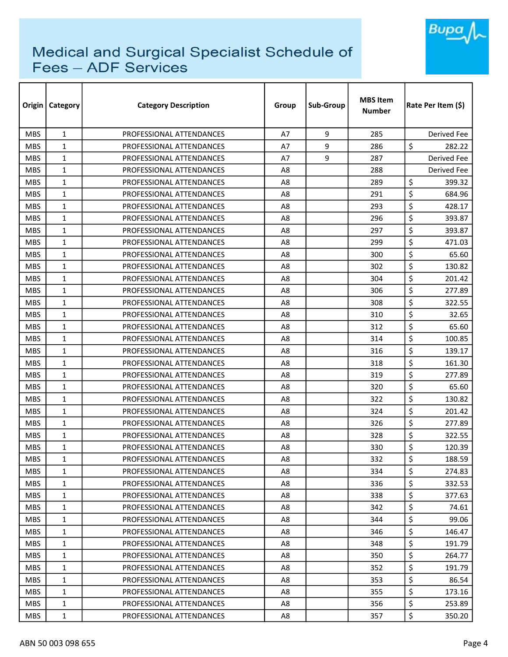

| Origin     | Category     | <b>Category Description</b> | Group          | Sub-Group | <b>MBS Item</b><br><b>Number</b> | Rate Per Item (\$) |
|------------|--------------|-----------------------------|----------------|-----------|----------------------------------|--------------------|
| <b>MBS</b> | $\mathbf{1}$ | PROFESSIONAL ATTENDANCES    | A7             | 9         | 285                              | Derived Fee        |
| <b>MBS</b> | $\mathbf{1}$ | PROFESSIONAL ATTENDANCES    | A7             | 9         | 286                              | \$<br>282.22       |
| <b>MBS</b> | $\mathbf{1}$ | PROFESSIONAL ATTENDANCES    | A7             | 9         | 287                              | Derived Fee        |
| <b>MBS</b> | $\mathbf{1}$ | PROFESSIONAL ATTENDANCES    | A8             |           | 288                              | Derived Fee        |
| <b>MBS</b> | $\mathbf{1}$ | PROFESSIONAL ATTENDANCES    | A8             |           | 289                              | \$<br>399.32       |
| <b>MBS</b> | $\mathbf{1}$ | PROFESSIONAL ATTENDANCES    | A <sub>8</sub> |           | 291                              | \$<br>684.96       |
| <b>MBS</b> | $\mathbf{1}$ | PROFESSIONAL ATTENDANCES    | A8             |           | 293                              | \$<br>428.17       |
| <b>MBS</b> | $\mathbf{1}$ | PROFESSIONAL ATTENDANCES    | A8             |           | 296                              | \$<br>393.87       |
| <b>MBS</b> | $\mathbf{1}$ | PROFESSIONAL ATTENDANCES    | A <sub>8</sub> |           | 297                              | \$<br>393.87       |
| <b>MBS</b> | 1            | PROFESSIONAL ATTENDANCES    | A8             |           | 299                              | \$<br>471.03       |
| <b>MBS</b> | 1            | PROFESSIONAL ATTENDANCES    | A8             |           | 300                              | \$<br>65.60        |
| <b>MBS</b> | $\mathbf{1}$ | PROFESSIONAL ATTENDANCES    | A8             |           | 302                              | \$<br>130.82       |
| <b>MBS</b> | 1            | PROFESSIONAL ATTENDANCES    | A8             |           | 304                              | \$<br>201.42       |
| <b>MBS</b> | $\mathbf{1}$ | PROFESSIONAL ATTENDANCES    | A <sub>8</sub> |           | 306                              | \$<br>277.89       |
| <b>MBS</b> | $\mathbf{1}$ | PROFESSIONAL ATTENDANCES    | A <sub>8</sub> |           | 308                              | \$<br>322.55       |
| <b>MBS</b> | 1            | PROFESSIONAL ATTENDANCES    | A8             |           | 310                              | \$<br>32.65        |
| <b>MBS</b> | 1            | PROFESSIONAL ATTENDANCES    | A8             |           | 312                              | \$<br>65.60        |
| <b>MBS</b> | $\mathbf{1}$ | PROFESSIONAL ATTENDANCES    | A8             |           | 314                              | \$<br>100.85       |
| <b>MBS</b> | 1            | PROFESSIONAL ATTENDANCES    | A8             |           | 316                              | \$<br>139.17       |
| <b>MBS</b> | 1            | PROFESSIONAL ATTENDANCES    | A8             |           | 318                              | \$<br>161.30       |
| <b>MBS</b> | $\mathbf{1}$ | PROFESSIONAL ATTENDANCES    | A <sub>8</sub> |           | 319                              | \$<br>277.89       |
| <b>MBS</b> | 1            | PROFESSIONAL ATTENDANCES    | A8             |           | 320                              | \$<br>65.60        |
| <b>MBS</b> | 1            | PROFESSIONAL ATTENDANCES    | A8             |           | 322                              | \$<br>130.82       |
| <b>MBS</b> | 1            | PROFESSIONAL ATTENDANCES    | A8             |           | 324                              | \$<br>201.42       |
| <b>MBS</b> | $\mathbf{1}$ | PROFESSIONAL ATTENDANCES    | A8             |           | 326                              | \$<br>277.89       |
| <b>MBS</b> | $\mathbf{1}$ | PROFESSIONAL ATTENDANCES    | A8             |           | 328                              | \$<br>322.55       |
| <b>MBS</b> | $\mathbf{1}$ | PROFESSIONAL ATTENDANCES    | A8             |           | 330                              | \$<br>120.39       |
| <b>MBS</b> | $\mathbf{1}$ | PROFESSIONAL ATTENDANCES    | A8             |           | 332                              | \$<br>188.59       |
| <b>MBS</b> | $\mathbf{1}$ | PROFESSIONAL ATTENDANCES    | A8             |           | 334                              | \$<br>274.83       |
| <b>MBS</b> | $\mathbf{1}$ | PROFESSIONAL ATTENDANCES    | A8             |           | 336                              | \$<br>332.53       |
| <b>MBS</b> | 1            | PROFESSIONAL ATTENDANCES    | A8             |           | 338                              | \$<br>377.63       |
| <b>MBS</b> | 1            | PROFESSIONAL ATTENDANCES    | A8             |           | 342                              | \$<br>74.61        |
| <b>MBS</b> | 1            | PROFESSIONAL ATTENDANCES    | A8             |           | 344                              | \$<br>99.06        |
| MBS.       | 1            | PROFESSIONAL ATTENDANCES    | A8             |           | 346                              | \$<br>146.47       |
| <b>MBS</b> | $\mathbf{1}$ | PROFESSIONAL ATTENDANCES    | A8             |           | 348                              | \$<br>191.79       |
| <b>MBS</b> | 1            | PROFESSIONAL ATTENDANCES    | A8             |           | 350                              | \$<br>264.77       |
| <b>MBS</b> | $\mathbf{1}$ | PROFESSIONAL ATTENDANCES    | A8             |           | 352                              | \$<br>191.79       |
| <b>MBS</b> | 1            | PROFESSIONAL ATTENDANCES    | A8             |           | 353                              | \$<br>86.54        |
| <b>MBS</b> | 1            | PROFESSIONAL ATTENDANCES    | A8             |           | 355                              | \$<br>173.16       |
| <b>MBS</b> | 1            | PROFESSIONAL ATTENDANCES    | A8             |           | 356                              | \$<br>253.89       |
| <b>MBS</b> | 1            | PROFESSIONAL ATTENDANCES    | A8             |           | 357                              | \$<br>350.20       |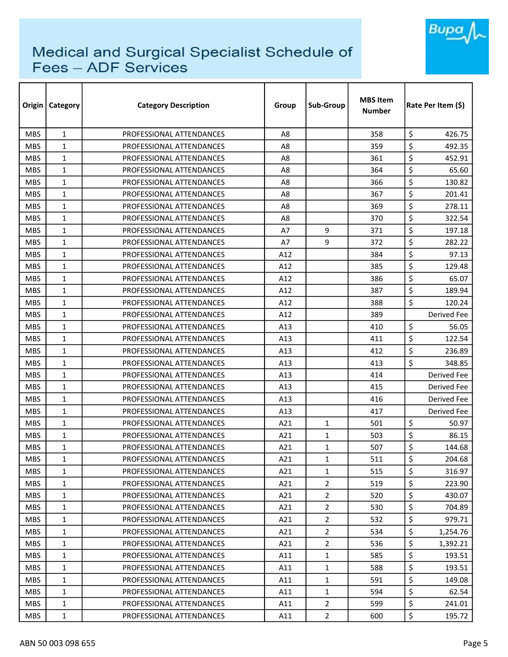

| Origin     | <b>Category</b> | <b>Category Description</b> | Group          | Sub-Group      | <b>MBS Item</b><br><b>Number</b> | Rate Per Item (\$) |  |
|------------|-----------------|-----------------------------|----------------|----------------|----------------------------------|--------------------|--|
| <b>MBS</b> | $\mathbf{1}$    | PROFESSIONAL ATTENDANCES    | A <sub>8</sub> |                | 358                              | \$<br>426.75       |  |
| <b>MBS</b> | $\mathbf{1}$    | PROFESSIONAL ATTENDANCES    | A8             |                | 359                              | \$<br>492.35       |  |
| <b>MBS</b> | $\mathbf{1}$    | PROFESSIONAL ATTENDANCES    | A8             |                | 361                              | \$<br>452.91       |  |
| <b>MBS</b> | $\mathbf{1}$    | PROFESSIONAL ATTENDANCES    | A <sub>8</sub> |                | 364                              | \$<br>65.60        |  |
| <b>MBS</b> | $\mathbf{1}$    | PROFESSIONAL ATTENDANCES    | A8             |                | 366                              | \$<br>130.82       |  |
| <b>MBS</b> | 1               | PROFESSIONAL ATTENDANCES    | A8             |                | 367                              | \$<br>201.41       |  |
| <b>MBS</b> | $\mathbf{1}$    | PROFESSIONAL ATTENDANCES    | A8             |                | 369                              | \$<br>278.11       |  |
| <b>MBS</b> | 1               | PROFESSIONAL ATTENDANCES    | A8             |                | 370                              | \$<br>322.54       |  |
| <b>MBS</b> | 1               | PROFESSIONAL ATTENDANCES    | A7             | 9              | 371                              | \$<br>197.18       |  |
| <b>MBS</b> | $\mathbf{1}$    | PROFESSIONAL ATTENDANCES    | A7             | 9              | 372                              | \$<br>282.22       |  |
| <b>MBS</b> | $\mathbf{1}$    | PROFESSIONAL ATTENDANCES    | A12            |                | 384                              | \$<br>97.13        |  |
| <b>MBS</b> | $\mathbf{1}$    | PROFESSIONAL ATTENDANCES    | A12            |                | 385                              | \$<br>129.48       |  |
| <b>MBS</b> | $\mathbf{1}$    | PROFESSIONAL ATTENDANCES    | A12            |                | 386                              | \$<br>65.07        |  |
| <b>MBS</b> | $\mathbf{1}$    | PROFESSIONAL ATTENDANCES    | A12            |                | 387                              | \$<br>189.94       |  |
| <b>MBS</b> | $\mathbf{1}$    | PROFESSIONAL ATTENDANCES    | A12            |                | 388                              | \$<br>120.24       |  |
| <b>MBS</b> | $\mathbf{1}$    | PROFESSIONAL ATTENDANCES    | A12            |                | 389                              | <b>Derived Fee</b> |  |
| <b>MBS</b> | 1               | PROFESSIONAL ATTENDANCES    | A13            |                | 410                              | \$<br>56.05        |  |
| <b>MBS</b> | $\mathbf{1}$    | PROFESSIONAL ATTENDANCES    | A13            |                | 411                              | \$<br>122.54       |  |
| <b>MBS</b> | $\mathbf{1}$    | PROFESSIONAL ATTENDANCES    | A13            |                | 412                              | \$<br>236.89       |  |
| <b>MBS</b> | 1               | PROFESSIONAL ATTENDANCES    | A13            |                | 413                              | \$<br>348.85       |  |
| <b>MBS</b> | $\mathbf{1}$    | PROFESSIONAL ATTENDANCES    | A13            |                | 414                              | <b>Derived Fee</b> |  |
| <b>MBS</b> | $\mathbf{1}$    | PROFESSIONAL ATTENDANCES    | A13            |                | 415                              | <b>Derived Fee</b> |  |
| <b>MBS</b> | $\mathbf{1}$    | PROFESSIONAL ATTENDANCES    | A13            |                | 416                              | Derived Fee        |  |
| <b>MBS</b> | $\mathbf{1}$    | PROFESSIONAL ATTENDANCES    | A13            |                | 417                              | Derived Fee        |  |
| <b>MBS</b> | $\mathbf{1}$    | PROFESSIONAL ATTENDANCES    | A21            | $\mathbf{1}$   | 501                              | \$<br>50.97        |  |
| <b>MBS</b> | $\mathbf{1}$    | PROFESSIONAL ATTENDANCES    | A21            | $\mathbf{1}$   | 503                              | \$<br>86.15        |  |
| <b>MBS</b> | 1               | PROFESSIONAL ATTENDANCES    | A21            | 1              | 507                              | \$<br>144.68       |  |
| <b>MBS</b> | $\mathbf{1}$    | PROFESSIONAL ATTENDANCES    | A21            | $\mathbf{1}$   | 511                              | \$<br>204.68       |  |
| <b>MBS</b> | $\mathbf{1}$    | PROFESSIONAL ATTENDANCES    | A21            | $\mathbf{1}$   | 515                              | \$<br>316.97       |  |
| <b>MBS</b> | $\mathbf{1}$    | PROFESSIONAL ATTENDANCES    | A21            | $\overline{2}$ | 519                              | \$<br>223.90       |  |
| <b>MBS</b> | $\mathbf{1}$    | PROFESSIONAL ATTENDANCES    | A21            | $\overline{2}$ | 520                              | \$<br>430.07       |  |
| <b>MBS</b> | $\mathbf{1}$    | PROFESSIONAL ATTENDANCES    | A21            | $\overline{2}$ | 530                              | \$<br>704.89       |  |
| <b>MBS</b> | $\mathbf{1}$    | PROFESSIONAL ATTENDANCES    | A21            | $\overline{2}$ | 532                              | \$<br>979.71       |  |
| <b>MBS</b> | $\mathbf{1}$    | PROFESSIONAL ATTENDANCES    | A21            | $\overline{2}$ | 534                              | \$<br>1,254.76     |  |
| <b>MBS</b> | $\mathbf{1}$    | PROFESSIONAL ATTENDANCES    | A21            | $\overline{2}$ | 536                              | \$<br>1,392.21     |  |
| <b>MBS</b> | $\mathbf{1}$    | PROFESSIONAL ATTENDANCES    | A11            | $\mathbf{1}$   | 585                              | \$<br>193.51       |  |
| <b>MBS</b> | $\mathbf{1}$    | PROFESSIONAL ATTENDANCES    | A11            | $\mathbf{1}$   | 588                              | \$<br>193.51       |  |
| <b>MBS</b> | $\mathbf{1}$    | PROFESSIONAL ATTENDANCES    | A11            | $\mathbf{1}$   | 591                              | \$<br>149.08       |  |
| <b>MBS</b> | 1               | PROFESSIONAL ATTENDANCES    | A11            | $\mathbf{1}$   | 594                              | \$<br>62.54        |  |
| <b>MBS</b> | $\mathbf{1}$    | PROFESSIONAL ATTENDANCES    | A11            | $\overline{2}$ | 599                              | \$<br>241.01       |  |
| <b>MBS</b> | 1               | PROFESSIONAL ATTENDANCES    | A11            | $\overline{2}$ | 600                              | \$<br>195.72       |  |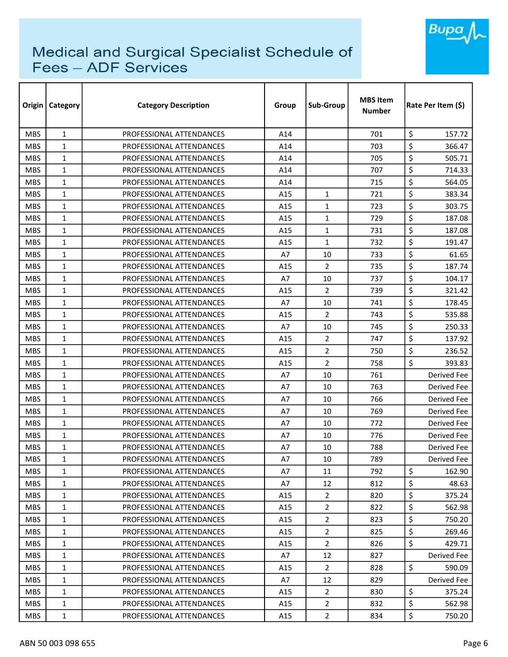

| Origin     | <b>Category</b> | <b>Category Description</b> | Group | Sub-Group      | <b>MBS Item</b><br><b>Number</b> | Rate Per Item (\$) |
|------------|-----------------|-----------------------------|-------|----------------|----------------------------------|--------------------|
| <b>MBS</b> | $\mathbf{1}$    | PROFESSIONAL ATTENDANCES    | A14   |                | 701                              | \$<br>157.72       |
| <b>MBS</b> | $\mathbf{1}$    | PROFESSIONAL ATTENDANCES    | A14   |                | 703                              | \$<br>366.47       |
| <b>MBS</b> | $\mathbf{1}$    | PROFESSIONAL ATTENDANCES    | A14   |                | 705                              | \$<br>505.71       |
| <b>MBS</b> | $\mathbf{1}$    | PROFESSIONAL ATTENDANCES    | A14   |                | 707                              | \$<br>714.33       |
| <b>MBS</b> | $\mathbf{1}$    | PROFESSIONAL ATTENDANCES    | A14   |                | 715                              | \$<br>564.05       |
| <b>MBS</b> | $\mathbf{1}$    | PROFESSIONAL ATTENDANCES    | A15   | $\mathbf{1}$   | 721                              | \$<br>383.34       |
| <b>MBS</b> | $\mathbf{1}$    | PROFESSIONAL ATTENDANCES    | A15   | $\mathbf{1}$   | 723                              | \$<br>303.75       |
| <b>MBS</b> | $\mathbf{1}$    | PROFESSIONAL ATTENDANCES    | A15   | $\mathbf{1}$   | 729                              | \$<br>187.08       |
| <b>MBS</b> | $\mathbf{1}$    | PROFESSIONAL ATTENDANCES    | A15   | $\mathbf{1}$   | 731                              | \$<br>187.08       |
| <b>MBS</b> | $\mathbf{1}$    | PROFESSIONAL ATTENDANCES    | A15   | $\mathbf{1}$   | 732                              | \$<br>191.47       |
| <b>MBS</b> | $\mathbf{1}$    | PROFESSIONAL ATTENDANCES    | A7    | 10             | 733                              | \$<br>61.65        |
| <b>MBS</b> | $\mathbf{1}$    | PROFESSIONAL ATTENDANCES    | A15   | $\overline{2}$ | 735                              | \$<br>187.74       |
| <b>MBS</b> | $\mathbf{1}$    | PROFESSIONAL ATTENDANCES    | A7    | 10             | 737                              | \$<br>104.17       |
| <b>MBS</b> | $\mathbf{1}$    | PROFESSIONAL ATTENDANCES    | A15   | $\overline{2}$ | 739                              | \$<br>321.42       |
| <b>MBS</b> | 1               | PROFESSIONAL ATTENDANCES    | A7    | 10             | 741                              | \$<br>178.45       |
| <b>MBS</b> | $\mathbf{1}$    | PROFESSIONAL ATTENDANCES    | A15   | 2              | 743                              | \$<br>535.88       |
| <b>MBS</b> | $\mathbf{1}$    | PROFESSIONAL ATTENDANCES    | A7    | 10             | 745                              | \$<br>250.33       |
| <b>MBS</b> | $\mathbf{1}$    | PROFESSIONAL ATTENDANCES    | A15   | $\overline{2}$ | 747                              | \$<br>137.92       |
| <b>MBS</b> | $\mathbf{1}$    | PROFESSIONAL ATTENDANCES    | A15   | $\overline{2}$ | 750                              | \$<br>236.52       |
| <b>MBS</b> | 1               | PROFESSIONAL ATTENDANCES    | A15   | $\overline{2}$ | 758                              | \$<br>393.83       |
| <b>MBS</b> | $\mathbf{1}$    | PROFESSIONAL ATTENDANCES    | A7    | 10             | 761                              | <b>Derived Fee</b> |
| <b>MBS</b> | $\mathbf{1}$    | PROFESSIONAL ATTENDANCES    | A7    | 10             | 763                              | <b>Derived Fee</b> |
| <b>MBS</b> | $\mathbf{1}$    | PROFESSIONAL ATTENDANCES    | A7    | 10             | 766                              | Derived Fee        |
| <b>MBS</b> | $\mathbf{1}$    | PROFESSIONAL ATTENDANCES    | A7    | 10             | 769                              | Derived Fee        |
| <b>MBS</b> | $\mathbf{1}$    | PROFESSIONAL ATTENDANCES    | A7    | 10             | 772                              | Derived Fee        |
| <b>MBS</b> | $\mathbf{1}$    | PROFESSIONAL ATTENDANCES    | A7    | 10             | 776                              | <b>Derived Fee</b> |
| <b>MBS</b> | $\mathbf{1}$    | PROFESSIONAL ATTENDANCES    | A7    | 10             | 788                              | Derived Fee        |
| <b>MBS</b> | 1               | PROFESSIONAL ATTENDANCES    | A7    | 10             | 789                              | Derived Fee        |
| <b>MBS</b> | 1               | PROFESSIONAL ATTENDANCES    | A7    | 11             | 792                              | \$<br>162.90       |
| <b>MBS</b> | $\mathbf{1}$    | PROFESSIONAL ATTENDANCES    | A7    | 12             | 812                              | \$<br>48.63        |
| <b>MBS</b> | $\mathbf{1}$    | PROFESSIONAL ATTENDANCES    | A15   | $\overline{2}$ | 820                              | \$<br>375.24       |
| <b>MBS</b> | $\mathbf{1}$    | PROFESSIONAL ATTENDANCES    | A15   | $\overline{2}$ | 822                              | \$<br>562.98       |
| MBS.       | $\mathbf{1}$    | PROFESSIONAL ATTENDANCES    | A15   | $\overline{2}$ | 823                              | \$<br>750.20       |
| <b>MBS</b> | 1               | PROFESSIONAL ATTENDANCES    | A15   | $\overline{2}$ | 825                              | \$<br>269.46       |
| <b>MBS</b> | $\mathbf{1}$    | PROFESSIONAL ATTENDANCES    | A15   | $\overline{2}$ | 826                              | \$<br>429.71       |
| <b>MBS</b> | $\mathbf{1}$    | PROFESSIONAL ATTENDANCES    | A7    | 12             | 827                              | Derived Fee        |
| <b>MBS</b> | $\mathbf{1}$    | PROFESSIONAL ATTENDANCES    | A15   | $\overline{2}$ | 828                              | \$<br>590.09       |
| <b>MBS</b> | $\mathbf{1}$    | PROFESSIONAL ATTENDANCES    | A7    | 12             | 829                              | Derived Fee        |
| <b>MBS</b> | $\mathbf{1}$    | PROFESSIONAL ATTENDANCES    | A15   | $\overline{2}$ | 830                              | \$<br>375.24       |
| <b>MBS</b> | $\mathbf{1}$    | PROFESSIONAL ATTENDANCES    | A15   | $\overline{2}$ | 832                              | \$<br>562.98       |
| <b>MBS</b> | $\mathbf{1}$    | PROFESSIONAL ATTENDANCES    | A15   | $\overline{2}$ | 834                              | \$<br>750.20       |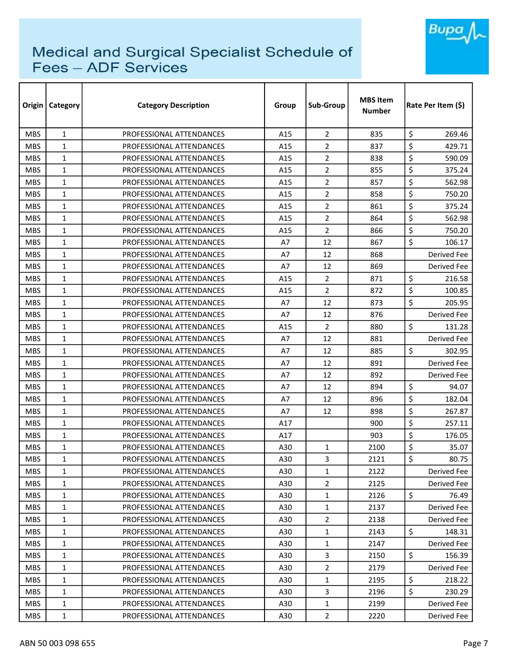

| Origin     | <b>Category</b> | <b>Category Description</b> | Group | Sub-Group      | <b>MBS Item</b><br><b>Number</b> | Rate Per Item (\$) |
|------------|-----------------|-----------------------------|-------|----------------|----------------------------------|--------------------|
| <b>MBS</b> | $\mathbf{1}$    | PROFESSIONAL ATTENDANCES    | A15   | $\overline{2}$ | 835                              | \$<br>269.46       |
| <b>MBS</b> | $\mathbf{1}$    | PROFESSIONAL ATTENDANCES    | A15   | 2              | 837                              | \$<br>429.71       |
| <b>MBS</b> | 1               | PROFESSIONAL ATTENDANCES    | A15   | 2              | 838                              | \$<br>590.09       |
| <b>MBS</b> | $\mathbf{1}$    | PROFESSIONAL ATTENDANCES    | A15   | 2              | 855                              | \$<br>375.24       |
| <b>MBS</b> | $\mathbf{1}$    | PROFESSIONAL ATTENDANCES    | A15   | $\overline{2}$ | 857                              | \$<br>562.98       |
| <b>MBS</b> | $\mathbf{1}$    | PROFESSIONAL ATTENDANCES    | A15   | $\overline{2}$ | 858                              | \$<br>750.20       |
| <b>MBS</b> | $\mathbf{1}$    | PROFESSIONAL ATTENDANCES    | A15   | $\overline{2}$ | 861                              | \$<br>375.24       |
| <b>MBS</b> | $\mathbf{1}$    | PROFESSIONAL ATTENDANCES    | A15   | $\overline{2}$ | 864                              | \$<br>562.98       |
| <b>MBS</b> | $\mathbf{1}$    | PROFESSIONAL ATTENDANCES    | A15   | $\overline{2}$ | 866                              | \$<br>750.20       |
| <b>MBS</b> | $\mathbf{1}$    | PROFESSIONAL ATTENDANCES    | A7    | 12             | 867                              | \$<br>106.17       |
| <b>MBS</b> | $\mathbf{1}$    | PROFESSIONAL ATTENDANCES    | A7    | 12             | 868                              | Derived Fee        |
| <b>MBS</b> | $\mathbf{1}$    | PROFESSIONAL ATTENDANCES    | Α7    | 12             | 869                              | Derived Fee        |
| <b>MBS</b> | $\mathbf{1}$    | PROFESSIONAL ATTENDANCES    | A15   | $\overline{2}$ | 871                              | \$<br>216.58       |
| <b>MBS</b> | $\mathbf{1}$    | PROFESSIONAL ATTENDANCES    | A15   | 2              | 872                              | \$<br>100.85       |
| <b>MBS</b> | $\mathbf{1}$    | PROFESSIONAL ATTENDANCES    | A7    | 12             | 873                              | \$<br>205.95       |
| <b>MBS</b> | $\mathbf{1}$    | PROFESSIONAL ATTENDANCES    | A7    | 12             | 876                              | Derived Fee        |
| <b>MBS</b> | $\mathbf{1}$    | PROFESSIONAL ATTENDANCES    | A15   | 2              | 880                              | \$<br>131.28       |
| <b>MBS</b> | $\mathbf{1}$    | PROFESSIONAL ATTENDANCES    | A7    | 12             | 881                              | Derived Fee        |
| <b>MBS</b> | $\mathbf{1}$    | PROFESSIONAL ATTENDANCES    | A7    | 12             | 885                              | \$<br>302.95       |
| <b>MBS</b> | $\mathbf{1}$    | PROFESSIONAL ATTENDANCES    | A7    | 12             | 891                              | Derived Fee        |
| <b>MBS</b> | $\mathbf{1}$    | PROFESSIONAL ATTENDANCES    | A7    | 12             | 892                              | <b>Derived Fee</b> |
| <b>MBS</b> | $\mathbf{1}$    | PROFESSIONAL ATTENDANCES    | A7    | 12             | 894                              | \$<br>94.07        |
| <b>MBS</b> | $\mathbf{1}$    | PROFESSIONAL ATTENDANCES    | A7    | 12             | 896                              | \$<br>182.04       |
| <b>MBS</b> | $\mathbf{1}$    | PROFESSIONAL ATTENDANCES    | A7    | 12             | 898                              | \$<br>267.87       |
| <b>MBS</b> | $\mathbf{1}$    | PROFESSIONAL ATTENDANCES    | A17   |                | 900                              | \$<br>257.11       |
| <b>MBS</b> | $\mathbf{1}$    | PROFESSIONAL ATTENDANCES    | A17   |                | 903                              | \$<br>176.05       |
| <b>MBS</b> | $\mathbf{1}$    | PROFESSIONAL ATTENDANCES    | A30   | 1              | 2100                             | \$<br>35.07        |
| <b>MBS</b> | $\mathbf 1$     | PROFESSIONAL ATTENDANCES    | A30   | 3              | 2121                             | \$<br>80.75        |
| <b>MBS</b> | 1               | PROFESSIONAL ATTENDANCES    | A30   | $\mathbf{1}$   | 2122                             | Derived Fee        |
| <b>MBS</b> | $\mathbf{1}$    | PROFESSIONAL ATTENDANCES    | A30   | $\overline{2}$ | 2125                             | Derived Fee        |
| <b>MBS</b> | 1               | PROFESSIONAL ATTENDANCES    | A30   | $\mathbf{1}$   | 2126                             | \$<br>76.49        |
| <b>MBS</b> | 1               | PROFESSIONAL ATTENDANCES    | A30   | $\mathbf{1}$   | 2137                             | Derived Fee        |
| <b>MBS</b> | 1               | PROFESSIONAL ATTENDANCES    | A30   | 2              | 2138                             | Derived Fee        |
| <b>MBS</b> | 1               | PROFESSIONAL ATTENDANCES    | A30   | $\mathbf{1}$   | 2143                             | \$<br>148.31       |
| <b>MBS</b> | 1               | PROFESSIONAL ATTENDANCES    | A30   | $\mathbf{1}$   | 2147                             | Derived Fee        |
| <b>MBS</b> | 1               | PROFESSIONAL ATTENDANCES    | A30   | 3              | 2150                             | \$<br>156.39       |
| <b>MBS</b> | $\mathbf{1}$    | PROFESSIONAL ATTENDANCES    | A30   | $\overline{2}$ | 2179                             | Derived Fee        |
| <b>MBS</b> | $\mathbf{1}$    | PROFESSIONAL ATTENDANCES    | A30   | $\mathbf{1}$   | 2195                             | \$<br>218.22       |
| <b>MBS</b> | 1               | PROFESSIONAL ATTENDANCES    | A30   | $\overline{3}$ | 2196                             | \$<br>230.29       |
| <b>MBS</b> | $\mathbf{1}$    | PROFESSIONAL ATTENDANCES    | A30   | $\mathbf{1}$   | 2199                             | Derived Fee        |
| <b>MBS</b> | 1               | PROFESSIONAL ATTENDANCES    | A30   | $\overline{2}$ | 2220                             | Derived Fee        |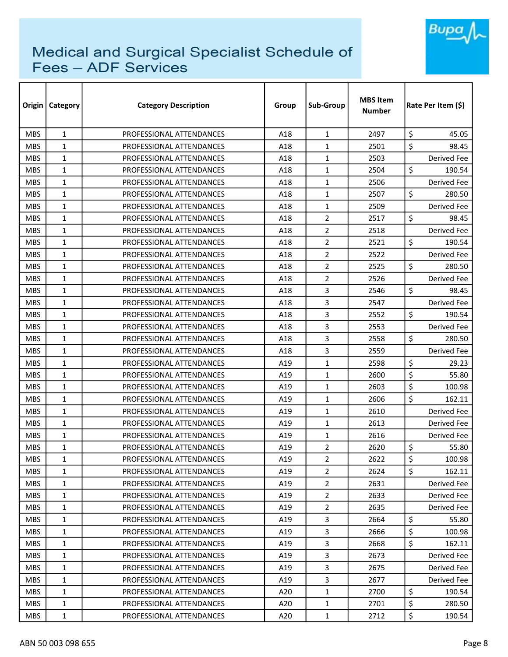

| Origin     | <b>Category</b> | <b>Category Description</b> | Group | Sub-Group      | <b>MBS Item</b><br><b>Number</b> | Rate Per Item (\$) |
|------------|-----------------|-----------------------------|-------|----------------|----------------------------------|--------------------|
| <b>MBS</b> | $\mathbf{1}$    | PROFESSIONAL ATTENDANCES    | A18   | $\mathbf{1}$   | 2497                             | \$<br>45.05        |
| <b>MBS</b> | $\mathbf{1}$    | PROFESSIONAL ATTENDANCES    | A18   | $\mathbf{1}$   | 2501                             | \$<br>98.45        |
| <b>MBS</b> | $\mathbf{1}$    | PROFESSIONAL ATTENDANCES    | A18   | $\mathbf{1}$   | 2503                             | Derived Fee        |
| <b>MBS</b> | $\mathbf{1}$    | PROFESSIONAL ATTENDANCES    | A18   | $\mathbf{1}$   | 2504                             | \$<br>190.54       |
| <b>MBS</b> | $\mathbf{1}$    | PROFESSIONAL ATTENDANCES    | A18   | $\mathbf{1}$   | 2506                             | Derived Fee        |
| <b>MBS</b> | $\mathbf{1}$    | PROFESSIONAL ATTENDANCES    | A18   | $\mathbf{1}$   | 2507                             | \$<br>280.50       |
| <b>MBS</b> | $\mathbf{1}$    | PROFESSIONAL ATTENDANCES    | A18   | $\mathbf{1}$   | 2509                             | Derived Fee        |
| <b>MBS</b> | $\mathbf{1}$    | PROFESSIONAL ATTENDANCES    | A18   | $\overline{2}$ | 2517                             | \$<br>98.45        |
| <b>MBS</b> | $\mathbf{1}$    | PROFESSIONAL ATTENDANCES    | A18   | $\overline{2}$ | 2518                             | Derived Fee        |
| <b>MBS</b> | $\mathbf{1}$    | PROFESSIONAL ATTENDANCES    | A18   | $\overline{2}$ | 2521                             | \$<br>190.54       |
| <b>MBS</b> | $\mathbf{1}$    | PROFESSIONAL ATTENDANCES    | A18   | $\overline{2}$ | 2522                             | Derived Fee        |
| <b>MBS</b> | $\mathbf{1}$    | PROFESSIONAL ATTENDANCES    | A18   | $\overline{2}$ | 2525                             | \$<br>280.50       |
| <b>MBS</b> | $\mathbf{1}$    | PROFESSIONAL ATTENDANCES    | A18   | $\overline{2}$ | 2526                             | Derived Fee        |
| <b>MBS</b> | $\mathbf{1}$    | PROFESSIONAL ATTENDANCES    | A18   | 3              | 2546                             | \$<br>98.45        |
| <b>MBS</b> | $\mathbf{1}$    | PROFESSIONAL ATTENDANCES    | A18   | 3              | 2547                             | Derived Fee        |
| <b>MBS</b> | $\mathbf{1}$    | PROFESSIONAL ATTENDANCES    | A18   | 3              | 2552                             | \$<br>190.54       |
| <b>MBS</b> | $\mathbf{1}$    | PROFESSIONAL ATTENDANCES    | A18   | 3              | 2553                             | Derived Fee        |
| <b>MBS</b> | $\mathbf{1}$    | PROFESSIONAL ATTENDANCES    | A18   | 3              | 2558                             | \$<br>280.50       |
| <b>MBS</b> | $\mathbf{1}$    | PROFESSIONAL ATTENDANCES    | A18   | 3              | 2559                             | Derived Fee        |
| <b>MBS</b> | $\mathbf{1}$    | PROFESSIONAL ATTENDANCES    | A19   | $\mathbf{1}$   | 2598                             | \$<br>29.23        |
| <b>MBS</b> | $\mathbf{1}$    | PROFESSIONAL ATTENDANCES    | A19   | $\mathbf{1}$   | 2600                             | \$<br>55.80        |
| <b>MBS</b> | $\mathbf{1}$    | PROFESSIONAL ATTENDANCES    | A19   | $\mathbf{1}$   | 2603                             | \$<br>100.98       |
| <b>MBS</b> | $\mathbf{1}$    | PROFESSIONAL ATTENDANCES    | A19   | $\mathbf{1}$   | 2606                             | \$<br>162.11       |
| <b>MBS</b> | $\mathbf{1}$    | PROFESSIONAL ATTENDANCES    | A19   | $\mathbf{1}$   | 2610                             | <b>Derived Fee</b> |
| <b>MBS</b> | $\mathbf{1}$    | PROFESSIONAL ATTENDANCES    | A19   | $\mathbf{1}$   | 2613                             | Derived Fee        |
| <b>MBS</b> | $\mathbf{1}$    | PROFESSIONAL ATTENDANCES    | A19   | $\mathbf{1}$   | 2616                             | <b>Derived Fee</b> |
| <b>MBS</b> | $\mathbf{1}$    | PROFESSIONAL ATTENDANCES    | A19   | $\overline{2}$ | 2620                             | \$<br>55.80        |
| <b>MBS</b> | 1               | PROFESSIONAL ATTENDANCES    | A19   | $\overline{2}$ | 2622                             | \$<br>100.98       |
| <b>MBS</b> | 1               | PROFESSIONAL ATTENDANCES    | A19   | $\overline{2}$ | 2624                             | \$<br>162.11       |
| <b>MBS</b> | $\mathbf{1}$    | PROFESSIONAL ATTENDANCES    | A19   | $\overline{2}$ | 2631                             | Derived Fee        |
| <b>MBS</b> | 1               | PROFESSIONAL ATTENDANCES    | A19   | $\overline{2}$ | 2633                             | Derived Fee        |
| <b>MBS</b> | 1               | PROFESSIONAL ATTENDANCES    | A19   | $\overline{2}$ | 2635                             | Derived Fee        |
| MBS.       | $\mathbf{1}$    | PROFESSIONAL ATTENDANCES    | A19   | 3              | 2664                             | \$<br>55.80        |
| <b>MBS</b> | 1               | PROFESSIONAL ATTENDANCES    | A19   | 3              | 2666                             | \$<br>100.98       |
| <b>MBS</b> | $\mathbf{1}$    | PROFESSIONAL ATTENDANCES    | A19   | 3              | 2668                             | \$<br>162.11       |
| <b>MBS</b> | 1               | PROFESSIONAL ATTENDANCES    | A19   | 3              | 2673                             | Derived Fee        |
| <b>MBS</b> | 1               | PROFESSIONAL ATTENDANCES    | A19   | $\overline{3}$ | 2675                             | Derived Fee        |
| <b>MBS</b> | $\mathbf{1}$    | PROFESSIONAL ATTENDANCES    | A19   | $\overline{3}$ | 2677                             | Derived Fee        |
| <b>MBS</b> | 1               | PROFESSIONAL ATTENDANCES    | A20   | $\mathbf{1}$   | 2700                             | \$<br>190.54       |
| <b>MBS</b> | 1               | PROFESSIONAL ATTENDANCES    | A20   | $\mathbf{1}$   | 2701                             | \$<br>280.50       |
| <b>MBS</b> | $\mathbf 1$     | PROFESSIONAL ATTENDANCES    | A20   | $\mathbf{1}$   | 2712                             | \$<br>190.54       |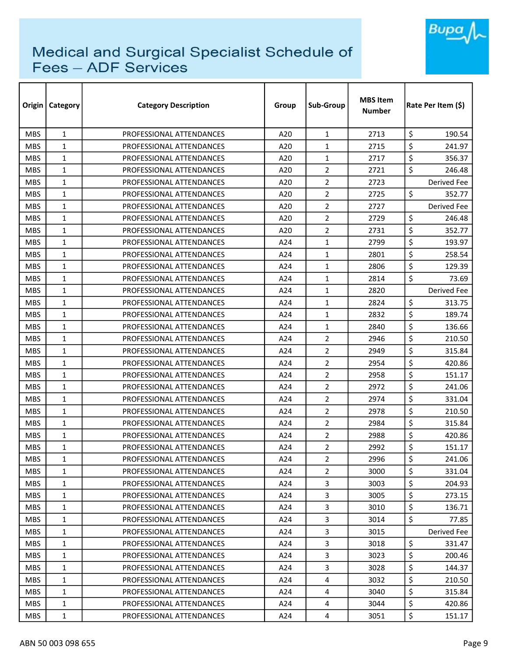

| Origin     | <b>Category</b> | <b>Category Description</b> | Group | Sub-Group      | <b>MBS Item</b><br><b>Number</b> | Rate Per Item (\$) |  |
|------------|-----------------|-----------------------------|-------|----------------|----------------------------------|--------------------|--|
| <b>MBS</b> | $\mathbf{1}$    | PROFESSIONAL ATTENDANCES    | A20   | $\mathbf{1}$   | 2713                             | \$<br>190.54       |  |
| <b>MBS</b> | $\mathbf{1}$    | PROFESSIONAL ATTENDANCES    | A20   | $\mathbf{1}$   | 2715                             | \$<br>241.97       |  |
| <b>MBS</b> | $\mathbf{1}$    | PROFESSIONAL ATTENDANCES    | A20   | $\mathbf{1}$   | 2717                             | \$<br>356.37       |  |
| <b>MBS</b> | $\mathbf{1}$    | PROFESSIONAL ATTENDANCES    | A20   | $\overline{2}$ | 2721                             | \$<br>246.48       |  |
| <b>MBS</b> | $\mathbf{1}$    | PROFESSIONAL ATTENDANCES    | A20   | 2              | 2723                             | Derived Fee        |  |
| <b>MBS</b> | $\mathbf{1}$    | PROFESSIONAL ATTENDANCES    | A20   | $\overline{2}$ | 2725                             | \$<br>352.77       |  |
| <b>MBS</b> | $\mathbf{1}$    | PROFESSIONAL ATTENDANCES    | A20   | 2              | 2727                             | Derived Fee        |  |
| <b>MBS</b> | $\mathbf{1}$    | PROFESSIONAL ATTENDANCES    | A20   | $\overline{2}$ | 2729                             | \$<br>246.48       |  |
| <b>MBS</b> | $\mathbf{1}$    | PROFESSIONAL ATTENDANCES    | A20   | $\overline{2}$ | 2731                             | \$<br>352.77       |  |
| <b>MBS</b> | $\mathbf{1}$    | PROFESSIONAL ATTENDANCES    | A24   | $\mathbf{1}$   | 2799                             | \$<br>193.97       |  |
| <b>MBS</b> | $\mathbf{1}$    | PROFESSIONAL ATTENDANCES    | A24   | $\mathbf{1}$   | 2801                             | \$<br>258.54       |  |
| <b>MBS</b> | $\mathbf{1}$    | PROFESSIONAL ATTENDANCES    | A24   | $\mathbf{1}$   | 2806                             | \$<br>129.39       |  |
| <b>MBS</b> | $\mathbf{1}$    | PROFESSIONAL ATTENDANCES    | A24   | $\mathbf{1}$   | 2814                             | \$<br>73.69        |  |
| <b>MBS</b> | $\mathbf{1}$    | PROFESSIONAL ATTENDANCES    | A24   | $\mathbf{1}$   | 2820                             | <b>Derived Fee</b> |  |
| <b>MBS</b> | $\mathbf{1}$    | PROFESSIONAL ATTENDANCES    | A24   | $\mathbf{1}$   | 2824                             | \$<br>313.75       |  |
| <b>MBS</b> | $\mathbf{1}$    | PROFESSIONAL ATTENDANCES    | A24   | $\mathbf{1}$   | 2832                             | \$<br>189.74       |  |
| <b>MBS</b> | $\mathbf{1}$    | PROFESSIONAL ATTENDANCES    | A24   | $\mathbf{1}$   | 2840                             | \$<br>136.66       |  |
| <b>MBS</b> | $\mathbf{1}$    | PROFESSIONAL ATTENDANCES    | A24   | $\overline{2}$ | 2946                             | \$<br>210.50       |  |
| <b>MBS</b> | $\mathbf{1}$    | PROFESSIONAL ATTENDANCES    | A24   | $\overline{2}$ | 2949                             | \$<br>315.84       |  |
| <b>MBS</b> | 1               | PROFESSIONAL ATTENDANCES    | A24   | $\overline{2}$ | 2954                             | \$<br>420.86       |  |
| <b>MBS</b> | $\mathbf{1}$    | PROFESSIONAL ATTENDANCES    | A24   | $\overline{2}$ | 2958                             | \$<br>151.17       |  |
| <b>MBS</b> | $\mathbf{1}$    | PROFESSIONAL ATTENDANCES    | A24   | 2              | 2972                             | \$<br>241.06       |  |
| <b>MBS</b> | $\mathbf{1}$    | PROFESSIONAL ATTENDANCES    | A24   | $\overline{2}$ | 2974                             | \$<br>331.04       |  |
| <b>MBS</b> | $\mathbf{1}$    | PROFESSIONAL ATTENDANCES    | A24   | $\overline{2}$ | 2978                             | \$<br>210.50       |  |
| <b>MBS</b> | $\mathbf{1}$    | PROFESSIONAL ATTENDANCES    | A24   | 2              | 2984                             | \$<br>315.84       |  |
| <b>MBS</b> | $\mathbf{1}$    | PROFESSIONAL ATTENDANCES    | A24   | $\overline{2}$ | 2988                             | \$<br>420.86       |  |
| <b>MBS</b> | 1               | PROFESSIONAL ATTENDANCES    | A24   | 2              | 2992                             | \$<br>151.17       |  |
| <b>MBS</b> | 1               | PROFESSIONAL ATTENDANCES    | A24   | $\overline{2}$ | 2996                             | \$<br>241.06       |  |
| <b>MBS</b> | 1               | PROFESSIONAL ATTENDANCES    | A24   | $\overline{2}$ | 3000                             | \$<br>331.04       |  |
| <b>MBS</b> | $\mathbf{1}$    | PROFESSIONAL ATTENDANCES    | A24   | $\overline{3}$ | 3003                             | \$<br>204.93       |  |
| <b>MBS</b> | 1               | PROFESSIONAL ATTENDANCES    | A24   | $\overline{3}$ | 3005                             | \$<br>273.15       |  |
| <b>MBS</b> | 1               | PROFESSIONAL ATTENDANCES    | A24   | 3              | 3010                             | \$<br>136.71       |  |
| MBS.       | $\mathbf{1}$    | PROFESSIONAL ATTENDANCES    | A24   | 3              | 3014                             | \$<br>77.85        |  |
| <b>MBS</b> | 1               | PROFESSIONAL ATTENDANCES    | A24   | 3              | 3015                             | Derived Fee        |  |
| <b>MBS</b> | $\mathbf{1}$    | PROFESSIONAL ATTENDANCES    | A24   | 3              | 3018                             | \$<br>331.47       |  |
| <b>MBS</b> | 1               | PROFESSIONAL ATTENDANCES    | A24   | 3              | 3023                             | \$<br>200.46       |  |
| <b>MBS</b> | 1               | PROFESSIONAL ATTENDANCES    | A24   | $\overline{3}$ | 3028                             | \$<br>144.37       |  |
| <b>MBS</b> | $\mathbf{1}$    | PROFESSIONAL ATTENDANCES    | A24   | 4              | 3032                             | \$<br>210.50       |  |
| <b>MBS</b> | 1               | PROFESSIONAL ATTENDANCES    | A24   | 4              | 3040                             | \$<br>315.84       |  |
| <b>MBS</b> | 1               | PROFESSIONAL ATTENDANCES    | A24   | 4              | 3044                             | \$<br>420.86       |  |
| <b>MBS</b> | $\mathbf{1}$    | PROFESSIONAL ATTENDANCES    | A24   | 4              | 3051                             | \$<br>151.17       |  |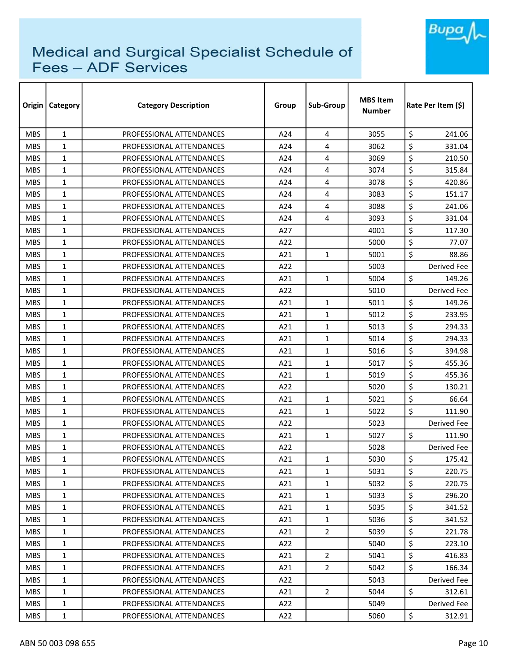

| Origin     | <b>Category</b> | <b>Category Description</b> | Group | Sub-Group      | <b>MBS Item</b><br><b>Number</b> | Rate Per Item (\$) |  |
|------------|-----------------|-----------------------------|-------|----------------|----------------------------------|--------------------|--|
| <b>MBS</b> | $\mathbf{1}$    | PROFESSIONAL ATTENDANCES    | A24   | 4              | 3055                             | \$<br>241.06       |  |
| <b>MBS</b> | $\mathbf{1}$    | PROFESSIONAL ATTENDANCES    | A24   | 4              | 3062                             | \$<br>331.04       |  |
| <b>MBS</b> | $\mathbf{1}$    | PROFESSIONAL ATTENDANCES    | A24   | 4              | 3069                             | \$<br>210.50       |  |
| <b>MBS</b> | $\mathbf{1}$    | PROFESSIONAL ATTENDANCES    | A24   | 4              | 3074                             | \$<br>315.84       |  |
| <b>MBS</b> | $\mathbf{1}$    | PROFESSIONAL ATTENDANCES    | A24   | 4              | 3078                             | \$<br>420.86       |  |
| <b>MBS</b> | $\mathbf{1}$    | PROFESSIONAL ATTENDANCES    | A24   | 4              | 3083                             | \$<br>151.17       |  |
| <b>MBS</b> | $\mathbf{1}$    | PROFESSIONAL ATTENDANCES    | A24   | 4              | 3088                             | \$<br>241.06       |  |
| <b>MBS</b> | $\mathbf{1}$    | PROFESSIONAL ATTENDANCES    | A24   | 4              | 3093                             | \$<br>331.04       |  |
| <b>MBS</b> | $\mathbf{1}$    | PROFESSIONAL ATTENDANCES    | A27   |                | 4001                             | \$<br>117.30       |  |
| <b>MBS</b> | $\mathbf{1}$    | PROFESSIONAL ATTENDANCES    | A22   |                | 5000                             | \$<br>77.07        |  |
| <b>MBS</b> | $\mathbf{1}$    | PROFESSIONAL ATTENDANCES    | A21   | $\mathbf{1}$   | 5001                             | \$<br>88.86        |  |
| <b>MBS</b> | $\mathbf{1}$    | PROFESSIONAL ATTENDANCES    | A22   |                | 5003                             | <b>Derived Fee</b> |  |
| <b>MBS</b> | 1               | PROFESSIONAL ATTENDANCES    | A21   | $\mathbf{1}$   | 5004                             | \$<br>149.26       |  |
| <b>MBS</b> | $\mathbf{1}$    | PROFESSIONAL ATTENDANCES    | A22   |                | 5010                             | Derived Fee        |  |
| <b>MBS</b> | 1               | PROFESSIONAL ATTENDANCES    | A21   | $\mathbf{1}$   | 5011                             | \$<br>149.26       |  |
| <b>MBS</b> | 1               | PROFESSIONAL ATTENDANCES    | A21   | $\mathbf{1}$   | 5012                             | \$<br>233.95       |  |
| <b>MBS</b> | $\mathbf{1}$    | PROFESSIONAL ATTENDANCES    | A21   | $\mathbf{1}$   | 5013                             | \$<br>294.33       |  |
| <b>MBS</b> | $\mathbf{1}$    | PROFESSIONAL ATTENDANCES    | A21   | $\mathbf{1}$   | 5014                             | \$<br>294.33       |  |
| <b>MBS</b> | $\mathbf{1}$    | PROFESSIONAL ATTENDANCES    | A21   | $\mathbf{1}$   | 5016                             | \$<br>394.98       |  |
| <b>MBS</b> | $\mathbf{1}$    | PROFESSIONAL ATTENDANCES    | A21   | $\mathbf{1}$   | 5017                             | \$<br>455.36       |  |
| <b>MBS</b> | $\mathbf{1}$    | PROFESSIONAL ATTENDANCES    | A21   | $\mathbf{1}$   | 5019                             | \$<br>455.36       |  |
| <b>MBS</b> | $\mathbf{1}$    | PROFESSIONAL ATTENDANCES    | A22   |                | 5020                             | \$<br>130.21       |  |
| <b>MBS</b> | $\mathbf{1}$    | PROFESSIONAL ATTENDANCES    | A21   | $\mathbf{1}$   | 5021                             | \$<br>66.64        |  |
| <b>MBS</b> | 1               | PROFESSIONAL ATTENDANCES    | A21   | 1              | 5022                             | \$<br>111.90       |  |
| <b>MBS</b> | $\mathbf{1}$    | PROFESSIONAL ATTENDANCES    | A22   |                | 5023                             | Derived Fee        |  |
| <b>MBS</b> | $\mathbf{1}$    | PROFESSIONAL ATTENDANCES    | A21   | $\mathbf{1}$   | 5027                             | \$<br>111.90       |  |
| <b>MBS</b> | 1               | PROFESSIONAL ATTENDANCES    | A22   |                | 5028                             | Derived Fee        |  |
| <b>MBS</b> | 1               | PROFESSIONAL ATTENDANCES    | A21   | $\mathbf{1}$   | 5030                             | \$<br>175.42       |  |
| <b>MBS</b> | 1               | PROFESSIONAL ATTENDANCES    | A21   | $\mathbf{1}$   | 5031                             | \$<br>220.75       |  |
| <b>MBS</b> | $\mathbf{1}$    | PROFESSIONAL ATTENDANCES    | A21   | $\mathbf{1}$   | 5032                             | \$<br>220.75       |  |
| <b>MBS</b> | $\mathbf{1}$    | PROFESSIONAL ATTENDANCES    | A21   | $\mathbf{1}$   | 5033                             | \$<br>296.20       |  |
| <b>MBS</b> | 1               | PROFESSIONAL ATTENDANCES    | A21   | $\mathbf{1}$   | 5035                             | \$<br>341.52       |  |
| MBS.       | $\mathbf{1}$    | PROFESSIONAL ATTENDANCES    | A21   | $\mathbf{1}$   | 5036                             | \$<br>341.52       |  |
| <b>MBS</b> | 1               | PROFESSIONAL ATTENDANCES    | A21   | $\overline{2}$ | 5039                             | \$<br>221.78       |  |
| <b>MBS</b> | $\mathbf{1}$    | PROFESSIONAL ATTENDANCES    | A22   |                | 5040                             | \$<br>223.10       |  |
| <b>MBS</b> | $\mathbf{1}$    | PROFESSIONAL ATTENDANCES    | A21   | $\overline{2}$ | 5041                             | \$<br>416.83       |  |
| <b>MBS</b> | 1               | PROFESSIONAL ATTENDANCES    | A21   | $\overline{2}$ | 5042                             | \$<br>166.34       |  |
| <b>MBS</b> | $\mathbf{1}$    | PROFESSIONAL ATTENDANCES    | A22   |                | 5043                             | Derived Fee        |  |
| <b>MBS</b> | 1               | PROFESSIONAL ATTENDANCES    | A21   | $\overline{2}$ | 5044                             | \$<br>312.61       |  |
| <b>MBS</b> | $\mathbf{1}$    | PROFESSIONAL ATTENDANCES    | A22   |                | 5049                             | Derived Fee        |  |
| <b>MBS</b> | 1               | PROFESSIONAL ATTENDANCES    | A22   |                | 5060                             | \$<br>312.91       |  |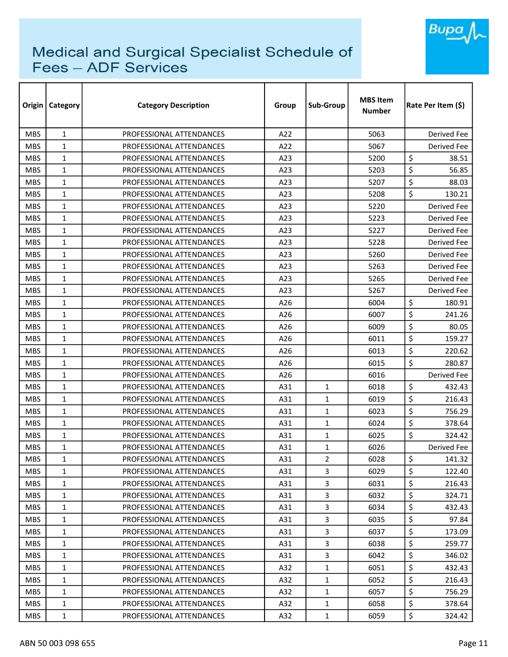

| Origin     | <b>Category</b> | <b>Category Description</b> | Group | Sub-Group      | <b>MBS Item</b><br><b>Number</b> | Rate Per Item (\$) |
|------------|-----------------|-----------------------------|-------|----------------|----------------------------------|--------------------|
| <b>MBS</b> | $\mathbf{1}$    | PROFESSIONAL ATTENDANCES    | A22   |                | 5063                             | <b>Derived Fee</b> |
| <b>MBS</b> | $\mathbf{1}$    | PROFESSIONAL ATTENDANCES    | A22   |                | 5067                             | Derived Fee        |
| <b>MBS</b> | 1               | PROFESSIONAL ATTENDANCES    | A23   |                | 5200                             | \$<br>38.51        |
| <b>MBS</b> | $\mathbf{1}$    | PROFESSIONAL ATTENDANCES    | A23   |                | 5203                             | \$<br>56.85        |
| <b>MBS</b> | 1               | PROFESSIONAL ATTENDANCES    | A23   |                | 5207                             | \$<br>88.03        |
| <b>MBS</b> | $\mathbf{1}$    | PROFESSIONAL ATTENDANCES    | A23   |                | 5208                             | \$<br>130.21       |
| <b>MBS</b> | $\mathbf{1}$    | PROFESSIONAL ATTENDANCES    | A23   |                | 5220                             | Derived Fee        |
| <b>MBS</b> | $\mathbf{1}$    | PROFESSIONAL ATTENDANCES    | A23   |                | 5223                             | Derived Fee        |
| <b>MBS</b> | 1               | PROFESSIONAL ATTENDANCES    | A23   |                | 5227                             | Derived Fee        |
| <b>MBS</b> | $\mathbf{1}$    | PROFESSIONAL ATTENDANCES    | A23   |                | 5228                             | Derived Fee        |
| <b>MBS</b> | $\mathbf{1}$    | PROFESSIONAL ATTENDANCES    | A23   |                | 5260                             | Derived Fee        |
| <b>MBS</b> | $\mathbf{1}$    | PROFESSIONAL ATTENDANCES    | A23   |                | 5263                             | Derived Fee        |
| <b>MBS</b> | 1               | PROFESSIONAL ATTENDANCES    | A23   |                | 5265                             | Derived Fee        |
| <b>MBS</b> | $\mathbf{1}$    | PROFESSIONAL ATTENDANCES    | A23   |                | 5267                             | Derived Fee        |
| <b>MBS</b> | 1               | PROFESSIONAL ATTENDANCES    | A26   |                | 6004                             | \$<br>180.91       |
| <b>MBS</b> | 1               | PROFESSIONAL ATTENDANCES    | A26   |                | 6007                             | \$<br>241.26       |
| <b>MBS</b> | 1               | PROFESSIONAL ATTENDANCES    | A26   |                | 6009                             | \$<br>80.05        |
| <b>MBS</b> | $\mathbf{1}$    | PROFESSIONAL ATTENDANCES    | A26   |                | 6011                             | \$<br>159.27       |
| <b>MBS</b> | 1               | PROFESSIONAL ATTENDANCES    | A26   |                | 6013                             | \$<br>220.62       |
| <b>MBS</b> | $\mathbf{1}$    | PROFESSIONAL ATTENDANCES    | A26   |                | 6015                             | \$<br>280.87       |
| <b>MBS</b> | $\mathbf{1}$    | PROFESSIONAL ATTENDANCES    | A26   |                | 6016                             | Derived Fee        |
| <b>MBS</b> | 1               | PROFESSIONAL ATTENDANCES    | A31   | $\mathbf{1}$   | 6018                             | \$<br>432.43       |
| <b>MBS</b> | $\mathbf{1}$    | PROFESSIONAL ATTENDANCES    | A31   | $\mathbf{1}$   | 6019                             | \$<br>216.43       |
| <b>MBS</b> | 1               | PROFESSIONAL ATTENDANCES    | A31   | 1              | 6023                             | \$<br>756.29       |
| <b>MBS</b> | $\mathbf{1}$    | PROFESSIONAL ATTENDANCES    | A31   | $\mathbf{1}$   | 6024                             | \$<br>378.64       |
| <b>MBS</b> | $\mathbf{1}$    | PROFESSIONAL ATTENDANCES    | A31   | $\mathbf{1}$   | 6025                             | \$<br>324.42       |
| <b>MBS</b> | $\mathbf{1}$    | PROFESSIONAL ATTENDANCES    | A31   | 1              | 6026                             | Derived Fee        |
| <b>MBS</b> | $\mathbf{1}$    | PROFESSIONAL ATTENDANCES    | A31   | $\overline{2}$ | 6028                             | \$<br>141.32       |
| <b>MBS</b> | $\mathbf{1}$    | PROFESSIONAL ATTENDANCES    | A31   | 3              | 6029                             | \$<br>122.40       |
| <b>MBS</b> | 1               | PROFESSIONAL ATTENDANCES    | A31   | 3              | 6031                             | \$<br>216.43       |
| <b>MBS</b> | 1               | PROFESSIONAL ATTENDANCES    | A31   | 3              | 6032                             | \$<br>324.71       |
| <b>MBS</b> | 1               | PROFESSIONAL ATTENDANCES    | A31   | 3              | 6034                             | \$<br>432.43       |
| <b>MBS</b> | $\mathbf{1}$    | PROFESSIONAL ATTENDANCES    | A31   | 3              | 6035                             | \$<br>97.84        |
| <b>MBS</b> | 1               | PROFESSIONAL ATTENDANCES    | A31   | 3              | 6037                             | \$<br>173.09       |
| <b>MBS</b> | $\mathbf{1}$    | PROFESSIONAL ATTENDANCES    | A31   | 3              | 6038                             | \$<br>259.77       |
| <b>MBS</b> | 1               | PROFESSIONAL ATTENDANCES    | A31   | 3              | 6042                             | \$<br>346.02       |
| <b>MBS</b> | 1               | PROFESSIONAL ATTENDANCES    | A32   | $\mathbf{1}$   | 6051                             | \$<br>432.43       |
| <b>MBS</b> | $\mathbf{1}$    | PROFESSIONAL ATTENDANCES    | A32   | 1              | 6052                             | \$<br>216.43       |
| MBS.       | 1               | PROFESSIONAL ATTENDANCES    | A32   | 1              | 6057                             | \$<br>756.29       |
| <b>MBS</b> | 1               | PROFESSIONAL ATTENDANCES    | A32   | 1              | 6058                             | \$<br>378.64       |
| MBS        | 1               | PROFESSIONAL ATTENDANCES    | A32   | 1              | 6059                             | \$<br>324.42       |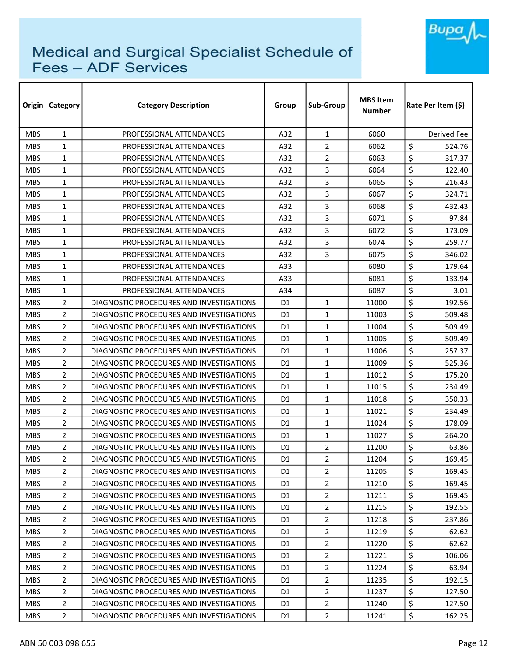

| Origin     | <b>Category</b> | <b>Category Description</b>              | Group          | <b>Sub-Group</b> | <b>MBS Item</b><br><b>Number</b> | Rate Per Item (\$) |  |
|------------|-----------------|------------------------------------------|----------------|------------------|----------------------------------|--------------------|--|
| <b>MBS</b> | $\mathbf{1}$    | PROFESSIONAL ATTENDANCES                 | A32            | $\mathbf{1}$     | 6060                             | Derived Fee        |  |
| <b>MBS</b> | $\mathbf{1}$    | PROFESSIONAL ATTENDANCES                 | A32            | 2                | 6062                             | \$<br>524.76       |  |
| <b>MBS</b> | $\mathbf{1}$    | PROFESSIONAL ATTENDANCES                 | A32            | $\overline{2}$   | 6063                             | \$<br>317.37       |  |
| <b>MBS</b> | $\mathbf{1}$    | PROFESSIONAL ATTENDANCES                 | A32            | 3                | 6064                             | \$<br>122.40       |  |
| <b>MBS</b> | $\mathbf{1}$    | PROFESSIONAL ATTENDANCES                 | A32            | 3                | 6065                             | \$<br>216.43       |  |
| <b>MBS</b> | $\mathbf{1}$    | PROFESSIONAL ATTENDANCES                 | A32            | 3                | 6067                             | \$<br>324.71       |  |
| <b>MBS</b> | $\mathbf{1}$    | PROFESSIONAL ATTENDANCES                 | A32            | 3                | 6068                             | \$<br>432.43       |  |
| <b>MBS</b> | $\mathbf{1}$    | PROFESSIONAL ATTENDANCES                 | A32            | 3                | 6071                             | \$<br>97.84        |  |
| <b>MBS</b> | $\mathbf{1}$    | PROFESSIONAL ATTENDANCES                 | A32            | 3                | 6072                             | \$<br>173.09       |  |
| <b>MBS</b> | $\mathbf{1}$    | PROFESSIONAL ATTENDANCES                 | A32            | 3                | 6074                             | \$<br>259.77       |  |
| <b>MBS</b> | $\mathbf{1}$    | PROFESSIONAL ATTENDANCES                 | A32            | 3                | 6075                             | \$<br>346.02       |  |
| <b>MBS</b> | $\mathbf{1}$    | PROFESSIONAL ATTENDANCES                 | A33            |                  | 6080                             | \$<br>179.64       |  |
| <b>MBS</b> | $\mathbf{1}$    | PROFESSIONAL ATTENDANCES                 | A33            |                  | 6081                             | \$<br>133.94       |  |
| <b>MBS</b> | $\mathbf{1}$    | PROFESSIONAL ATTENDANCES                 | A34            |                  | 6087                             | \$<br>3.01         |  |
| <b>MBS</b> | $\overline{2}$  | DIAGNOSTIC PROCEDURES AND INVESTIGATIONS | D1             | $\mathbf{1}$     | 11000                            | \$<br>192.56       |  |
| <b>MBS</b> | $\overline{2}$  | DIAGNOSTIC PROCEDURES AND INVESTIGATIONS | D1             | $\mathbf{1}$     | 11003                            | \$<br>509.48       |  |
| <b>MBS</b> | 2               | DIAGNOSTIC PROCEDURES AND INVESTIGATIONS | D1             | $\mathbf{1}$     | 11004                            | \$<br>509.49       |  |
| <b>MBS</b> | $\overline{2}$  | DIAGNOSTIC PROCEDURES AND INVESTIGATIONS | D <sub>1</sub> | $\mathbf{1}$     | 11005                            | \$<br>509.49       |  |
| <b>MBS</b> | $\overline{2}$  | DIAGNOSTIC PROCEDURES AND INVESTIGATIONS | D <sub>1</sub> | $\mathbf{1}$     | 11006                            | \$<br>257.37       |  |
| <b>MBS</b> | $\overline{2}$  | DIAGNOSTIC PROCEDURES AND INVESTIGATIONS | D <sub>1</sub> | 1                | 11009                            | \$<br>525.36       |  |
| <b>MBS</b> | $\overline{2}$  | DIAGNOSTIC PROCEDURES AND INVESTIGATIONS | D1             | $\mathbf{1}$     | 11012                            | \$<br>175.20       |  |
| <b>MBS</b> | 2               | DIAGNOSTIC PROCEDURES AND INVESTIGATIONS | D1             | $\mathbf{1}$     | 11015                            | \$<br>234.49       |  |
| <b>MBS</b> | 2               | DIAGNOSTIC PROCEDURES AND INVESTIGATIONS | D1             | $\mathbf{1}$     | 11018                            | \$<br>350.33       |  |
| <b>MBS</b> | $\overline{2}$  | DIAGNOSTIC PROCEDURES AND INVESTIGATIONS | D1             | $\mathbf{1}$     | 11021                            | \$<br>234.49       |  |
| <b>MBS</b> | 2               | DIAGNOSTIC PROCEDURES AND INVESTIGATIONS | D <sub>1</sub> | $\mathbf{1}$     | 11024                            | \$<br>178.09       |  |
| <b>MBS</b> | $\overline{2}$  | DIAGNOSTIC PROCEDURES AND INVESTIGATIONS | D <sub>1</sub> | $\mathbf{1}$     | 11027                            | \$<br>264.20       |  |
| <b>MBS</b> | $\overline{2}$  | DIAGNOSTIC PROCEDURES AND INVESTIGATIONS | D <sub>1</sub> | $\overline{2}$   | 11200                            | \$<br>63.86        |  |
| <b>MBS</b> | $\overline{2}$  | DIAGNOSTIC PROCEDURES AND INVESTIGATIONS | D <sub>1</sub> | $\overline{2}$   | 11204                            | \$<br>169.45       |  |
| <b>MBS</b> | 2               | DIAGNOSTIC PROCEDURES AND INVESTIGATIONS | D1             | $\overline{2}$   | 11205                            | \$<br>169.45       |  |
| <b>MBS</b> | $\overline{2}$  | DIAGNOSTIC PROCEDURES AND INVESTIGATIONS | D1             | $\overline{2}$   | 11210                            | \$<br>169.45       |  |
| <b>MBS</b> | 2               | DIAGNOSTIC PROCEDURES AND INVESTIGATIONS | D1             | $\overline{2}$   | 11211                            | \$<br>169.45       |  |
| <b>MBS</b> | $\overline{2}$  | DIAGNOSTIC PROCEDURES AND INVESTIGATIONS | D <sub>1</sub> | $\overline{2}$   | 11215                            | \$<br>192.55       |  |
| <b>MBS</b> | 2               | DIAGNOSTIC PROCEDURES AND INVESTIGATIONS | D1             | $\overline{2}$   | 11218                            | \$<br>237.86       |  |
| <b>MBS</b> | $\overline{2}$  | DIAGNOSTIC PROCEDURES AND INVESTIGATIONS | D1             | $\overline{2}$   | 11219                            | \$<br>62.62        |  |
| <b>MBS</b> | 2               | DIAGNOSTIC PROCEDURES AND INVESTIGATIONS | D1             | $\overline{2}$   | 11220                            | \$<br>62.62        |  |
| <b>MBS</b> | 2               | DIAGNOSTIC PROCEDURES AND INVESTIGATIONS | D1             | $\overline{2}$   | 11221                            | \$<br>106.06       |  |
| <b>MBS</b> | $\overline{2}$  | DIAGNOSTIC PROCEDURES AND INVESTIGATIONS | D1             | $\overline{2}$   | 11224                            | \$<br>63.94        |  |
| <b>MBS</b> | $\overline{2}$  | DIAGNOSTIC PROCEDURES AND INVESTIGATIONS | D1             | $\overline{2}$   | 11235                            | \$<br>192.15       |  |
| <b>MBS</b> | $\overline{2}$  | DIAGNOSTIC PROCEDURES AND INVESTIGATIONS | D1             | $\overline{2}$   | 11237                            | \$<br>127.50       |  |
| MBS.       | $\overline{2}$  | DIAGNOSTIC PROCEDURES AND INVESTIGATIONS | D1             | $\overline{2}$   | 11240                            | \$<br>127.50       |  |
| <b>MBS</b> | $\overline{2}$  | DIAGNOSTIC PROCEDURES AND INVESTIGATIONS | D1             | $\overline{2}$   | 11241                            | \$<br>162.25       |  |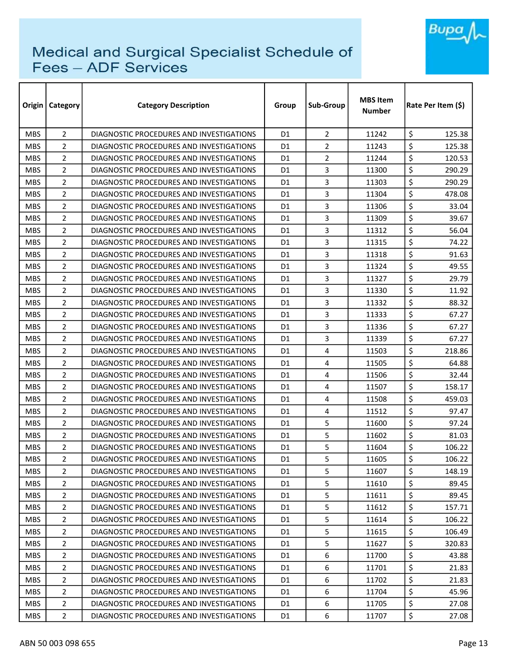

| Origin     | <b>Category</b> | <b>Category Description</b>              | Group          | Sub-Group      | <b>MBS</b> Item<br><b>Number</b> |                  | Rate Per Item (\$) |
|------------|-----------------|------------------------------------------|----------------|----------------|----------------------------------|------------------|--------------------|
| <b>MBS</b> | $\overline{2}$  | DIAGNOSTIC PROCEDURES AND INVESTIGATIONS | D <sub>1</sub> | $\overline{2}$ | 11242                            | \$               | 125.38             |
| <b>MBS</b> | $\overline{2}$  | DIAGNOSTIC PROCEDURES AND INVESTIGATIONS | D1             | $\overline{2}$ | 11243                            | \$               | 125.38             |
| <b>MBS</b> | $\overline{2}$  | DIAGNOSTIC PROCEDURES AND INVESTIGATIONS | D1             | $\overline{2}$ | 11244                            | \$               | 120.53             |
| <b>MBS</b> | $\overline{2}$  | DIAGNOSTIC PROCEDURES AND INVESTIGATIONS | D1             | 3              | 11300                            | \$               | 290.29             |
| <b>MBS</b> | 2               | DIAGNOSTIC PROCEDURES AND INVESTIGATIONS | D1             | 3              | 11303                            | \$               | 290.29             |
| <b>MBS</b> | $\overline{2}$  | DIAGNOSTIC PROCEDURES AND INVESTIGATIONS | D1             | 3              | 11304                            | \$               | 478.08             |
| <b>MBS</b> | $\overline{2}$  | DIAGNOSTIC PROCEDURES AND INVESTIGATIONS | D1             | 3              | 11306                            | \$               | 33.04              |
| <b>MBS</b> | $\overline{2}$  | DIAGNOSTIC PROCEDURES AND INVESTIGATIONS | D <sub>1</sub> | 3              | 11309                            | \$               | 39.67              |
| <b>MBS</b> | $\overline{2}$  | DIAGNOSTIC PROCEDURES AND INVESTIGATIONS | D1             | 3              | 11312                            | \$               | 56.04              |
| <b>MBS</b> | 2               | DIAGNOSTIC PROCEDURES AND INVESTIGATIONS | D1             | 3              | 11315                            | \$               | 74.22              |
| <b>MBS</b> | 2               | DIAGNOSTIC PROCEDURES AND INVESTIGATIONS | D1             | 3              | 11318                            | \$               | 91.63              |
| <b>MBS</b> | 2               | DIAGNOSTIC PROCEDURES AND INVESTIGATIONS | D1             | 3              | 11324                            | \$               | 49.55              |
| <b>MBS</b> | $\overline{2}$  | DIAGNOSTIC PROCEDURES AND INVESTIGATIONS | D1             | 3              | 11327                            | \$               | 29.79              |
| <b>MBS</b> | $\overline{2}$  | DIAGNOSTIC PROCEDURES AND INVESTIGATIONS | D1             | 3              | 11330                            | \$               | 11.92              |
| <b>MBS</b> | $\overline{2}$  | DIAGNOSTIC PROCEDURES AND INVESTIGATIONS | D1             | 3              | 11332                            | \$               | 88.32              |
| <b>MBS</b> | $\overline{2}$  | DIAGNOSTIC PROCEDURES AND INVESTIGATIONS | D1             | 3              | 11333                            | \$               | 67.27              |
| <b>MBS</b> | $\overline{2}$  | DIAGNOSTIC PROCEDURES AND INVESTIGATIONS | D1             | 3              | 11336                            | \$               | 67.27              |
| <b>MBS</b> | $\overline{2}$  | DIAGNOSTIC PROCEDURES AND INVESTIGATIONS | D1             | 3              | 11339                            | \$               | 67.27              |
| <b>MBS</b> | $\overline{2}$  | DIAGNOSTIC PROCEDURES AND INVESTIGATIONS | D1             | 4              | 11503                            | \$               | 218.86             |
| <b>MBS</b> | 2               | DIAGNOSTIC PROCEDURES AND INVESTIGATIONS | D <sub>1</sub> | 4              | 11505                            | \$               | 64.88              |
| <b>MBS</b> | $\overline{2}$  | DIAGNOSTIC PROCEDURES AND INVESTIGATIONS | D1             | 4              | 11506                            | \$               | 32.44              |
| <b>MBS</b> | $\overline{2}$  | DIAGNOSTIC PROCEDURES AND INVESTIGATIONS | D1             | 4              | 11507                            | \$               | 158.17             |
| <b>MBS</b> | 2               | DIAGNOSTIC PROCEDURES AND INVESTIGATIONS | D1             | 4              | 11508                            | \$               | 459.03             |
| <b>MBS</b> | 2               | DIAGNOSTIC PROCEDURES AND INVESTIGATIONS | D1             | 4              | 11512                            | \$               | 97.47              |
| <b>MBS</b> | $\overline{2}$  | DIAGNOSTIC PROCEDURES AND INVESTIGATIONS | D1             | 5              | 11600                            | \$               | 97.24              |
| <b>MBS</b> | $\overline{2}$  | DIAGNOSTIC PROCEDURES AND INVESTIGATIONS | D1             | 5              | 11602                            | \$               | 81.03              |
| <b>MBS</b> | $\overline{2}$  | DIAGNOSTIC PROCEDURES AND INVESTIGATIONS | D1             | 5              | 11604                            | \$               | 106.22             |
| <b>MBS</b> | $\overline{2}$  | DIAGNOSTIC PROCEDURES AND INVESTIGATIONS | D <sub>1</sub> | 5              | 11605                            | $\overline{\xi}$ | 106.22             |
| <b>MBS</b> | $\overline{2}$  | DIAGNOSTIC PROCEDURES AND INVESTIGATIONS | D <sub>1</sub> | 5              | 11607                            | \$               | 148.19             |
| <b>MBS</b> | 2               | DIAGNOSTIC PROCEDURES AND INVESTIGATIONS | D1             | 5              | 11610                            | \$               | 89.45              |
| <b>MBS</b> | 2               | DIAGNOSTIC PROCEDURES AND INVESTIGATIONS | D1             | 5              | 11611                            | \$               | 89.45              |
| <b>MBS</b> | 2               | DIAGNOSTIC PROCEDURES AND INVESTIGATIONS | D <sub>1</sub> | 5              | 11612                            | \$               | 157.71             |
| <b>MBS</b> | 2               | DIAGNOSTIC PROCEDURES AND INVESTIGATIONS | D1             | 5              | 11614                            | \$               | 106.22             |
| <b>MBS</b> | $\overline{2}$  | DIAGNOSTIC PROCEDURES AND INVESTIGATIONS | D <sub>1</sub> | 5              | 11615                            | \$               | 106.49             |
| <b>MBS</b> | 2               | DIAGNOSTIC PROCEDURES AND INVESTIGATIONS | D <sub>1</sub> | 5              | 11627                            | \$               | 320.83             |
| <b>MBS</b> | 2               | DIAGNOSTIC PROCEDURES AND INVESTIGATIONS | D1             | 6              | 11700                            | \$               | 43.88              |
| <b>MBS</b> | $\overline{2}$  | DIAGNOSTIC PROCEDURES AND INVESTIGATIONS | D1             | 6              | 11701                            | \$               | 21.83              |
| <b>MBS</b> | 2               | DIAGNOSTIC PROCEDURES AND INVESTIGATIONS | D1             | 6              | 11702                            | \$               | 21.83              |
| <b>MBS</b> | $\overline{2}$  | DIAGNOSTIC PROCEDURES AND INVESTIGATIONS | D <sub>1</sub> | 6              | 11704                            | \$               | 45.96              |
| <b>MBS</b> | $\overline{2}$  | DIAGNOSTIC PROCEDURES AND INVESTIGATIONS | D1             | 6              | 11705                            | \$               | 27.08              |
| <b>MBS</b> | $\overline{2}$  | DIAGNOSTIC PROCEDURES AND INVESTIGATIONS | D1             | 6              | 11707                            | \$               | 27.08              |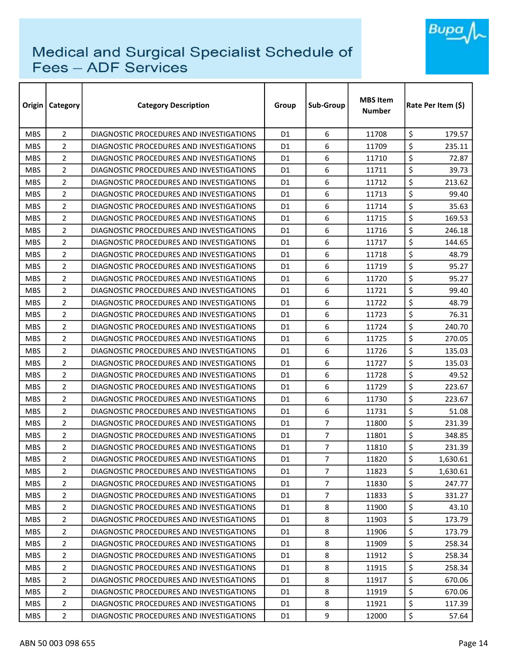

| Origin     | <b>Category</b> | <b>Category Description</b>              | Group          | Sub-Group      | <b>MBS</b> Item<br><b>Number</b> |                  | Rate Per Item (\$) |
|------------|-----------------|------------------------------------------|----------------|----------------|----------------------------------|------------------|--------------------|
| <b>MBS</b> | $\overline{2}$  | DIAGNOSTIC PROCEDURES AND INVESTIGATIONS | D <sub>1</sub> | 6              | 11708                            | \$               | 179.57             |
| <b>MBS</b> | $\overline{2}$  | DIAGNOSTIC PROCEDURES AND INVESTIGATIONS | D1             | 6              | 11709                            | \$               | 235.11             |
| <b>MBS</b> | $\overline{2}$  | DIAGNOSTIC PROCEDURES AND INVESTIGATIONS | D1             | 6              | 11710                            | \$               | 72.87              |
| <b>MBS</b> | $\overline{2}$  | DIAGNOSTIC PROCEDURES AND INVESTIGATIONS | D1             | 6              | 11711                            | \$               | 39.73              |
| <b>MBS</b> | 2               | DIAGNOSTIC PROCEDURES AND INVESTIGATIONS | D1             | 6              | 11712                            | \$               | 213.62             |
| <b>MBS</b> | $\overline{2}$  | DIAGNOSTIC PROCEDURES AND INVESTIGATIONS | D1             | 6              | 11713                            | \$               | 99.40              |
| <b>MBS</b> | $\overline{2}$  | DIAGNOSTIC PROCEDURES AND INVESTIGATIONS | D1             | 6              | 11714                            | \$               | 35.63              |
| <b>MBS</b> | $\overline{2}$  | DIAGNOSTIC PROCEDURES AND INVESTIGATIONS | D <sub>1</sub> | 6              | 11715                            | \$               | 169.53             |
| <b>MBS</b> | $\overline{2}$  | DIAGNOSTIC PROCEDURES AND INVESTIGATIONS | D1             | 6              | 11716                            | \$               | 246.18             |
| <b>MBS</b> | 2               | DIAGNOSTIC PROCEDURES AND INVESTIGATIONS | D1             | 6              | 11717                            | \$               | 144.65             |
| <b>MBS</b> | 2               | DIAGNOSTIC PROCEDURES AND INVESTIGATIONS | D1             | 6              | 11718                            | \$               | 48.79              |
| <b>MBS</b> | 2               | DIAGNOSTIC PROCEDURES AND INVESTIGATIONS | D1             | 6              | 11719                            | \$               | 95.27              |
| <b>MBS</b> | $\overline{2}$  | DIAGNOSTIC PROCEDURES AND INVESTIGATIONS | D1             | 6              | 11720                            | \$               | 95.27              |
| <b>MBS</b> | $\overline{2}$  | DIAGNOSTIC PROCEDURES AND INVESTIGATIONS | D1             | 6              | 11721                            | \$               | 99.40              |
| <b>MBS</b> | $\overline{2}$  | DIAGNOSTIC PROCEDURES AND INVESTIGATIONS | D1             | 6              | 11722                            | \$               | 48.79              |
| <b>MBS</b> | $\overline{2}$  | DIAGNOSTIC PROCEDURES AND INVESTIGATIONS | D1             | 6              | 11723                            | \$               | 76.31              |
| <b>MBS</b> | $\overline{2}$  | DIAGNOSTIC PROCEDURES AND INVESTIGATIONS | D1             | 6              | 11724                            | \$               | 240.70             |
| <b>MBS</b> | $\overline{2}$  | DIAGNOSTIC PROCEDURES AND INVESTIGATIONS | D1             | 6              | 11725                            | \$               | 270.05             |
| <b>MBS</b> | $\overline{2}$  | DIAGNOSTIC PROCEDURES AND INVESTIGATIONS | D1             | 6              | 11726                            | \$               | 135.03             |
| <b>MBS</b> | 2               | DIAGNOSTIC PROCEDURES AND INVESTIGATIONS | D <sub>1</sub> | 6              | 11727                            | \$               | 135.03             |
| <b>MBS</b> | $\overline{2}$  | DIAGNOSTIC PROCEDURES AND INVESTIGATIONS | D1             | 6              | 11728                            | \$               | 49.52              |
| <b>MBS</b> | 2               | DIAGNOSTIC PROCEDURES AND INVESTIGATIONS | D1             | 6              | 11729                            | \$               | 223.67             |
| <b>MBS</b> | 2               | DIAGNOSTIC PROCEDURES AND INVESTIGATIONS | D1             | 6              | 11730                            | \$               | 223.67             |
| <b>MBS</b> | 2               | DIAGNOSTIC PROCEDURES AND INVESTIGATIONS | D1             | 6              | 11731                            | \$               | 51.08              |
| <b>MBS</b> | $\overline{2}$  | DIAGNOSTIC PROCEDURES AND INVESTIGATIONS | D1             | $\overline{7}$ | 11800                            | \$               | 231.39             |
| <b>MBS</b> | $\overline{2}$  | DIAGNOSTIC PROCEDURES AND INVESTIGATIONS | D1             | $\overline{7}$ | 11801                            | \$               | 348.85             |
| <b>MBS</b> | $\overline{2}$  | DIAGNOSTIC PROCEDURES AND INVESTIGATIONS | D1             | $\overline{7}$ | 11810                            | \$               | 231.39             |
| <b>MBS</b> | $\overline{2}$  | DIAGNOSTIC PROCEDURES AND INVESTIGATIONS | D <sub>1</sub> | $\overline{7}$ | 11820                            | $\overline{\xi}$ | 1,630.61           |
| <b>MBS</b> | 2               | DIAGNOSTIC PROCEDURES AND INVESTIGATIONS | D <sub>1</sub> | $\overline{7}$ | 11823                            | \$               | 1,630.61           |
| <b>MBS</b> | 2               | DIAGNOSTIC PROCEDURES AND INVESTIGATIONS | D1             | $\overline{7}$ | 11830                            | \$               | 247.77             |
| <b>MBS</b> | 2               | DIAGNOSTIC PROCEDURES AND INVESTIGATIONS | D1             | $\overline{7}$ | 11833                            | \$               | 331.27             |
| <b>MBS</b> | 2               | DIAGNOSTIC PROCEDURES AND INVESTIGATIONS | D <sub>1</sub> | 8              | 11900                            | \$               | 43.10              |
| <b>MBS</b> | 2               | DIAGNOSTIC PROCEDURES AND INVESTIGATIONS | D1             | 8              | 11903                            | \$               | 173.79             |
| <b>MBS</b> | $\overline{2}$  | DIAGNOSTIC PROCEDURES AND INVESTIGATIONS | D <sub>1</sub> | 8              | 11906                            | \$               | 173.79             |
| <b>MBS</b> | 2               | DIAGNOSTIC PROCEDURES AND INVESTIGATIONS | D <sub>1</sub> | 8              | 11909                            | \$               | 258.34             |
| <b>MBS</b> | 2               | DIAGNOSTIC PROCEDURES AND INVESTIGATIONS | D1             | 8              | 11912                            | \$               | 258.34             |
| <b>MBS</b> | $\overline{2}$  | DIAGNOSTIC PROCEDURES AND INVESTIGATIONS | D1             | 8              | 11915                            | \$               | 258.34             |
| <b>MBS</b> | 2               | DIAGNOSTIC PROCEDURES AND INVESTIGATIONS | D1             | 8              | 11917                            | \$               | 670.06             |
| <b>MBS</b> | $\overline{2}$  | DIAGNOSTIC PROCEDURES AND INVESTIGATIONS | D <sub>1</sub> | 8              | 11919                            | \$               | 670.06             |
| <b>MBS</b> | $\overline{2}$  | DIAGNOSTIC PROCEDURES AND INVESTIGATIONS | D1             | 8              | 11921                            | \$               | 117.39             |
| <b>MBS</b> | $\overline{2}$  | DIAGNOSTIC PROCEDURES AND INVESTIGATIONS | D1             | 9              | 12000                            | \$               | 57.64              |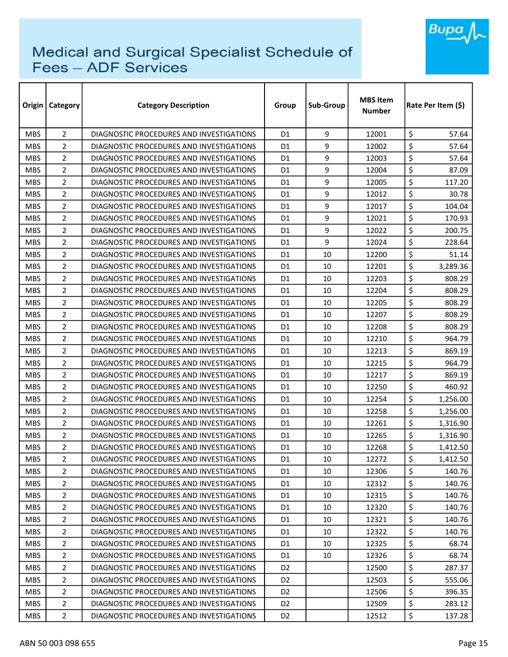

| Origin     | <b>Category</b> | <b>Category Description</b>              | Group          | Sub-Group | <b>MBS</b> Item<br><b>Number</b> |                  | Rate Per Item (\$) |
|------------|-----------------|------------------------------------------|----------------|-----------|----------------------------------|------------------|--------------------|
| <b>MBS</b> | $\overline{2}$  | DIAGNOSTIC PROCEDURES AND INVESTIGATIONS | D <sub>1</sub> | 9         | 12001                            | \$               | 57.64              |
| <b>MBS</b> | $\overline{2}$  | DIAGNOSTIC PROCEDURES AND INVESTIGATIONS | D1             | 9         | 12002                            | \$               | 57.64              |
| <b>MBS</b> | 2               | DIAGNOSTIC PROCEDURES AND INVESTIGATIONS | D1             | 9         | 12003                            | \$               | 57.64              |
| <b>MBS</b> | $\overline{2}$  | DIAGNOSTIC PROCEDURES AND INVESTIGATIONS | D1             | 9         | 12004                            | \$               | 87.09              |
| <b>MBS</b> | 2               | DIAGNOSTIC PROCEDURES AND INVESTIGATIONS | D1             | 9         | 12005                            | \$               | 117.20             |
| <b>MBS</b> | $\overline{2}$  | DIAGNOSTIC PROCEDURES AND INVESTIGATIONS | D1             | 9         | 12012                            | \$               | 30.78              |
| <b>MBS</b> | $\overline{2}$  | DIAGNOSTIC PROCEDURES AND INVESTIGATIONS | D1             | 9         | 12017                            | \$               | 104.04             |
| <b>MBS</b> | $\overline{2}$  | DIAGNOSTIC PROCEDURES AND INVESTIGATIONS | D <sub>1</sub> | 9         | 12021                            | \$               | 170.93             |
| <b>MBS</b> | $\overline{2}$  | DIAGNOSTIC PROCEDURES AND INVESTIGATIONS | D1             | 9         | 12022                            | \$               | 200.75             |
| <b>MBS</b> | 2               | DIAGNOSTIC PROCEDURES AND INVESTIGATIONS | D1             | 9         | 12024                            | \$               | 228.64             |
| <b>MBS</b> | 2               | DIAGNOSTIC PROCEDURES AND INVESTIGATIONS | D1             | 10        | 12200                            | \$               | 51.14              |
| <b>MBS</b> | 2               | DIAGNOSTIC PROCEDURES AND INVESTIGATIONS | D1             | 10        | 12201                            | \$               | 3,289.36           |
| <b>MBS</b> | $\overline{2}$  | DIAGNOSTIC PROCEDURES AND INVESTIGATIONS | D1             | 10        | 12203                            | \$               | 808.29             |
| <b>MBS</b> | 2               | DIAGNOSTIC PROCEDURES AND INVESTIGATIONS | D1             | 10        | 12204                            | \$               | 808.29             |
| <b>MBS</b> | $\overline{2}$  | DIAGNOSTIC PROCEDURES AND INVESTIGATIONS | D1             | 10        | 12205                            | \$               | 808.29             |
| <b>MBS</b> | $\overline{2}$  | DIAGNOSTIC PROCEDURES AND INVESTIGATIONS | D1             | 10        | 12207                            | \$               | 808.29             |
| <b>MBS</b> | 2               | DIAGNOSTIC PROCEDURES AND INVESTIGATIONS | D1             | 10        | 12208                            | \$               | 808.29             |
| <b>MBS</b> | $\overline{2}$  | DIAGNOSTIC PROCEDURES AND INVESTIGATIONS | D1             | 10        | 12210                            | \$               | 964.79             |
| <b>MBS</b> | $\overline{2}$  | DIAGNOSTIC PROCEDURES AND INVESTIGATIONS | D1             | 10        | 12213                            | \$               | 869.19             |
| <b>MBS</b> | 2               | DIAGNOSTIC PROCEDURES AND INVESTIGATIONS | D1             | 10        | 12215                            | \$               | 964.79             |
| <b>MBS</b> | $\overline{2}$  | DIAGNOSTIC PROCEDURES AND INVESTIGATIONS | D1             | 10        | 12217                            | \$               | 869.19             |
| <b>MBS</b> | 2               | DIAGNOSTIC PROCEDURES AND INVESTIGATIONS | D1             | 10        | 12250                            | \$               | 460.92             |
| <b>MBS</b> | 2               | DIAGNOSTIC PROCEDURES AND INVESTIGATIONS | D1             | 10        | 12254                            | \$               | 1,256.00           |
| <b>MBS</b> | 2               | DIAGNOSTIC PROCEDURES AND INVESTIGATIONS | D1             | 10        | 12258                            | \$               | 1,256.00           |
| <b>MBS</b> | $\overline{2}$  | DIAGNOSTIC PROCEDURES AND INVESTIGATIONS | D1             | 10        | 12261                            | \$               | 1,316.90           |
| <b>MBS</b> | $\overline{2}$  | DIAGNOSTIC PROCEDURES AND INVESTIGATIONS | D1             | 10        | 12265                            | \$               | 1,316.90           |
| <b>MBS</b> | $\overline{2}$  | DIAGNOSTIC PROCEDURES AND INVESTIGATIONS | D1             | 10        | 12268                            | \$               | 1,412.50           |
| <b>MBS</b> | $\overline{2}$  | DIAGNOSTIC PROCEDURES AND INVESTIGATIONS | D <sub>1</sub> | 10        | 12272                            | $\overline{\xi}$ | 1,412.50           |
| <b>MBS</b> | $\overline{2}$  | DIAGNOSTIC PROCEDURES AND INVESTIGATIONS | D1             | 10        | 12306                            | \$               | 140.76             |
| <b>MBS</b> | 2               | DIAGNOSTIC PROCEDURES AND INVESTIGATIONS | D1             | 10        | 12312                            | \$               | 140.76             |
| <b>MBS</b> | 2               | DIAGNOSTIC PROCEDURES AND INVESTIGATIONS | D1             | 10        | 12315                            | \$               | 140.76             |
| <b>MBS</b> | 2               | DIAGNOSTIC PROCEDURES AND INVESTIGATIONS | D <sub>1</sub> | 10        | 12320                            | \$               | 140.76             |
| <b>MBS</b> | 2               | DIAGNOSTIC PROCEDURES AND INVESTIGATIONS | D1             | 10        | 12321                            | \$               | 140.76             |
| <b>MBS</b> | $\overline{2}$  | DIAGNOSTIC PROCEDURES AND INVESTIGATIONS | D <sub>1</sub> | 10        | 12322                            | \$               | 140.76             |
| <b>MBS</b> | 2               | DIAGNOSTIC PROCEDURES AND INVESTIGATIONS | D <sub>1</sub> | 10        | 12325                            | \$               | 68.74              |
| <b>MBS</b> | 2               | DIAGNOSTIC PROCEDURES AND INVESTIGATIONS | D1             | 10        | 12326                            | \$               | 68.74              |
| <b>MBS</b> | $\overline{2}$  | DIAGNOSTIC PROCEDURES AND INVESTIGATIONS | D <sub>2</sub> |           | 12500                            | \$               | 287.37             |
| <b>MBS</b> | 2               | DIAGNOSTIC PROCEDURES AND INVESTIGATIONS | D <sub>2</sub> |           | 12503                            | \$               | 555.06             |
| <b>MBS</b> | $\overline{2}$  | DIAGNOSTIC PROCEDURES AND INVESTIGATIONS | D <sub>2</sub> |           | 12506                            | \$               | 396.35             |
| <b>MBS</b> | $\overline{2}$  | DIAGNOSTIC PROCEDURES AND INVESTIGATIONS | D <sub>2</sub> |           | 12509                            | \$               | 283.12             |
| <b>MBS</b> | $\overline{2}$  | DIAGNOSTIC PROCEDURES AND INVESTIGATIONS | D <sub>2</sub> |           | 12512                            | \$               | 137.28             |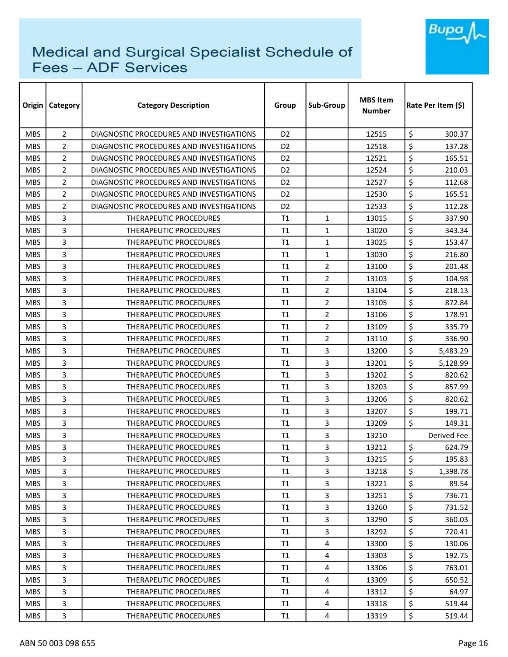

| Origin     | <b>Category</b> | <b>Category Description</b>              | Group          | Sub-Group               | <b>MBS Item</b><br><b>Number</b> | Rate Per Item (\$) |
|------------|-----------------|------------------------------------------|----------------|-------------------------|----------------------------------|--------------------|
| <b>MBS</b> | $\overline{2}$  | DIAGNOSTIC PROCEDURES AND INVESTIGATIONS | D <sub>2</sub> |                         | 12515                            | \$<br>300.37       |
| <b>MBS</b> | $\overline{2}$  | DIAGNOSTIC PROCEDURES AND INVESTIGATIONS | D <sub>2</sub> |                         | 12518                            | \$<br>137.28       |
| <b>MBS</b> | 2               | DIAGNOSTIC PROCEDURES AND INVESTIGATIONS | D <sub>2</sub> |                         | 12521                            | \$<br>165.51       |
| <b>MBS</b> | $\overline{2}$  | DIAGNOSTIC PROCEDURES AND INVESTIGATIONS | D <sub>2</sub> |                         | 12524                            | \$<br>210.03       |
| <b>MBS</b> | 2               | DIAGNOSTIC PROCEDURES AND INVESTIGATIONS | D <sub>2</sub> |                         | 12527                            | \$<br>112.68       |
| <b>MBS</b> | $\overline{2}$  | DIAGNOSTIC PROCEDURES AND INVESTIGATIONS | D <sub>2</sub> |                         | 12530                            | \$<br>165.51       |
| <b>MBS</b> | $\overline{2}$  | DIAGNOSTIC PROCEDURES AND INVESTIGATIONS | D <sub>2</sub> |                         | 12533                            | \$<br>112.28       |
| <b>MBS</b> | 3               | THERAPEUTIC PROCEDURES                   | T1             | $\mathbf{1}$            | 13015                            | \$<br>337.90       |
| <b>MBS</b> | 3               | THERAPEUTIC PROCEDURES                   | T1             | $\mathbf{1}$            | 13020                            | \$<br>343.34       |
| <b>MBS</b> | 3               | <b>THERAPEUTIC PROCEDURES</b>            | T1             | $\mathbf{1}$            | 13025                            | \$<br>153.47       |
| <b>MBS</b> | 3               | <b>THERAPEUTIC PROCEDURES</b>            | T1             | $\mathbf{1}$            | 13030                            | \$<br>216.80       |
| <b>MBS</b> | 3               | THERAPEUTIC PROCEDURES                   | T1             | $\overline{2}$          | 13100                            | \$<br>201.48       |
| <b>MBS</b> | 3               | <b>THERAPEUTIC PROCEDURES</b>            | T1             | $\overline{2}$          | 13103                            | \$<br>104.98       |
| <b>MBS</b> | 3               | <b>THERAPEUTIC PROCEDURES</b>            | T1             | $\overline{2}$          | 13104                            | \$<br>218.13       |
| <b>MBS</b> | 3               | <b>THERAPEUTIC PROCEDURES</b>            | T1             | $\overline{2}$          | 13105                            | \$<br>872.84       |
| <b>MBS</b> | 3               | <b>THERAPEUTIC PROCEDURES</b>            | T1             | $\overline{2}$          | 13106                            | \$<br>178.91       |
| <b>MBS</b> | 3               | THERAPEUTIC PROCEDURES                   | T1             | $\overline{2}$          | 13109                            | \$<br>335.79       |
| <b>MBS</b> | 3               | <b>THERAPEUTIC PROCEDURES</b>            | T1             | $\overline{2}$          | 13110                            | \$<br>336.90       |
| <b>MBS</b> | 3               | THERAPEUTIC PROCEDURES                   | T1             | 3                       | 13200                            | \$<br>5,483.29     |
| <b>MBS</b> | 3               | THERAPEUTIC PROCEDURES                   | T1             | 3                       | 13201                            | \$<br>5,128.99     |
| <b>MBS</b> | 3               | <b>THERAPEUTIC PROCEDURES</b>            | T1             | 3                       | 13202                            | \$<br>820.62       |
| <b>MBS</b> | 3               | <b>THERAPEUTIC PROCEDURES</b>            | T1             | 3                       | 13203                            | \$<br>857.99       |
| <b>MBS</b> | 3               | THERAPEUTIC PROCEDURES                   | T1             | 3                       | 13206                            | \$<br>820.62       |
| <b>MBS</b> | 3               | THERAPEUTIC PROCEDURES                   | T1             | 3                       | 13207                            | \$<br>199.71       |
| <b>MBS</b> | 3               | <b>THERAPEUTIC PROCEDURES</b>            | T1             | $\overline{3}$          | 13209                            | \$<br>149.31       |
| <b>MBS</b> | 3               | <b>THERAPEUTIC PROCEDURES</b>            | T1             | 3                       | 13210                            | Derived Fee        |
| <b>MBS</b> | 3               | THERAPEUTIC PROCEDURES                   | T1             | 3                       | 13212                            | \$<br>624.79       |
| <b>MBS</b> | 3               | THERAPEUTIC PROCEDURES                   | T1             | 3                       | 13215                            | \$<br>195.83       |
| <b>MBS</b> | 3               | THERAPEUTIC PROCEDURES                   | T1             | 3                       | 13218                            | \$<br>1,398.78     |
| <b>MBS</b> | 3               | THERAPEUTIC PROCEDURES                   | T1             | 3                       | 13221                            | \$<br>89.54        |
| <b>MBS</b> | 3               | THERAPEUTIC PROCEDURES                   | T1             | 3                       | 13251                            | \$<br>736.71       |
| <b>MBS</b> | 3               | THERAPEUTIC PROCEDURES                   | T1             | $\overline{3}$          | 13260                            | \$<br>731.52       |
| <b>MBS</b> | 3               | THERAPEUTIC PROCEDURES                   | T1             | $\overline{3}$          | 13290                            | \$<br>360.03       |
| MBS.       | 3               | THERAPEUTIC PROCEDURES                   | T1             | 3                       | 13292                            | \$<br>720.41       |
| MBS.       | 3               | THERAPEUTIC PROCEDURES                   | T1             | 4                       | 13300                            | \$<br>130.06       |
| <b>MBS</b> | 3               | THERAPEUTIC PROCEDURES                   | T1             | 4                       | 13303                            | \$<br>192.75       |
| <b>MBS</b> | 3               | THERAPEUTIC PROCEDURES                   | T1             | 4                       | 13306                            | \$<br>763.01       |
| MBS.       | 3               | THERAPEUTIC PROCEDURES                   | T1             | 4                       | 13309                            | \$<br>650.52       |
| <b>MBS</b> | 3               | <b>THERAPEUTIC PROCEDURES</b>            | T <sub>1</sub> | $\overline{4}$          | 13312                            | \$<br>64.97        |
| <b>MBS</b> | 3               | THERAPEUTIC PROCEDURES                   | T1             | $\overline{\mathbf{4}}$ | 13318                            | \$<br>519.44       |
| <b>MBS</b> | 3               | THERAPEUTIC PROCEDURES                   | T1             | 4                       | 13319                            | \$<br>519.44       |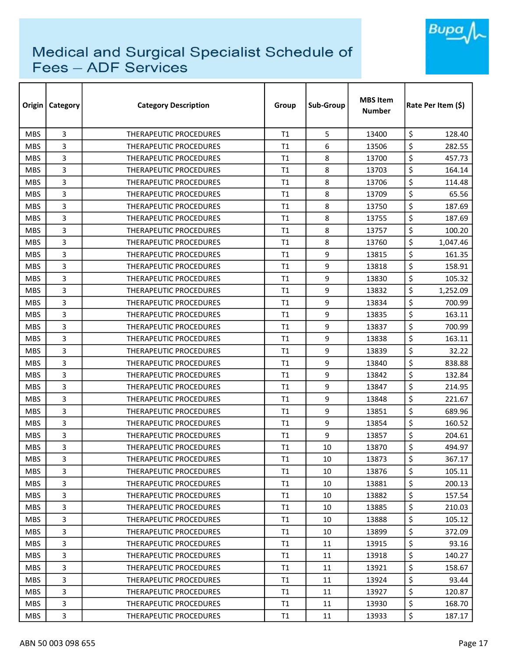

| Origin     | Category | <b>Category Description</b>   | Group | Sub-Group | <b>MBS Item</b><br>Number | Rate Per Item (\$) |
|------------|----------|-------------------------------|-------|-----------|---------------------------|--------------------|
| <b>MBS</b> | 3        | THERAPEUTIC PROCEDURES        | T1    | 5         | 13400                     | \$<br>128.40       |
| <b>MBS</b> | 3        | <b>THERAPEUTIC PROCEDURES</b> | T1    | 6         | 13506                     | \$<br>282.55       |
| <b>MBS</b> | 3        | THERAPEUTIC PROCEDURES        | T1    | 8         | 13700                     | \$<br>457.73       |
| <b>MBS</b> | 3        | THERAPEUTIC PROCEDURES        | T1    | 8         | 13703                     | \$<br>164.14       |
| <b>MBS</b> | 3        | <b>THERAPEUTIC PROCEDURES</b> | T1    | 8         | 13706                     | \$<br>114.48       |
| <b>MBS</b> | 3        | <b>THERAPEUTIC PROCEDURES</b> | T1    | 8         | 13709                     | \$<br>65.56        |
| <b>MBS</b> | 3        | <b>THERAPEUTIC PROCEDURES</b> | T1    | 8         | 13750                     | \$<br>187.69       |
| <b>MBS</b> | 3        | <b>THERAPEUTIC PROCEDURES</b> | T1    | 8         | 13755                     | \$<br>187.69       |
| <b>MBS</b> | 3        | THERAPEUTIC PROCEDURES        | T1    | 8         | 13757                     | \$<br>100.20       |
| <b>MBS</b> | 3        | THERAPEUTIC PROCEDURES        | T1    | 8         | 13760                     | \$<br>1,047.46     |
| <b>MBS</b> | 3        | THERAPEUTIC PROCEDURES        | T1    | 9         | 13815                     | \$<br>161.35       |
| <b>MBS</b> | 3        | THERAPEUTIC PROCEDURES        | T1    | 9         | 13818                     | \$<br>158.91       |
| <b>MBS</b> | 3        | <b>THERAPEUTIC PROCEDURES</b> | T1    | 9         | 13830                     | \$<br>105.32       |
| <b>MBS</b> | 3        | <b>THERAPEUTIC PROCEDURES</b> | T1    | 9         | 13832                     | \$<br>1,252.09     |
| <b>MBS</b> | 3        | THERAPEUTIC PROCEDURES        | T1    | 9         | 13834                     | \$<br>700.99       |
| <b>MBS</b> | 3        | THERAPEUTIC PROCEDURES        | T1    | 9         | 13835                     | \$<br>163.11       |
| <b>MBS</b> | 3        | THERAPEUTIC PROCEDURES        | T1    | 9         | 13837                     | \$<br>700.99       |
| <b>MBS</b> | 3        | <b>THERAPEUTIC PROCEDURES</b> | T1    | 9         | 13838                     | \$<br>163.11       |
| <b>MBS</b> | 3        | <b>THERAPEUTIC PROCEDURES</b> | T1    | 9         | 13839                     | \$<br>32.22        |
| <b>MBS</b> | 3        | <b>THERAPEUTIC PROCEDURES</b> | T1    | 9         | 13840                     | \$<br>838.88       |
| <b>MBS</b> | 3        | <b>THERAPEUTIC PROCEDURES</b> | T1    | 9         | 13842                     | \$<br>132.84       |
| <b>MBS</b> | 3        | THERAPEUTIC PROCEDURES        | T1    | 9         | 13847                     | \$<br>214.95       |
| <b>MBS</b> | 3        | THERAPEUTIC PROCEDURES        | T1    | 9         | 13848                     | \$<br>221.67       |
| <b>MBS</b> | 3        | <b>THERAPEUTIC PROCEDURES</b> | T1    | 9         | 13851                     | \$<br>689.96       |
| <b>MBS</b> | 3        | <b>THERAPEUTIC PROCEDURES</b> | T1    | 9         | 13854                     | \$<br>160.52       |
| <b>MBS</b> | 3        | <b>THERAPEUTIC PROCEDURES</b> | T1    | 9         | 13857                     | \$<br>204.61       |
| <b>MBS</b> | 3        | <b>THERAPEUTIC PROCEDURES</b> | T1    | 10        | 13870                     | \$<br>494.97       |
| <b>MBS</b> | 3        | THERAPEUTIC PROCEDURES        | T1    | $10\,$    | 13873                     | \$<br>367.17       |
| <b>MBS</b> | 3        | THERAPEUTIC PROCEDURES        | T1    | 10        | 13876                     | \$<br>105.11       |
| <b>MBS</b> | 3        | <b>THERAPEUTIC PROCEDURES</b> | T1    | 10        | 13881                     | \$<br>200.13       |
| <b>MBS</b> | 3        | THERAPEUTIC PROCEDURES        | T1    | 10        | 13882                     | \$<br>157.54       |
| <b>MBS</b> | 3        | THERAPEUTIC PROCEDURES        | T1    | 10        | 13885                     | \$<br>210.03       |
| <b>MBS</b> | 3        | <b>THERAPEUTIC PROCEDURES</b> | T1    | 10        | 13888                     | \$<br>105.12       |
| MBS.       | 3        | THERAPEUTIC PROCEDURES        | T1    | 10        | 13899                     | \$<br>372.09       |
| <b>MBS</b> | 3        | THERAPEUTIC PROCEDURES        | T1    | 11        | 13915                     | \$<br>93.16        |
| <b>MBS</b> | 3        | THERAPEUTIC PROCEDURES        | T1    | 11        | 13918                     | \$<br>140.27       |
| <b>MBS</b> | 3        | THERAPEUTIC PROCEDURES        | T1    | 11        | 13921                     | \$<br>158.67       |
| MBS.       | 3        | THERAPEUTIC PROCEDURES        | T1    | 11        | 13924                     | \$<br>93.44        |
| <b>MBS</b> | 3        | THERAPEUTIC PROCEDURES        | T1    | 11        | 13927                     | \$<br>120.87       |
| <b>MBS</b> | 3        | THERAPEUTIC PROCEDURES        | T1    | 11        | 13930                     | \$<br>168.70       |
| <b>MBS</b> | 3        | THERAPEUTIC PROCEDURES        | T1    | 11        | 13933                     | \$<br>187.17       |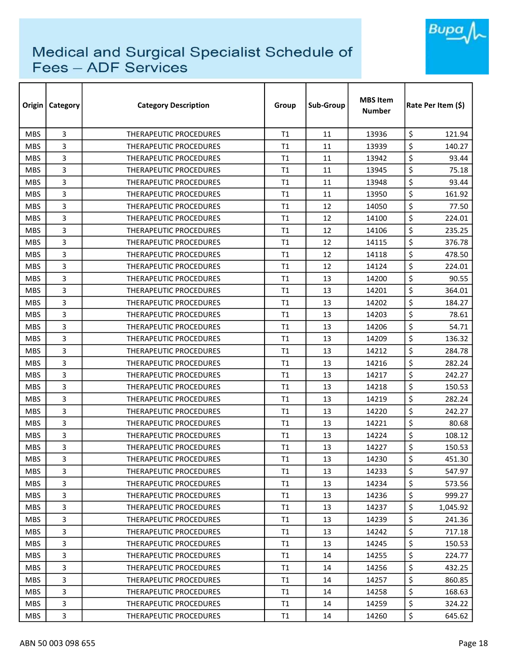

| Origin     | Category | <b>Category Description</b>   | Group          | Sub-Group | <b>MBS Item</b><br><b>Number</b> | Rate Per Item (S) |  |
|------------|----------|-------------------------------|----------------|-----------|----------------------------------|-------------------|--|
| <b>MBS</b> | 3        | <b>THERAPEUTIC PROCEDURES</b> | T1             | 11        | 13936                            | \$<br>121.94      |  |
| <b>MBS</b> | 3        | <b>THERAPEUTIC PROCEDURES</b> | T1             | 11        | 13939                            | \$<br>140.27      |  |
| <b>MBS</b> | 3        | THERAPEUTIC PROCEDURES        | T1             | 11        | 13942                            | \$<br>93.44       |  |
| <b>MBS</b> | 3        | THERAPEUTIC PROCEDURES        | T1             | 11        | 13945                            | \$<br>75.18       |  |
| <b>MBS</b> | 3        | <b>THERAPEUTIC PROCEDURES</b> | T <sub>1</sub> | 11        | 13948                            | \$<br>93.44       |  |
| <b>MBS</b> | 3        | <b>THERAPEUTIC PROCEDURES</b> | T1             | 11        | 13950                            | \$<br>161.92      |  |
| <b>MBS</b> | 3        | <b>THERAPEUTIC PROCEDURES</b> | T1             | 12        | 14050                            | \$<br>77.50       |  |
| <b>MBS</b> | 3        | THERAPEUTIC PROCEDURES        | T1             | 12        | 14100                            | \$<br>224.01      |  |
| <b>MBS</b> | 3        | <b>THERAPEUTIC PROCEDURES</b> | T1             | 12        | 14106                            | \$<br>235.25      |  |
| <b>MBS</b> | 3        | THERAPEUTIC PROCEDURES        | T1             | 12        | 14115                            | \$<br>376.78      |  |
| <b>MBS</b> | 3        | THERAPEUTIC PROCEDURES        | T1             | 12        | 14118                            | \$<br>478.50      |  |
| <b>MBS</b> | 3        | THERAPEUTIC PROCEDURES        | T <sub>1</sub> | 12        | 14124                            | \$<br>224.01      |  |
| <b>MBS</b> | 3        | <b>THERAPEUTIC PROCEDURES</b> | T1             | 13        | 14200                            | \$<br>90.55       |  |
| <b>MBS</b> | 3        | <b>THERAPEUTIC PROCEDURES</b> | T1             | 13        | 14201                            | \$<br>364.01      |  |
| <b>MBS</b> | 3        | <b>THERAPEUTIC PROCEDURES</b> | T1             | 13        | 14202                            | \$<br>184.27      |  |
| <b>MBS</b> | 3        | <b>THERAPEUTIC PROCEDURES</b> | T1             | 13        | 14203                            | \$<br>78.61       |  |
| <b>MBS</b> | 3        | THERAPEUTIC PROCEDURES        | T1             | 13        | 14206                            | \$<br>54.71       |  |
| <b>MBS</b> | 3        | THERAPEUTIC PROCEDURES        | T1             | 13        | 14209                            | \$<br>136.32      |  |
| <b>MBS</b> | 3        | THERAPEUTIC PROCEDURES        | T1             | 13        | 14212                            | \$<br>284.78      |  |
| <b>MBS</b> | 3        | THERAPEUTIC PROCEDURES        | T1             | 13        | 14216                            | \$<br>282.24      |  |
| <b>MBS</b> | 3        | <b>THERAPEUTIC PROCEDURES</b> | T1             | 13        | 14217                            | \$<br>242.27      |  |
| <b>MBS</b> | 3        | THERAPEUTIC PROCEDURES        | T1             | 13        | 14218                            | \$<br>150.53      |  |
| <b>MBS</b> | 3        | <b>THERAPEUTIC PROCEDURES</b> | T1             | 13        | 14219                            | \$<br>282.24      |  |
| <b>MBS</b> | 3        | <b>THERAPEUTIC PROCEDURES</b> | T1             | 13        | 14220                            | \$<br>242.27      |  |
| <b>MBS</b> | 3        | <b>THERAPEUTIC PROCEDURES</b> | T1             | 13        | 14221                            | \$<br>80.68       |  |
| <b>MBS</b> | 3        | THERAPEUTIC PROCEDURES        | T1             | 13        | 14224                            | \$<br>108.12      |  |
| <b>MBS</b> | 3        | <b>THERAPEUTIC PROCEDURES</b> | T1             | 13        | 14227                            | \$<br>150.53      |  |
| <b>MBS</b> | 3        | THERAPEUTIC PROCEDURES        | T1             | 13        | 14230                            | \$<br>451.30      |  |
| <b>MBS</b> | 3        | THERAPEUTIC PROCEDURES        | T1             | 13        | 14233                            | \$<br>547.97      |  |
| <b>MBS</b> | 3        | THERAPEUTIC PROCEDURES        | T1             | 13        | 14234                            | \$<br>573.56      |  |
| <b>MBS</b> | 3        | THERAPEUTIC PROCEDURES        | T1             | 13        | 14236                            | \$<br>999.27      |  |
| <b>MBS</b> | 3        | THERAPEUTIC PROCEDURES        | T1             | 13        | 14237                            | \$<br>1,045.92    |  |
| <b>MBS</b> | 3        | THERAPEUTIC PROCEDURES        | T1             | 13        | 14239                            | \$<br>241.36      |  |
| <b>MBS</b> | 3        | THERAPEUTIC PROCEDURES        | T1             | 13        | 14242                            | \$<br>717.18      |  |
| <b>MBS</b> | 3        | THERAPEUTIC PROCEDURES        | T1             | 13        | 14245                            | \$<br>150.53      |  |
| <b>MBS</b> | 3        | THERAPEUTIC PROCEDURES        | T1             | 14        | 14255                            | \$<br>224.77      |  |
| <b>MBS</b> | 3        | THERAPEUTIC PROCEDURES        | T1             | 14        | 14256                            | \$<br>432.25      |  |
| <b>MBS</b> | 3        | THERAPEUTIC PROCEDURES        | T1             | 14        | 14257                            | \$<br>860.85      |  |
| <b>MBS</b> | 3        | THERAPEUTIC PROCEDURES        | T1             | 14        | 14258                            | \$<br>168.63      |  |
| <b>MBS</b> | 3        | THERAPEUTIC PROCEDURES        | T1             | 14        | 14259                            | \$<br>324.22      |  |
| <b>MBS</b> | 3        | THERAPEUTIC PROCEDURES        | T1             | 14        | 14260                            | \$<br>645.62      |  |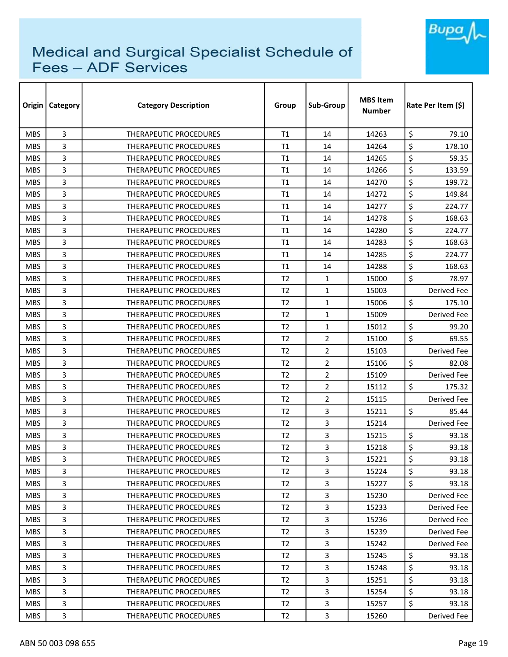

|            | Origin   Category | <b>Category Description</b>   | Group          | Sub-Group      | <b>MBS Item</b><br><b>Number</b> | Rate Per Item (\$) |
|------------|-------------------|-------------------------------|----------------|----------------|----------------------------------|--------------------|
| <b>MBS</b> | 3                 | <b>THERAPEUTIC PROCEDURES</b> | T1             | 14             | 14263                            | \$<br>79.10        |
| <b>MBS</b> | 3                 | THERAPEUTIC PROCEDURES        | T1             | 14             | 14264                            | \$<br>178.10       |
| <b>MBS</b> | 3                 | THERAPEUTIC PROCEDURES        | T1             | 14             | 14265                            | \$<br>59.35        |
| <b>MBS</b> | 3                 | <b>THERAPEUTIC PROCEDURES</b> | T1             | 14             | 14266                            | \$<br>133.59       |
| <b>MBS</b> | 3                 | <b>THERAPEUTIC PROCEDURES</b> | T1             | 14             | 14270                            | \$<br>199.72       |
| <b>MBS</b> | 3                 | <b>THERAPEUTIC PROCEDURES</b> | T1             | 14             | 14272                            | \$<br>149.84       |
| <b>MBS</b> | 3                 | <b>THERAPEUTIC PROCEDURES</b> | T1             | 14             | 14277                            | \$<br>224.77       |
| <b>MBS</b> | 3                 | <b>THERAPEUTIC PROCEDURES</b> | T1             | 14             | 14278                            | \$<br>168.63       |
| <b>MBS</b> | 3                 | THERAPEUTIC PROCEDURES        | T1             | 14             | 14280                            | \$<br>224.77       |
| <b>MBS</b> | 3                 | THERAPEUTIC PROCEDURES        | T1             | 14             | 14283                            | \$<br>168.63       |
| <b>MBS</b> | 3                 | THERAPEUTIC PROCEDURES        | T1             | 14             | 14285                            | \$<br>224.77       |
| <b>MBS</b> | 3                 | <b>THERAPEUTIC PROCEDURES</b> | T1             | 14             | 14288                            | \$<br>168.63       |
| <b>MBS</b> | 3                 | THERAPEUTIC PROCEDURES        | T <sub>2</sub> | $\mathbf{1}$   | 15000                            | \$<br>78.97        |
| <b>MBS</b> | 3                 | THERAPEUTIC PROCEDURES        | T <sub>2</sub> | $\mathbf{1}$   | 15003                            | Derived Fee        |
| <b>MBS</b> | 3                 | <b>THERAPEUTIC PROCEDURES</b> | T <sub>2</sub> | $\mathbf{1}$   | 15006                            | \$<br>175.10       |
| <b>MBS</b> | 3                 | <b>THERAPEUTIC PROCEDURES</b> | T <sub>2</sub> | $\mathbf{1}$   | 15009                            | Derived Fee        |
| <b>MBS</b> | 3                 | THERAPEUTIC PROCEDURES        | T <sub>2</sub> | $\mathbf{1}$   | 15012                            | \$<br>99.20        |
| <b>MBS</b> | 3                 | THERAPEUTIC PROCEDURES        | T <sub>2</sub> | $\overline{2}$ | 15100                            | \$<br>69.55        |
| <b>MBS</b> | 3                 | THERAPEUTIC PROCEDURES        | T <sub>2</sub> | $\overline{2}$ | 15103                            | Derived Fee        |
| <b>MBS</b> | 3                 | <b>THERAPEUTIC PROCEDURES</b> | T <sub>2</sub> | $\overline{2}$ | 15106                            | \$<br>82.08        |
| <b>MBS</b> | 3                 | <b>THERAPEUTIC PROCEDURES</b> | T <sub>2</sub> | $\overline{2}$ | 15109                            | Derived Fee        |
| <b>MBS</b> | 3                 | <b>THERAPEUTIC PROCEDURES</b> | T <sub>2</sub> | $\overline{2}$ | 15112                            | \$<br>175.32       |
| <b>MBS</b> | 3                 | THERAPEUTIC PROCEDURES        | T <sub>2</sub> | $\overline{2}$ | 15115                            | Derived Fee        |
| <b>MBS</b> | 3                 | <b>THERAPEUTIC PROCEDURES</b> | T <sub>2</sub> | 3              | 15211                            | \$<br>85.44        |
| <b>MBS</b> | 3                 | THERAPEUTIC PROCEDURES        | T <sub>2</sub> | 3              | 15214                            | Derived Fee        |
| <b>MBS</b> | 3                 | <b>THERAPEUTIC PROCEDURES</b> | T <sub>2</sub> | 3              | 15215                            | \$<br>93.18        |
| <b>MBS</b> | 3                 | <b>THERAPEUTIC PROCEDURES</b> | T <sub>2</sub> | 3              | 15218                            | \$<br>93.18        |
| <b>MBS</b> | 3                 | THERAPEUTIC PROCEDURES        | T2             | $\mathbf{3}$   | 15221                            | \$<br>93.18        |
| <b>MBS</b> | 3                 | THERAPEUTIC PROCEDURES        | T <sub>2</sub> | 3              | 15224                            | \$<br>93.18        |
| <b>MBS</b> | 3                 | THERAPEUTIC PROCEDURES        | T2             | $\overline{3}$ | 15227                            | \$<br>93.18        |
| <b>MBS</b> | 3                 | THERAPEUTIC PROCEDURES        | T <sub>2</sub> | $\overline{3}$ | 15230                            | Derived Fee        |
| <b>MBS</b> | 3                 | <b>THERAPEUTIC PROCEDURES</b> | T2             | 3              | 15233                            | Derived Fee        |
| MBS.       | 3                 | <b>THERAPEUTIC PROCEDURES</b> | T <sub>2</sub> | 3              | 15236                            | Derived Fee        |
| <b>MBS</b> | 3                 | THERAPEUTIC PROCEDURES        | T <sub>2</sub> | 3              | 15239                            | Derived Fee        |
| <b>MBS</b> | 3                 | <b>THERAPEUTIC PROCEDURES</b> | T <sub>2</sub> | 3              | 15242                            | Derived Fee        |
| <b>MBS</b> | 3                 | THERAPEUTIC PROCEDURES        | T <sub>2</sub> | 3              | 15245                            | \$<br>93.18        |
| <b>MBS</b> | 3                 | THERAPEUTIC PROCEDURES        | T <sub>2</sub> | $\overline{3}$ | 15248                            | \$<br>93.18        |
| <b>MBS</b> | 3                 | THERAPEUTIC PROCEDURES        | T <sub>2</sub> | $\overline{3}$ | 15251                            | \$<br>93.18        |
| <b>MBS</b> | 3                 | THERAPEUTIC PROCEDURES        | T <sub>2</sub> | 3              | 15254                            | \$<br>93.18        |
| <b>MBS</b> | 3                 | THERAPEUTIC PROCEDURES        | T <sub>2</sub> | $\overline{3}$ | 15257                            | \$<br>93.18        |
| <b>MBS</b> | 3                 | THERAPEUTIC PROCEDURES        | T <sub>2</sub> | 3              | 15260                            | Derived Fee        |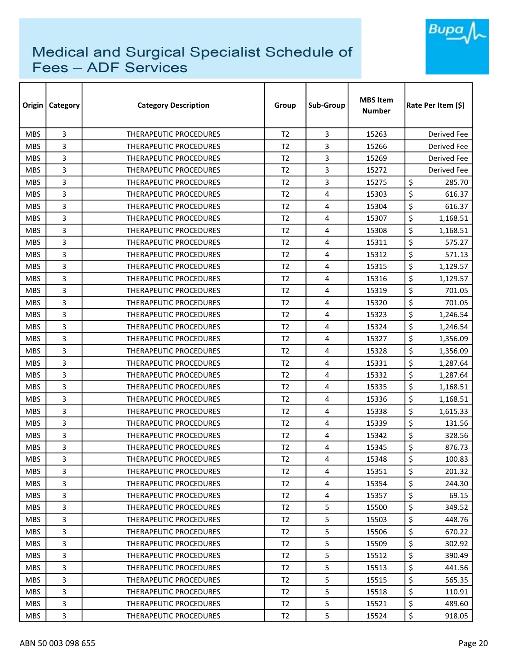

| Origin     | <b>Category</b> | <b>Category Description</b>   | Group          | Sub-Group               | <b>MBS Item</b><br><b>Number</b> | Rate Per Item (\$) |
|------------|-----------------|-------------------------------|----------------|-------------------------|----------------------------------|--------------------|
| <b>MBS</b> | 3               | <b>THERAPEUTIC PROCEDURES</b> | T <sub>2</sub> | 3                       | 15263                            | <b>Derived Fee</b> |
| <b>MBS</b> | 3               | THERAPEUTIC PROCEDURES        | T <sub>2</sub> | 3                       | 15266                            | Derived Fee        |
| <b>MBS</b> | 3               | <b>THERAPEUTIC PROCEDURES</b> | T <sub>2</sub> | 3                       | 15269                            | Derived Fee        |
| <b>MBS</b> | 3               | THERAPEUTIC PROCEDURES        | T <sub>2</sub> | $\overline{3}$          | 15272                            | Derived Fee        |
| <b>MBS</b> | 3               | <b>THERAPEUTIC PROCEDURES</b> | T <sub>2</sub> | 3                       | 15275                            | \$<br>285.70       |
| <b>MBS</b> | 3               | THERAPEUTIC PROCEDURES        | T <sub>2</sub> | 4                       | 15303                            | \$<br>616.37       |
| <b>MBS</b> | 3               | <b>THERAPEUTIC PROCEDURES</b> | T <sub>2</sub> | 4                       | 15304                            | \$<br>616.37       |
| <b>MBS</b> | 3               | THERAPEUTIC PROCEDURES        | T <sub>2</sub> | 4                       | 15307                            | \$<br>1,168.51     |
| <b>MBS</b> | 3               | THERAPEUTIC PROCEDURES        | T <sub>2</sub> | 4                       | 15308                            | \$<br>1,168.51     |
| <b>MBS</b> | 3               | <b>THERAPEUTIC PROCEDURES</b> | T <sub>2</sub> | 4                       | 15311                            | \$<br>575.27       |
| <b>MBS</b> | 3               | THERAPEUTIC PROCEDURES        | T <sub>2</sub> | 4                       | 15312                            | \$<br>571.13       |
| <b>MBS</b> | 3               | THERAPEUTIC PROCEDURES        | T <sub>2</sub> | 4                       | 15315                            | \$<br>1,129.57     |
| <b>MBS</b> | 3               | <b>THERAPEUTIC PROCEDURES</b> | T <sub>2</sub> | 4                       | 15316                            | \$<br>1,129.57     |
| <b>MBS</b> | 3               | <b>THERAPEUTIC PROCEDURES</b> | T <sub>2</sub> | 4                       | 15319                            | \$<br>701.05       |
| <b>MBS</b> | 3               | <b>THERAPEUTIC PROCEDURES</b> | T <sub>2</sub> | 4                       | 15320                            | \$<br>701.05       |
| <b>MBS</b> | 3               | <b>THERAPEUTIC PROCEDURES</b> | T <sub>2</sub> | 4                       | 15323                            | \$<br>1,246.54     |
| <b>MBS</b> | 3               | <b>THERAPEUTIC PROCEDURES</b> | T <sub>2</sub> | 4                       | 15324                            | \$<br>1,246.54     |
| <b>MBS</b> | 3               | THERAPEUTIC PROCEDURES        | T <sub>2</sub> | 4                       | 15327                            | \$<br>1,356.09     |
| <b>MBS</b> | 3               | THERAPEUTIC PROCEDURES        | T <sub>2</sub> | 4                       | 15328                            | \$<br>1,356.09     |
| <b>MBS</b> | 3               | <b>THERAPEUTIC PROCEDURES</b> | T <sub>2</sub> | 4                       | 15331                            | \$<br>1,287.64     |
| <b>MBS</b> | 3               | <b>THERAPEUTIC PROCEDURES</b> | T <sub>2</sub> | 4                       | 15332                            | \$<br>1,287.64     |
| <b>MBS</b> | 3               | <b>THERAPEUTIC PROCEDURES</b> | T <sub>2</sub> | 4                       | 15335                            | \$<br>1,168.51     |
| <b>MBS</b> | 3               | <b>THERAPEUTIC PROCEDURES</b> | T <sub>2</sub> | 4                       | 15336                            | \$<br>1,168.51     |
| <b>MBS</b> | 3               | <b>THERAPEUTIC PROCEDURES</b> | T <sub>2</sub> | 4                       | 15338                            | \$<br>1,615.33     |
| <b>MBS</b> | 3               | THERAPEUTIC PROCEDURES        | T <sub>2</sub> | 4                       | 15339                            | \$<br>131.56       |
| <b>MBS</b> | 3               | <b>THERAPEUTIC PROCEDURES</b> | T <sub>2</sub> | 4                       | 15342                            | \$<br>328.56       |
| <b>MBS</b> | 3               | <b>THERAPEUTIC PROCEDURES</b> | T <sub>2</sub> | 4                       | 15345                            | \$<br>876.73       |
| <b>MBS</b> | 3               | THERAPEUTIC PROCEDURES        | T2             | 4                       | 15348                            | \$<br>100.83       |
| <b>MBS</b> | 3               | THERAPEUTIC PROCEDURES        | T <sub>2</sub> | 4                       | 15351                            | \$<br>201.32       |
| <b>MBS</b> | 3               | THERAPEUTIC PROCEDURES        | T <sub>2</sub> | $\overline{4}$          | 15354                            | \$<br>244.30       |
| <b>MBS</b> | 3               | THERAPEUTIC PROCEDURES        | T <sub>2</sub> | $\overline{\mathbf{4}}$ | 15357                            | \$<br>69.15        |
| <b>MBS</b> | 3               | THERAPEUTIC PROCEDURES        | T <sub>2</sub> | 5                       | 15500                            | \$<br>349.52       |
| <b>MBS</b> | 3               | THERAPEUTIC PROCEDURES        | T <sub>2</sub> | 5                       | 15503                            | \$<br>448.76       |
| <b>MBS</b> | 3               | THERAPEUTIC PROCEDURES        | T <sub>2</sub> | 5                       | 15506                            | \$<br>670.22       |
| <b>MBS</b> | 3               | <b>THERAPEUTIC PROCEDURES</b> | T2             | 5                       | 15509                            | \$<br>302.92       |
| <b>MBS</b> | 3               | THERAPEUTIC PROCEDURES        | T <sub>2</sub> | 5                       | 15512                            | \$<br>390.49       |
| <b>MBS</b> | 3               | THERAPEUTIC PROCEDURES        | T <sub>2</sub> | 5                       | 15513                            | \$<br>441.56       |
| <b>MBS</b> | 3               | THERAPEUTIC PROCEDURES        | T <sub>2</sub> | 5                       | 15515                            | \$<br>565.35       |
| <b>MBS</b> | 3               | THERAPEUTIC PROCEDURES        | T <sub>2</sub> | 5                       | 15518                            | \$<br>110.91       |
| <b>MBS</b> | 3               | THERAPEUTIC PROCEDURES        | T <sub>2</sub> | 5                       | 15521                            | \$<br>489.60       |
| <b>MBS</b> | 3               | THERAPEUTIC PROCEDURES        | T <sub>2</sub> | 5                       | 15524                            | \$<br>918.05       |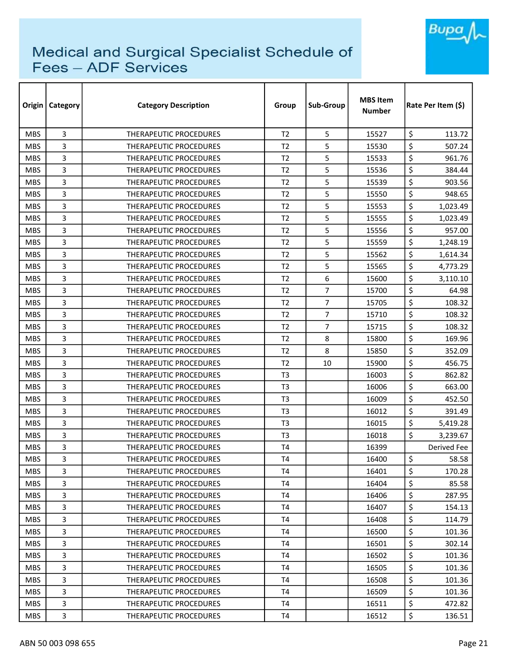

| Origin     | Category     | <b>Category Description</b>   | Group          | Sub-Group      | <b>MBS Item</b><br><b>Number</b> | Rate Per Item (\$) |  |
|------------|--------------|-------------------------------|----------------|----------------|----------------------------------|--------------------|--|
| <b>MBS</b> | 3            | <b>THERAPEUTIC PROCEDURES</b> | T <sub>2</sub> | 5              | 15527                            | \$<br>113.72       |  |
| <b>MBS</b> | 3            | THERAPEUTIC PROCEDURES        | T <sub>2</sub> | 5              | 15530                            | \$<br>507.24       |  |
| <b>MBS</b> | 3            | THERAPEUTIC PROCEDURES        | T <sub>2</sub> | 5              | 15533                            | \$<br>961.76       |  |
| <b>MBS</b> | 3            | THERAPEUTIC PROCEDURES        | T <sub>2</sub> | 5              | 15536                            | \$<br>384.44       |  |
| <b>MBS</b> | 3            | THERAPEUTIC PROCEDURES        | T <sub>2</sub> | 5              | 15539                            | \$<br>903.56       |  |
| <b>MBS</b> | 3            | <b>THERAPEUTIC PROCEDURES</b> | T <sub>2</sub> | 5              | 15550                            | \$<br>948.65       |  |
| <b>MBS</b> | 3            | THERAPEUTIC PROCEDURES        | T2             | 5              | 15553                            | \$<br>1,023.49     |  |
| <b>MBS</b> | 3            | THERAPEUTIC PROCEDURES        | T <sub>2</sub> | 5              | 15555                            | \$<br>1,023.49     |  |
| <b>MBS</b> | 3            | THERAPEUTIC PROCEDURES        | T <sub>2</sub> | 5              | 15556                            | \$<br>957.00       |  |
| <b>MBS</b> | 3            | THERAPEUTIC PROCEDURES        | T <sub>2</sub> | 5              | 15559                            | \$<br>1,248.19     |  |
| <b>MBS</b> | 3            | THERAPEUTIC PROCEDURES        | T <sub>2</sub> | 5              | 15562                            | \$<br>1,614.34     |  |
| <b>MBS</b> | 3            | THERAPEUTIC PROCEDURES        | T <sub>2</sub> | 5              | 15565                            | \$<br>4,773.29     |  |
| <b>MBS</b> | 3            | <b>THERAPEUTIC PROCEDURES</b> | T <sub>2</sub> | 6              | 15600                            | \$<br>3,110.10     |  |
| <b>MBS</b> | 3            | THERAPEUTIC PROCEDURES        | T <sub>2</sub> | $\overline{7}$ | 15700                            | \$<br>64.98        |  |
| <b>MBS</b> | 3            | <b>THERAPEUTIC PROCEDURES</b> | T <sub>2</sub> | 7              | 15705                            | \$<br>108.32       |  |
| <b>MBS</b> | 3            | THERAPEUTIC PROCEDURES        | T <sub>2</sub> | $\overline{7}$ | 15710                            | \$<br>108.32       |  |
| <b>MBS</b> | 3            | THERAPEUTIC PROCEDURES        | T <sub>2</sub> | 7              | 15715                            | \$<br>108.32       |  |
| <b>MBS</b> | 3            | THERAPEUTIC PROCEDURES        | T <sub>2</sub> | 8              | 15800                            | \$<br>169.96       |  |
| <b>MBS</b> | 3            | THERAPEUTIC PROCEDURES        | T <sub>2</sub> | 8              | 15850                            | \$<br>352.09       |  |
| <b>MBS</b> | 3            | <b>THERAPEUTIC PROCEDURES</b> | T <sub>2</sub> | 10             | 15900                            | \$<br>456.75       |  |
| <b>MBS</b> | 3            | THERAPEUTIC PROCEDURES        | T <sub>3</sub> |                | 16003                            | \$<br>862.82       |  |
| <b>MBS</b> | 3            | THERAPEUTIC PROCEDURES        | T <sub>3</sub> |                | 16006                            | \$<br>663.00       |  |
| <b>MBS</b> | 3            | <b>THERAPEUTIC PROCEDURES</b> | T <sub>3</sub> |                | 16009                            | \$<br>452.50       |  |
| <b>MBS</b> | 3            | THERAPEUTIC PROCEDURES        | T <sub>3</sub> |                | 16012                            | \$<br>391.49       |  |
| <b>MBS</b> | 3            | <b>THERAPEUTIC PROCEDURES</b> | T <sub>3</sub> |                | 16015                            | \$<br>5,419.28     |  |
| <b>MBS</b> | 3            | THERAPEUTIC PROCEDURES        | T <sub>3</sub> |                | 16018                            | \$<br>3,239.67     |  |
| <b>MBS</b> | 3            | THERAPEUTIC PROCEDURES        | T <sub>4</sub> |                | 16399                            | Derived Fee        |  |
| <b>MBS</b> | 3            | THERAPEUTIC PROCEDURES        | T <sub>4</sub> |                | 16400                            | \$<br>58.58        |  |
| <b>MBS</b> | 3            | THERAPEUTIC PROCEDURES        | T4             |                | 16401                            | \$<br>170.28       |  |
| <b>MBS</b> | 3            | THERAPEUTIC PROCEDURES        | <b>T4</b>      |                | 16404                            | \$<br>85.58        |  |
| <b>MBS</b> | 3            | THERAPEUTIC PROCEDURES        | T <sub>4</sub> |                | 16406                            | \$<br>287.95       |  |
| <b>MBS</b> | 3            | THERAPEUTIC PROCEDURES        | T <sub>4</sub> |                | 16407                            | \$<br>154.13       |  |
| <b>MBS</b> | 3            | THERAPEUTIC PROCEDURES        | T <sub>4</sub> |                | 16408                            | \$<br>114.79       |  |
| <b>MBS</b> | 3            | THERAPEUTIC PROCEDURES        | T4             |                | 16500                            | \$<br>101.36       |  |
| <b>MBS</b> | 3            | THERAPEUTIC PROCEDURES        | T <sub>4</sub> |                | 16501                            | \$<br>302.14       |  |
| <b>MBS</b> | 3            | THERAPEUTIC PROCEDURES        | T4             |                | 16502                            | \$<br>101.36       |  |
| <b>MBS</b> | 3            | THERAPEUTIC PROCEDURES        | T <sub>4</sub> |                | 16505                            | \$<br>101.36       |  |
| <b>MBS</b> | 3            | THERAPEUTIC PROCEDURES        | T <sub>4</sub> |                | 16508                            | \$<br>101.36       |  |
| <b>MBS</b> | 3            | THERAPEUTIC PROCEDURES        | T4             |                | 16509                            | \$<br>101.36       |  |
| <b>MBS</b> | 3            | THERAPEUTIC PROCEDURES        | T4             |                | 16511                            | \$<br>472.82       |  |
| <b>MBS</b> | $\mathbf{3}$ | THERAPEUTIC PROCEDURES        | T4             |                | 16512                            | \$<br>136.51       |  |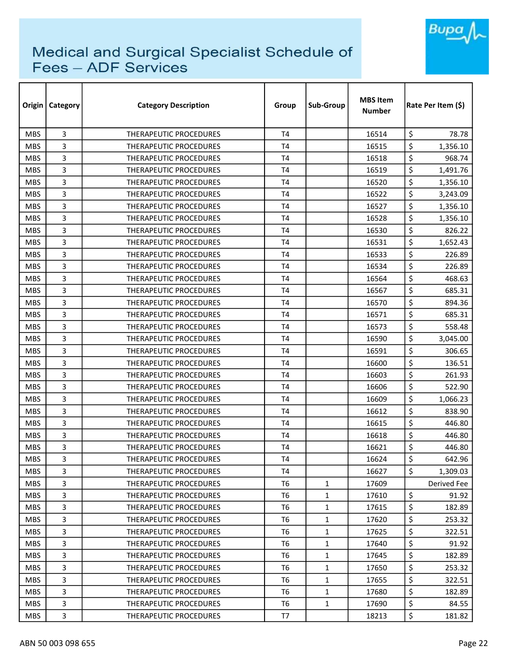

| Origin     | <b>Category</b> | <b>Category Description</b>   | Group          | Sub-Group    | <b>MBS Item</b><br><b>Number</b> | Rate Per Item (\$) |
|------------|-----------------|-------------------------------|----------------|--------------|----------------------------------|--------------------|
| <b>MBS</b> | 3               | <b>THERAPEUTIC PROCEDURES</b> | T <sub>4</sub> |              | 16514                            | \$<br>78.78        |
| <b>MBS</b> | 3               | THERAPEUTIC PROCEDURES        | T <sub>4</sub> |              | 16515                            | \$<br>1,356.10     |
| <b>MBS</b> | 3               | <b>THERAPEUTIC PROCEDURES</b> | T <sub>4</sub> |              | 16518                            | \$<br>968.74       |
| <b>MBS</b> | 3               | THERAPEUTIC PROCEDURES        | T <sub>4</sub> |              | 16519                            | \$<br>1,491.76     |
| <b>MBS</b> | 3               | <b>THERAPEUTIC PROCEDURES</b> | T4             |              | 16520                            | \$<br>1,356.10     |
| <b>MBS</b> | 3               | THERAPEUTIC PROCEDURES        | <b>T4</b>      |              | 16522                            | \$<br>3,243.09     |
| <b>MBS</b> | 3               | <b>THERAPEUTIC PROCEDURES</b> | T <sub>4</sub> |              | 16527                            | \$<br>1,356.10     |
| <b>MBS</b> | 3               | THERAPEUTIC PROCEDURES        | T <sub>4</sub> |              | 16528                            | \$<br>1,356.10     |
| <b>MBS</b> | 3               | <b>THERAPEUTIC PROCEDURES</b> | T <sub>4</sub> |              | 16530                            | \$<br>826.22       |
| <b>MBS</b> | 3               | <b>THERAPEUTIC PROCEDURES</b> | T <sub>4</sub> |              | 16531                            | \$<br>1,652.43     |
| <b>MBS</b> | 3               | <b>THERAPEUTIC PROCEDURES</b> | <b>T4</b>      |              | 16533                            | \$<br>226.89       |
| <b>MBS</b> | 3               | THERAPEUTIC PROCEDURES        | <b>T4</b>      |              | 16534                            | \$<br>226.89       |
| <b>MBS</b> | 3               | <b>THERAPEUTIC PROCEDURES</b> | T <sub>4</sub> |              | 16564                            | \$<br>468.63       |
| <b>MBS</b> | 3               | <b>THERAPEUTIC PROCEDURES</b> | T <sub>4</sub> |              | 16567                            | \$<br>685.31       |
| <b>MBS</b> | 3               | <b>THERAPEUTIC PROCEDURES</b> | T <sub>4</sub> |              | 16570                            | \$<br>894.36       |
| <b>MBS</b> | 3               | <b>THERAPEUTIC PROCEDURES</b> | T <sub>4</sub> |              | 16571                            | \$<br>685.31       |
| <b>MBS</b> | 3               | <b>THERAPEUTIC PROCEDURES</b> | T4             |              | 16573                            | \$<br>558.48       |
| <b>MBS</b> | 3               | THERAPEUTIC PROCEDURES        | <b>T4</b>      |              | 16590                            | \$<br>3,045.00     |
| <b>MBS</b> | 3               | THERAPEUTIC PROCEDURES        | T <sub>4</sub> |              | 16591                            | \$<br>306.65       |
| <b>MBS</b> | 3               | <b>THERAPEUTIC PROCEDURES</b> | T <sub>4</sub> |              | 16600                            | \$<br>136.51       |
| <b>MBS</b> | 3               | <b>THERAPEUTIC PROCEDURES</b> | T <sub>4</sub> |              | 16603                            | \$<br>261.93       |
| <b>MBS</b> | 3               | <b>THERAPEUTIC PROCEDURES</b> | T <sub>4</sub> |              | 16606                            | \$<br>522.90       |
| <b>MBS</b> | 3               | <b>THERAPEUTIC PROCEDURES</b> | T <sub>4</sub> |              | 16609                            | \$<br>1,066.23     |
| <b>MBS</b> | 3               | THERAPEUTIC PROCEDURES        | T <sub>4</sub> |              | 16612                            | \$<br>838.90       |
| <b>MBS</b> | 3               | <b>THERAPEUTIC PROCEDURES</b> | T <sub>4</sub> |              | 16615                            | \$<br>446.80       |
| <b>MBS</b> | 3               | <b>THERAPEUTIC PROCEDURES</b> | T <sub>4</sub> |              | 16618                            | \$<br>446.80       |
| <b>MBS</b> | 3               | <b>THERAPEUTIC PROCEDURES</b> | T4             |              | 16621                            | \$<br>446.80       |
| <b>MBS</b> | 3               | THERAPEUTIC PROCEDURES        | T <sub>4</sub> |              | 16624                            | \$<br>642.96       |
| <b>MBS</b> | 3               | THERAPEUTIC PROCEDURES        | T4             |              | 16627                            | \$<br>1,309.03     |
| <b>MBS</b> | 3               | THERAPEUTIC PROCEDURES        | T <sub>6</sub> | $\mathbf{1}$ | 17609                            | Derived Fee        |
| <b>MBS</b> | 3               | THERAPEUTIC PROCEDURES        | T <sub>6</sub> | $\mathbf{1}$ | 17610                            | \$<br>91.92        |
| <b>MBS</b> | 3               | THERAPEUTIC PROCEDURES        | T <sub>6</sub> | $\mathbf{1}$ | 17615                            | \$<br>182.89       |
| <b>MBS</b> | 3               | THERAPEUTIC PROCEDURES        | T <sub>6</sub> | $\mathbf{1}$ | 17620                            | \$<br>253.32       |
| <b>MBS</b> | 3               | <b>THERAPEUTIC PROCEDURES</b> | T6             | $\mathbf{1}$ | 17625                            | \$<br>322.51       |
| <b>MBS</b> | 3               | <b>THERAPEUTIC PROCEDURES</b> | T <sub>6</sub> | $\mathbf{1}$ | 17640                            | \$<br>91.92        |
| <b>MBS</b> | 3               | THERAPEUTIC PROCEDURES        | T <sub>6</sub> | $\mathbf{1}$ | 17645                            | \$<br>182.89       |
| <b>MBS</b> | 3               | THERAPEUTIC PROCEDURES        | T <sub>6</sub> | $\mathbf{1}$ | 17650                            | \$<br>253.32       |
| <b>MBS</b> | 3               | THERAPEUTIC PROCEDURES        | T <sub>6</sub> | $\mathbf{1}$ | 17655                            | \$<br>322.51       |
| <b>MBS</b> | 3               | THERAPEUTIC PROCEDURES        | T6             | $\mathbf{1}$ | 17680                            | \$<br>182.89       |
| <b>MBS</b> | 3               | THERAPEUTIC PROCEDURES        | T <sub>6</sub> | $\mathbf{1}$ | 17690                            | \$<br>84.55        |
| <b>MBS</b> | 3               | THERAPEUTIC PROCEDURES        | T7             |              | 18213                            | \$<br>181.82       |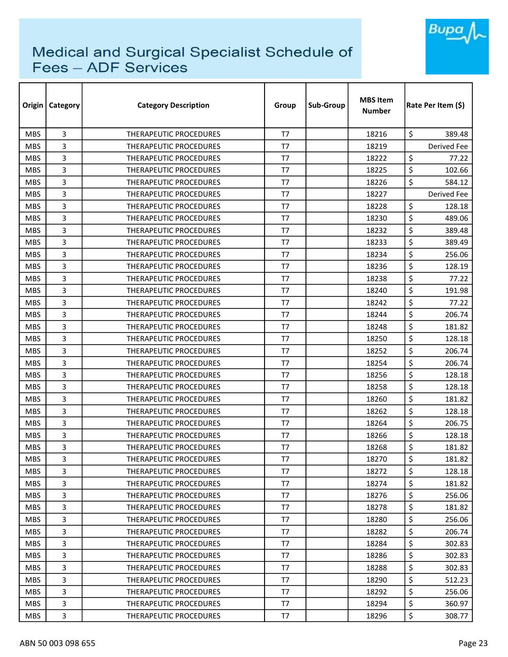

|            | Origin   Category | <b>Category Description</b>   | Group          | Sub-Group | <b>MBS Item</b><br><b>Number</b> | Rate Per Item (\$) |
|------------|-------------------|-------------------------------|----------------|-----------|----------------------------------|--------------------|
| <b>MBS</b> | 3                 | <b>THERAPEUTIC PROCEDURES</b> | T7             |           | 18216                            | \$<br>389.48       |
| <b>MBS</b> | 3                 | THERAPEUTIC PROCEDURES        | T7             |           | 18219                            | Derived Fee        |
| <b>MBS</b> | 3                 | THERAPEUTIC PROCEDURES        | T <sub>7</sub> |           | 18222                            | \$<br>77.22        |
| <b>MBS</b> | 3                 | <b>THERAPEUTIC PROCEDURES</b> | T <sub>7</sub> |           | 18225                            | \$<br>102.66       |
| <b>MBS</b> | 3                 | <b>THERAPEUTIC PROCEDURES</b> | T7             |           | 18226                            | \$<br>584.12       |
| <b>MBS</b> | 3                 | THERAPEUTIC PROCEDURES        | T7             |           | 18227                            | Derived Fee        |
| <b>MBS</b> | 3                 | <b>THERAPEUTIC PROCEDURES</b> | T7             |           | 18228                            | \$<br>128.18       |
| <b>MBS</b> | 3                 | <b>THERAPEUTIC PROCEDURES</b> | T7             |           | 18230                            | \$<br>489.06       |
| <b>MBS</b> | 3                 | <b>THERAPEUTIC PROCEDURES</b> | T <sub>7</sub> |           | 18232                            | \$<br>389.48       |
| <b>MBS</b> | 3                 | THERAPEUTIC PROCEDURES        | T <sub>7</sub> |           | 18233                            | \$<br>389.49       |
| <b>MBS</b> | 3                 | THERAPEUTIC PROCEDURES        | T7             |           | 18234                            | \$<br>256.06       |
| <b>MBS</b> | 3                 | <b>THERAPEUTIC PROCEDURES</b> | T <sub>7</sub> |           | 18236                            | \$<br>128.19       |
| <b>MBS</b> | 3                 | THERAPEUTIC PROCEDURES        | T <sub>7</sub> |           | 18238                            | \$<br>77.22        |
| <b>MBS</b> | 3                 | THERAPEUTIC PROCEDURES        | T <sub>7</sub> |           | 18240                            | \$<br>191.98       |
| <b>MBS</b> | 3                 | <b>THERAPEUTIC PROCEDURES</b> | T7             |           | 18242                            | \$<br>77.22        |
| <b>MBS</b> | 3                 | <b>THERAPEUTIC PROCEDURES</b> | T7             |           | 18244                            | \$<br>206.74       |
| <b>MBS</b> | 3                 | THERAPEUTIC PROCEDURES        | T <sub>7</sub> |           | 18248                            | \$<br>181.82       |
| <b>MBS</b> | 3                 | THERAPEUTIC PROCEDURES        | T <sub>7</sub> |           | 18250                            | \$<br>128.18       |
| <b>MBS</b> | 3                 | THERAPEUTIC PROCEDURES        | T <sub>7</sub> |           | 18252                            | \$<br>206.74       |
| <b>MBS</b> | 3                 | <b>THERAPEUTIC PROCEDURES</b> | T <sub>7</sub> |           | 18254                            | \$<br>206.74       |
| <b>MBS</b> | 3                 | <b>THERAPEUTIC PROCEDURES</b> | T <sub>7</sub> |           | 18256                            | \$<br>128.18       |
| <b>MBS</b> | 3                 | <b>THERAPEUTIC PROCEDURES</b> | T <sub>7</sub> |           | 18258                            | \$<br>128.18       |
| <b>MBS</b> | 3                 | THERAPEUTIC PROCEDURES        | T <sub>7</sub> |           | 18260                            | \$<br>181.82       |
| <b>MBS</b> | 3                 | <b>THERAPEUTIC PROCEDURES</b> | T7             |           | 18262                            | \$<br>128.18       |
| <b>MBS</b> | 3                 | THERAPEUTIC PROCEDURES        | T7             |           | 18264                            | \$<br>206.75       |
| <b>MBS</b> | 3                 | <b>THERAPEUTIC PROCEDURES</b> | T7             |           | 18266                            | \$<br>128.18       |
| <b>MBS</b> | 3                 | <b>THERAPEUTIC PROCEDURES</b> | T7             |           | 18268                            | \$<br>181.82       |
| <b>MBS</b> | 3                 | THERAPEUTIC PROCEDURES        | T7             |           | 18270                            | \$<br>181.82       |
| <b>MBS</b> | 3                 | <b>THERAPEUTIC PROCEDURES</b> | T7             |           | 18272                            | \$<br>128.18       |
| <b>MBS</b> | 3                 | THERAPEUTIC PROCEDURES        | T7             |           | 18274                            | \$<br>181.82       |
| <b>MBS</b> | 3                 | THERAPEUTIC PROCEDURES        | T7             |           | 18276                            | \$<br>256.06       |
| <b>MBS</b> | 3                 | THERAPEUTIC PROCEDURES        | T <sub>7</sub> |           | 18278                            | \$<br>181.82       |
| MBS.       | 3                 | THERAPEUTIC PROCEDURES        | T7             |           | 18280                            | \$<br>256.06       |
| <b>MBS</b> | 3                 | <b>THERAPEUTIC PROCEDURES</b> | T7             |           | 18282                            | \$<br>206.74       |
| MBS.       | 3                 | THERAPEUTIC PROCEDURES        | T <sub>7</sub> |           | 18284                            | \$<br>302.83       |
| <b>MBS</b> | 3                 | THERAPEUTIC PROCEDURES        | T7             |           | 18286                            | \$<br>302.83       |
| <b>MBS</b> | 3                 | THERAPEUTIC PROCEDURES        | T7             |           | 18288                            | \$<br>302.83       |
| <b>MBS</b> | 3                 | THERAPEUTIC PROCEDURES        | T7             |           | 18290                            | \$<br>512.23       |
| <b>MBS</b> | 3                 | THERAPEUTIC PROCEDURES        | T7             |           | 18292                            | \$<br>256.06       |
| <b>MBS</b> | 3                 | THERAPEUTIC PROCEDURES        | T7             |           | 18294                            | \$<br>360.97       |
| <b>MBS</b> | 3                 | THERAPEUTIC PROCEDURES        | T7             |           | 18296                            | \$<br>308.77       |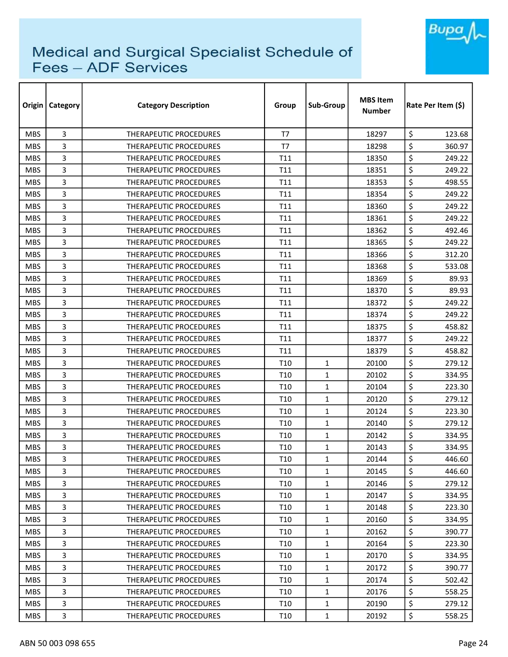

| Origin     | <b>Category</b> | <b>Category Description</b>   | Group           | Sub-Group    | <b>MBS Item</b><br><b>Number</b> | Rate Per Item (\$) |
|------------|-----------------|-------------------------------|-----------------|--------------|----------------------------------|--------------------|
| <b>MBS</b> | 3               | <b>THERAPEUTIC PROCEDURES</b> | T7              |              | 18297                            | \$<br>123.68       |
| <b>MBS</b> | 3               | THERAPEUTIC PROCEDURES        | T7              |              | 18298                            | \$<br>360.97       |
| <b>MBS</b> | 3               | THERAPEUTIC PROCEDURES        | T11             |              | 18350                            | \$<br>249.22       |
| <b>MBS</b> | 3               | THERAPEUTIC PROCEDURES        | T11             |              | 18351                            | \$<br>249.22       |
| <b>MBS</b> | 3               | <b>THERAPEUTIC PROCEDURES</b> | T11             |              | 18353                            | \$<br>498.55       |
| <b>MBS</b> | 3               | <b>THERAPEUTIC PROCEDURES</b> | T11             |              | 18354                            | \$<br>249.22       |
| <b>MBS</b> | 3               | <b>THERAPEUTIC PROCEDURES</b> | T11             |              | 18360                            | \$<br>249.22       |
| <b>MBS</b> | 3               | <b>THERAPEUTIC PROCEDURES</b> | T11             |              | 18361                            | \$<br>249.22       |
| <b>MBS</b> | 3               | THERAPEUTIC PROCEDURES        | T11             |              | 18362                            | \$<br>492.46       |
| <b>MBS</b> | 3               | THERAPEUTIC PROCEDURES        | T11             |              | 18365                            | \$<br>249.22       |
| <b>MBS</b> | 3               | THERAPEUTIC PROCEDURES        | T11             |              | 18366                            | \$<br>312.20       |
| <b>MBS</b> | 3               | THERAPEUTIC PROCEDURES        | T11             |              | 18368                            | \$<br>533.08       |
| <b>MBS</b> | 3               | <b>THERAPEUTIC PROCEDURES</b> | T11             |              | 18369                            | \$<br>89.93        |
| <b>MBS</b> | 3               | THERAPEUTIC PROCEDURES        | T11             |              | 18370                            | \$<br>89.93        |
| <b>MBS</b> | 3               | <b>THERAPEUTIC PROCEDURES</b> | T11             |              | 18372                            | \$<br>249.22       |
| <b>MBS</b> | 3               | <b>THERAPEUTIC PROCEDURES</b> | T11             |              | 18374                            | \$<br>249.22       |
| <b>MBS</b> | 3               | THERAPEUTIC PROCEDURES        | T11             |              | 18375                            | \$<br>458.82       |
| <b>MBS</b> | 3               | THERAPEUTIC PROCEDURES        | T11             |              | 18377                            | \$<br>249.22       |
| <b>MBS</b> | 3               | THERAPEUTIC PROCEDURES        | T11             |              | 18379                            | \$<br>458.82       |
| <b>MBS</b> | 3               | <b>THERAPEUTIC PROCEDURES</b> | T <sub>10</sub> | $\mathbf{1}$ | 20100                            | \$<br>279.12       |
| <b>MBS</b> | 3               | <b>THERAPEUTIC PROCEDURES</b> | T10             | $\mathbf{1}$ | 20102                            | \$<br>334.95       |
| <b>MBS</b> | 3               | THERAPEUTIC PROCEDURES        | T10             | $\mathbf{1}$ | 20104                            | \$<br>223.30       |
| <b>MBS</b> | 3               | THERAPEUTIC PROCEDURES        | T10             | $\mathbf{1}$ | 20120                            | \$<br>279.12       |
| <b>MBS</b> | 3               | THERAPEUTIC PROCEDURES        | T10             | 1            | 20124                            | \$<br>223.30       |
| <b>MBS</b> | 3               | THERAPEUTIC PROCEDURES        | T <sub>10</sub> | $\mathbf{1}$ | 20140                            | \$<br>279.12       |
| <b>MBS</b> | 3               | <b>THERAPEUTIC PROCEDURES</b> | T10             | $\mathbf{1}$ | 20142                            | \$<br>334.95       |
| <b>MBS</b> | 3               | <b>THERAPEUTIC PROCEDURES</b> | T10             | 1            | 20143                            | \$<br>334.95       |
| <b>MBS</b> | 3               | THERAPEUTIC PROCEDURES        | T <sub>10</sub> | $\mathbf{1}$ | 20144                            | \$<br>446.60       |
| MBS.       | 3               | <b>THERAPEUTIC PROCEDURES</b> | T10             | $\mathbf{1}$ | 20145                            | \$<br>446.60       |
| <b>MBS</b> | 3               | THERAPEUTIC PROCEDURES        | T <sub>10</sub> | $\mathbf{1}$ | 20146                            | \$<br>279.12       |
| <b>MBS</b> | 3               | THERAPEUTIC PROCEDURES        | T10             | $\mathbf{1}$ | 20147                            | \$<br>334.95       |
| <b>MBS</b> | 3               | THERAPEUTIC PROCEDURES        | T <sub>10</sub> | $\mathbf{1}$ | 20148                            | \$<br>223.30       |
| MBS.       | 3               | THERAPEUTIC PROCEDURES        | T10             | $\mathbf{1}$ | 20160                            | \$<br>334.95       |
| <b>MBS</b> | 3               | <b>THERAPEUTIC PROCEDURES</b> | T <sub>10</sub> | $\mathbf{1}$ | 20162                            | \$<br>390.77       |
| <b>MBS</b> | 3               | THERAPEUTIC PROCEDURES        | T10             | $\mathbf{1}$ | 20164                            | \$<br>223.30       |
| <b>MBS</b> | 3               | THERAPEUTIC PROCEDURES        | T10             | $\mathbf{1}$ | 20170                            | \$<br>334.95       |
| <b>MBS</b> | 3               | THERAPEUTIC PROCEDURES        | T <sub>10</sub> | $\mathbf{1}$ | 20172                            | \$<br>390.77       |
| <b>MBS</b> | 3               | THERAPEUTIC PROCEDURES        | T10             | $\mathbf{1}$ | 20174                            | \$<br>502.42       |
| <b>MBS</b> | 3               | THERAPEUTIC PROCEDURES        | T10             | $\mathbf{1}$ | 20176                            | \$<br>558.25       |
| <b>MBS</b> | 3               | THERAPEUTIC PROCEDURES        | T10             | $\mathbf{1}$ | 20190                            | \$<br>279.12       |
| <b>MBS</b> | 3               | THERAPEUTIC PROCEDURES        | T <sub>10</sub> | $\mathbf{1}$ | 20192                            | \$<br>558.25       |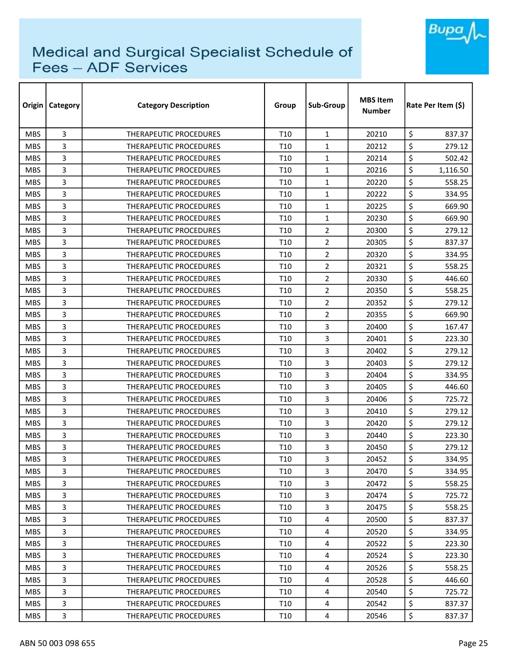

| Origin     | <b>Category</b> | <b>Category Description</b>   | Group           | Sub-Group      | <b>MBS Item</b><br><b>Number</b> | Rate Per Item (\$) |
|------------|-----------------|-------------------------------|-----------------|----------------|----------------------------------|--------------------|
| <b>MBS</b> | 3               | <b>THERAPEUTIC PROCEDURES</b> | T <sub>10</sub> | $\mathbf{1}$   | 20210                            | \$<br>837.37       |
| <b>MBS</b> | 3               | <b>THERAPEUTIC PROCEDURES</b> | T <sub>10</sub> | $\mathbf{1}$   | 20212                            | \$<br>279.12       |
| <b>MBS</b> | 3               | THERAPEUTIC PROCEDURES        | T <sub>10</sub> | $\mathbf{1}$   | 20214                            | \$<br>502.42       |
| <b>MBS</b> | 3               | <b>THERAPEUTIC PROCEDURES</b> | T <sub>10</sub> | $\mathbf{1}$   | 20216                            | \$<br>1,116.50     |
| <b>MBS</b> | 3               | <b>THERAPEUTIC PROCEDURES</b> | T <sub>10</sub> | $\mathbf{1}$   | 20220                            | \$<br>558.25       |
| <b>MBS</b> | 3               | THERAPEUTIC PROCEDURES        | T <sub>10</sub> | $\mathbf{1}$   | 20222                            | \$<br>334.95       |
| <b>MBS</b> | 3               | <b>THERAPEUTIC PROCEDURES</b> | T10             | $\mathbf{1}$   | 20225                            | \$<br>669.90       |
| <b>MBS</b> | 3               | <b>THERAPEUTIC PROCEDURES</b> | T <sub>10</sub> | $\mathbf{1}$   | 20230                            | \$<br>669.90       |
| <b>MBS</b> | 3               | <b>THERAPEUTIC PROCEDURES</b> | T10             | $\overline{2}$ | 20300                            | \$<br>279.12       |
| <b>MBS</b> | 3               | THERAPEUTIC PROCEDURES        | T <sub>10</sub> | $\overline{2}$ | 20305                            | \$<br>837.37       |
| <b>MBS</b> | 3               | THERAPEUTIC PROCEDURES        | T <sub>10</sub> | $\overline{2}$ | 20320                            | \$<br>334.95       |
| <b>MBS</b> | 3               | THERAPEUTIC PROCEDURES        | T <sub>10</sub> | $\overline{2}$ | 20321                            | \$<br>558.25       |
| <b>MBS</b> | 3               | <b>THERAPEUTIC PROCEDURES</b> | T <sub>10</sub> | $\overline{2}$ | 20330                            | \$<br>446.60       |
| <b>MBS</b> | 3               | <b>THERAPEUTIC PROCEDURES</b> | T <sub>10</sub> | $\overline{2}$ | 20350                            | \$<br>558.25       |
| <b>MBS</b> | 3               | <b>THERAPEUTIC PROCEDURES</b> | T <sub>10</sub> | 2              | 20352                            | \$<br>279.12       |
| <b>MBS</b> | 3               | <b>THERAPEUTIC PROCEDURES</b> | T <sub>10</sub> | $\overline{2}$ | 20355                            | \$<br>669.90       |
| <b>MBS</b> | 3               | <b>THERAPEUTIC PROCEDURES</b> | T10             | 3              | 20400                            | \$<br>167.47       |
| <b>MBS</b> | 3               | THERAPEUTIC PROCEDURES        | T <sub>10</sub> | 3              | 20401                            | \$<br>223.30       |
| <b>MBS</b> | 3               | THERAPEUTIC PROCEDURES        | T10             | 3              | 20402                            | \$<br>279.12       |
| <b>MBS</b> | 3               | THERAPEUTIC PROCEDURES        | T <sub>10</sub> | 3              | 20403                            | \$<br>279.12       |
| <b>MBS</b> | 3               | <b>THERAPEUTIC PROCEDURES</b> | T <sub>10</sub> | 3              | 20404                            | \$<br>334.95       |
| <b>MBS</b> | 3               | THERAPEUTIC PROCEDURES        | T <sub>10</sub> | $\overline{3}$ | 20405                            | \$<br>446.60       |
| <b>MBS</b> | 3               | <b>THERAPEUTIC PROCEDURES</b> | T <sub>10</sub> | $\overline{3}$ | 20406                            | \$<br>725.72       |
| <b>MBS</b> | 3               | <b>THERAPEUTIC PROCEDURES</b> | T <sub>10</sub> | 3              | 20410                            | \$<br>279.12       |
| <b>MBS</b> | 3               | <b>THERAPEUTIC PROCEDURES</b> | T <sub>10</sub> | 3              | 20420                            | \$<br>279.12       |
| <b>MBS</b> | 3               | <b>THERAPEUTIC PROCEDURES</b> | T10             | 3              | 20440                            | \$<br>223.30       |
| <b>MBS</b> | 3               | <b>THERAPEUTIC PROCEDURES</b> | T <sub>10</sub> | 3              | 20450                            | \$<br>279.12       |
| <b>MBS</b> | 3               | THERAPEUTIC PROCEDURES        | T10             | 3              | 20452                            | \$<br>334.95       |
| <b>MBS</b> | 3               | THERAPEUTIC PROCEDURES        | T <sub>10</sub> | 3              | 20470                            | \$<br>334.95       |
| <b>MBS</b> | 3               | THERAPEUTIC PROCEDURES        | T <sub>10</sub> | 3              | 20472                            | \$<br>558.25       |
| <b>MBS</b> | 3               | THERAPEUTIC PROCEDURES        | T <sub>10</sub> | 3              | 20474                            | \$<br>725.72       |
| <b>MBS</b> | 3               | <b>THERAPEUTIC PROCEDURES</b> | T <sub>10</sub> | 3              | 20475                            | \$<br>558.25       |
| <b>MBS</b> | 3               | THERAPEUTIC PROCEDURES        | T <sub>10</sub> | 4              | 20500                            | \$<br>837.37       |
| <b>MBS</b> | 3               | <b>THERAPEUTIC PROCEDURES</b> | T <sub>10</sub> | 4              | 20520                            | \$<br>334.95       |
| <b>MBS</b> | 3               | <b>THERAPEUTIC PROCEDURES</b> | T <sub>10</sub> | $\overline{4}$ | 20522                            | \$<br>223.30       |
| <b>MBS</b> | 3               | THERAPEUTIC PROCEDURES        | T <sub>10</sub> | 4              | 20524                            | \$<br>223.30       |
| <b>MBS</b> | 3               | THERAPEUTIC PROCEDURES        | T <sub>10</sub> | 4              | 20526                            | \$<br>558.25       |
| <b>MBS</b> | 3               | THERAPEUTIC PROCEDURES        | T <sub>10</sub> | 4              | 20528                            | \$<br>446.60       |
| <b>MBS</b> | 3               | THERAPEUTIC PROCEDURES        | T <sub>10</sub> | 4              | 20540                            | \$<br>725.72       |
| <b>MBS</b> | 3               | THERAPEUTIC PROCEDURES        | T <sub>10</sub> | 4              | 20542                            | \$<br>837.37       |
| <b>MBS</b> | 3               | THERAPEUTIC PROCEDURES        | T <sub>10</sub> | 4              | 20546                            | \$<br>837.37       |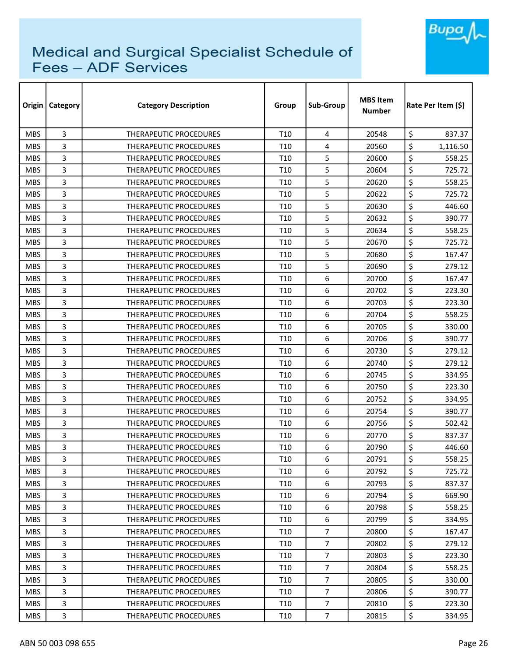

| Origin     | <b>Category</b> | <b>Category Description</b>   | Group           | Sub-Group      | <b>MBS Item</b><br><b>Number</b> | Rate Per Item (\$) |
|------------|-----------------|-------------------------------|-----------------|----------------|----------------------------------|--------------------|
| <b>MBS</b> | 3               | <b>THERAPEUTIC PROCEDURES</b> | T <sub>10</sub> | 4              | 20548                            | \$<br>837.37       |
| <b>MBS</b> | 3               | THERAPEUTIC PROCEDURES        | T10             | 4              | 20560                            | \$<br>1,116.50     |
| <b>MBS</b> | 3               | THERAPEUTIC PROCEDURES        | T <sub>10</sub> | 5              | 20600                            | \$<br>558.25       |
| <b>MBS</b> | 3               | THERAPEUTIC PROCEDURES        | T10             | 5              | 20604                            | \$<br>725.72       |
| <b>MBS</b> | 3               | <b>THERAPEUTIC PROCEDURES</b> | T10             | 5              | 20620                            | \$<br>558.25       |
| <b>MBS</b> | 3               | THERAPEUTIC PROCEDURES        | T <sub>10</sub> | 5              | 20622                            | \$<br>725.72       |
| <b>MBS</b> | 3               | <b>THERAPEUTIC PROCEDURES</b> | T10             | 5              | 20630                            | \$<br>446.60       |
| <b>MBS</b> | 3               | <b>THERAPEUTIC PROCEDURES</b> | T <sub>10</sub> | 5              | 20632                            | \$<br>390.77       |
| <b>MBS</b> | 3               | THERAPEUTIC PROCEDURES        | T10             | 5              | 20634                            | \$<br>558.25       |
| <b>MBS</b> | 3               | THERAPEUTIC PROCEDURES        | T <sub>10</sub> | 5              | 20670                            | \$<br>725.72       |
| <b>MBS</b> | 3               | THERAPEUTIC PROCEDURES        | T <sub>10</sub> | 5              | 20680                            | \$<br>167.47       |
| <b>MBS</b> | 3               | <b>THERAPEUTIC PROCEDURES</b> | T10             | 5              | 20690                            | \$<br>279.12       |
| <b>MBS</b> | 3               | <b>THERAPEUTIC PROCEDURES</b> | T <sub>10</sub> | 6              | 20700                            | \$<br>167.47       |
| <b>MBS</b> | 3               | THERAPEUTIC PROCEDURES        | T10             | 6              | 20702                            | \$<br>223.30       |
| <b>MBS</b> | 3               | <b>THERAPEUTIC PROCEDURES</b> | T <sub>10</sub> | 6              | 20703                            | \$<br>223.30       |
| <b>MBS</b> | 3               | <b>THERAPEUTIC PROCEDURES</b> | T10             | 6              | 20704                            | \$<br>558.25       |
| <b>MBS</b> | 3               | THERAPEUTIC PROCEDURES        | T <sub>10</sub> | 6              | 20705                            | \$<br>330.00       |
| <b>MBS</b> | 3               | THERAPEUTIC PROCEDURES        | T <sub>10</sub> | 6              | 20706                            | \$<br>390.77       |
| <b>MBS</b> | 3               | THERAPEUTIC PROCEDURES        | T10             | 6              | 20730                            | \$<br>279.12       |
| <b>MBS</b> | 3               | <b>THERAPEUTIC PROCEDURES</b> | T <sub>10</sub> | 6              | 20740                            | \$<br>279.12       |
| <b>MBS</b> | 3               | THERAPEUTIC PROCEDURES        | T10             | 6              | 20745                            | \$<br>334.95       |
| <b>MBS</b> | 3               | THERAPEUTIC PROCEDURES        | T10             | 6              | 20750                            | \$<br>223.30       |
| <b>MBS</b> | 3               | THERAPEUTIC PROCEDURES        | T10             | 6              | 20752                            | \$<br>334.95       |
| <b>MBS</b> | 3               | <b>THERAPEUTIC PROCEDURES</b> | T10             | 6              | 20754                            | \$<br>390.77       |
| <b>MBS</b> | 3               | THERAPEUTIC PROCEDURES        | T <sub>10</sub> | 6              | 20756                            | \$<br>502.42       |
| <b>MBS</b> | 3               | <b>THERAPEUTIC PROCEDURES</b> | T10             | 6              | 20770                            | \$<br>837.37       |
| <b>MBS</b> | 3               | <b>THERAPEUTIC PROCEDURES</b> | T10             | 6              | 20790                            | \$<br>446.60       |
| <b>MBS</b> | 3               | THERAPEUTIC PROCEDURES        | T <sub>10</sub> | 6              | 20791                            | \$<br>558.25       |
| <b>MBS</b> | 3               | <b>THERAPEUTIC PROCEDURES</b> | T10             | 6              | 20792                            | \$<br>725.72       |
| <b>MBS</b> | 3               | THERAPEUTIC PROCEDURES        | T <sub>10</sub> | 6              | 20793                            | \$<br>837.37       |
| <b>MBS</b> | 3               | THERAPEUTIC PROCEDURES        | T10             | 6              | 20794                            | \$<br>669.90       |
| <b>MBS</b> | 3               | THERAPEUTIC PROCEDURES        | T <sub>10</sub> | 6              | 20798                            | \$<br>558.25       |
| MBS.       | 3               | <b>THERAPEUTIC PROCEDURES</b> | T10             | 6              | 20799                            | \$<br>334.95       |
| <b>MBS</b> | 3               | <b>THERAPEUTIC PROCEDURES</b> | T <sub>10</sub> | $\overline{7}$ | 20800                            | \$<br>167.47       |
| <b>MBS</b> | 3               | THERAPEUTIC PROCEDURES        | T10             | $\overline{7}$ | 20802                            | \$<br>279.12       |
| <b>MBS</b> | 3               | THERAPEUTIC PROCEDURES        | T10             | $\overline{7}$ | 20803                            | \$<br>223.30       |
| <b>MBS</b> | 3               | THERAPEUTIC PROCEDURES        | T <sub>10</sub> | $\overline{7}$ | 20804                            | \$<br>558.25       |
| <b>MBS</b> | 3               | THERAPEUTIC PROCEDURES        | T10             | $\overline{7}$ | 20805                            | \$<br>330.00       |
| <b>MBS</b> | 3               | THERAPEUTIC PROCEDURES        | T10             | $\overline{7}$ | 20806                            | \$<br>390.77       |
| <b>MBS</b> | 3               | THERAPEUTIC PROCEDURES        | T10             | $\overline{7}$ | 20810                            | \$<br>223.30       |
| <b>MBS</b> | 3               | THERAPEUTIC PROCEDURES        | T <sub>10</sub> | $\overline{7}$ | 20815                            | \$<br>334.95       |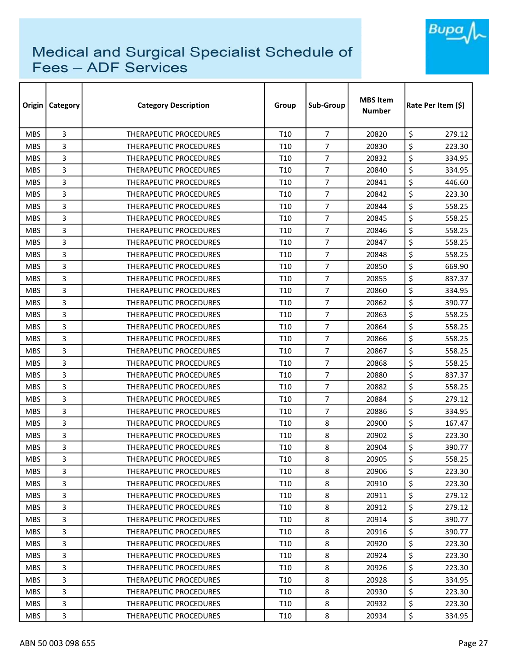

| Origin     | Category | <b>Category Description</b>   | Group           | Sub-Group      | <b>MBS Item</b><br>Number | Rate Per Item (\$) |
|------------|----------|-------------------------------|-----------------|----------------|---------------------------|--------------------|
| <b>MBS</b> | 3        | <b>THERAPEUTIC PROCEDURES</b> | T <sub>10</sub> | $\overline{7}$ | 20820                     | \$<br>279.12       |
| <b>MBS</b> | 3        | <b>THERAPEUTIC PROCEDURES</b> | T <sub>10</sub> | $\overline{7}$ | 20830                     | \$<br>223.30       |
| <b>MBS</b> | 3        | THERAPEUTIC PROCEDURES        | T <sub>10</sub> | $\overline{7}$ | 20832                     | \$<br>334.95       |
| <b>MBS</b> | 3        | <b>THERAPEUTIC PROCEDURES</b> | T <sub>10</sub> | $\overline{7}$ | 20840                     | \$<br>334.95       |
| <b>MBS</b> | 3        | <b>THERAPEUTIC PROCEDURES</b> | T10             | $\overline{7}$ | 20841                     | \$<br>446.60       |
| <b>MBS</b> | 3        | THERAPEUTIC PROCEDURES        | T <sub>10</sub> | $\overline{7}$ | 20842                     | \$<br>223.30       |
| <b>MBS</b> | 3        | <b>THERAPEUTIC PROCEDURES</b> | T <sub>10</sub> | $\overline{7}$ | 20844                     | \$<br>558.25       |
| <b>MBS</b> | 3        | <b>THERAPEUTIC PROCEDURES</b> | T <sub>10</sub> | $\overline{7}$ | 20845                     | \$<br>558.25       |
| <b>MBS</b> | 3        | <b>THERAPEUTIC PROCEDURES</b> | T <sub>10</sub> | 7              | 20846                     | \$<br>558.25       |
| <b>MBS</b> | 3        | THERAPEUTIC PROCEDURES        | T10             | $\overline{7}$ | 20847                     | \$<br>558.25       |
| <b>MBS</b> | 3        | THERAPEUTIC PROCEDURES        | T <sub>10</sub> | $\overline{7}$ | 20848                     | \$<br>558.25       |
| <b>MBS</b> | 3        | THERAPEUTIC PROCEDURES        | T <sub>10</sub> | $\overline{7}$ | 20850                     | \$<br>669.90       |
| <b>MBS</b> | 3        | THERAPEUTIC PROCEDURES        | T <sub>10</sub> | $\overline{7}$ | 20855                     | \$<br>837.37       |
| <b>MBS</b> | 3        | <b>THERAPEUTIC PROCEDURES</b> | T10             | $\overline{7}$ | 20860                     | \$<br>334.95       |
| <b>MBS</b> | 3        | <b>THERAPEUTIC PROCEDURES</b> | T <sub>10</sub> | $\overline{7}$ | 20862                     | \$<br>390.77       |
| <b>MBS</b> | 3        | <b>THERAPEUTIC PROCEDURES</b> | T <sub>10</sub> | 7              | 20863                     | \$<br>558.25       |
| <b>MBS</b> | 3        | <b>THERAPEUTIC PROCEDURES</b> | T <sub>10</sub> | $\overline{7}$ | 20864                     | \$<br>558.25       |
| <b>MBS</b> | 3        | THERAPEUTIC PROCEDURES        | T <sub>10</sub> | $\overline{7}$ | 20866                     | \$<br>558.25       |
| <b>MBS</b> | 3        | <b>THERAPEUTIC PROCEDURES</b> | T <sub>10</sub> | $\overline{7}$ | 20867                     | \$<br>558.25       |
| <b>MBS</b> | 3        | <b>THERAPEUTIC PROCEDURES</b> | T <sub>10</sub> | $\overline{7}$ | 20868                     | \$<br>558.25       |
| <b>MBS</b> | 3        | THERAPEUTIC PROCEDURES        | T <sub>10</sub> | $\overline{7}$ | 20880                     | \$<br>837.37       |
| <b>MBS</b> | 3        | THERAPEUTIC PROCEDURES        | T10             | $\overline{7}$ | 20882                     | \$<br>558.25       |
| <b>MBS</b> | 3        | THERAPEUTIC PROCEDURES        | T <sub>10</sub> | $\overline{7}$ | 20884                     | \$<br>279.12       |
| <b>MBS</b> | 3        | <b>THERAPEUTIC PROCEDURES</b> | T10             | $\overline{7}$ | 20886                     | \$<br>334.95       |
| <b>MBS</b> | 3        | THERAPEUTIC PROCEDURES        | T <sub>10</sub> | 8              | 20900                     | \$<br>167.47       |
| <b>MBS</b> | 3        | THERAPEUTIC PROCEDURES        | T10             | 8              | 20902                     | \$<br>223.30       |
| <b>MBS</b> | 3        | <b>THERAPEUTIC PROCEDURES</b> | T <sub>10</sub> | 8              | 20904                     | \$<br>390.77       |
| <b>MBS</b> | 3        | THERAPEUTIC PROCEDURES        | T <sub>10</sub> | 8              | 20905                     | \$<br>558.25       |
| <b>MBS</b> | 3        | THERAPEUTIC PROCEDURES        | T <sub>10</sub> | 8              | 20906                     | \$<br>223.30       |
| <b>MBS</b> | 3        | THERAPEUTIC PROCEDURES        | T <sub>10</sub> | 8              | 20910                     | \$<br>223.30       |
| <b>MBS</b> | 3        | THERAPEUTIC PROCEDURES        | T <sub>10</sub> | 8              | 20911                     | \$<br>279.12       |
| <b>MBS</b> | 3        | <b>THERAPEUTIC PROCEDURES</b> | T <sub>10</sub> | 8              | 20912                     | \$<br>279.12       |
| MBS.       | 3        | THERAPEUTIC PROCEDURES        | T <sub>10</sub> | 8              | 20914                     | \$<br>390.77       |
| <b>MBS</b> | 3        | THERAPEUTIC PROCEDURES        | T <sub>10</sub> | 8              | 20916                     | \$<br>390.77       |
| <b>MBS</b> | 3        | THERAPEUTIC PROCEDURES        | T10             | 8              | 20920                     | \$<br>223.30       |
| <b>MBS</b> | 3        | THERAPEUTIC PROCEDURES        | T <sub>10</sub> | 8              | 20924                     | \$<br>223.30       |
| <b>MBS</b> | 3        | THERAPEUTIC PROCEDURES        | T <sub>10</sub> | 8              | 20926                     | \$<br>223.30       |
| <b>MBS</b> | 3        | THERAPEUTIC PROCEDURES        | T <sub>10</sub> | 8              | 20928                     | \$<br>334.95       |
| MBS.       | 3        | THERAPEUTIC PROCEDURES        | T <sub>10</sub> | 8              | 20930                     | \$<br>223.30       |
| <b>MBS</b> | 3        | THERAPEUTIC PROCEDURES        | T <sub>10</sub> | 8              | 20932                     | \$<br>223.30       |
| <b>MBS</b> | 3        | THERAPEUTIC PROCEDURES        | T <sub>10</sub> | 8              | 20934                     | \$<br>334.95       |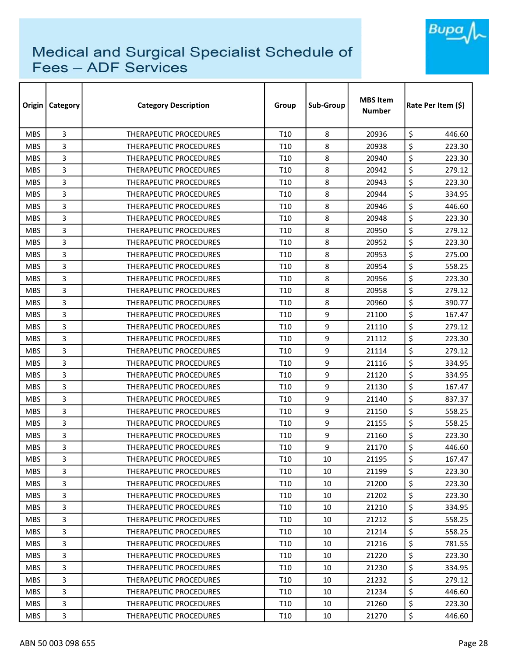

| Origin     | Category | <b>Category Description</b>   | Group           | Sub-Group | <b>MBS Item</b><br>Number | Rate Per Item (\$) |
|------------|----------|-------------------------------|-----------------|-----------|---------------------------|--------------------|
| <b>MBS</b> | 3        | <b>THERAPEUTIC PROCEDURES</b> | T <sub>10</sub> | 8         | 20936                     | \$<br>446.60       |
| <b>MBS</b> | 3        | <b>THERAPEUTIC PROCEDURES</b> | T10             | 8         | 20938                     | \$<br>223.30       |
| <b>MBS</b> | 3        | THERAPEUTIC PROCEDURES        | T <sub>10</sub> | 8         | 20940                     | \$<br>223.30       |
| <b>MBS</b> | 3        | <b>THERAPEUTIC PROCEDURES</b> | T10             | 8         | 20942                     | \$<br>279.12       |
| <b>MBS</b> | 3        | <b>THERAPEUTIC PROCEDURES</b> | T10             | 8         | 20943                     | \$<br>223.30       |
| <b>MBS</b> | 3        | THERAPEUTIC PROCEDURES        | T <sub>10</sub> | 8         | 20944                     | \$<br>334.95       |
| <b>MBS</b> | 3        | THERAPEUTIC PROCEDURES        | T <sub>10</sub> | 8         | 20946                     | \$<br>446.60       |
| <b>MBS</b> | 3        | <b>THERAPEUTIC PROCEDURES</b> | T <sub>10</sub> | 8         | 20948                     | \$<br>223.30       |
| <b>MBS</b> | 3        | <b>THERAPEUTIC PROCEDURES</b> | T <sub>10</sub> | 8         | 20950                     | \$<br>279.12       |
| <b>MBS</b> | 3        | THERAPEUTIC PROCEDURES        | T10             | 8         | 20952                     | \$<br>223.30       |
| <b>MBS</b> | 3        | THERAPEUTIC PROCEDURES        | T <sub>10</sub> | 8         | 20953                     | \$<br>275.00       |
| <b>MBS</b> | 3        | THERAPEUTIC PROCEDURES        | T <sub>10</sub> | 8         | 20954                     | \$<br>558.25       |
| <b>MBS</b> | 3        | THERAPEUTIC PROCEDURES        | T <sub>10</sub> | 8         | 20956                     | \$<br>223.30       |
| <b>MBS</b> | 3        | <b>THERAPEUTIC PROCEDURES</b> | T10             | 8         | 20958                     | \$<br>279.12       |
| <b>MBS</b> | 3        | <b>THERAPEUTIC PROCEDURES</b> | T <sub>10</sub> | 8         | 20960                     | \$<br>390.77       |
| <b>MBS</b> | 3        | <b>THERAPEUTIC PROCEDURES</b> | T <sub>10</sub> | 9         | 21100                     | \$<br>167.47       |
| <b>MBS</b> | 3        | <b>THERAPEUTIC PROCEDURES</b> | T <sub>10</sub> | 9         | 21110                     | \$<br>279.12       |
| <b>MBS</b> | 3        | THERAPEUTIC PROCEDURES        | T <sub>10</sub> | 9         | 21112                     | \$<br>223.30       |
| <b>MBS</b> | 3        | <b>THERAPEUTIC PROCEDURES</b> | T <sub>10</sub> | 9         | 21114                     | \$<br>279.12       |
| <b>MBS</b> | 3        | <b>THERAPEUTIC PROCEDURES</b> | T <sub>10</sub> | 9         | 21116                     | \$<br>334.95       |
| <b>MBS</b> | 3        | THERAPEUTIC PROCEDURES        | T <sub>10</sub> | 9         | 21120                     | \$<br>334.95       |
| <b>MBS</b> | 3        | THERAPEUTIC PROCEDURES        | T <sub>10</sub> | 9         | 21130                     | \$<br>167.47       |
| <b>MBS</b> | 3        | THERAPEUTIC PROCEDURES        | T <sub>10</sub> | 9         | 21140                     | \$<br>837.37       |
| <b>MBS</b> | 3        | <b>THERAPEUTIC PROCEDURES</b> | T10             | 9         | 21150                     | \$<br>558.25       |
| <b>MBS</b> | 3        | THERAPEUTIC PROCEDURES        | T <sub>10</sub> | 9         | 21155                     | \$<br>558.25       |
| <b>MBS</b> | 3        | THERAPEUTIC PROCEDURES        | T10             | 9         | 21160                     | \$<br>223.30       |
| <b>MBS</b> | 3        | <b>THERAPEUTIC PROCEDURES</b> | T <sub>10</sub> | 9         | 21170                     | \$<br>446.60       |
| <b>MBS</b> | 3        | THERAPEUTIC PROCEDURES        | T <sub>10</sub> | $10\,$    | 21195                     | \$<br>167.47       |
| <b>MBS</b> | 3        | THERAPEUTIC PROCEDURES        | T <sub>10</sub> | 10        | 21199                     | \$<br>223.30       |
| <b>MBS</b> | 3        | THERAPEUTIC PROCEDURES        | T <sub>10</sub> | 10        | 21200                     | \$<br>223.30       |
| <b>MBS</b> | 3        | THERAPEUTIC PROCEDURES        | T <sub>10</sub> | 10        | 21202                     | \$<br>223.30       |
| <b>MBS</b> | 3        | THERAPEUTIC PROCEDURES        | T <sub>10</sub> | 10        | 21210                     | \$<br>334.95       |
| MBS.       | 3        | THERAPEUTIC PROCEDURES        | T <sub>10</sub> | 10        | 21212                     | \$<br>558.25       |
| <b>MBS</b> | 3        | THERAPEUTIC PROCEDURES        | T <sub>10</sub> | 10        | 21214                     | \$<br>558.25       |
| <b>MBS</b> | 3        | THERAPEUTIC PROCEDURES        | T <sub>10</sub> | 10        | 21216                     | \$<br>781.55       |
| <b>MBS</b> | 3        | THERAPEUTIC PROCEDURES        | T <sub>10</sub> | 10        | 21220                     | \$<br>223.30       |
| <b>MBS</b> | 3        | THERAPEUTIC PROCEDURES        | T <sub>10</sub> | 10        | 21230                     | \$<br>334.95       |
| <b>MBS</b> | 3        | THERAPEUTIC PROCEDURES        | T <sub>10</sub> | 10        | 21232                     | \$<br>279.12       |
| MBS.       | 3        | THERAPEUTIC PROCEDURES        | T <sub>10</sub> | 10        | 21234                     | \$<br>446.60       |
| <b>MBS</b> | 3        | THERAPEUTIC PROCEDURES        | T <sub>10</sub> | 10        | 21260                     | \$<br>223.30       |
| <b>MBS</b> | 3        | THERAPEUTIC PROCEDURES        | T <sub>10</sub> | 10        | 21270                     | \$<br>446.60       |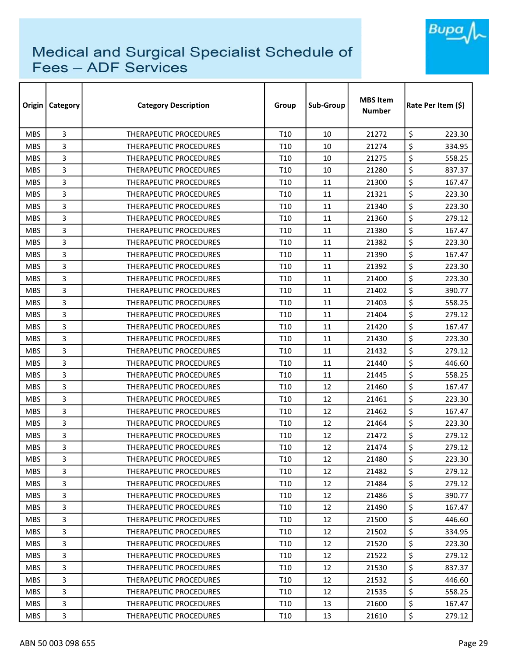

| Origin     | Category | <b>Category Description</b>   | Group           | Sub-Group | <b>MBS Item</b><br>Number | Rate Per Item (\$) |
|------------|----------|-------------------------------|-----------------|-----------|---------------------------|--------------------|
| <b>MBS</b> | 3        | <b>THERAPEUTIC PROCEDURES</b> | T <sub>10</sub> | 10        | 21272                     | \$<br>223.30       |
| <b>MBS</b> | 3        | THERAPEUTIC PROCEDURES        | T10             | 10        | 21274                     | \$<br>334.95       |
| <b>MBS</b> | 3        | THERAPEUTIC PROCEDURES        | T10             | 10        | 21275                     | \$<br>558.25       |
| <b>MBS</b> | 3        | THERAPEUTIC PROCEDURES        | T10             | 10        | 21280                     | \$<br>837.37       |
| <b>MBS</b> | 3        | THERAPEUTIC PROCEDURES        | T <sub>10</sub> | 11        | 21300                     | \$<br>167.47       |
| <b>MBS</b> | 3        | THERAPEUTIC PROCEDURES        | T <sub>10</sub> | 11        | 21321                     | \$<br>223.30       |
| <b>MBS</b> | 3        | THERAPEUTIC PROCEDURES        | T <sub>10</sub> | 11        | 21340                     | \$<br>223.30       |
| <b>MBS</b> | 3        | <b>THERAPEUTIC PROCEDURES</b> | T <sub>10</sub> | 11        | 21360                     | \$<br>279.12       |
| <b>MBS</b> | 3        | <b>THERAPEUTIC PROCEDURES</b> | T <sub>10</sub> | 11        | 21380                     | \$<br>167.47       |
| <b>MBS</b> | 3        | THERAPEUTIC PROCEDURES        | T10             | 11        | 21382                     | \$<br>223.30       |
| <b>MBS</b> | 3        | THERAPEUTIC PROCEDURES        | T <sub>10</sub> | 11        | 21390                     | \$<br>167.47       |
| <b>MBS</b> | 3        | THERAPEUTIC PROCEDURES        | T <sub>10</sub> | 11        | 21392                     | \$<br>223.30       |
| <b>MBS</b> | 3        | THERAPEUTIC PROCEDURES        | T <sub>10</sub> | 11        | 21400                     | \$<br>223.30       |
| <b>MBS</b> | 3        | THERAPEUTIC PROCEDURES        | T10             | 11        | 21402                     | \$<br>390.77       |
| <b>MBS</b> | 3        | <b>THERAPEUTIC PROCEDURES</b> | T <sub>10</sub> | 11        | 21403                     | \$<br>558.25       |
| <b>MBS</b> | 3        | <b>THERAPEUTIC PROCEDURES</b> | T <sub>10</sub> | 11        | 21404                     | \$<br>279.12       |
| <b>MBS</b> | 3        | THERAPEUTIC PROCEDURES        | T <sub>10</sub> | 11        | 21420                     | \$<br>167.47       |
| <b>MBS</b> | 3        | THERAPEUTIC PROCEDURES        | T <sub>10</sub> | 11        | 21430                     | \$<br>223.30       |
| <b>MBS</b> | 3        | <b>THERAPEUTIC PROCEDURES</b> | T <sub>10</sub> | 11        | 21432                     | \$<br>279.12       |
| <b>MBS</b> | 3        | <b>THERAPEUTIC PROCEDURES</b> | T <sub>10</sub> | 11        | 21440                     | \$<br>446.60       |
| <b>MBS</b> | 3        | THERAPEUTIC PROCEDURES        | T <sub>10</sub> | 11        | 21445                     | \$<br>558.25       |
| <b>MBS</b> | 3        | THERAPEUTIC PROCEDURES        | T <sub>10</sub> | 12        | 21460                     | \$<br>167.47       |
| <b>MBS</b> | 3        | THERAPEUTIC PROCEDURES        | T <sub>10</sub> | 12        | 21461                     | \$<br>223.30       |
| <b>MBS</b> | 3        | <b>THERAPEUTIC PROCEDURES</b> | T10             | 12        | 21462                     | \$<br>167.47       |
| <b>MBS</b> | 3        | THERAPEUTIC PROCEDURES        | T <sub>10</sub> | 12        | 21464                     | \$<br>223.30       |
| <b>MBS</b> | 3        | THERAPEUTIC PROCEDURES        | T10             | 12        | 21472                     | \$<br>279.12       |
| <b>MBS</b> | 3        | <b>THERAPEUTIC PROCEDURES</b> | T <sub>10</sub> | 12        | 21474                     | \$<br>279.12       |
| <b>MBS</b> | 3        | THERAPEUTIC PROCEDURES        | T <sub>10</sub> | 12        | 21480                     | \$<br>223.30       |
| <b>MBS</b> | 3        | THERAPEUTIC PROCEDURES        | T <sub>10</sub> | 12        | 21482                     | \$<br>279.12       |
| <b>MBS</b> | 3        | THERAPEUTIC PROCEDURES        | T <sub>10</sub> | 12        | 21484                     | \$<br>279.12       |
| <b>MBS</b> | 3        | THERAPEUTIC PROCEDURES        | T <sub>10</sub> | 12        | 21486                     | \$<br>390.77       |
| <b>MBS</b> | 3        | THERAPEUTIC PROCEDURES        | T <sub>10</sub> | 12        | 21490                     | \$<br>167.47       |
| MBS.       | 3        | THERAPEUTIC PROCEDURES        | T <sub>10</sub> | 12        | 21500                     | \$<br>446.60       |
| <b>MBS</b> | 3        | THERAPEUTIC PROCEDURES        | T <sub>10</sub> | 12        | 21502                     | \$<br>334.95       |
| <b>MBS</b> | 3        | THERAPEUTIC PROCEDURES        | T <sub>10</sub> | 12        | 21520                     | \$<br>223.30       |
| <b>MBS</b> | 3        | THERAPEUTIC PROCEDURES        | T <sub>10</sub> | 12        | 21522                     | \$<br>279.12       |
| <b>MBS</b> | 3        | THERAPEUTIC PROCEDURES        | T <sub>10</sub> | 12        | 21530                     | \$<br>837.37       |
| <b>MBS</b> | 3        | THERAPEUTIC PROCEDURES        | T <sub>10</sub> | 12        | 21532                     | \$<br>446.60       |
| MBS.       | 3        | THERAPEUTIC PROCEDURES        | T <sub>10</sub> | 12        | 21535                     | \$<br>558.25       |
| <b>MBS</b> | 3        | THERAPEUTIC PROCEDURES        | T <sub>10</sub> | 13        | 21600                     | \$<br>167.47       |
| <b>MBS</b> | 3        | THERAPEUTIC PROCEDURES        | T <sub>10</sub> | 13        | 21610                     | \$<br>279.12       |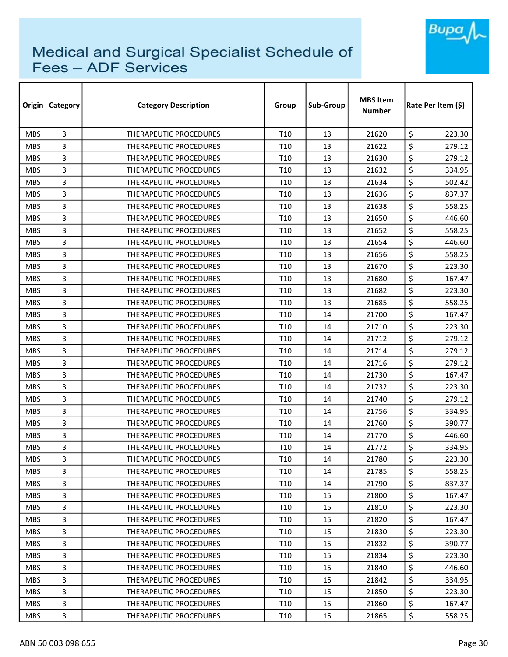

|            | Origin   Category | <b>Category Description</b>   | Group           | Sub-Group | <b>MBS Item</b><br><b>Number</b> | Rate Per Item (\$) |
|------------|-------------------|-------------------------------|-----------------|-----------|----------------------------------|--------------------|
| <b>MBS</b> | 3                 | <b>THERAPEUTIC PROCEDURES</b> | T <sub>10</sub> | 13        | 21620                            | \$<br>223.30       |
| <b>MBS</b> | 3                 | THERAPEUTIC PROCEDURES        | T10             | 13        | 21622                            | \$<br>279.12       |
| <b>MBS</b> | 3                 | THERAPEUTIC PROCEDURES        | T <sub>10</sub> | 13        | 21630                            | \$<br>279.12       |
| <b>MBS</b> | 3                 | THERAPEUTIC PROCEDURES        | T10             | 13        | 21632                            | \$<br>334.95       |
| <b>MBS</b> | 3                 | <b>THERAPEUTIC PROCEDURES</b> | T10             | 13        | 21634                            | \$<br>502.42       |
| <b>MBS</b> | 3                 | THERAPEUTIC PROCEDURES        | T <sub>10</sub> | 13        | 21636                            | \$<br>837.37       |
| <b>MBS</b> | 3                 | <b>THERAPEUTIC PROCEDURES</b> | T10             | 13        | 21638                            | \$<br>558.25       |
| <b>MBS</b> | 3                 | <b>THERAPEUTIC PROCEDURES</b> | T <sub>10</sub> | 13        | 21650                            | \$<br>446.60       |
| <b>MBS</b> | 3                 | <b>THERAPEUTIC PROCEDURES</b> | T10             | 13        | 21652                            | \$<br>558.25       |
| <b>MBS</b> | 3                 | THERAPEUTIC PROCEDURES        | T10             | 13        | 21654                            | \$<br>446.60       |
| <b>MBS</b> | 3                 | THERAPEUTIC PROCEDURES        | T <sub>10</sub> | 13        | 21656                            | \$<br>558.25       |
| <b>MBS</b> | 3                 | <b>THERAPEUTIC PROCEDURES</b> | T10             | 13        | 21670                            | \$<br>223.30       |
| <b>MBS</b> | 3                 | THERAPEUTIC PROCEDURES        | T <sub>10</sub> | 13        | 21680                            | \$<br>167.47       |
| <b>MBS</b> | 3                 | <b>THERAPEUTIC PROCEDURES</b> | T10             | 13        | 21682                            | \$<br>223.30       |
| <b>MBS</b> | 3                 | <b>THERAPEUTIC PROCEDURES</b> | T <sub>10</sub> | 13        | 21685                            | \$<br>558.25       |
| <b>MBS</b> | 3                 | <b>THERAPEUTIC PROCEDURES</b> | T10             | 14        | 21700                            | \$<br>167.47       |
| <b>MBS</b> | 3                 | THERAPEUTIC PROCEDURES        | T <sub>10</sub> | 14        | 21710                            | \$<br>223.30       |
| <b>MBS</b> | 3                 | THERAPEUTIC PROCEDURES        | T <sub>10</sub> | 14        | 21712                            | \$<br>279.12       |
| <b>MBS</b> | 3                 | <b>THERAPEUTIC PROCEDURES</b> | T10             | 14        | 21714                            | \$<br>279.12       |
| <b>MBS</b> | 3                 | <b>THERAPEUTIC PROCEDURES</b> | T <sub>10</sub> | 14        | 21716                            | \$<br>279.12       |
| <b>MBS</b> | 3                 | <b>THERAPEUTIC PROCEDURES</b> | T <sub>10</sub> | 14        | 21730                            | \$<br>167.47       |
| <b>MBS</b> | 3                 | <b>THERAPEUTIC PROCEDURES</b> | T10             | 14        | 21732                            | \$<br>223.30       |
| <b>MBS</b> | 3                 | THERAPEUTIC PROCEDURES        | T10             | 14        | 21740                            | \$<br>279.12       |
| <b>MBS</b> | 3                 | <b>THERAPEUTIC PROCEDURES</b> | T10             | 14        | 21756                            | \$<br>334.95       |
| <b>MBS</b> | 3                 | THERAPEUTIC PROCEDURES        | T <sub>10</sub> | 14        | 21760                            | \$<br>390.77       |
| <b>MBS</b> | 3                 | <b>THERAPEUTIC PROCEDURES</b> | T10             | 14        | 21770                            | \$<br>446.60       |
| <b>MBS</b> | 3                 | <b>THERAPEUTIC PROCEDURES</b> | T10             | 14        | 21772                            | \$<br>334.95       |
| <b>MBS</b> | 3                 | THERAPEUTIC PROCEDURES        | T <sub>10</sub> | 14        | 21780                            | \$<br>223.30       |
| <b>MBS</b> | 3                 | <b>THERAPEUTIC PROCEDURES</b> | T10             | 14        | 21785                            | \$<br>558.25       |
| <b>MBS</b> | 3                 | THERAPEUTIC PROCEDURES        | T <sub>10</sub> | 14        | 21790                            | \$<br>837.37       |
| <b>MBS</b> | 3                 | THERAPEUTIC PROCEDURES        | T10             | 15        | 21800                            | \$<br>167.47       |
| <b>MBS</b> | 3                 | THERAPEUTIC PROCEDURES        | T <sub>10</sub> | 15        | 21810                            | \$<br>223.30       |
| MBS.       | 3                 | <b>THERAPEUTIC PROCEDURES</b> | T10             | 15        | 21820                            | \$<br>167.47       |
| <b>MBS</b> | 3                 | THERAPEUTIC PROCEDURES        | T <sub>10</sub> | 15        | 21830                            | \$<br>223.30       |
| <b>MBS</b> | 3                 | THERAPEUTIC PROCEDURES        | T10             | 15        | 21832                            | \$<br>390.77       |
| <b>MBS</b> | 3                 | THERAPEUTIC PROCEDURES        | T10             | 15        | 21834                            | \$<br>223.30       |
| <b>MBS</b> | 3                 | THERAPEUTIC PROCEDURES        | T <sub>10</sub> | 15        | 21840                            | \$<br>446.60       |
| <b>MBS</b> | 3                 | THERAPEUTIC PROCEDURES        | T10             | 15        | 21842                            | \$<br>334.95       |
| <b>MBS</b> | 3                 | THERAPEUTIC PROCEDURES        | T10             | 15        | 21850                            | \$<br>223.30       |
| <b>MBS</b> | 3                 | THERAPEUTIC PROCEDURES        | T10             | 15        | 21860                            | \$<br>167.47       |
| <b>MBS</b> | 3                 | THERAPEUTIC PROCEDURES        | T <sub>10</sub> | 15        | 21865                            | \$<br>558.25       |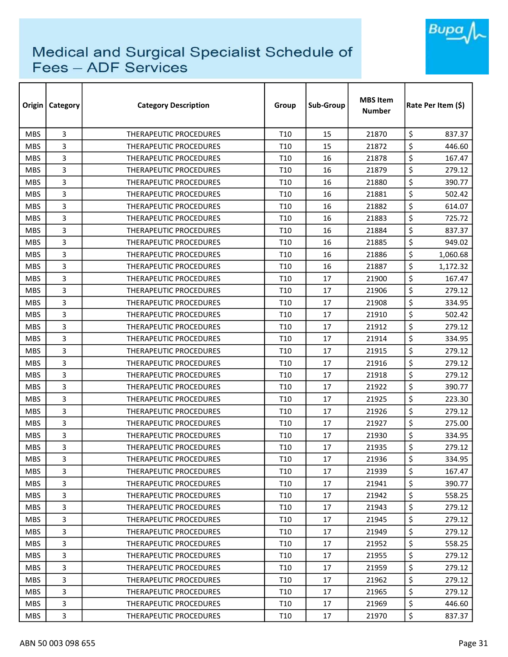

| Origin     | Category | <b>Category Description</b>   | Group           | Sub-Group | <b>MBS Item</b><br>Number | Rate Per Item (\$) |
|------------|----------|-------------------------------|-----------------|-----------|---------------------------|--------------------|
| <b>MBS</b> | 3        | <b>THERAPEUTIC PROCEDURES</b> | T <sub>10</sub> | 15        | 21870                     | \$<br>837.37       |
| <b>MBS</b> | 3        | <b>THERAPEUTIC PROCEDURES</b> | T10             | 15        | 21872                     | \$<br>446.60       |
| <b>MBS</b> | 3        | THERAPEUTIC PROCEDURES        | T10             | 16        | 21878                     | \$<br>167.47       |
| <b>MBS</b> | 3        | THERAPEUTIC PROCEDURES        | T <sub>10</sub> | 16        | 21879                     | \$<br>279.12       |
| <b>MBS</b> | 3        | <b>THERAPEUTIC PROCEDURES</b> | T <sub>10</sub> | 16        | 21880                     | \$<br>390.77       |
| <b>MBS</b> | 3        | THERAPEUTIC PROCEDURES        | T <sub>10</sub> | 16        | 21881                     | \$<br>502.42       |
| <b>MBS</b> | 3        | THERAPEUTIC PROCEDURES        | T <sub>10</sub> | 16        | 21882                     | \$<br>614.07       |
| <b>MBS</b> | 3        | <b>THERAPEUTIC PROCEDURES</b> | T <sub>10</sub> | 16        | 21883                     | \$<br>725.72       |
| <b>MBS</b> | 3        | <b>THERAPEUTIC PROCEDURES</b> | T <sub>10</sub> | 16        | 21884                     | \$<br>837.37       |
| <b>MBS</b> | 3        | THERAPEUTIC PROCEDURES        | T10             | 16        | 21885                     | \$<br>949.02       |
| <b>MBS</b> | 3        | THERAPEUTIC PROCEDURES        | T <sub>10</sub> | 16        | 21886                     | \$<br>1,060.68     |
| <b>MBS</b> | 3        | THERAPEUTIC PROCEDURES        | T <sub>10</sub> | 16        | 21887                     | \$<br>1,172.32     |
| <b>MBS</b> | 3        | THERAPEUTIC PROCEDURES        | T <sub>10</sub> | 17        | 21900                     | \$<br>167.47       |
| <b>MBS</b> | 3        | THERAPEUTIC PROCEDURES        | T10             | 17        | 21906                     | \$<br>279.12       |
| <b>MBS</b> | 3        | <b>THERAPEUTIC PROCEDURES</b> | T <sub>10</sub> | 17        | 21908                     | \$<br>334.95       |
| <b>MBS</b> | 3        | <b>THERAPEUTIC PROCEDURES</b> | T <sub>10</sub> | 17        | 21910                     | \$<br>502.42       |
| <b>MBS</b> | 3        | THERAPEUTIC PROCEDURES        | T <sub>10</sub> | 17        | 21912                     | \$<br>279.12       |
| <b>MBS</b> | 3        | THERAPEUTIC PROCEDURES        | T <sub>10</sub> | 17        | 21914                     | \$<br>334.95       |
| <b>MBS</b> | 3        | <b>THERAPEUTIC PROCEDURES</b> | T <sub>10</sub> | 17        | 21915                     | \$<br>279.12       |
| <b>MBS</b> | 3        | <b>THERAPEUTIC PROCEDURES</b> | T <sub>10</sub> | 17        | 21916                     | \$<br>279.12       |
| <b>MBS</b> | 3        | THERAPEUTIC PROCEDURES        | T <sub>10</sub> | 17        | 21918                     | \$<br>279.12       |
| <b>MBS</b> | 3        | THERAPEUTIC PROCEDURES        | T <sub>10</sub> | 17        | 21922                     | \$<br>390.77       |
| <b>MBS</b> | 3        | THERAPEUTIC PROCEDURES        | T <sub>10</sub> | 17        | 21925                     | \$<br>223.30       |
| <b>MBS</b> | 3        | <b>THERAPEUTIC PROCEDURES</b> | T10             | 17        | 21926                     | \$<br>279.12       |
| <b>MBS</b> | 3        | THERAPEUTIC PROCEDURES        | T <sub>10</sub> | 17        | 21927                     | \$<br>275.00       |
| <b>MBS</b> | 3        | THERAPEUTIC PROCEDURES        | T10             | 17        | 21930                     | \$<br>334.95       |
| <b>MBS</b> | 3        | <b>THERAPEUTIC PROCEDURES</b> | T <sub>10</sub> | 17        | 21935                     | \$<br>279.12       |
| <b>MBS</b> | 3        | THERAPEUTIC PROCEDURES        | T <sub>10</sub> | $17\,$    | 21936                     | \$<br>334.95       |
| <b>MBS</b> | 3        | THERAPEUTIC PROCEDURES        | T <sub>10</sub> | 17        | 21939                     | \$<br>167.47       |
| <b>MBS</b> | 3        | THERAPEUTIC PROCEDURES        | T <sub>10</sub> | 17        | 21941                     | \$<br>390.77       |
| <b>MBS</b> | 3        | THERAPEUTIC PROCEDURES        | T <sub>10</sub> | 17        | 21942                     | \$<br>558.25       |
| <b>MBS</b> | 3        | THERAPEUTIC PROCEDURES        | T <sub>10</sub> | 17        | 21943                     | \$<br>279.12       |
| MBS.       | 3        | THERAPEUTIC PROCEDURES        | T <sub>10</sub> | 17        | 21945                     | \$<br>279.12       |
| <b>MBS</b> | 3        | THERAPEUTIC PROCEDURES        | T <sub>10</sub> | 17        | 21949                     | \$<br>279.12       |
| <b>MBS</b> | 3        | THERAPEUTIC PROCEDURES        | T10             | 17        | 21952                     | \$<br>558.25       |
| <b>MBS</b> | 3        | THERAPEUTIC PROCEDURES        | T <sub>10</sub> | 17        | 21955                     | \$<br>279.12       |
| <b>MBS</b> | 3        | THERAPEUTIC PROCEDURES        | T <sub>10</sub> | 17        | 21959                     | \$<br>279.12       |
| <b>MBS</b> | 3        | THERAPEUTIC PROCEDURES        | T <sub>10</sub> | 17        | 21962                     | \$<br>279.12       |
| MBS.       | 3        | THERAPEUTIC PROCEDURES        | T <sub>10</sub> | 17        | 21965                     | \$<br>279.12       |
| <b>MBS</b> | 3        | THERAPEUTIC PROCEDURES        | T <sub>10</sub> | 17        | 21969                     | \$<br>446.60       |
| <b>MBS</b> | 3        | THERAPEUTIC PROCEDURES        | T <sub>10</sub> | 17        | 21970                     | \$<br>837.37       |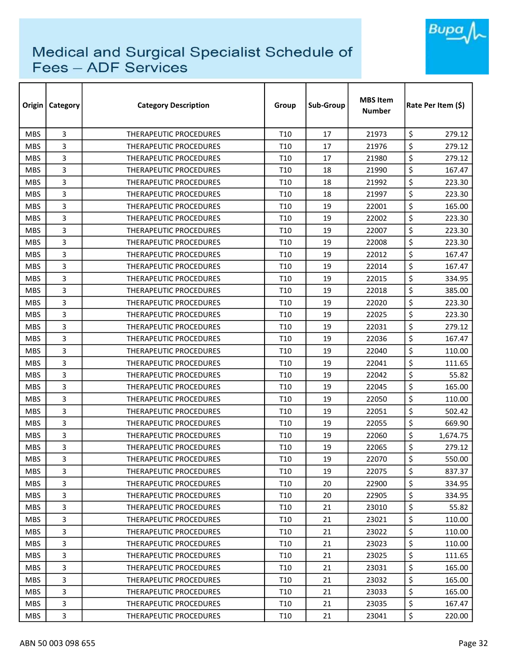

| Origin     | Category | <b>Category Description</b>   | Group           | Sub-Group | <b>MBS Item</b><br>Number | Rate Per Item (\$) |
|------------|----------|-------------------------------|-----------------|-----------|---------------------------|--------------------|
| <b>MBS</b> | 3        | <b>THERAPEUTIC PROCEDURES</b> | T <sub>10</sub> | 17        | 21973                     | \$<br>279.12       |
| <b>MBS</b> | 3        | <b>THERAPEUTIC PROCEDURES</b> | T10             | 17        | 21976                     | \$<br>279.12       |
| <b>MBS</b> | 3        | THERAPEUTIC PROCEDURES        | T <sub>10</sub> | 17        | 21980                     | \$<br>279.12       |
| <b>MBS</b> | 3        | THERAPEUTIC PROCEDURES        | T <sub>10</sub> | 18        | 21990                     | \$<br>167.47       |
| <b>MBS</b> | 3        | <b>THERAPEUTIC PROCEDURES</b> | T <sub>10</sub> | 18        | 21992                     | \$<br>223.30       |
| <b>MBS</b> | 3        | THERAPEUTIC PROCEDURES        | T <sub>10</sub> | 18        | 21997                     | \$<br>223.30       |
| <b>MBS</b> | 3        | THERAPEUTIC PROCEDURES        | T <sub>10</sub> | 19        | 22001                     | \$<br>165.00       |
| <b>MBS</b> | 3        | <b>THERAPEUTIC PROCEDURES</b> | T <sub>10</sub> | 19        | 22002                     | \$<br>223.30       |
| <b>MBS</b> | 3        | <b>THERAPEUTIC PROCEDURES</b> | T <sub>10</sub> | 19        | 22007                     | \$<br>223.30       |
| <b>MBS</b> | 3        | THERAPEUTIC PROCEDURES        | T10             | 19        | 22008                     | \$<br>223.30       |
| <b>MBS</b> | 3        | THERAPEUTIC PROCEDURES        | T <sub>10</sub> | 19        | 22012                     | \$<br>167.47       |
| <b>MBS</b> | 3        | THERAPEUTIC PROCEDURES        | T <sub>10</sub> | 19        | 22014                     | \$<br>167.47       |
| <b>MBS</b> | 3        | THERAPEUTIC PROCEDURES        | T <sub>10</sub> | 19        | 22015                     | \$<br>334.95       |
| <b>MBS</b> | 3        | <b>THERAPEUTIC PROCEDURES</b> | T10             | 19        | 22018                     | \$<br>385.00       |
| <b>MBS</b> | 3        | <b>THERAPEUTIC PROCEDURES</b> | T <sub>10</sub> | 19        | 22020                     | \$<br>223.30       |
| <b>MBS</b> | 3        | <b>THERAPEUTIC PROCEDURES</b> | T <sub>10</sub> | 19        | 22025                     | \$<br>223.30       |
| <b>MBS</b> | 3        | <b>THERAPEUTIC PROCEDURES</b> | T <sub>10</sub> | 19        | 22031                     | \$<br>279.12       |
| <b>MBS</b> | 3        | THERAPEUTIC PROCEDURES        | T <sub>10</sub> | 19        | 22036                     | \$<br>167.47       |
| <b>MBS</b> | 3        | <b>THERAPEUTIC PROCEDURES</b> | T <sub>10</sub> | 19        | 22040                     | \$<br>110.00       |
| <b>MBS</b> | 3        | <b>THERAPEUTIC PROCEDURES</b> | T <sub>10</sub> | 19        | 22041                     | \$<br>111.65       |
| <b>MBS</b> | 3        | THERAPEUTIC PROCEDURES        | T <sub>10</sub> | 19        | 22042                     | \$<br>55.82        |
| <b>MBS</b> | 3        | THERAPEUTIC PROCEDURES        | T <sub>10</sub> | 19        | 22045                     | \$<br>165.00       |
| <b>MBS</b> | 3        | THERAPEUTIC PROCEDURES        | T <sub>10</sub> | 19        | 22050                     | \$<br>110.00       |
| <b>MBS</b> | 3        | <b>THERAPEUTIC PROCEDURES</b> | T10             | 19        | 22051                     | \$<br>502.42       |
| <b>MBS</b> | 3        | THERAPEUTIC PROCEDURES        | T <sub>10</sub> | 19        | 22055                     | \$<br>669.90       |
| <b>MBS</b> | 3        | THERAPEUTIC PROCEDURES        | T10             | 19        | 22060                     | \$<br>1,674.75     |
| <b>MBS</b> | 3        | <b>THERAPEUTIC PROCEDURES</b> | T <sub>10</sub> | 19        | 22065                     | \$<br>279.12       |
| <b>MBS</b> | 3        | THERAPEUTIC PROCEDURES        | T <sub>10</sub> | 19        | 22070                     | \$<br>550.00       |
| <b>MBS</b> | 3        | THERAPEUTIC PROCEDURES        | T <sub>10</sub> | 19        | 22075                     | \$<br>837.37       |
| <b>MBS</b> | 3        | THERAPEUTIC PROCEDURES        | T <sub>10</sub> | 20        | 22900                     | \$<br>334.95       |
| <b>MBS</b> | 3        | THERAPEUTIC PROCEDURES        | T <sub>10</sub> | 20        | 22905                     | \$<br>334.95       |
| <b>MBS</b> | 3        | THERAPEUTIC PROCEDURES        | T <sub>10</sub> | 21        | 23010                     | \$<br>55.82        |
| MBS.       | 3        | THERAPEUTIC PROCEDURES        | T <sub>10</sub> | 21        | 23021                     | \$<br>110.00       |
| <b>MBS</b> | 3        | THERAPEUTIC PROCEDURES        | T <sub>10</sub> | 21        | 23022                     | \$<br>110.00       |
| <b>MBS</b> | 3        | THERAPEUTIC PROCEDURES        | T <sub>10</sub> | 21        | 23023                     | \$<br>110.00       |
| <b>MBS</b> | 3        | THERAPEUTIC PROCEDURES        | T <sub>10</sub> | 21        | 23025                     | \$<br>111.65       |
| <b>MBS</b> | 3        | THERAPEUTIC PROCEDURES        | T <sub>10</sub> | 21        | 23031                     | \$<br>165.00       |
| <b>MBS</b> | 3        | THERAPEUTIC PROCEDURES        | T <sub>10</sub> | 21        | 23032                     | \$<br>165.00       |
| MBS.       | 3        | THERAPEUTIC PROCEDURES        | T <sub>10</sub> | 21        | 23033                     | \$<br>165.00       |
| <b>MBS</b> | 3        | THERAPEUTIC PROCEDURES        | T <sub>10</sub> | 21        | 23035                     | \$<br>167.47       |
| <b>MBS</b> | 3        | THERAPEUTIC PROCEDURES        | T <sub>10</sub> | 21        | 23041                     | \$<br>220.00       |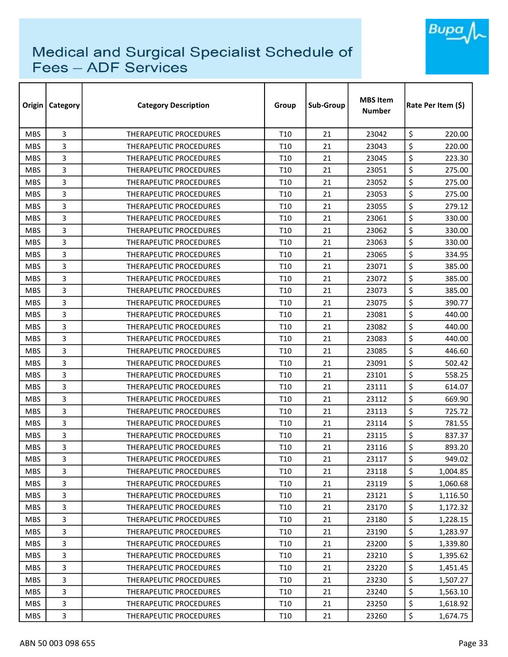

| Origin     | Category | <b>Category Description</b>   | Group           | Sub-Group | <b>MBS Item</b><br>Number | Rate Per Item (\$) |
|------------|----------|-------------------------------|-----------------|-----------|---------------------------|--------------------|
| <b>MBS</b> | 3        | <b>THERAPEUTIC PROCEDURES</b> | T <sub>10</sub> | 21        | 23042                     | \$<br>220.00       |
| <b>MBS</b> | 3        | <b>THERAPEUTIC PROCEDURES</b> | T10             | 21        | 23043                     | \$<br>220.00       |
| <b>MBS</b> | 3        | THERAPEUTIC PROCEDURES        | T10             | 21        | 23045                     | \$<br>223.30       |
| <b>MBS</b> | 3        | THERAPEUTIC PROCEDURES        | T <sub>10</sub> | 21        | 23051                     | \$<br>275.00       |
| <b>MBS</b> | 3        | <b>THERAPEUTIC PROCEDURES</b> | T <sub>10</sub> | 21        | 23052                     | \$<br>275.00       |
| <b>MBS</b> | 3        | THERAPEUTIC PROCEDURES        | T <sub>10</sub> | 21        | 23053                     | \$<br>275.00       |
| <b>MBS</b> | 3        | THERAPEUTIC PROCEDURES        | T <sub>10</sub> | 21        | 23055                     | \$<br>279.12       |
| <b>MBS</b> | 3        | <b>THERAPEUTIC PROCEDURES</b> | T <sub>10</sub> | 21        | 23061                     | \$<br>330.00       |
| <b>MBS</b> | 3        | <b>THERAPEUTIC PROCEDURES</b> | T <sub>10</sub> | 21        | 23062                     | \$<br>330.00       |
| <b>MBS</b> | 3        | THERAPEUTIC PROCEDURES        | T10             | 21        | 23063                     | \$<br>330.00       |
| <b>MBS</b> | 3        | THERAPEUTIC PROCEDURES        | T <sub>10</sub> | 21        | 23065                     | \$<br>334.95       |
| <b>MBS</b> | 3        | THERAPEUTIC PROCEDURES        | T <sub>10</sub> | 21        | 23071                     | \$<br>385.00       |
| <b>MBS</b> | 3        | THERAPEUTIC PROCEDURES        | T <sub>10</sub> | 21        | 23072                     | \$<br>385.00       |
| <b>MBS</b> | 3        | <b>THERAPEUTIC PROCEDURES</b> | T10             | 21        | 23073                     | \$<br>385.00       |
| <b>MBS</b> | 3        | <b>THERAPEUTIC PROCEDURES</b> | T <sub>10</sub> | 21        | 23075                     | \$<br>390.77       |
| <b>MBS</b> | 3        | <b>THERAPEUTIC PROCEDURES</b> | T <sub>10</sub> | 21        | 23081                     | \$<br>440.00       |
| <b>MBS</b> | 3        | <b>THERAPEUTIC PROCEDURES</b> | T <sub>10</sub> | 21        | 23082                     | \$<br>440.00       |
| <b>MBS</b> | 3        | THERAPEUTIC PROCEDURES        | T <sub>10</sub> | 21        | 23083                     | \$<br>440.00       |
| <b>MBS</b> | 3        | <b>THERAPEUTIC PROCEDURES</b> | T <sub>10</sub> | 21        | 23085                     | \$<br>446.60       |
| <b>MBS</b> | 3        | <b>THERAPEUTIC PROCEDURES</b> | T <sub>10</sub> | 21        | 23091                     | \$<br>502.42       |
| <b>MBS</b> | 3        | THERAPEUTIC PROCEDURES        | T <sub>10</sub> | 21        | 23101                     | \$<br>558.25       |
| <b>MBS</b> | 3        | THERAPEUTIC PROCEDURES        | T <sub>10</sub> | 21        | 23111                     | \$<br>614.07       |
| <b>MBS</b> | 3        | THERAPEUTIC PROCEDURES        | T <sub>10</sub> | 21        | 23112                     | \$<br>669.90       |
| <b>MBS</b> | 3        | <b>THERAPEUTIC PROCEDURES</b> | T <sub>10</sub> | 21        | 23113                     | \$<br>725.72       |
| <b>MBS</b> | 3        | THERAPEUTIC PROCEDURES        | T <sub>10</sub> | 21        | 23114                     | \$<br>781.55       |
| <b>MBS</b> | 3        | THERAPEUTIC PROCEDURES        | T10             | 21        | 23115                     | \$<br>837.37       |
| <b>MBS</b> | 3        | <b>THERAPEUTIC PROCEDURES</b> | T <sub>10</sub> | 21        | 23116                     | \$<br>893.20       |
| <b>MBS</b> | 3        | THERAPEUTIC PROCEDURES        | T <sub>10</sub> | 21        | 23117                     | \$<br>949.02       |
| <b>MBS</b> | 3        | <b>THERAPEUTIC PROCEDURES</b> | T <sub>10</sub> | 21        | 23118                     | \$<br>1,004.85     |
| <b>MBS</b> | 3        | THERAPEUTIC PROCEDURES        | T <sub>10</sub> | 21        | 23119                     | \$<br>1,060.68     |
| <b>MBS</b> | 3        | THERAPEUTIC PROCEDURES        | T <sub>10</sub> | 21        | 23121                     | \$<br>1,116.50     |
| <b>MBS</b> | 3        | THERAPEUTIC PROCEDURES        | T <sub>10</sub> | 21        | 23170                     | \$<br>1,172.32     |
| <b>MBS</b> | 3        | <b>THERAPEUTIC PROCEDURES</b> | T <sub>10</sub> | 21        | 23180                     | \$<br>1,228.15     |
| <b>MBS</b> | 3        | THERAPEUTIC PROCEDURES        | T <sub>10</sub> | 21        | 23190                     | \$<br>1,283.97     |
| <b>MBS</b> | 3        | THERAPEUTIC PROCEDURES        | T <sub>10</sub> | 21        | 23200                     | \$<br>1,339.80     |
| <b>MBS</b> | 3        | THERAPEUTIC PROCEDURES        | T <sub>10</sub> | 21        | 23210                     | \$<br>1,395.62     |
| <b>MBS</b> | 3        | THERAPEUTIC PROCEDURES        | T <sub>10</sub> | 21        | 23220                     | \$<br>1,451.45     |
| <b>MBS</b> | 3        | THERAPEUTIC PROCEDURES        | T <sub>10</sub> | 21        | 23230                     | \$<br>1,507.27     |
| <b>MBS</b> | 3        | THERAPEUTIC PROCEDURES        | T <sub>10</sub> | 21        | 23240                     | \$<br>1,563.10     |
| <b>MBS</b> | 3        | THERAPEUTIC PROCEDURES        | T10             | 21        | 23250                     | \$<br>1,618.92     |
| <b>MBS</b> | 3        | THERAPEUTIC PROCEDURES        | T <sub>10</sub> | 21        | 23260                     | \$<br>1,674.75     |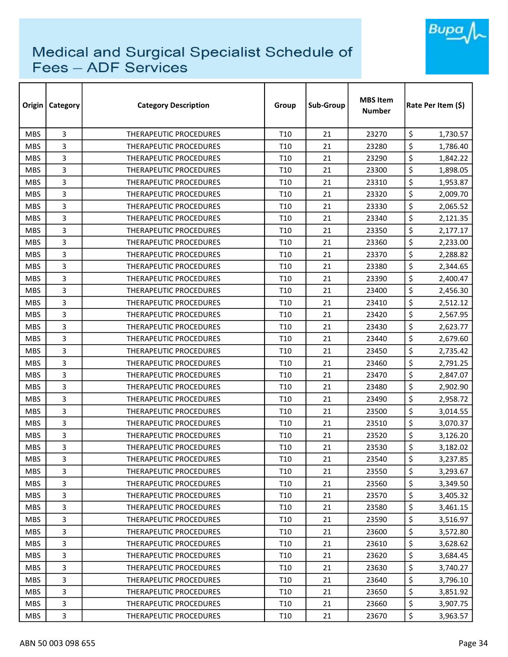

| Origin     | <b>Category</b> | <b>Category Description</b>   | Group           | Sub-Group | <b>MBS Item</b><br><b>Number</b> | Rate Per Item (\$) |
|------------|-----------------|-------------------------------|-----------------|-----------|----------------------------------|--------------------|
| <b>MBS</b> | 3               | <b>THERAPEUTIC PROCEDURES</b> | T <sub>10</sub> | 21        | 23270                            | \$<br>1,730.57     |
| <b>MBS</b> | 3               | <b>THERAPEUTIC PROCEDURES</b> | T10             | 21        | 23280                            | \$<br>1,786.40     |
| <b>MBS</b> | 3               | <b>THERAPEUTIC PROCEDURES</b> | T <sub>10</sub> | 21        | 23290                            | \$<br>1,842.22     |
| <b>MBS</b> | 3               | <b>THERAPEUTIC PROCEDURES</b> | T10             | 21        | 23300                            | \$<br>1,898.05     |
| <b>MBS</b> | 3               | <b>THERAPEUTIC PROCEDURES</b> | T10             | 21        | 23310                            | \$<br>1,953.87     |
| <b>MBS</b> | 3               | THERAPEUTIC PROCEDURES        | T <sub>10</sub> | 21        | 23320                            | \$<br>2,009.70     |
| <b>MBS</b> | 3               | <b>THERAPEUTIC PROCEDURES</b> | T <sub>10</sub> | 21        | 23330                            | \$<br>2,065.52     |
| <b>MBS</b> | 3               | THERAPEUTIC PROCEDURES        | T <sub>10</sub> | 21        | 23340                            | \$<br>2,121.35     |
| <b>MBS</b> | 3               | THERAPEUTIC PROCEDURES        | T <sub>10</sub> | 21        | 23350                            | \$<br>2,177.17     |
| <b>MBS</b> | 3               | THERAPEUTIC PROCEDURES        | T10             | 21        | 23360                            | \$<br>2,233.00     |
| <b>MBS</b> | 3               | <b>THERAPEUTIC PROCEDURES</b> | T <sub>10</sub> | 21        | 23370                            | \$<br>2,288.82     |
| <b>MBS</b> | 3               | THERAPEUTIC PROCEDURES        | T <sub>10</sub> | 21        | 23380                            | \$<br>2,344.65     |
| <b>MBS</b> | 3               | THERAPEUTIC PROCEDURES        | T <sub>10</sub> | 21        | 23390                            | \$<br>2,400.47     |
| <b>MBS</b> | 3               | THERAPEUTIC PROCEDURES        | T10             | 21        | 23400                            | \$<br>2,456.30     |
| <b>MBS</b> | 3               | <b>THERAPEUTIC PROCEDURES</b> | T <sub>10</sub> | 21        | 23410                            | \$<br>2,512.12     |
| <b>MBS</b> | 3               | THERAPEUTIC PROCEDURES        | T <sub>10</sub> | 21        | 23420                            | \$<br>2,567.95     |
| <b>MBS</b> | 3               | THERAPEUTIC PROCEDURES        | T <sub>10</sub> | 21        | 23430                            | \$<br>2,623.77     |
| <b>MBS</b> | 3               | THERAPEUTIC PROCEDURES        | T <sub>10</sub> | 21        | 23440                            | \$<br>2,679.60     |
| <b>MBS</b> | 3               | THERAPEUTIC PROCEDURES        | T <sub>10</sub> | 21        | 23450                            | \$<br>2,735.42     |
| <b>MBS</b> | 3               | <b>THERAPEUTIC PROCEDURES</b> | T <sub>10</sub> | 21        | 23460                            | \$<br>2,791.25     |
| <b>MBS</b> | 3               | THERAPEUTIC PROCEDURES        | T <sub>10</sub> | 21        | 23470                            | \$<br>2,847.07     |
| <b>MBS</b> | 3               | THERAPEUTIC PROCEDURES        | T <sub>10</sub> | 21        | 23480                            | \$<br>2,902.90     |
| <b>MBS</b> | 3               | THERAPEUTIC PROCEDURES        | T <sub>10</sub> | 21        | 23490                            | \$<br>2,958.72     |
| <b>MBS</b> | 3               | <b>THERAPEUTIC PROCEDURES</b> | T10             | 21        | 23500                            | \$<br>3,014.55     |
| <b>MBS</b> | 3               | THERAPEUTIC PROCEDURES        | T <sub>10</sub> | 21        | 23510                            | \$<br>3,070.37     |
| <b>MBS</b> | 3               | <b>THERAPEUTIC PROCEDURES</b> | T10             | 21        | 23520                            | \$<br>3,126.20     |
| <b>MBS</b> | 3               | <b>THERAPEUTIC PROCEDURES</b> | T <sub>10</sub> | 21        | 23530                            | \$<br>3,182.02     |
| <b>MBS</b> | 3               | THERAPEUTIC PROCEDURES        | T <sub>10</sub> | 21        | 23540                            | \$<br>3,237.85     |
| <b>MBS</b> | 3               | <b>THERAPEUTIC PROCEDURES</b> | T <sub>10</sub> | 21        | 23550                            | \$<br>3,293.67     |
| <b>MBS</b> | 3               | THERAPEUTIC PROCEDURES        | T <sub>10</sub> | 21        | 23560                            | \$<br>3,349.50     |
| <b>MBS</b> | 3               | THERAPEUTIC PROCEDURES        | T10             | 21        | 23570                            | \$<br>3,405.32     |
| <b>MBS</b> | 3               | THERAPEUTIC PROCEDURES        | T <sub>10</sub> | 21        | 23580                            | \$<br>3,461.15     |
| MBS.       | 3               | THERAPEUTIC PROCEDURES        | T10             | 21        | 23590                            | \$<br>3,516.97     |
| <b>MBS</b> | 3               | <b>THERAPEUTIC PROCEDURES</b> | T <sub>10</sub> | 21        | 23600                            | \$<br>3,572.80     |
| <b>MBS</b> | 3               | THERAPEUTIC PROCEDURES        | T10             | 21        | 23610                            | \$<br>3,628.62     |
| <b>MBS</b> | 3               | THERAPEUTIC PROCEDURES        | T10             | 21        | 23620                            | \$<br>3,684.45     |
| <b>MBS</b> | 3               | THERAPEUTIC PROCEDURES        | T <sub>10</sub> | 21        | 23630                            | \$<br>3,740.27     |
| <b>MBS</b> | 3               | THERAPEUTIC PROCEDURES        | T <sub>10</sub> | 21        | 23640                            | \$<br>3,796.10     |
| <b>MBS</b> | 3               | THERAPEUTIC PROCEDURES        | T <sub>10</sub> | 21        | 23650                            | \$<br>3,851.92     |
| <b>MBS</b> | 3               | THERAPEUTIC PROCEDURES        | T10             | 21        | 23660                            | \$<br>3,907.75     |
| <b>MBS</b> | 3               | THERAPEUTIC PROCEDURES        | T <sub>10</sub> | 21        | 23670                            | \$<br>3,963.57     |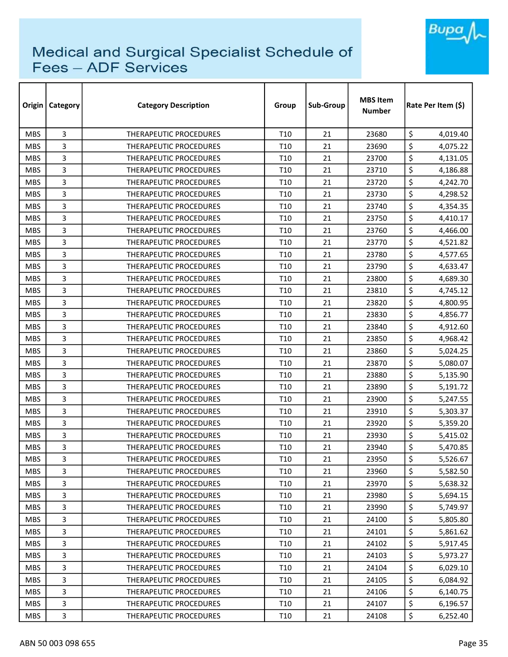

| Origin     | Category | <b>Category Description</b>   | Group           | Sub-Group | <b>MBS Item</b><br>Number | Rate Per Item (\$) |
|------------|----------|-------------------------------|-----------------|-----------|---------------------------|--------------------|
| <b>MBS</b> | 3        | THERAPEUTIC PROCEDURES        | T <sub>10</sub> | 21        | 23680                     | \$<br>4,019.40     |
| <b>MBS</b> | 3        | <b>THERAPEUTIC PROCEDURES</b> | T10             | 21        | 23690                     | \$<br>4,075.22     |
| <b>MBS</b> | 3        | THERAPEUTIC PROCEDURES        | T <sub>10</sub> | 21        | 23700                     | \$<br>4,131.05     |
| <b>MBS</b> | 3        | <b>THERAPEUTIC PROCEDURES</b> | T <sub>10</sub> | 21        | 23710                     | \$<br>4,186.88     |
| <b>MBS</b> | 3        | <b>THERAPEUTIC PROCEDURES</b> | T <sub>10</sub> | 21        | 23720                     | \$<br>4,242.70     |
| <b>MBS</b> | 3        | THERAPEUTIC PROCEDURES        | T <sub>10</sub> | 21        | 23730                     | \$<br>4,298.52     |
| <b>MBS</b> | 3        | <b>THERAPEUTIC PROCEDURES</b> | T <sub>10</sub> | 21        | 23740                     | \$<br>4,354.35     |
| <b>MBS</b> | 3        | THERAPEUTIC PROCEDURES        | T <sub>10</sub> | 21        | 23750                     | \$<br>4,410.17     |
| <b>MBS</b> | 3        | <b>THERAPEUTIC PROCEDURES</b> | T <sub>10</sub> | 21        | 23760                     | \$<br>4,466.00     |
| <b>MBS</b> | 3        | <b>THERAPEUTIC PROCEDURES</b> | T <sub>10</sub> | 21        | 23770                     | \$<br>4,521.82     |
| <b>MBS</b> | 3        | THERAPEUTIC PROCEDURES        | T <sub>10</sub> | 21        | 23780                     | \$<br>4,577.65     |
| <b>MBS</b> | 3        | THERAPEUTIC PROCEDURES        | T <sub>10</sub> | 21        | 23790                     | \$<br>4,633.47     |
| <b>MBS</b> | 3        | THERAPEUTIC PROCEDURES        | T <sub>10</sub> | 21        | 23800                     | \$<br>4,689.30     |
| <b>MBS</b> | 3        | <b>THERAPEUTIC PROCEDURES</b> | T <sub>10</sub> | 21        | 23810                     | \$<br>4,745.12     |
| <b>MBS</b> | 3        | <b>THERAPEUTIC PROCEDURES</b> | T <sub>10</sub> | 21        | 23820                     | \$<br>4,800.95     |
| <b>MBS</b> | 3        | <b>THERAPEUTIC PROCEDURES</b> | T <sub>10</sub> | 21        | 23830                     | \$<br>4,856.77     |
| <b>MBS</b> | 3        | <b>THERAPEUTIC PROCEDURES</b> | T <sub>10</sub> | 21        | 23840                     | \$<br>4,912.60     |
| <b>MBS</b> | 3        | THERAPEUTIC PROCEDURES        | T <sub>10</sub> | 21        | 23850                     | \$<br>4,968.42     |
| <b>MBS</b> | 3        | <b>THERAPEUTIC PROCEDURES</b> | T <sub>10</sub> | 21        | 23860                     | \$<br>5,024.25     |
| <b>MBS</b> | 3        | <b>THERAPEUTIC PROCEDURES</b> | T <sub>10</sub> | 21        | 23870                     | \$<br>5,080.07     |
| <b>MBS</b> | 3        | THERAPEUTIC PROCEDURES        | T <sub>10</sub> | 21        | 23880                     | \$<br>5,135.90     |
| <b>MBS</b> | 3        | <b>THERAPEUTIC PROCEDURES</b> | T <sub>10</sub> | 21        | 23890                     | \$<br>5,191.72     |
| <b>MBS</b> | 3        | <b>THERAPEUTIC PROCEDURES</b> | T <sub>10</sub> | 21        | 23900                     | \$<br>5,247.55     |
| <b>MBS</b> | 3        | <b>THERAPEUTIC PROCEDURES</b> | T <sub>10</sub> | 21        | 23910                     | \$<br>5,303.37     |
| <b>MBS</b> | 3        | THERAPEUTIC PROCEDURES        | T <sub>10</sub> | 21        | 23920                     | \$<br>5,359.20     |
| <b>MBS</b> | 3        | THERAPEUTIC PROCEDURES        | T <sub>10</sub> | 21        | 23930                     | \$<br>5,415.02     |
| <b>MBS</b> | 3        | <b>THERAPEUTIC PROCEDURES</b> | T <sub>10</sub> | 21        | 23940                     | \$<br>5,470.85     |
| <b>MBS</b> | 3        | THERAPEUTIC PROCEDURES        | T <sub>10</sub> | 21        | 23950                     | \$<br>5,526.67     |
| <b>MBS</b> | 3        | <b>THERAPEUTIC PROCEDURES</b> | T <sub>10</sub> | 21        | 23960                     | \$<br>5,582.50     |
| <b>MBS</b> | 3        | THERAPEUTIC PROCEDURES        | T <sub>10</sub> | 21        | 23970                     | \$<br>5,638.32     |
| <b>MBS</b> | 3        | THERAPEUTIC PROCEDURES        | T <sub>10</sub> | 21        | 23980                     | \$<br>5,694.15     |
| <b>MBS</b> | 3        | THERAPEUTIC PROCEDURES        | T <sub>10</sub> | 21        | 23990                     | \$<br>5,749.97     |
| <b>MBS</b> | 3        | <b>THERAPEUTIC PROCEDURES</b> | T <sub>10</sub> | 21        | 24100                     | \$<br>5,805.80     |
| <b>MBS</b> | 3        | THERAPEUTIC PROCEDURES        | T <sub>10</sub> | 21        | 24101                     | \$<br>5,861.62     |
| <b>MBS</b> | 3        | THERAPEUTIC PROCEDURES        | T <sub>10</sub> | 21        | 24102                     | \$<br>5,917.45     |
| <b>MBS</b> | 3        | THERAPEUTIC PROCEDURES        | T <sub>10</sub> | 21        | 24103                     | \$<br>5,973.27     |
| <b>MBS</b> | 3        | THERAPEUTIC PROCEDURES        | T <sub>10</sub> | 21        | 24104                     | \$<br>6,029.10     |
| <b>MBS</b> | 3        | THERAPEUTIC PROCEDURES        | T <sub>10</sub> | 21        | 24105                     | \$<br>6,084.92     |
| <b>MBS</b> | 3        | THERAPEUTIC PROCEDURES        | T <sub>10</sub> | 21        | 24106                     | \$<br>6,140.75     |
| <b>MBS</b> | 3        | THERAPEUTIC PROCEDURES        | T10             | 21        | 24107                     | \$<br>6,196.57     |
| <b>MBS</b> | 3        | THERAPEUTIC PROCEDURES        | T <sub>10</sub> | 21        | 24108                     | \$<br>6,252.40     |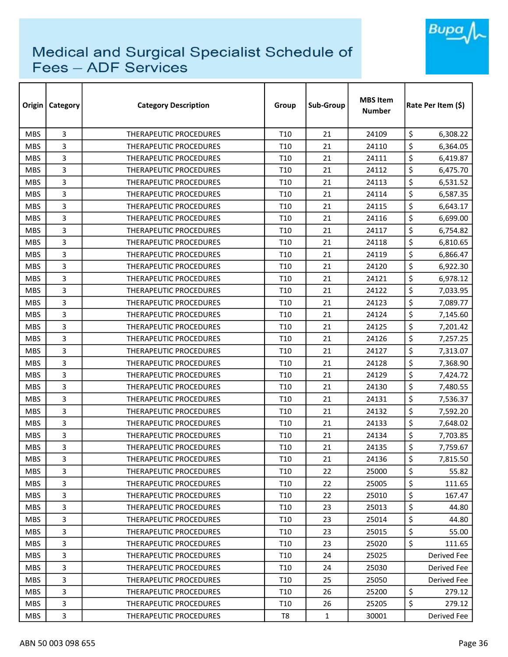

| Origin     | Category | <b>Category Description</b>   | Group           | Sub-Group    | <b>MBS Item</b><br>Number | Rate Per Item (\$) |
|------------|----------|-------------------------------|-----------------|--------------|---------------------------|--------------------|
| <b>MBS</b> | 3        | THERAPEUTIC PROCEDURES        | T <sub>10</sub> | 21           | 24109                     | \$<br>6,308.22     |
| <b>MBS</b> | 3        | THERAPEUTIC PROCEDURES        | T <sub>10</sub> | 21           | 24110                     | \$<br>6,364.05     |
| <b>MBS</b> | 3        | THERAPEUTIC PROCEDURES        | T <sub>10</sub> | 21           | 24111                     | \$<br>6,419.87     |
| <b>MBS</b> | 3        | <b>THERAPEUTIC PROCEDURES</b> | T <sub>10</sub> | 21           | 24112                     | \$<br>6,475.70     |
| <b>MBS</b> | 3        | THERAPEUTIC PROCEDURES        | T <sub>10</sub> | 21           | 24113                     | \$<br>6,531.52     |
| <b>MBS</b> | 3        | THERAPEUTIC PROCEDURES        | T <sub>10</sub> | 21           | 24114                     | \$<br>6,587.35     |
| <b>MBS</b> | 3        | THERAPEUTIC PROCEDURES        | T <sub>10</sub> | 21           | 24115                     | \$<br>6,643.17     |
| <b>MBS</b> | 3        | THERAPEUTIC PROCEDURES        | T <sub>10</sub> | 21           | 24116                     | \$<br>6,699.00     |
| <b>MBS</b> | 3        | <b>THERAPEUTIC PROCEDURES</b> | T <sub>10</sub> | 21           | 24117                     | \$<br>6,754.82     |
| <b>MBS</b> | 3        | <b>THERAPEUTIC PROCEDURES</b> | T <sub>10</sub> | 21           | 24118                     | \$<br>6,810.65     |
| <b>MBS</b> | 3        | THERAPEUTIC PROCEDURES        | T <sub>10</sub> | 21           | 24119                     | \$<br>6,866.47     |
| <b>MBS</b> | 3        | THERAPEUTIC PROCEDURES        | T <sub>10</sub> | 21           | 24120                     | \$<br>6,922.30     |
| <b>MBS</b> | 3        | THERAPEUTIC PROCEDURES        | T <sub>10</sub> | 21           | 24121                     | \$<br>6,978.12     |
| <b>MBS</b> | 3        | THERAPEUTIC PROCEDURES        | T <sub>10</sub> | 21           | 24122                     | \$<br>7,033.95     |
| <b>MBS</b> | 3        | <b>THERAPEUTIC PROCEDURES</b> | T <sub>10</sub> | 21           | 24123                     | \$<br>7,089.77     |
| <b>MBS</b> | 3        | <b>THERAPEUTIC PROCEDURES</b> | T <sub>10</sub> | 21           | 24124                     | \$<br>7,145.60     |
| <b>MBS</b> | 3        | THERAPEUTIC PROCEDURES        | T <sub>10</sub> | 21           | 24125                     | \$<br>7,201.42     |
| <b>MBS</b> | 3        | THERAPEUTIC PROCEDURES        | T <sub>10</sub> | 21           | 24126                     | \$<br>7,257.25     |
| <b>MBS</b> | 3        | <b>THERAPEUTIC PROCEDURES</b> | T <sub>10</sub> | 21           | 24127                     | \$<br>7,313.07     |
| <b>MBS</b> | 3        | <b>THERAPEUTIC PROCEDURES</b> | T <sub>10</sub> | 21           | 24128                     | \$<br>7,368.90     |
| <b>MBS</b> | 3        | THERAPEUTIC PROCEDURES        | T <sub>10</sub> | 21           | 24129                     | \$<br>7,424.72     |
| <b>MBS</b> | 3        | THERAPEUTIC PROCEDURES        | T <sub>10</sub> | 21           | 24130                     | \$<br>7,480.55     |
| <b>MBS</b> | 3        | <b>THERAPEUTIC PROCEDURES</b> | T <sub>10</sub> | 21           | 24131                     | \$<br>7,536.37     |
| <b>MBS</b> | 3        | <b>THERAPEUTIC PROCEDURES</b> | T <sub>10</sub> | 21           | 24132                     | \$<br>7,592.20     |
| <b>MBS</b> | 3        | THERAPEUTIC PROCEDURES        | T <sub>10</sub> | 21           | 24133                     | \$<br>7,648.02     |
| <b>MBS</b> | 3        | THERAPEUTIC PROCEDURES        | T <sub>10</sub> | 21           | 24134                     | \$<br>7,703.85     |
| <b>MBS</b> | 3        | <b>THERAPEUTIC PROCEDURES</b> | T <sub>10</sub> | 21           | 24135                     | \$<br>7,759.67     |
| <b>MBS</b> | 3        | THERAPEUTIC PROCEDURES        | T <sub>10</sub> | 21           | 24136                     | \$<br>7,815.50     |
| <b>MBS</b> | 3        | THERAPEUTIC PROCEDURES        | T <sub>10</sub> | 22           | 25000                     | \$<br>55.82        |
| <b>MBS</b> | 3        | THERAPEUTIC PROCEDURES        | T <sub>10</sub> | 22           | 25005                     | \$<br>111.65       |
| <b>MBS</b> | 3        | THERAPEUTIC PROCEDURES        | T <sub>10</sub> | 22           | 25010                     | \$<br>167.47       |
| <b>MBS</b> | 3        | THERAPEUTIC PROCEDURES        | T <sub>10</sub> | 23           | 25013                     | \$<br>44.80        |
| MBS.       | 3        | THERAPEUTIC PROCEDURES        | T <sub>10</sub> | 23           | 25014                     | \$<br>44.80        |
| <b>MBS</b> | 3        | THERAPEUTIC PROCEDURES        | T <sub>10</sub> | 23           | 25015                     | \$<br>55.00        |
| <b>MBS</b> | 3        | THERAPEUTIC PROCEDURES        | T <sub>10</sub> | 23           | 25020                     | \$<br>111.65       |
| <b>MBS</b> | 3        | THERAPEUTIC PROCEDURES        | T <sub>10</sub> | 24           | 25025                     | Derived Fee        |
| <b>MBS</b> | 3        | THERAPEUTIC PROCEDURES        | T <sub>10</sub> | 24           | 25030                     | Derived Fee        |
| <b>MBS</b> | 3        | THERAPEUTIC PROCEDURES        | T <sub>10</sub> | 25           | 25050                     | Derived Fee        |
| MBS.       | 3        | THERAPEUTIC PROCEDURES        | T <sub>10</sub> | 26           | 25200                     | \$<br>279.12       |
| <b>MBS</b> | 3        | THERAPEUTIC PROCEDURES        | T <sub>10</sub> | 26           | 25205                     | \$<br>279.12       |
| <b>MBS</b> | 3        | THERAPEUTIC PROCEDURES        | T8              | $\mathbf{1}$ | 30001                     | Derived Fee        |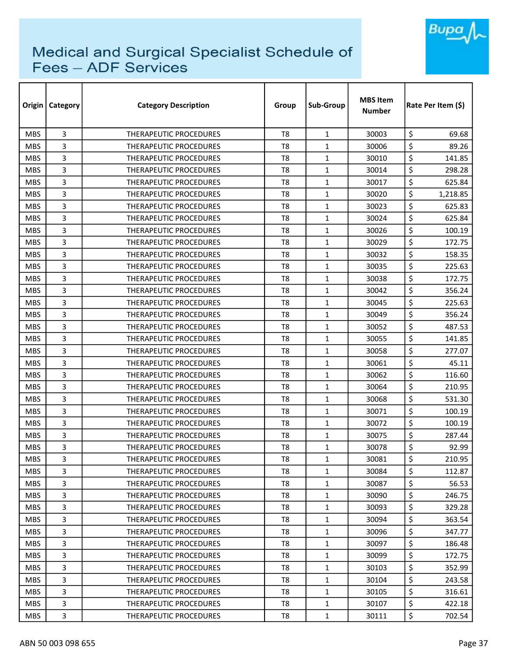

| Origin     | Category | <b>Category Description</b>   | Group          | Sub-Group    | <b>MBS Item</b><br><b>Number</b> | Rate Per Item (S) |
|------------|----------|-------------------------------|----------------|--------------|----------------------------------|-------------------|
| <b>MBS</b> | 3        | <b>THERAPEUTIC PROCEDURES</b> | T <sub>8</sub> | 1            | 30003                            | \$<br>69.68       |
| <b>MBS</b> | 3        | <b>THERAPEUTIC PROCEDURES</b> | T <sub>8</sub> | 1            | 30006                            | \$<br>89.26       |
| <b>MBS</b> | 3        | THERAPEUTIC PROCEDURES        | T <sub>8</sub> | 1            | 30010                            | \$<br>141.85      |
| <b>MBS</b> | 3        | THERAPEUTIC PROCEDURES        | T <sub>8</sub> | $\mathbf{1}$ | 30014                            | \$<br>298.28      |
| <b>MBS</b> | 3        | <b>THERAPEUTIC PROCEDURES</b> | T <sub>8</sub> | $\mathbf{1}$ | 30017                            | \$<br>625.84      |
| <b>MBS</b> | 3        | <b>THERAPEUTIC PROCEDURES</b> | T8             | $\mathbf{1}$ | 30020                            | \$<br>1,218.85    |
| <b>MBS</b> | 3        | <b>THERAPEUTIC PROCEDURES</b> | T <sub>8</sub> | $\mathbf{1}$ | 30023                            | \$<br>625.83      |
| <b>MBS</b> | 3        | <b>THERAPEUTIC PROCEDURES</b> | T8             | $\mathbf{1}$ | 30024                            | \$<br>625.84      |
| <b>MBS</b> | 3        | THERAPEUTIC PROCEDURES        | T <sub>8</sub> | $\mathbf{1}$ | 30026                            | \$<br>100.19      |
| <b>MBS</b> | 3        | <b>THERAPEUTIC PROCEDURES</b> | T8             | 1            | 30029                            | \$<br>172.75      |
| <b>MBS</b> | 3        | THERAPEUTIC PROCEDURES        | T <sub>8</sub> | 1            | 30032                            | \$<br>158.35      |
| <b>MBS</b> | 3        | <b>THERAPEUTIC PROCEDURES</b> | T <sub>8</sub> | $\mathbf{1}$ | 30035                            | \$<br>225.63      |
| <b>MBS</b> | 3        | <b>THERAPEUTIC PROCEDURES</b> | T <sub>8</sub> | 1            | 30038                            | \$<br>172.75      |
| <b>MBS</b> | 3        | <b>THERAPEUTIC PROCEDURES</b> | T <sub>8</sub> | 1            | 30042                            | \$<br>356.24      |
| <b>MBS</b> | 3        | THERAPEUTIC PROCEDURES        | T <sub>8</sub> | $\mathbf{1}$ | 30045                            | \$<br>225.63      |
| <b>MBS</b> | 3        | THERAPEUTIC PROCEDURES        | T <sub>8</sub> | $\mathbf{1}$ | 30049                            | \$<br>356.24      |
| <b>MBS</b> | 3        | <b>THERAPEUTIC PROCEDURES</b> | T8             | 1            | 30052                            | \$<br>487.53      |
| <b>MBS</b> | 3        | <b>THERAPEUTIC PROCEDURES</b> | T <sub>8</sub> | $\mathbf{1}$ | 30055                            | \$<br>141.85      |
| <b>MBS</b> | 3        | <b>THERAPEUTIC PROCEDURES</b> | T <sub>8</sub> | $\mathbf{1}$ | 30058                            | \$<br>277.07      |
| <b>MBS</b> | 3        | <b>THERAPEUTIC PROCEDURES</b> | T8             | 1            | 30061                            | \$<br>45.11       |
| <b>MBS</b> | 3        | <b>THERAPEUTIC PROCEDURES</b> | T <sub>8</sub> | 1            | 30062                            | \$<br>116.60      |
| <b>MBS</b> | 3        | THERAPEUTIC PROCEDURES        | T <sub>8</sub> | 1            | 30064                            | \$<br>210.95      |
| <b>MBS</b> | 3        | THERAPEUTIC PROCEDURES        | T <sub>8</sub> | 1            | 30068                            | \$<br>531.30      |
| <b>MBS</b> | 3        | THERAPEUTIC PROCEDURES        | T <sub>8</sub> | $\mathbf{1}$ | 30071                            | \$<br>100.19      |
| <b>MBS</b> | 3        | <b>THERAPEUTIC PROCEDURES</b> | T8             | 1            | 30072                            | \$<br>100.19      |
| <b>MBS</b> | 3        | THERAPEUTIC PROCEDURES        | T8             | $\mathbf{1}$ | 30075                            | \$<br>287.44      |
| <b>MBS</b> | 3        | <b>THERAPEUTIC PROCEDURES</b> | T8             | 1            | 30078                            | \$<br>92.99       |
| <b>MBS</b> | 3        | THERAPEUTIC PROCEDURES        | T8             | $\mathbf 1$  | 30081                            | \$<br>210.95      |
| <b>MBS</b> | 3        | THERAPEUTIC PROCEDURES        | T8             | $\mathbf{1}$ | 30084                            | \$<br>112.87      |
| <b>MBS</b> | 3        | <b>THERAPEUTIC PROCEDURES</b> | T8             | $\mathbf{1}$ | 30087                            | \$<br>56.53       |
| MBS.       | 3        | THERAPEUTIC PROCEDURES        | T8             | $\mathbf{1}$ | 30090                            | \$<br>246.75      |
| <b>MBS</b> | 3        | THERAPEUTIC PROCEDURES        | T8             | $\mathbf{1}$ | 30093                            | \$<br>329.28      |
| <b>MBS</b> | 3        | THERAPEUTIC PROCEDURES        | T8             | $\mathbf{1}$ | 30094                            | \$<br>363.54      |
| MBS.       | 3        | THERAPEUTIC PROCEDURES        | T8             | $\mathbf{1}$ | 30096                            | \$<br>347.77      |
| <b>MBS</b> | 3        | THERAPEUTIC PROCEDURES        | T8             | $\mathbf{1}$ | 30097                            | \$<br>186.48      |
| <b>MBS</b> | 3        | <b>THERAPEUTIC PROCEDURES</b> | T8             | $\mathbf{1}$ | 30099                            | \$<br>172.75      |
| <b>MBS</b> | 3        | THERAPEUTIC PROCEDURES        | T8             | $\mathbf{1}$ | 30103                            | \$<br>352.99      |
| <b>MBS</b> | 3        | THERAPEUTIC PROCEDURES        | T8             | $\mathbf{1}$ | 30104                            | \$<br>243.58      |
| <b>MBS</b> | 3        | THERAPEUTIC PROCEDURES        | T8             | $\mathbf{1}$ | 30105                            | \$<br>316.61      |
| <b>MBS</b> | 3        | THERAPEUTIC PROCEDURES        | T8             | $\mathbf{1}$ | 30107                            | \$<br>422.18      |
| MBS        | 3        | THERAPEUTIC PROCEDURES        | T8             | $\mathbf{1}$ | 30111                            | \$<br>702.54      |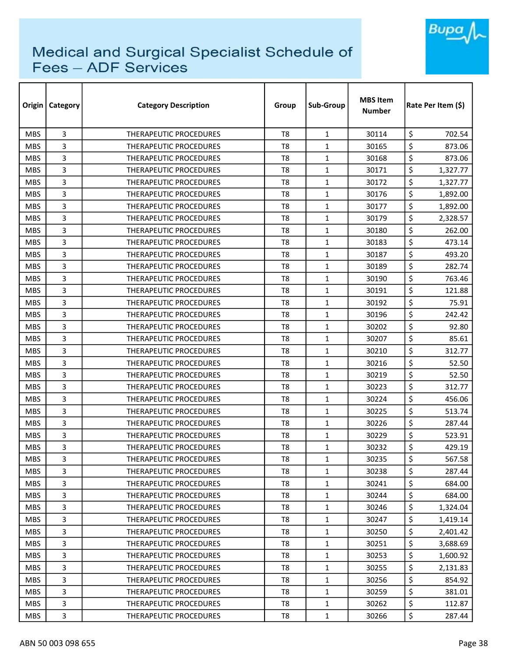

| Origin     | Category | <b>Category Description</b>   | Group          | Sub-Group    | <b>MBS Item</b><br>Number | Rate Per Item (\$) |  |
|------------|----------|-------------------------------|----------------|--------------|---------------------------|--------------------|--|
| <b>MBS</b> | 3        | <b>THERAPEUTIC PROCEDURES</b> | T <sub>8</sub> | $\mathbf{1}$ | 30114                     | \$<br>702.54       |  |
| <b>MBS</b> | 3        | <b>THERAPEUTIC PROCEDURES</b> | T <sub>8</sub> | $\mathbf{1}$ | 30165                     | \$<br>873.06       |  |
| <b>MBS</b> | 3        | THERAPEUTIC PROCEDURES        | T <sub>8</sub> | $\mathbf{1}$ | 30168                     | \$<br>873.06       |  |
| <b>MBS</b> | 3        | <b>THERAPEUTIC PROCEDURES</b> | T <sub>8</sub> | $\mathbf{1}$ | 30171                     | \$<br>1,327.77     |  |
| <b>MBS</b> | 3        | <b>THERAPEUTIC PROCEDURES</b> | T8             | $\mathbf{1}$ | 30172                     | \$<br>1,327.77     |  |
| <b>MBS</b> | 3        | THERAPEUTIC PROCEDURES        | T <sub>8</sub> | $\mathbf{1}$ | 30176                     | \$<br>1,892.00     |  |
| <b>MBS</b> | 3        | <b>THERAPEUTIC PROCEDURES</b> | T <sub>8</sub> | $\mathbf{1}$ | 30177                     | \$<br>1,892.00     |  |
| <b>MBS</b> | 3        | <b>THERAPEUTIC PROCEDURES</b> | T8             | $\mathbf{1}$ | 30179                     | \$<br>2,328.57     |  |
| <b>MBS</b> | 3        | <b>THERAPEUTIC PROCEDURES</b> | T <sub>8</sub> | $\mathbf{1}$ | 30180                     | \$<br>262.00       |  |
| <b>MBS</b> | 3        | <b>THERAPEUTIC PROCEDURES</b> | T <sub>8</sub> | $\mathbf{1}$ | 30183                     | \$<br>473.14       |  |
| <b>MBS</b> | 3        | THERAPEUTIC PROCEDURES        | T <sub>8</sub> | $\mathbf{1}$ | 30187                     | \$<br>493.20       |  |
| <b>MBS</b> | 3        | THERAPEUTIC PROCEDURES        | T <sub>8</sub> | $\mathbf{1}$ | 30189                     | \$<br>282.74       |  |
| <b>MBS</b> | 3        | <b>THERAPEUTIC PROCEDURES</b> | T <sub>8</sub> | $\mathbf{1}$ | 30190                     | \$<br>763.46       |  |
| <b>MBS</b> | 3        | THERAPEUTIC PROCEDURES        | T <sub>8</sub> | $\mathbf{1}$ | 30191                     | \$<br>121.88       |  |
| <b>MBS</b> | 3        | <b>THERAPEUTIC PROCEDURES</b> | T8             | $\mathbf{1}$ | 30192                     | \$<br>75.91        |  |
| <b>MBS</b> | 3        | <b>THERAPEUTIC PROCEDURES</b> | T <sub>8</sub> | $\mathbf{1}$ | 30196                     | \$<br>242.42       |  |
| <b>MBS</b> | 3        | <b>THERAPEUTIC PROCEDURES</b> | T8             | $\mathbf{1}$ | 30202                     | \$<br>92.80        |  |
| <b>MBS</b> | 3        | THERAPEUTIC PROCEDURES        | T <sub>8</sub> | $\mathbf{1}$ | 30207                     | \$<br>85.61        |  |
| <b>MBS</b> | 3        | THERAPEUTIC PROCEDURES        | T8             | $\mathbf{1}$ | 30210                     | \$<br>312.77       |  |
| <b>MBS</b> | 3        | THERAPEUTIC PROCEDURES        | T8             | $\mathbf{1}$ | 30216                     | \$<br>52.50        |  |
| <b>MBS</b> | 3        | <b>THERAPEUTIC PROCEDURES</b> | T <sub>8</sub> | $\mathbf{1}$ | 30219                     | \$<br>52.50        |  |
| <b>MBS</b> | 3        | THERAPEUTIC PROCEDURES        | T <sub>8</sub> | $\mathbf{1}$ | 30223                     | \$<br>312.77       |  |
| <b>MBS</b> | 3        | <b>THERAPEUTIC PROCEDURES</b> | T <sub>8</sub> | $\mathbf{1}$ | 30224                     | \$<br>456.06       |  |
| <b>MBS</b> | 3        | <b>THERAPEUTIC PROCEDURES</b> | T <sub>8</sub> | $\mathbf{1}$ | 30225                     | \$<br>513.74       |  |
| <b>MBS</b> | 3        | THERAPEUTIC PROCEDURES        | T8             | $\mathbf{1}$ | 30226                     | \$<br>287.44       |  |
| <b>MBS</b> | 3        | <b>THERAPEUTIC PROCEDURES</b> | T <sub>8</sub> | $\mathbf{1}$ | 30229                     | \$<br>523.91       |  |
| <b>MBS</b> | 3        | <b>THERAPEUTIC PROCEDURES</b> | T8             | 1            | 30232                     | \$<br>429.19       |  |
| <b>MBS</b> | 3        | THERAPEUTIC PROCEDURES        | T <sub>8</sub> | $\mathbf 1$  | 30235                     | \$<br>567.58       |  |
| <b>MBS</b> | 3        | THERAPEUTIC PROCEDURES        | T8             | $\mathbf{1}$ | 30238                     | \$<br>287.44       |  |
| <b>MBS</b> | 3        | THERAPEUTIC PROCEDURES        | T8             | $\mathbf{1}$ | 30241                     | \$<br>684.00       |  |
| <b>MBS</b> | 3        | THERAPEUTIC PROCEDURES        | T8             | $\mathbf{1}$ | 30244                     | \$<br>684.00       |  |
| <b>MBS</b> | 3        | <b>THERAPEUTIC PROCEDURES</b> | T8             | $\mathbf{1}$ | 30246                     | \$<br>1,324.04     |  |
| <b>MBS</b> | 3        | THERAPEUTIC PROCEDURES        | T8             | $\mathbf{1}$ | 30247                     | \$<br>1,419.14     |  |
| <b>MBS</b> | 3        | THERAPEUTIC PROCEDURES        | T8             | $\mathbf{1}$ | 30250                     | \$<br>2,401.42     |  |
| <b>MBS</b> | 3        | <b>THERAPEUTIC PROCEDURES</b> | T <sub>8</sub> | $\mathbf{1}$ | 30251                     | \$<br>3,688.69     |  |
| <b>MBS</b> | 3        | THERAPEUTIC PROCEDURES        | T8             | $\mathbf{1}$ | 30253                     | \$<br>1,600.92     |  |
| <b>MBS</b> | 3        | THERAPEUTIC PROCEDURES        | T8             | $\mathbf{1}$ | 30255                     | \$<br>2,131.83     |  |
| <b>MBS</b> | 3        | THERAPEUTIC PROCEDURES        | T8             | $\mathbf{1}$ | 30256                     | \$<br>854.92       |  |
| <b>MBS</b> | 3        | THERAPEUTIC PROCEDURES        | T8             | $\mathbf{1}$ | 30259                     | \$<br>381.01       |  |
| <b>MBS</b> | 3        | THERAPEUTIC PROCEDURES        | T8             | $\mathbf{1}$ | 30262                     | \$<br>112.87       |  |
| <b>MBS</b> | 3        | THERAPEUTIC PROCEDURES        | T8             | $\mathbf{1}$ | 30266                     | \$<br>287.44       |  |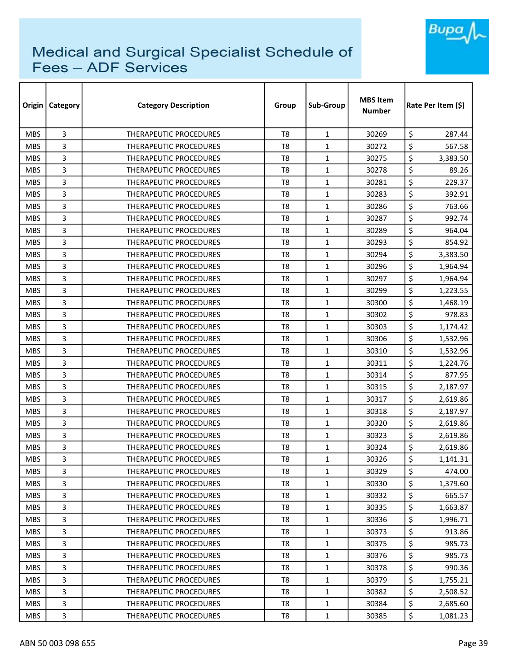

| Origin     | <b>Category</b> | <b>Category Description</b>   | Group          | Sub-Group    | <b>MBS Item</b><br><b>Number</b> | Rate Per Item (S) |
|------------|-----------------|-------------------------------|----------------|--------------|----------------------------------|-------------------|
| <b>MBS</b> | 3               | THERAPEUTIC PROCEDURES        | T <sub>8</sub> | $\mathbf{1}$ | 30269                            | \$<br>287.44      |
| <b>MBS</b> | 3               | <b>THERAPEUTIC PROCEDURES</b> | T <sub>8</sub> | $\mathbf{1}$ | 30272                            | \$<br>567.58      |
| <b>MBS</b> | 3               | THERAPEUTIC PROCEDURES        | T8             | $\mathbf{1}$ | 30275                            | \$<br>3,383.50    |
| <b>MBS</b> | 3               | THERAPEUTIC PROCEDURES        | T <sub>8</sub> | $\mathbf{1}$ | 30278                            | \$<br>89.26       |
| <b>MBS</b> | 3               | THERAPEUTIC PROCEDURES        | T <sub>8</sub> | $\mathbf{1}$ | 30281                            | \$<br>229.37      |
| <b>MBS</b> | 3               | <b>THERAPEUTIC PROCEDURES</b> | T8             | 1            | 30283                            | \$<br>392.91      |
| <b>MBS</b> | 3               | <b>THERAPEUTIC PROCEDURES</b> | T8             | $\mathbf{1}$ | 30286                            | \$<br>763.66      |
| <b>MBS</b> | 3               | THERAPEUTIC PROCEDURES        | T8             | $\mathbf{1}$ | 30287                            | \$<br>992.74      |
| <b>MBS</b> | 3               | THERAPEUTIC PROCEDURES        | T <sub>8</sub> | $\mathbf{1}$ | 30289                            | \$<br>964.04      |
| <b>MBS</b> | 3               | THERAPEUTIC PROCEDURES        | T <sub>8</sub> | $\mathbf{1}$ | 30293                            | \$<br>854.92      |
| <b>MBS</b> | 3               | THERAPEUTIC PROCEDURES        | T <sub>8</sub> | $\mathbf{1}$ | 30294                            | \$<br>3,383.50    |
| <b>MBS</b> | 3               | THERAPEUTIC PROCEDURES        | T <sub>8</sub> | $\mathbf{1}$ | 30296                            | \$<br>1,964.94    |
| <b>MBS</b> | 3               | <b>THERAPEUTIC PROCEDURES</b> | T <sub>8</sub> | 1            | 30297                            | \$<br>1,964.94    |
| <b>MBS</b> | 3               | THERAPEUTIC PROCEDURES        | T <sub>8</sub> | $\mathbf{1}$ | 30299                            | \$<br>1,223.55    |
| <b>MBS</b> | 3               | THERAPEUTIC PROCEDURES        | T <sub>8</sub> | $\mathbf{1}$ | 30300                            | \$<br>1,468.19    |
| <b>MBS</b> | 3               | THERAPEUTIC PROCEDURES        | T <sub>8</sub> | $\mathbf{1}$ | 30302                            | \$<br>978.83      |
| <b>MBS</b> | 3               | <b>THERAPEUTIC PROCEDURES</b> | T <sub>8</sub> | $\mathbf{1}$ | 30303                            | \$<br>1,174.42    |
| <b>MBS</b> | 3               | <b>THERAPEUTIC PROCEDURES</b> | T <sub>8</sub> | 1            | 30306                            | \$<br>1,532.96    |
| <b>MBS</b> | 3               | THERAPEUTIC PROCEDURES        | T <sub>8</sub> | $\mathbf{1}$ | 30310                            | \$<br>1,532.96    |
| <b>MBS</b> | 3               | THERAPEUTIC PROCEDURES        | T8             | $\mathbf{1}$ | 30311                            | \$<br>1,224.76    |
| <b>MBS</b> | 3               | THERAPEUTIC PROCEDURES        | T <sub>8</sub> | 1            | 30314                            | \$<br>877.95      |
| <b>MBS</b> | 3               | THERAPEUTIC PROCEDURES        | T8             | $\mathbf{1}$ | 30315                            | \$<br>2,187.97    |
| <b>MBS</b> | 3               | THERAPEUTIC PROCEDURES        | T <sub>8</sub> | $\mathbf{1}$ | 30317                            | \$<br>2,619.86    |
| <b>MBS</b> | 3               | THERAPEUTIC PROCEDURES        | T <sub>8</sub> | $\mathbf{1}$ | 30318                            | \$<br>2,187.97    |
| <b>MBS</b> | 3               | THERAPEUTIC PROCEDURES        | T8             | $\mathbf{1}$ | 30320                            | \$<br>2,619.86    |
| <b>MBS</b> | 3               | <b>THERAPEUTIC PROCEDURES</b> | T8             | $\mathbf{1}$ | 30323                            | \$<br>2,619.86    |
| <b>MBS</b> | 3               | THERAPEUTIC PROCEDURES        | T8             | 1            | 30324                            | \$<br>2,619.86    |
| <b>MBS</b> | 3               | THERAPEUTIC PROCEDURES        | T <sub>8</sub> | $\mathbf 1$  | 30326                            | \$<br>1,141.31    |
| <b>MBS</b> | 3               | THERAPEUTIC PROCEDURES        | T8             | $\mathbf{1}$ | 30329                            | \$<br>474.00      |
| <b>MBS</b> | 3               | THERAPEUTIC PROCEDURES        | T8             | $\mathbf{1}$ | 30330                            | \$<br>1,379.60    |
| <b>MBS</b> | 3               | THERAPEUTIC PROCEDURES        | T8             | $\mathbf{1}$ | 30332                            | \$<br>665.57      |
| <b>MBS</b> | 3               | THERAPEUTIC PROCEDURES        | T8             | $\mathbf{1}$ | 30335                            | \$<br>1,663.87    |
| <b>MBS</b> | 3               | THERAPEUTIC PROCEDURES        | T8             | $\mathbf{1}$ | 30336                            | \$<br>1,996.71    |
| <b>MBS</b> | 3               | THERAPEUTIC PROCEDURES        | T8             | $\mathbf{1}$ | 30373                            | \$<br>913.86      |
| <b>MBS</b> | 3               | THERAPEUTIC PROCEDURES        | T8             | $\mathbf{1}$ | 30375                            | \$<br>985.73      |
| <b>MBS</b> | 3               | <b>THERAPEUTIC PROCEDURES</b> | T8             | $\mathbf{1}$ | 30376                            | \$<br>985.73      |
| <b>MBS</b> | 3               | THERAPEUTIC PROCEDURES        | T8             | $\mathbf{1}$ | 30378                            | \$<br>990.36      |
| <b>MBS</b> | 3               | THERAPEUTIC PROCEDURES        | T8             | $\mathbf{1}$ | 30379                            | \$<br>1,755.21    |
| <b>MBS</b> | 3               | THERAPEUTIC PROCEDURES        | T8             | $\mathbf{1}$ | 30382                            | \$<br>2,508.52    |
| <b>MBS</b> | 3               | THERAPEUTIC PROCEDURES        | T8             | $\mathbf{1}$ | 30384                            | \$<br>2,685.60    |
| <b>MBS</b> | 3               | THERAPEUTIC PROCEDURES        | T8             | $\mathbf{1}$ | 30385                            | \$<br>1,081.23    |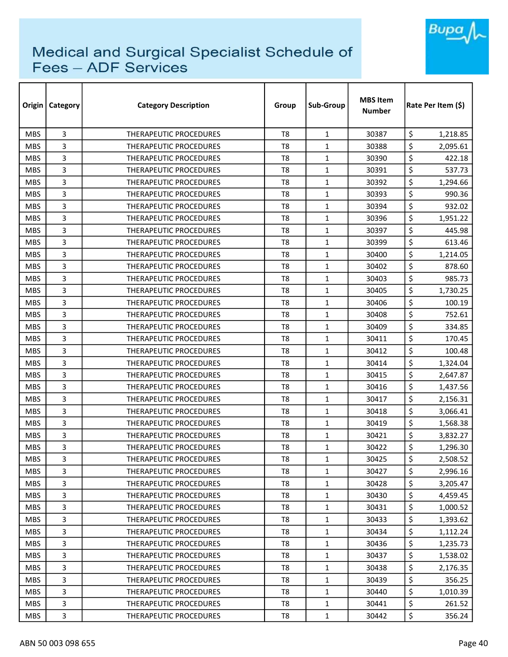

| Origin     | Category | <b>Category Description</b>   | Group          | Sub-Group    | <b>MBS Item</b><br>Number | Rate Per Item (\$) |  |
|------------|----------|-------------------------------|----------------|--------------|---------------------------|--------------------|--|
| <b>MBS</b> | 3        | <b>THERAPEUTIC PROCEDURES</b> | T <sub>8</sub> | $\mathbf{1}$ | 30387                     | \$<br>1,218.85     |  |
| <b>MBS</b> | 3        | <b>THERAPEUTIC PROCEDURES</b> | T <sub>8</sub> | $\mathbf{1}$ | 30388                     | \$<br>2,095.61     |  |
| <b>MBS</b> | 3        | THERAPEUTIC PROCEDURES        | T <sub>8</sub> | $\mathbf{1}$ | 30390                     | \$<br>422.18       |  |
| <b>MBS</b> | 3        | THERAPEUTIC PROCEDURES        | T <sub>8</sub> | $\mathbf{1}$ | 30391                     | \$<br>537.73       |  |
| <b>MBS</b> | 3        | <b>THERAPEUTIC PROCEDURES</b> | T8             | $\mathbf{1}$ | 30392                     | \$<br>1,294.66     |  |
| <b>MBS</b> | 3        | THERAPEUTIC PROCEDURES        | T <sub>8</sub> | $\mathbf{1}$ | 30393                     | \$<br>990.36       |  |
| <b>MBS</b> | 3        | THERAPEUTIC PROCEDURES        | T <sub>8</sub> | $\mathbf{1}$ | 30394                     | \$<br>932.02       |  |
| <b>MBS</b> | 3        | <b>THERAPEUTIC PROCEDURES</b> | T8             | $\mathbf{1}$ | 30396                     | \$<br>1,951.22     |  |
| <b>MBS</b> | 3        | <b>THERAPEUTIC PROCEDURES</b> | T <sub>8</sub> | $\mathbf{1}$ | 30397                     | \$<br>445.98       |  |
| <b>MBS</b> | 3        | <b>THERAPEUTIC PROCEDURES</b> | T <sub>8</sub> | $\mathbf{1}$ | 30399                     | \$<br>613.46       |  |
| <b>MBS</b> | 3        | THERAPEUTIC PROCEDURES        | T <sub>8</sub> | $\mathbf{1}$ | 30400                     | \$<br>1,214.05     |  |
| <b>MBS</b> | 3        | THERAPEUTIC PROCEDURES        | T <sub>8</sub> | $\mathbf{1}$ | 30402                     | \$<br>878.60       |  |
| <b>MBS</b> | 3        | <b>THERAPEUTIC PROCEDURES</b> | T8             | $\mathbf{1}$ | 30403                     | \$<br>985.73       |  |
| <b>MBS</b> | 3        | THERAPEUTIC PROCEDURES        | T <sub>8</sub> | $\mathbf{1}$ | 30405                     | \$<br>1,730.25     |  |
| <b>MBS</b> | 3        | <b>THERAPEUTIC PROCEDURES</b> | T8             | $\mathbf{1}$ | 30406                     | \$<br>100.19       |  |
| <b>MBS</b> | 3        | <b>THERAPEUTIC PROCEDURES</b> | T <sub>8</sub> | $\mathbf{1}$ | 30408                     | \$<br>752.61       |  |
| <b>MBS</b> | 3        | <b>THERAPEUTIC PROCEDURES</b> | T8             | $\mathbf{1}$ | 30409                     | \$<br>334.85       |  |
| <b>MBS</b> | 3        | THERAPEUTIC PROCEDURES        | T <sub>8</sub> | $\mathbf{1}$ | 30411                     | \$<br>170.45       |  |
| <b>MBS</b> | 3        | <b>THERAPEUTIC PROCEDURES</b> | T8             | $\mathbf{1}$ | 30412                     | \$<br>100.48       |  |
| <b>MBS</b> | 3        | <b>THERAPEUTIC PROCEDURES</b> | T8             | $\mathbf{1}$ | 30414                     | \$<br>1,324.04     |  |
| <b>MBS</b> | 3        | <b>THERAPEUTIC PROCEDURES</b> | T8             | $\mathbf{1}$ | 30415                     | \$<br>2,647.87     |  |
| <b>MBS</b> | 3        | THERAPEUTIC PROCEDURES        | T <sub>8</sub> | $\mathbf{1}$ | 30416                     | \$<br>1,437.56     |  |
| <b>MBS</b> | 3        | THERAPEUTIC PROCEDURES        | T <sub>8</sub> | $\mathbf{1}$ | 30417                     | \$<br>2,156.31     |  |
| <b>MBS</b> | 3        | <b>THERAPEUTIC PROCEDURES</b> | T <sub>8</sub> | $\mathbf{1}$ | 30418                     | \$<br>3,066.41     |  |
| <b>MBS</b> | 3        | THERAPEUTIC PROCEDURES        | T8             | $\mathbf{1}$ | 30419                     | \$<br>1,568.38     |  |
| <b>MBS</b> | 3        | <b>THERAPEUTIC PROCEDURES</b> | T <sub>8</sub> | $\mathbf{1}$ | 30421                     | \$<br>3,832.27     |  |
| <b>MBS</b> | 3        | <b>THERAPEUTIC PROCEDURES</b> | T8             | 1            | 30422                     | \$<br>1,296.30     |  |
| <b>MBS</b> | 3        | THERAPEUTIC PROCEDURES        | T <sub>8</sub> | 1            | 30425                     | \$<br>2,508.52     |  |
| <b>MBS</b> | 3        | THERAPEUTIC PROCEDURES        | T8             | $\mathbf{1}$ | 30427                     | \$<br>2,996.16     |  |
| <b>MBS</b> | 3        | THERAPEUTIC PROCEDURES        | T8             | $\mathbf{1}$ | 30428                     | \$<br>3,205.47     |  |
| <b>MBS</b> | 3        | THERAPEUTIC PROCEDURES        | T8             | $\mathbf{1}$ | 30430                     | \$<br>4,459.45     |  |
| <b>MBS</b> | 3        | <b>THERAPEUTIC PROCEDURES</b> | T8             | $\mathbf{1}$ | 30431                     | \$<br>1,000.52     |  |
| <b>MBS</b> | 3        | <b>THERAPEUTIC PROCEDURES</b> | T8             | $\mathbf{1}$ | 30433                     | \$<br>1,393.62     |  |
| <b>MBS</b> | 3        | THERAPEUTIC PROCEDURES        | T8             | $\mathbf{1}$ | 30434                     | \$<br>1,112.24     |  |
| <b>MBS</b> | 3        | THERAPEUTIC PROCEDURES        | T <sub>8</sub> | $\mathbf{1}$ | 30436                     | \$<br>1,235.73     |  |
| <b>MBS</b> | 3        | <b>THERAPEUTIC PROCEDURES</b> | $\mathsf{T}8$  | $\mathbf{1}$ | 30437                     | \$<br>1,538.02     |  |
| <b>MBS</b> | 3        | THERAPEUTIC PROCEDURES        | T8             | $\mathbf{1}$ | 30438                     | \$<br>2,176.35     |  |
| <b>MBS</b> | 3        | THERAPEUTIC PROCEDURES        | T8             | $\mathbf{1}$ | 30439                     | \$<br>356.25       |  |
| <b>MBS</b> | 3        | THERAPEUTIC PROCEDURES        | T8             | $\mathbf{1}$ | 30440                     | \$<br>1,010.39     |  |
| <b>MBS</b> | 3        | THERAPEUTIC PROCEDURES        | T8             | $\mathbf{1}$ | 30441                     | \$<br>261.52       |  |
| <b>MBS</b> | 3        | THERAPEUTIC PROCEDURES        | T8             | $\mathbf{1}$ | 30442                     | \$<br>356.24       |  |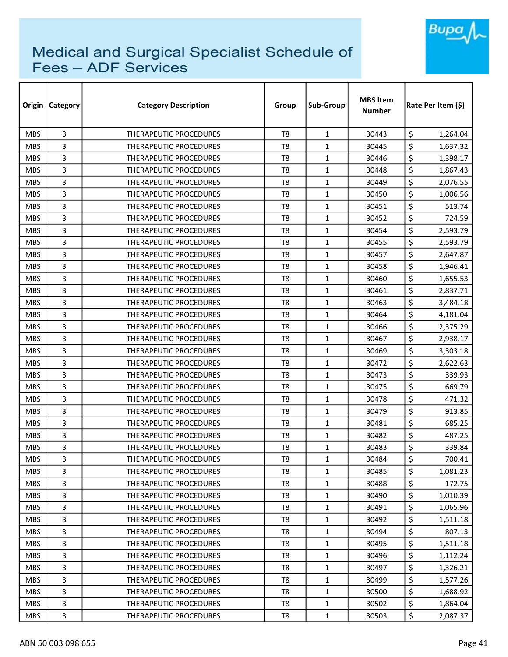

| Origin     | <b>Category</b> | <b>Category Description</b>   | Group          | Sub-Group    | <b>MBS Item</b><br><b>Number</b> | Rate Per Item (\$) |
|------------|-----------------|-------------------------------|----------------|--------------|----------------------------------|--------------------|
| <b>MBS</b> | 3               | <b>THERAPEUTIC PROCEDURES</b> | T <sub>8</sub> | $\mathbf{1}$ | 30443                            | \$<br>1,264.04     |
| <b>MBS</b> | 3               | <b>THERAPEUTIC PROCEDURES</b> | T <sub>8</sub> | $\mathbf{1}$ | 30445                            | \$<br>1,637.32     |
| <b>MBS</b> | 3               | THERAPEUTIC PROCEDURES        | T <sub>8</sub> | $\mathbf{1}$ | 30446                            | \$<br>1,398.17     |
| <b>MBS</b> | 3               | THERAPEUTIC PROCEDURES        | T <sub>8</sub> | $\mathbf{1}$ | 30448                            | \$<br>1,867.43     |
| <b>MBS</b> | 3               | THERAPEUTIC PROCEDURES        | T <sub>8</sub> | $\mathbf{1}$ | 30449                            | \$<br>2,076.55     |
| <b>MBS</b> | 3               | <b>THERAPEUTIC PROCEDURES</b> | T <sub>8</sub> | 1            | 30450                            | \$<br>1,006.56     |
| <b>MBS</b> | 3               | THERAPEUTIC PROCEDURES        | T8             | 1            | 30451                            | \$<br>513.74       |
| <b>MBS</b> | 3               | THERAPEUTIC PROCEDURES        | T8             | $\mathbf{1}$ | 30452                            | \$<br>724.59       |
| <b>MBS</b> | 3               | THERAPEUTIC PROCEDURES        | T <sub>8</sub> | $\mathbf{1}$ | 30454                            | \$<br>2,593.79     |
| <b>MBS</b> | 3               | THERAPEUTIC PROCEDURES        | T <sub>8</sub> | $\mathbf{1}$ | 30455                            | \$<br>2,593.79     |
| <b>MBS</b> | 3               | THERAPEUTIC PROCEDURES        | T <sub>8</sub> | $\mathbf{1}$ | 30457                            | \$<br>2,647.87     |
| <b>MBS</b> | 3               | <b>THERAPEUTIC PROCEDURES</b> | T <sub>8</sub> | $\mathbf{1}$ | 30458                            | \$<br>1,946.41     |
| <b>MBS</b> | 3               | <b>THERAPEUTIC PROCEDURES</b> | T <sub>8</sub> | 1            | 30460                            | \$<br>1,655.53     |
| <b>MBS</b> | 3               | <b>THERAPEUTIC PROCEDURES</b> | T <sub>8</sub> | $\mathbf{1}$ | 30461                            | \$<br>2,837.71     |
| <b>MBS</b> | 3               | <b>THERAPEUTIC PROCEDURES</b> | T8             | $\mathbf{1}$ | 30463                            | \$<br>3,484.18     |
| <b>MBS</b> | 3               | <b>THERAPEUTIC PROCEDURES</b> | T <sub>8</sub> | $\mathbf{1}$ | 30464                            | \$<br>4,181.04     |
| <b>MBS</b> | 3               | <b>THERAPEUTIC PROCEDURES</b> | T8             | 1            | 30466                            | \$<br>2,375.29     |
| <b>MBS</b> | 3               | THERAPEUTIC PROCEDURES        | T <sub>8</sub> | $\mathbf{1}$ | 30467                            | \$<br>2,938.17     |
| <b>MBS</b> | 3               | THERAPEUTIC PROCEDURES        | T <sub>8</sub> | $\mathbf{1}$ | 30469                            | \$<br>3,303.18     |
| <b>MBS</b> | 3               | THERAPEUTIC PROCEDURES        | T8             | $\mathbf{1}$ | 30472                            | \$<br>2,622.63     |
| <b>MBS</b> | 3               | <b>THERAPEUTIC PROCEDURES</b> | T8             | $\mathbf{1}$ | 30473                            | \$<br>339.93       |
| <b>MBS</b> | 3               | THERAPEUTIC PROCEDURES        | T <sub>8</sub> | $\mathbf{1}$ | 30475                            | \$<br>669.79       |
| <b>MBS</b> | 3               | <b>THERAPEUTIC PROCEDURES</b> | T <sub>8</sub> | $\mathbf{1}$ | 30478                            | \$<br>471.32       |
| <b>MBS</b> | 3               | <b>THERAPEUTIC PROCEDURES</b> | T <sub>8</sub> | $\mathbf{1}$ | 30479                            | \$<br>913.85       |
| <b>MBS</b> | 3               | THERAPEUTIC PROCEDURES        | T8             | 1            | 30481                            | \$<br>685.25       |
| <b>MBS</b> | 3               | <b>THERAPEUTIC PROCEDURES</b> | T <sub>8</sub> | $\mathbf{1}$ | 30482                            | \$<br>487.25       |
| <b>MBS</b> | 3               | <b>THERAPEUTIC PROCEDURES</b> | T8             | $\mathbf{1}$ | 30483                            | \$<br>339.84       |
| <b>MBS</b> | 3               | THERAPEUTIC PROCEDURES        | T <sub>8</sub> | $\mathbf 1$  | 30484                            | \$<br>700.41       |
| <b>MBS</b> | 3               | THERAPEUTIC PROCEDURES        | T8             | $\mathbf{1}$ | 30485                            | \$<br>1,081.23     |
| <b>MBS</b> | 3               | THERAPEUTIC PROCEDURES        | T8             | $\mathbf{1}$ | 30488                            | \$<br>172.75       |
| <b>MBS</b> | 3               | <b>THERAPEUTIC PROCEDURES</b> | T8             | $\mathbf{1}$ | 30490                            | \$<br>1,010.39     |
| <b>MBS</b> | 3               | <b>THERAPEUTIC PROCEDURES</b> | T8             | $\mathbf{1}$ | 30491                            | \$<br>1,065.96     |
| <b>MBS</b> | 3               | THERAPEUTIC PROCEDURES        | T8             | $\mathbf{1}$ | 30492                            | \$<br>1,511.18     |
| <b>MBS</b> | 3               | THERAPEUTIC PROCEDURES        | T8             | $\mathbf{1}$ | 30494                            | \$<br>807.13       |
| <b>MBS</b> | 3               | THERAPEUTIC PROCEDURES        | T <sub>8</sub> | $\mathbf{1}$ | 30495                            | \$<br>1,511.18     |
| <b>MBS</b> | 3               | THERAPEUTIC PROCEDURES        | T8             | 1            | 30496                            | \$<br>1,112.24     |
| <b>MBS</b> | 3               | THERAPEUTIC PROCEDURES        | T8             | $\mathbf{1}$ | 30497                            | \$<br>1,326.21     |
| <b>MBS</b> | 3               | THERAPEUTIC PROCEDURES        | T8             | $\mathbf{1}$ | 30499                            | \$<br>1,577.26     |
| <b>MBS</b> | 3               | THERAPEUTIC PROCEDURES        | T8             | $\mathbf{1}$ | 30500                            | \$<br>1,688.92     |
| <b>MBS</b> | 3               | THERAPEUTIC PROCEDURES        | T8             | $\mathbf{1}$ | 30502                            | \$<br>1,864.04     |
| <b>MBS</b> | 3               | THERAPEUTIC PROCEDURES        | T8             | 1            | 30503                            | \$<br>2,087.37     |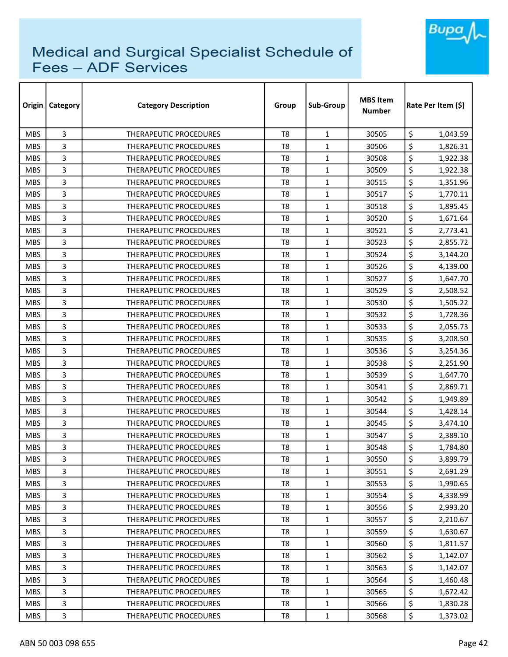

| Origin     | <b>Category</b> | <b>Category Description</b>   | Group          | Sub-Group    | <b>MBS Item</b><br><b>Number</b> | Rate Per Item (\$) |
|------------|-----------------|-------------------------------|----------------|--------------|----------------------------------|--------------------|
| <b>MBS</b> | 3               | <b>THERAPEUTIC PROCEDURES</b> | T <sub>8</sub> | $\mathbf{1}$ | 30505                            | \$<br>1,043.59     |
| <b>MBS</b> | 3               | THERAPEUTIC PROCEDURES        | T <sub>8</sub> | $\mathbf{1}$ | 30506                            | \$<br>1,826.31     |
| <b>MBS</b> | 3               | THERAPEUTIC PROCEDURES        | T8             | $\mathbf{1}$ | 30508                            | \$<br>1,922.38     |
| <b>MBS</b> | 3               | THERAPEUTIC PROCEDURES        | T <sub>8</sub> | $\mathbf{1}$ | 30509                            | \$<br>1,922.38     |
| <b>MBS</b> | 3               | <b>THERAPEUTIC PROCEDURES</b> | T <sub>8</sub> | $\mathbf{1}$ | 30515                            | \$<br>1,351.96     |
| <b>MBS</b> | 3               | <b>THERAPEUTIC PROCEDURES</b> | T <sub>8</sub> | 1            | 30517                            | \$<br>1,770.11     |
| <b>MBS</b> | 3               | <b>THERAPEUTIC PROCEDURES</b> | T <sub>8</sub> | $\mathbf{1}$ | 30518                            | \$<br>1,895.45     |
| <b>MBS</b> | 3               | <b>THERAPEUTIC PROCEDURES</b> | T8             | $\mathbf{1}$ | 30520                            | \$<br>1,671.64     |
| <b>MBS</b> | 3               | THERAPEUTIC PROCEDURES        | T <sub>8</sub> | $\mathbf{1}$ | 30521                            | \$<br>2,773.41     |
| <b>MBS</b> | 3               | <b>THERAPEUTIC PROCEDURES</b> | T <sub>8</sub> | $\mathbf{1}$ | 30523                            | \$<br>2,855.72     |
| <b>MBS</b> | 3               | THERAPEUTIC PROCEDURES        | T <sub>8</sub> | $\mathbf{1}$ | 30524                            | \$<br>3,144.20     |
| <b>MBS</b> | 3               | <b>THERAPEUTIC PROCEDURES</b> | T <sub>8</sub> | $\mathbf{1}$ | 30526                            | \$<br>4,139.00     |
| <b>MBS</b> | 3               | <b>THERAPEUTIC PROCEDURES</b> | T <sub>8</sub> | 1            | 30527                            | \$<br>1,647.70     |
| <b>MBS</b> | 3               | THERAPEUTIC PROCEDURES        | T <sub>8</sub> | $\mathbf{1}$ | 30529                            | \$<br>2,508.52     |
| <b>MBS</b> | 3               | THERAPEUTIC PROCEDURES        | T8             | $\mathbf{1}$ | 30530                            | \$<br>1,505.22     |
| <b>MBS</b> | 3               | THERAPEUTIC PROCEDURES        | T <sub>8</sub> | $\mathbf{1}$ | 30532                            | \$<br>1,728.36     |
| <b>MBS</b> | 3               | <b>THERAPEUTIC PROCEDURES</b> | T8             | 1            | 30533                            | \$<br>2,055.73     |
| <b>MBS</b> | 3               | THERAPEUTIC PROCEDURES        | T <sub>8</sub> | $\mathbf{1}$ | 30535                            | \$<br>3,208.50     |
| <b>MBS</b> | 3               | THERAPEUTIC PROCEDURES        | T <sub>8</sub> | $\mathbf{1}$ | 30536                            | \$<br>3,254.36     |
| <b>MBS</b> | 3               | THERAPEUTIC PROCEDURES        | T8             | $\mathbf{1}$ | 30538                            | \$<br>2,251.90     |
| <b>MBS</b> | 3               | THERAPEUTIC PROCEDURES        | T8             | $\mathbf{1}$ | 30539                            | \$<br>1,647.70     |
| <b>MBS</b> | 3               | THERAPEUTIC PROCEDURES        | T <sub>8</sub> | $\mathbf{1}$ | 30541                            | \$<br>2,869.71     |
| <b>MBS</b> | 3               | THERAPEUTIC PROCEDURES        | T <sub>8</sub> | $\mathbf{1}$ | 30542                            | \$<br>1,949.89     |
| <b>MBS</b> | 3               | THERAPEUTIC PROCEDURES        | T <sub>8</sub> | $\mathbf{1}$ | 30544                            | \$<br>1,428.14     |
| <b>MBS</b> | 3               | THERAPEUTIC PROCEDURES        | T <sub>8</sub> | 1            | 30545                            | \$<br>3,474.10     |
| <b>MBS</b> | 3               | THERAPEUTIC PROCEDURES        | T <sub>8</sub> | $\mathbf{1}$ | 30547                            | \$<br>2,389.10     |
| <b>MBS</b> | 3               | THERAPEUTIC PROCEDURES        | T8             | $\mathbf{1}$ | 30548                            | \$<br>1,784.80     |
| <b>MBS</b> | 3               | THERAPEUTIC PROCEDURES        | T <sub>8</sub> | $\mathbf 1$  | 30550                            | \$<br>3,899.79     |
| <b>MBS</b> | 3               | THERAPEUTIC PROCEDURES        | T8             | $\mathbf{1}$ | 30551                            | \$<br>2,691.29     |
| <b>MBS</b> | 3               | THERAPEUTIC PROCEDURES        | T8             | $\mathbf{1}$ | 30553                            | \$<br>1,990.65     |
| <b>MBS</b> | 3               | THERAPEUTIC PROCEDURES        | T <sub>8</sub> | $\mathbf{1}$ | 30554                            | \$<br>4,338.99     |
| <b>MBS</b> | 3               | <b>THERAPEUTIC PROCEDURES</b> | T8             | $\mathbf{1}$ | 30556                            | \$<br>2,993.20     |
| <b>MBS</b> | 3               | THERAPEUTIC PROCEDURES        | T <sub>8</sub> | $\mathbf{1}$ | 30557                            | \$<br>2,210.67     |
| <b>MBS</b> | 3               | <b>THERAPEUTIC PROCEDURES</b> | T8             | $\mathbf{1}$ | 30559                            | \$<br>1,630.67     |
| <b>MBS</b> | 3               | THERAPEUTIC PROCEDURES        | T <sub>8</sub> | $\mathbf{1}$ | 30560                            | \$<br>1,811.57     |
| <b>MBS</b> | 3               | THERAPEUTIC PROCEDURES        | T8             | 1            | 30562                            | \$<br>1,142.07     |
| <b>MBS</b> | 3               | THERAPEUTIC PROCEDURES        | T8             | $\mathbf{1}$ | 30563                            | \$<br>1,142.07     |
| <b>MBS</b> | 3               | THERAPEUTIC PROCEDURES        | T <sub>8</sub> | $\mathbf{1}$ | 30564                            | \$<br>1,460.48     |
| <b>MBS</b> | 3               | THERAPEUTIC PROCEDURES        | T8             | $\mathbf{1}$ | 30565                            | \$<br>1,672.42     |
| <b>MBS</b> | 3               | THERAPEUTIC PROCEDURES        | T8             | $\mathbf{1}$ | 30566                            | \$<br>1,830.28     |
| <b>MBS</b> | 3               | THERAPEUTIC PROCEDURES        | T8             | 1            | 30568                            | \$<br>1,373.02     |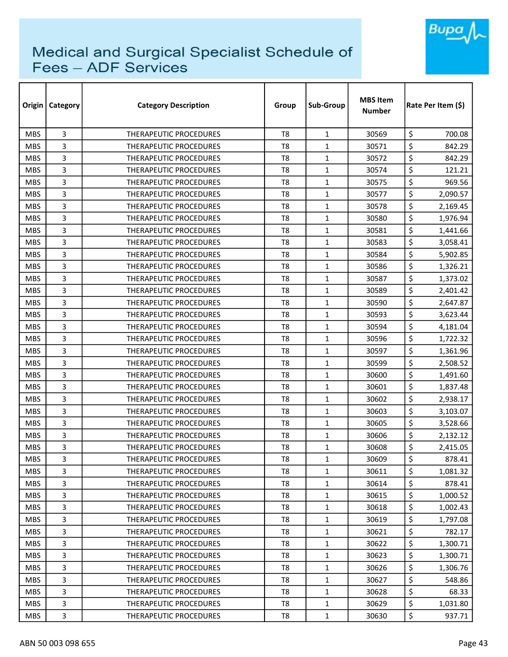

| Origin     | Category | <b>Category Description</b>   | Group          | Sub-Group    | <b>MBS Item</b><br>Number | Rate Per Item (\$) |  |
|------------|----------|-------------------------------|----------------|--------------|---------------------------|--------------------|--|
| <b>MBS</b> | 3        | THERAPEUTIC PROCEDURES        | T <sub>8</sub> | $\mathbf{1}$ | 30569                     | \$<br>700.08       |  |
| <b>MBS</b> | 3        | <b>THERAPEUTIC PROCEDURES</b> | T <sub>8</sub> | $\mathbf{1}$ | 30571                     | \$<br>842.29       |  |
| <b>MBS</b> | 3        | THERAPEUTIC PROCEDURES        | T8             | $\mathbf{1}$ | 30572                     | \$<br>842.29       |  |
| <b>MBS</b> | 3        | THERAPEUTIC PROCEDURES        | T <sub>8</sub> | $\mathbf{1}$ | 30574                     | \$<br>121.21       |  |
| <b>MBS</b> | 3        | <b>THERAPEUTIC PROCEDURES</b> | T8             | $\mathbf{1}$ | 30575                     | \$<br>969.56       |  |
| <b>MBS</b> | 3        | THERAPEUTIC PROCEDURES        | T <sub>8</sub> | $\mathbf{1}$ | 30577                     | \$<br>2,090.57     |  |
| <b>MBS</b> | 3        | THERAPEUTIC PROCEDURES        | T <sub>8</sub> | $\mathbf{1}$ | 30578                     | \$<br>2,169.45     |  |
| <b>MBS</b> | 3        | <b>THERAPEUTIC PROCEDURES</b> | T8             | $\mathbf{1}$ | 30580                     | \$<br>1,976.94     |  |
| <b>MBS</b> | 3        | <b>THERAPEUTIC PROCEDURES</b> | T <sub>8</sub> | $\mathbf{1}$ | 30581                     | \$<br>1,441.66     |  |
| <b>MBS</b> | 3        | <b>THERAPEUTIC PROCEDURES</b> | T <sub>8</sub> | $\mathbf{1}$ | 30583                     | \$<br>3,058.41     |  |
| <b>MBS</b> | 3        | THERAPEUTIC PROCEDURES        | T <sub>8</sub> | $\mathbf{1}$ | 30584                     | \$<br>5,902.85     |  |
| <b>MBS</b> | 3        | <b>THERAPEUTIC PROCEDURES</b> | T <sub>8</sub> | $\mathbf{1}$ | 30586                     | \$<br>1,326.21     |  |
| <b>MBS</b> | 3        | <b>THERAPEUTIC PROCEDURES</b> | T8             | $\mathbf{1}$ | 30587                     | \$<br>1,373.02     |  |
| <b>MBS</b> | 3        | THERAPEUTIC PROCEDURES        | T <sub>8</sub> | $\mathbf{1}$ | 30589                     | \$<br>2,401.42     |  |
| <b>MBS</b> | 3        | <b>THERAPEUTIC PROCEDURES</b> | T8             | $\mathbf{1}$ | 30590                     | \$<br>2,647.87     |  |
| <b>MBS</b> | 3        | <b>THERAPEUTIC PROCEDURES</b> | T <sub>8</sub> | $\mathbf{1}$ | 30593                     | \$<br>3,623.44     |  |
| <b>MBS</b> | 3        | <b>THERAPEUTIC PROCEDURES</b> | T8             | $\mathbf{1}$ | 30594                     | \$<br>4,181.04     |  |
| <b>MBS</b> | 3        | THERAPEUTIC PROCEDURES        | T <sub>8</sub> | $\mathbf{1}$ | 30596                     | \$<br>1,722.32     |  |
| <b>MBS</b> | 3        | <b>THERAPEUTIC PROCEDURES</b> | T <sub>8</sub> | $\mathbf{1}$ | 30597                     | \$<br>1,361.96     |  |
| <b>MBS</b> | 3        | <b>THERAPEUTIC PROCEDURES</b> | T8             | $\mathbf{1}$ | 30599                     | \$<br>2,508.52     |  |
| <b>MBS</b> | 3        | <b>THERAPEUTIC PROCEDURES</b> | T8             | $\mathbf{1}$ | 30600                     | \$<br>1,491.60     |  |
| <b>MBS</b> | 3        | THERAPEUTIC PROCEDURES        | T <sub>8</sub> | $\mathbf{1}$ | 30601                     | \$<br>1,837.48     |  |
| <b>MBS</b> | 3        | THERAPEUTIC PROCEDURES        | T <sub>8</sub> | $\mathbf{1}$ | 30602                     | \$<br>2,938.17     |  |
| <b>MBS</b> | 3        | <b>THERAPEUTIC PROCEDURES</b> | T <sub>8</sub> | $\mathbf{1}$ | 30603                     | \$<br>3,103.07     |  |
| <b>MBS</b> | 3        | THERAPEUTIC PROCEDURES        | T8             | $\mathbf{1}$ | 30605                     | \$<br>3,528.66     |  |
| <b>MBS</b> | 3        | <b>THERAPEUTIC PROCEDURES</b> | T <sub>8</sub> | $\mathbf{1}$ | 30606                     | \$<br>2,132.12     |  |
| <b>MBS</b> | 3        | <b>THERAPEUTIC PROCEDURES</b> | T8             | $\mathbf{1}$ | 30608                     | \$<br>2,415.05     |  |
| <b>MBS</b> | 3        | THERAPEUTIC PROCEDURES        | T <sub>8</sub> | 1            | 30609                     | \$<br>878.41       |  |
| <b>MBS</b> | 3        | THERAPEUTIC PROCEDURES        | T8             | $\mathbf{1}$ | 30611                     | \$<br>1,081.32     |  |
| <b>MBS</b> | 3        | THERAPEUTIC PROCEDURES        | T8             | $\mathbf{1}$ | 30614                     | \$<br>878.41       |  |
| <b>MBS</b> | 3        | THERAPEUTIC PROCEDURES        | T <sub>8</sub> | $\mathbf{1}$ | 30615                     | \$<br>1,000.52     |  |
| <b>MBS</b> | 3        | THERAPEUTIC PROCEDURES        | T8             | $\mathbf{1}$ | 30618                     | \$<br>1,002.43     |  |
| <b>MBS</b> | 3        | <b>THERAPEUTIC PROCEDURES</b> | T8             | $\mathbf{1}$ | 30619                     | \$<br>1,797.08     |  |
| <b>MBS</b> | 3        | <b>THERAPEUTIC PROCEDURES</b> | T8             | $\mathbf{1}$ | 30621                     | \$<br>782.17       |  |
| <b>MBS</b> | 3        | THERAPEUTIC PROCEDURES        | T <sub>8</sub> | $\mathbf{1}$ | 30622                     | \$<br>1,300.71     |  |
| <b>MBS</b> | 3        | THERAPEUTIC PROCEDURES        | T8             | $\mathbf{1}$ | 30623                     | \$<br>1,300.71     |  |
| <b>MBS</b> | 3        | THERAPEUTIC PROCEDURES        | T8             | $\mathbf{1}$ | 30626                     | \$<br>1,306.76     |  |
| <b>MBS</b> | 3        | THERAPEUTIC PROCEDURES        | T8             | $\mathbf{1}$ | 30627                     | \$<br>548.86       |  |
| <b>MBS</b> | 3        | THERAPEUTIC PROCEDURES        | T8             | $\mathbf{1}$ | 30628                     | \$<br>68.33        |  |
| <b>MBS</b> | 3        | THERAPEUTIC PROCEDURES        | T8             | $\mathbf{1}$ | 30629                     | \$<br>1,031.80     |  |
| <b>MBS</b> | 3        | THERAPEUTIC PROCEDURES        | T8             | $\mathbf{1}$ | 30630                     | \$<br>937.71       |  |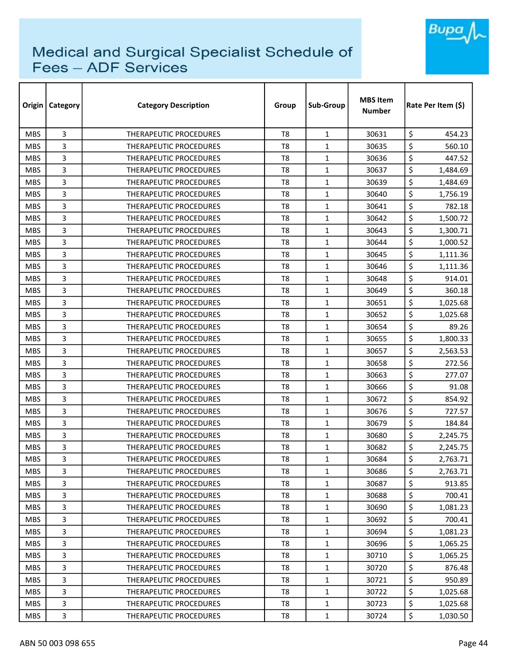

| Origin     | <b>Category</b> | <b>Category Description</b>   | Group          | Sub-Group    | <b>MBS Item</b><br><b>Number</b> | Rate Per Item (\$) |
|------------|-----------------|-------------------------------|----------------|--------------|----------------------------------|--------------------|
| <b>MBS</b> | 3               | <b>THERAPEUTIC PROCEDURES</b> | T <sub>8</sub> | $\mathbf{1}$ | 30631                            | \$<br>454.23       |
| <b>MBS</b> | 3               | <b>THERAPEUTIC PROCEDURES</b> | T <sub>8</sub> | $\mathbf{1}$ | 30635                            | \$<br>560.10       |
| <b>MBS</b> | 3               | THERAPEUTIC PROCEDURES        | T <sub>8</sub> | $\mathbf{1}$ | 30636                            | \$<br>447.52       |
| <b>MBS</b> | 3               | THERAPEUTIC PROCEDURES        | T <sub>8</sub> | $\mathbf{1}$ | 30637                            | \$<br>1,484.69     |
| <b>MBS</b> | 3               | THERAPEUTIC PROCEDURES        | T <sub>8</sub> | $\mathbf{1}$ | 30639                            | \$<br>1,484.69     |
| <b>MBS</b> | 3               | THERAPEUTIC PROCEDURES        | T <sub>8</sub> | 1            | 30640                            | \$<br>1,756.19     |
| <b>MBS</b> | 3               | THERAPEUTIC PROCEDURES        | T8             | 1            | 30641                            | \$<br>782.18       |
| <b>MBS</b> | 3               | THERAPEUTIC PROCEDURES        | T8             | $\mathbf{1}$ | 30642                            | \$<br>1,500.72     |
| <b>MBS</b> | 3               | <b>THERAPEUTIC PROCEDURES</b> | T <sub>8</sub> | $\mathbf{1}$ | 30643                            | \$<br>1,300.71     |
| <b>MBS</b> | 3               | THERAPEUTIC PROCEDURES        | T <sub>8</sub> | $\mathbf{1}$ | 30644                            | \$<br>1,000.52     |
| <b>MBS</b> | 3               | THERAPEUTIC PROCEDURES        | T <sub>8</sub> | $\mathbf{1}$ | 30645                            | \$<br>1,111.36     |
| <b>MBS</b> | 3               | THERAPEUTIC PROCEDURES        | T <sub>8</sub> | $\mathbf{1}$ | 30646                            | \$<br>1,111.36     |
| <b>MBS</b> | 3               | <b>THERAPEUTIC PROCEDURES</b> | T <sub>8</sub> | 1            | 30648                            | \$<br>914.01       |
| <b>MBS</b> | 3               | <b>THERAPEUTIC PROCEDURES</b> | T <sub>8</sub> | $\mathbf{1}$ | 30649                            | \$<br>360.18       |
| <b>MBS</b> | 3               | THERAPEUTIC PROCEDURES        | T8             | $\mathbf{1}$ | 30651                            | \$<br>1,025.68     |
| <b>MBS</b> | 3               | <b>THERAPEUTIC PROCEDURES</b> | T <sub>8</sub> | $\mathbf{1}$ | 30652                            | \$<br>1,025.68     |
| <b>MBS</b> | 3               | <b>THERAPEUTIC PROCEDURES</b> | T8             | 1            | 30654                            | \$<br>89.26        |
| <b>MBS</b> | 3               | THERAPEUTIC PROCEDURES        | T <sub>8</sub> | $\mathbf{1}$ | 30655                            | \$<br>1,800.33     |
| <b>MBS</b> | 3               | THERAPEUTIC PROCEDURES        | T <sub>8</sub> | $\mathbf{1}$ | 30657                            | \$<br>2,563.53     |
| <b>MBS</b> | 3               | THERAPEUTIC PROCEDURES        | T8             | 1            | 30658                            | \$<br>272.56       |
| <b>MBS</b> | 3               | <b>THERAPEUTIC PROCEDURES</b> | T <sub>8</sub> | $\mathbf{1}$ | 30663                            | \$<br>277.07       |
| <b>MBS</b> | 3               | THERAPEUTIC PROCEDURES        | T <sub>8</sub> | $\mathbf{1}$ | 30666                            | \$<br>91.08        |
| <b>MBS</b> | 3               | <b>THERAPEUTIC PROCEDURES</b> | T <sub>8</sub> | $\mathbf{1}$ | 30672                            | \$<br>854.92       |
| <b>MBS</b> | 3               | <b>THERAPEUTIC PROCEDURES</b> | T <sub>8</sub> | $\mathbf{1}$ | 30676                            | \$<br>727.57       |
| <b>MBS</b> | 3               | THERAPEUTIC PROCEDURES        | T <sub>8</sub> | 1            | 30679                            | \$<br>184.84       |
| <b>MBS</b> | 3               | <b>THERAPEUTIC PROCEDURES</b> | T <sub>8</sub> | $\mathbf{1}$ | 30680                            | \$<br>2,245.75     |
| <b>MBS</b> | 3               | <b>THERAPEUTIC PROCEDURES</b> | T8             | $\mathbf{1}$ | 30682                            | \$<br>2,245.75     |
| <b>MBS</b> | 3               | THERAPEUTIC PROCEDURES        | T <sub>8</sub> | $\mathbf 1$  | 30684                            | \$<br>2,763.71     |
| <b>MBS</b> | 3               | THERAPEUTIC PROCEDURES        | T8             | $\mathbf{1}$ | 30686                            | \$<br>2,763.71     |
| <b>MBS</b> | 3               | THERAPEUTIC PROCEDURES        | T8             | $\mathbf{1}$ | 30687                            | \$<br>913.85       |
| <b>MBS</b> | 3               | THERAPEUTIC PROCEDURES        | T <sub>8</sub> | $\mathbf{1}$ | 30688                            | \$<br>700.41       |
| <b>MBS</b> | 3               | THERAPEUTIC PROCEDURES        | T8             | $\mathbf{1}$ | 30690                            | \$<br>1,081.23     |
| <b>MBS</b> | 3               | <b>THERAPEUTIC PROCEDURES</b> | T <sub>8</sub> | $\mathbf{1}$ | 30692                            | \$<br>700.41       |
| <b>MBS</b> | 3               | THERAPEUTIC PROCEDURES        | T8             | $\mathbf{1}$ | 30694                            | \$<br>1,081.23     |
| <b>MBS</b> | 3               | THERAPEUTIC PROCEDURES        | T <sub>8</sub> | $\mathbf{1}$ | 30696                            | \$<br>1,065.25     |
| <b>MBS</b> | 3               | THERAPEUTIC PROCEDURES        | T8             | 1            | 30710                            | \$<br>1,065.25     |
| <b>MBS</b> | 3               | THERAPEUTIC PROCEDURES        | T8             | $\mathbf{1}$ | 30720                            | \$<br>876.48       |
| <b>MBS</b> | 3               | THERAPEUTIC PROCEDURES        | T8             | $\mathbf{1}$ | 30721                            | \$<br>950.89       |
| <b>MBS</b> | 3               | THERAPEUTIC PROCEDURES        | T8             | $\mathbf{1}$ | 30722                            | \$<br>1,025.68     |
| <b>MBS</b> | 3               | THERAPEUTIC PROCEDURES        | T8             | $\mathbf{1}$ | 30723                            | \$<br>1,025.68     |
| <b>MBS</b> | 3               | THERAPEUTIC PROCEDURES        | T8             | 1            | 30724                            | \$<br>1,030.50     |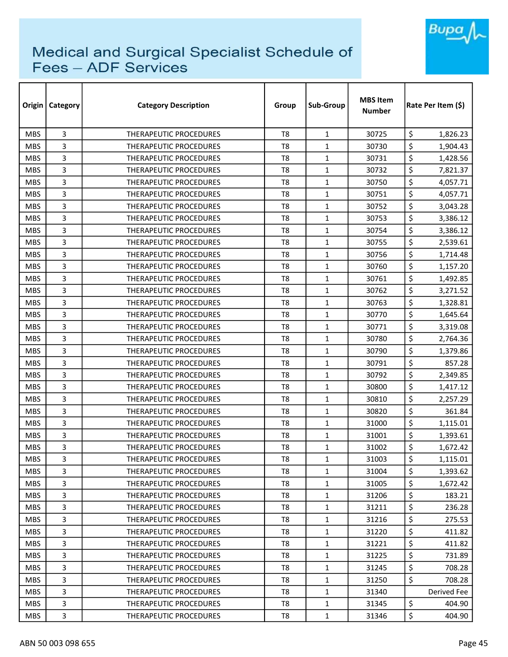

| Origin     | Category | <b>Category Description</b>   | Group          | Sub-Group    | <b>MBS Item</b><br>Number | Rate Per Item (\$) |
|------------|----------|-------------------------------|----------------|--------------|---------------------------|--------------------|
| <b>MBS</b> | 3        | THERAPEUTIC PROCEDURES        | T <sub>8</sub> | $\mathbf{1}$ | 30725                     | \$<br>1,826.23     |
| <b>MBS</b> | 3        | <b>THERAPEUTIC PROCEDURES</b> | T <sub>8</sub> | $\mathbf{1}$ | 30730                     | \$<br>1,904.43     |
| <b>MBS</b> | 3        | THERAPEUTIC PROCEDURES        | T8             | $\mathbf{1}$ | 30731                     | \$<br>1,428.56     |
| <b>MBS</b> | 3        | THERAPEUTIC PROCEDURES        | T <sub>8</sub> | $\mathbf{1}$ | 30732                     | \$<br>7,821.37     |
| <b>MBS</b> | 3        | <b>THERAPEUTIC PROCEDURES</b> | T <sub>8</sub> | $\mathbf{1}$ | 30750                     | \$<br>4,057.71     |
| <b>MBS</b> | 3        | THERAPEUTIC PROCEDURES        | T <sub>8</sub> | $\mathbf{1}$ | 30751                     | \$<br>4,057.71     |
| <b>MBS</b> | 3        | THERAPEUTIC PROCEDURES        | T <sub>8</sub> | $\mathbf{1}$ | 30752                     | \$<br>3,043.28     |
| <b>MBS</b> | 3        | <b>THERAPEUTIC PROCEDURES</b> | T8             | $\mathbf{1}$ | 30753                     | \$<br>3,386.12     |
| <b>MBS</b> | 3        | <b>THERAPEUTIC PROCEDURES</b> | T <sub>8</sub> | $\mathbf{1}$ | 30754                     | \$<br>3,386.12     |
| <b>MBS</b> | 3        | THERAPEUTIC PROCEDURES        | T <sub>8</sub> | $\mathbf{1}$ | 30755                     | \$<br>2,539.61     |
| <b>MBS</b> | 3        | THERAPEUTIC PROCEDURES        | T <sub>8</sub> | $\mathbf{1}$ | 30756                     | \$<br>1,714.48     |
| <b>MBS</b> | 3        | THERAPEUTIC PROCEDURES        | T <sub>8</sub> | $\mathbf{1}$ | 30760                     | \$<br>1,157.20     |
| <b>MBS</b> | 3        | <b>THERAPEUTIC PROCEDURES</b> | T8             | $\mathbf{1}$ | 30761                     | \$<br>1,492.85     |
| <b>MBS</b> | 3        | THERAPEUTIC PROCEDURES        | T <sub>8</sub> | $\mathbf{1}$ | 30762                     | \$<br>3,271.52     |
| <b>MBS</b> | 3        | <b>THERAPEUTIC PROCEDURES</b> | T8             | $\mathbf{1}$ | 30763                     | \$<br>1,328.81     |
| <b>MBS</b> | 3        | <b>THERAPEUTIC PROCEDURES</b> | T <sub>8</sub> | $\mathbf{1}$ | 30770                     | \$<br>1,645.64     |
| <b>MBS</b> | 3        | <b>THERAPEUTIC PROCEDURES</b> | T8             | $\mathbf{1}$ | 30771                     | \$<br>3,319.08     |
| <b>MBS</b> | 3        | THERAPEUTIC PROCEDURES        | T <sub>8</sub> | $\mathbf{1}$ | 30780                     | \$<br>2,764.36     |
| <b>MBS</b> | 3        | <b>THERAPEUTIC PROCEDURES</b> | T <sub>8</sub> | $\mathbf{1}$ | 30790                     | \$<br>1,379.86     |
| <b>MBS</b> | 3        | <b>THERAPEUTIC PROCEDURES</b> | T8             | $\mathbf{1}$ | 30791                     | \$<br>857.28       |
| <b>MBS</b> | 3        | <b>THERAPEUTIC PROCEDURES</b> | T8             | $\mathbf{1}$ | 30792                     | \$<br>2,349.85     |
| <b>MBS</b> | 3        | THERAPEUTIC PROCEDURES        | T <sub>8</sub> | $\mathbf{1}$ | 30800                     | \$<br>1,417.12     |
| <b>MBS</b> | 3        | THERAPEUTIC PROCEDURES        | T <sub>8</sub> | $\mathbf{1}$ | 30810                     | \$<br>2,257.29     |
| <b>MBS</b> | 3        | <b>THERAPEUTIC PROCEDURES</b> | T <sub>8</sub> | $\mathbf{1}$ | 30820                     | \$<br>361.84       |
| <b>MBS</b> | 3        | THERAPEUTIC PROCEDURES        | T8             | $\mathbf{1}$ | 31000                     | \$<br>1,115.01     |
| <b>MBS</b> | 3        | <b>THERAPEUTIC PROCEDURES</b> | T <sub>8</sub> | $\mathbf{1}$ | 31001                     | \$<br>1,393.61     |
| <b>MBS</b> | 3        | <b>THERAPEUTIC PROCEDURES</b> | T8             | $\mathbf{1}$ | 31002                     | \$<br>1,672.42     |
| <b>MBS</b> | 3        | THERAPEUTIC PROCEDURES        | T <sub>8</sub> | 1            | 31003                     | \$<br>1,115.01     |
| <b>MBS</b> | 3        | THERAPEUTIC PROCEDURES        | T8             | $\mathbf{1}$ | 31004                     | \$<br>1,393.62     |
| <b>MBS</b> | 3        | THERAPEUTIC PROCEDURES        | T8             | $\mathbf{1}$ | 31005                     | \$<br>1,672.42     |
| <b>MBS</b> | 3        | THERAPEUTIC PROCEDURES        | T8             | $\mathbf{1}$ | 31206                     | \$<br>183.21       |
| <b>MBS</b> | 3        | THERAPEUTIC PROCEDURES        | T8             | $\mathbf{1}$ | 31211                     | \$<br>236.28       |
| <b>MBS</b> | 3        | THERAPEUTIC PROCEDURES        | T8             | $\mathbf{1}$ | 31216                     | \$<br>275.53       |
| <b>MBS</b> | 3        | THERAPEUTIC PROCEDURES        | T8             | $\mathbf{1}$ | 31220                     | \$<br>411.82       |
| <b>MBS</b> | 3        | <b>THERAPEUTIC PROCEDURES</b> | T <sub>8</sub> | $\mathbf{1}$ | 31221                     | \$<br>411.82       |
| <b>MBS</b> | 3        | THERAPEUTIC PROCEDURES        | T8             | $\mathbf{1}$ | 31225                     | \$<br>731.89       |
| <b>MBS</b> | 3        | THERAPEUTIC PROCEDURES        | T8             | $\mathbf{1}$ | 31245                     | \$<br>708.28       |
| <b>MBS</b> | 3        | THERAPEUTIC PROCEDURES        | T8             | $\mathbf{1}$ | 31250                     | \$<br>708.28       |
| <b>MBS</b> | 3        | THERAPEUTIC PROCEDURES        | T8             | $\mathbf{1}$ | 31340                     | Derived Fee        |
| <b>MBS</b> | 3        | THERAPEUTIC PROCEDURES        | T8             | $\mathbf{1}$ | 31345                     | \$<br>404.90       |
| <b>MBS</b> | 3        | THERAPEUTIC PROCEDURES        | T8             | $\mathbf{1}$ | 31346                     | \$<br>404.90       |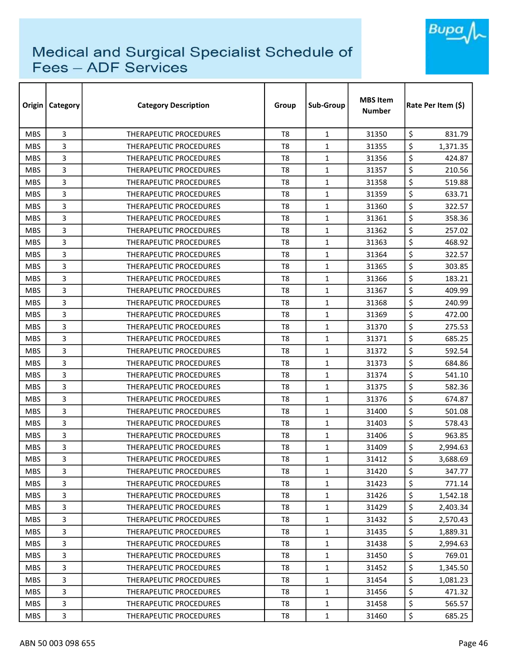

| Origin     | <b>Category</b> | <b>Category Description</b>   | Group          | Sub-Group    | <b>MBS Item</b><br><b>Number</b> | Rate Per Item (\$) |
|------------|-----------------|-------------------------------|----------------|--------------|----------------------------------|--------------------|
| <b>MBS</b> | 3               | <b>THERAPEUTIC PROCEDURES</b> | T <sub>8</sub> | $\mathbf{1}$ | 31350                            | \$<br>831.79       |
| <b>MBS</b> | 3               | THERAPEUTIC PROCEDURES        | T <sub>8</sub> | $\mathbf{1}$ | 31355                            | \$<br>1,371.35     |
| <b>MBS</b> | 3               | THERAPEUTIC PROCEDURES        | T8             | $\mathbf{1}$ | 31356                            | \$<br>424.87       |
| <b>MBS</b> | 3               | THERAPEUTIC PROCEDURES        | T <sub>8</sub> | $\mathbf{1}$ | 31357                            | \$<br>210.56       |
| <b>MBS</b> | 3               | <b>THERAPEUTIC PROCEDURES</b> | T8             | $\mathbf{1}$ | 31358                            | \$<br>519.88       |
| <b>MBS</b> | 3               | THERAPEUTIC PROCEDURES        | T <sub>8</sub> | $\mathbf{1}$ | 31359                            | \$<br>633.71       |
| <b>MBS</b> | 3               | <b>THERAPEUTIC PROCEDURES</b> | T <sub>8</sub> | 1            | 31360                            | \$<br>322.57       |
| <b>MBS</b> | 3               | <b>THERAPEUTIC PROCEDURES</b> | T <sub>8</sub> | $\mathbf{1}$ | 31361                            | \$<br>358.36       |
| <b>MBS</b> | 3               | THERAPEUTIC PROCEDURES        | T <sub>8</sub> | $\mathbf{1}$ | 31362                            | \$<br>257.02       |
| <b>MBS</b> | 3               | THERAPEUTIC PROCEDURES        | T <sub>8</sub> | 1            | 31363                            | \$<br>468.92       |
| <b>MBS</b> | 3               | THERAPEUTIC PROCEDURES        | T <sub>8</sub> | $\mathbf{1}$ | 31364                            | \$<br>322.57       |
| <b>MBS</b> | 3               | THERAPEUTIC PROCEDURES        | T <sub>8</sub> | $\mathbf{1}$ | 31365                            | \$<br>303.85       |
| <b>MBS</b> | 3               | <b>THERAPEUTIC PROCEDURES</b> | T <sub>8</sub> | $\mathbf{1}$ | 31366                            | \$<br>183.21       |
| <b>MBS</b> | 3               | THERAPEUTIC PROCEDURES        | T <sub>8</sub> | $\mathbf{1}$ | 31367                            | \$<br>409.99       |
| <b>MBS</b> | 3               | THERAPEUTIC PROCEDURES        | T8             | $\mathbf{1}$ | 31368                            | \$<br>240.99       |
| <b>MBS</b> | 3               | THERAPEUTIC PROCEDURES        | T <sub>8</sub> | $\mathbf{1}$ | 31369                            | \$<br>472.00       |
| <b>MBS</b> | 3               | THERAPEUTIC PROCEDURES        | T <sub>8</sub> | $\mathbf{1}$ | 31370                            | \$<br>275.53       |
| <b>MBS</b> | 3               | THERAPEUTIC PROCEDURES        | T <sub>8</sub> | $\mathbf{1}$ | 31371                            | \$<br>685.25       |
| <b>MBS</b> | 3               | THERAPEUTIC PROCEDURES        | T <sub>8</sub> | $\mathbf{1}$ | 31372                            | \$<br>592.54       |
| <b>MBS</b> | 3               | <b>THERAPEUTIC PROCEDURES</b> | T <sub>8</sub> | $\mathbf{1}$ | 31373                            | \$<br>684.86       |
| <b>MBS</b> | 3               | THERAPEUTIC PROCEDURES        | T <sub>8</sub> | $\mathbf{1}$ | 31374                            | \$<br>541.10       |
| <b>MBS</b> | 3               | THERAPEUTIC PROCEDURES        | T8             | $\mathbf{1}$ | 31375                            | \$<br>582.36       |
| <b>MBS</b> | 3               | THERAPEUTIC PROCEDURES        | T <sub>8</sub> | $\mathbf{1}$ | 31376                            | \$<br>674.87       |
| <b>MBS</b> | 3               | THERAPEUTIC PROCEDURES        | T8             | 1            | 31400                            | \$<br>501.08       |
| <b>MBS</b> | 3               | THERAPEUTIC PROCEDURES        | T <sub>8</sub> | $\mathbf{1}$ | 31403                            | \$<br>578.43       |
| <b>MBS</b> | 3               | <b>THERAPEUTIC PROCEDURES</b> | T8             | $\mathbf{1}$ | 31406                            | \$<br>963.85       |
| <b>MBS</b> | 3               | THERAPEUTIC PROCEDURES        | T8             | $\mathbf{1}$ | 31409                            | \$<br>2,994.63     |
| <b>MBS</b> | 3               | THERAPEUTIC PROCEDURES        | T <sub>8</sub> | $\mathbf{1}$ | 31412                            | \$<br>3,688.69     |
| <b>MBS</b> | 3               | <b>THERAPEUTIC PROCEDURES</b> | T8             | $\mathbf{1}$ | 31420                            | \$<br>347.77       |
| <b>MBS</b> | 3               | THERAPEUTIC PROCEDURES        | T8             | $\mathbf{1}$ | 31423                            | \$<br>771.14       |
| <b>MBS</b> | 3               | THERAPEUTIC PROCEDURES        | T <sub>8</sub> | $\mathbf{1}$ | 31426                            | \$<br>1,542.18     |
| <b>MBS</b> | 3               | <b>THERAPEUTIC PROCEDURES</b> | T8             | $\mathbf{1}$ | 31429                            | \$<br>2,403.34     |
| MBS.       | 3               | THERAPEUTIC PROCEDURES        | T <sub>8</sub> | $\mathbf{1}$ | 31432                            | \$<br>2,570.43     |
| <b>MBS</b> | 3               | THERAPEUTIC PROCEDURES        | T8             | $\mathbf{1}$ | 31435                            | \$<br>1,889.31     |
| <b>MBS</b> | 3               | <b>THERAPEUTIC PROCEDURES</b> | T <sub>8</sub> | $\mathbf{1}$ | 31438                            | \$<br>2,994.63     |
| <b>MBS</b> | 3               | THERAPEUTIC PROCEDURES        | T8             | 1            | 31450                            | \$<br>769.01       |
| <b>MBS</b> | 3               | THERAPEUTIC PROCEDURES        | T8             | $\mathbf{1}$ | 31452                            | \$<br>1,345.50     |
| <b>MBS</b> | 3               | THERAPEUTIC PROCEDURES        | T8             | $\mathbf{1}$ | 31454                            | \$<br>1,081.23     |
| <b>MBS</b> | 3               | THERAPEUTIC PROCEDURES        | T8             | $\mathbf{1}$ | 31456                            | \$<br>471.32       |
| <b>MBS</b> | 3               | THERAPEUTIC PROCEDURES        | T8             | $\mathbf{1}$ | 31458                            | \$<br>565.57       |
| <b>MBS</b> | 3               | THERAPEUTIC PROCEDURES        | T8             | $\mathbf{1}$ | 31460                            | \$<br>685.25       |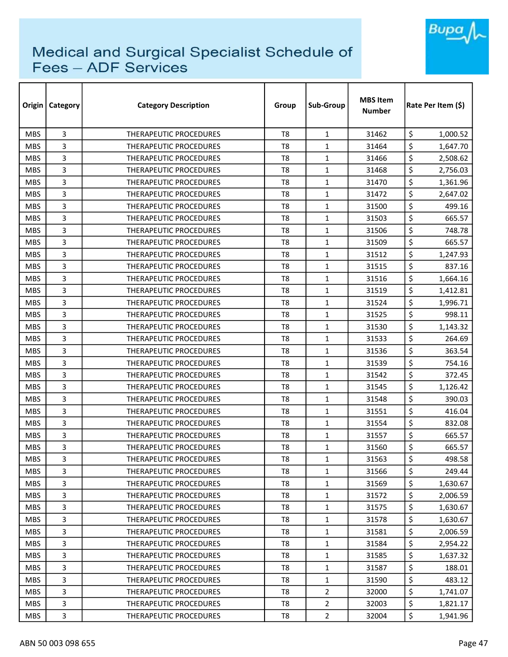

| Origin     | <b>Category</b> | <b>Category Description</b>   | Group          | Sub-Group      | <b>MBS Item</b><br><b>Number</b> | Rate Per Item (S) |
|------------|-----------------|-------------------------------|----------------|----------------|----------------------------------|-------------------|
| <b>MBS</b> | 3               | <b>THERAPEUTIC PROCEDURES</b> | T <sub>8</sub> | $\mathbf{1}$   | 31462                            | \$<br>1,000.52    |
| <b>MBS</b> | 3               | THERAPEUTIC PROCEDURES        | T <sub>8</sub> | $\mathbf{1}$   | 31464                            | \$<br>1,647.70    |
| <b>MBS</b> | 3               | THERAPEUTIC PROCEDURES        | T <sub>8</sub> | $\mathbf{1}$   | 31466                            | \$<br>2,508.62    |
| <b>MBS</b> | 3               | THERAPEUTIC PROCEDURES        | T <sub>8</sub> | $\mathbf{1}$   | 31468                            | \$<br>2,756.03    |
| <b>MBS</b> | 3               | THERAPEUTIC PROCEDURES        | T <sub>8</sub> | $\mathbf{1}$   | 31470                            | \$<br>1,361.96    |
| <b>MBS</b> | 3               | <b>THERAPEUTIC PROCEDURES</b> | T <sub>8</sub> | 1              | 31472                            | \$<br>2,647.02    |
| <b>MBS</b> | 3               | <b>THERAPEUTIC PROCEDURES</b> | T8             | $\mathbf{1}$   | 31500                            | \$<br>499.16      |
| <b>MBS</b> | 3               | THERAPEUTIC PROCEDURES        | T8             | $\mathbf{1}$   | 31503                            | \$<br>665.57      |
| <b>MBS</b> | 3               | THERAPEUTIC PROCEDURES        | T <sub>8</sub> | $\mathbf{1}$   | 31506                            | \$<br>748.78      |
| <b>MBS</b> | 3               | <b>THERAPEUTIC PROCEDURES</b> | T <sub>8</sub> | $\mathbf{1}$   | 31509                            | \$<br>665.57      |
| <b>MBS</b> | 3               | <b>THERAPEUTIC PROCEDURES</b> | T <sub>8</sub> | $\mathbf{1}$   | 31512                            | \$<br>1,247.93    |
| <b>MBS</b> | 3               | <b>THERAPEUTIC PROCEDURES</b> | T <sub>8</sub> | $\mathbf{1}$   | 31515                            | \$<br>837.16      |
| <b>MBS</b> | 3               | <b>THERAPEUTIC PROCEDURES</b> | T <sub>8</sub> | 1              | 31516                            | \$<br>1,664.16    |
| <b>MBS</b> | 3               | <b>THERAPEUTIC PROCEDURES</b> | T <sub>8</sub> | $\mathbf{1}$   | 31519                            | \$<br>1,412.81    |
| <b>MBS</b> | 3               | THERAPEUTIC PROCEDURES        | T <sub>8</sub> | $\mathbf{1}$   | 31524                            | \$<br>1,996.71    |
| <b>MBS</b> | 3               | THERAPEUTIC PROCEDURES        | T <sub>8</sub> | $\mathbf{1}$   | 31525                            | \$<br>998.11      |
| <b>MBS</b> | 3               | THERAPEUTIC PROCEDURES        | T <sub>8</sub> | $\mathbf{1}$   | 31530                            | \$<br>1,143.32    |
| <b>MBS</b> | 3               | <b>THERAPEUTIC PROCEDURES</b> | T <sub>8</sub> | 1              | 31533                            | \$<br>264.69      |
| <b>MBS</b> | 3               | <b>THERAPEUTIC PROCEDURES</b> | T <sub>8</sub> | $\mathbf{1}$   | 31536                            | \$<br>363.54      |
| <b>MBS</b> | 3               | <b>THERAPEUTIC PROCEDURES</b> | T8             | $\mathbf{1}$   | 31539                            | \$<br>754.16      |
| <b>MBS</b> | 3               | <b>THERAPEUTIC PROCEDURES</b> | T <sub>8</sub> | 1              | 31542                            | \$<br>372.45      |
| <b>MBS</b> | 3               | <b>THERAPEUTIC PROCEDURES</b> | T <sub>8</sub> | $\mathbf{1}$   | 31545                            | \$<br>1,126.42    |
| <b>MBS</b> | 3               | THERAPEUTIC PROCEDURES        | T <sub>8</sub> | $\mathbf{1}$   | 31548                            | \$<br>390.03      |
| <b>MBS</b> | 3               | <b>THERAPEUTIC PROCEDURES</b> | T <sub>8</sub> | $\mathbf{1}$   | 31551                            | \$<br>416.04      |
| <b>MBS</b> | 3               | THERAPEUTIC PROCEDURES        | T8             | $\mathbf{1}$   | 31554                            | \$<br>832.08      |
| <b>MBS</b> | 3               | <b>THERAPEUTIC PROCEDURES</b> | T8             | $\mathbf{1}$   | 31557                            | \$<br>665.57      |
| <b>MBS</b> | 3               | <b>THERAPEUTIC PROCEDURES</b> | T8             | 1              | 31560                            | \$<br>665.57      |
| <b>MBS</b> | 3               | THERAPEUTIC PROCEDURES        | T <sub>8</sub> | $\mathbf 1$    | 31563                            | \$<br>498.58      |
| <b>MBS</b> | 3               | THERAPEUTIC PROCEDURES        | T8             | $\mathbf{1}$   | 31566                            | \$<br>249.44      |
| <b>MBS</b> | 3               | THERAPEUTIC PROCEDURES        | T <sub>8</sub> | $\mathbf{1}$   | 31569                            | \$<br>1,630.67    |
| <b>MBS</b> | 3               | THERAPEUTIC PROCEDURES        | T <sub>8</sub> | $\mathbf{1}$   | 31572                            | \$<br>2,006.59    |
| <b>MBS</b> | 3               | THERAPEUTIC PROCEDURES        | T8             | $\mathbf{1}$   | 31575                            | \$<br>1,630.67    |
| <b>MBS</b> | 3               | THERAPEUTIC PROCEDURES        | T8             | $\mathbf{1}$   | 31578                            | \$<br>1,630.67    |
| <b>MBS</b> | 3               | <b>THERAPEUTIC PROCEDURES</b> | T8             | $\mathbf{1}$   | 31581                            | \$<br>2,006.59    |
| <b>MBS</b> | 3               | THERAPEUTIC PROCEDURES        | T8             | $\mathbf{1}$   | 31584                            | \$<br>2,954.22    |
| <b>MBS</b> | 3               | THERAPEUTIC PROCEDURES        | T <sub>8</sub> | $\mathbf{1}$   | 31585                            | \$<br>1,637.32    |
| <b>MBS</b> | 3               | THERAPEUTIC PROCEDURES        | T8             | $\mathbf{1}$   | 31587                            | \$<br>188.01      |
| <b>MBS</b> | 3               | THERAPEUTIC PROCEDURES        | T8             | $\mathbf{1}$   | 31590                            | \$<br>483.12      |
| <b>MBS</b> | 3               | THERAPEUTIC PROCEDURES        | T8             | 2              | 32000                            | \$<br>1,741.07    |
| <b>MBS</b> | 3               | THERAPEUTIC PROCEDURES        | T8             | $\overline{2}$ | 32003                            | \$<br>1,821.17    |
| <b>MBS</b> | 3               | THERAPEUTIC PROCEDURES        | T8             | $\overline{2}$ | 32004                            | \$<br>1,941.96    |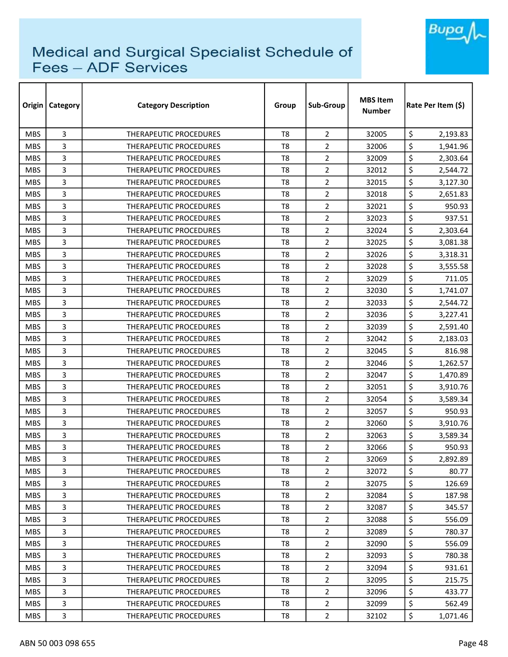

| Origin     | <b>Category</b> | <b>Category Description</b>   | Group          | Sub-Group      | <b>MBS Item</b><br><b>Number</b> | Rate Per Item (\$) |
|------------|-----------------|-------------------------------|----------------|----------------|----------------------------------|--------------------|
| <b>MBS</b> | 3               | <b>THERAPEUTIC PROCEDURES</b> | T <sub>8</sub> | $\overline{2}$ | 32005                            | \$<br>2,193.83     |
| <b>MBS</b> | 3               | <b>THERAPEUTIC PROCEDURES</b> | T <sub>8</sub> | $\overline{2}$ | 32006                            | \$<br>1,941.96     |
| <b>MBS</b> | 3               | THERAPEUTIC PROCEDURES        | T <sub>8</sub> | $\overline{2}$ | 32009                            | \$<br>2,303.64     |
| <b>MBS</b> | 3               | THERAPEUTIC PROCEDURES        | T <sub>8</sub> | $\overline{2}$ | 32012                            | \$<br>2,544.72     |
| <b>MBS</b> | 3               | <b>THERAPEUTIC PROCEDURES</b> | T <sub>8</sub> | $\overline{2}$ | 32015                            | \$<br>3,127.30     |
| <b>MBS</b> | 3               | <b>THERAPEUTIC PROCEDURES</b> | T <sub>8</sub> | $\overline{2}$ | 32018                            | \$<br>2,651.83     |
| <b>MBS</b> | 3               | <b>THERAPEUTIC PROCEDURES</b> | T <sub>8</sub> | $\overline{2}$ | 32021                            | \$<br>950.93       |
| <b>MBS</b> | 3               | THERAPEUTIC PROCEDURES        | T8             | 2              | 32023                            | \$<br>937.51       |
| <b>MBS</b> | 3               | <b>THERAPEUTIC PROCEDURES</b> | T <sub>8</sub> | $\overline{2}$ | 32024                            | \$<br>2,303.64     |
| <b>MBS</b> | 3               | THERAPEUTIC PROCEDURES        | T <sub>8</sub> | $\overline{2}$ | 32025                            | \$<br>3,081.38     |
| <b>MBS</b> | 3               | THERAPEUTIC PROCEDURES        | T <sub>8</sub> | $\overline{2}$ | 32026                            | \$<br>3,318.31     |
| <b>MBS</b> | 3               | THERAPEUTIC PROCEDURES        | T <sub>8</sub> | $\overline{2}$ | 32028                            | \$<br>3,555.58     |
| <b>MBS</b> | 3               | <b>THERAPEUTIC PROCEDURES</b> | T <sub>8</sub> | $\overline{2}$ | 32029                            | \$<br>711.05       |
| <b>MBS</b> | 3               | <b>THERAPEUTIC PROCEDURES</b> | T <sub>8</sub> | $\overline{2}$ | 32030                            | \$<br>1,741.07     |
| <b>MBS</b> | 3               | THERAPEUTIC PROCEDURES        | T8             | $\overline{2}$ | 32033                            | \$<br>2,544.72     |
| <b>MBS</b> | 3               | THERAPEUTIC PROCEDURES        | T <sub>8</sub> | $\overline{2}$ | 32036                            | \$<br>3,227.41     |
| <b>MBS</b> | 3               | THERAPEUTIC PROCEDURES        | T8             | 2              | 32039                            | \$<br>2,591.40     |
| <b>MBS</b> | 3               | THERAPEUTIC PROCEDURES        | T <sub>8</sub> | $\overline{2}$ | 32042                            | \$<br>2,183.03     |
| <b>MBS</b> | 3               | THERAPEUTIC PROCEDURES        | T <sub>8</sub> | $\overline{2}$ | 32045                            | \$<br>816.98       |
| <b>MBS</b> | 3               | THERAPEUTIC PROCEDURES        | T8             | $\overline{2}$ | 32046                            | \$<br>1,262.57     |
| <b>MBS</b> | 3               | THERAPEUTIC PROCEDURES        | T8             | 2              | 32047                            | \$<br>1,470.89     |
| <b>MBS</b> | 3               | THERAPEUTIC PROCEDURES        | T <sub>8</sub> | $\overline{2}$ | 32051                            | \$<br>3,910.76     |
| <b>MBS</b> | 3               | <b>THERAPEUTIC PROCEDURES</b> | T <sub>8</sub> | $\overline{2}$ | 32054                            | \$<br>3,589.34     |
| <b>MBS</b> | 3               | THERAPEUTIC PROCEDURES        | T <sub>8</sub> | $\overline{2}$ | 32057                            | \$<br>950.93       |
| <b>MBS</b> | 3               | <b>THERAPEUTIC PROCEDURES</b> | T <sub>8</sub> | $\overline{2}$ | 32060                            | \$<br>3,910.76     |
| <b>MBS</b> | 3               | <b>THERAPEUTIC PROCEDURES</b> | T <sub>8</sub> | $\overline{2}$ | 32063                            | \$<br>3,589.34     |
| <b>MBS</b> | 3               | <b>THERAPEUTIC PROCEDURES</b> | T8             | $\overline{2}$ | 32066                            | \$<br>950.93       |
| <b>MBS</b> | 3               | THERAPEUTIC PROCEDURES        | T <sub>8</sub> | $\overline{2}$ | 32069                            | \$<br>2,892.89     |
| <b>MBS</b> | 3               | THERAPEUTIC PROCEDURES        | T8             | $\overline{2}$ | 32072                            | \$<br>80.77        |
| <b>MBS</b> | 3               | THERAPEUTIC PROCEDURES        | T8             | $\overline{2}$ | 32075                            | \$<br>126.69       |
| <b>MBS</b> | 3               | THERAPEUTIC PROCEDURES        | T <sub>8</sub> | $\overline{2}$ | 32084                            | \$<br>187.98       |
| <b>MBS</b> | 3               | <b>THERAPEUTIC PROCEDURES</b> | T8             | $\overline{2}$ | 32087                            | \$<br>345.57       |
| <b>MBS</b> | 3               | THERAPEUTIC PROCEDURES        | T <sub>8</sub> | $\overline{2}$ | 32088                            | \$<br>556.09       |
| <b>MBS</b> | 3               | <b>THERAPEUTIC PROCEDURES</b> | T8             | $\overline{2}$ | 32089                            | \$<br>780.37       |
| <b>MBS</b> | 3               | <b>THERAPEUTIC PROCEDURES</b> | T <sub>8</sub> | $\overline{2}$ | 32090                            | \$<br>556.09       |
| <b>MBS</b> | 3               | <b>THERAPEUTIC PROCEDURES</b> | T8             | $\overline{2}$ | 32093                            | \$<br>780.38       |
| <b>MBS</b> | 3               | THERAPEUTIC PROCEDURES        | T8             | $\overline{2}$ | 32094                            | \$<br>931.61       |
| <b>MBS</b> | 3               | THERAPEUTIC PROCEDURES        | T8             | $\overline{2}$ | 32095                            | \$<br>215.75       |
| <b>MBS</b> | 3               | THERAPEUTIC PROCEDURES        | T8             | $\overline{2}$ | 32096                            | \$<br>433.77       |
| <b>MBS</b> | 3               | THERAPEUTIC PROCEDURES        | T8             | $\overline{2}$ | 32099                            | \$<br>562.49       |
| <b>MBS</b> | 3               | THERAPEUTIC PROCEDURES        | T8             | $\overline{2}$ | 32102                            | \$<br>1,071.46     |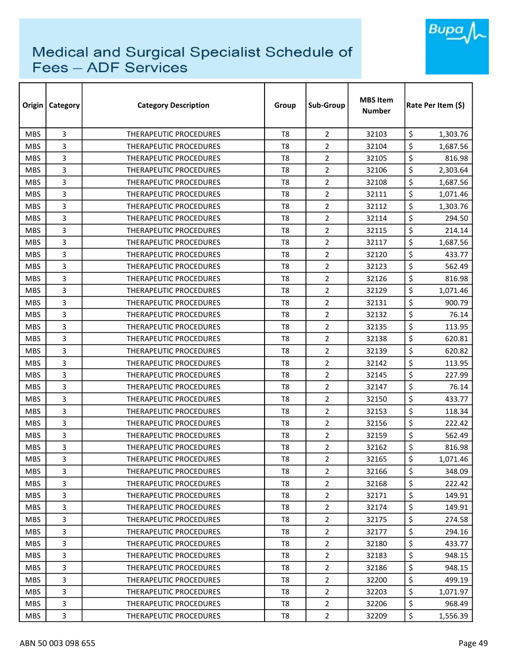

|            | <b>Origin   Category</b> | <b>Category Description</b>   | Group          | Sub-Group      | <b>MBS Item</b><br><b>Number</b> | Rate Per Item (\$) |  |
|------------|--------------------------|-------------------------------|----------------|----------------|----------------------------------|--------------------|--|
| <b>MBS</b> | 3                        | <b>THERAPEUTIC PROCEDURES</b> | T <sub>8</sub> | $\overline{2}$ | 32103                            | \$<br>1,303.76     |  |
| <b>MBS</b> | 3                        | THERAPEUTIC PROCEDURES        | T <sub>8</sub> | $\overline{2}$ | 32104                            | \$<br>1,687.56     |  |
| <b>MBS</b> | 3                        | THERAPEUTIC PROCEDURES        | T <sub>8</sub> | $\overline{2}$ | 32105                            | \$<br>816.98       |  |
| <b>MBS</b> | 3                        | THERAPEUTIC PROCEDURES        | T <sub>8</sub> | $\overline{2}$ | 32106                            | \$<br>2,303.64     |  |
| <b>MBS</b> | 3                        | <b>THERAPEUTIC PROCEDURES</b> | T <sub>8</sub> | $\overline{2}$ | 32108                            | \$<br>1,687.56     |  |
| <b>MBS</b> | 3                        | THERAPEUTIC PROCEDURES        | T <sub>8</sub> | $\overline{2}$ | 32111                            | \$<br>1,071.46     |  |
| <b>MBS</b> | 3                        | <b>THERAPEUTIC PROCEDURES</b> | T8             | $\overline{2}$ | 32112                            | \$<br>1,303.76     |  |
| <b>MBS</b> | 3                        | <b>THERAPEUTIC PROCEDURES</b> | T8             | $\overline{2}$ | 32114                            | \$<br>294.50       |  |
| <b>MBS</b> | 3                        | THERAPEUTIC PROCEDURES        | T <sub>8</sub> | $\overline{2}$ | 32115                            | \$<br>214.14       |  |
| <b>MBS</b> | 3                        | <b>THERAPEUTIC PROCEDURES</b> | T <sub>8</sub> | $\overline{2}$ | 32117                            | \$<br>1,687.56     |  |
| <b>MBS</b> | 3                        | THERAPEUTIC PROCEDURES        | T <sub>8</sub> | $\overline{2}$ | 32120                            | \$<br>433.77       |  |
| <b>MBS</b> | 3                        | THERAPEUTIC PROCEDURES        | T <sub>8</sub> | $\overline{2}$ | 32123                            | \$<br>562.49       |  |
| <b>MBS</b> | 3                        | <b>THERAPEUTIC PROCEDURES</b> | T <sub>8</sub> | $\overline{2}$ | 32126                            | \$<br>816.98       |  |
| <b>MBS</b> | 3                        | <b>THERAPEUTIC PROCEDURES</b> | T <sub>8</sub> | $\overline{2}$ | 32129                            | \$<br>1,071.46     |  |
| <b>MBS</b> | 3                        | <b>THERAPEUTIC PROCEDURES</b> | T8             | $\overline{2}$ | 32131                            | \$<br>900.79       |  |
| <b>MBS</b> | 3                        | <b>THERAPEUTIC PROCEDURES</b> | T <sub>8</sub> | $\overline{2}$ | 32132                            | \$<br>76.14        |  |
| <b>MBS</b> | 3                        | <b>THERAPEUTIC PROCEDURES</b> | T8             | 2              | 32135                            | \$<br>113.95       |  |
| <b>MBS</b> | 3                        | THERAPEUTIC PROCEDURES        | T <sub>8</sub> | $\overline{2}$ | 32138                            | \$<br>620.81       |  |
| <b>MBS</b> | 3                        | THERAPEUTIC PROCEDURES        | T <sub>8</sub> | $\overline{2}$ | 32139                            | \$<br>620.82       |  |
| <b>MBS</b> | 3                        | THERAPEUTIC PROCEDURES        | T8             | $\overline{2}$ | 32142                            | \$<br>113.95       |  |
| <b>MBS</b> | 3                        | <b>THERAPEUTIC PROCEDURES</b> | T <sub>8</sub> | 2              | 32145                            | \$<br>227.99       |  |
| <b>MBS</b> | 3                        | THERAPEUTIC PROCEDURES        | T <sub>8</sub> | $\overline{2}$ | 32147                            | \$<br>76.14        |  |
| <b>MBS</b> | 3                        | <b>THERAPEUTIC PROCEDURES</b> | T <sub>8</sub> | $\overline{2}$ | 32150                            | \$<br>433.77       |  |
| <b>MBS</b> | 3                        | <b>THERAPEUTIC PROCEDURES</b> | T <sub>8</sub> | $\overline{2}$ | 32153                            | \$<br>118.34       |  |
| <b>MBS</b> | 3                        | THERAPEUTIC PROCEDURES        | T <sub>8</sub> | $\overline{2}$ | 32156                            | \$<br>222.42       |  |
| <b>MBS</b> | 3                        | <b>THERAPEUTIC PROCEDURES</b> | T <sub>8</sub> | $\overline{2}$ | 32159                            | \$<br>562.49       |  |
| <b>MBS</b> | 3                        | <b>THERAPEUTIC PROCEDURES</b> | T8             | $\overline{2}$ | 32162                            | \$<br>816.98       |  |
| <b>MBS</b> | 3                        | THERAPEUTIC PROCEDURES        | T <sub>8</sub> | $\overline{2}$ | 32165                            | \$<br>1,071.46     |  |
| <b>MBS</b> | 3                        | THERAPEUTIC PROCEDURES        | T8             | $\overline{2}$ | 32166                            | \$<br>348.09       |  |
| <b>MBS</b> | 3                        | THERAPEUTIC PROCEDURES        | T8             | $\overline{2}$ | 32168                            | \$<br>222.42       |  |
| <b>MBS</b> | 3                        | THERAPEUTIC PROCEDURES        | T8             | $\overline{2}$ | 32171                            | \$<br>149.91       |  |
| <b>MBS</b> | 3                        | <b>THERAPEUTIC PROCEDURES</b> | T8             | $\overline{2}$ | 32174                            | \$<br>149.91       |  |
| <b>MBS</b> | 3                        | THERAPEUTIC PROCEDURES        | T <sub>8</sub> | $\overline{2}$ | 32175                            | \$<br>274.58       |  |
| <b>MBS</b> | 3                        | <b>THERAPEUTIC PROCEDURES</b> | T8             | $\overline{2}$ | 32177                            | \$<br>294.16       |  |
| <b>MBS</b> | 3                        | <b>THERAPEUTIC PROCEDURES</b> | T <sub>8</sub> | $\overline{2}$ | 32180                            | \$<br>433.77       |  |
| <b>MBS</b> | 3                        | <b>THERAPEUTIC PROCEDURES</b> | T8             | $\overline{2}$ | 32183                            | \$<br>948.15       |  |
| <b>MBS</b> | 3                        | THERAPEUTIC PROCEDURES        | T8             | $\overline{2}$ | 32186                            | \$<br>948.15       |  |
| <b>MBS</b> | 3                        | THERAPEUTIC PROCEDURES        | T8             | $\overline{2}$ | 32200                            | \$<br>499.19       |  |
| <b>MBS</b> | 3                        | THERAPEUTIC PROCEDURES        | T8             | $\overline{2}$ | 32203                            | \$<br>1,071.97     |  |
| <b>MBS</b> | 3                        | THERAPEUTIC PROCEDURES        | T8             | $\overline{2}$ | 32206                            | \$<br>968.49       |  |
| <b>MBS</b> | 3                        | THERAPEUTIC PROCEDURES        | T8             | $\overline{2}$ | 32209                            | \$<br>1,556.39     |  |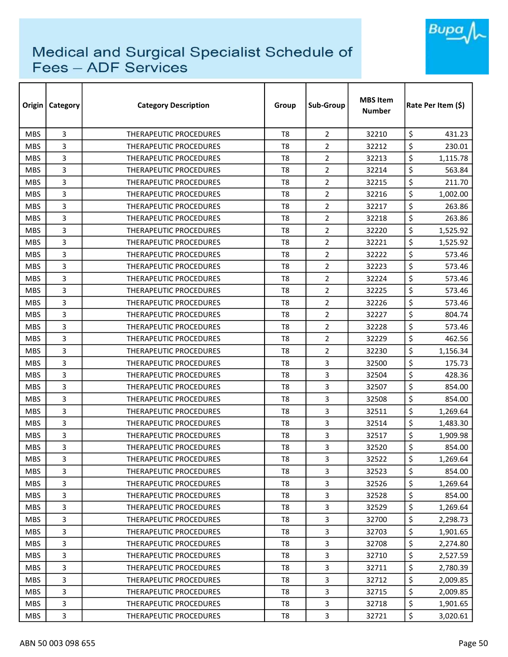

| Origin     | <b>Category</b> | <b>Category Description</b>   | Group          | Sub-Group      | <b>MBS Item</b><br><b>Number</b> | Rate Per Item (\$) |
|------------|-----------------|-------------------------------|----------------|----------------|----------------------------------|--------------------|
| <b>MBS</b> | 3               | <b>THERAPEUTIC PROCEDURES</b> | T <sub>8</sub> | $\overline{2}$ | 32210                            | \$<br>431.23       |
| <b>MBS</b> | 3               | THERAPEUTIC PROCEDURES        | T <sub>8</sub> | $\overline{2}$ | 32212                            | \$<br>230.01       |
| <b>MBS</b> | 3               | THERAPEUTIC PROCEDURES        | T <sub>8</sub> | $\overline{2}$ | 32213                            | \$<br>1,115.78     |
| <b>MBS</b> | 3               | <b>THERAPEUTIC PROCEDURES</b> | T <sub>8</sub> | $\overline{2}$ | 32214                            | \$<br>563.84       |
| <b>MBS</b> | 3               | <b>THERAPEUTIC PROCEDURES</b> | T <sub>8</sub> | $\overline{2}$ | 32215                            | \$<br>211.70       |
| <b>MBS</b> | 3               | THERAPEUTIC PROCEDURES        | T <sub>8</sub> | $\overline{2}$ | 32216                            | \$<br>1,002.00     |
| <b>MBS</b> | 3               | <b>THERAPEUTIC PROCEDURES</b> | T8             | $\overline{2}$ | 32217                            | \$<br>263.86       |
| <b>MBS</b> | 3               | <b>THERAPEUTIC PROCEDURES</b> | T8             | 2              | 32218                            | \$<br>263.86       |
| <b>MBS</b> | 3               | THERAPEUTIC PROCEDURES        | T <sub>8</sub> | $\overline{2}$ | 32220                            | \$<br>1,525.92     |
| <b>MBS</b> | 3               | <b>THERAPEUTIC PROCEDURES</b> | T <sub>8</sub> | $\overline{2}$ | 32221                            | \$<br>1,525.92     |
| <b>MBS</b> | 3               | THERAPEUTIC PROCEDURES        | T <sub>8</sub> | $\overline{2}$ | 32222                            | \$<br>573.46       |
| <b>MBS</b> | 3               | THERAPEUTIC PROCEDURES        | T <sub>8</sub> | $\overline{2}$ | 32223                            | \$<br>573.46       |
| <b>MBS</b> | 3               | <b>THERAPEUTIC PROCEDURES</b> | T <sub>8</sub> | $\overline{2}$ | 32224                            | \$<br>573.46       |
| <b>MBS</b> | 3               | <b>THERAPEUTIC PROCEDURES</b> | T <sub>8</sub> | $\overline{2}$ | 32225                            | \$<br>573.46       |
| <b>MBS</b> | 3               | <b>THERAPEUTIC PROCEDURES</b> | T8             | $\overline{2}$ | 32226                            | \$<br>573.46       |
| <b>MBS</b> | 3               | <b>THERAPEUTIC PROCEDURES</b> | T <sub>8</sub> | $\overline{2}$ | 32227                            | \$<br>804.74       |
| <b>MBS</b> | 3               | <b>THERAPEUTIC PROCEDURES</b> | T8             | 2              | 32228                            | \$<br>573.46       |
| <b>MBS</b> | 3               | THERAPEUTIC PROCEDURES        | T <sub>8</sub> | $\overline{2}$ | 32229                            | \$<br>462.56       |
| <b>MBS</b> | 3               | THERAPEUTIC PROCEDURES        | T <sub>8</sub> | $\overline{2}$ | 32230                            | \$<br>1,156.34     |
| <b>MBS</b> | 3               | THERAPEUTIC PROCEDURES        | T <sub>8</sub> | 3              | 32500                            | \$<br>175.73       |
| <b>MBS</b> | 3               | <b>THERAPEUTIC PROCEDURES</b> | T <sub>8</sub> | 3              | 32504                            | \$<br>428.36       |
| <b>MBS</b> | 3               | THERAPEUTIC PROCEDURES        | T <sub>8</sub> | 3              | 32507                            | \$<br>854.00       |
| <b>MBS</b> | 3               | <b>THERAPEUTIC PROCEDURES</b> | T <sub>8</sub> | 3              | 32508                            | \$<br>854.00       |
| <b>MBS</b> | 3               | <b>THERAPEUTIC PROCEDURES</b> | T <sub>8</sub> | 3              | 32511                            | \$<br>1,269.64     |
| <b>MBS</b> | 3               | THERAPEUTIC PROCEDURES        | T <sub>8</sub> | 3              | 32514                            | \$<br>1,483.30     |
| <b>MBS</b> | 3               | <b>THERAPEUTIC PROCEDURES</b> | T <sub>8</sub> | 3              | 32517                            | \$<br>1,909.98     |
| <b>MBS</b> | 3               | <b>THERAPEUTIC PROCEDURES</b> | T8             | 3              | 32520                            | \$<br>854.00       |
| <b>MBS</b> | 3               | THERAPEUTIC PROCEDURES        | T <sub>8</sub> | $\mathbf{3}$   | 32522                            | \$<br>1,269.64     |
| <b>MBS</b> | 3               | THERAPEUTIC PROCEDURES        | T8             | 3              | 32523                            | \$<br>854.00       |
| <b>MBS</b> | 3               | THERAPEUTIC PROCEDURES        | T8             | 3              | 32526                            | \$<br>1,269.64     |
| <b>MBS</b> | 3               | THERAPEUTIC PROCEDURES        | T <sub>8</sub> | 3              | 32528                            | \$<br>854.00       |
| <b>MBS</b> | 3               | THERAPEUTIC PROCEDURES        | T8             | 3              | 32529                            | \$<br>1,269.64     |
| <b>MBS</b> | 3               | <b>THERAPEUTIC PROCEDURES</b> | T <sub>8</sub> | 3              | 32700                            | \$<br>2,298.73     |
| <b>MBS</b> | 3               | THERAPEUTIC PROCEDURES        | T8             | 3              | 32703                            | \$<br>1,901.65     |
| <b>MBS</b> | 3               | THERAPEUTIC PROCEDURES        | T <sub>8</sub> | $\overline{3}$ | 32708                            | \$<br>2,274.80     |
| <b>MBS</b> | 3               | THERAPEUTIC PROCEDURES        | T8             | 3              | 32710                            | \$<br>2,527.59     |
| <b>MBS</b> | 3               | THERAPEUTIC PROCEDURES        | T8             | 3              | 32711                            | \$<br>2,780.39     |
| <b>MBS</b> | 3               | THERAPEUTIC PROCEDURES        | T8             | 3              | 32712                            | \$<br>2,009.85     |
| <b>MBS</b> | 3               | THERAPEUTIC PROCEDURES        | T8             | 3              | 32715                            | \$<br>2,009.85     |
| <b>MBS</b> | 3               | THERAPEUTIC PROCEDURES        | T8             | 3              | 32718                            | \$<br>1,901.65     |
| <b>MBS</b> | 3               | THERAPEUTIC PROCEDURES        | T8             | $\overline{3}$ | 32721                            | \$<br>3,020.61     |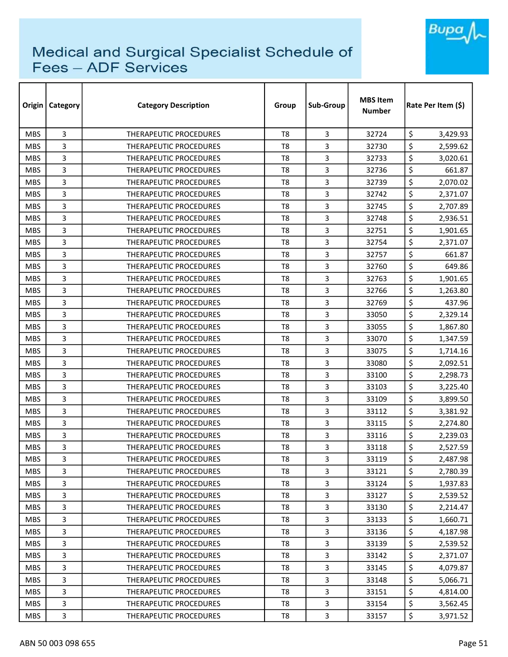

| Origin     | Category | <b>Category Description</b>   | Group          | Sub-Group      | <b>MBS Item</b><br><b>Number</b> | Rate Per Item (\$) |          |
|------------|----------|-------------------------------|----------------|----------------|----------------------------------|--------------------|----------|
| <b>MBS</b> | 3        | <b>THERAPEUTIC PROCEDURES</b> | T <sub>8</sub> | 3              | 32724                            | \$                 | 3,429.93 |
| <b>MBS</b> | 3        | <b>THERAPEUTIC PROCEDURES</b> | T <sub>8</sub> | 3              | 32730                            | \$                 | 2,599.62 |
| <b>MBS</b> | 3        | THERAPEUTIC PROCEDURES        | T8             | 3              | 32733                            | \$                 | 3,020.61 |
| <b>MBS</b> | 3        | THERAPEUTIC PROCEDURES        | T <sub>8</sub> | 3              | 32736                            | \$                 | 661.87   |
| <b>MBS</b> | 3        | THERAPEUTIC PROCEDURES        | T8             | 3              | 32739                            | \$                 | 2,070.02 |
| <b>MBS</b> | 3        | THERAPEUTIC PROCEDURES        | T <sub>8</sub> | 3              | 32742                            | \$                 | 2,371.07 |
| <b>MBS</b> | 3        | THERAPEUTIC PROCEDURES        | T8             | 3              | 32745                            | \$                 | 2,707.89 |
| <b>MBS</b> | 3        | THERAPEUTIC PROCEDURES        | T8             | 3              | 32748                            | \$                 | 2,936.51 |
| <b>MBS</b> | 3        | <b>THERAPEUTIC PROCEDURES</b> | T <sub>8</sub> | 3              | 32751                            | \$                 | 1,901.65 |
| <b>MBS</b> | 3        | THERAPEUTIC PROCEDURES        | T <sub>8</sub> | 3              | 32754                            | \$                 | 2,371.07 |
| <b>MBS</b> | 3        | THERAPEUTIC PROCEDURES        | T <sub>8</sub> | 3              | 32757                            | \$                 | 661.87   |
| <b>MBS</b> | 3        | <b>THERAPEUTIC PROCEDURES</b> | T <sub>8</sub> | 3              | 32760                            | \$                 | 649.86   |
| <b>MBS</b> | 3        | <b>THERAPEUTIC PROCEDURES</b> | T8             | 3              | 32763                            | \$                 | 1,901.65 |
| <b>MBS</b> | 3        | <b>THERAPEUTIC PROCEDURES</b> | T8             | 3              | 32766                            | \$                 | 1,263.80 |
| <b>MBS</b> | 3        | <b>THERAPEUTIC PROCEDURES</b> | T8             | 3              | 32769                            | \$                 | 437.96   |
| <b>MBS</b> | 3        | <b>THERAPEUTIC PROCEDURES</b> | T <sub>8</sub> | 3              | 33050                            | \$                 | 2,329.14 |
| <b>MBS</b> | 3        | THERAPEUTIC PROCEDURES        | T8             | 3              | 33055                            | \$                 | 1,867.80 |
| <b>MBS</b> | 3        | THERAPEUTIC PROCEDURES        | T <sub>8</sub> | $\overline{3}$ | 33070                            | \$                 | 1,347.59 |
| <b>MBS</b> | 3        | <b>THERAPEUTIC PROCEDURES</b> | T <sub>8</sub> | 3              | 33075                            | \$                 | 1,714.16 |
| <b>MBS</b> | 3        | THERAPEUTIC PROCEDURES        | T8             | 3              | 33080                            | \$                 | 2,092.51 |
| <b>MBS</b> | 3        | <b>THERAPEUTIC PROCEDURES</b> | T8             | 3              | 33100                            | \$                 | 2,298.73 |
| <b>MBS</b> | 3        | THERAPEUTIC PROCEDURES        | T8             | 3              | 33103                            | \$                 | 3,225.40 |
| <b>MBS</b> | 3        | <b>THERAPEUTIC PROCEDURES</b> | T <sub>8</sub> | $\overline{3}$ | 33109                            | \$                 | 3,899.50 |
| <b>MBS</b> | 3        | <b>THERAPEUTIC PROCEDURES</b> | T8             | 3              | 33112                            | \$                 | 3,381.92 |
| <b>MBS</b> | 3        | THERAPEUTIC PROCEDURES        | T8             | 3              | 33115                            | \$                 | 2,274.80 |
| <b>MBS</b> | 3        | THERAPEUTIC PROCEDURES        | T <sub>8</sub> | 3              | 33116                            | \$                 | 2,239.03 |
| <b>MBS</b> | 3        | <b>THERAPEUTIC PROCEDURES</b> | T8             | 3              | 33118                            | \$                 | 2,527.59 |
| <b>MBS</b> | 3        | THERAPEUTIC PROCEDURES        | T8             | 3              | 33119                            | \$                 | 2,487.98 |
| <b>MBS</b> | 3        | THERAPEUTIC PROCEDURES        | T8             | 3              | 33121                            | \$                 | 2,780.39 |
| <b>MBS</b> | 3        | THERAPEUTIC PROCEDURES        | T8             | $\overline{3}$ | 33124                            | \$                 | 1,937.83 |
| <b>MBS</b> | 3        | <b>THERAPEUTIC PROCEDURES</b> | T8             | $\overline{3}$ | 33127                            | \$                 | 2,539.52 |
| <b>MBS</b> | 3        | THERAPEUTIC PROCEDURES        | T8             | 3              | 33130                            | \$                 | 2,214.47 |
| <b>MBS</b> | 3        | THERAPEUTIC PROCEDURES        | T8             | 3              | 33133                            | \$                 | 1,660.71 |
| <b>MBS</b> | 3        | THERAPEUTIC PROCEDURES        | T8             | 3              | 33136                            | \$                 | 4,187.98 |
| <b>MBS</b> | 3        | THERAPEUTIC PROCEDURES        | T8             | $\overline{3}$ | 33139                            | \$                 | 2,539.52 |
| <b>MBS</b> | 3        | THERAPEUTIC PROCEDURES        | $\mathsf{T}8$  | 3              | 33142                            | \$                 | 2,371.07 |
| <b>MBS</b> | 3        | THERAPEUTIC PROCEDURES        | T8             | $\overline{3}$ | 33145                            | \$                 | 4,079.87 |
| <b>MBS</b> | 3        | THERAPEUTIC PROCEDURES        | T8             | 3              | 33148                            | \$                 | 5,066.71 |
| <b>MBS</b> | 3        | THERAPEUTIC PROCEDURES        | T8             | 3              | 33151                            | \$                 | 4,814.00 |
| <b>MBS</b> | 3        | THERAPEUTIC PROCEDURES        | T8             | $\overline{3}$ | 33154                            | \$                 | 3,562.45 |
| <b>MBS</b> | 3        | THERAPEUTIC PROCEDURES        | T8             | 3              | 33157                            | \$                 | 3,971.52 |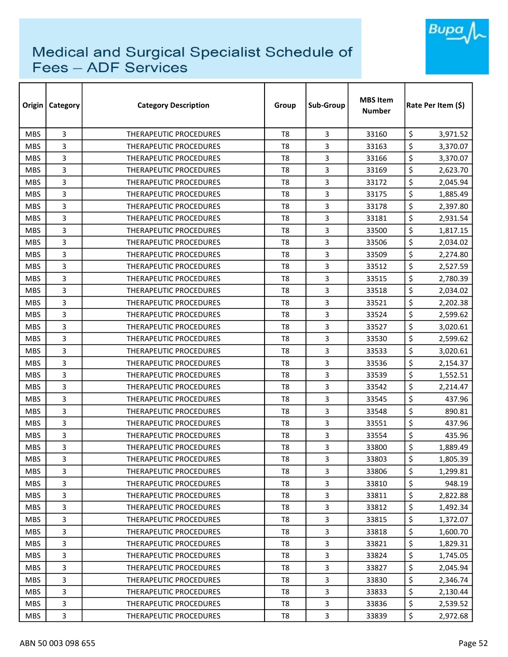

| Origin     | Category | <b>Category Description</b>   | Group          | Sub-Group      | <b>MBS Item</b><br><b>Number</b> | Rate Per Item (\$) |
|------------|----------|-------------------------------|----------------|----------------|----------------------------------|--------------------|
| <b>MBS</b> | 3        | <b>THERAPEUTIC PROCEDURES</b> | T <sub>8</sub> | 3              | 33160                            | \$<br>3,971.52     |
| <b>MBS</b> | 3        | <b>THERAPEUTIC PROCEDURES</b> | T <sub>8</sub> | 3              | 33163                            | \$<br>3,370.07     |
| <b>MBS</b> | 3        | THERAPEUTIC PROCEDURES        | T <sub>8</sub> | 3              | 33166                            | \$<br>3,370.07     |
| <b>MBS</b> | 3        | THERAPEUTIC PROCEDURES        | T <sub>8</sub> | 3              | 33169                            | \$<br>2,623.70     |
| <b>MBS</b> | 3        | THERAPEUTIC PROCEDURES        | T8             | 3              | 33172                            | \$<br>2,045.94     |
| <b>MBS</b> | 3        | <b>THERAPEUTIC PROCEDURES</b> | T <sub>8</sub> | 3              | 33175                            | \$<br>1,885.49     |
| <b>MBS</b> | 3        | THERAPEUTIC PROCEDURES        | T8             | 3              | 33178                            | \$<br>2,397.80     |
| <b>MBS</b> | 3        | THERAPEUTIC PROCEDURES        | T8             | 3              | 33181                            | \$<br>2,931.54     |
| <b>MBS</b> | 3        | <b>THERAPEUTIC PROCEDURES</b> | T <sub>8</sub> | 3              | 33500                            | \$<br>1,817.15     |
| <b>MBS</b> | 3        | THERAPEUTIC PROCEDURES        | T <sub>8</sub> | 3              | 33506                            | \$<br>2,034.02     |
| <b>MBS</b> | 3        | THERAPEUTIC PROCEDURES        | T <sub>8</sub> | 3              | 33509                            | \$<br>2,274.80     |
| <b>MBS</b> | 3        | THERAPEUTIC PROCEDURES        | T <sub>8</sub> | 3              | 33512                            | \$<br>2,527.59     |
| <b>MBS</b> | 3        | THERAPEUTIC PROCEDURES        | T <sub>8</sub> | 3              | 33515                            | \$<br>2,780.39     |
| <b>MBS</b> | 3        | <b>THERAPEUTIC PROCEDURES</b> | T8             | 3              | 33518                            | \$<br>2,034.02     |
| <b>MBS</b> | 3        | <b>THERAPEUTIC PROCEDURES</b> | T8             | 3              | 33521                            | \$<br>2,202.38     |
| <b>MBS</b> | 3        | <b>THERAPEUTIC PROCEDURES</b> | T <sub>8</sub> | 3              | 33524                            | \$<br>2,599.62     |
| <b>MBS</b> | 3        | THERAPEUTIC PROCEDURES        | T <sub>8</sub> | 3              | 33527                            | \$<br>3,020.61     |
| <b>MBS</b> | 3        | THERAPEUTIC PROCEDURES        | T <sub>8</sub> | 3              | 33530                            | \$<br>2,599.62     |
| <b>MBS</b> | 3        | THERAPEUTIC PROCEDURES        | T8             | 3              | 33533                            | \$<br>3,020.61     |
| <b>MBS</b> | 3        | THERAPEUTIC PROCEDURES        | T8             | 3              | 33536                            | \$<br>2,154.37     |
| <b>MBS</b> | 3        | <b>THERAPEUTIC PROCEDURES</b> | T8             | 3              | 33539                            | \$<br>1,552.51     |
| <b>MBS</b> | 3        | THERAPEUTIC PROCEDURES        | T <sub>8</sub> | 3              | 33542                            | \$<br>2,214.47     |
| <b>MBS</b> | 3        | <b>THERAPEUTIC PROCEDURES</b> | T <sub>8</sub> | $\overline{3}$ | 33545                            | \$<br>437.96       |
| <b>MBS</b> | 3        | THERAPEUTIC PROCEDURES        | T8             | 3              | 33548                            | \$<br>890.81       |
| <b>MBS</b> | 3        | THERAPEUTIC PROCEDURES        | T8             | 3              | 33551                            | \$<br>437.96       |
| <b>MBS</b> | 3        | THERAPEUTIC PROCEDURES        | T <sub>8</sub> | 3              | 33554                            | \$<br>435.96       |
| <b>MBS</b> | 3        | <b>THERAPEUTIC PROCEDURES</b> | T8             | 3              | 33800                            | \$<br>1,889.49     |
| <b>MBS</b> | 3        | THERAPEUTIC PROCEDURES        | T8             | 3              | 33803                            | \$<br>1,805.39     |
| <b>MBS</b> | 3        | THERAPEUTIC PROCEDURES        | T8             | 3              | 33806                            | \$<br>1,299.81     |
| <b>MBS</b> | 3        | THERAPEUTIC PROCEDURES        | T8             | $\overline{3}$ | 33810                            | \$<br>948.19       |
| <b>MBS</b> | 3        | THERAPEUTIC PROCEDURES        | T8             | $\overline{3}$ | 33811                            | \$<br>2,822.88     |
| <b>MBS</b> | 3        | <b>THERAPEUTIC PROCEDURES</b> | T8             | 3              | 33812                            | \$<br>1,492.34     |
| <b>MBS</b> | 3        | THERAPEUTIC PROCEDURES        | T8             | 3              | 33815                            | \$<br>1,372.07     |
| <b>MBS</b> | 3        | <b>THERAPEUTIC PROCEDURES</b> | T8             | 3              | 33818                            | \$<br>1,600.70     |
| <b>MBS</b> | 3        | <b>THERAPEUTIC PROCEDURES</b> | T8             | $\overline{3}$ | 33821                            | \$<br>1,829.31     |
| <b>MBS</b> | 3        | THERAPEUTIC PROCEDURES        | T8             | 3              | 33824                            | \$<br>1,745.05     |
| <b>MBS</b> | 3        | THERAPEUTIC PROCEDURES        | T8             | $\overline{3}$ | 33827                            | \$<br>2,045.94     |
| <b>MBS</b> | 3        | THERAPEUTIC PROCEDURES        | T8             | 3              | 33830                            | \$<br>2,346.74     |
| <b>MBS</b> | 3        | THERAPEUTIC PROCEDURES        | T8             | 3              | 33833                            | \$<br>2,130.44     |
| <b>MBS</b> | 3        | THERAPEUTIC PROCEDURES        | T8             | $\overline{3}$ | 33836                            | \$<br>2,539.52     |
| <b>MBS</b> | 3        | THERAPEUTIC PROCEDURES        | T8             | 3              | 33839                            | \$<br>2,972.68     |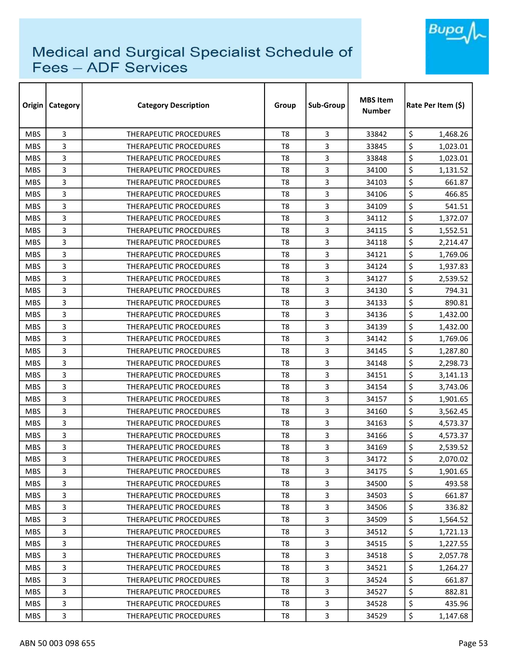

| Origin     | <b>Category</b> | <b>Category Description</b>   | Group          | Sub-Group | <b>MBS Item</b><br><b>Number</b> | Rate Per Item (\$) |
|------------|-----------------|-------------------------------|----------------|-----------|----------------------------------|--------------------|
| <b>MBS</b> | 3               | <b>THERAPEUTIC PROCEDURES</b> | T <sub>8</sub> | 3         | 33842                            | \$<br>1,468.26     |
| <b>MBS</b> | 3               | <b>THERAPEUTIC PROCEDURES</b> | T <sub>8</sub> | 3         | 33845                            | \$<br>1,023.01     |
| <b>MBS</b> | 3               | THERAPEUTIC PROCEDURES        | T8             | 3         | 33848                            | \$<br>1,023.01     |
| <b>MBS</b> | 3               | THERAPEUTIC PROCEDURES        | T <sub>8</sub> | 3         | 34100                            | \$<br>1,131.52     |
| <b>MBS</b> | 3               | <b>THERAPEUTIC PROCEDURES</b> | T8             | 3         | 34103                            | \$<br>661.87       |
| <b>MBS</b> | 3               | THERAPEUTIC PROCEDURES        | T <sub>8</sub> | 3         | 34106                            | \$<br>466.85       |
| <b>MBS</b> | 3               | <b>THERAPEUTIC PROCEDURES</b> | T <sub>8</sub> | 3         | 34109                            | \$<br>541.51       |
| <b>MBS</b> | 3               | <b>THERAPEUTIC PROCEDURES</b> | T8             | 3         | 34112                            | \$<br>1,372.07     |
| <b>MBS</b> | 3               | <b>THERAPEUTIC PROCEDURES</b> | T <sub>8</sub> | 3         | 34115                            | \$<br>1,552.51     |
| <b>MBS</b> | 3               | THERAPEUTIC PROCEDURES        | T <sub>8</sub> | 3         | 34118                            | \$<br>2,214.47     |
| <b>MBS</b> | 3               | THERAPEUTIC PROCEDURES        | T <sub>8</sub> | 3         | 34121                            | \$<br>1,769.06     |
| <b>MBS</b> | 3               | THERAPEUTIC PROCEDURES        | T <sub>8</sub> | 3         | 34124                            | \$<br>1,937.83     |
| <b>MBS</b> | 3               | THERAPEUTIC PROCEDURES        | T <sub>8</sub> | 3         | 34127                            | \$<br>2,539.52     |
| <b>MBS</b> | 3               | <b>THERAPEUTIC PROCEDURES</b> | T <sub>8</sub> | 3         | 34130                            | \$<br>794.31       |
| <b>MBS</b> | 3               | <b>THERAPEUTIC PROCEDURES</b> | T8             | 3         | 34133                            | \$<br>890.81       |
| <b>MBS</b> | 3               | <b>THERAPEUTIC PROCEDURES</b> | T <sub>8</sub> | 3         | 34136                            | \$<br>1,432.00     |
| <b>MBS</b> | 3               | THERAPEUTIC PROCEDURES        | T8             | 3         | 34139                            | \$<br>1,432.00     |
| <b>MBS</b> | 3               | THERAPEUTIC PROCEDURES        | T <sub>8</sub> | 3         | 34142                            | \$<br>1,769.06     |
| <b>MBS</b> | 3               | <b>THERAPEUTIC PROCEDURES</b> | T <sub>8</sub> | 3         | 34145                            | \$<br>1,287.80     |
| <b>MBS</b> | 3               | <b>THERAPEUTIC PROCEDURES</b> | T <sub>8</sub> | 3         | 34148                            | \$<br>2,298.73     |
| <b>MBS</b> | 3               | <b>THERAPEUTIC PROCEDURES</b> | T8             | 3         | 34151                            | \$<br>3,141.13     |
| <b>MBS</b> | 3               | <b>THERAPEUTIC PROCEDURES</b> | T8             | 3         | 34154                            | \$<br>3,743.06     |
| <b>MBS</b> | 3               | THERAPEUTIC PROCEDURES        | T <sub>8</sub> | 3         | 34157                            | \$<br>1,901.65     |
| <b>MBS</b> | 3               | <b>THERAPEUTIC PROCEDURES</b> | T8             | 3         | 34160                            | \$<br>3,562.45     |
| <b>MBS</b> | 3               | <b>THERAPEUTIC PROCEDURES</b> | T <sub>8</sub> | 3         | 34163                            | \$<br>4,573.37     |
| <b>MBS</b> | 3               | <b>THERAPEUTIC PROCEDURES</b> | T8             | 3         | 34166                            | \$<br>4,573.37     |
| <b>MBS</b> | 3               | <b>THERAPEUTIC PROCEDURES</b> | T8             | 3         | 34169                            | \$<br>2,539.52     |
| <b>MBS</b> | 3               | THERAPEUTIC PROCEDURES        | T <sub>8</sub> | 3         | 34172                            | \$<br>2,070.02     |
| <b>MBS</b> | 3               | <b>THERAPEUTIC PROCEDURES</b> | T8             | 3         | 34175                            | \$<br>1,901.65     |
| <b>MBS</b> | 3               | THERAPEUTIC PROCEDURES        | T8             | 3         | 34500                            | \$<br>493.58       |
| <b>MBS</b> | 3               | THERAPEUTIC PROCEDURES        | T <sub>8</sub> | 3         | 34503                            | \$<br>661.87       |
| <b>MBS</b> | 3               | <b>THERAPEUTIC PROCEDURES</b> | T8             | 3         | 34506                            | \$<br>336.82       |
| MBS.       | 3               | THERAPEUTIC PROCEDURES        | T <sub>8</sub> | 3         | 34509                            | \$<br>1,564.52     |
| <b>MBS</b> | 3               | <b>THERAPEUTIC PROCEDURES</b> | T8             | 3         | 34512                            | \$<br>1,721.13     |
| <b>MBS</b> | 3               | <b>THERAPEUTIC PROCEDURES</b> | T <sub>8</sub> | 3         | 34515                            | \$<br>1,227.55     |
| <b>MBS</b> | 3               | THERAPEUTIC PROCEDURES        | T8             | 3         | 34518                            | \$<br>2,057.78     |
| <b>MBS</b> | 3               | THERAPEUTIC PROCEDURES        | T8             | 3         | 34521                            | \$<br>1,264.27     |
| <b>MBS</b> | 3               | THERAPEUTIC PROCEDURES        | T8             | 3         | 34524                            | \$<br>661.87       |
| <b>MBS</b> | 3               | THERAPEUTIC PROCEDURES        | T8             | 3         | 34527                            | \$<br>882.81       |
| <b>MBS</b> | 3               | THERAPEUTIC PROCEDURES        | T <sub>8</sub> | 3         | 34528                            | \$<br>435.96       |
| <b>MBS</b> | 3               | THERAPEUTIC PROCEDURES        | T8             | 3         | 34529                            | \$<br>1,147.68     |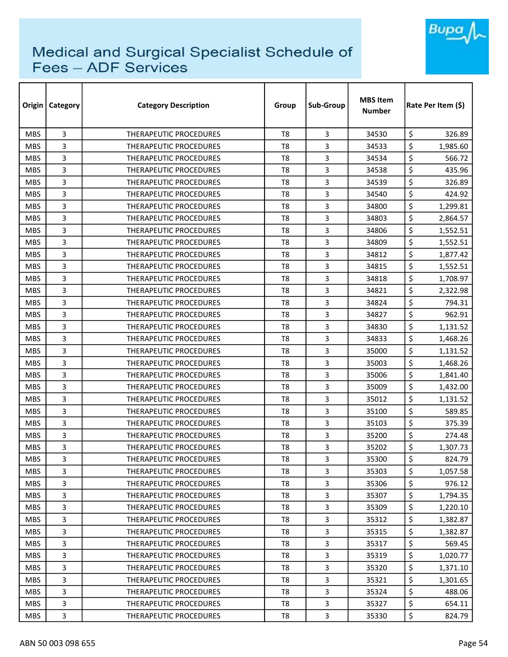

| Origin     | <b>Category</b> | <b>Category Description</b>   | Group          | Sub-Group      | <b>MBS Item</b><br><b>Number</b> | Rate Per Item (\$) |  |
|------------|-----------------|-------------------------------|----------------|----------------|----------------------------------|--------------------|--|
| <b>MBS</b> | 3               | <b>THERAPEUTIC PROCEDURES</b> | T <sub>8</sub> | 3              | 34530                            | \$<br>326.89       |  |
| <b>MBS</b> | 3               | <b>THERAPEUTIC PROCEDURES</b> | T <sub>8</sub> | 3              | 34533                            | \$<br>1,985.60     |  |
| <b>MBS</b> | 3               | THERAPEUTIC PROCEDURES        | T <sub>8</sub> | 3              | 34534                            | \$<br>566.72       |  |
| <b>MBS</b> | 3               | THERAPEUTIC PROCEDURES        | T <sub>8</sub> | 3              | 34538                            | \$<br>435.96       |  |
| <b>MBS</b> | 3               | <b>THERAPEUTIC PROCEDURES</b> | T <sub>8</sub> | 3              | 34539                            | \$<br>326.89       |  |
| <b>MBS</b> | 3               | THERAPEUTIC PROCEDURES        | T <sub>8</sub> | 3              | 34540                            | \$<br>424.92       |  |
| <b>MBS</b> | 3               | <b>THERAPEUTIC PROCEDURES</b> | T8             | 3              | 34800                            | \$<br>1,299.81     |  |
| <b>MBS</b> | 3               | <b>THERAPEUTIC PROCEDURES</b> | T8             | 3              | 34803                            | \$<br>2,864.57     |  |
| <b>MBS</b> | 3               | <b>THERAPEUTIC PROCEDURES</b> | T <sub>8</sub> | 3              | 34806                            | \$<br>1,552.51     |  |
| <b>MBS</b> | 3               | <b>THERAPEUTIC PROCEDURES</b> | T <sub>8</sub> | 3              | 34809                            | \$<br>1,552.51     |  |
| <b>MBS</b> | 3               | <b>THERAPEUTIC PROCEDURES</b> | T <sub>8</sub> | 3              | 34812                            | \$<br>1,877.42     |  |
| <b>MBS</b> | 3               | THERAPEUTIC PROCEDURES        | T <sub>8</sub> | 3              | 34815                            | \$<br>1,552.51     |  |
| <b>MBS</b> | 3               | <b>THERAPEUTIC PROCEDURES</b> | T <sub>8</sub> | 3              | 34818                            | \$<br>1,708.97     |  |
| <b>MBS</b> | 3               | <b>THERAPEUTIC PROCEDURES</b> | T <sub>8</sub> | 3              | 34821                            | \$<br>2,322.98     |  |
| <b>MBS</b> | 3               | <b>THERAPEUTIC PROCEDURES</b> | T8             | 3              | 34824                            | \$<br>794.31       |  |
| <b>MBS</b> | 3               | <b>THERAPEUTIC PROCEDURES</b> | T <sub>8</sub> | 3              | 34827                            | \$<br>962.91       |  |
| <b>MBS</b> | 3               | <b>THERAPEUTIC PROCEDURES</b> | T8             | 3              | 34830                            | \$<br>1,131.52     |  |
| <b>MBS</b> | 3               | THERAPEUTIC PROCEDURES        | T <sub>8</sub> | 3              | 34833                            | \$<br>1,468.26     |  |
| <b>MBS</b> | 3               | THERAPEUTIC PROCEDURES        | T <sub>8</sub> | 3              | 35000                            | \$<br>1,131.52     |  |
| <b>MBS</b> | 3               | THERAPEUTIC PROCEDURES        | T8             | 3              | 35003                            | \$<br>1,468.26     |  |
| <b>MBS</b> | 3               | <b>THERAPEUTIC PROCEDURES</b> | T <sub>8</sub> | 3              | 35006                            | \$<br>1,841.40     |  |
| <b>MBS</b> | 3               | THERAPEUTIC PROCEDURES        | T <sub>8</sub> | 3              | 35009                            | \$<br>1,432.00     |  |
| <b>MBS</b> | 3               | <b>THERAPEUTIC PROCEDURES</b> | T <sub>8</sub> | 3              | 35012                            | \$<br>1,131.52     |  |
| <b>MBS</b> | 3               | <b>THERAPEUTIC PROCEDURES</b> | T <sub>8</sub> | 3              | 35100                            | \$<br>589.85       |  |
| <b>MBS</b> | 3               | THERAPEUTIC PROCEDURES        | T <sub>8</sub> | 3              | 35103                            | \$<br>375.39       |  |
| <b>MBS</b> | 3               | <b>THERAPEUTIC PROCEDURES</b> | T <sub>8</sub> | 3              | 35200                            | \$<br>274.48       |  |
| <b>MBS</b> | 3               | <b>THERAPEUTIC PROCEDURES</b> | T8             | 3              | 35202                            | \$<br>1,307.73     |  |
| <b>MBS</b> | 3               | THERAPEUTIC PROCEDURES        | T <sub>8</sub> | $\mathbf{3}$   | 35300                            | \$<br>824.79       |  |
| <b>MBS</b> | 3               | THERAPEUTIC PROCEDURES        | T8             | 3              | 35303                            | \$<br>1,057.58     |  |
| <b>MBS</b> | 3               | THERAPEUTIC PROCEDURES        | T8             | $\overline{3}$ | 35306                            | \$<br>976.12       |  |
| <b>MBS</b> | 3               | <b>THERAPEUTIC PROCEDURES</b> | T <sub>8</sub> | 3              | 35307                            | \$<br>1,794.35     |  |
| <b>MBS</b> | 3               | <b>THERAPEUTIC PROCEDURES</b> | T8             | 3              | 35309                            | \$<br>1,220.10     |  |
| <b>MBS</b> | 3               | THERAPEUTIC PROCEDURES        | T <sub>8</sub> | 3              | 35312                            | \$<br>1,382.87     |  |
| <b>MBS</b> | 3               | THERAPEUTIC PROCEDURES        | T8             | 3              | 35315                            | \$<br>1,382.87     |  |
| <b>MBS</b> | 3               | THERAPEUTIC PROCEDURES        | T <sub>8</sub> | $\overline{3}$ | 35317                            | \$<br>569.45       |  |
| <b>MBS</b> | 3               | THERAPEUTIC PROCEDURES        | T8             | 3              | 35319                            | \$<br>1,020.77     |  |
| <b>MBS</b> | 3               | THERAPEUTIC PROCEDURES        | T8             | 3              | 35320                            | \$<br>1,371.10     |  |
| <b>MBS</b> | 3               | THERAPEUTIC PROCEDURES        | T8             | 3              | 35321                            | \$<br>1,301.65     |  |
| <b>MBS</b> | 3               | THERAPEUTIC PROCEDURES        | T8             | 3              | 35324                            | \$<br>488.06       |  |
| <b>MBS</b> | 3               | THERAPEUTIC PROCEDURES        | T8             | 3              | 35327                            | \$<br>654.11       |  |
| <b>MBS</b> | 3               | THERAPEUTIC PROCEDURES        | T8             | 3              | 35330                            | \$<br>824.79       |  |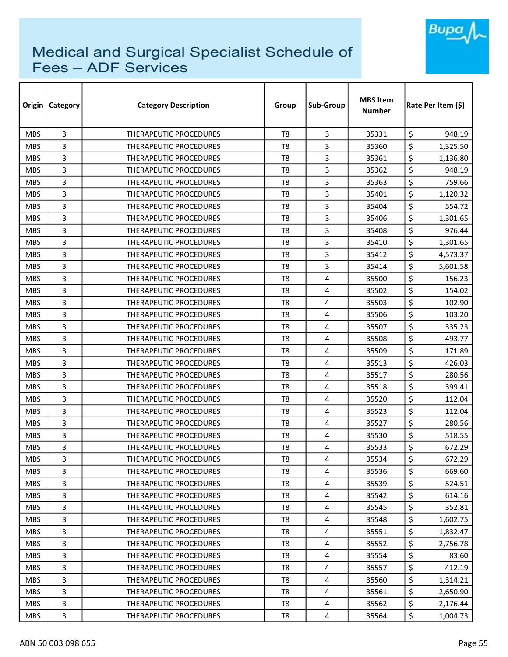

| Origin     | <b>Category</b> | <b>Category Description</b>   | Group          | Sub-Group               | <b>MBS Item</b><br><b>Number</b> | Rate Per Item (S) |  |
|------------|-----------------|-------------------------------|----------------|-------------------------|----------------------------------|-------------------|--|
| <b>MBS</b> | 3               | <b>THERAPEUTIC PROCEDURES</b> | T <sub>8</sub> | 3                       | 35331                            | \$<br>948.19      |  |
| <b>MBS</b> | 3               | <b>THERAPEUTIC PROCEDURES</b> | T <sub>8</sub> | 3                       | 35360                            | \$<br>1,325.50    |  |
| <b>MBS</b> | 3               | THERAPEUTIC PROCEDURES        | T <sub>8</sub> | 3                       | 35361                            | \$<br>1,136.80    |  |
| <b>MBS</b> | 3               | <b>THERAPEUTIC PROCEDURES</b> | T <sub>8</sub> | 3                       | 35362                            | \$<br>948.19      |  |
| <b>MBS</b> | 3               | <b>THERAPEUTIC PROCEDURES</b> | T <sub>8</sub> | 3                       | 35363                            | \$<br>759.66      |  |
| <b>MBS</b> | 3               | THERAPEUTIC PROCEDURES        | T <sub>8</sub> | 3                       | 35401                            | \$<br>1,120.32    |  |
| <b>MBS</b> | 3               | <b>THERAPEUTIC PROCEDURES</b> | T8             | 3                       | 35404                            | \$<br>554.72      |  |
| <b>MBS</b> | 3               | <b>THERAPEUTIC PROCEDURES</b> | T8             | 3                       | 35406                            | \$<br>1,301.65    |  |
| <b>MBS</b> | 3               | <b>THERAPEUTIC PROCEDURES</b> | T <sub>8</sub> | 3                       | 35408                            | \$<br>976.44      |  |
| <b>MBS</b> | 3               | THERAPEUTIC PROCEDURES        | T <sub>8</sub> | 3                       | 35410                            | \$<br>1,301.65    |  |
| <b>MBS</b> | 3               | <b>THERAPEUTIC PROCEDURES</b> | T <sub>8</sub> | 3                       | 35412                            | \$<br>4,573.37    |  |
| <b>MBS</b> | 3               | THERAPEUTIC PROCEDURES        | T <sub>8</sub> | 3                       | 35414                            | \$<br>5,601.58    |  |
| <b>MBS</b> | 3               | <b>THERAPEUTIC PROCEDURES</b> | T <sub>8</sub> | 4                       | 35500                            | \$<br>156.23      |  |
| <b>MBS</b> | 3               | <b>THERAPEUTIC PROCEDURES</b> | T <sub>8</sub> | 4                       | 35502                            | \$<br>154.02      |  |
| <b>MBS</b> | 3               | <b>THERAPEUTIC PROCEDURES</b> | T8             | 4                       | 35503                            | \$<br>102.90      |  |
| <b>MBS</b> | 3               | <b>THERAPEUTIC PROCEDURES</b> | T <sub>8</sub> | 4                       | 35506                            | \$<br>103.20      |  |
| <b>MBS</b> | 3               | <b>THERAPEUTIC PROCEDURES</b> | T8             | 4                       | 35507                            | \$<br>335.23      |  |
| <b>MBS</b> | 3               | THERAPEUTIC PROCEDURES        | T <sub>8</sub> | 4                       | 35508                            | \$<br>493.77      |  |
| <b>MBS</b> | 3               | THERAPEUTIC PROCEDURES        | T <sub>8</sub> | 4                       | 35509                            | \$<br>171.89      |  |
| <b>MBS</b> | 3               | THERAPEUTIC PROCEDURES        | T <sub>8</sub> | 4                       | 35513                            | \$<br>426.03      |  |
| <b>MBS</b> | 3               | <b>THERAPEUTIC PROCEDURES</b> | T <sub>8</sub> | 4                       | 35517                            | \$<br>280.56      |  |
| <b>MBS</b> | 3               | THERAPEUTIC PROCEDURES        | T <sub>8</sub> | 4                       | 35518                            | \$<br>399.41      |  |
| <b>MBS</b> | 3               | <b>THERAPEUTIC PROCEDURES</b> | T <sub>8</sub> | 4                       | 35520                            | \$<br>112.04      |  |
| <b>MBS</b> | 3               | <b>THERAPEUTIC PROCEDURES</b> | T <sub>8</sub> | 4                       | 35523                            | \$<br>112.04      |  |
| <b>MBS</b> | 3               | THERAPEUTIC PROCEDURES        | T <sub>8</sub> | 4                       | 35527                            | \$<br>280.56      |  |
| <b>MBS</b> | 3               | <b>THERAPEUTIC PROCEDURES</b> | T <sub>8</sub> | 4                       | 35530                            | \$<br>518.55      |  |
| <b>MBS</b> | 3               | <b>THERAPEUTIC PROCEDURES</b> | T8             | 4                       | 35533                            | \$<br>672.29      |  |
| <b>MBS</b> | 3               | THERAPEUTIC PROCEDURES        | T <sub>8</sub> | 4                       | 35534                            | \$<br>672.29      |  |
| <b>MBS</b> | 3               | THERAPEUTIC PROCEDURES        | T8             | 4                       | 35536                            | \$<br>669.60      |  |
| <b>MBS</b> | 3               | THERAPEUTIC PROCEDURES        | T8             | $\overline{4}$          | 35539                            | \$<br>524.51      |  |
| <b>MBS</b> | 3               | <b>THERAPEUTIC PROCEDURES</b> | T <sub>8</sub> | $\overline{\mathbf{4}}$ | 35542                            | \$<br>614.16      |  |
| <b>MBS</b> | 3               | <b>THERAPEUTIC PROCEDURES</b> | T8             | 4                       | 35545                            | \$<br>352.81      |  |
| <b>MBS</b> | 3               | THERAPEUTIC PROCEDURES        | T <sub>8</sub> | 4                       | 35548                            | \$<br>1,602.75    |  |
| <b>MBS</b> | 3               | THERAPEUTIC PROCEDURES        | T8             | 4                       | 35551                            | \$<br>1,832.47    |  |
| <b>MBS</b> | 3               | THERAPEUTIC PROCEDURES        | T <sub>8</sub> | $\overline{4}$          | 35552                            | \$<br>2,756.78    |  |
| <b>MBS</b> | 3               | THERAPEUTIC PROCEDURES        | T8             | 4                       | 35554                            | \$<br>83.60       |  |
| <b>MBS</b> | 3               | THERAPEUTIC PROCEDURES        | T8             | $\overline{4}$          | 35557                            | \$<br>412.19      |  |
| <b>MBS</b> | 3               | THERAPEUTIC PROCEDURES        | T8             | $\overline{4}$          | 35560                            | \$<br>1,314.21    |  |
| <b>MBS</b> | 3               | THERAPEUTIC PROCEDURES        | T8             | 4                       | 35561                            | \$<br>2,650.90    |  |
| <b>MBS</b> | 3               | THERAPEUTIC PROCEDURES        | T8             | 4                       | 35562                            | \$<br>2,176.44    |  |
| <b>MBS</b> | 3               | THERAPEUTIC PROCEDURES        | T8             | 4                       | 35564                            | \$<br>1,004.73    |  |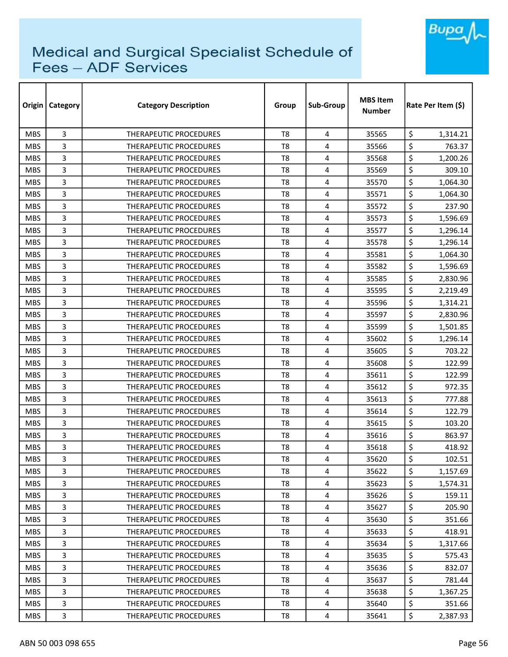

| Origin     | <b>Category</b> | <b>Category Description</b>   | Group          | Sub-Group               | <b>MBS Item</b><br><b>Number</b> | Rate Per Item (\$) |
|------------|-----------------|-------------------------------|----------------|-------------------------|----------------------------------|--------------------|
| <b>MBS</b> | 3               | <b>THERAPEUTIC PROCEDURES</b> | T <sub>8</sub> | 4                       | 35565                            | \$<br>1,314.21     |
| <b>MBS</b> | 3               | <b>THERAPEUTIC PROCEDURES</b> | T <sub>8</sub> | 4                       | 35566                            | \$<br>763.37       |
| <b>MBS</b> | 3               | THERAPEUTIC PROCEDURES        | T <sub>8</sub> | 4                       | 35568                            | \$<br>1,200.26     |
| <b>MBS</b> | 3               | THERAPEUTIC PROCEDURES        | T <sub>8</sub> | 4                       | 35569                            | \$<br>309.10       |
| <b>MBS</b> | 3               | <b>THERAPEUTIC PROCEDURES</b> | T <sub>8</sub> | 4                       | 35570                            | \$<br>1,064.30     |
| <b>MBS</b> | 3               | <b>THERAPEUTIC PROCEDURES</b> | T <sub>8</sub> | 4                       | 35571                            | \$<br>1,064.30     |
| <b>MBS</b> | 3               | <b>THERAPEUTIC PROCEDURES</b> | T8             | 4                       | 35572                            | \$<br>237.90       |
| <b>MBS</b> | 3               | <b>THERAPEUTIC PROCEDURES</b> | T8             | 4                       | 35573                            | \$<br>1,596.69     |
| <b>MBS</b> | 3               | THERAPEUTIC PROCEDURES        | T <sub>8</sub> | 4                       | 35577                            | \$<br>1,296.14     |
| <b>MBS</b> | 3               | <b>THERAPEUTIC PROCEDURES</b> | T <sub>8</sub> | 4                       | 35578                            | \$<br>1,296.14     |
| <b>MBS</b> | 3               | THERAPEUTIC PROCEDURES        | T <sub>8</sub> | 4                       | 35581                            | \$<br>1,064.30     |
| <b>MBS</b> | 3               | THERAPEUTIC PROCEDURES        | T <sub>8</sub> | 4                       | 35582                            | \$<br>1,596.69     |
| <b>MBS</b> | 3               | <b>THERAPEUTIC PROCEDURES</b> | T <sub>8</sub> | 4                       | 35585                            | \$<br>2,830.96     |
| <b>MBS</b> | 3               | <b>THERAPEUTIC PROCEDURES</b> | T <sub>8</sub> | 4                       | 35595                            | \$<br>2,219.49     |
| <b>MBS</b> | 3               | <b>THERAPEUTIC PROCEDURES</b> | T8             | 4                       | 35596                            | \$<br>1,314.21     |
| <b>MBS</b> | 3               | <b>THERAPEUTIC PROCEDURES</b> | T <sub>8</sub> | 4                       | 35597                            | \$<br>2,830.96     |
| <b>MBS</b> | 3               | <b>THERAPEUTIC PROCEDURES</b> | T8             | 4                       | 35599                            | \$<br>1,501.85     |
| <b>MBS</b> | 3               | THERAPEUTIC PROCEDURES        | T <sub>8</sub> | 4                       | 35602                            | \$<br>1,296.14     |
| <b>MBS</b> | 3               | THERAPEUTIC PROCEDURES        | T <sub>8</sub> | 4                       | 35605                            | \$<br>703.22       |
| <b>MBS</b> | 3               | <b>THERAPEUTIC PROCEDURES</b> | T8             | 4                       | 35608                            | \$<br>122.99       |
| <b>MBS</b> | 3               | <b>THERAPEUTIC PROCEDURES</b> | T <sub>8</sub> | 4                       | 35611                            | \$<br>122.99       |
| <b>MBS</b> | 3               | THERAPEUTIC PROCEDURES        | T <sub>8</sub> | 4                       | 35612                            | \$<br>972.35       |
| <b>MBS</b> | 3               | <b>THERAPEUTIC PROCEDURES</b> | T <sub>8</sub> | 4                       | 35613                            | \$<br>777.88       |
| <b>MBS</b> | 3               | <b>THERAPEUTIC PROCEDURES</b> | T <sub>8</sub> | 4                       | 35614                            | \$<br>122.79       |
| <b>MBS</b> | 3               | THERAPEUTIC PROCEDURES        | T <sub>8</sub> | 4                       | 35615                            | \$<br>103.20       |
| <b>MBS</b> | 3               | <b>THERAPEUTIC PROCEDURES</b> | T <sub>8</sub> | 4                       | 35616                            | \$<br>863.97       |
| <b>MBS</b> | 3               | <b>THERAPEUTIC PROCEDURES</b> | T8             | 4                       | 35618                            | \$<br>418.92       |
| <b>MBS</b> | 3               | THERAPEUTIC PROCEDURES        | T <sub>8</sub> | 4                       | 35620                            | \$<br>102.51       |
| <b>MBS</b> | 3               | THERAPEUTIC PROCEDURES        | T8             | 4                       | 35622                            | \$<br>1,157.69     |
| <b>MBS</b> | 3               | THERAPEUTIC PROCEDURES        | T8             | $\overline{4}$          | 35623                            | \$<br>1,574.31     |
| <b>MBS</b> | 3               | THERAPEUTIC PROCEDURES        | T <sub>8</sub> | $\overline{\mathbf{4}}$ | 35626                            | \$<br>159.11       |
| <b>MBS</b> | 3               | THERAPEUTIC PROCEDURES        | T8             | 4                       | 35627                            | \$<br>205.90       |
| <b>MBS</b> | 3               | THERAPEUTIC PROCEDURES        | T <sub>8</sub> | 4                       | 35630                            | \$<br>351.66       |
| <b>MBS</b> | 3               | THERAPEUTIC PROCEDURES        | T8             | 4                       | 35633                            | \$<br>418.91       |
| <b>MBS</b> | 3               | THERAPEUTIC PROCEDURES        | T <sub>8</sub> | $\overline{4}$          | 35634                            | \$<br>1,317.66     |
| <b>MBS</b> | 3               | THERAPEUTIC PROCEDURES        | T8             | 4                       | 35635                            | \$<br>575.43       |
| <b>MBS</b> | 3               | THERAPEUTIC PROCEDURES        | T8             | $\overline{4}$          | 35636                            | \$<br>832.07       |
| <b>MBS</b> | 3               | THERAPEUTIC PROCEDURES        | T8             | $\overline{4}$          | 35637                            | \$<br>781.44       |
| <b>MBS</b> | 3               | THERAPEUTIC PROCEDURES        | T8             | 4                       | 35638                            | \$<br>1,367.25     |
| <b>MBS</b> | 3               | THERAPEUTIC PROCEDURES        | T8             | 4                       | 35640                            | \$<br>351.66       |
| <b>MBS</b> | 3               | THERAPEUTIC PROCEDURES        | T8             | 4                       | 35641                            | \$<br>2,387.93     |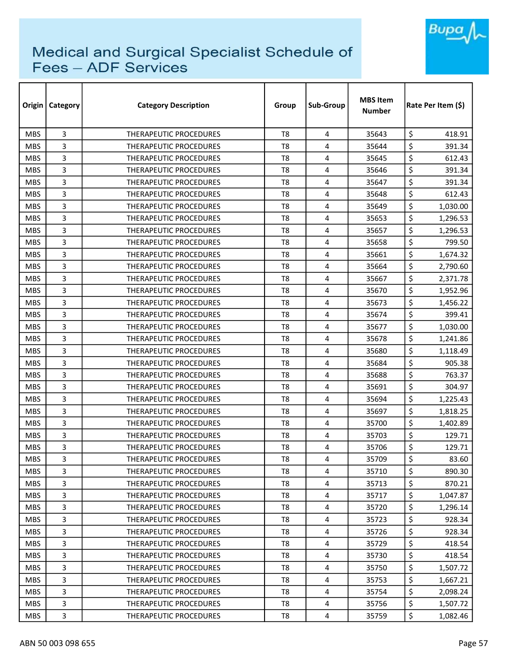

| Origin     | <b>Category</b> | <b>Category Description</b>   | Group          | Sub-Group               | <b>MBS Item</b><br><b>Number</b> | Rate Per Item (\$) |  |
|------------|-----------------|-------------------------------|----------------|-------------------------|----------------------------------|--------------------|--|
| <b>MBS</b> | 3               | <b>THERAPEUTIC PROCEDURES</b> | T <sub>8</sub> | 4                       | 35643                            | \$<br>418.91       |  |
| <b>MBS</b> | 3               | THERAPEUTIC PROCEDURES        | T <sub>8</sub> | 4                       | 35644                            | \$<br>391.34       |  |
| <b>MBS</b> | 3               | THERAPEUTIC PROCEDURES        | T <sub>8</sub> | 4                       | 35645                            | \$<br>612.43       |  |
| <b>MBS</b> | 3               | <b>THERAPEUTIC PROCEDURES</b> | T <sub>8</sub> | 4                       | 35646                            | \$<br>391.34       |  |
| <b>MBS</b> | 3               | <b>THERAPEUTIC PROCEDURES</b> | T <sub>8</sub> | 4                       | 35647                            | \$<br>391.34       |  |
| <b>MBS</b> | 3               | <b>THERAPEUTIC PROCEDURES</b> | T <sub>8</sub> | 4                       | 35648                            | \$<br>612.43       |  |
| <b>MBS</b> | 3               | <b>THERAPEUTIC PROCEDURES</b> | T8             | 4                       | 35649                            | \$<br>1,030.00     |  |
| <b>MBS</b> | 3               | <b>THERAPEUTIC PROCEDURES</b> | T8             | 4                       | 35653                            | \$<br>1,296.53     |  |
| <b>MBS</b> | 3               | THERAPEUTIC PROCEDURES        | T <sub>8</sub> | 4                       | 35657                            | \$<br>1,296.53     |  |
| <b>MBS</b> | 3               | <b>THERAPEUTIC PROCEDURES</b> | T <sub>8</sub> | 4                       | 35658                            | \$<br>799.50       |  |
| <b>MBS</b> | 3               | THERAPEUTIC PROCEDURES        | T <sub>8</sub> | 4                       | 35661                            | \$<br>1,674.32     |  |
| <b>MBS</b> | 3               | THERAPEUTIC PROCEDURES        | T <sub>8</sub> | 4                       | 35664                            | \$<br>2,790.60     |  |
| <b>MBS</b> | 3               | <b>THERAPEUTIC PROCEDURES</b> | T <sub>8</sub> | 4                       | 35667                            | \$<br>2,371.78     |  |
| <b>MBS</b> | 3               | <b>THERAPEUTIC PROCEDURES</b> | T <sub>8</sub> | 4                       | 35670                            | \$<br>1,952.96     |  |
| <b>MBS</b> | 3               | <b>THERAPEUTIC PROCEDURES</b> | T8             | 4                       | 35673                            | \$<br>1,456.22     |  |
| <b>MBS</b> | 3               | <b>THERAPEUTIC PROCEDURES</b> | T <sub>8</sub> | 4                       | 35674                            | \$<br>399.41       |  |
| <b>MBS</b> | 3               | <b>THERAPEUTIC PROCEDURES</b> | T8             | 4                       | 35677                            | \$<br>1,030.00     |  |
| <b>MBS</b> | 3               | THERAPEUTIC PROCEDURES        | T <sub>8</sub> | 4                       | 35678                            | \$<br>1,241.86     |  |
| <b>MBS</b> | 3               | THERAPEUTIC PROCEDURES        | T <sub>8</sub> | 4                       | 35680                            | \$<br>1,118.49     |  |
| <b>MBS</b> | 3               | <b>THERAPEUTIC PROCEDURES</b> | T <sub>8</sub> | 4                       | 35684                            | \$<br>905.38       |  |
| <b>MBS</b> | 3               | <b>THERAPEUTIC PROCEDURES</b> | T <sub>8</sub> | 4                       | 35688                            | \$<br>763.37       |  |
| <b>MBS</b> | 3               | THERAPEUTIC PROCEDURES        | T <sub>8</sub> | 4                       | 35691                            | \$<br>304.97       |  |
| <b>MBS</b> | 3               | <b>THERAPEUTIC PROCEDURES</b> | T <sub>8</sub> | 4                       | 35694                            | \$<br>1,225.43     |  |
| <b>MBS</b> | 3               | <b>THERAPEUTIC PROCEDURES</b> | T <sub>8</sub> | 4                       | 35697                            | \$<br>1,818.25     |  |
| <b>MBS</b> | 3               | THERAPEUTIC PROCEDURES        | T <sub>8</sub> | 4                       | 35700                            | \$<br>1,402.89     |  |
| <b>MBS</b> | 3               | <b>THERAPEUTIC PROCEDURES</b> | T <sub>8</sub> | 4                       | 35703                            | \$<br>129.71       |  |
| <b>MBS</b> | 3               | <b>THERAPEUTIC PROCEDURES</b> | T8             | 4                       | 35706                            | \$<br>129.71       |  |
| <b>MBS</b> | 3               | THERAPEUTIC PROCEDURES        | T <sub>8</sub> | 4                       | 35709                            | \$<br>83.60        |  |
| <b>MBS</b> | 3               | THERAPEUTIC PROCEDURES        | T8             | 4                       | 35710                            | \$<br>890.30       |  |
| <b>MBS</b> | 3               | THERAPEUTIC PROCEDURES        | T8             | $\overline{4}$          | 35713                            | \$<br>870.21       |  |
| <b>MBS</b> | 3               | <b>THERAPEUTIC PROCEDURES</b> | T <sub>8</sub> | $\overline{\mathbf{4}}$ | 35717                            | \$<br>1,047.87     |  |
| <b>MBS</b> | 3               | <b>THERAPEUTIC PROCEDURES</b> | T8             | 4                       | 35720                            | \$<br>1,296.14     |  |
| <b>MBS</b> | 3               | THERAPEUTIC PROCEDURES        | T <sub>8</sub> | 4                       | 35723                            | \$<br>928.34       |  |
| <b>MBS</b> | 3               | THERAPEUTIC PROCEDURES        | T8             | 4                       | 35726                            | \$<br>928.34       |  |
| <b>MBS</b> | 3               | THERAPEUTIC PROCEDURES        | T <sub>8</sub> | $\overline{4}$          | 35729                            | \$<br>418.54       |  |
| <b>MBS</b> | 3               | THERAPEUTIC PROCEDURES        | T8             | 4                       | 35730                            | \$<br>418.54       |  |
| <b>MBS</b> | 3               | THERAPEUTIC PROCEDURES        | T8             | $\overline{4}$          | 35750                            | \$<br>1,507.72     |  |
| <b>MBS</b> | 3               | THERAPEUTIC PROCEDURES        | T8             | $\overline{4}$          | 35753                            | \$<br>1,667.21     |  |
| <b>MBS</b> | 3               | THERAPEUTIC PROCEDURES        | T8             | 4                       | 35754                            | \$<br>2,098.24     |  |
| <b>MBS</b> | 3               | THERAPEUTIC PROCEDURES        | T8             | 4                       | 35756                            | \$<br>1,507.72     |  |
| <b>MBS</b> | 3               | THERAPEUTIC PROCEDURES        | T8             | 4                       | 35759                            | \$<br>1,082.46     |  |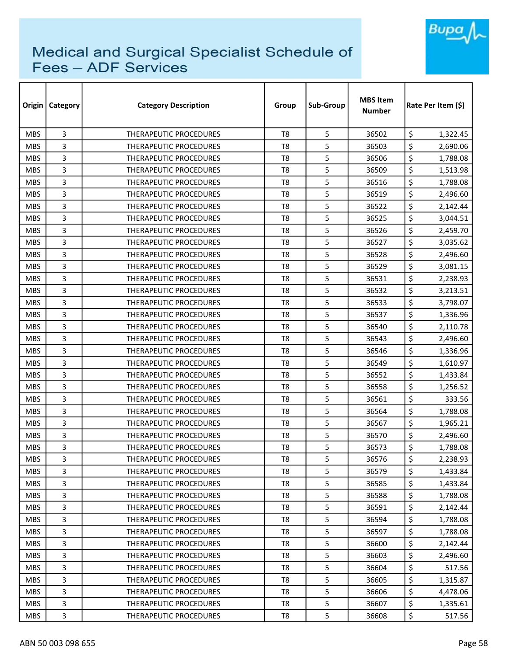

| Origin     | <b>Category</b> | <b>Category Description</b>   | Group          | Sub-Group | <b>MBS Item</b><br><b>Number</b> | Rate Per Item (\$) |
|------------|-----------------|-------------------------------|----------------|-----------|----------------------------------|--------------------|
| <b>MBS</b> | 3               | <b>THERAPEUTIC PROCEDURES</b> | T <sub>8</sub> | 5         | 36502                            | \$<br>1,322.45     |
| <b>MBS</b> | 3               | THERAPEUTIC PROCEDURES        | T <sub>8</sub> | 5         | 36503                            | \$<br>2,690.06     |
| <b>MBS</b> | 3               | THERAPEUTIC PROCEDURES        | T <sub>8</sub> | 5         | 36506                            | \$<br>1,788.08     |
| <b>MBS</b> | 3               | THERAPEUTIC PROCEDURES        | T <sub>8</sub> | 5         | 36509                            | \$<br>1,513.98     |
| <b>MBS</b> | 3               | <b>THERAPEUTIC PROCEDURES</b> | T8             | 5         | 36516                            | \$<br>1,788.08     |
| <b>MBS</b> | 3               | THERAPEUTIC PROCEDURES        | T <sub>8</sub> | 5         | 36519                            | \$<br>2,496.60     |
| <b>MBS</b> | 3               | <b>THERAPEUTIC PROCEDURES</b> | T8             | 5         | 36522                            | \$<br>2,142.44     |
| <b>MBS</b> | 3               | <b>THERAPEUTIC PROCEDURES</b> | T8             | 5         | 36525                            | \$<br>3,044.51     |
| <b>MBS</b> | 3               | THERAPEUTIC PROCEDURES        | T <sub>8</sub> | 5         | 36526                            | \$<br>2,459.70     |
| <b>MBS</b> | 3               | <b>THERAPEUTIC PROCEDURES</b> | T <sub>8</sub> | 5         | 36527                            | \$<br>3,035.62     |
| <b>MBS</b> | 3               | THERAPEUTIC PROCEDURES        | T <sub>8</sub> | 5         | 36528                            | \$<br>2,496.60     |
| <b>MBS</b> | 3               | THERAPEUTIC PROCEDURES        | T8             | 5         | 36529                            | \$<br>3,081.15     |
| <b>MBS</b> | 3               | <b>THERAPEUTIC PROCEDURES</b> | T8             | 5         | 36531                            | \$<br>2,238.93     |
| <b>MBS</b> | 3               | THERAPEUTIC PROCEDURES        | T8             | 5         | 36532                            | \$<br>3,213.51     |
| <b>MBS</b> | 3               | <b>THERAPEUTIC PROCEDURES</b> | T8             | 5         | 36533                            | \$<br>3,798.07     |
| <b>MBS</b> | 3               | <b>THERAPEUTIC PROCEDURES</b> | T <sub>8</sub> | 5         | 36537                            | \$<br>1,336.96     |
| <b>MBS</b> | 3               | <b>THERAPEUTIC PROCEDURES</b> | T8             | 5         | 36540                            | \$<br>2,110.78     |
| <b>MBS</b> | 3               | THERAPEUTIC PROCEDURES        | T <sub>8</sub> | 5         | 36543                            | \$<br>2,496.60     |
| <b>MBS</b> | 3               | <b>THERAPEUTIC PROCEDURES</b> | T <sub>8</sub> | 5         | 36546                            | \$<br>1,336.96     |
| <b>MBS</b> | 3               | <b>THERAPEUTIC PROCEDURES</b> | T8             | 5         | 36549                            | \$<br>1,610.97     |
| <b>MBS</b> | 3               | <b>THERAPEUTIC PROCEDURES</b> | T8             | 5         | 36552                            | \$<br>1,433.84     |
| <b>MBS</b> | 3               | THERAPEUTIC PROCEDURES        | T <sub>8</sub> | 5         | 36558                            | \$<br>1,256.52     |
| <b>MBS</b> | 3               | THERAPEUTIC PROCEDURES        | T <sub>8</sub> | 5         | 36561                            | \$<br>333.56       |
| <b>MBS</b> | 3               | <b>THERAPEUTIC PROCEDURES</b> | T8             | 5         | 36564                            | \$<br>1,788.08     |
| <b>MBS</b> | 3               | THERAPEUTIC PROCEDURES        | T8             | 5         | 36567                            | \$<br>1,965.21     |
| <b>MBS</b> | 3               | <b>THERAPEUTIC PROCEDURES</b> | T <sub>8</sub> | 5         | 36570                            | \$<br>2,496.60     |
| <b>MBS</b> | 3               | <b>THERAPEUTIC PROCEDURES</b> | T8             | 5         | 36573                            | \$<br>1,788.08     |
| <b>MBS</b> | 3               | THERAPEUTIC PROCEDURES        | T8             | 5         | 36576                            | \$<br>2,238.93     |
| <b>MBS</b> | 3               | THERAPEUTIC PROCEDURES        | T8             | 5         | 36579                            | \$<br>1,433.84     |
| <b>MBS</b> | 3               | THERAPEUTIC PROCEDURES        | T8             | 5         | 36585                            | \$<br>1,433.84     |
| <b>MBS</b> | 3               | THERAPEUTIC PROCEDURES        | T8             | 5         | 36588                            | \$<br>1,788.08     |
| <b>MBS</b> | 3               | THERAPEUTIC PROCEDURES        | T8             | 5         | 36591                            | \$<br>2,142.44     |
| <b>MBS</b> | 3               | THERAPEUTIC PROCEDURES        | T8             | 5         | 36594                            | \$<br>1,788.08     |
| <b>MBS</b> | 3               | THERAPEUTIC PROCEDURES        | T8             | 5         | 36597                            | \$<br>1,788.08     |
| <b>MBS</b> | 3               | THERAPEUTIC PROCEDURES        | T8             | 5         | 36600                            | \$<br>2,142.44     |
| <b>MBS</b> | 3               | THERAPEUTIC PROCEDURES        | T8             | 5         | 36603                            | \$<br>2,496.60     |
| <b>MBS</b> | 3               | THERAPEUTIC PROCEDURES        | T8             | 5         | 36604                            | \$<br>517.56       |
| <b>MBS</b> | 3               | THERAPEUTIC PROCEDURES        | T8             | 5         | 36605                            | \$<br>1,315.87     |
| <b>MBS</b> | 3               | THERAPEUTIC PROCEDURES        | T8             | 5         | 36606                            | \$<br>4,478.06     |
| <b>MBS</b> | 3               | THERAPEUTIC PROCEDURES        | T8             | 5         | 36607                            | \$<br>1,335.61     |
| <b>MBS</b> | 3               | THERAPEUTIC PROCEDURES        | T8             | 5         | 36608                            | \$<br>517.56       |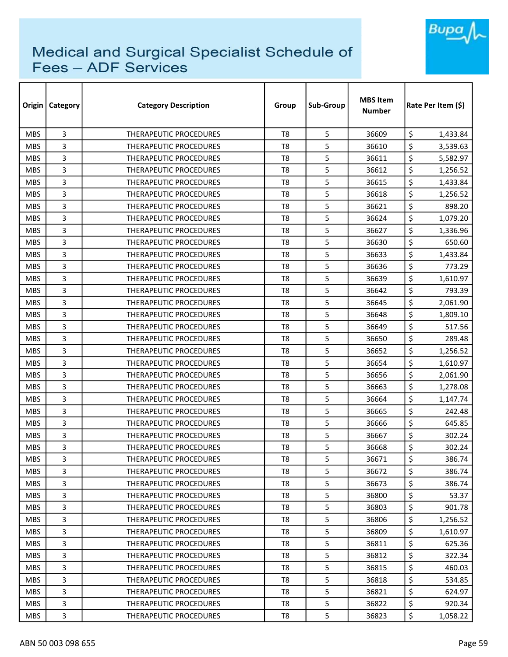

| Origin     | Category | <b>Category Description</b>   | Group          | Sub-Group | <b>MBS Item</b><br><b>Number</b> | Rate Per Item (\$) |
|------------|----------|-------------------------------|----------------|-----------|----------------------------------|--------------------|
| <b>MBS</b> | 3        | <b>THERAPEUTIC PROCEDURES</b> | T <sub>8</sub> | 5         | 36609                            | \$<br>1,433.84     |
| <b>MBS</b> | 3        | <b>THERAPEUTIC PROCEDURES</b> | T <sub>8</sub> | 5         | 36610                            | \$<br>3,539.63     |
| <b>MBS</b> | 3        | THERAPEUTIC PROCEDURES        | T <sub>8</sub> | 5         | 36611                            | \$<br>5,582.97     |
| <b>MBS</b> | 3        | THERAPEUTIC PROCEDURES        | T <sub>8</sub> | 5         | 36612                            | \$<br>1,256.52     |
| <b>MBS</b> | 3        | <b>THERAPEUTIC PROCEDURES</b> | T8             | 5         | 36615                            | \$<br>1,433.84     |
| <b>MBS</b> | 3        | <b>THERAPEUTIC PROCEDURES</b> | T <sub>8</sub> | 5         | 36618                            | \$<br>1,256.52     |
| <b>MBS</b> | 3        | <b>THERAPEUTIC PROCEDURES</b> | T8             | 5         | 36621                            | \$<br>898.20       |
| <b>MBS</b> | 3        | THERAPEUTIC PROCEDURES        | T8             | 5         | 36624                            | \$<br>1,079.20     |
| <b>MBS</b> | 3        | <b>THERAPEUTIC PROCEDURES</b> | T <sub>8</sub> | 5         | 36627                            | \$<br>1,336.96     |
| <b>MBS</b> | 3        | THERAPEUTIC PROCEDURES        | T <sub>8</sub> | 5         | 36630                            | \$<br>650.60       |
| <b>MBS</b> | 3        | THERAPEUTIC PROCEDURES        | T <sub>8</sub> | 5         | 36633                            | \$<br>1,433.84     |
| <b>MBS</b> | 3        | <b>THERAPEUTIC PROCEDURES</b> | T8             | 5         | 36636                            | \$<br>773.29       |
| <b>MBS</b> | 3        | THERAPEUTIC PROCEDURES        | T <sub>8</sub> | 5         | 36639                            | \$<br>1,610.97     |
| <b>MBS</b> | 3        | <b>THERAPEUTIC PROCEDURES</b> | T <sub>8</sub> | 5         | 36642                            | \$<br>793.39       |
| <b>MBS</b> | 3        | <b>THERAPEUTIC PROCEDURES</b> | T8             | 5         | 36645                            | \$<br>2,061.90     |
| <b>MBS</b> | 3        | <b>THERAPEUTIC PROCEDURES</b> | T <sub>8</sub> | 5         | 36648                            | \$<br>1,809.10     |
| <b>MBS</b> | 3        | THERAPEUTIC PROCEDURES        | T <sub>8</sub> | 5         | 36649                            | \$<br>517.56       |
| <b>MBS</b> | 3        | THERAPEUTIC PROCEDURES        | T <sub>8</sub> | 5         | 36650                            | \$<br>289.48       |
| <b>MBS</b> | 3        | <b>THERAPEUTIC PROCEDURES</b> | T8             | 5         | 36652                            | \$<br>1,256.52     |
| <b>MBS</b> | 3        | <b>THERAPEUTIC PROCEDURES</b> | T8             | 5         | 36654                            | \$<br>1,610.97     |
| <b>MBS</b> | 3        | <b>THERAPEUTIC PROCEDURES</b> | T8             | 5         | 36656                            | \$<br>2,061.90     |
| <b>MBS</b> | 3        | THERAPEUTIC PROCEDURES        | T <sub>8</sub> | 5         | 36663                            | \$<br>1,278.08     |
| <b>MBS</b> | 3        | <b>THERAPEUTIC PROCEDURES</b> | T <sub>8</sub> | 5         | 36664                            | \$<br>1,147.74     |
| <b>MBS</b> | 3        | <b>THERAPEUTIC PROCEDURES</b> | T8             | 5         | 36665                            | \$<br>242.48       |
| <b>MBS</b> | 3        | <b>THERAPEUTIC PROCEDURES</b> | T8             | 5         | 36666                            | \$<br>645.85       |
| <b>MBS</b> | 3        | <b>THERAPEUTIC PROCEDURES</b> | T <sub>8</sub> | 5         | 36667                            | \$<br>302.24       |
| <b>MBS</b> | 3        | <b>THERAPEUTIC PROCEDURES</b> | T8             | 5         | 36668                            | \$<br>302.24       |
| <b>MBS</b> | 3        | THERAPEUTIC PROCEDURES        | T8             | 5         | 36671                            | \$<br>386.74       |
| <b>MBS</b> | 3        | THERAPEUTIC PROCEDURES        | T8             | 5         | 36672                            | \$<br>386.74       |
| <b>MBS</b> | 3        | THERAPEUTIC PROCEDURES        | T8             | 5         | 36673                            | \$<br>386.74       |
| <b>MBS</b> | 3        | THERAPEUTIC PROCEDURES        | T8             | 5         | 36800                            | \$<br>53.37        |
| <b>MBS</b> | 3        | <b>THERAPEUTIC PROCEDURES</b> | T8             | 5         | 36803                            | \$<br>901.78       |
| <b>MBS</b> | 3        | THERAPEUTIC PROCEDURES        | T8             | 5         | 36806                            | \$<br>1,256.52     |
| <b>MBS</b> | 3        | <b>THERAPEUTIC PROCEDURES</b> | T8             | 5         | 36809                            | \$<br>1,610.97     |
| <b>MBS</b> | 3        | THERAPEUTIC PROCEDURES        | T <sub>8</sub> | 5         | 36811                            | \$<br>625.36       |
| <b>MBS</b> | 3        | THERAPEUTIC PROCEDURES        | T8             | 5         | 36812                            | \$<br>322.34       |
| <b>MBS</b> | 3        | THERAPEUTIC PROCEDURES        | T8             | 5         | 36815                            | \$<br>460.03       |
| <b>MBS</b> | 3        | THERAPEUTIC PROCEDURES        | T8             | 5         | 36818                            | \$<br>534.85       |
| <b>MBS</b> | 3        | THERAPEUTIC PROCEDURES        | T8             | 5         | 36821                            | \$<br>624.97       |
| <b>MBS</b> | 3        | THERAPEUTIC PROCEDURES        | T8             | 5         | 36822                            | \$<br>920.34       |
| MBS        | 3        | THERAPEUTIC PROCEDURES        | T8             | 5         | 36823                            | \$<br>1,058.22     |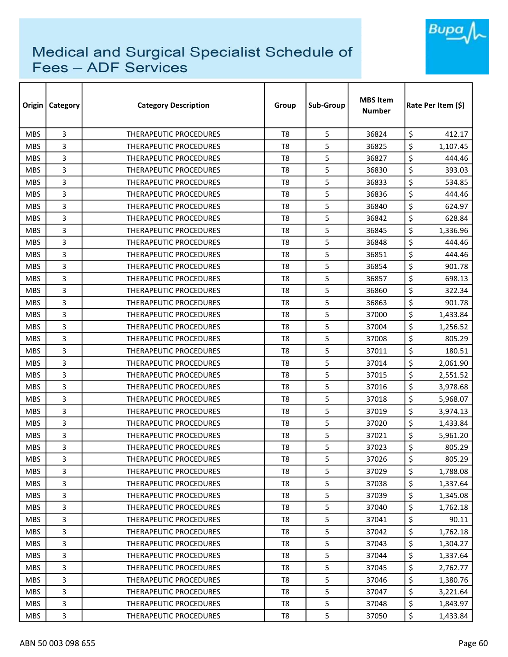

| Origin     | <b>Category</b> | <b>Category Description</b>   | Group          | Sub-Group | <b>MBS Item</b><br><b>Number</b> | Rate Per Item (\$) |  |
|------------|-----------------|-------------------------------|----------------|-----------|----------------------------------|--------------------|--|
| <b>MBS</b> | 3               | <b>THERAPEUTIC PROCEDURES</b> | T <sub>8</sub> | 5         | 36824                            | \$<br>412.17       |  |
| <b>MBS</b> | 3               | THERAPEUTIC PROCEDURES        | T <sub>8</sub> | 5         | 36825                            | \$<br>1,107.45     |  |
| <b>MBS</b> | 3               | THERAPEUTIC PROCEDURES        | T <sub>8</sub> | 5         | 36827                            | \$<br>444.46       |  |
| <b>MBS</b> | 3               | <b>THERAPEUTIC PROCEDURES</b> | T <sub>8</sub> | 5         | 36830                            | \$<br>393.03       |  |
| <b>MBS</b> | 3               | <b>THERAPEUTIC PROCEDURES</b> | T <sub>8</sub> | 5         | 36833                            | \$<br>534.85       |  |
| <b>MBS</b> | 3               | THERAPEUTIC PROCEDURES        | T <sub>8</sub> | 5         | 36836                            | \$<br>444.46       |  |
| <b>MBS</b> | 3               | <b>THERAPEUTIC PROCEDURES</b> | T8             | 5         | 36840                            | \$<br>624.97       |  |
| <b>MBS</b> | 3               | <b>THERAPEUTIC PROCEDURES</b> | T8             | 5         | 36842                            | \$<br>628.84       |  |
| <b>MBS</b> | 3               | <b>THERAPEUTIC PROCEDURES</b> | T <sub>8</sub> | 5         | 36845                            | \$<br>1,336.96     |  |
| <b>MBS</b> | 3               | <b>THERAPEUTIC PROCEDURES</b> | T <sub>8</sub> | 5         | 36848                            | \$<br>444.46       |  |
| <b>MBS</b> | 3               | THERAPEUTIC PROCEDURES        | T <sub>8</sub> | 5         | 36851                            | \$<br>444.46       |  |
| <b>MBS</b> | 3               | THERAPEUTIC PROCEDURES        | T <sub>8</sub> | 5         | 36854                            | \$<br>901.78       |  |
| <b>MBS</b> | 3               | <b>THERAPEUTIC PROCEDURES</b> | T <sub>8</sub> | 5         | 36857                            | \$<br>698.13       |  |
| <b>MBS</b> | 3               | <b>THERAPEUTIC PROCEDURES</b> | T <sub>8</sub> | 5         | 36860                            | \$<br>322.34       |  |
| <b>MBS</b> | 3               | <b>THERAPEUTIC PROCEDURES</b> | T8             | 5         | 36863                            | \$<br>901.78       |  |
| <b>MBS</b> | 3               | <b>THERAPEUTIC PROCEDURES</b> | T <sub>8</sub> | 5         | 37000                            | \$<br>1,433.84     |  |
| <b>MBS</b> | 3               | <b>THERAPEUTIC PROCEDURES</b> | T8             | 5         | 37004                            | \$<br>1,256.52     |  |
| <b>MBS</b> | 3               | THERAPEUTIC PROCEDURES        | T <sub>8</sub> | 5         | 37008                            | \$<br>805.29       |  |
| <b>MBS</b> | 3               | THERAPEUTIC PROCEDURES        | T <sub>8</sub> | 5         | 37011                            | \$<br>180.51       |  |
| <b>MBS</b> | 3               | THERAPEUTIC PROCEDURES        | T <sub>8</sub> | 5         | 37014                            | \$<br>2,061.90     |  |
| <b>MBS</b> | 3               | <b>THERAPEUTIC PROCEDURES</b> | T <sub>8</sub> | 5         | 37015                            | \$<br>2,551.52     |  |
| <b>MBS</b> | 3               | THERAPEUTIC PROCEDURES        | T <sub>8</sub> | 5         | 37016                            | \$<br>3,978.68     |  |
| <b>MBS</b> | 3               | <b>THERAPEUTIC PROCEDURES</b> | T <sub>8</sub> | 5         | 37018                            | \$<br>5,968.07     |  |
| <b>MBS</b> | 3               | <b>THERAPEUTIC PROCEDURES</b> | T <sub>8</sub> | 5         | 37019                            | \$<br>3,974.13     |  |
| <b>MBS</b> | 3               | THERAPEUTIC PROCEDURES        | T <sub>8</sub> | 5         | 37020                            | \$<br>1,433.84     |  |
| <b>MBS</b> | 3               | <b>THERAPEUTIC PROCEDURES</b> | T <sub>8</sub> | 5         | 37021                            | \$<br>5,961.20     |  |
| <b>MBS</b> | 3               | <b>THERAPEUTIC PROCEDURES</b> | T8             | 5         | 37023                            | \$<br>805.29       |  |
| <b>MBS</b> | 3               | THERAPEUTIC PROCEDURES        | T <sub>8</sub> | 5         | 37026                            | \$<br>805.29       |  |
| <b>MBS</b> | 3               | <b>THERAPEUTIC PROCEDURES</b> | T8             | 5         | 37029                            | \$<br>1,788.08     |  |
| <b>MBS</b> | 3               | THERAPEUTIC PROCEDURES        | T8             | 5         | 37038                            | \$<br>1,337.64     |  |
| <b>MBS</b> | 3               | THERAPEUTIC PROCEDURES        | T <sub>8</sub> | 5         | 37039                            | \$<br>1,345.08     |  |
| <b>MBS</b> | 3               | THERAPEUTIC PROCEDURES        | T8             | 5         | 37040                            | \$<br>1,762.18     |  |
| <b>MBS</b> | 3               | THERAPEUTIC PROCEDURES        | T <sub>8</sub> | 5         | 37041                            | \$<br>90.11        |  |
| <b>MBS</b> | 3               | <b>THERAPEUTIC PROCEDURES</b> | T8             | 5         | 37042                            | \$<br>1,762.18     |  |
| <b>MBS</b> | 3               | THERAPEUTIC PROCEDURES        | T <sub>8</sub> | 5         | 37043                            | \$<br>1,304.27     |  |
| <b>MBS</b> | 3               | THERAPEUTIC PROCEDURES        | T <sub>8</sub> | 5         | 37044                            | \$<br>1,337.64     |  |
| <b>MBS</b> | 3               | THERAPEUTIC PROCEDURES        | T8             | 5         | 37045                            | \$<br>2,762.77     |  |
| <b>MBS</b> | 3               | THERAPEUTIC PROCEDURES        | T8             | 5         | 37046                            | \$<br>1,380.76     |  |
| <b>MBS</b> | 3               | THERAPEUTIC PROCEDURES        | T8             | 5         | 37047                            | \$<br>3,221.64     |  |
| <b>MBS</b> | 3               | THERAPEUTIC PROCEDURES        | T8             | 5         | 37048                            | \$<br>1,843.97     |  |
| <b>MBS</b> | 3               | THERAPEUTIC PROCEDURES        | T8             | 5         | 37050                            | \$<br>1,433.84     |  |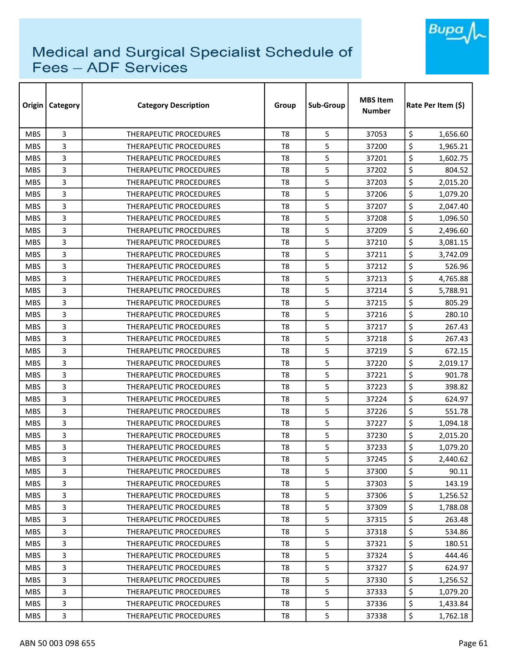

| Origin     | Category       | <b>Category Description</b>   | Group          | Sub-Group | <b>MBS Item</b><br><b>Number</b> | Rate Per Item (\$) |  |
|------------|----------------|-------------------------------|----------------|-----------|----------------------------------|--------------------|--|
| <b>MBS</b> | 3              | THERAPEUTIC PROCEDURES        | T <sub>8</sub> | 5         | 37053                            | \$<br>1,656.60     |  |
| <b>MBS</b> | 3              | <b>THERAPEUTIC PROCEDURES</b> | T <sub>8</sub> | 5         | 37200                            | \$<br>1,965.21     |  |
| <b>MBS</b> | 3              | <b>THERAPEUTIC PROCEDURES</b> | T8             | 5         | 37201                            | \$<br>1,602.75     |  |
| <b>MBS</b> | 3              | THERAPEUTIC PROCEDURES        | T <sub>8</sub> | 5         | 37202                            | \$<br>804.52       |  |
| <b>MBS</b> | 3              | <b>THERAPEUTIC PROCEDURES</b> | T8             | 5         | 37203                            | \$<br>2,015.20     |  |
| <b>MBS</b> | 3              | <b>THERAPEUTIC PROCEDURES</b> | T <sub>8</sub> | 5         | 37206                            | \$<br>1,079.20     |  |
| <b>MBS</b> | 3              | <b>THERAPEUTIC PROCEDURES</b> | T <sub>8</sub> | 5         | 37207                            | \$<br>2,047.40     |  |
| <b>MBS</b> | 3              | THERAPEUTIC PROCEDURES        | T8             | 5         | 37208                            | \$<br>1,096.50     |  |
| <b>MBS</b> | 3              | <b>THERAPEUTIC PROCEDURES</b> | T <sub>8</sub> | 5         | 37209                            | \$<br>2,496.60     |  |
| <b>MBS</b> | 3              | <b>THERAPEUTIC PROCEDURES</b> | T <sub>8</sub> | 5         | 37210                            | \$<br>3,081.15     |  |
| <b>MBS</b> | 3              | <b>THERAPEUTIC PROCEDURES</b> | T <sub>8</sub> | 5         | 37211                            | \$<br>3,742.09     |  |
| <b>MBS</b> | 3              | THERAPEUTIC PROCEDURES        | T8             | 5         | 37212                            | \$<br>526.96       |  |
| <b>MBS</b> | 3              | THERAPEUTIC PROCEDURES        | T <sub>8</sub> | 5         | 37213                            | \$<br>4,765.88     |  |
| <b>MBS</b> | 3              | <b>THERAPEUTIC PROCEDURES</b> | T <sub>8</sub> | 5         | 37214                            | \$<br>5,788.91     |  |
| <b>MBS</b> | 3              | <b>THERAPEUTIC PROCEDURES</b> | T8             | 5         | 37215                            | \$<br>805.29       |  |
| <b>MBS</b> | 3              | <b>THERAPEUTIC PROCEDURES</b> | T <sub>8</sub> | 5         | 37216                            | \$<br>280.10       |  |
| <b>MBS</b> | 3              | <b>THERAPEUTIC PROCEDURES</b> | T8             | 5         | 37217                            | \$<br>267.43       |  |
| <b>MBS</b> | 3              | THERAPEUTIC PROCEDURES        | T <sub>8</sub> | 5         | 37218                            | \$<br>267.43       |  |
| <b>MBS</b> | 3              | <b>THERAPEUTIC PROCEDURES</b> | T8             | 5         | 37219                            | \$<br>672.15       |  |
| <b>MBS</b> | 3              | THERAPEUTIC PROCEDURES        | T8             | 5         | 37220                            | \$<br>2,019.17     |  |
| <b>MBS</b> | 3              | <b>THERAPEUTIC PROCEDURES</b> | T8             | 5         | 37221                            | \$<br>901.78       |  |
| <b>MBS</b> | 3              | <b>THERAPEUTIC PROCEDURES</b> | T8             | 5         | 37223                            | \$<br>398.82       |  |
| <b>MBS</b> | 3              | THERAPEUTIC PROCEDURES        | T <sub>8</sub> | 5         | 37224                            | \$<br>624.97       |  |
| <b>MBS</b> | 3              | <b>THERAPEUTIC PROCEDURES</b> | T8             | 5         | 37226                            | \$<br>551.78       |  |
| <b>MBS</b> | 3              | THERAPEUTIC PROCEDURES        | T <sub>8</sub> | 5         | 37227                            | \$<br>1,094.18     |  |
| <b>MBS</b> | 3              | <b>THERAPEUTIC PROCEDURES</b> | T8             | 5         | 37230                            | \$<br>2,015.20     |  |
| <b>MBS</b> | 3              | <b>THERAPEUTIC PROCEDURES</b> | T8             | 5         | 37233                            | \$<br>1,079.20     |  |
| <b>MBS</b> | 3              | THERAPEUTIC PROCEDURES        | T8             | 5         | 37245                            | \$<br>2,440.62     |  |
| <b>MBS</b> | 3              | THERAPEUTIC PROCEDURES        | T8             | 5         | 37300                            | \$<br>90.11        |  |
| <b>MBS</b> | 3              | THERAPEUTIC PROCEDURES        | T8             | 5         | 37303                            | \$<br>143.19       |  |
| <b>MBS</b> | 3              | <b>THERAPEUTIC PROCEDURES</b> | T8             | 5         | 37306                            | \$<br>1,256.52     |  |
| <b>MBS</b> | 3              | <b>THERAPEUTIC PROCEDURES</b> | T8             | 5         | 37309                            | \$<br>1,788.08     |  |
| MBS.       | 3              | THERAPEUTIC PROCEDURES        | T8             | 5         | 37315                            | \$<br>263.48       |  |
| <b>MBS</b> | 3              | THERAPEUTIC PROCEDURES        | T8             | 5         | 37318                            | \$<br>534.86       |  |
| <b>MBS</b> | 3              | THERAPEUTIC PROCEDURES        | T <sub>8</sub> | 5         | 37321                            | \$<br>180.51       |  |
| <b>MBS</b> | $\overline{3}$ | THERAPEUTIC PROCEDURES        | T8             | 5         | 37324                            | \$<br>444.46       |  |
| <b>MBS</b> | 3              | THERAPEUTIC PROCEDURES        | T8             | 5         | 37327                            | \$<br>624.97       |  |
| <b>MBS</b> | 3              | THERAPEUTIC PROCEDURES        | T8             | 5         | 37330                            | \$<br>1,256.52     |  |
| <b>MBS</b> | 3              | THERAPEUTIC PROCEDURES        | T8             | 5         | 37333                            | \$<br>1,079.20     |  |
| <b>MBS</b> | 3              | THERAPEUTIC PROCEDURES        | T8             | 5         | 37336                            | \$<br>1,433.84     |  |
| <b>MBS</b> | 3              | THERAPEUTIC PROCEDURES        | T8             | 5         | 37338                            | \$<br>1,762.18     |  |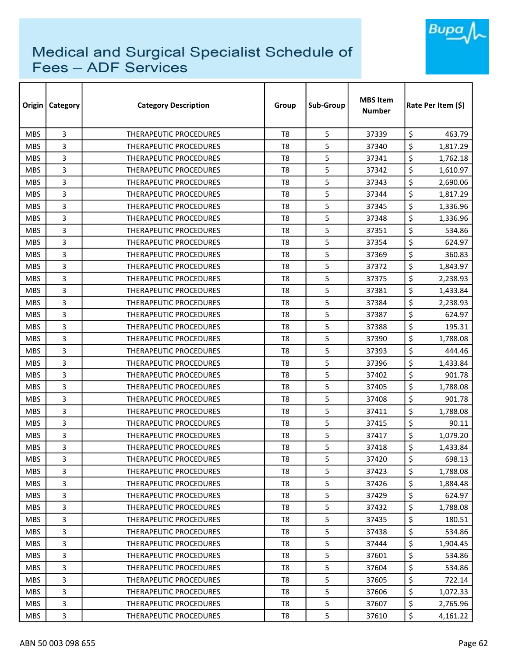

| Origin     | <b>Category</b> | <b>Category Description</b>   | Group          | Sub-Group | <b>MBS Item</b><br><b>Number</b> | Rate Per Item (\$) |  |
|------------|-----------------|-------------------------------|----------------|-----------|----------------------------------|--------------------|--|
| <b>MBS</b> | 3               | <b>THERAPEUTIC PROCEDURES</b> | T <sub>8</sub> | 5         | 37339                            | \$<br>463.79       |  |
| <b>MBS</b> | 3               | <b>THERAPEUTIC PROCEDURES</b> | T <sub>8</sub> | 5         | 37340                            | \$<br>1,817.29     |  |
| <b>MBS</b> | 3               | THERAPEUTIC PROCEDURES        | T <sub>8</sub> | 5         | 37341                            | \$<br>1,762.18     |  |
| <b>MBS</b> | 3               | THERAPEUTIC PROCEDURES        | T <sub>8</sub> | 5         | 37342                            | \$<br>1,610.97     |  |
| <b>MBS</b> | 3               | <b>THERAPEUTIC PROCEDURES</b> | T <sub>8</sub> | 5         | 37343                            | \$<br>2,690.06     |  |
| <b>MBS</b> | 3               | THERAPEUTIC PROCEDURES        | T <sub>8</sub> | 5         | 37344                            | \$<br>1,817.29     |  |
| <b>MBS</b> | 3               | <b>THERAPEUTIC PROCEDURES</b> | T8             | 5         | 37345                            | \$<br>1,336.96     |  |
| <b>MBS</b> | 3               | <b>THERAPEUTIC PROCEDURES</b> | T8             | 5         | 37348                            | \$<br>1,336.96     |  |
| <b>MBS</b> | 3               | <b>THERAPEUTIC PROCEDURES</b> | T <sub>8</sub> | 5         | 37351                            | \$<br>534.86       |  |
| <b>MBS</b> | 3               | <b>THERAPEUTIC PROCEDURES</b> | T <sub>8</sub> | 5         | 37354                            | \$<br>624.97       |  |
| <b>MBS</b> | 3               | THERAPEUTIC PROCEDURES        | T <sub>8</sub> | 5         | 37369                            | \$<br>360.83       |  |
| <b>MBS</b> | 3               | THERAPEUTIC PROCEDURES        | T <sub>8</sub> | 5         | 37372                            | \$<br>1,843.97     |  |
| <b>MBS</b> | 3               | <b>THERAPEUTIC PROCEDURES</b> | T <sub>8</sub> | 5         | 37375                            | \$<br>2,238.93     |  |
| <b>MBS</b> | 3               | <b>THERAPEUTIC PROCEDURES</b> | T <sub>8</sub> | 5         | 37381                            | \$<br>1,433.84     |  |
| <b>MBS</b> | 3               | <b>THERAPEUTIC PROCEDURES</b> | T8             | 5         | 37384                            | \$<br>2,238.93     |  |
| <b>MBS</b> | 3               | <b>THERAPEUTIC PROCEDURES</b> | T <sub>8</sub> | 5         | 37387                            | \$<br>624.97       |  |
| <b>MBS</b> | 3               | <b>THERAPEUTIC PROCEDURES</b> | T8             | 5         | 37388                            | \$<br>195.31       |  |
| <b>MBS</b> | 3               | THERAPEUTIC PROCEDURES        | T <sub>8</sub> | 5         | 37390                            | \$<br>1,788.08     |  |
| <b>MBS</b> | 3               | THERAPEUTIC PROCEDURES        | T <sub>8</sub> | 5         | 37393                            | \$<br>444.46       |  |
| <b>MBS</b> | 3               | THERAPEUTIC PROCEDURES        | T8             | 5         | 37396                            | \$<br>1,433.84     |  |
| <b>MBS</b> | 3               | <b>THERAPEUTIC PROCEDURES</b> | T <sub>8</sub> | 5         | 37402                            | \$<br>901.78       |  |
| <b>MBS</b> | 3               | THERAPEUTIC PROCEDURES        | T <sub>8</sub> | 5         | 37405                            | \$<br>1,788.08     |  |
| <b>MBS</b> | 3               | <b>THERAPEUTIC PROCEDURES</b> | T <sub>8</sub> | 5         | 37408                            | \$<br>901.78       |  |
| <b>MBS</b> | 3               | <b>THERAPEUTIC PROCEDURES</b> | T <sub>8</sub> | 5         | 37411                            | \$<br>1,788.08     |  |
| <b>MBS</b> | 3               | THERAPEUTIC PROCEDURES        | T <sub>8</sub> | 5         | 37415                            | \$<br>90.11        |  |
| <b>MBS</b> | 3               | <b>THERAPEUTIC PROCEDURES</b> | T <sub>8</sub> | 5         | 37417                            | \$<br>1,079.20     |  |
| <b>MBS</b> | 3               | <b>THERAPEUTIC PROCEDURES</b> | T8             | 5         | 37418                            | \$<br>1,433.84     |  |
| <b>MBS</b> | 3               | THERAPEUTIC PROCEDURES        | T <sub>8</sub> | 5         | 37420                            | \$<br>698.13       |  |
| <b>MBS</b> | 3               | THERAPEUTIC PROCEDURES        | T8             | 5         | 37423                            | \$<br>1,788.08     |  |
| <b>MBS</b> | 3               | THERAPEUTIC PROCEDURES        | T8             | 5         | 37426                            | \$<br>1,884.48     |  |
| <b>MBS</b> | 3               | <b>THERAPEUTIC PROCEDURES</b> | T <sub>8</sub> | 5         | 37429                            | \$<br>624.97       |  |
| <b>MBS</b> | 3               | <b>THERAPEUTIC PROCEDURES</b> | T8             | 5         | 37432                            | \$<br>1,788.08     |  |
| <b>MBS</b> | 3               | THERAPEUTIC PROCEDURES        | T <sub>8</sub> | 5         | 37435                            | \$<br>180.51       |  |
| <b>MBS</b> | 3               | THERAPEUTIC PROCEDURES        | T8             | 5         | 37438                            | \$<br>534.86       |  |
| <b>MBS</b> | 3               | THERAPEUTIC PROCEDURES        | T <sub>8</sub> | 5         | 37444                            | \$<br>1,904.45     |  |
| <b>MBS</b> | 3               | THERAPEUTIC PROCEDURES        | T <sub>8</sub> | 5         | 37601                            | \$<br>534.86       |  |
| <b>MBS</b> | 3               | THERAPEUTIC PROCEDURES        | T8             | 5         | 37604                            | \$<br>534.86       |  |
| <b>MBS</b> | 3               | THERAPEUTIC PROCEDURES        | T8             | 5         | 37605                            | \$<br>722.14       |  |
| <b>MBS</b> | 3               | THERAPEUTIC PROCEDURES        | T8             | 5         | 37606                            | \$<br>1,072.33     |  |
| <b>MBS</b> | 3               | THERAPEUTIC PROCEDURES        | T8             | 5         | 37607                            | \$<br>2,765.96     |  |
| <b>MBS</b> | 3               | THERAPEUTIC PROCEDURES        | T8             | 5         | 37610                            | \$<br>4,161.22     |  |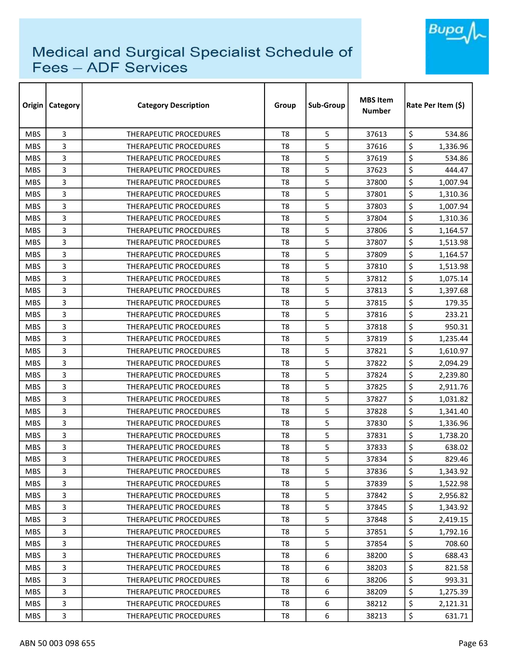

| Origin     | <b>Category</b> | <b>Category Description</b>   | Group          | Sub-Group | <b>MBS Item</b><br><b>Number</b> | Rate Per Item (\$) |  |
|------------|-----------------|-------------------------------|----------------|-----------|----------------------------------|--------------------|--|
| <b>MBS</b> | 3               | <b>THERAPEUTIC PROCEDURES</b> | T <sub>8</sub> | 5         | 37613                            | \$<br>534.86       |  |
| <b>MBS</b> | 3               | <b>THERAPEUTIC PROCEDURES</b> | T <sub>8</sub> | 5         | 37616                            | \$<br>1,336.96     |  |
| <b>MBS</b> | 3               | THERAPEUTIC PROCEDURES        | T <sub>8</sub> | 5         | 37619                            | \$<br>534.86       |  |
| <b>MBS</b> | 3               | THERAPEUTIC PROCEDURES        | T <sub>8</sub> | 5         | 37623                            | \$<br>444.47       |  |
| <b>MBS</b> | 3               | <b>THERAPEUTIC PROCEDURES</b> | T <sub>8</sub> | 5         | 37800                            | \$<br>1,007.94     |  |
| <b>MBS</b> | 3               | <b>THERAPEUTIC PROCEDURES</b> | T <sub>8</sub> | 5         | 37801                            | \$<br>1,310.36     |  |
| <b>MBS</b> | 3               | <b>THERAPEUTIC PROCEDURES</b> | T8             | 5         | 37803                            | \$<br>1,007.94     |  |
| <b>MBS</b> | 3               | <b>THERAPEUTIC PROCEDURES</b> | T8             | 5         | 37804                            | \$<br>1,310.36     |  |
| <b>MBS</b> | 3               | <b>THERAPEUTIC PROCEDURES</b> | T <sub>8</sub> | 5         | 37806                            | \$<br>1,164.57     |  |
| <b>MBS</b> | 3               | <b>THERAPEUTIC PROCEDURES</b> | T <sub>8</sub> | 5         | 37807                            | \$<br>1,513.98     |  |
| <b>MBS</b> | 3               | THERAPEUTIC PROCEDURES        | T <sub>8</sub> | 5         | 37809                            | \$<br>1,164.57     |  |
| <b>MBS</b> | 3               | THERAPEUTIC PROCEDURES        | T <sub>8</sub> | 5         | 37810                            | \$<br>1,513.98     |  |
| <b>MBS</b> | 3               | <b>THERAPEUTIC PROCEDURES</b> | T <sub>8</sub> | 5         | 37812                            | \$<br>1,075.14     |  |
| <b>MBS</b> | 3               | <b>THERAPEUTIC PROCEDURES</b> | T <sub>8</sub> | 5         | 37813                            | \$<br>1,397.68     |  |
| <b>MBS</b> | 3               | <b>THERAPEUTIC PROCEDURES</b> | T8             | 5         | 37815                            | \$<br>179.35       |  |
| <b>MBS</b> | 3               | <b>THERAPEUTIC PROCEDURES</b> | T <sub>8</sub> | 5         | 37816                            | \$<br>233.21       |  |
| <b>MBS</b> | 3               | <b>THERAPEUTIC PROCEDURES</b> | T8             | 5         | 37818                            | \$<br>950.31       |  |
| <b>MBS</b> | 3               | THERAPEUTIC PROCEDURES        | T <sub>8</sub> | 5         | 37819                            | \$<br>1,235.44     |  |
| <b>MBS</b> | 3               | THERAPEUTIC PROCEDURES        | T <sub>8</sub> | 5         | 37821                            | \$<br>1,610.97     |  |
| <b>MBS</b> | 3               | THERAPEUTIC PROCEDURES        | T8             | 5         | 37822                            | \$<br>2,094.29     |  |
| <b>MBS</b> | 3               | <b>THERAPEUTIC PROCEDURES</b> | T <sub>8</sub> | 5         | 37824                            | \$<br>2,239.80     |  |
| <b>MBS</b> | 3               | THERAPEUTIC PROCEDURES        | T <sub>8</sub> | 5         | 37825                            | \$<br>2,911.76     |  |
| <b>MBS</b> | 3               | <b>THERAPEUTIC PROCEDURES</b> | T <sub>8</sub> | 5         | 37827                            | \$<br>1,031.82     |  |
| <b>MBS</b> | 3               | <b>THERAPEUTIC PROCEDURES</b> | T <sub>8</sub> | 5         | 37828                            | \$<br>1,341.40     |  |
| <b>MBS</b> | 3               | <b>THERAPEUTIC PROCEDURES</b> | T <sub>8</sub> | 5         | 37830                            | \$<br>1,336.96     |  |
| <b>MBS</b> | 3               | <b>THERAPEUTIC PROCEDURES</b> | T <sub>8</sub> | 5         | 37831                            | \$<br>1,738.20     |  |
| <b>MBS</b> | 3               | <b>THERAPEUTIC PROCEDURES</b> | T8             | 5         | 37833                            | \$<br>638.02       |  |
| <b>MBS</b> | 3               | THERAPEUTIC PROCEDURES        | T <sub>8</sub> | 5         | 37834                            | \$<br>829.46       |  |
| <b>MBS</b> | 3               | THERAPEUTIC PROCEDURES        | T8             | 5         | 37836                            | \$<br>1,343.92     |  |
| <b>MBS</b> | 3               | THERAPEUTIC PROCEDURES        | T8             | 5         | 37839                            | \$<br>1,522.98     |  |
| <b>MBS</b> | 3               | <b>THERAPEUTIC PROCEDURES</b> | T <sub>8</sub> | 5         | 37842                            | \$<br>2,956.82     |  |
| <b>MBS</b> | 3               | THERAPEUTIC PROCEDURES        | T8             | 5         | 37845                            | \$<br>1,343.92     |  |
| <b>MBS</b> | 3               | THERAPEUTIC PROCEDURES        | T <sub>8</sub> | 5         | 37848                            | \$<br>2,419.15     |  |
| <b>MBS</b> | 3               | THERAPEUTIC PROCEDURES        | T8             | 5         | 37851                            | \$<br>1,792.16     |  |
| <b>MBS</b> | 3               | THERAPEUTIC PROCEDURES        | T <sub>8</sub> | 5         | 37854                            | \$<br>708.60       |  |
| <b>MBS</b> | 3               | THERAPEUTIC PROCEDURES        | T8             | 6         | 38200                            | \$<br>688.43       |  |
| <b>MBS</b> | 3               | THERAPEUTIC PROCEDURES        | T8             | 6         | 38203                            | \$<br>821.58       |  |
| <b>MBS</b> | 3               | THERAPEUTIC PROCEDURES        | T8             | 6         | 38206                            | \$<br>993.31       |  |
| <b>MBS</b> | 3               | THERAPEUTIC PROCEDURES        | T8             | 6         | 38209                            | \$<br>1,275.39     |  |
| <b>MBS</b> | 3               | THERAPEUTIC PROCEDURES        | T8             | 6         | 38212                            | \$<br>2,121.31     |  |
| <b>MBS</b> | 3               | THERAPEUTIC PROCEDURES        | T8             | 6         | 38213                            | \$<br>631.71       |  |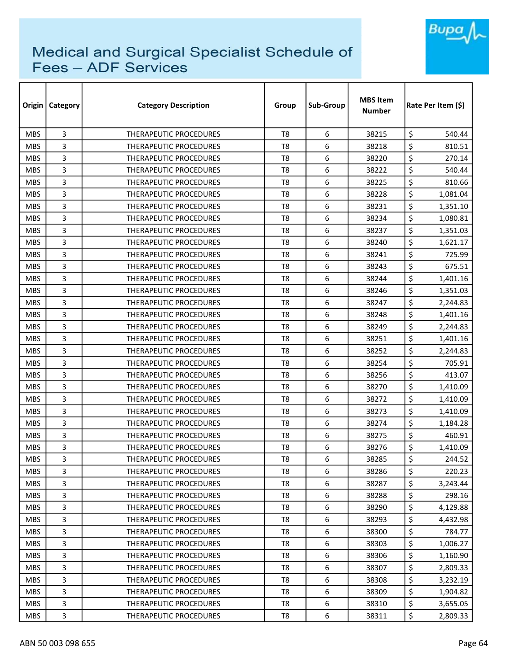

| Origin     | <b>Category</b> | <b>Category Description</b>   | Group          | Sub-Group | <b>MBS Item</b><br><b>Number</b> | Rate Per Item (\$) |  |
|------------|-----------------|-------------------------------|----------------|-----------|----------------------------------|--------------------|--|
| <b>MBS</b> | 3               | <b>THERAPEUTIC PROCEDURES</b> | T <sub>8</sub> | 6         | 38215                            | \$<br>540.44       |  |
| <b>MBS</b> | 3               | <b>THERAPEUTIC PROCEDURES</b> | T <sub>8</sub> | 6         | 38218                            | \$<br>810.51       |  |
| <b>MBS</b> | 3               | THERAPEUTIC PROCEDURES        | T8             | 6         | 38220                            | \$<br>270.14       |  |
| <b>MBS</b> | 3               | <b>THERAPEUTIC PROCEDURES</b> | T <sub>8</sub> | 6         | 38222                            | \$<br>540.44       |  |
| <b>MBS</b> | 3               | <b>THERAPEUTIC PROCEDURES</b> | T8             | 6         | 38225                            | \$<br>810.66       |  |
| <b>MBS</b> | 3               | THERAPEUTIC PROCEDURES        | T <sub>8</sub> | 6         | 38228                            | \$<br>1,081.04     |  |
| <b>MBS</b> | 3               | <b>THERAPEUTIC PROCEDURES</b> | T <sub>8</sub> | 6         | 38231                            | \$<br>1,351.10     |  |
| <b>MBS</b> | 3               | <b>THERAPEUTIC PROCEDURES</b> | T8             | 6         | 38234                            | \$<br>1,080.81     |  |
| <b>MBS</b> | 3               | <b>THERAPEUTIC PROCEDURES</b> | T <sub>8</sub> | 6         | 38237                            | \$<br>1,351.03     |  |
| <b>MBS</b> | 3               | THERAPEUTIC PROCEDURES        | T <sub>8</sub> | 6         | 38240                            | \$<br>1,621.17     |  |
| <b>MBS</b> | 3               | THERAPEUTIC PROCEDURES        | T <sub>8</sub> | 6         | 38241                            | \$<br>725.99       |  |
| <b>MBS</b> | 3               | THERAPEUTIC PROCEDURES        | T <sub>8</sub> | 6         | 38243                            | \$<br>675.51       |  |
| <b>MBS</b> | 3               | THERAPEUTIC PROCEDURES        | T <sub>8</sub> | 6         | 38244                            | \$<br>1,401.16     |  |
| <b>MBS</b> | 3               | <b>THERAPEUTIC PROCEDURES</b> | T <sub>8</sub> | 6         | 38246                            | \$<br>1,351.03     |  |
| <b>MBS</b> | 3               | <b>THERAPEUTIC PROCEDURES</b> | T8             | 6         | 38247                            | \$<br>2,244.83     |  |
| <b>MBS</b> | 3               | <b>THERAPEUTIC PROCEDURES</b> | T <sub>8</sub> | 6         | 38248                            | \$<br>1,401.16     |  |
| <b>MBS</b> | 3               | THERAPEUTIC PROCEDURES        | T8             | 6         | 38249                            | \$<br>2,244.83     |  |
| <b>MBS</b> | 3               | THERAPEUTIC PROCEDURES        | T <sub>8</sub> | 6         | 38251                            | \$<br>1,401.16     |  |
| <b>MBS</b> | 3               | <b>THERAPEUTIC PROCEDURES</b> | T <sub>8</sub> | 6         | 38252                            | \$<br>2,244.83     |  |
| <b>MBS</b> | 3               | <b>THERAPEUTIC PROCEDURES</b> | T <sub>8</sub> | 6         | 38254                            | \$<br>705.91       |  |
| <b>MBS</b> | 3               | <b>THERAPEUTIC PROCEDURES</b> | T8             | 6         | 38256                            | \$<br>413.07       |  |
| <b>MBS</b> | 3               | <b>THERAPEUTIC PROCEDURES</b> | T8             | 6         | 38270                            | \$<br>1,410.09     |  |
| <b>MBS</b> | 3               | THERAPEUTIC PROCEDURES        | T <sub>8</sub> | 6         | 38272                            | \$<br>1,410.09     |  |
| <b>MBS</b> | 3               | <b>THERAPEUTIC PROCEDURES</b> | T8             | 6         | 38273                            | \$<br>1,410.09     |  |
| <b>MBS</b> | 3               | <b>THERAPEUTIC PROCEDURES</b> | T <sub>8</sub> | 6         | 38274                            | \$<br>1,184.28     |  |
| <b>MBS</b> | 3               | <b>THERAPEUTIC PROCEDURES</b> | T8             | 6         | 38275                            | \$<br>460.91       |  |
| <b>MBS</b> | 3               | <b>THERAPEUTIC PROCEDURES</b> | T8             | 6         | 38276                            | \$<br>1,410.09     |  |
| <b>MBS</b> | 3               | THERAPEUTIC PROCEDURES        | T <sub>8</sub> | 6         | 38285                            | \$<br>244.52       |  |
| <b>MBS</b> | 3               | THERAPEUTIC PROCEDURES        | T8             | 6         | 38286                            | \$<br>220.23       |  |
| <b>MBS</b> | 3               | THERAPEUTIC PROCEDURES        | T8             | 6         | 38287                            | \$<br>3,243.44     |  |
| <b>MBS</b> | 3               | THERAPEUTIC PROCEDURES        | T <sub>8</sub> | 6         | 38288                            | \$<br>298.16       |  |
| <b>MBS</b> | 3               | <b>THERAPEUTIC PROCEDURES</b> | T8             | 6         | 38290                            | \$<br>4,129.88     |  |
| MBS.       | 3               | THERAPEUTIC PROCEDURES        | T <sub>8</sub> | 6         | 38293                            | \$<br>4,432.98     |  |
| <b>MBS</b> | 3               | <b>THERAPEUTIC PROCEDURES</b> | T8             | 6         | 38300                            | \$<br>784.77       |  |
| <b>MBS</b> | 3               | THERAPEUTIC PROCEDURES        | T <sub>8</sub> | 6         | 38303                            | \$<br>1,006.27     |  |
| <b>MBS</b> | 3               | THERAPEUTIC PROCEDURES        | T8             | 6         | 38306                            | \$<br>1,160.90     |  |
| <b>MBS</b> | 3               | THERAPEUTIC PROCEDURES        | T8             | 6         | 38307                            | \$<br>2,809.33     |  |
| <b>MBS</b> | 3               | THERAPEUTIC PROCEDURES        | T8             | 6         | 38308                            | \$<br>3,232.19     |  |
| <b>MBS</b> | 3               | THERAPEUTIC PROCEDURES        | T <sub>8</sub> | 6         | 38309                            | \$<br>1,904.82     |  |
| <b>MBS</b> | 3               | THERAPEUTIC PROCEDURES        | T8             | 6         | 38310                            | \$<br>3,655.05     |  |
| <b>MBS</b> | 3               | THERAPEUTIC PROCEDURES        | T8             | 6         | 38311                            | \$<br>2,809.33     |  |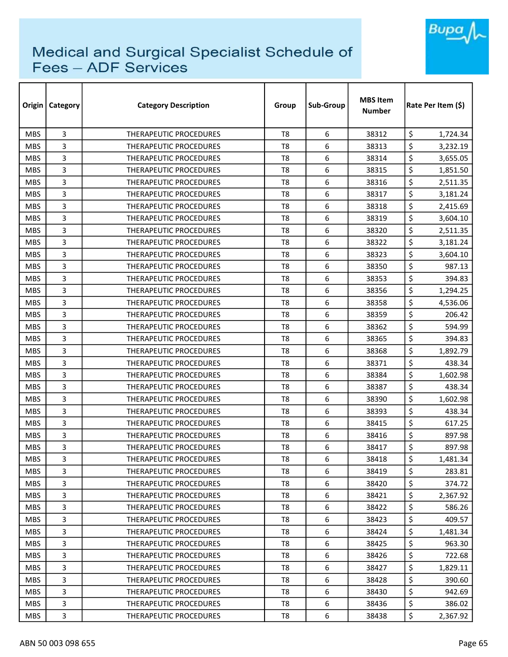

| Origin     | Category | <b>Category Description</b>   | Group          | Sub-Group | <b>MBS Item</b><br><b>Number</b> | Rate Per Item (\$) |  |
|------------|----------|-------------------------------|----------------|-----------|----------------------------------|--------------------|--|
| <b>MBS</b> | 3        | <b>THERAPEUTIC PROCEDURES</b> | T <sub>8</sub> | 6         | 38312                            | \$<br>1,724.34     |  |
| <b>MBS</b> | 3        | <b>THERAPEUTIC PROCEDURES</b> | T <sub>8</sub> | 6         | 38313                            | \$<br>3,232.19     |  |
| <b>MBS</b> | 3        | THERAPEUTIC PROCEDURES        | T <sub>8</sub> | 6         | 38314                            | \$<br>3,655.05     |  |
| <b>MBS</b> | 3        | THERAPEUTIC PROCEDURES        | T <sub>8</sub> | 6         | 38315                            | \$<br>1,851.50     |  |
| <b>MBS</b> | 3        | THERAPEUTIC PROCEDURES        | T8             | 6         | 38316                            | \$<br>2,511.35     |  |
| <b>MBS</b> | 3        | THERAPEUTIC PROCEDURES        | T <sub>8</sub> | 6         | 38317                            | \$<br>3,181.24     |  |
| <b>MBS</b> | 3        | THERAPEUTIC PROCEDURES        | T8             | 6         | 38318                            | \$<br>2,415.69     |  |
| <b>MBS</b> | 3        | THERAPEUTIC PROCEDURES        | T8             | 6         | 38319                            | \$<br>3,604.10     |  |
| <b>MBS</b> | 3        | <b>THERAPEUTIC PROCEDURES</b> | T <sub>8</sub> | 6         | 38320                            | \$<br>2,511.35     |  |
| <b>MBS</b> | 3        | THERAPEUTIC PROCEDURES        | T <sub>8</sub> | 6         | 38322                            | \$<br>3,181.24     |  |
| <b>MBS</b> | 3        | THERAPEUTIC PROCEDURES        | T <sub>8</sub> | 6         | 38323                            | \$<br>3,604.10     |  |
| <b>MBS</b> | 3        | THERAPEUTIC PROCEDURES        | T8             | 6         | 38350                            | \$<br>987.13       |  |
| <b>MBS</b> | 3        | <b>THERAPEUTIC PROCEDURES</b> | T8             | 6         | 38353                            | \$<br>394.83       |  |
| <b>MBS</b> | 3        | <b>THERAPEUTIC PROCEDURES</b> | T8             | 6         | 38356                            | \$<br>1,294.25     |  |
| <b>MBS</b> | 3        | <b>THERAPEUTIC PROCEDURES</b> | T8             | 6         | 38358                            | \$<br>4,536.06     |  |
| <b>MBS</b> | 3        | <b>THERAPEUTIC PROCEDURES</b> | T <sub>8</sub> | 6         | 38359                            | \$<br>206.42       |  |
| <b>MBS</b> | 3        | THERAPEUTIC PROCEDURES        | T <sub>8</sub> | 6         | 38362                            | \$<br>594.99       |  |
| <b>MBS</b> | 3        | THERAPEUTIC PROCEDURES        | T <sub>8</sub> | 6         | 38365                            | \$<br>394.83       |  |
| <b>MBS</b> | 3        | <b>THERAPEUTIC PROCEDURES</b> | T8             | 6         | 38368                            | \$<br>1,892.79     |  |
| <b>MBS</b> | 3        | <b>THERAPEUTIC PROCEDURES</b> | T8             | 6         | 38371                            | \$<br>438.34       |  |
| <b>MBS</b> | 3        | <b>THERAPEUTIC PROCEDURES</b> | T8             | 6         | 38384                            | \$<br>1,602.98     |  |
| <b>MBS</b> | 3        | THERAPEUTIC PROCEDURES        | T8             | 6         | 38387                            | \$<br>438.34       |  |
| <b>MBS</b> | 3        | <b>THERAPEUTIC PROCEDURES</b> | T <sub>8</sub> | 6         | 38390                            | \$<br>1,602.98     |  |
| <b>MBS</b> | 3        | <b>THERAPEUTIC PROCEDURES</b> | T8             | 6         | 38393                            | \$<br>438.34       |  |
| <b>MBS</b> | 3        | THERAPEUTIC PROCEDURES        | T8             | 6         | 38415                            | \$<br>617.25       |  |
| <b>MBS</b> | 3        | THERAPEUTIC PROCEDURES        | T <sub>8</sub> | 6         | 38416                            | \$<br>897.98       |  |
| <b>MBS</b> | 3        | <b>THERAPEUTIC PROCEDURES</b> | T8             | 6         | 38417                            | \$<br>897.98       |  |
| <b>MBS</b> | 3        | THERAPEUTIC PROCEDURES        | T8             | 6         | 38418                            | \$<br>1,481.34     |  |
| <b>MBS</b> | 3        | THERAPEUTIC PROCEDURES        | T8             | 6         | 38419                            | \$<br>283.81       |  |
| <b>MBS</b> | 3        | THERAPEUTIC PROCEDURES        | T8             | 6         | 38420                            | \$<br>374.72       |  |
| <b>MBS</b> | 3        | THERAPEUTIC PROCEDURES        | T8             | 6         | 38421                            | \$<br>2,367.92     |  |
| <b>MBS</b> | 3        | THERAPEUTIC PROCEDURES        | T8             | 6         | 38422                            | \$<br>586.26       |  |
| <b>MBS</b> | 3        | THERAPEUTIC PROCEDURES        | T8             | 6         | 38423                            | \$<br>409.57       |  |
| <b>MBS</b> | 3        | <b>THERAPEUTIC PROCEDURES</b> | T8             | 6         | 38424                            | \$<br>1,481.34     |  |
| <b>MBS</b> | 3        | THERAPEUTIC PROCEDURES        | T <sub>8</sub> | 6         | 38425                            | \$<br>963.30       |  |
| <b>MBS</b> | 3        | THERAPEUTIC PROCEDURES        | T8             | 6         | 38426                            | \$<br>722.68       |  |
| <b>MBS</b> | 3        | THERAPEUTIC PROCEDURES        | T8             | 6         | 38427                            | \$<br>1,829.11     |  |
| <b>MBS</b> | 3        | THERAPEUTIC PROCEDURES        | T8             | 6         | 38428                            | \$<br>390.60       |  |
| <b>MBS</b> | 3        | THERAPEUTIC PROCEDURES        | T8             | 6         | 38430                            | \$<br>942.69       |  |
| <b>MBS</b> | 3        | THERAPEUTIC PROCEDURES        | T8             | 6         | 38436                            | \$<br>386.02       |  |
| MBS        | 3        | THERAPEUTIC PROCEDURES        | T8             | 6         | 38438                            | \$<br>2,367.92     |  |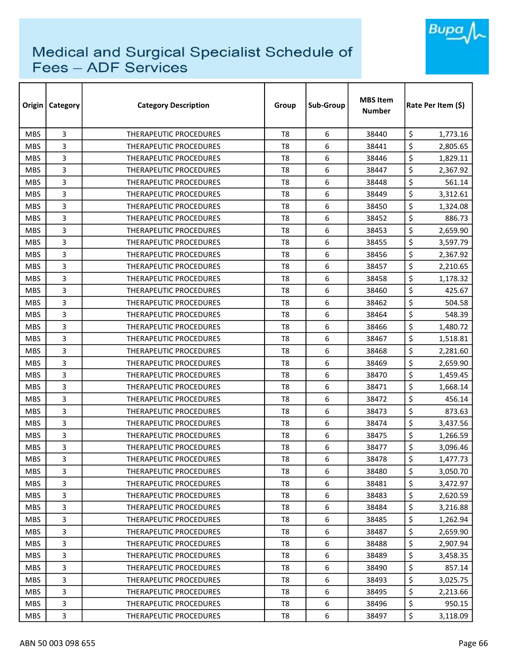

| Origin     | <b>Category</b> | <b>Category Description</b>   | Group          | Sub-Group | <b>MBS Item</b><br><b>Number</b> | Rate Per Item (\$) |  |
|------------|-----------------|-------------------------------|----------------|-----------|----------------------------------|--------------------|--|
| <b>MBS</b> | 3               | <b>THERAPEUTIC PROCEDURES</b> | T <sub>8</sub> | 6         | 38440                            | \$<br>1,773.16     |  |
| <b>MBS</b> | 3               | THERAPEUTIC PROCEDURES        | T <sub>8</sub> | 6         | 38441                            | \$<br>2,805.65     |  |
| <b>MBS</b> | 3               | THERAPEUTIC PROCEDURES        | T <sub>8</sub> | 6         | 38446                            | \$<br>1,829.11     |  |
| <b>MBS</b> | 3               | THERAPEUTIC PROCEDURES        | T <sub>8</sub> | 6         | 38447                            | \$<br>2,367.92     |  |
| <b>MBS</b> | 3               | <b>THERAPEUTIC PROCEDURES</b> | T <sub>8</sub> | 6         | 38448                            | \$<br>561.14       |  |
| <b>MBS</b> | 3               | THERAPEUTIC PROCEDURES        | T <sub>8</sub> | 6         | 38449                            | \$<br>3,312.61     |  |
| <b>MBS</b> | 3               | <b>THERAPEUTIC PROCEDURES</b> | T8             | 6         | 38450                            | \$<br>1,324.08     |  |
| <b>MBS</b> | 3               | <b>THERAPEUTIC PROCEDURES</b> | T8             | 6         | 38452                            | \$<br>886.73       |  |
| <b>MBS</b> | 3               | THERAPEUTIC PROCEDURES        | T <sub>8</sub> | 6         | 38453                            | \$<br>2,659.90     |  |
| <b>MBS</b> | 3               | <b>THERAPEUTIC PROCEDURES</b> | T <sub>8</sub> | 6         | 38455                            | \$<br>3,597.79     |  |
| <b>MBS</b> | 3               | <b>THERAPEUTIC PROCEDURES</b> | T <sub>8</sub> | 6         | 38456                            | \$<br>2,367.92     |  |
| <b>MBS</b> | 3               | THERAPEUTIC PROCEDURES        | T <sub>8</sub> | 6         | 38457                            | \$<br>2,210.65     |  |
| <b>MBS</b> | 3               | <b>THERAPEUTIC PROCEDURES</b> | T <sub>8</sub> | 6         | 38458                            | \$<br>1,178.32     |  |
| <b>MBS</b> | 3               | <b>THERAPEUTIC PROCEDURES</b> | T <sub>8</sub> | 6         | 38460                            | \$<br>425.67       |  |
| <b>MBS</b> | 3               | <b>THERAPEUTIC PROCEDURES</b> | T8             | 6         | 38462                            | \$<br>504.58       |  |
| <b>MBS</b> | 3               | <b>THERAPEUTIC PROCEDURES</b> | T <sub>8</sub> | 6         | 38464                            | \$<br>548.39       |  |
| <b>MBS</b> | 3               | <b>THERAPEUTIC PROCEDURES</b> | T8             | 6         | 38466                            | \$<br>1,480.72     |  |
| <b>MBS</b> | 3               | THERAPEUTIC PROCEDURES        | T <sub>8</sub> | 6         | 38467                            | \$<br>1,518.81     |  |
| <b>MBS</b> | 3               | THERAPEUTIC PROCEDURES        | T <sub>8</sub> | 6         | 38468                            | \$<br>2,281.60     |  |
| <b>MBS</b> | 3               | THERAPEUTIC PROCEDURES        | T8             | 6         | 38469                            | \$<br>2,659.90     |  |
| <b>MBS</b> | 3               | <b>THERAPEUTIC PROCEDURES</b> | T <sub>8</sub> | 6         | 38470                            | \$<br>1,459.45     |  |
| <b>MBS</b> | 3               | THERAPEUTIC PROCEDURES        | T <sub>8</sub> | 6         | 38471                            | \$<br>1,668.14     |  |
| <b>MBS</b> | 3               | <b>THERAPEUTIC PROCEDURES</b> | T <sub>8</sub> | 6         | 38472                            | \$<br>456.14       |  |
| <b>MBS</b> | 3               | <b>THERAPEUTIC PROCEDURES</b> | T <sub>8</sub> | 6         | 38473                            | \$<br>873.63       |  |
| <b>MBS</b> | 3               | THERAPEUTIC PROCEDURES        | T <sub>8</sub> | 6         | 38474                            | \$<br>3,437.56     |  |
| <b>MBS</b> | 3               | <b>THERAPEUTIC PROCEDURES</b> | T <sub>8</sub> | 6         | 38475                            | \$<br>1,266.59     |  |
| <b>MBS</b> | 3               | <b>THERAPEUTIC PROCEDURES</b> | T8             | 6         | 38477                            | \$<br>3,096.46     |  |
| <b>MBS</b> | 3               | THERAPEUTIC PROCEDURES        | T <sub>8</sub> | 6         | 38478                            | \$<br>1,477.73     |  |
| <b>MBS</b> | 3               | THERAPEUTIC PROCEDURES        | T8             | 6         | 38480                            | \$<br>3,050.70     |  |
| <b>MBS</b> | 3               | THERAPEUTIC PROCEDURES        | T8             | 6         | 38481                            | \$<br>3,472.97     |  |
| <b>MBS</b> | 3               | <b>THERAPEUTIC PROCEDURES</b> | T <sub>8</sub> | 6         | 38483                            | \$<br>2,620.59     |  |
| <b>MBS</b> | 3               | THERAPEUTIC PROCEDURES        | T8             | 6         | 38484                            | \$<br>3,216.88     |  |
| <b>MBS</b> | 3               | THERAPEUTIC PROCEDURES        | T <sub>8</sub> | 6         | 38485                            | \$<br>1,262.94     |  |
| <b>MBS</b> | 3               | THERAPEUTIC PROCEDURES        | T8             | 6         | 38487                            | \$<br>2,659.90     |  |
| <b>MBS</b> | 3               | <b>THERAPEUTIC PROCEDURES</b> | T <sub>8</sub> | 6         | 38488                            | \$<br>2,907.94     |  |
| <b>MBS</b> | 3               | THERAPEUTIC PROCEDURES        | T8             | 6         | 38489                            | \$<br>3,458.35     |  |
| <b>MBS</b> | 3               | THERAPEUTIC PROCEDURES        | T8             | 6         | 38490                            | \$<br>857.14       |  |
| <b>MBS</b> | 3               | THERAPEUTIC PROCEDURES        | T8             | 6         | 38493                            | \$<br>3,025.75     |  |
| <b>MBS</b> | 3               | THERAPEUTIC PROCEDURES        | T8             | 6         | 38495                            | \$<br>2,213.66     |  |
| <b>MBS</b> | 3               | THERAPEUTIC PROCEDURES        | T8             | 6         | 38496                            | \$<br>950.15       |  |
| <b>MBS</b> | 3               | THERAPEUTIC PROCEDURES        | T8             | 6         | 38497                            | \$<br>3,118.09     |  |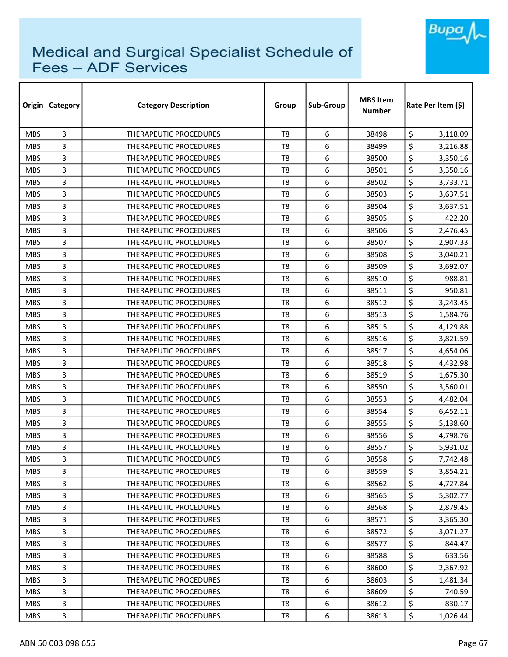

| Origin     | Category | <b>Category Description</b>   | Group          | Sub-Group | <b>MBS Item</b><br><b>Number</b> | Rate Per Item (\$) |  |
|------------|----------|-------------------------------|----------------|-----------|----------------------------------|--------------------|--|
| <b>MBS</b> | 3        | <b>THERAPEUTIC PROCEDURES</b> | T <sub>8</sub> | 6         | 38498                            | \$<br>3,118.09     |  |
| <b>MBS</b> | 3        | <b>THERAPEUTIC PROCEDURES</b> | T <sub>8</sub> | 6         | 38499                            | \$<br>3,216.88     |  |
| <b>MBS</b> | 3        | THERAPEUTIC PROCEDURES        | T8             | 6         | 38500                            | \$<br>3,350.16     |  |
| <b>MBS</b> | 3        | THERAPEUTIC PROCEDURES        | T <sub>8</sub> | 6         | 38501                            | \$<br>3,350.16     |  |
| <b>MBS</b> | 3        | <b>THERAPEUTIC PROCEDURES</b> | T8             | 6         | 38502                            | \$<br>3,733.71     |  |
| <b>MBS</b> | 3        | THERAPEUTIC PROCEDURES        | T <sub>8</sub> | 6         | 38503                            | \$<br>3,637.51     |  |
| <b>MBS</b> | 3        | <b>THERAPEUTIC PROCEDURES</b> | T8             | 6         | 38504                            | \$<br>3,637.51     |  |
| <b>MBS</b> | 3        | THERAPEUTIC PROCEDURES        | T8             | 6         | 38505                            | \$<br>422.20       |  |
| <b>MBS</b> | 3        | <b>THERAPEUTIC PROCEDURES</b> | T <sub>8</sub> | 6         | 38506                            | \$<br>2,476.45     |  |
| <b>MBS</b> | 3        | THERAPEUTIC PROCEDURES        | T <sub>8</sub> | 6         | 38507                            | \$<br>2,907.33     |  |
| <b>MBS</b> | 3        | THERAPEUTIC PROCEDURES        | T <sub>8</sub> | 6         | 38508                            | \$<br>3,040.21     |  |
| <b>MBS</b> | 3        | <b>THERAPEUTIC PROCEDURES</b> | T <sub>8</sub> | 6         | 38509                            | \$<br>3,692.07     |  |
| <b>MBS</b> | 3        | <b>THERAPEUTIC PROCEDURES</b> | T8             | 6         | 38510                            | \$<br>988.81       |  |
| <b>MBS</b> | 3        | <b>THERAPEUTIC PROCEDURES</b> | T8             | 6         | 38511                            | \$<br>950.81       |  |
| <b>MBS</b> | 3        | <b>THERAPEUTIC PROCEDURES</b> | T8             | 6         | 38512                            | \$<br>3,243.45     |  |
| <b>MBS</b> | 3        | <b>THERAPEUTIC PROCEDURES</b> | T <sub>8</sub> | 6         | 38513                            | \$<br>1,584.76     |  |
| <b>MBS</b> | 3        | THERAPEUTIC PROCEDURES        | T8             | 6         | 38515                            | \$<br>4,129.88     |  |
| <b>MBS</b> | 3        | THERAPEUTIC PROCEDURES        | T <sub>8</sub> | 6         | 38516                            | \$<br>3,821.59     |  |
| <b>MBS</b> | 3        | <b>THERAPEUTIC PROCEDURES</b> | T8             | 6         | 38517                            | \$<br>4,654.06     |  |
| <b>MBS</b> | 3        | <b>THERAPEUTIC PROCEDURES</b> | T8             | 6         | 38518                            | \$<br>4,432.98     |  |
| <b>MBS</b> | 3        | <b>THERAPEUTIC PROCEDURES</b> | T8             | 6         | 38519                            | \$<br>1,675.30     |  |
| <b>MBS</b> | 3        | THERAPEUTIC PROCEDURES        | T8             | 6         | 38550                            | \$<br>3,560.01     |  |
| <b>MBS</b> | 3        | <b>THERAPEUTIC PROCEDURES</b> | T <sub>8</sub> | 6         | 38553                            | \$<br>4,482.04     |  |
| <b>MBS</b> | 3        | <b>THERAPEUTIC PROCEDURES</b> | T8             | 6         | 38554                            | \$<br>6,452.11     |  |
| <b>MBS</b> | 3        | THERAPEUTIC PROCEDURES        | T8             | 6         | 38555                            | \$<br>5,138.60     |  |
| <b>MBS</b> | 3        | THERAPEUTIC PROCEDURES        | T <sub>8</sub> | 6         | 38556                            | \$<br>4,798.76     |  |
| <b>MBS</b> | 3        | <b>THERAPEUTIC PROCEDURES</b> | T8             | 6         | 38557                            | \$<br>5,931.02     |  |
| <b>MBS</b> | 3        | THERAPEUTIC PROCEDURES        | T8             | 6         | 38558                            | \$<br>7,742.48     |  |
| <b>MBS</b> | 3        | THERAPEUTIC PROCEDURES        | T8             | 6         | 38559                            | \$<br>3,854.21     |  |
| <b>MBS</b> | 3        | THERAPEUTIC PROCEDURES        | T8             | 6         | 38562                            | \$<br>4,727.84     |  |
| <b>MBS</b> | 3        | THERAPEUTIC PROCEDURES        | T8             | 6         | 38565                            | \$<br>5,302.77     |  |
| <b>MBS</b> | 3        | THERAPEUTIC PROCEDURES        | T8             | 6         | 38568                            | \$<br>2,879.45     |  |
| <b>MBS</b> | 3        | THERAPEUTIC PROCEDURES        | T8             | 6         | 38571                            | \$<br>3,365.30     |  |
| <b>MBS</b> | 3        | THERAPEUTIC PROCEDURES        | T8             | 6         | 38572                            | \$<br>3,071.27     |  |
| <b>MBS</b> | 3        | THERAPEUTIC PROCEDURES        | T8             | 6         | 38577                            | \$<br>844.47       |  |
| <b>MBS</b> | 3        | THERAPEUTIC PROCEDURES        | T8             | 6         | 38588                            | \$<br>633.56       |  |
| <b>MBS</b> | 3        | THERAPEUTIC PROCEDURES        | T8             | 6         | 38600                            | \$<br>2,367.92     |  |
| <b>MBS</b> | 3        | THERAPEUTIC PROCEDURES        | T8             | 6         | 38603                            | \$<br>1,481.34     |  |
| <b>MBS</b> | 3        | THERAPEUTIC PROCEDURES        | T8             | 6         | 38609                            | \$<br>740.59       |  |
| <b>MBS</b> | 3        | THERAPEUTIC PROCEDURES        | T8             | 6         | 38612                            | \$<br>830.17       |  |
| <b>MBS</b> | 3        | THERAPEUTIC PROCEDURES        | T8             | 6         | 38613                            | \$<br>1,026.44     |  |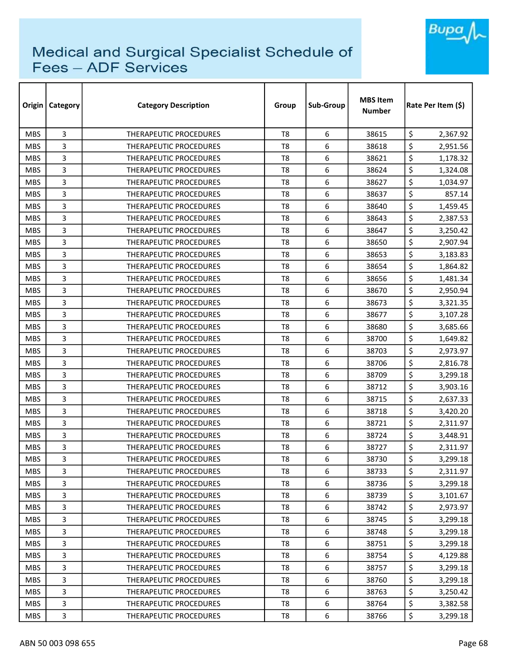

| Origin     | Category | <b>Category Description</b>   | Group          | Sub-Group | <b>MBS Item</b><br>Number | Rate Per Item (\$) |  |
|------------|----------|-------------------------------|----------------|-----------|---------------------------|--------------------|--|
| <b>MBS</b> | 3        | <b>THERAPEUTIC PROCEDURES</b> | T <sub>8</sub> | 6         | 38615                     | \$<br>2,367.92     |  |
| <b>MBS</b> | 3        | <b>THERAPEUTIC PROCEDURES</b> | T <sub>8</sub> | 6         | 38618                     | \$<br>2,951.56     |  |
| <b>MBS</b> | 3        | <b>THERAPEUTIC PROCEDURES</b> | T8             | 6         | 38621                     | \$<br>1,178.32     |  |
| <b>MBS</b> | 3        | <b>THERAPEUTIC PROCEDURES</b> | T <sub>8</sub> | 6         | 38624                     | \$<br>1,324.08     |  |
| <b>MBS</b> | 3        | <b>THERAPEUTIC PROCEDURES</b> | T8             | 6         | 38627                     | \$<br>1,034.97     |  |
| <b>MBS</b> | 3        | THERAPEUTIC PROCEDURES        | T <sub>8</sub> | 6         | 38637                     | \$<br>857.14       |  |
| <b>MBS</b> | 3        | THERAPEUTIC PROCEDURES        | T8             | 6         | 38640                     | \$<br>1,459.45     |  |
| <b>MBS</b> | 3        | THERAPEUTIC PROCEDURES        | T8             | 6         | 38643                     | \$<br>2,387.53     |  |
| <b>MBS</b> | 3        | <b>THERAPEUTIC PROCEDURES</b> | T8             | 6         | 38647                     | \$<br>3,250.42     |  |
| <b>MBS</b> | 3        | THERAPEUTIC PROCEDURES        | T8             | 6         | 38650                     | \$<br>2,907.94     |  |
| <b>MBS</b> | 3        | THERAPEUTIC PROCEDURES        | T <sub>8</sub> | 6         | 38653                     | \$<br>3,183.83     |  |
| <b>MBS</b> | 3        | THERAPEUTIC PROCEDURES        | T <sub>8</sub> | 6         | 38654                     | \$<br>1,864.82     |  |
| <b>MBS</b> | 3        | THERAPEUTIC PROCEDURES        | T <sub>8</sub> | 6         | 38656                     | \$<br>1,481.34     |  |
| <b>MBS</b> | 3        | <b>THERAPEUTIC PROCEDURES</b> | T <sub>8</sub> | 6         | 38670                     | \$<br>2,950.94     |  |
| <b>MBS</b> | 3        | <b>THERAPEUTIC PROCEDURES</b> | T8             | 6         | 38673                     | \$<br>3,321.35     |  |
| <b>MBS</b> | 3        | <b>THERAPEUTIC PROCEDURES</b> | T8             | 6         | 38677                     | \$<br>3,107.28     |  |
| <b>MBS</b> | 3        | <b>THERAPEUTIC PROCEDURES</b> | T8             | 6         | 38680                     | \$<br>3,685.66     |  |
| <b>MBS</b> | 3        | THERAPEUTIC PROCEDURES        | T <sub>8</sub> | 6         | 38700                     | \$<br>1,649.82     |  |
| <b>MBS</b> | 3        | <b>THERAPEUTIC PROCEDURES</b> | T <sub>8</sub> | 6         | 38703                     | \$<br>2,973.97     |  |
| <b>MBS</b> | 3        | <b>THERAPEUTIC PROCEDURES</b> | T8             | 6         | 38706                     | \$<br>2,816.78     |  |
| <b>MBS</b> | 3        | THERAPEUTIC PROCEDURES        | T8             | 6         | 38709                     | \$<br>3,299.18     |  |
| <b>MBS</b> | 3        | <b>THERAPEUTIC PROCEDURES</b> | T8             | 6         | 38712                     | \$<br>3,903.16     |  |
| <b>MBS</b> | 3        | <b>THERAPEUTIC PROCEDURES</b> | T <sub>8</sub> | 6         | 38715                     | \$<br>2,637.33     |  |
| <b>MBS</b> | 3        | <b>THERAPEUTIC PROCEDURES</b> | T8             | 6         | 38718                     | \$<br>3,420.20     |  |
| <b>MBS</b> | 3        | THERAPEUTIC PROCEDURES        | T <sub>8</sub> | 6         | 38721                     | \$<br>2,311.97     |  |
| <b>MBS</b> | 3        | <b>THERAPEUTIC PROCEDURES</b> | T8             | 6         | 38724                     | \$<br>3,448.91     |  |
| <b>MBS</b> | 3        | <b>THERAPEUTIC PROCEDURES</b> | T8             | 6         | 38727                     | \$<br>2,311.97     |  |
| <b>MBS</b> | 3        | THERAPEUTIC PROCEDURES        | T8             | 6         | 38730                     | \$<br>3,299.18     |  |
| <b>MBS</b> | 3        | THERAPEUTIC PROCEDURES        | T8             | 6         | 38733                     | \$<br>2,311.97     |  |
| <b>MBS</b> | 3        | THERAPEUTIC PROCEDURES        | T8             | 6         | 38736                     | \$<br>3,299.18     |  |
| <b>MBS</b> | 3        | THERAPEUTIC PROCEDURES        | T8             | 6         | 38739                     | \$<br>3,101.67     |  |
| <b>MBS</b> | 3        | THERAPEUTIC PROCEDURES        | T8             | 6         | 38742                     | \$<br>2,973.97     |  |
| <b>MBS</b> | 3        | <b>THERAPEUTIC PROCEDURES</b> | T8             | 6         | 38745                     | \$<br>3,299.18     |  |
| <b>MBS</b> | 3        | THERAPEUTIC PROCEDURES        | T8             | 6         | 38748                     | \$<br>3,299.18     |  |
| <b>MBS</b> | 3        | THERAPEUTIC PROCEDURES        | T <sub>8</sub> | 6         | 38751                     | \$<br>3,299.18     |  |
| <b>MBS</b> | 3        | THERAPEUTIC PROCEDURES        | T8             | 6         | 38754                     | \$<br>4,129.88     |  |
| <b>MBS</b> | 3        | THERAPEUTIC PROCEDURES        | T8             | 6         | 38757                     | \$<br>3,299.18     |  |
| <b>MBS</b> | 3        | THERAPEUTIC PROCEDURES        | T8             | 6         | 38760                     | \$<br>3,299.18     |  |
| <b>MBS</b> | 3        | THERAPEUTIC PROCEDURES        | T8             | 6         | 38763                     | \$<br>3,250.42     |  |
| <b>MBS</b> | 3        | THERAPEUTIC PROCEDURES        | T8             | 6         | 38764                     | \$<br>3,382.58     |  |
| <b>MBS</b> | 3        | THERAPEUTIC PROCEDURES        | T8             | 6         | 38766                     | \$<br>3,299.18     |  |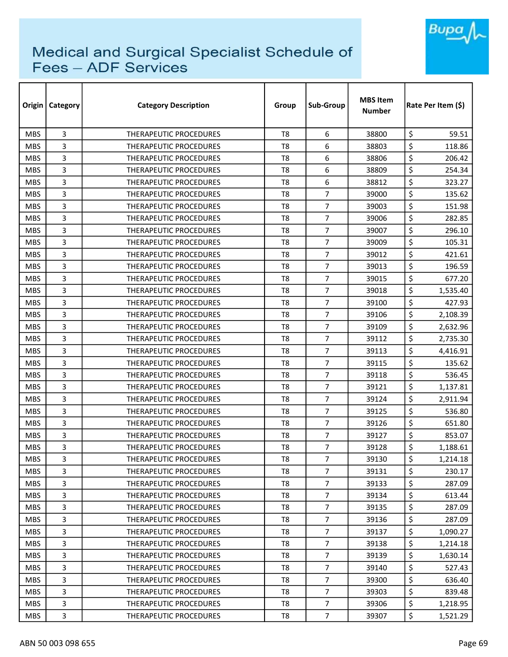

| Origin     | <b>Category</b> | <b>Category Description</b>   | Group          | Sub-Group      | <b>MBS Item</b><br><b>Number</b> | Rate Per Item (S) |  |
|------------|-----------------|-------------------------------|----------------|----------------|----------------------------------|-------------------|--|
| <b>MBS</b> | 3               | THERAPEUTIC PROCEDURES        | T <sub>8</sub> | 6              | 38800                            | \$<br>59.51       |  |
| <b>MBS</b> | 3               | THERAPEUTIC PROCEDURES        | T <sub>8</sub> | 6              | 38803                            | \$<br>118.86      |  |
| <b>MBS</b> | 3               | THERAPEUTIC PROCEDURES        | T <sub>8</sub> | 6              | 38806                            | \$<br>206.42      |  |
| <b>MBS</b> | 3               | THERAPEUTIC PROCEDURES        | T <sub>8</sub> | 6              | 38809                            | \$<br>254.34      |  |
| <b>MBS</b> | 3               | THERAPEUTIC PROCEDURES        | T <sub>8</sub> | 6              | 38812                            | \$<br>323.27      |  |
| <b>MBS</b> | 3               | <b>THERAPEUTIC PROCEDURES</b> | T <sub>8</sub> | $\overline{7}$ | 39000                            | \$<br>135.62      |  |
| <b>MBS</b> | 3               | THERAPEUTIC PROCEDURES        | T <sub>8</sub> | 7              | 39003                            | \$<br>151.98      |  |
| <b>MBS</b> | 3               | THERAPEUTIC PROCEDURES        | T8             | 7              | 39006                            | \$<br>282.85      |  |
| <b>MBS</b> | 3               | THERAPEUTIC PROCEDURES        | T <sub>8</sub> | $\overline{7}$ | 39007                            | \$<br>296.10      |  |
| <b>MBS</b> | 3               | THERAPEUTIC PROCEDURES        | T <sub>8</sub> | 7              | 39009                            | \$<br>105.31      |  |
| <b>MBS</b> | 3               | THERAPEUTIC PROCEDURES        | T <sub>8</sub> | $\overline{7}$ | 39012                            | \$<br>421.61      |  |
| <b>MBS</b> | 3               | THERAPEUTIC PROCEDURES        | T <sub>8</sub> | $\overline{7}$ | 39013                            | \$<br>196.59      |  |
| <b>MBS</b> | 3               | <b>THERAPEUTIC PROCEDURES</b> | T <sub>8</sub> | $\overline{7}$ | 39015                            | \$<br>677.20      |  |
| <b>MBS</b> | 3               | THERAPEUTIC PROCEDURES        | T <sub>8</sub> | $\overline{7}$ | 39018                            | \$<br>1,535.40    |  |
| <b>MBS</b> | 3               | THERAPEUTIC PROCEDURES        | T <sub>8</sub> | $\overline{7}$ | 39100                            | \$<br>427.93      |  |
| <b>MBS</b> | 3               | THERAPEUTIC PROCEDURES        | T <sub>8</sub> | $\overline{7}$ | 39106                            | \$<br>2,108.39    |  |
| <b>MBS</b> | 3               | <b>THERAPEUTIC PROCEDURES</b> | T <sub>8</sub> | 7              | 39109                            | \$<br>2,632.96    |  |
| <b>MBS</b> | 3               | <b>THERAPEUTIC PROCEDURES</b> | T <sub>8</sub> | $\overline{7}$ | 39112                            | \$<br>2,735.30    |  |
| <b>MBS</b> | 3               | <b>THERAPEUTIC PROCEDURES</b> | T <sub>8</sub> | $\overline{7}$ | 39113                            | \$<br>4,416.91    |  |
| <b>MBS</b> | 3               | <b>THERAPEUTIC PROCEDURES</b> | T8             | 7              | 39115                            | \$<br>135.62      |  |
| <b>MBS</b> | 3               | <b>THERAPEUTIC PROCEDURES</b> | T <sub>8</sub> | $\overline{7}$ | 39118                            | \$<br>536.45      |  |
| <b>MBS</b> | 3               | <b>THERAPEUTIC PROCEDURES</b> | T <sub>8</sub> | $\overline{7}$ | 39121                            | \$<br>1,137.81    |  |
| <b>MBS</b> | 3               | THERAPEUTIC PROCEDURES        | T <sub>8</sub> | $\overline{7}$ | 39124                            | \$<br>2,911.94    |  |
| <b>MBS</b> | 3               | <b>THERAPEUTIC PROCEDURES</b> | T <sub>8</sub> | $\overline{7}$ | 39125                            | \$<br>536.80      |  |
| <b>MBS</b> | 3               | <b>THERAPEUTIC PROCEDURES</b> | T8             | $\overline{7}$ | 39126                            | \$<br>651.80      |  |
| <b>MBS</b> | 3               | <b>THERAPEUTIC PROCEDURES</b> | T8             | 7              | 39127                            | \$<br>853.07      |  |
| <b>MBS</b> | 3               | <b>THERAPEUTIC PROCEDURES</b> | T8             | 7              | 39128                            | \$<br>1,188.61    |  |
| <b>MBS</b> | 3               | THERAPEUTIC PROCEDURES        | T <sub>8</sub> | $\overline{7}$ | 39130                            | \$<br>1,214.18    |  |
| <b>MBS</b> | 3               | <b>THERAPEUTIC PROCEDURES</b> | T8             | $\overline{7}$ | 39131                            | \$<br>230.17      |  |
| <b>MBS</b> | 3               | THERAPEUTIC PROCEDURES        | T8             | $\overline{7}$ | 39133                            | \$<br>287.09      |  |
| <b>MBS</b> | 3               | THERAPEUTIC PROCEDURES        | T <sub>8</sub> | $\overline{7}$ | 39134                            | \$<br>613.44      |  |
| <b>MBS</b> | 3               | <b>THERAPEUTIC PROCEDURES</b> | T8             | $\overline{7}$ | 39135                            | \$<br>287.09      |  |
| <b>MBS</b> | 3               | THERAPEUTIC PROCEDURES        | T8             | $\overline{7}$ | 39136                            | \$<br>287.09      |  |
| <b>MBS</b> | 3               | THERAPEUTIC PROCEDURES        | T8             | $\overline{7}$ | 39137                            | \$<br>1,090.27    |  |
| <b>MBS</b> | 3               | THERAPEUTIC PROCEDURES        | T8             | $\overline{7}$ | 39138                            | \$<br>1,214.18    |  |
| <b>MBS</b> | 3               | <b>THERAPEUTIC PROCEDURES</b> | T <sub>8</sub> | $\overline{7}$ | 39139                            | \$<br>1,630.14    |  |
| <b>MBS</b> | 3               | THERAPEUTIC PROCEDURES        | T8             | $\overline{7}$ | 39140                            | \$<br>527.43      |  |
| <b>MBS</b> | 3               | THERAPEUTIC PROCEDURES        | T8             | $\overline{7}$ | 39300                            | \$<br>636.40      |  |
| <b>MBS</b> | 3               | THERAPEUTIC PROCEDURES        | T8             | $\overline{7}$ | 39303                            | \$<br>839.48      |  |
| <b>MBS</b> | 3               | THERAPEUTIC PROCEDURES        | T8             | $\overline{7}$ | 39306                            | \$<br>1,218.95    |  |
| MBS        | 3               | THERAPEUTIC PROCEDURES        | T8             | $\overline{7}$ | 39307                            | \$<br>1,521.29    |  |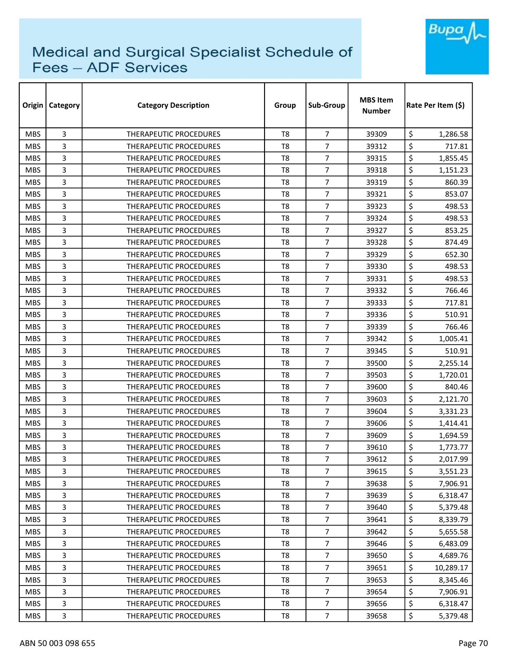

| Origin     | <b>Category</b> | <b>Category Description</b>   | Group          | Sub-Group        | <b>MBS Item</b><br><b>Number</b> | Rate Per Item (\$) |  |
|------------|-----------------|-------------------------------|----------------|------------------|----------------------------------|--------------------|--|
| <b>MBS</b> | 3               | <b>THERAPEUTIC PROCEDURES</b> | T <sub>8</sub> | $\overline{7}$   | 39309                            | \$<br>1,286.58     |  |
| <b>MBS</b> | 3               | <b>THERAPEUTIC PROCEDURES</b> | T <sub>8</sub> | 7                | 39312                            | \$<br>717.81       |  |
| <b>MBS</b> | 3               | THERAPEUTIC PROCEDURES        | T <sub>8</sub> | $\overline{7}$   | 39315                            | \$<br>1,855.45     |  |
| <b>MBS</b> | 3               | <b>THERAPEUTIC PROCEDURES</b> | T <sub>8</sub> | $\overline{7}$   | 39318                            | \$<br>1,151.23     |  |
| <b>MBS</b> | 3               | <b>THERAPEUTIC PROCEDURES</b> | T <sub>8</sub> | 7                | 39319                            | \$<br>860.39       |  |
| <b>MBS</b> | 3               | THERAPEUTIC PROCEDURES        | T <sub>8</sub> | $\overline{7}$   | 39321                            | \$<br>853.07       |  |
| <b>MBS</b> | 3               | <b>THERAPEUTIC PROCEDURES</b> | T8             | 7                | 39323                            | \$<br>498.53       |  |
| <b>MBS</b> | 3               | <b>THERAPEUTIC PROCEDURES</b> | T8             | 7                | 39324                            | \$<br>498.53       |  |
| <b>MBS</b> | 3               | <b>THERAPEUTIC PROCEDURES</b> | T <sub>8</sub> | 7                | 39327                            | \$<br>853.25       |  |
| <b>MBS</b> | 3               | <b>THERAPEUTIC PROCEDURES</b> | T <sub>8</sub> | $\overline{7}$   | 39328                            | \$<br>874.49       |  |
| <b>MBS</b> | 3               | <b>THERAPEUTIC PROCEDURES</b> | T <sub>8</sub> | $\overline{7}$   | 39329                            | \$<br>652.30       |  |
| <b>MBS</b> | 3               | THERAPEUTIC PROCEDURES        | T <sub>8</sub> | $\overline{7}$   | 39330                            | \$<br>498.53       |  |
| <b>MBS</b> | 3               | <b>THERAPEUTIC PROCEDURES</b> | T <sub>8</sub> | $\overline{7}$   | 39331                            | \$<br>498.53       |  |
| <b>MBS</b> | 3               | <b>THERAPEUTIC PROCEDURES</b> | T <sub>8</sub> | $\overline{7}$   | 39332                            | \$<br>766.46       |  |
| <b>MBS</b> | 3               | <b>THERAPEUTIC PROCEDURES</b> | T8             | $\overline{7}$   | 39333                            | \$<br>717.81       |  |
| <b>MBS</b> | 3               | <b>THERAPEUTIC PROCEDURES</b> | T <sub>8</sub> | $\overline{7}$   | 39336                            | \$<br>510.91       |  |
| <b>MBS</b> | 3               | <b>THERAPEUTIC PROCEDURES</b> | T8             | 7                | 39339                            | \$<br>766.46       |  |
| <b>MBS</b> | 3               | THERAPEUTIC PROCEDURES        | T <sub>8</sub> | $\overline{7}$   | 39342                            | \$<br>1,005.41     |  |
| <b>MBS</b> | 3               | THERAPEUTIC PROCEDURES        | T <sub>8</sub> | $\overline{7}$   | 39345                            | \$<br>510.91       |  |
| <b>MBS</b> | 3               | THERAPEUTIC PROCEDURES        | T8             | $\overline{7}$   | 39500                            | \$<br>2,255.14     |  |
| <b>MBS</b> | 3               | <b>THERAPEUTIC PROCEDURES</b> | T <sub>8</sub> | 7                | 39503                            | \$<br>1,720.01     |  |
| <b>MBS</b> | 3               | THERAPEUTIC PROCEDURES        | T <sub>8</sub> | $\overline{7}$   | 39600                            | \$<br>840.46       |  |
| <b>MBS</b> | 3               | <b>THERAPEUTIC PROCEDURES</b> | T <sub>8</sub> | $\overline{7}$   | 39603                            | \$<br>2,121.70     |  |
| <b>MBS</b> | 3               | <b>THERAPEUTIC PROCEDURES</b> | T <sub>8</sub> | 7                | 39604                            | \$<br>3,331.23     |  |
| <b>MBS</b> | 3               | THERAPEUTIC PROCEDURES        | T <sub>8</sub> | $\overline{7}$   | 39606                            | \$<br>1,414.41     |  |
| <b>MBS</b> | 3               | <b>THERAPEUTIC PROCEDURES</b> | T <sub>8</sub> | 7                | 39609                            | \$<br>1,694.59     |  |
| <b>MBS</b> | 3               | <b>THERAPEUTIC PROCEDURES</b> | T8             | 7                | 39610                            | \$<br>1,773.77     |  |
| <b>MBS</b> | 3               | THERAPEUTIC PROCEDURES        | T <sub>8</sub> | $\boldsymbol{7}$ | 39612                            | \$<br>2,017.99     |  |
| <b>MBS</b> | 3               | <b>THERAPEUTIC PROCEDURES</b> | T8             | $\overline{7}$   | 39615                            | \$<br>3,551.23     |  |
| <b>MBS</b> | 3               | THERAPEUTIC PROCEDURES        | T8             | $\overline{7}$   | 39638                            | \$<br>7,906.91     |  |
| <b>MBS</b> | 3               | THERAPEUTIC PROCEDURES        | T <sub>8</sub> | $\overline{7}$   | 39639                            | \$<br>6,318.47     |  |
| <b>MBS</b> | 3               | THERAPEUTIC PROCEDURES        | T8             | $\overline{7}$   | 39640                            | \$<br>5,379.48     |  |
| <b>MBS</b> | 3               | THERAPEUTIC PROCEDURES        | T <sub>8</sub> | $\overline{7}$   | 39641                            | \$<br>8,339.79     |  |
| <b>MBS</b> | 3               | <b>THERAPEUTIC PROCEDURES</b> | T8             | $\overline{7}$   | 39642                            | \$<br>5,655.58     |  |
| <b>MBS</b> | 3               | THERAPEUTIC PROCEDURES        | T <sub>8</sub> | $\overline{7}$   | 39646                            | \$<br>6,483.09     |  |
| <b>MBS</b> | 3               | THERAPEUTIC PROCEDURES        | T8             | 7                | 39650                            | \$<br>4,689.76     |  |
| <b>MBS</b> | 3               | THERAPEUTIC PROCEDURES        | T8             | $\overline{7}$   | 39651                            | \$<br>10,289.17    |  |
| <b>MBS</b> | 3               | THERAPEUTIC PROCEDURES        | T <sub>8</sub> | $\overline{7}$   | 39653                            | \$<br>8,345.46     |  |
| <b>MBS</b> | 3               | THERAPEUTIC PROCEDURES        | T8             | 7                | 39654                            | \$<br>7,906.91     |  |
| <b>MBS</b> | 3               | THERAPEUTIC PROCEDURES        | T8             | $\overline{7}$   | 39656                            | \$<br>6,318.47     |  |
| <b>MBS</b> | 3               | THERAPEUTIC PROCEDURES        | T8             | $\overline{7}$   | 39658                            | \$<br>5,379.48     |  |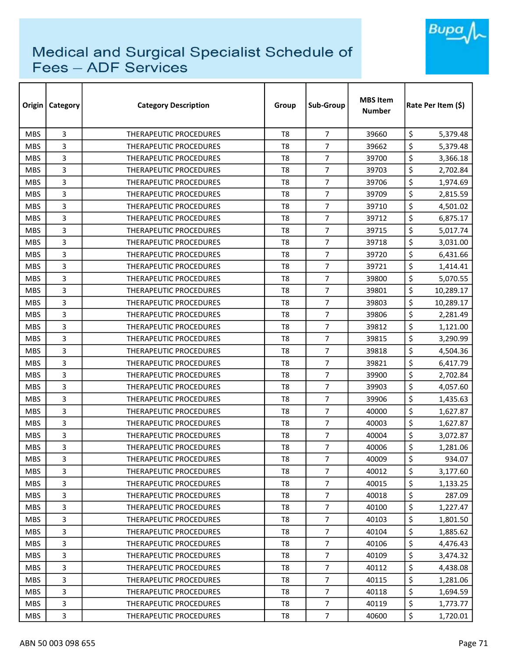

| Origin     | <b>Category</b> | <b>Category Description</b>   | Group          | Sub-Group        | <b>MBS Item</b><br><b>Number</b> | Rate Per Item (\$) |  |
|------------|-----------------|-------------------------------|----------------|------------------|----------------------------------|--------------------|--|
| <b>MBS</b> | 3               | <b>THERAPEUTIC PROCEDURES</b> | T <sub>8</sub> | $\overline{7}$   | 39660                            | \$<br>5,379.48     |  |
| <b>MBS</b> | 3               | <b>THERAPEUTIC PROCEDURES</b> | T <sub>8</sub> | 7                | 39662                            | \$<br>5,379.48     |  |
| <b>MBS</b> | 3               | THERAPEUTIC PROCEDURES        | T <sub>8</sub> | $\overline{7}$   | 39700                            | \$<br>3,366.18     |  |
| <b>MBS</b> | 3               | THERAPEUTIC PROCEDURES        | T <sub>8</sub> | $\overline{7}$   | 39703                            | \$<br>2,702.84     |  |
| <b>MBS</b> | 3               | <b>THERAPEUTIC PROCEDURES</b> | T <sub>8</sub> | 7                | 39706                            | \$<br>1,974.69     |  |
| <b>MBS</b> | 3               | <b>THERAPEUTIC PROCEDURES</b> | T <sub>8</sub> | $\overline{7}$   | 39709                            | \$<br>2,815.59     |  |
| <b>MBS</b> | 3               | <b>THERAPEUTIC PROCEDURES</b> | T <sub>8</sub> | 7                | 39710                            | \$<br>4,501.02     |  |
| <b>MBS</b> | 3               | <b>THERAPEUTIC PROCEDURES</b> | T8             | 7                | 39712                            | \$<br>6,875.17     |  |
| <b>MBS</b> | 3               | <b>THERAPEUTIC PROCEDURES</b> | T <sub>8</sub> | $\overline{7}$   | 39715                            | \$<br>5,017.74     |  |
| <b>MBS</b> | 3               | <b>THERAPEUTIC PROCEDURES</b> | T <sub>8</sub> | $\overline{7}$   | 39718                            | \$<br>3,031.00     |  |
| <b>MBS</b> | 3               | <b>THERAPEUTIC PROCEDURES</b> | T <sub>8</sub> | $\overline{7}$   | 39720                            | \$<br>6,431.66     |  |
| <b>MBS</b> | 3               | THERAPEUTIC PROCEDURES        | T <sub>8</sub> | $\overline{7}$   | 39721                            | \$<br>1,414.41     |  |
| <b>MBS</b> | 3               | <b>THERAPEUTIC PROCEDURES</b> | T <sub>8</sub> | $\overline{7}$   | 39800                            | \$<br>5,070.55     |  |
| <b>MBS</b> | 3               | <b>THERAPEUTIC PROCEDURES</b> | T <sub>8</sub> | $\overline{7}$   | 39801                            | \$<br>10,289.17    |  |
| <b>MBS</b> | 3               | <b>THERAPEUTIC PROCEDURES</b> | T8             | 7                | 39803                            | \$<br>10,289.17    |  |
| <b>MBS</b> | 3               | <b>THERAPEUTIC PROCEDURES</b> | T <sub>8</sub> | $\overline{7}$   | 39806                            | \$<br>2,281.49     |  |
| <b>MBS</b> | 3               | <b>THERAPEUTIC PROCEDURES</b> | T8             | 7                | 39812                            | \$<br>1,121.00     |  |
| <b>MBS</b> | 3               | THERAPEUTIC PROCEDURES        | T <sub>8</sub> | $\overline{7}$   | 39815                            | \$<br>3,290.99     |  |
| <b>MBS</b> | 3               | THERAPEUTIC PROCEDURES        | T <sub>8</sub> | $\overline{7}$   | 39818                            | \$<br>4,504.36     |  |
| <b>MBS</b> | 3               | <b>THERAPEUTIC PROCEDURES</b> | T8             | $\overline{7}$   | 39821                            | \$<br>6,417.79     |  |
| <b>MBS</b> | 3               | THERAPEUTIC PROCEDURES        | T8             | 7                | 39900                            | \$<br>2,702.84     |  |
| <b>MBS</b> | 3               | THERAPEUTIC PROCEDURES        | T <sub>8</sub> | $\overline{7}$   | 39903                            | \$<br>4,057.60     |  |
| <b>MBS</b> | 3               | THERAPEUTIC PROCEDURES        | T <sub>8</sub> | $\overline{7}$   | 39906                            | \$<br>1,435.63     |  |
| <b>MBS</b> | 3               | THERAPEUTIC PROCEDURES        | T <sub>8</sub> | 7                | 40000                            | \$<br>1,627.87     |  |
| <b>MBS</b> | 3               | THERAPEUTIC PROCEDURES        | T <sub>8</sub> | $\overline{7}$   | 40003                            | \$<br>1,627.87     |  |
| <b>MBS</b> | 3               | THERAPEUTIC PROCEDURES        | T <sub>8</sub> | $\overline{7}$   | 40004                            | \$<br>3,072.87     |  |
| <b>MBS</b> | 3               | THERAPEUTIC PROCEDURES        | T8             | 7                | 40006                            | \$<br>1,281.06     |  |
| <b>MBS</b> | 3               | THERAPEUTIC PROCEDURES        | T <sub>8</sub> | $\boldsymbol{7}$ | 40009                            | \$<br>934.07       |  |
| <b>MBS</b> | 3               | THERAPEUTIC PROCEDURES        | T8             | $\overline{7}$   | 40012                            | \$<br>3,177.60     |  |
| <b>MBS</b> | 3               | THERAPEUTIC PROCEDURES        | T8             | $\overline{7}$   | 40015                            | \$<br>1,133.25     |  |
| <b>MBS</b> | 3               | THERAPEUTIC PROCEDURES        | T <sub>8</sub> | $\overline{7}$   | 40018                            | \$<br>287.09       |  |
| <b>MBS</b> | 3               | THERAPEUTIC PROCEDURES        | T8             | $\overline{7}$   | 40100                            | \$<br>1,227.47     |  |
| <b>MBS</b> | 3               | THERAPEUTIC PROCEDURES        | T <sub>8</sub> | $\overline{7}$   | 40103                            | \$<br>1,801.50     |  |
| <b>MBS</b> | 3               | THERAPEUTIC PROCEDURES        | T8             | $\overline{7}$   | 40104                            | \$<br>1,885.62     |  |
| <b>MBS</b> | 3               | THERAPEUTIC PROCEDURES        | T <sub>8</sub> | $\overline{7}$   | 40106                            | \$<br>4,476.43     |  |
| <b>MBS</b> | 3               | THERAPEUTIC PROCEDURES        | T8             | $\overline{7}$   | 40109                            | \$<br>3,474.32     |  |
| <b>MBS</b> | 3               | THERAPEUTIC PROCEDURES        | T8             | $\overline{7}$   | 40112                            | \$<br>4,438.08     |  |
| <b>MBS</b> | 3               | THERAPEUTIC PROCEDURES        | T <sub>8</sub> | $\overline{7}$   | 40115                            | \$<br>1,281.06     |  |
| <b>MBS</b> | 3               | THERAPEUTIC PROCEDURES        | T8             | $\overline{7}$   | 40118                            | \$<br>1,694.59     |  |
| <b>MBS</b> | 3               | THERAPEUTIC PROCEDURES        | T8             | $\overline{7}$   | 40119                            | \$<br>1,773.77     |  |
| <b>MBS</b> | 3               | THERAPEUTIC PROCEDURES        | T8             | $\overline{7}$   | 40600                            | \$<br>1,720.01     |  |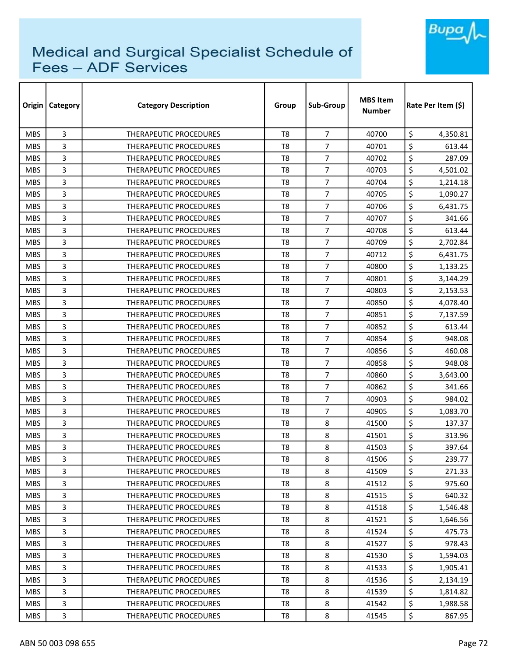

| Origin     | Category | <b>Category Description</b>   | Group          | Sub-Group      | <b>MBS Item</b><br><b>Number</b> | Rate Per Item (\$) |  |
|------------|----------|-------------------------------|----------------|----------------|----------------------------------|--------------------|--|
| <b>MBS</b> | 3        | <b>THERAPEUTIC PROCEDURES</b> | T <sub>8</sub> | $\overline{7}$ | 40700                            | \$<br>4,350.81     |  |
| <b>MBS</b> | 3        | THERAPEUTIC PROCEDURES        | T <sub>8</sub> | 7              | 40701                            | \$<br>613.44       |  |
| <b>MBS</b> | 3        | THERAPEUTIC PROCEDURES        | T <sub>8</sub> | $\overline{7}$ | 40702                            | \$<br>287.09       |  |
| <b>MBS</b> | 3        | <b>THERAPEUTIC PROCEDURES</b> | T <sub>8</sub> | $\overline{7}$ | 40703                            | \$<br>4,501.02     |  |
| <b>MBS</b> | 3        | THERAPEUTIC PROCEDURES        | T8             | 7              | 40704                            | \$<br>1,214.18     |  |
| <b>MBS</b> | 3        | THERAPEUTIC PROCEDURES        | T <sub>8</sub> | $\overline{7}$ | 40705                            | \$<br>1,090.27     |  |
| <b>MBS</b> | 3        | THERAPEUTIC PROCEDURES        | T <sub>8</sub> | 7              | 40706                            | \$<br>6,431.75     |  |
| <b>MBS</b> | 3        | THERAPEUTIC PROCEDURES        | T8             | $\overline{7}$ | 40707                            | \$<br>341.66       |  |
| <b>MBS</b> | 3        | THERAPEUTIC PROCEDURES        | T <sub>8</sub> | $\overline{7}$ | 40708                            | \$<br>613.44       |  |
| <b>MBS</b> | 3        | THERAPEUTIC PROCEDURES        | T <sub>8</sub> | $\overline{7}$ | 40709                            | \$<br>2,702.84     |  |
| <b>MBS</b> | 3        | THERAPEUTIC PROCEDURES        | T <sub>8</sub> | $\overline{7}$ | 40712                            | \$<br>6,431.75     |  |
| <b>MBS</b> | 3        | THERAPEUTIC PROCEDURES        | T <sub>8</sub> | 7              | 40800                            | \$<br>1,133.25     |  |
| <b>MBS</b> | 3        | <b>THERAPEUTIC PROCEDURES</b> | T <sub>8</sub> | $\overline{7}$ | 40801                            | \$<br>3,144.29     |  |
| <b>MBS</b> | 3        | THERAPEUTIC PROCEDURES        | T8             | 7              | 40803                            | \$<br>2,153.53     |  |
| <b>MBS</b> | 3        | <b>THERAPEUTIC PROCEDURES</b> | T8             | 7              | 40850                            | \$<br>4,078.40     |  |
| <b>MBS</b> | 3        | <b>THERAPEUTIC PROCEDURES</b> | T <sub>8</sub> | $\overline{7}$ | 40851                            | \$<br>7,137.59     |  |
| <b>MBS</b> | 3        | THERAPEUTIC PROCEDURES        | T <sub>8</sub> | $\overline{7}$ | 40852                            | \$<br>613.44       |  |
| <b>MBS</b> | 3        | THERAPEUTIC PROCEDURES        | T <sub>8</sub> | $\overline{7}$ | 40854                            | \$<br>948.08       |  |
| <b>MBS</b> | 3        | <b>THERAPEUTIC PROCEDURES</b> | T <sub>8</sub> | $\overline{7}$ | 40856                            | \$<br>460.08       |  |
| <b>MBS</b> | 3        | THERAPEUTIC PROCEDURES        | T8             | $\overline{7}$ | 40858                            | \$<br>948.08       |  |
| <b>MBS</b> | 3        | <b>THERAPEUTIC PROCEDURES</b> | T8             | 7              | 40860                            | \$<br>3,643.00     |  |
| <b>MBS</b> | 3        | THERAPEUTIC PROCEDURES        | T <sub>8</sub> | $\overline{7}$ | 40862                            | \$<br>341.66       |  |
| <b>MBS</b> | 3        | <b>THERAPEUTIC PROCEDURES</b> | T <sub>8</sub> | $\overline{7}$ | 40903                            | \$<br>984.02       |  |
| <b>MBS</b> | 3        | <b>THERAPEUTIC PROCEDURES</b> | T8             | $\overline{7}$ | 40905                            | \$<br>1,083.70     |  |
| <b>MBS</b> | 3        | THERAPEUTIC PROCEDURES        | T8             | 8              | 41500                            | \$<br>137.37       |  |
| <b>MBS</b> | 3        | <b>THERAPEUTIC PROCEDURES</b> | T <sub>8</sub> | 8              | 41501                            | \$<br>313.96       |  |
| <b>MBS</b> | 3        | <b>THERAPEUTIC PROCEDURES</b> | T8             | 8              | 41503                            | \$<br>397.64       |  |
| <b>MBS</b> | 3        | THERAPEUTIC PROCEDURES        | T8             | 8              | 41506                            | \$<br>239.77       |  |
| <b>MBS</b> | 3        | THERAPEUTIC PROCEDURES        | T8             | 8              | 41509                            | \$<br>271.33       |  |
| <b>MBS</b> | 3        | THERAPEUTIC PROCEDURES        | T8             | 8              | 41512                            | \$<br>975.60       |  |
| <b>MBS</b> | 3        | <b>THERAPEUTIC PROCEDURES</b> | T8             | 8              | 41515                            | \$<br>640.32       |  |
| <b>MBS</b> | 3        | <b>THERAPEUTIC PROCEDURES</b> | T8             | 8              | 41518                            | \$<br>1,546.48     |  |
| <b>MBS</b> | 3        | THERAPEUTIC PROCEDURES        | T8             | 8              | 41521                            | \$<br>1,646.56     |  |
| <b>MBS</b> | 3        | THERAPEUTIC PROCEDURES        | T8             | 8              | 41524                            | \$<br>475.73       |  |
| <b>MBS</b> | 3        | <b>THERAPEUTIC PROCEDURES</b> | T8             | 8              | 41527                            | \$<br>978.43       |  |
| <b>MBS</b> | 3        | THERAPEUTIC PROCEDURES        | T8             | 8              | 41530                            | \$<br>1,594.03     |  |
| <b>MBS</b> | 3        | THERAPEUTIC PROCEDURES        | T8             | 8              | 41533                            | \$<br>1,905.41     |  |
| <b>MBS</b> | 3        | THERAPEUTIC PROCEDURES        | T8             | 8              | 41536                            | \$<br>2,134.19     |  |
| <b>MBS</b> | 3        | THERAPEUTIC PROCEDURES        | T8             | 8              | 41539                            | \$<br>1,814.82     |  |
| <b>MBS</b> | 3        | THERAPEUTIC PROCEDURES        | T8             | 8              | 41542                            | \$<br>1,988.58     |  |
| <b>MBS</b> | 3        | THERAPEUTIC PROCEDURES        | T8             | 8              | 41545                            | \$<br>867.95       |  |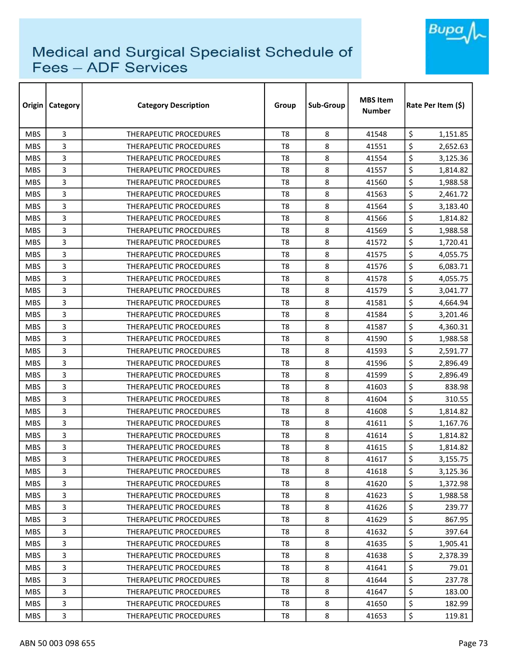

| Origin     | Category | <b>Category Description</b>   | Group          | Sub-Group | <b>MBS Item</b><br><b>Number</b> | Rate Per Item (\$) |  |
|------------|----------|-------------------------------|----------------|-----------|----------------------------------|--------------------|--|
| <b>MBS</b> | 3        | <b>THERAPEUTIC PROCEDURES</b> | T <sub>8</sub> | 8         | 41548                            | \$<br>1,151.85     |  |
| <b>MBS</b> | 3        | THERAPEUTIC PROCEDURES        | T <sub>8</sub> | 8         | 41551                            | \$<br>2,652.63     |  |
| <b>MBS</b> | 3        | THERAPEUTIC PROCEDURES        | T <sub>8</sub> | 8         | 41554                            | \$<br>3,125.36     |  |
| <b>MBS</b> | 3        | THERAPEUTIC PROCEDURES        | T <sub>8</sub> | 8         | 41557                            | \$<br>1,814.82     |  |
| <b>MBS</b> | 3        | <b>THERAPEUTIC PROCEDURES</b> | T8             | 8         | 41560                            | \$<br>1,988.58     |  |
| <b>MBS</b> | 3        | THERAPEUTIC PROCEDURES        | T <sub>8</sub> | 8         | 41563                            | \$<br>2,461.72     |  |
| <b>MBS</b> | 3        | THERAPEUTIC PROCEDURES        | T8             | 8         | 41564                            | \$<br>3,183.40     |  |
| <b>MBS</b> | 3        | THERAPEUTIC PROCEDURES        | T8             | 8         | 41566                            | \$<br>1,814.82     |  |
| <b>MBS</b> | 3        | THERAPEUTIC PROCEDURES        | T <sub>8</sub> | 8         | 41569                            | \$<br>1,988.58     |  |
| <b>MBS</b> | 3        | THERAPEUTIC PROCEDURES        | T <sub>8</sub> | 8         | 41572                            | \$<br>1,720.41     |  |
| <b>MBS</b> | 3        | THERAPEUTIC PROCEDURES        | T <sub>8</sub> | 8         | 41575                            | \$<br>4,055.75     |  |
| <b>MBS</b> | 3        | <b>THERAPEUTIC PROCEDURES</b> | T <sub>8</sub> | 8         | 41576                            | \$<br>6,083.71     |  |
| <b>MBS</b> | 3        | <b>THERAPEUTIC PROCEDURES</b> | T8             | 8         | 41578                            | \$<br>4,055.75     |  |
| <b>MBS</b> | 3        | THERAPEUTIC PROCEDURES        | T8             | 8         | 41579                            | \$<br>3,041.77     |  |
| <b>MBS</b> | 3        | <b>THERAPEUTIC PROCEDURES</b> | T8             | 8         | 41581                            | \$<br>4,664.94     |  |
| <b>MBS</b> | 3        | THERAPEUTIC PROCEDURES        | T <sub>8</sub> | 8         | 41584                            | \$<br>3,201.46     |  |
| <b>MBS</b> | 3        | THERAPEUTIC PROCEDURES        | T8             | 8         | 41587                            | \$<br>4,360.31     |  |
| <b>MBS</b> | 3        | THERAPEUTIC PROCEDURES        | T <sub>8</sub> | 8         | 41590                            | \$<br>1,988.58     |  |
| <b>MBS</b> | 3        | THERAPEUTIC PROCEDURES        | T8             | 8         | 41593                            | \$<br>2,591.77     |  |
| <b>MBS</b> | 3        | THERAPEUTIC PROCEDURES        | T8             | 8         | 41596                            | \$<br>2,896.49     |  |
| <b>MBS</b> | 3        | THERAPEUTIC PROCEDURES        | T8             | 8         | 41599                            | \$<br>2,896.49     |  |
| <b>MBS</b> | 3        | THERAPEUTIC PROCEDURES        | T8             | 8         | 41603                            | \$<br>838.98       |  |
| <b>MBS</b> | 3        | <b>THERAPEUTIC PROCEDURES</b> | T <sub>8</sub> | 8         | 41604                            | \$<br>310.55       |  |
| <b>MBS</b> | 3        | THERAPEUTIC PROCEDURES        | T8             | 8         | 41608                            | \$<br>1,814.82     |  |
| <b>MBS</b> | 3        | THERAPEUTIC PROCEDURES        | T8             | 8         | 41611                            | \$<br>1,167.76     |  |
| <b>MBS</b> | 3        | THERAPEUTIC PROCEDURES        | T <sub>8</sub> | 8         | 41614                            | \$<br>1,814.82     |  |
| <b>MBS</b> | 3        | <b>THERAPEUTIC PROCEDURES</b> | T8             | 8         | 41615                            | \$<br>1,814.82     |  |
| <b>MBS</b> | 3        | THERAPEUTIC PROCEDURES        | T8             | 8         | 41617                            | \$<br>3,155.75     |  |
| <b>MBS</b> | 3        | THERAPEUTIC PROCEDURES        | T8             | 8         | 41618                            | \$<br>3,125.36     |  |
| <b>MBS</b> | 3        | THERAPEUTIC PROCEDURES        | T8             | 8         | 41620                            | \$<br>1,372.98     |  |
| <b>MBS</b> | 3        | THERAPEUTIC PROCEDURES        | T8             | 8         | 41623                            | \$<br>1,988.58     |  |
| <b>MBS</b> | 3        | THERAPEUTIC PROCEDURES        | T8             | 8         | 41626                            | \$<br>239.77       |  |
| <b>MBS</b> | 3        | THERAPEUTIC PROCEDURES        | T8             | 8         | 41629                            | \$<br>867.95       |  |
| <b>MBS</b> | 3        | THERAPEUTIC PROCEDURES        | T8             | 8         | 41632                            | \$<br>397.64       |  |
| <b>MBS</b> | 3        | <b>THERAPEUTIC PROCEDURES</b> | T <sub>8</sub> | 8         | 41635                            | \$<br>1,905.41     |  |
| <b>MBS</b> | 3        | THERAPEUTIC PROCEDURES        | T8             | 8         | 41638                            | \$<br>2,378.39     |  |
| <b>MBS</b> | 3        | THERAPEUTIC PROCEDURES        | T8             | 8         | 41641                            | \$<br>79.01        |  |
| <b>MBS</b> | 3        | THERAPEUTIC PROCEDURES        | T8             | 8         | 41644                            | \$<br>237.78       |  |
| <b>MBS</b> | 3        | THERAPEUTIC PROCEDURES        | T8             | 8         | 41647                            | \$<br>183.00       |  |
| <b>MBS</b> | 3        | THERAPEUTIC PROCEDURES        | T8             | 8         | 41650                            | \$<br>182.99       |  |
| <b>MBS</b> | 3        | THERAPEUTIC PROCEDURES        | T8             | 8         | 41653                            | \$<br>119.81       |  |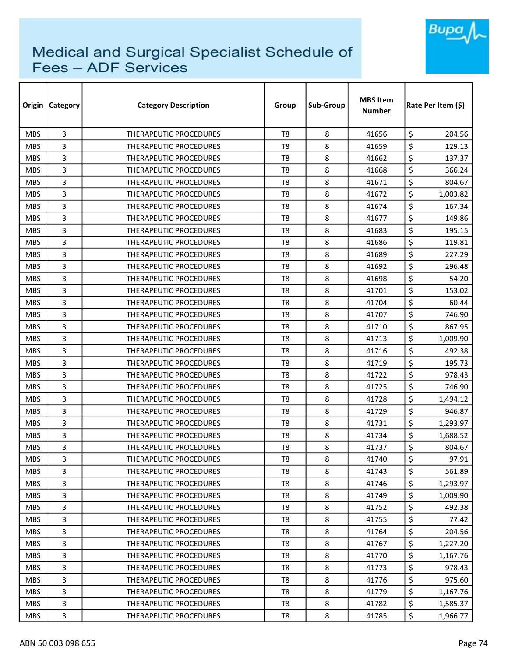

| Origin     | Category | <b>Category Description</b>   | Group          | Sub-Group | <b>MBS Item</b><br><b>Number</b> | Rate Per Item (\$) |  |
|------------|----------|-------------------------------|----------------|-----------|----------------------------------|--------------------|--|
| <b>MBS</b> | 3        | <b>THERAPEUTIC PROCEDURES</b> | T <sub>8</sub> | 8         | 41656                            | \$<br>204.56       |  |
| <b>MBS</b> | 3        | THERAPEUTIC PROCEDURES        | T <sub>8</sub> | 8         | 41659                            | \$<br>129.13       |  |
| <b>MBS</b> | 3        | THERAPEUTIC PROCEDURES        | T <sub>8</sub> | 8         | 41662                            | \$<br>137.37       |  |
| <b>MBS</b> | 3        | THERAPEUTIC PROCEDURES        | T <sub>8</sub> | 8         | 41668                            | \$<br>366.24       |  |
| <b>MBS</b> | 3        | THERAPEUTIC PROCEDURES        | T8             | 8         | 41671                            | \$<br>804.67       |  |
| <b>MBS</b> | 3        | <b>THERAPEUTIC PROCEDURES</b> | T <sub>8</sub> | 8         | 41672                            | \$<br>1,003.82     |  |
| <b>MBS</b> | 3        | THERAPEUTIC PROCEDURES        | T8             | 8         | 41674                            | \$<br>167.34       |  |
| <b>MBS</b> | 3        | THERAPEUTIC PROCEDURES        | T8             | 8         | 41677                            | \$<br>149.86       |  |
| <b>MBS</b> | 3        | THERAPEUTIC PROCEDURES        | T <sub>8</sub> | 8         | 41683                            | \$<br>195.15       |  |
| <b>MBS</b> | 3        | THERAPEUTIC PROCEDURES        | T <sub>8</sub> | 8         | 41686                            | \$<br>119.81       |  |
| <b>MBS</b> | 3        | THERAPEUTIC PROCEDURES        | T <sub>8</sub> | 8         | 41689                            | \$<br>227.29       |  |
| <b>MBS</b> | 3        | THERAPEUTIC PROCEDURES        | T8             | 8         | 41692                            | \$<br>296.48       |  |
| <b>MBS</b> | 3        | <b>THERAPEUTIC PROCEDURES</b> | T <sub>8</sub> | 8         | 41698                            | \$<br>54.20        |  |
| <b>MBS</b> | 3        | THERAPEUTIC PROCEDURES        | T <sub>8</sub> | 8         | 41701                            | \$<br>153.02       |  |
| <b>MBS</b> | 3        | THERAPEUTIC PROCEDURES        | T8             | 8         | 41704                            | \$<br>60.44        |  |
| <b>MBS</b> | 3        | <b>THERAPEUTIC PROCEDURES</b> | T <sub>8</sub> | 8         | 41707                            | \$<br>746.90       |  |
| <b>MBS</b> | 3        | THERAPEUTIC PROCEDURES        | T <sub>8</sub> | 8         | 41710                            | \$<br>867.95       |  |
| <b>MBS</b> | 3        | THERAPEUTIC PROCEDURES        | T <sub>8</sub> | 8         | 41713                            | \$<br>1,009.90     |  |
| <b>MBS</b> | 3        | THERAPEUTIC PROCEDURES        | T8             | 8         | 41716                            | \$<br>492.38       |  |
| <b>MBS</b> | 3        | THERAPEUTIC PROCEDURES        | T8             | 8         | 41719                            | \$<br>195.73       |  |
| <b>MBS</b> | 3        | THERAPEUTIC PROCEDURES        | T8             | 8         | 41722                            | \$<br>978.43       |  |
| <b>MBS</b> | 3        | THERAPEUTIC PROCEDURES        | T <sub>8</sub> | 8         | 41725                            | \$<br>746.90       |  |
| <b>MBS</b> | 3        | <b>THERAPEUTIC PROCEDURES</b> | T <sub>8</sub> | 8         | 41728                            | \$<br>1,494.12     |  |
| <b>MBS</b> | 3        | THERAPEUTIC PROCEDURES        | T8             | 8         | 41729                            | \$<br>946.87       |  |
| <b>MBS</b> | 3        | <b>THERAPEUTIC PROCEDURES</b> | T8             | 8         | 41731                            | \$<br>1,293.97     |  |
| <b>MBS</b> | 3        | THERAPEUTIC PROCEDURES        | T <sub>8</sub> | 8         | 41734                            | \$<br>1,688.52     |  |
| <b>MBS</b> | 3        | THERAPEUTIC PROCEDURES        | T8             | 8         | 41737                            | \$<br>804.67       |  |
| <b>MBS</b> | 3        | THERAPEUTIC PROCEDURES        | T8             | 8         | 41740                            | \$<br>97.91        |  |
| <b>MBS</b> | 3        | THERAPEUTIC PROCEDURES        | T8             | 8         | 41743                            | \$<br>561.89       |  |
| <b>MBS</b> | 3        | THERAPEUTIC PROCEDURES        | T8             | 8         | 41746                            | \$<br>1,293.97     |  |
| <b>MBS</b> | 3        | THERAPEUTIC PROCEDURES        | T8             | 8         | 41749                            | \$<br>1,009.90     |  |
| <b>MBS</b> | 3        | THERAPEUTIC PROCEDURES        | T8             | 8         | 41752                            | \$<br>492.38       |  |
| <b>MBS</b> | 3        | THERAPEUTIC PROCEDURES        | T8             | 8         | 41755                            | \$<br>77.42        |  |
| <b>MBS</b> | 3        | THERAPEUTIC PROCEDURES        | T8             | 8         | 41764                            | \$<br>204.56       |  |
| <b>MBS</b> | 3        | <b>THERAPEUTIC PROCEDURES</b> | T <sub>8</sub> | 8         | 41767                            | \$<br>1,227.20     |  |
| <b>MBS</b> | 3        | THERAPEUTIC PROCEDURES        | T8             | 8         | 41770                            | \$<br>1,167.76     |  |
| <b>MBS</b> | 3        | THERAPEUTIC PROCEDURES        | T8             | 8         | 41773                            | \$<br>978.43       |  |
| <b>MBS</b> | 3        | THERAPEUTIC PROCEDURES        | T8             | 8         | 41776                            | \$<br>975.60       |  |
| <b>MBS</b> | 3        | THERAPEUTIC PROCEDURES        | T8             | 8         | 41779                            | \$<br>1,167.76     |  |
| <b>MBS</b> | 3        | THERAPEUTIC PROCEDURES        | T8             | 8         | 41782                            | \$<br>1,585.37     |  |
| <b>MBS</b> | 3        | THERAPEUTIC PROCEDURES        | T8             | 8         | 41785                            | \$<br>1,966.77     |  |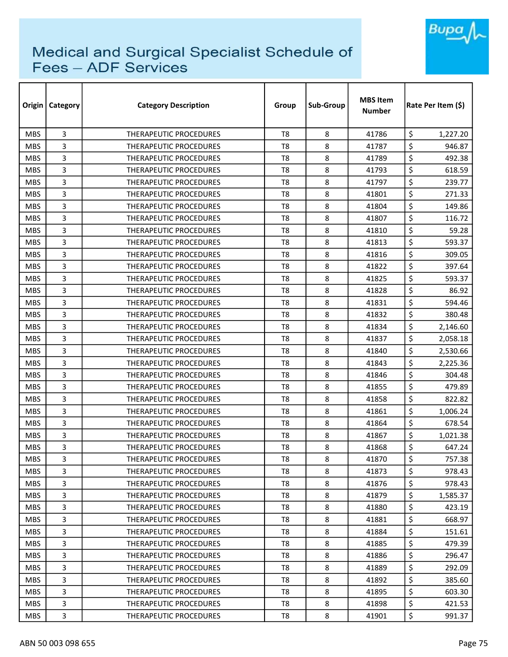

| Origin     | Category | <b>Category Description</b>   | Group          | Sub-Group | <b>MBS Item</b><br>Number | Rate Per Item (\$) |  |
|------------|----------|-------------------------------|----------------|-----------|---------------------------|--------------------|--|
| <b>MBS</b> | 3        | <b>THERAPEUTIC PROCEDURES</b> | T <sub>8</sub> | 8         | 41786                     | \$<br>1,227.20     |  |
| <b>MBS</b> | 3        | <b>THERAPEUTIC PROCEDURES</b> | T <sub>8</sub> | 8         | 41787                     | \$<br>946.87       |  |
| <b>MBS</b> | 3        | THERAPEUTIC PROCEDURES        | T8             | 8         | 41789                     | \$<br>492.38       |  |
| <b>MBS</b> | 3        | THERAPEUTIC PROCEDURES        | T <sub>8</sub> | 8         | 41793                     | \$<br>618.59       |  |
| <b>MBS</b> | 3        | <b>THERAPEUTIC PROCEDURES</b> | T8             | 8         | 41797                     | \$<br>239.77       |  |
| <b>MBS</b> | 3        | THERAPEUTIC PROCEDURES        | T8             | 8         | 41801                     | \$<br>271.33       |  |
| <b>MBS</b> | 3        | THERAPEUTIC PROCEDURES        | T8             | 8         | 41804                     | \$<br>149.86       |  |
| <b>MBS</b> | 3        | <b>THERAPEUTIC PROCEDURES</b> | T8             | 8         | 41807                     | \$<br>116.72       |  |
| <b>MBS</b> | 3        | <b>THERAPEUTIC PROCEDURES</b> | T <sub>8</sub> | 8         | 41810                     | \$<br>59.28        |  |
| <b>MBS</b> | 3        | THERAPEUTIC PROCEDURES        | T8             | 8         | 41813                     | \$<br>593.37       |  |
| <b>MBS</b> | 3        | THERAPEUTIC PROCEDURES        | T <sub>8</sub> | 8         | 41816                     | \$<br>309.05       |  |
| <b>MBS</b> | 3        | THERAPEUTIC PROCEDURES        | T <sub>8</sub> | 8         | 41822                     | \$<br>397.64       |  |
| <b>MBS</b> | 3        | THERAPEUTIC PROCEDURES        | T <sub>8</sub> | 8         | 41825                     | \$<br>593.37       |  |
| <b>MBS</b> | 3        | THERAPEUTIC PROCEDURES        | T <sub>8</sub> | 8         | 41828                     | \$<br>86.92        |  |
| <b>MBS</b> | 3        | <b>THERAPEUTIC PROCEDURES</b> | T8             | 8         | 41831                     | \$<br>594.46       |  |
| <b>MBS</b> | 3        | <b>THERAPEUTIC PROCEDURES</b> | T <sub>8</sub> | 8         | 41832                     | \$<br>380.48       |  |
| <b>MBS</b> | 3        | <b>THERAPEUTIC PROCEDURES</b> | T <sub>8</sub> | 8         | 41834                     | \$<br>2,146.60     |  |
| <b>MBS</b> | 3        | THERAPEUTIC PROCEDURES        | T <sub>8</sub> | 8         | 41837                     | \$<br>2,058.18     |  |
| <b>MBS</b> | 3        | <b>THERAPEUTIC PROCEDURES</b> | T <sub>8</sub> | 8         | 41840                     | \$<br>2,530.66     |  |
| <b>MBS</b> | 3        | <b>THERAPEUTIC PROCEDURES</b> | T <sub>8</sub> | 8         | 41843                     | \$<br>2,225.36     |  |
| <b>MBS</b> | 3        | THERAPEUTIC PROCEDURES        | T <sub>8</sub> | 8         | 41846                     | \$<br>304.48       |  |
| <b>MBS</b> | 3        | THERAPEUTIC PROCEDURES        | T8             | 8         | 41855                     | \$<br>479.89       |  |
| <b>MBS</b> | 3        | THERAPEUTIC PROCEDURES        | T <sub>8</sub> | 8         | 41858                     | \$<br>822.82       |  |
| <b>MBS</b> | 3        | <b>THERAPEUTIC PROCEDURES</b> | T8             | 8         | 41861                     | \$<br>1,006.24     |  |
| <b>MBS</b> | 3        | THERAPEUTIC PROCEDURES        | T <sub>8</sub> | 8         | 41864                     | \$<br>678.54       |  |
| <b>MBS</b> | 3        | THERAPEUTIC PROCEDURES        | T8             | 8         | 41867                     | \$<br>1,021.38     |  |
| <b>MBS</b> | 3        | <b>THERAPEUTIC PROCEDURES</b> | T8             | 8         | 41868                     | \$<br>647.24       |  |
| <b>MBS</b> | 3        | THERAPEUTIC PROCEDURES        | T8             | 8         | 41870                     | \$<br>757.38       |  |
| <b>MBS</b> | 3        | THERAPEUTIC PROCEDURES        | T8             | 8         | 41873                     | \$<br>978.43       |  |
| <b>MBS</b> | 3        | THERAPEUTIC PROCEDURES        | T <sub>8</sub> | 8         | 41876                     | \$<br>978.43       |  |
| <b>MBS</b> | 3        | THERAPEUTIC PROCEDURES        | T8             | 8         | 41879                     | \$<br>1,585.37     |  |
| <b>MBS</b> | 3        | <b>THERAPEUTIC PROCEDURES</b> | T8             | 8         | 41880                     | \$<br>423.19       |  |
| MBS.       | 3        | THERAPEUTIC PROCEDURES        | T8             | 8         | 41881                     | \$<br>668.97       |  |
| <b>MBS</b> | 3        | THERAPEUTIC PROCEDURES        | T8             | 8         | 41884                     | \$<br>151.61       |  |
| <b>MBS</b> | 3        | THERAPEUTIC PROCEDURES        | T <sub>8</sub> | 8         | 41885                     | \$<br>479.39       |  |
| <b>MBS</b> | 3        | THERAPEUTIC PROCEDURES        | T8             | 8         | 41886                     | \$<br>296.47       |  |
| <b>MBS</b> | 3        | THERAPEUTIC PROCEDURES        | T8             | 8         | 41889                     | \$<br>292.09       |  |
| <b>MBS</b> | 3        | THERAPEUTIC PROCEDURES        | T8             | 8         | 41892                     | \$<br>385.60       |  |
| MBS.       | 3        | THERAPEUTIC PROCEDURES        | T8             | 8         | 41895                     | \$<br>603.30       |  |
| <b>MBS</b> | 3        | THERAPEUTIC PROCEDURES        | T8             | 8         | 41898                     | \$<br>421.53       |  |
| <b>MBS</b> | 3        | THERAPEUTIC PROCEDURES        | T8             | 8         | 41901                     | \$<br>991.37       |  |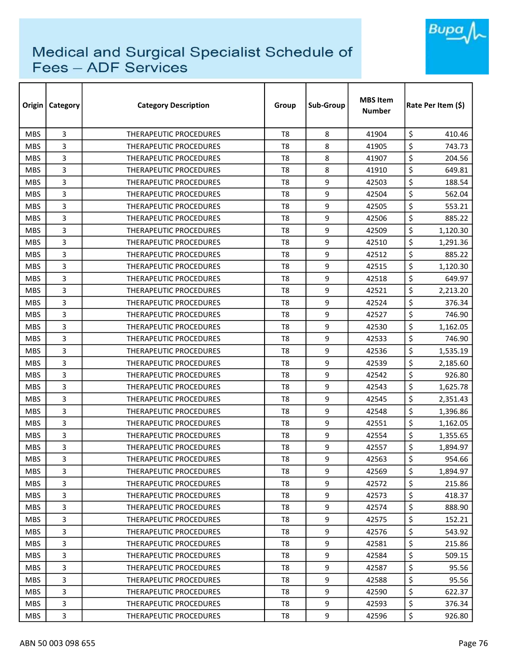

| Origin     | <b>Category</b> | <b>Category Description</b>   | Group          | Sub-Group | <b>MBS Item</b><br><b>Number</b> | Rate Per Item (\$) |  |
|------------|-----------------|-------------------------------|----------------|-----------|----------------------------------|--------------------|--|
| <b>MBS</b> | 3               | <b>THERAPEUTIC PROCEDURES</b> | T <sub>8</sub> | 8         | 41904                            | \$<br>410.46       |  |
| <b>MBS</b> | 3               | THERAPEUTIC PROCEDURES        | T <sub>8</sub> | 8         | 41905                            | \$<br>743.73       |  |
| <b>MBS</b> | 3               | THERAPEUTIC PROCEDURES        | T <sub>8</sub> | 8         | 41907                            | \$<br>204.56       |  |
| <b>MBS</b> | 3               | <b>THERAPEUTIC PROCEDURES</b> | T <sub>8</sub> | 8         | 41910                            | \$<br>649.81       |  |
| <b>MBS</b> | 3               | THERAPEUTIC PROCEDURES        | T <sub>8</sub> | 9         | 42503                            | \$<br>188.54       |  |
| <b>MBS</b> | 3               | THERAPEUTIC PROCEDURES        | T <sub>8</sub> | 9         | 42504                            | \$<br>562.04       |  |
| <b>MBS</b> | 3               | <b>THERAPEUTIC PROCEDURES</b> | T8             | 9         | 42505                            | \$<br>553.21       |  |
| <b>MBS</b> | 3               | THERAPEUTIC PROCEDURES        | T8             | 9         | 42506                            | \$<br>885.22       |  |
| <b>MBS</b> | 3               | THERAPEUTIC PROCEDURES        | T <sub>8</sub> | 9         | 42509                            | \$<br>1,120.30     |  |
| <b>MBS</b> | 3               | THERAPEUTIC PROCEDURES        | T <sub>8</sub> | 9         | 42510                            | \$<br>1,291.36     |  |
| <b>MBS</b> | 3               | <b>THERAPEUTIC PROCEDURES</b> | T <sub>8</sub> | 9         | 42512                            | \$<br>885.22       |  |
| <b>MBS</b> | 3               | THERAPEUTIC PROCEDURES        | T <sub>8</sub> | 9         | 42515                            | \$<br>1,120.30     |  |
| <b>MBS</b> | 3               | <b>THERAPEUTIC PROCEDURES</b> | T <sub>8</sub> | 9         | 42518                            | \$<br>649.97       |  |
| <b>MBS</b> | 3               | <b>THERAPEUTIC PROCEDURES</b> | T <sub>8</sub> | 9         | 42521                            | \$<br>2,213.20     |  |
| <b>MBS</b> | 3               | THERAPEUTIC PROCEDURES        | T8             | 9         | 42524                            | \$<br>376.34       |  |
| <b>MBS</b> | 3               | THERAPEUTIC PROCEDURES        | T <sub>8</sub> | 9         | 42527                            | \$<br>746.90       |  |
| <b>MBS</b> | 3               | THERAPEUTIC PROCEDURES        | T8             | 9         | 42530                            | \$<br>1,162.05     |  |
| <b>MBS</b> | 3               | THERAPEUTIC PROCEDURES        | T <sub>8</sub> | 9         | 42533                            | \$<br>746.90       |  |
| <b>MBS</b> | 3               | THERAPEUTIC PROCEDURES        | T <sub>8</sub> | 9         | 42536                            | \$<br>1,535.19     |  |
| <b>MBS</b> | 3               | THERAPEUTIC PROCEDURES        | T <sub>8</sub> | 9         | 42539                            | \$<br>2,185.60     |  |
| <b>MBS</b> | 3               | THERAPEUTIC PROCEDURES        | T <sub>8</sub> | 9         | 42542                            | \$<br>926.80       |  |
| <b>MBS</b> | 3               | THERAPEUTIC PROCEDURES        | T <sub>8</sub> | 9         | 42543                            | \$<br>1,625.78     |  |
| <b>MBS</b> | 3               | <b>THERAPEUTIC PROCEDURES</b> | T <sub>8</sub> | 9         | 42545                            | \$<br>2,351.43     |  |
| <b>MBS</b> | 3               | THERAPEUTIC PROCEDURES        | T <sub>8</sub> | 9         | 42548                            | \$<br>1,396.86     |  |
| <b>MBS</b> | 3               | THERAPEUTIC PROCEDURES        | T <sub>8</sub> | 9         | 42551                            | \$<br>1,162.05     |  |
| <b>MBS</b> | 3               | THERAPEUTIC PROCEDURES        | T <sub>8</sub> | 9         | 42554                            | \$<br>1,355.65     |  |
| <b>MBS</b> | 3               | THERAPEUTIC PROCEDURES        | T8             | 9         | 42557                            | \$<br>1,894.97     |  |
| <b>MBS</b> | 3               | THERAPEUTIC PROCEDURES        | T <sub>8</sub> | 9         | 42563                            | \$<br>954.66       |  |
| <b>MBS</b> | 3               | THERAPEUTIC PROCEDURES        | T8             | 9         | 42569                            | \$<br>1,894.97     |  |
| <b>MBS</b> | 3               | THERAPEUTIC PROCEDURES        | T8             | 9         | 42572                            | \$<br>215.86       |  |
| <b>MBS</b> | 3               | THERAPEUTIC PROCEDURES        | T8             | 9         | 42573                            | \$<br>418.37       |  |
| <b>MBS</b> | 3               | THERAPEUTIC PROCEDURES        | T8             | 9         | 42574                            | \$<br>888.90       |  |
| <b>MBS</b> | 3               | THERAPEUTIC PROCEDURES        | T <sub>8</sub> | 9         | 42575                            | \$<br>152.21       |  |
| <b>MBS</b> | 3               | <b>THERAPEUTIC PROCEDURES</b> | T8             | 9         | 42576                            | \$<br>543.92       |  |
| <b>MBS</b> | 3               | THERAPEUTIC PROCEDURES        | T <sub>8</sub> | 9         | 42581                            | \$<br>215.86       |  |
| <b>MBS</b> | 3               | <b>THERAPEUTIC PROCEDURES</b> | T8             | 9         | 42584                            | \$<br>509.15       |  |
| <b>MBS</b> | 3               | THERAPEUTIC PROCEDURES        | T8             | 9         | 42587                            | \$<br>95.56        |  |
| <b>MBS</b> | 3               | THERAPEUTIC PROCEDURES        | T8             | 9         | 42588                            | \$<br>95.56        |  |
| <b>MBS</b> | 3               | THERAPEUTIC PROCEDURES        | T8             | 9         | 42590                            | \$<br>622.37       |  |
| <b>MBS</b> | 3               | THERAPEUTIC PROCEDURES        | T8             | 9         | 42593                            | \$<br>376.34       |  |
| <b>MBS</b> | 3               | THERAPEUTIC PROCEDURES        | T8             | 9         | 42596                            | \$<br>926.80       |  |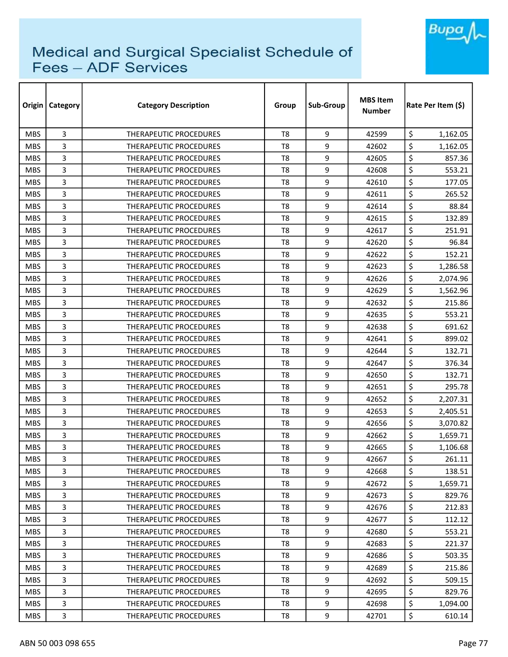

| Origin     | <b>Category</b> | <b>Category Description</b>   | Group          | Sub-Group | <b>MBS Item</b><br><b>Number</b> | Rate Per Item (\$) |  |
|------------|-----------------|-------------------------------|----------------|-----------|----------------------------------|--------------------|--|
| <b>MBS</b> | 3               | <b>THERAPEUTIC PROCEDURES</b> | T <sub>8</sub> | 9         | 42599                            | \$<br>1,162.05     |  |
| <b>MBS</b> | 3               | THERAPEUTIC PROCEDURES        | T <sub>8</sub> | 9         | 42602                            | \$<br>1,162.05     |  |
| <b>MBS</b> | 3               | THERAPEUTIC PROCEDURES        | T <sub>8</sub> | 9         | 42605                            | \$<br>857.36       |  |
| <b>MBS</b> | 3               | THERAPEUTIC PROCEDURES        | T <sub>8</sub> | 9         | 42608                            | \$<br>553.21       |  |
| <b>MBS</b> | 3               | <b>THERAPEUTIC PROCEDURES</b> | T <sub>8</sub> | 9         | 42610                            | \$<br>177.05       |  |
| <b>MBS</b> | 3               | THERAPEUTIC PROCEDURES        | T <sub>8</sub> | 9         | 42611                            | \$<br>265.52       |  |
| <b>MBS</b> | 3               | <b>THERAPEUTIC PROCEDURES</b> | T8             | 9         | 42614                            | \$<br>88.84        |  |
| <b>MBS</b> | 3               | <b>THERAPEUTIC PROCEDURES</b> | T8             | 9         | 42615                            | \$<br>132.89       |  |
| <b>MBS</b> | 3               | THERAPEUTIC PROCEDURES        | T <sub>8</sub> | 9         | 42617                            | \$<br>251.91       |  |
| <b>MBS</b> | 3               | <b>THERAPEUTIC PROCEDURES</b> | T <sub>8</sub> | 9         | 42620                            | \$<br>96.84        |  |
| <b>MBS</b> | 3               | <b>THERAPEUTIC PROCEDURES</b> | T <sub>8</sub> | 9         | 42622                            | \$<br>152.21       |  |
| <b>MBS</b> | 3               | THERAPEUTIC PROCEDURES        | T <sub>8</sub> | 9         | 42623                            | \$<br>1,286.58     |  |
| <b>MBS</b> | 3               | <b>THERAPEUTIC PROCEDURES</b> | T <sub>8</sub> | 9         | 42626                            | \$<br>2,074.96     |  |
| <b>MBS</b> | 3               | THERAPEUTIC PROCEDURES        | T <sub>8</sub> | 9         | 42629                            | \$<br>1,562.96     |  |
| <b>MBS</b> | 3               | <b>THERAPEUTIC PROCEDURES</b> | T8             | 9         | 42632                            | \$<br>215.86       |  |
| <b>MBS</b> | 3               | <b>THERAPEUTIC PROCEDURES</b> | T <sub>8</sub> | 9         | 42635                            | \$<br>553.21       |  |
| <b>MBS</b> | 3               | <b>THERAPEUTIC PROCEDURES</b> | T8             | 9         | 42638                            | \$<br>691.62       |  |
| <b>MBS</b> | 3               | THERAPEUTIC PROCEDURES        | T <sub>8</sub> | 9         | 42641                            | \$<br>899.02       |  |
| <b>MBS</b> | 3               | THERAPEUTIC PROCEDURES        | T <sub>8</sub> | 9         | 42644                            | \$<br>132.71       |  |
| <b>MBS</b> | 3               | THERAPEUTIC PROCEDURES        | T <sub>8</sub> | 9         | 42647                            | \$<br>376.34       |  |
| <b>MBS</b> | 3               | <b>THERAPEUTIC PROCEDURES</b> | T <sub>8</sub> | 9         | 42650                            | \$<br>132.71       |  |
| <b>MBS</b> | 3               | THERAPEUTIC PROCEDURES        | T <sub>8</sub> | 9         | 42651                            | \$<br>295.78       |  |
| <b>MBS</b> | 3               | <b>THERAPEUTIC PROCEDURES</b> | T <sub>8</sub> | 9         | 42652                            | \$<br>2,207.31     |  |
| <b>MBS</b> | 3               | <b>THERAPEUTIC PROCEDURES</b> | T <sub>8</sub> | 9         | 42653                            | \$<br>2,405.51     |  |
| <b>MBS</b> | 3               | THERAPEUTIC PROCEDURES        | T <sub>8</sub> | 9         | 42656                            | \$<br>3,070.82     |  |
| <b>MBS</b> | 3               | <b>THERAPEUTIC PROCEDURES</b> | T <sub>8</sub> | 9         | 42662                            | \$<br>1,659.71     |  |
| <b>MBS</b> | 3               | <b>THERAPEUTIC PROCEDURES</b> | T8             | 9         | 42665                            | \$<br>1,106.68     |  |
| <b>MBS</b> | 3               | THERAPEUTIC PROCEDURES        | T <sub>8</sub> | 9         | 42667                            | \$<br>261.11       |  |
| <b>MBS</b> | 3               | THERAPEUTIC PROCEDURES        | T8             | 9         | 42668                            | \$<br>138.51       |  |
| <b>MBS</b> | 3               | THERAPEUTIC PROCEDURES        | T8             | 9         | 42672                            | \$<br>1,659.71     |  |
| <b>MBS</b> | 3               | THERAPEUTIC PROCEDURES        | T <sub>8</sub> | 9         | 42673                            | \$<br>829.76       |  |
| <b>MBS</b> | 3               | THERAPEUTIC PROCEDURES        | T8             | 9         | 42676                            | \$<br>212.83       |  |
| <b>MBS</b> | 3               | THERAPEUTIC PROCEDURES        | T <sub>8</sub> | 9         | 42677                            | \$<br>112.12       |  |
| <b>MBS</b> | 3               | <b>THERAPEUTIC PROCEDURES</b> | T8             | 9         | 42680                            | \$<br>553.21       |  |
| <b>MBS</b> | 3               | THERAPEUTIC PROCEDURES        | T <sub>8</sub> | 9         | 42683                            | \$<br>221.37       |  |
| <b>MBS</b> | 3               | <b>THERAPEUTIC PROCEDURES</b> | T8             | 9         | 42686                            | \$<br>503.35       |  |
| <b>MBS</b> | 3               | THERAPEUTIC PROCEDURES        | T8             | 9         | 42689                            | \$<br>215.86       |  |
| <b>MBS</b> | 3               | THERAPEUTIC PROCEDURES        | T8             | 9         | 42692                            | \$<br>509.15       |  |
| <b>MBS</b> | 3               | THERAPEUTIC PROCEDURES        | T8             | 9         | 42695                            | \$<br>829.76       |  |
| <b>MBS</b> | 3               | THERAPEUTIC PROCEDURES        | T8             | 9         | 42698                            | \$<br>1,094.00     |  |
| <b>MBS</b> | 3               | THERAPEUTIC PROCEDURES        | T8             | 9         | 42701                            | \$<br>610.14       |  |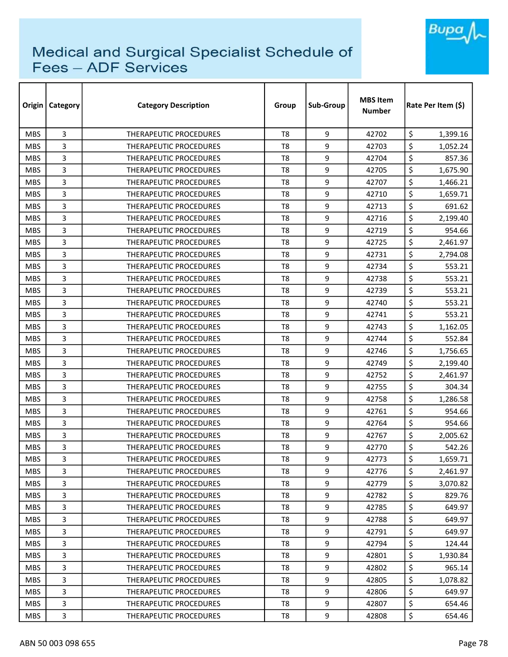

| Origin     | <b>Category</b> | <b>Category Description</b>   | Group          | Sub-Group | <b>MBS Item</b><br><b>Number</b> | Rate Per Item (\$) |  |
|------------|-----------------|-------------------------------|----------------|-----------|----------------------------------|--------------------|--|
| <b>MBS</b> | 3               | <b>THERAPEUTIC PROCEDURES</b> | T <sub>8</sub> | 9         | 42702                            | \$<br>1,399.16     |  |
| <b>MBS</b> | 3               | THERAPEUTIC PROCEDURES        | T <sub>8</sub> | 9         | 42703                            | \$<br>1,052.24     |  |
| <b>MBS</b> | 3               | <b>THERAPEUTIC PROCEDURES</b> | T <sub>8</sub> | 9         | 42704                            | \$<br>857.36       |  |
| <b>MBS</b> | 3               | THERAPEUTIC PROCEDURES        | T <sub>8</sub> | 9         | 42705                            | \$<br>1,675.90     |  |
| <b>MBS</b> | 3               | <b>THERAPEUTIC PROCEDURES</b> | T <sub>8</sub> | 9         | 42707                            | \$<br>1,466.21     |  |
| <b>MBS</b> | 3               | <b>THERAPEUTIC PROCEDURES</b> | T <sub>8</sub> | 9         | 42710                            | \$<br>1,659.71     |  |
| <b>MBS</b> | 3               | <b>THERAPEUTIC PROCEDURES</b> | T8             | 9         | 42713                            | \$<br>691.62       |  |
| <b>MBS</b> | 3               | <b>THERAPEUTIC PROCEDURES</b> | T8             | 9         | 42716                            | \$<br>2,199.40     |  |
| <b>MBS</b> | 3               | THERAPEUTIC PROCEDURES        | T <sub>8</sub> | 9         | 42719                            | \$<br>954.66       |  |
| <b>MBS</b> | 3               | <b>THERAPEUTIC PROCEDURES</b> | T <sub>8</sub> | 9         | 42725                            | \$<br>2,461.97     |  |
| <b>MBS</b> | 3               | THERAPEUTIC PROCEDURES        | T <sub>8</sub> | 9         | 42731                            | \$<br>2,794.08     |  |
| <b>MBS</b> | 3               | <b>THERAPEUTIC PROCEDURES</b> | T <sub>8</sub> | 9         | 42734                            | \$<br>553.21       |  |
| <b>MBS</b> | 3               | <b>THERAPEUTIC PROCEDURES</b> | T <sub>8</sub> | 9         | 42738                            | \$<br>553.21       |  |
| <b>MBS</b> | 3               | <b>THERAPEUTIC PROCEDURES</b> | T <sub>8</sub> | 9         | 42739                            | \$<br>553.21       |  |
| <b>MBS</b> | 3               | <b>THERAPEUTIC PROCEDURES</b> | T8             | 9         | 42740                            | \$<br>553.21       |  |
| <b>MBS</b> | 3               | <b>THERAPEUTIC PROCEDURES</b> | T <sub>8</sub> | 9         | 42741                            | \$<br>553.21       |  |
| <b>MBS</b> | 3               | <b>THERAPEUTIC PROCEDURES</b> | T8             | 9         | 42743                            | \$<br>1,162.05     |  |
| <b>MBS</b> | 3               | THERAPEUTIC PROCEDURES        | T <sub>8</sub> | 9         | 42744                            | \$<br>552.84       |  |
| <b>MBS</b> | 3               | THERAPEUTIC PROCEDURES        | T <sub>8</sub> | 9         | 42746                            | \$<br>1,756.65     |  |
| <b>MBS</b> | 3               | <b>THERAPEUTIC PROCEDURES</b> | T <sub>8</sub> | 9         | 42749                            | \$<br>2,199.40     |  |
| <b>MBS</b> | 3               | <b>THERAPEUTIC PROCEDURES</b> | T <sub>8</sub> | 9         | 42752                            | \$<br>2,461.97     |  |
| <b>MBS</b> | 3               | THERAPEUTIC PROCEDURES        | T <sub>8</sub> | 9         | 42755                            | \$<br>304.34       |  |
| <b>MBS</b> | 3               | <b>THERAPEUTIC PROCEDURES</b> | T <sub>8</sub> | 9         | 42758                            | \$<br>1,286.58     |  |
| <b>MBS</b> | 3               | <b>THERAPEUTIC PROCEDURES</b> | T <sub>8</sub> | 9         | 42761                            | \$<br>954.66       |  |
| <b>MBS</b> | 3               | THERAPEUTIC PROCEDURES        | T <sub>8</sub> | 9         | 42764                            | \$<br>954.66       |  |
| <b>MBS</b> | 3               | <b>THERAPEUTIC PROCEDURES</b> | T <sub>8</sub> | 9         | 42767                            | \$<br>2,005.62     |  |
| <b>MBS</b> | 3               | <b>THERAPEUTIC PROCEDURES</b> | T8             | 9         | 42770                            | \$<br>542.26       |  |
| <b>MBS</b> | 3               | THERAPEUTIC PROCEDURES        | T <sub>8</sub> | 9         | 42773                            | \$<br>1,659.71     |  |
| <b>MBS</b> | 3               | THERAPEUTIC PROCEDURES        | T8             | 9         | 42776                            | \$<br>2,461.97     |  |
| <b>MBS</b> | 3               | THERAPEUTIC PROCEDURES        | T8             | 9         | 42779                            | \$<br>3,070.82     |  |
| <b>MBS</b> | 3               | <b>THERAPEUTIC PROCEDURES</b> | T <sub>8</sub> | 9         | 42782                            | \$<br>829.76       |  |
| <b>MBS</b> | 3               | THERAPEUTIC PROCEDURES        | T8             | 9         | 42785                            | \$<br>649.97       |  |
| <b>MBS</b> | 3               | THERAPEUTIC PROCEDURES        | T <sub>8</sub> | 9         | 42788                            | \$<br>649.97       |  |
| <b>MBS</b> | 3               | THERAPEUTIC PROCEDURES        | T8             | 9         | 42791                            | \$<br>649.97       |  |
| <b>MBS</b> | 3               | THERAPEUTIC PROCEDURES        | T <sub>8</sub> | 9         | 42794                            | \$<br>124.44       |  |
| <b>MBS</b> | 3               | THERAPEUTIC PROCEDURES        | T8             | 9         | 42801                            | \$<br>1,930.84     |  |
| <b>MBS</b> | 3               | THERAPEUTIC PROCEDURES        | T8             | 9         | 42802                            | \$<br>965.14       |  |
| <b>MBS</b> | 3               | THERAPEUTIC PROCEDURES        | T8             | 9         | 42805                            | \$<br>1,078.82     |  |
| <b>MBS</b> | 3               | THERAPEUTIC PROCEDURES        | T8             | 9         | 42806                            | \$<br>649.97       |  |
| <b>MBS</b> | 3               | THERAPEUTIC PROCEDURES        | T8             | 9         | 42807                            | \$<br>654.46       |  |
| <b>MBS</b> | 3               | THERAPEUTIC PROCEDURES        | T8             | 9         | 42808                            | \$<br>654.46       |  |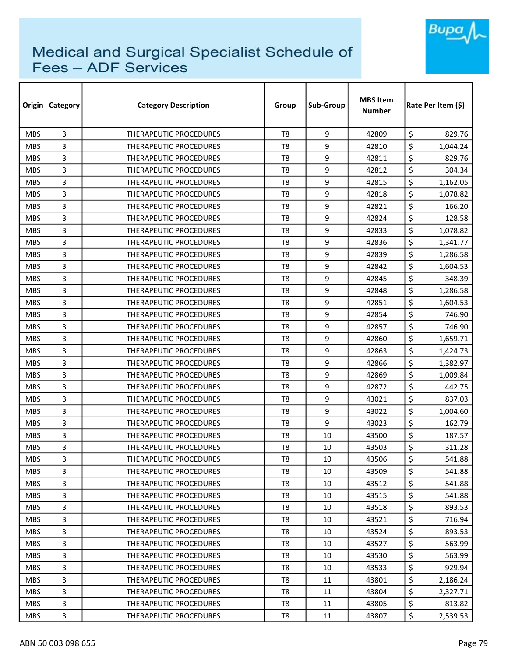

| Origin     | Category | <b>Category Description</b>   | Group          | Sub-Group | <b>MBS Item</b><br><b>Number</b> | Rate Per Item (\$) |  |
|------------|----------|-------------------------------|----------------|-----------|----------------------------------|--------------------|--|
| <b>MBS</b> | 3        | <b>THERAPEUTIC PROCEDURES</b> | T <sub>8</sub> | 9         | 42809                            | \$<br>829.76       |  |
| <b>MBS</b> | 3        | <b>THERAPEUTIC PROCEDURES</b> | T <sub>8</sub> | 9         | 42810                            | \$<br>1,044.24     |  |
| <b>MBS</b> | 3        | THERAPEUTIC PROCEDURES        | T <sub>8</sub> | 9         | 42811                            | \$<br>829.76       |  |
| <b>MBS</b> | 3        | THERAPEUTIC PROCEDURES        | T <sub>8</sub> | 9         | 42812                            | \$<br>304.34       |  |
| <b>MBS</b> | 3        | <b>THERAPEUTIC PROCEDURES</b> | T8             | 9         | 42815                            | \$<br>1,162.05     |  |
| <b>MBS</b> | 3        | <b>THERAPEUTIC PROCEDURES</b> | T <sub>8</sub> | 9         | 42818                            | \$<br>1,078.82     |  |
| <b>MBS</b> | 3        | <b>THERAPEUTIC PROCEDURES</b> | T8             | 9         | 42821                            | \$<br>166.20       |  |
| <b>MBS</b> | 3        | THERAPEUTIC PROCEDURES        | T8             | 9         | 42824                            | \$<br>128.58       |  |
| <b>MBS</b> | 3        | <b>THERAPEUTIC PROCEDURES</b> | T <sub>8</sub> | 9         | 42833                            | \$<br>1,078.82     |  |
| <b>MBS</b> | 3        | THERAPEUTIC PROCEDURES        | T <sub>8</sub> | 9         | 42836                            | \$<br>1,341.77     |  |
| <b>MBS</b> | 3        | THERAPEUTIC PROCEDURES        | T <sub>8</sub> | 9         | 42839                            | \$<br>1,286.58     |  |
| <b>MBS</b> | 3        | <b>THERAPEUTIC PROCEDURES</b> | T <sub>8</sub> | 9         | 42842                            | \$<br>1,604.53     |  |
| <b>MBS</b> | 3        | <b>THERAPEUTIC PROCEDURES</b> | T <sub>8</sub> | 9         | 42845                            | \$<br>348.39       |  |
| <b>MBS</b> | 3        | <b>THERAPEUTIC PROCEDURES</b> | T8             | 9         | 42848                            | \$<br>1,286.58     |  |
| <b>MBS</b> | 3        | <b>THERAPEUTIC PROCEDURES</b> | T8             | 9         | 42851                            | \$<br>1,604.53     |  |
| <b>MBS</b> | 3        | <b>THERAPEUTIC PROCEDURES</b> | T <sub>8</sub> | 9         | 42854                            | \$<br>746.90       |  |
| <b>MBS</b> | 3        | THERAPEUTIC PROCEDURES        | T <sub>8</sub> | 9         | 42857                            | \$<br>746.90       |  |
| <b>MBS</b> | 3        | THERAPEUTIC PROCEDURES        | T <sub>8</sub> | 9         | 42860                            | \$<br>1,659.71     |  |
| <b>MBS</b> | 3        | <b>THERAPEUTIC PROCEDURES</b> | T8             | 9         | 42863                            | \$<br>1,424.73     |  |
| <b>MBS</b> | 3        | THERAPEUTIC PROCEDURES        | T8             | 9         | 42866                            | \$<br>1,382.97     |  |
| <b>MBS</b> | 3        | THERAPEUTIC PROCEDURES        | T8             | 9         | 42869                            | \$<br>1,009.84     |  |
| <b>MBS</b> | 3        | THERAPEUTIC PROCEDURES        | T <sub>8</sub> | 9         | 42872                            | \$<br>442.75       |  |
| <b>MBS</b> | 3        | <b>THERAPEUTIC PROCEDURES</b> | T <sub>8</sub> | 9         | 43021                            | \$<br>837.03       |  |
| <b>MBS</b> | 3        | <b>THERAPEUTIC PROCEDURES</b> | T8             | 9         | 43022                            | \$<br>1,004.60     |  |
| <b>MBS</b> | 3        | THERAPEUTIC PROCEDURES        | T8             | 9         | 43023                            | \$<br>162.79       |  |
| <b>MBS</b> | 3        | THERAPEUTIC PROCEDURES        | T <sub>8</sub> | 10        | 43500                            | \$<br>187.57       |  |
| <b>MBS</b> | 3        | <b>THERAPEUTIC PROCEDURES</b> | T8             | 10        | 43503                            | \$<br>311.28       |  |
| <b>MBS</b> | 3        | THERAPEUTIC PROCEDURES        | T8             | 10        | 43506                            | \$<br>541.88       |  |
| <b>MBS</b> | 3        | THERAPEUTIC PROCEDURES        | T8             | 10        | 43509                            | \$<br>541.88       |  |
| <b>MBS</b> | 3        | THERAPEUTIC PROCEDURES        | T8             | 10        | 43512                            | \$<br>541.88       |  |
| <b>MBS</b> | 3        | THERAPEUTIC PROCEDURES        | T8             | 10        | 43515                            | \$<br>541.88       |  |
| <b>MBS</b> | 3        | THERAPEUTIC PROCEDURES        | T8             | 10        | 43518                            | \$<br>893.53       |  |
| <b>MBS</b> | 3        | THERAPEUTIC PROCEDURES        | T8             | 10        | 43521                            | \$<br>716.94       |  |
| <b>MBS</b> | 3        | <b>THERAPEUTIC PROCEDURES</b> | T8             | 10        | 43524                            | \$<br>893.53       |  |
| <b>MBS</b> | 3        | THERAPEUTIC PROCEDURES        | T8             | 10        | 43527                            | \$<br>563.99       |  |
| <b>MBS</b> | 3        | THERAPEUTIC PROCEDURES        | T8             | 10        | 43530                            | \$<br>563.99       |  |
| <b>MBS</b> | 3        | THERAPEUTIC PROCEDURES        | T8             | 10        | 43533                            | \$<br>929.94       |  |
| <b>MBS</b> | 3        | THERAPEUTIC PROCEDURES        | T8             | 11        | 43801                            | \$<br>2,186.24     |  |
| <b>MBS</b> | 3        | THERAPEUTIC PROCEDURES        | T8             | 11        | 43804                            | \$<br>2,327.71     |  |
| <b>MBS</b> | 3        | THERAPEUTIC PROCEDURES        | T8             | 11        | 43805                            | \$<br>813.82       |  |
| MBS        | 3        | THERAPEUTIC PROCEDURES        | T8             | 11        | 43807                            | \$<br>2,539.53     |  |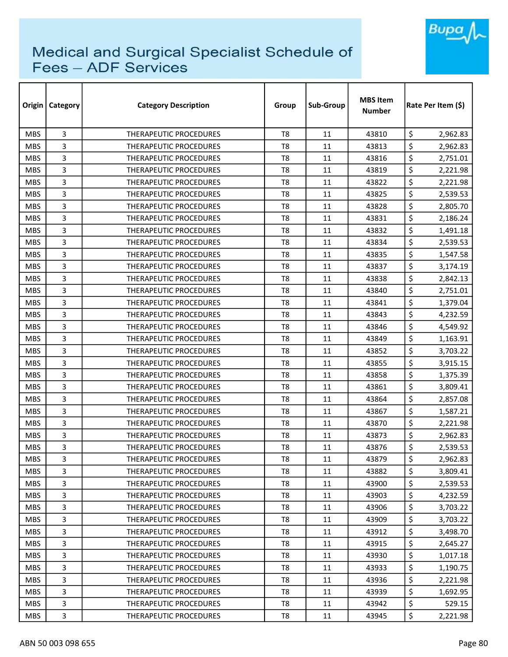

| Origin     | Category       | <b>Category Description</b>   | Group          | Sub-Group | <b>MBS Item</b><br><b>Number</b> | Rate Per Item (\$) |
|------------|----------------|-------------------------------|----------------|-----------|----------------------------------|--------------------|
| <b>MBS</b> | 3              | THERAPEUTIC PROCEDURES        | T <sub>8</sub> | 11        | 43810                            | \$<br>2,962.83     |
| <b>MBS</b> | 3              | THERAPEUTIC PROCEDURES        | T8             | 11        | 43813                            | \$<br>2,962.83     |
| <b>MBS</b> | 3              | THERAPEUTIC PROCEDURES        | T8             | 11        | 43816                            | \$<br>2,751.01     |
| <b>MBS</b> | 3              | THERAPEUTIC PROCEDURES        | T <sub>8</sub> | 11        | 43819                            | \$<br>2,221.98     |
| <b>MBS</b> | 3              | THERAPEUTIC PROCEDURES        | T8             | 11        | 43822                            | \$<br>2,221.98     |
| <b>MBS</b> | 3              | THERAPEUTIC PROCEDURES        | T <sub>8</sub> | 11        | 43825                            | \$<br>2,539.53     |
| <b>MBS</b> | 3              | THERAPEUTIC PROCEDURES        | T8             | 11        | 43828                            | \$<br>2,805.70     |
| <b>MBS</b> | 3              | THERAPEUTIC PROCEDURES        | T8             | 11        | 43831                            | \$<br>2,186.24     |
| <b>MBS</b> | 3              | THERAPEUTIC PROCEDURES        | T8             | 11        | 43832                            | \$<br>1,491.18     |
| <b>MBS</b> | 3              | THERAPEUTIC PROCEDURES        | T8             | 11        | 43834                            | \$<br>2,539.53     |
| <b>MBS</b> | 3              | THERAPEUTIC PROCEDURES        | T <sub>8</sub> | 11        | 43835                            | \$<br>1,547.58     |
| <b>MBS</b> | 3              | THERAPEUTIC PROCEDURES        | T8             | 11        | 43837                            | \$<br>3,174.19     |
| <b>MBS</b> | 3              | THERAPEUTIC PROCEDURES        | T <sub>8</sub> | 11        | 43838                            | \$<br>2,842.13     |
| <b>MBS</b> | 3              | <b>THERAPEUTIC PROCEDURES</b> | T <sub>8</sub> | 11        | 43840                            | \$<br>2,751.01     |
| <b>MBS</b> | 3              | <b>THERAPEUTIC PROCEDURES</b> | T8             | 11        | 43841                            | \$<br>1,379.04     |
| <b>MBS</b> | 3              | <b>THERAPEUTIC PROCEDURES</b> | T8             | 11        | 43843                            | \$<br>4,232.59     |
| <b>MBS</b> | 3              | <b>THERAPEUTIC PROCEDURES</b> | T8             | 11        | 43846                            | \$<br>4,549.92     |
| <b>MBS</b> | 3              | THERAPEUTIC PROCEDURES        | T8             | 11        | 43849                            | \$<br>1,163.91     |
| <b>MBS</b> | 3              | <b>THERAPEUTIC PROCEDURES</b> | T8             | 11        | 43852                            | \$<br>3,703.22     |
| <b>MBS</b> | 3              | THERAPEUTIC PROCEDURES        | T8             | 11        | 43855                            | \$<br>3,915.15     |
| <b>MBS</b> | 3              | <b>THERAPEUTIC PROCEDURES</b> | T8             | 11        | 43858                            | \$<br>1,375.39     |
| <b>MBS</b> | 3              | THERAPEUTIC PROCEDURES        | T8             | 11        | 43861                            | \$<br>3,809.41     |
| <b>MBS</b> | 3              | <b>THERAPEUTIC PROCEDURES</b> | T <sub>8</sub> | 11        | 43864                            | \$<br>2,857.08     |
| <b>MBS</b> | 3              | THERAPEUTIC PROCEDURES        | T8             | 11        | 43867                            | \$<br>1,587.21     |
| <b>MBS</b> | 3              | THERAPEUTIC PROCEDURES        | T <sub>8</sub> | 11        | 43870                            | \$<br>2,221.98     |
| <b>MBS</b> | 3              | <b>THERAPEUTIC PROCEDURES</b> | T8             | 11        | 43873                            | \$<br>2,962.83     |
| <b>MBS</b> | 3              | <b>THERAPEUTIC PROCEDURES</b> | T8             | 11        | 43876                            | \$<br>2,539.53     |
| <b>MBS</b> | 3              | THERAPEUTIC PROCEDURES        | T8             | 11        | 43879                            | \$<br>2,962.83     |
| <b>MBS</b> | 3              | THERAPEUTIC PROCEDURES        | T8             | 11        | 43882                            | \$<br>3,809.41     |
| <b>MBS</b> | 3              | THERAPEUTIC PROCEDURES        | T8             | 11        | 43900                            | \$<br>2,539.53     |
| <b>MBS</b> | 3              | <b>THERAPEUTIC PROCEDURES</b> | T8             | 11        | 43903                            | \$<br>4,232.59     |
| <b>MBS</b> | 3              | THERAPEUTIC PROCEDURES        | T8             | 11        | 43906                            | \$<br>3,703.22     |
| MBS.       | 3              | THERAPEUTIC PROCEDURES        | T8             | 11        | 43909                            | \$<br>3,703.22     |
| <b>MBS</b> | 3              | THERAPEUTIC PROCEDURES        | T8             | 11        | 43912                            | \$<br>3,498.70     |
| <b>MBS</b> | 3              | THERAPEUTIC PROCEDURES        | T8             | 11        | 43915                            | \$<br>2,645.27     |
| <b>MBS</b> | $\overline{3}$ | THERAPEUTIC PROCEDURES        | T8             | 11        | 43930                            | \$<br>1,017.18     |
| <b>MBS</b> | 3              | THERAPEUTIC PROCEDURES        | T8             | 11        | 43933                            | \$<br>1,190.75     |
| <b>MBS</b> | 3              | THERAPEUTIC PROCEDURES        | T8             | 11        | 43936                            | \$<br>2,221.98     |
| <b>MBS</b> | 3              | <b>THERAPEUTIC PROCEDURES</b> | T8             | 11        | 43939                            | \$<br>1,692.95     |
| <b>MBS</b> | 3              | THERAPEUTIC PROCEDURES        | T8             | 11        | 43942                            | \$<br>529.15       |
| <b>MBS</b> | 3              | THERAPEUTIC PROCEDURES        | T8             | 11        | 43945                            | \$<br>2,221.98     |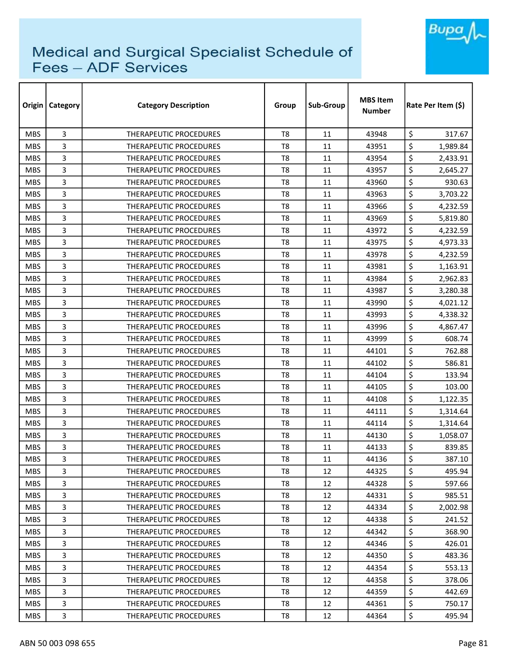

| Origin     | Category       | <b>Category Description</b>   | Group          | Sub-Group | <b>MBS Item</b><br><b>Number</b> | Rate Per Item (\$) |  |
|------------|----------------|-------------------------------|----------------|-----------|----------------------------------|--------------------|--|
| <b>MBS</b> | 3              | THERAPEUTIC PROCEDURES        | T <sub>8</sub> | 11        | 43948                            | \$<br>317.67       |  |
| <b>MBS</b> | 3              | <b>THERAPEUTIC PROCEDURES</b> | T8             | 11        | 43951                            | \$<br>1,989.84     |  |
| <b>MBS</b> | 3              | <b>THERAPEUTIC PROCEDURES</b> | T8             | 11        | 43954                            | \$<br>2,433.91     |  |
| <b>MBS</b> | 3              | THERAPEUTIC PROCEDURES        | T <sub>8</sub> | 11        | 43957                            | \$<br>2,645.27     |  |
| <b>MBS</b> | 3              | <b>THERAPEUTIC PROCEDURES</b> | T8             | 11        | 43960                            | \$<br>930.63       |  |
| <b>MBS</b> | 3              | <b>THERAPEUTIC PROCEDURES</b> | T <sub>8</sub> | 11        | 43963                            | \$<br>3,703.22     |  |
| <b>MBS</b> | 3              | THERAPEUTIC PROCEDURES        | T8             | 11        | 43966                            | \$<br>4,232.59     |  |
| <b>MBS</b> | 3              | THERAPEUTIC PROCEDURES        | T8             | 11        | 43969                            | \$<br>5,819.80     |  |
| <b>MBS</b> | 3              | <b>THERAPEUTIC PROCEDURES</b> | T8             | 11        | 43972                            | \$<br>4,232.59     |  |
| <b>MBS</b> | 3              | THERAPEUTIC PROCEDURES        | T8             | 11        | 43975                            | \$<br>4,973.33     |  |
| <b>MBS</b> | 3              | <b>THERAPEUTIC PROCEDURES</b> | T8             | 11        | 43978                            | \$<br>4,232.59     |  |
| <b>MBS</b> | 3              | THERAPEUTIC PROCEDURES        | T8             | 11        | 43981                            | \$<br>1,163.91     |  |
| <b>MBS</b> | 3              | THERAPEUTIC PROCEDURES        | T <sub>8</sub> | 11        | 43984                            | \$<br>2,962.83     |  |
| <b>MBS</b> | 3              | <b>THERAPEUTIC PROCEDURES</b> | T <sub>8</sub> | 11        | 43987                            | \$<br>3,280.38     |  |
| <b>MBS</b> | 3              | <b>THERAPEUTIC PROCEDURES</b> | T8             | 11        | 43990                            | \$<br>4,021.12     |  |
| <b>MBS</b> | 3              | <b>THERAPEUTIC PROCEDURES</b> | T <sub>8</sub> | 11        | 43993                            | \$<br>4,338.32     |  |
| <b>MBS</b> | 3              | <b>THERAPEUTIC PROCEDURES</b> | T8             | 11        | 43996                            | \$<br>4,867.47     |  |
| <b>MBS</b> | 3              | THERAPEUTIC PROCEDURES        | T <sub>8</sub> | 11        | 43999                            | \$<br>608.74       |  |
| <b>MBS</b> | 3              | <b>THERAPEUTIC PROCEDURES</b> | T8             | 11        | 44101                            | \$<br>762.88       |  |
| <b>MBS</b> | 3              | THERAPEUTIC PROCEDURES        | T8             | 11        | 44102                            | \$<br>586.81       |  |
| <b>MBS</b> | 3              | <b>THERAPEUTIC PROCEDURES</b> | T8             | 11        | 44104                            | \$<br>133.94       |  |
| <b>MBS</b> | 3              | <b>THERAPEUTIC PROCEDURES</b> | T8             | 11        | 44105                            | \$<br>103.00       |  |
| <b>MBS</b> | 3              | <b>THERAPEUTIC PROCEDURES</b> | T <sub>8</sub> | 11        | 44108                            | \$<br>1,122.35     |  |
| <b>MBS</b> | 3              | THERAPEUTIC PROCEDURES        | T8             | 11        | 44111                            | \$<br>1,314.64     |  |
| <b>MBS</b> | 3              | THERAPEUTIC PROCEDURES        | T <sub>8</sub> | 11        | 44114                            | \$<br>1,314.64     |  |
| <b>MBS</b> | 3              | THERAPEUTIC PROCEDURES        | T8             | 11        | 44130                            | \$<br>1,058.07     |  |
| <b>MBS</b> | 3              | <b>THERAPEUTIC PROCEDURES</b> | T8             | 11        | 44133                            | \$<br>839.85       |  |
| <b>MBS</b> | 3              | THERAPEUTIC PROCEDURES        | T8             | 11        | 44136                            | \$<br>387.10       |  |
| <b>MBS</b> | 3              | THERAPEUTIC PROCEDURES        | T8             | 12        | 44325                            | \$<br>495.94       |  |
| <b>MBS</b> | 3              | THERAPEUTIC PROCEDURES        | T8             | 12        | 44328                            | \$<br>597.66       |  |
| <b>MBS</b> | 3              | THERAPEUTIC PROCEDURES        | T8             | 12        | 44331                            | \$<br>985.51       |  |
| <b>MBS</b> | 3              | <b>THERAPEUTIC PROCEDURES</b> | T8             | 12        | 44334                            | \$<br>2,002.98     |  |
| MBS.       | 3              | THERAPEUTIC PROCEDURES        | T8             | 12        | 44338                            | \$<br>241.52       |  |
| <b>MBS</b> | 3              | <b>THERAPEUTIC PROCEDURES</b> | T8             | 12        | 44342                            | \$<br>368.90       |  |
| <b>MBS</b> | 3              | THERAPEUTIC PROCEDURES        | T <sub>8</sub> | 12        | 44346                            | \$<br>426.01       |  |
| <b>MBS</b> | $\overline{3}$ | THERAPEUTIC PROCEDURES        | T8             | 12        | 44350                            | \$<br>483.36       |  |
| <b>MBS</b> | 3              | THERAPEUTIC PROCEDURES        | T8             | 12        | 44354                            | \$<br>553.13       |  |
| <b>MBS</b> | 3              | THERAPEUTIC PROCEDURES        | T8             | 12        | 44358                            | \$<br>378.06       |  |
| MBS.       | 3              | THERAPEUTIC PROCEDURES        | T8             | 12        | 44359                            | \$<br>442.69       |  |
| <b>MBS</b> | 3              | THERAPEUTIC PROCEDURES        | T8             | 12        | 44361                            | \$<br>750.17       |  |
| <b>MBS</b> | 3              | THERAPEUTIC PROCEDURES        | T8             | 12        | 44364                            | \$<br>495.94       |  |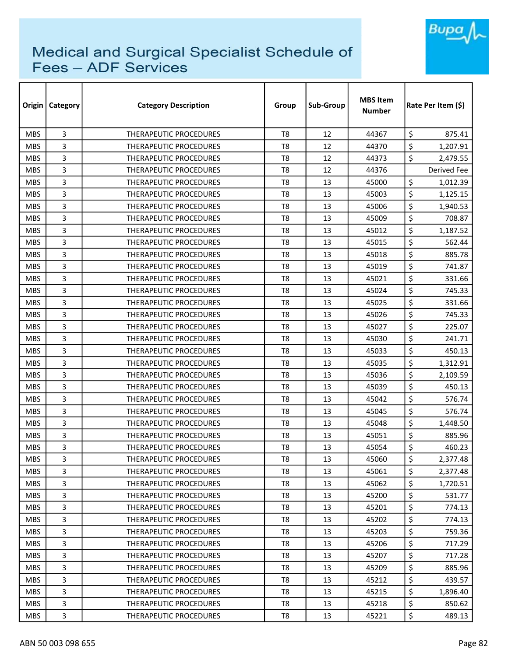

| Origin     | <b>Category</b> | <b>Category Description</b>   | Group          | Sub-Group | <b>MBS Item</b><br><b>Number</b> | Rate Per Item (\$) |
|------------|-----------------|-------------------------------|----------------|-----------|----------------------------------|--------------------|
| <b>MBS</b> | 3               | <b>THERAPEUTIC PROCEDURES</b> | T <sub>8</sub> | 12        | 44367                            | \$<br>875.41       |
| <b>MBS</b> | 3               | THERAPEUTIC PROCEDURES        | T <sub>8</sub> | 12        | 44370                            | \$<br>1,207.91     |
| <b>MBS</b> | 3               | THERAPEUTIC PROCEDURES        | T <sub>8</sub> | 12        | 44373                            | \$<br>2,479.55     |
| <b>MBS</b> | 3               | THERAPEUTIC PROCEDURES        | T <sub>8</sub> | 12        | 44376                            | Derived Fee        |
| <b>MBS</b> | 3               | <b>THERAPEUTIC PROCEDURES</b> | T <sub>8</sub> | 13        | 45000                            | \$<br>1,012.39     |
| <b>MBS</b> | 3               | THERAPEUTIC PROCEDURES        | T <sub>8</sub> | 13        | 45003                            | \$<br>1,125.15     |
| <b>MBS</b> | 3               | <b>THERAPEUTIC PROCEDURES</b> | T8             | 13        | 45006                            | \$<br>1,940.53     |
| <b>MBS</b> | 3               | <b>THERAPEUTIC PROCEDURES</b> | T8             | 13        | 45009                            | \$<br>708.87       |
| <b>MBS</b> | 3               | THERAPEUTIC PROCEDURES        | T <sub>8</sub> | 13        | 45012                            | \$<br>1,187.52     |
| <b>MBS</b> | 3               | <b>THERAPEUTIC PROCEDURES</b> | T <sub>8</sub> | 13        | 45015                            | \$<br>562.44       |
| <b>MBS</b> | 3               | <b>THERAPEUTIC PROCEDURES</b> | T <sub>8</sub> | 13        | 45018                            | \$<br>885.78       |
| <b>MBS</b> | 3               | THERAPEUTIC PROCEDURES        | T <sub>8</sub> | 13        | 45019                            | \$<br>741.87       |
| <b>MBS</b> | 3               | <b>THERAPEUTIC PROCEDURES</b> | T <sub>8</sub> | 13        | 45021                            | \$<br>331.66       |
| <b>MBS</b> | 3               | <b>THERAPEUTIC PROCEDURES</b> | T <sub>8</sub> | 13        | 45024                            | \$<br>745.33       |
| <b>MBS</b> | 3               | <b>THERAPEUTIC PROCEDURES</b> | T8             | 13        | 45025                            | \$<br>331.66       |
| <b>MBS</b> | 3               | <b>THERAPEUTIC PROCEDURES</b> | T <sub>8</sub> | 13        | 45026                            | \$<br>745.33       |
| <b>MBS</b> | 3               | <b>THERAPEUTIC PROCEDURES</b> | T8             | 13        | 45027                            | \$<br>225.07       |
| <b>MBS</b> | 3               | THERAPEUTIC PROCEDURES        | T <sub>8</sub> | 13        | 45030                            | \$<br>241.71       |
| <b>MBS</b> | 3               | THERAPEUTIC PROCEDURES        | T <sub>8</sub> | 13        | 45033                            | \$<br>450.13       |
| <b>MBS</b> | 3               | THERAPEUTIC PROCEDURES        | T8             | 13        | 45035                            | \$<br>1,312.91     |
| <b>MBS</b> | 3               | <b>THERAPEUTIC PROCEDURES</b> | T <sub>8</sub> | 13        | 45036                            | \$<br>2,109.59     |
| <b>MBS</b> | 3               | THERAPEUTIC PROCEDURES        | T <sub>8</sub> | 13        | 45039                            | \$<br>450.13       |
| <b>MBS</b> | 3               | <b>THERAPEUTIC PROCEDURES</b> | T <sub>8</sub> | 13        | 45042                            | \$<br>576.74       |
| <b>MBS</b> | 3               | <b>THERAPEUTIC PROCEDURES</b> | T <sub>8</sub> | 13        | 45045                            | \$<br>576.74       |
| <b>MBS</b> | 3               | THERAPEUTIC PROCEDURES        | T <sub>8</sub> | 13        | 45048                            | \$<br>1,448.50     |
| <b>MBS</b> | 3               | THERAPEUTIC PROCEDURES        | T <sub>8</sub> | 13        | 45051                            | \$<br>885.96       |
| <b>MBS</b> | 3               | THERAPEUTIC PROCEDURES        | T8             | 13        | 45054                            | \$<br>460.23       |
| <b>MBS</b> | 3               | THERAPEUTIC PROCEDURES        | T <sub>8</sub> | 13        | 45060                            | \$<br>2,377.48     |
| <b>MBS</b> | 3               | THERAPEUTIC PROCEDURES        | T8             | 13        | 45061                            | \$<br>2,377.48     |
| <b>MBS</b> | 3               | THERAPEUTIC PROCEDURES        | T8             | 13        | 45062                            | \$<br>1,720.51     |
| <b>MBS</b> | 3               | THERAPEUTIC PROCEDURES        | T <sub>8</sub> | 13        | 45200                            | \$<br>531.77       |
| <b>MBS</b> | 3               | <b>THERAPEUTIC PROCEDURES</b> | T8             | 13        | 45201                            | \$<br>774.13       |
| <b>MBS</b> | 3               | THERAPEUTIC PROCEDURES        | T <sub>8</sub> | 13        | 45202                            | \$<br>774.13       |
| <b>MBS</b> | 3               | THERAPEUTIC PROCEDURES        | T8             | 13        | 45203                            | \$<br>759.36       |
| <b>MBS</b> | 3               | <b>THERAPEUTIC PROCEDURES</b> | T <sub>8</sub> | 13        | 45206                            | \$<br>717.29       |
| <b>MBS</b> | 3               | THERAPEUTIC PROCEDURES        | T8             | 13        | 45207                            | \$<br>717.28       |
| <b>MBS</b> | 3               | THERAPEUTIC PROCEDURES        | T8             | 13        | 45209                            | \$<br>885.96       |
| <b>MBS</b> | 3               | THERAPEUTIC PROCEDURES        | T8             | 13        | 45212                            | \$<br>439.57       |
| <b>MBS</b> | 3               | THERAPEUTIC PROCEDURES        | T8             | 13        | 45215                            | \$<br>1,896.40     |
| <b>MBS</b> | 3               | THERAPEUTIC PROCEDURES        | T8             | 13        | 45218                            | \$<br>850.62       |
| <b>MBS</b> | 3               | THERAPEUTIC PROCEDURES        | T8             | 13        | 45221                            | \$<br>489.13       |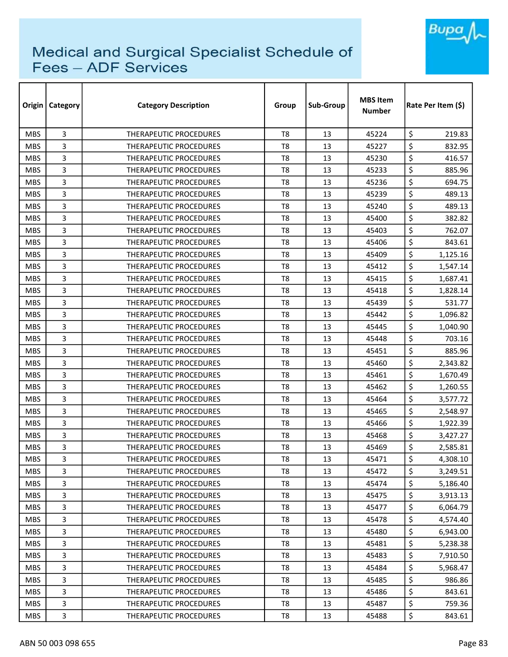

| Origin     | <b>Category</b> | <b>Category Description</b>   | Group          | Sub-Group | <b>MBS Item</b><br><b>Number</b> | Rate Per Item (\$) |  |
|------------|-----------------|-------------------------------|----------------|-----------|----------------------------------|--------------------|--|
| <b>MBS</b> | 3               | <b>THERAPEUTIC PROCEDURES</b> | T <sub>8</sub> | 13        | 45224                            | \$<br>219.83       |  |
| <b>MBS</b> | 3               | THERAPEUTIC PROCEDURES        | T <sub>8</sub> | 13        | 45227                            | \$<br>832.95       |  |
| <b>MBS</b> | 3               | THERAPEUTIC PROCEDURES        | T8             | 13        | 45230                            | \$<br>416.57       |  |
| <b>MBS</b> | 3               | THERAPEUTIC PROCEDURES        | T <sub>8</sub> | 13        | 45233                            | \$<br>885.96       |  |
| <b>MBS</b> | 3               | THERAPEUTIC PROCEDURES        | T8             | 13        | 45236                            | \$<br>694.75       |  |
| <b>MBS</b> | 3               | <b>THERAPEUTIC PROCEDURES</b> | T <sub>8</sub> | 13        | 45239                            | \$<br>489.13       |  |
| <b>MBS</b> | 3               | THERAPEUTIC PROCEDURES        | T8             | 13        | 45240                            | \$<br>489.13       |  |
| <b>MBS</b> | 3               | <b>THERAPEUTIC PROCEDURES</b> | T8             | 13        | 45400                            | \$<br>382.82       |  |
| <b>MBS</b> | 3               | THERAPEUTIC PROCEDURES        | T <sub>8</sub> | 13        | 45403                            | \$<br>762.07       |  |
| <b>MBS</b> | 3               | THERAPEUTIC PROCEDURES        | T8             | 13        | 45406                            | \$<br>843.61       |  |
| <b>MBS</b> | 3               | THERAPEUTIC PROCEDURES        | T <sub>8</sub> | 13        | 45409                            | \$<br>1,125.16     |  |
| <b>MBS</b> | 3               | THERAPEUTIC PROCEDURES        | T <sub>8</sub> | 13        | 45412                            | \$<br>1,547.14     |  |
| <b>MBS</b> | 3               | <b>THERAPEUTIC PROCEDURES</b> | T <sub>8</sub> | 13        | 45415                            | \$<br>1,687.41     |  |
| <b>MBS</b> | 3               | THERAPEUTIC PROCEDURES        | T <sub>8</sub> | 13        | 45418                            | \$<br>1,828.14     |  |
| <b>MBS</b> | 3               | <b>THERAPEUTIC PROCEDURES</b> | T8             | 13        | 45439                            | \$<br>531.77       |  |
| <b>MBS</b> | 3               | <b>THERAPEUTIC PROCEDURES</b> | T8             | 13        | 45442                            | \$<br>1,096.82     |  |
| <b>MBS</b> | 3               | THERAPEUTIC PROCEDURES        | T8             | 13        | 45445                            | \$<br>1,040.90     |  |
| <b>MBS</b> | 3               | THERAPEUTIC PROCEDURES        | T <sub>8</sub> | 13        | 45448                            | \$<br>703.16       |  |
| <b>MBS</b> | 3               | <b>THERAPEUTIC PROCEDURES</b> | T <sub>8</sub> | 13        | 45451                            | \$<br>885.96       |  |
| <b>MBS</b> | 3               | <b>THERAPEUTIC PROCEDURES</b> | T <sub>8</sub> | 13        | 45460                            | \$<br>2,343.82     |  |
| <b>MBS</b> | 3               | <b>THERAPEUTIC PROCEDURES</b> | T8             | 13        | 45461                            | \$<br>1,670.49     |  |
| <b>MBS</b> | 3               | <b>THERAPEUTIC PROCEDURES</b> | T8             | 13        | 45462                            | \$<br>1,260.55     |  |
| <b>MBS</b> | 3               | THERAPEUTIC PROCEDURES        | T <sub>8</sub> | 13        | 45464                            | \$<br>3,577.72     |  |
| <b>MBS</b> | 3               | <b>THERAPEUTIC PROCEDURES</b> | T8             | 13        | 45465                            | \$<br>2,548.97     |  |
| <b>MBS</b> | 3               | THERAPEUTIC PROCEDURES        | T <sub>8</sub> | 13        | 45466                            | \$<br>1,922.39     |  |
| <b>MBS</b> | 3               | <b>THERAPEUTIC PROCEDURES</b> | T8             | 13        | 45468                            | \$<br>3,427.27     |  |
| <b>MBS</b> | 3               | <b>THERAPEUTIC PROCEDURES</b> | T8             | 13        | 45469                            | \$<br>2,585.81     |  |
| <b>MBS</b> | 3               | THERAPEUTIC PROCEDURES        | T <sub>8</sub> | 13        | 45471                            | \$<br>4,308.10     |  |
| <b>MBS</b> | 3               | THERAPEUTIC PROCEDURES        | T8             | 13        | 45472                            | \$<br>3,249.51     |  |
| <b>MBS</b> | 3               | THERAPEUTIC PROCEDURES        | T8             | 13        | 45474                            | \$<br>5,186.40     |  |
| <b>MBS</b> | 3               | THERAPEUTIC PROCEDURES        | T <sub>8</sub> | 13        | 45475                            | \$<br>3,913.13     |  |
| <b>MBS</b> | 3               | THERAPEUTIC PROCEDURES        | T8             | 13        | 45477                            | \$<br>6,064.79     |  |
| MBS.       | 3               | THERAPEUTIC PROCEDURES        | T <sub>8</sub> | 13        | 45478                            | \$<br>4,574.40     |  |
| <b>MBS</b> | 3               | <b>THERAPEUTIC PROCEDURES</b> | T8             | 13        | 45480                            | \$<br>6,943.00     |  |
| <b>MBS</b> | 3               | <b>THERAPEUTIC PROCEDURES</b> | T <sub>8</sub> | 13        | 45481                            | \$<br>5,238.38     |  |
| <b>MBS</b> | 3               | THERAPEUTIC PROCEDURES        | T8             | 13        | 45483                            | \$<br>7,910.50     |  |
| <b>MBS</b> | 3               | THERAPEUTIC PROCEDURES        | T8             | 13        | 45484                            | \$<br>5,968.47     |  |
| <b>MBS</b> | 3               | THERAPEUTIC PROCEDURES        | T8             | 13        | 45485                            | \$<br>986.86       |  |
| <b>MBS</b> | 3               | THERAPEUTIC PROCEDURES        | T8             | 13        | 45486                            | \$<br>843.61       |  |
| <b>MBS</b> | 3               | THERAPEUTIC PROCEDURES        | T8             | 13        | 45487                            | \$<br>759.36       |  |
| <b>MBS</b> | 3               | THERAPEUTIC PROCEDURES        | T8             | 13        | 45488                            | \$<br>843.61       |  |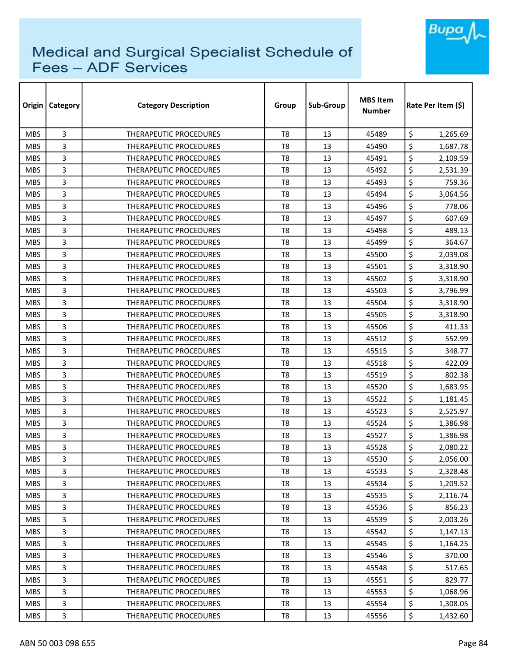

| Origin     | Category       | <b>Category Description</b>   | Group          | Sub-Group | <b>MBS Item</b><br><b>Number</b> | Rate Per Item (\$) |
|------------|----------------|-------------------------------|----------------|-----------|----------------------------------|--------------------|
| <b>MBS</b> | 3              | THERAPEUTIC PROCEDURES        | T <sub>8</sub> | 13        | 45489                            | \$<br>1,265.69     |
| <b>MBS</b> | 3              | <b>THERAPEUTIC PROCEDURES</b> | T8             | 13        | 45490                            | \$<br>1,687.78     |
| <b>MBS</b> | 3              | <b>THERAPEUTIC PROCEDURES</b> | T8             | 13        | 45491                            | \$<br>2,109.59     |
| <b>MBS</b> | 3              | THERAPEUTIC PROCEDURES        | T <sub>8</sub> | 13        | 45492                            | \$<br>2,531.39     |
| <b>MBS</b> | 3              | <b>THERAPEUTIC PROCEDURES</b> | T8             | 13        | 45493                            | \$<br>759.36       |
| <b>MBS</b> | 3              | THERAPEUTIC PROCEDURES        | T <sub>8</sub> | 13        | 45494                            | \$<br>3,064.56     |
| <b>MBS</b> | 3              | THERAPEUTIC PROCEDURES        | T8             | 13        | 45496                            | \$<br>778.06       |
| <b>MBS</b> | 3              | <b>THERAPEUTIC PROCEDURES</b> | T8             | 13        | 45497                            | \$<br>607.69       |
| <b>MBS</b> | 3              | <b>THERAPEUTIC PROCEDURES</b> | T <sub>8</sub> | 13        | 45498                            | \$<br>489.13       |
| <b>MBS</b> | 3              | THERAPEUTIC PROCEDURES        | T8             | 13        | 45499                            | \$<br>364.67       |
| <b>MBS</b> | 3              | THERAPEUTIC PROCEDURES        | T8             | 13        | 45500                            | \$<br>2,039.08     |
| <b>MBS</b> | 3              | THERAPEUTIC PROCEDURES        | T8             | 13        | 45501                            | \$<br>3,318.90     |
| <b>MBS</b> | 3              | THERAPEUTIC PROCEDURES        | T <sub>8</sub> | 13        | 45502                            | \$<br>3,318.90     |
| <b>MBS</b> | 3              | <b>THERAPEUTIC PROCEDURES</b> | T <sub>8</sub> | 13        | 45503                            | \$<br>3,796.99     |
| <b>MBS</b> | 3              | <b>THERAPEUTIC PROCEDURES</b> | T8             | 13        | 45504                            | \$<br>3,318.90     |
| <b>MBS</b> | 3              | <b>THERAPEUTIC PROCEDURES</b> | T <sub>8</sub> | 13        | 45505                            | \$<br>3,318.90     |
| <b>MBS</b> | 3              | THERAPEUTIC PROCEDURES        | T8             | 13        | 45506                            | \$<br>411.33       |
| <b>MBS</b> | 3              | THERAPEUTIC PROCEDURES        | T <sub>8</sub> | 13        | 45512                            | \$<br>552.99       |
| <b>MBS</b> | 3              | <b>THERAPEUTIC PROCEDURES</b> | T8             | 13        | 45515                            | \$<br>348.77       |
| <b>MBS</b> | 3              | THERAPEUTIC PROCEDURES        | T8             | 13        | 45518                            | \$<br>422.09       |
| <b>MBS</b> | 3              | <b>THERAPEUTIC PROCEDURES</b> | T8             | 13        | 45519                            | \$<br>802.38       |
| <b>MBS</b> | 3              | <b>THERAPEUTIC PROCEDURES</b> | T8             | 13        | 45520                            | \$<br>1,683.95     |
| <b>MBS</b> | 3              | <b>THERAPEUTIC PROCEDURES</b> | T <sub>8</sub> | 13        | 45522                            | \$<br>1,181.45     |
| <b>MBS</b> | 3              | THERAPEUTIC PROCEDURES        | T8             | 13        | 45523                            | \$<br>2,525.97     |
| <b>MBS</b> | 3              | THERAPEUTIC PROCEDURES        | T <sub>8</sub> | 13        | 45524                            | \$<br>1,386.98     |
| <b>MBS</b> | 3              | <b>THERAPEUTIC PROCEDURES</b> | T8             | 13        | 45527                            | \$<br>1,386.98     |
| <b>MBS</b> | 3              | <b>THERAPEUTIC PROCEDURES</b> | T8             | 13        | 45528                            | \$<br>2,080.22     |
| <b>MBS</b> | 3              | THERAPEUTIC PROCEDURES        | T8             | 13        | 45530                            | \$<br>2,056.00     |
| <b>MBS</b> | 3              | THERAPEUTIC PROCEDURES        | T8             | 13        | 45533                            | \$<br>2,328.48     |
| <b>MBS</b> | 3              | THERAPEUTIC PROCEDURES        | T8             | 13        | 45534                            | \$<br>1,209.52     |
| <b>MBS</b> | 3              | <b>THERAPEUTIC PROCEDURES</b> | T8             | 13        | 45535                            | \$<br>2,116.74     |
| <b>MBS</b> | 3              | THERAPEUTIC PROCEDURES        | T8             | 13        | 45536                            | \$<br>856.23       |
| <b>MBS</b> | 3              | THERAPEUTIC PROCEDURES        | T8             | 13        | 45539                            | \$<br>2,003.26     |
| <b>MBS</b> | 3              | THERAPEUTIC PROCEDURES        | T8             | 13        | 45542                            | \$<br>1,147.13     |
| <b>MBS</b> | 3              | THERAPEUTIC PROCEDURES        | T8             | 13        | 45545                            | \$<br>1,164.25     |
| <b>MBS</b> | $\overline{3}$ | THERAPEUTIC PROCEDURES        | T8             | 13        | 45546                            | \$<br>370.00       |
| <b>MBS</b> | 3              | THERAPEUTIC PROCEDURES        | T8             | 13        | 45548                            | \$<br>517.65       |
| <b>MBS</b> | 3              | THERAPEUTIC PROCEDURES        | T8             | 13        | 45551                            | \$<br>829.77       |
| <b>MBS</b> | 3              | <b>THERAPEUTIC PROCEDURES</b> | T8             | 13        | 45553                            | \$<br>1,068.96     |
| <b>MBS</b> | 3              | THERAPEUTIC PROCEDURES        | T8             | 13        | 45554                            | \$<br>1,308.05     |
| <b>MBS</b> | 3              | THERAPEUTIC PROCEDURES        | T8             | 13        | 45556                            | \$<br>1,432.60     |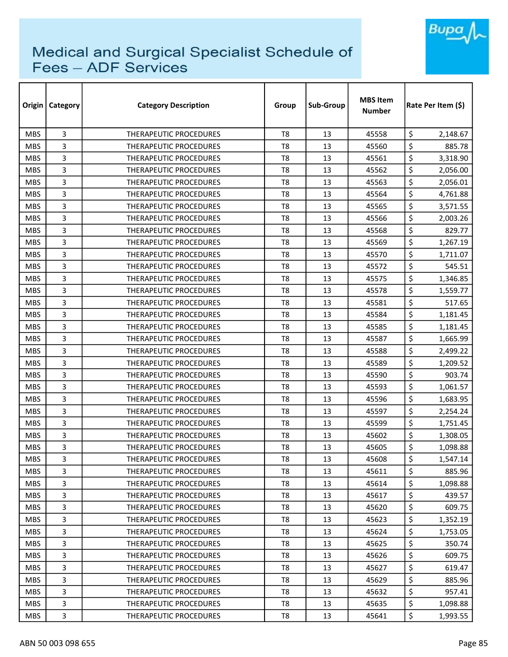

| Origin     | Category | <b>Category Description</b>   | Group          | Sub-Group | <b>MBS Item</b><br><b>Number</b> | Rate Per Item (\$) |  |
|------------|----------|-------------------------------|----------------|-----------|----------------------------------|--------------------|--|
| <b>MBS</b> | 3        | <b>THERAPEUTIC PROCEDURES</b> | T <sub>8</sub> | 13        | 45558                            | \$<br>2,148.67     |  |
| <b>MBS</b> | 3        | <b>THERAPEUTIC PROCEDURES</b> | T <sub>8</sub> | 13        | 45560                            | \$<br>885.78       |  |
| <b>MBS</b> | 3        | THERAPEUTIC PROCEDURES        | T <sub>8</sub> | 13        | 45561                            | \$<br>3,318.90     |  |
| <b>MBS</b> | 3        | THERAPEUTIC PROCEDURES        | T <sub>8</sub> | 13        | 45562                            | \$<br>2,056.00     |  |
| <b>MBS</b> | 3        | THERAPEUTIC PROCEDURES        | T8             | 13        | 45563                            | \$<br>2,056.01     |  |
| <b>MBS</b> | 3        | <b>THERAPEUTIC PROCEDURES</b> | T <sub>8</sub> | 13        | 45564                            | \$<br>4,761.88     |  |
| <b>MBS</b> | 3        | THERAPEUTIC PROCEDURES        | T8             | 13        | 45565                            | \$<br>3,571.55     |  |
| <b>MBS</b> | 3        | THERAPEUTIC PROCEDURES        | T8             | 13        | 45566                            | \$<br>2,003.26     |  |
| <b>MBS</b> | 3        | <b>THERAPEUTIC PROCEDURES</b> | T <sub>8</sub> | 13        | 45568                            | \$<br>829.77       |  |
| <b>MBS</b> | 3        | THERAPEUTIC PROCEDURES        | T <sub>8</sub> | 13        | 45569                            | \$<br>1,267.19     |  |
| <b>MBS</b> | 3        | THERAPEUTIC PROCEDURES        | T <sub>8</sub> | 13        | 45570                            | \$<br>1,711.07     |  |
| <b>MBS</b> | 3        | <b>THERAPEUTIC PROCEDURES</b> | T <sub>8</sub> | 13        | 45572                            | \$<br>545.51       |  |
| <b>MBS</b> | 3        | <b>THERAPEUTIC PROCEDURES</b> | T8             | 13        | 45575                            | \$<br>1,346.85     |  |
| <b>MBS</b> | 3        | <b>THERAPEUTIC PROCEDURES</b> | T8             | 13        | 45578                            | \$<br>1,559.77     |  |
| <b>MBS</b> | 3        | <b>THERAPEUTIC PROCEDURES</b> | T8             | 13        | 45581                            | \$<br>517.65       |  |
| <b>MBS</b> | 3        | <b>THERAPEUTIC PROCEDURES</b> | T <sub>8</sub> | 13        | 45584                            | \$<br>1,181.45     |  |
| <b>MBS</b> | 3        | THERAPEUTIC PROCEDURES        | T8             | 13        | 45585                            | \$<br>1,181.45     |  |
| <b>MBS</b> | 3        | THERAPEUTIC PROCEDURES        | T <sub>8</sub> | 13        | 45587                            | \$<br>1,665.99     |  |
| <b>MBS</b> | 3        | THERAPEUTIC PROCEDURES        | T8             | 13        | 45588                            | \$<br>2,499.22     |  |
| <b>MBS</b> | 3        | THERAPEUTIC PROCEDURES        | T8             | 13        | 45589                            | \$<br>1,209.52     |  |
| <b>MBS</b> | 3        | <b>THERAPEUTIC PROCEDURES</b> | T8             | 13        | 45590                            | \$<br>903.74       |  |
| <b>MBS</b> | 3        | THERAPEUTIC PROCEDURES        | T8             | 13        | 45593                            | \$<br>1,061.57     |  |
| <b>MBS</b> | 3        | <b>THERAPEUTIC PROCEDURES</b> | T <sub>8</sub> | 13        | 45596                            | \$<br>1,683.95     |  |
| <b>MBS</b> | 3        | THERAPEUTIC PROCEDURES        | T8             | 13        | 45597                            | \$<br>2,254.24     |  |
| <b>MBS</b> | 3        | THERAPEUTIC PROCEDURES        | T8             | 13        | 45599                            | \$<br>1,751.45     |  |
| <b>MBS</b> | 3        | THERAPEUTIC PROCEDURES        | T <sub>8</sub> | 13        | 45602                            | \$<br>1,308.05     |  |
| <b>MBS</b> | 3        | <b>THERAPEUTIC PROCEDURES</b> | T8             | 13        | 45605                            | \$<br>1,098.88     |  |
| <b>MBS</b> | 3        | THERAPEUTIC PROCEDURES        | T8             | 13        | 45608                            | \$<br>1,547.14     |  |
| <b>MBS</b> | 3        | THERAPEUTIC PROCEDURES        | T8             | 13        | 45611                            | \$<br>885.96       |  |
| <b>MBS</b> | 3        | THERAPEUTIC PROCEDURES        | T8             | 13        | 45614                            | \$<br>1,098.88     |  |
| <b>MBS</b> | 3        | THERAPEUTIC PROCEDURES        | T8             | 13        | 45617                            | \$<br>439.57       |  |
| <b>MBS</b> | 3        | <b>THERAPEUTIC PROCEDURES</b> | T8             | 13        | 45620                            | \$<br>609.75       |  |
| <b>MBS</b> | 3        | THERAPEUTIC PROCEDURES        | T8             | 13        | 45623                            | \$<br>1,352.19     |  |
| <b>MBS</b> | 3        | <b>THERAPEUTIC PROCEDURES</b> | T8             | 13        | 45624                            | \$<br>1,753.05     |  |
| <b>MBS</b> | 3        | THERAPEUTIC PROCEDURES        | T8             | 13        | 45625                            | \$<br>350.74       |  |
| <b>MBS</b> | 3        | THERAPEUTIC PROCEDURES        | T8             | 13        | 45626                            | \$<br>609.75       |  |
| <b>MBS</b> | 3        | THERAPEUTIC PROCEDURES        | T8             | 13        | 45627                            | \$<br>619.47       |  |
| <b>MBS</b> | 3        | THERAPEUTIC PROCEDURES        | T8             | 13        | 45629                            | \$<br>885.96       |  |
| <b>MBS</b> | 3        | THERAPEUTIC PROCEDURES        | T8             | 13        | 45632                            | \$<br>957.41       |  |
| <b>MBS</b> | 3        | THERAPEUTIC PROCEDURES        | T8             | 13        | 45635                            | \$<br>1,098.88     |  |
| <b>MBS</b> | 3        | THERAPEUTIC PROCEDURES        | T8             | 13        | 45641                            | \$<br>1,993.55     |  |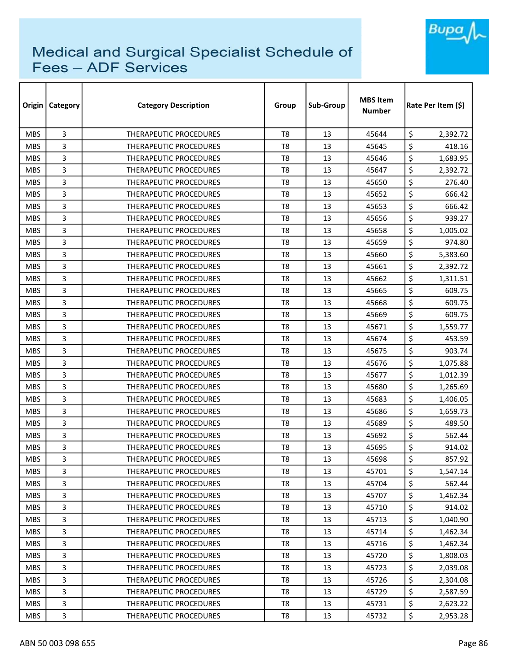

| Origin     | Category       | <b>Category Description</b>   | Group          | Sub-Group | <b>MBS Item</b><br><b>Number</b> | Rate Per Item (\$) |
|------------|----------------|-------------------------------|----------------|-----------|----------------------------------|--------------------|
| <b>MBS</b> | 3              | THERAPEUTIC PROCEDURES        | T <sub>8</sub> | 13        | 45644                            | \$<br>2,392.72     |
| <b>MBS</b> | 3              | <b>THERAPEUTIC PROCEDURES</b> | T8             | 13        | 45645                            | \$<br>418.16       |
| <b>MBS</b> | 3              | <b>THERAPEUTIC PROCEDURES</b> | T8             | 13        | 45646                            | \$<br>1,683.95     |
| <b>MBS</b> | 3              | THERAPEUTIC PROCEDURES        | T <sub>8</sub> | 13        | 45647                            | \$<br>2,392.72     |
| <b>MBS</b> | 3              | <b>THERAPEUTIC PROCEDURES</b> | T8             | 13        | 45650                            | \$<br>276.40       |
| <b>MBS</b> | 3              | THERAPEUTIC PROCEDURES        | T <sub>8</sub> | 13        | 45652                            | \$<br>666.42       |
| <b>MBS</b> | 3              | <b>THERAPEUTIC PROCEDURES</b> | T <sub>8</sub> | 13        | 45653                            | \$<br>666.42       |
| <b>MBS</b> | 3              | <b>THERAPEUTIC PROCEDURES</b> | T8             | 13        | 45656                            | \$<br>939.27       |
| <b>MBS</b> | 3              | <b>THERAPEUTIC PROCEDURES</b> | T <sub>8</sub> | 13        | 45658                            | \$<br>1,005.02     |
| <b>MBS</b> | 3              | THERAPEUTIC PROCEDURES        | T <sub>8</sub> | 13        | 45659                            | \$<br>974.80       |
| <b>MBS</b> | 3              | <b>THERAPEUTIC PROCEDURES</b> | T <sub>8</sub> | 13        | 45660                            | \$<br>5,383.60     |
| <b>MBS</b> | 3              | THERAPEUTIC PROCEDURES        | T8             | 13        | 45661                            | \$<br>2,392.72     |
| <b>MBS</b> | 3              | THERAPEUTIC PROCEDURES        | T <sub>8</sub> | 13        | 45662                            | \$<br>1,311.51     |
| <b>MBS</b> | 3              | <b>THERAPEUTIC PROCEDURES</b> | T <sub>8</sub> | 13        | 45665                            | \$<br>609.75       |
| <b>MBS</b> | 3              | <b>THERAPEUTIC PROCEDURES</b> | T8             | 13        | 45668                            | \$<br>609.75       |
| <b>MBS</b> | 3              | <b>THERAPEUTIC PROCEDURES</b> | T <sub>8</sub> | 13        | 45669                            | \$<br>609.75       |
| <b>MBS</b> | 3              | THERAPEUTIC PROCEDURES        | T8             | 13        | 45671                            | \$<br>1,559.77     |
| <b>MBS</b> | 3              | THERAPEUTIC PROCEDURES        | T <sub>8</sub> | 13        | 45674                            | \$<br>453.59       |
| <b>MBS</b> | 3              | <b>THERAPEUTIC PROCEDURES</b> | T8             | 13        | 45675                            | \$<br>903.74       |
| <b>MBS</b> | 3              | THERAPEUTIC PROCEDURES        | T8             | 13        | 45676                            | \$<br>1,075.88     |
| <b>MBS</b> | 3              | <b>THERAPEUTIC PROCEDURES</b> | T8             | 13        | 45677                            | \$<br>1,012.39     |
| <b>MBS</b> | 3              | <b>THERAPEUTIC PROCEDURES</b> | T8             | 13        | 45680                            | \$<br>1,265.69     |
| <b>MBS</b> | 3              | <b>THERAPEUTIC PROCEDURES</b> | T <sub>8</sub> | 13        | 45683                            | \$<br>1,406.05     |
| <b>MBS</b> | 3              | THERAPEUTIC PROCEDURES        | T8             | 13        | 45686                            | \$<br>1,659.73     |
| <b>MBS</b> | 3              | THERAPEUTIC PROCEDURES        | T <sub>8</sub> | 13        | 45689                            | \$<br>489.50       |
| <b>MBS</b> | 3              | <b>THERAPEUTIC PROCEDURES</b> | T8             | 13        | 45692                            | \$<br>562.44       |
| <b>MBS</b> | 3              | THERAPEUTIC PROCEDURES        | T8             | 13        | 45695                            | \$<br>914.02       |
| <b>MBS</b> | 3              | THERAPEUTIC PROCEDURES        | T8             | 13        | 45698                            | \$<br>857.92       |
| <b>MBS</b> | 3              | <b>THERAPEUTIC PROCEDURES</b> | T8             | 13        | 45701                            | \$<br>1,547.14     |
| <b>MBS</b> | 3              | THERAPEUTIC PROCEDURES        | T8             | 13        | 45704                            | \$<br>562.44       |
| <b>MBS</b> | 3              | THERAPEUTIC PROCEDURES        | T8             | 13        | 45707                            | \$<br>1,462.34     |
| <b>MBS</b> | 3              | THERAPEUTIC PROCEDURES        | T8             | 13        | 45710                            | \$<br>914.02       |
| <b>MBS</b> | 3              | THERAPEUTIC PROCEDURES        | T8             | 13        | 45713                            | \$<br>1,040.90     |
| <b>MBS</b> | 3              | THERAPEUTIC PROCEDURES        | T8             | 13        | 45714                            | \$<br>1,462.34     |
| <b>MBS</b> | 3              | THERAPEUTIC PROCEDURES        | T8             | 13        | 45716                            | \$<br>1,462.34     |
| <b>MBS</b> | $\overline{3}$ | THERAPEUTIC PROCEDURES        | T8             | 13        | 45720                            | \$<br>1,808.03     |
| <b>MBS</b> | 3              | THERAPEUTIC PROCEDURES        | T8             | 13        | 45723                            | \$<br>2,039.08     |
| <b>MBS</b> | 3              | THERAPEUTIC PROCEDURES        | T8             | 13        | 45726                            | \$<br>2,304.08     |
| <b>MBS</b> | 3              | THERAPEUTIC PROCEDURES        | T8             | 13        | 45729                            | \$<br>2,587.59     |
| <b>MBS</b> | 3              | THERAPEUTIC PROCEDURES        | T8             | 13        | 45731                            | \$<br>2,623.22     |
| <b>MBS</b> | 3              | THERAPEUTIC PROCEDURES        | T8             | 13        | 45732                            | \$<br>2,953.28     |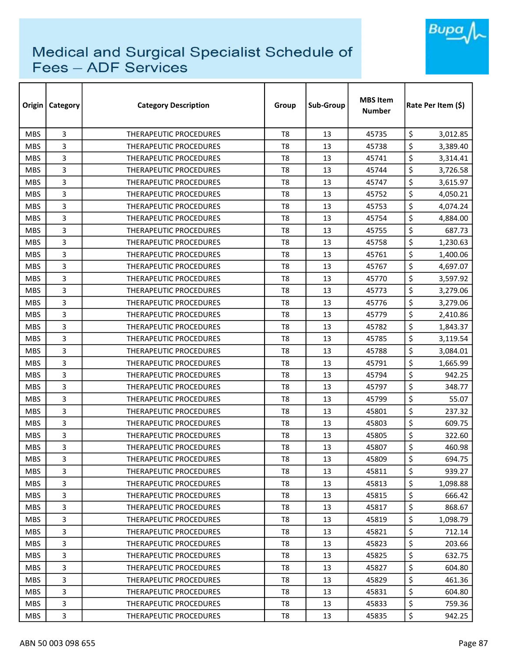

| Origin     | Category       | <b>Category Description</b>   | Group          | Sub-Group | <b>MBS Item</b><br><b>Number</b> | Rate Per Item (\$) |
|------------|----------------|-------------------------------|----------------|-----------|----------------------------------|--------------------|
| <b>MBS</b> | 3              | THERAPEUTIC PROCEDURES        | T <sub>8</sub> | 13        | 45735                            | \$<br>3,012.85     |
| <b>MBS</b> | 3              | THERAPEUTIC PROCEDURES        | T8             | 13        | 45738                            | \$<br>3,389.40     |
| <b>MBS</b> | 3              | THERAPEUTIC PROCEDURES        | T8             | 13        | 45741                            | \$<br>3,314.41     |
| <b>MBS</b> | 3              | THERAPEUTIC PROCEDURES        | T <sub>8</sub> | 13        | 45744                            | \$<br>3,726.58     |
| <b>MBS</b> | 3              | THERAPEUTIC PROCEDURES        | T8             | 13        | 45747                            | \$<br>3,615.97     |
| <b>MBS</b> | 3              | <b>THERAPEUTIC PROCEDURES</b> | T <sub>8</sub> | 13        | 45752                            | \$<br>4,050.21     |
| <b>MBS</b> | 3              | THERAPEUTIC PROCEDURES        | T8             | 13        | 45753                            | \$<br>4,074.24     |
| <b>MBS</b> | 3              | THERAPEUTIC PROCEDURES        | T8             | 13        | 45754                            | \$<br>4,884.00     |
| <b>MBS</b> | 3              | THERAPEUTIC PROCEDURES        | T8             | 13        | 45755                            | \$<br>687.73       |
| <b>MBS</b> | 3              | THERAPEUTIC PROCEDURES        | T8             | 13        | 45758                            | \$<br>1,230.63     |
| <b>MBS</b> | 3              | THERAPEUTIC PROCEDURES        | T <sub>8</sub> | 13        | 45761                            | \$<br>1,400.06     |
| <b>MBS</b> | 3              | THERAPEUTIC PROCEDURES        | T8             | 13        | 45767                            | \$<br>4,697.07     |
| <b>MBS</b> | 3              | THERAPEUTIC PROCEDURES        | T <sub>8</sub> | 13        | 45770                            | \$<br>3,597.92     |
| <b>MBS</b> | 3              | THERAPEUTIC PROCEDURES        | T <sub>8</sub> | 13        | 45773                            | \$<br>3,279.06     |
| <b>MBS</b> | 3              | <b>THERAPEUTIC PROCEDURES</b> | T8             | 13        | 45776                            | \$<br>3,279.06     |
| <b>MBS</b> | 3              | <b>THERAPEUTIC PROCEDURES</b> | T8             | 13        | 45779                            | \$<br>2,410.86     |
| <b>MBS</b> | 3              | <b>THERAPEUTIC PROCEDURES</b> | T8             | 13        | 45782                            | \$<br>1,843.37     |
| <b>MBS</b> | 3              | THERAPEUTIC PROCEDURES        | T <sub>8</sub> | 13        | 45785                            | \$<br>3,119.54     |
| <b>MBS</b> | 3              | <b>THERAPEUTIC PROCEDURES</b> | T8             | 13        | 45788                            | \$<br>3,084.01     |
| <b>MBS</b> | 3              | THERAPEUTIC PROCEDURES        | T8             | 13        | 45791                            | \$<br>1,665.99     |
| <b>MBS</b> | 3              | <b>THERAPEUTIC PROCEDURES</b> | T8             | 13        | 45794                            | \$<br>942.25       |
| <b>MBS</b> | 3              | THERAPEUTIC PROCEDURES        | T8             | 13        | 45797                            | \$<br>348.77       |
| <b>MBS</b> | 3              | <b>THERAPEUTIC PROCEDURES</b> | T <sub>8</sub> | 13        | 45799                            | \$<br>55.07        |
| <b>MBS</b> | 3              | <b>THERAPEUTIC PROCEDURES</b> | T8             | 13        | 45801                            | \$<br>237.32       |
| <b>MBS</b> | 3              | THERAPEUTIC PROCEDURES        | T <sub>8</sub> | 13        | 45803                            | \$<br>609.75       |
| <b>MBS</b> | 3              | <b>THERAPEUTIC PROCEDURES</b> | T8             | 13        | 45805                            | \$<br>322.60       |
| <b>MBS</b> | 3              | <b>THERAPEUTIC PROCEDURES</b> | T8             | 13        | 45807                            | \$<br>460.98       |
| <b>MBS</b> | 3              | THERAPEUTIC PROCEDURES        | T8             | 13        | 45809                            | \$<br>694.75       |
| <b>MBS</b> | 3              | THERAPEUTIC PROCEDURES        | T8             | 13        | 45811                            | \$<br>939.27       |
| <b>MBS</b> | 3              | THERAPEUTIC PROCEDURES        | T8             | 13        | 45813                            | \$<br>1,098.88     |
| <b>MBS</b> | 3              | <b>THERAPEUTIC PROCEDURES</b> | T8             | 13        | 45815                            | \$<br>666.42       |
| <b>MBS</b> | 3              | THERAPEUTIC PROCEDURES        | T8             | 13        | 45817                            | \$<br>868.67       |
| MBS.       | 3              | THERAPEUTIC PROCEDURES        | T8             | 13        | 45819                            | \$<br>1,098.79     |
| <b>MBS</b> | 3              | THERAPEUTIC PROCEDURES        | T8             | 13        | 45821                            | \$<br>712.14       |
| <b>MBS</b> | 3              | THERAPEUTIC PROCEDURES        | T8             | 13        | 45823                            | \$<br>203.66       |
| <b>MBS</b> | $\overline{3}$ | THERAPEUTIC PROCEDURES        | T8             | 13        | 45825                            | \$<br>632.75       |
| <b>MBS</b> | 3              | THERAPEUTIC PROCEDURES        | T8             | 13        | 45827                            | \$<br>604.80       |
| <b>MBS</b> | 3              | THERAPEUTIC PROCEDURES        | T8             | 13        | 45829                            | \$<br>461.36       |
| <b>MBS</b> | 3              | THERAPEUTIC PROCEDURES        | T8             | 13        | 45831                            | \$<br>604.80       |
| <b>MBS</b> | 3              | THERAPEUTIC PROCEDURES        | T8             | 13        | 45833                            | \$<br>759.36       |
| <b>MBS</b> | 3              | THERAPEUTIC PROCEDURES        | T8             | 13        | 45835                            | \$<br>942.25       |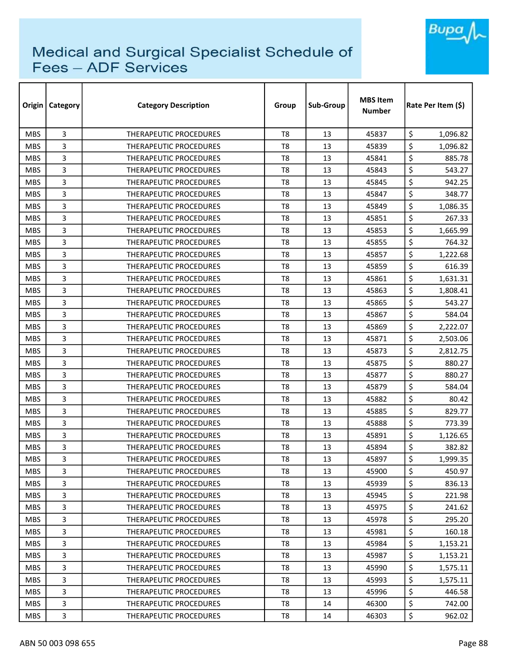

| Origin     | Category       | <b>Category Description</b>   | Group          | Sub-Group | <b>MBS Item</b><br>Number | Rate Per Item (\$) |
|------------|----------------|-------------------------------|----------------|-----------|---------------------------|--------------------|
| <b>MBS</b> | 3              | THERAPEUTIC PROCEDURES        | T <sub>8</sub> | 13        | 45837                     | \$<br>1,096.82     |
| <b>MBS</b> | 3              | <b>THERAPEUTIC PROCEDURES</b> | T <sub>8</sub> | 13        | 45839                     | \$<br>1,096.82     |
| <b>MBS</b> | 3              | THERAPEUTIC PROCEDURES        | T8             | 13        | 45841                     | \$<br>885.78       |
| <b>MBS</b> | 3              | THERAPEUTIC PROCEDURES        | T <sub>8</sub> | 13        | 45843                     | \$<br>543.27       |
| <b>MBS</b> | 3              | <b>THERAPEUTIC PROCEDURES</b> | T8             | 13        | 45845                     | \$<br>942.25       |
| <b>MBS</b> | 3              | THERAPEUTIC PROCEDURES        | T8             | 13        | 45847                     | \$<br>348.77       |
| <b>MBS</b> | 3              | <b>THERAPEUTIC PROCEDURES</b> | T8             | 13        | 45849                     | \$<br>1,086.35     |
| <b>MBS</b> | 3              | <b>THERAPEUTIC PROCEDURES</b> | T8             | 13        | 45851                     | \$<br>267.33       |
| <b>MBS</b> | 3              | <b>THERAPEUTIC PROCEDURES</b> | T <sub>8</sub> | 13        | 45853                     | \$<br>1,665.99     |
| <b>MBS</b> | 3              | THERAPEUTIC PROCEDURES        | T8             | 13        | 45855                     | \$<br>764.32       |
| <b>MBS</b> | 3              | THERAPEUTIC PROCEDURES        | T <sub>8</sub> | 13        | 45857                     | \$<br>1,222.68     |
| <b>MBS</b> | 3              | THERAPEUTIC PROCEDURES        | T <sub>8</sub> | 13        | 45859                     | \$<br>616.39       |
| <b>MBS</b> | 3              | THERAPEUTIC PROCEDURES        | T <sub>8</sub> | 13        | 45861                     | \$<br>1,631.31     |
| <b>MBS</b> | 3              | THERAPEUTIC PROCEDURES        | T <sub>8</sub> | 13        | 45863                     | \$<br>1,808.41     |
| <b>MBS</b> | 3              | <b>THERAPEUTIC PROCEDURES</b> | T8             | 13        | 45865                     | \$<br>543.27       |
| <b>MBS</b> | 3              | <b>THERAPEUTIC PROCEDURES</b> | T8             | 13        | 45867                     | \$<br>584.04       |
| <b>MBS</b> | 3              | THERAPEUTIC PROCEDURES        | T <sub>8</sub> | 13        | 45869                     | \$<br>2,222.07     |
| <b>MBS</b> | 3              | THERAPEUTIC PROCEDURES        | T8             | 13        | 45871                     | \$<br>2,503.06     |
| <b>MBS</b> | 3              | <b>THERAPEUTIC PROCEDURES</b> | T <sub>8</sub> | 13        | 45873                     | \$<br>2,812.75     |
| <b>MBS</b> | 3              | <b>THERAPEUTIC PROCEDURES</b> | T8             | 13        | 45875                     | \$<br>880.27       |
| <b>MBS</b> | 3              | THERAPEUTIC PROCEDURES        | T8             | 13        | 45877                     | \$<br>880.27       |
| <b>MBS</b> | 3              | THERAPEUTIC PROCEDURES        | T8             | 13        | 45879                     | \$<br>584.04       |
| <b>MBS</b> | 3              | THERAPEUTIC PROCEDURES        | T <sub>8</sub> | 13        | 45882                     | \$<br>80.42        |
| <b>MBS</b> | 3              | <b>THERAPEUTIC PROCEDURES</b> | T8             | 13        | 45885                     | \$<br>829.77       |
| <b>MBS</b> | 3              | THERAPEUTIC PROCEDURES        | T <sub>8</sub> | 13        | 45888                     | \$<br>773.39       |
| <b>MBS</b> | 3              | <b>THERAPEUTIC PROCEDURES</b> | T8             | 13        | 45891                     | \$<br>1,126.65     |
| <b>MBS</b> | 3              | <b>THERAPEUTIC PROCEDURES</b> | T8             | 13        | 45894                     | \$<br>382.82       |
| <b>MBS</b> | 3              | THERAPEUTIC PROCEDURES        | T8             | 13        | 45897                     | \$<br>1,999.35     |
| <b>MBS</b> | 3              | THERAPEUTIC PROCEDURES        | T8             | 13        | 45900                     | \$<br>450.97       |
| <b>MBS</b> | 3              | THERAPEUTIC PROCEDURES        | T8             | 13        | 45939                     | \$<br>836.13       |
| <b>MBS</b> | 3              | THERAPEUTIC PROCEDURES        | T8             | 13        | 45945                     | \$<br>221.98       |
| <b>MBS</b> | 3              | THERAPEUTIC PROCEDURES        | T8             | 13        | 45975                     | \$<br>241.62       |
| MBS.       | 3              | THERAPEUTIC PROCEDURES        | T8             | 13        | 45978                     | \$<br>295.20       |
| <b>MBS</b> | 3              | THERAPEUTIC PROCEDURES        | T8             | 13        | 45981                     | \$<br>160.18       |
| <b>MBS</b> | 3              | THERAPEUTIC PROCEDURES        | T <sub>8</sub> | 13        | 45984                     | \$<br>1,153.21     |
| <b>MBS</b> | $\overline{3}$ | THERAPEUTIC PROCEDURES        | T8             | 13        | 45987                     | \$<br>1,153.21     |
| <b>MBS</b> | 3              | THERAPEUTIC PROCEDURES        | T8             | 13        | 45990                     | \$<br>1,575.11     |
| <b>MBS</b> | 3              | THERAPEUTIC PROCEDURES        | T8             | 13        | 45993                     | \$<br>1,575.11     |
| MBS.       | 3              | THERAPEUTIC PROCEDURES        | T8             | 13        | 45996                     | \$<br>446.58       |
| <b>MBS</b> | 3              | THERAPEUTIC PROCEDURES        | T8             | 14        | 46300                     | \$<br>742.00       |
| <b>MBS</b> | 3              | THERAPEUTIC PROCEDURES        | T8             | 14        | 46303                     | \$<br>962.02       |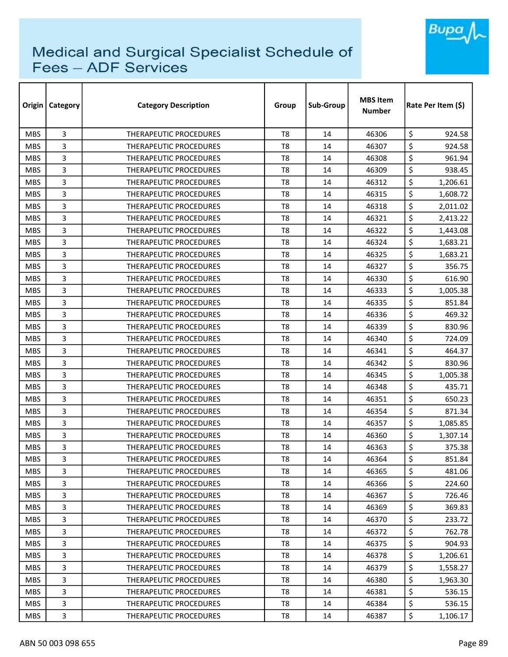

| Origin     | Category | <b>Category Description</b>   | Group          | Sub-Group | <b>MBS Item</b><br>Number | Rate Per Item (\$) |  |
|------------|----------|-------------------------------|----------------|-----------|---------------------------|--------------------|--|
| <b>MBS</b> | 3        | <b>THERAPEUTIC PROCEDURES</b> | T <sub>8</sub> | 14        | 46306                     | \$<br>924.58       |  |
| <b>MBS</b> | 3        | <b>THERAPEUTIC PROCEDURES</b> | T <sub>8</sub> | 14        | 46307                     | \$<br>924.58       |  |
| <b>MBS</b> | 3        | THERAPEUTIC PROCEDURES        | T <sub>8</sub> | 14        | 46308                     | \$<br>961.94       |  |
| <b>MBS</b> | 3        | THERAPEUTIC PROCEDURES        | T <sub>8</sub> | 14        | 46309                     | \$<br>938.45       |  |
| <b>MBS</b> | 3        | <b>THERAPEUTIC PROCEDURES</b> | T8             | 14        | 46312                     | \$<br>1,206.61     |  |
| <b>MBS</b> | 3        | THERAPEUTIC PROCEDURES        | T <sub>8</sub> | 14        | 46315                     | \$<br>1,608.72     |  |
| <b>MBS</b> | 3        | <b>THERAPEUTIC PROCEDURES</b> | T8             | 14        | 46318                     | \$<br>2,011.02     |  |
| <b>MBS</b> | 3        | <b>THERAPEUTIC PROCEDURES</b> | T8             | 14        | 46321                     | \$<br>2,413.22     |  |
| <b>MBS</b> | 3        | <b>THERAPEUTIC PROCEDURES</b> | T <sub>8</sub> | 14        | 46322                     | \$<br>1,443.08     |  |
| <b>MBS</b> | 3        | <b>THERAPEUTIC PROCEDURES</b> | T <sub>8</sub> | 14        | 46324                     | \$<br>1,683.21     |  |
| <b>MBS</b> | 3        | THERAPEUTIC PROCEDURES        | T <sub>8</sub> | 14        | 46325                     | \$<br>1,683.21     |  |
| <b>MBS</b> | 3        | THERAPEUTIC PROCEDURES        | T <sub>8</sub> | 14        | 46327                     | \$<br>356.75       |  |
| <b>MBS</b> | 3        | <b>THERAPEUTIC PROCEDURES</b> | T8             | 14        | 46330                     | \$<br>616.90       |  |
| <b>MBS</b> | 3        | <b>THERAPEUTIC PROCEDURES</b> | T <sub>8</sub> | 14        | 46333                     | \$<br>1,005.38     |  |
| <b>MBS</b> | 3        | <b>THERAPEUTIC PROCEDURES</b> | T8             | 14        | 46335                     | \$<br>851.84       |  |
| <b>MBS</b> | 3        | <b>THERAPEUTIC PROCEDURES</b> | T <sub>8</sub> | 14        | 46336                     | \$<br>469.32       |  |
| <b>MBS</b> | 3        | <b>THERAPEUTIC PROCEDURES</b> | T8             | 14        | 46339                     | \$<br>830.96       |  |
| <b>MBS</b> | 3        | THERAPEUTIC PROCEDURES        | T <sub>8</sub> | 14        | 46340                     | \$<br>724.09       |  |
| <b>MBS</b> | 3        | THERAPEUTIC PROCEDURES        | T8             | 14        | 46341                     | \$<br>464.37       |  |
| <b>MBS</b> | 3        | <b>THERAPEUTIC PROCEDURES</b> | T8             | 14        | 46342                     | \$<br>830.96       |  |
| <b>MBS</b> | 3        | <b>THERAPEUTIC PROCEDURES</b> | T8             | 14        | 46345                     | \$<br>1,005.38     |  |
| <b>MBS</b> | 3        | THERAPEUTIC PROCEDURES        | T <sub>8</sub> | 14        | 46348                     | \$<br>435.71       |  |
| <b>MBS</b> | 3        | <b>THERAPEUTIC PROCEDURES</b> | T <sub>8</sub> | 14        | 46351                     | \$<br>650.23       |  |
| <b>MBS</b> | 3        | <b>THERAPEUTIC PROCEDURES</b> | T <sub>8</sub> | 14        | 46354                     | \$<br>871.34       |  |
| <b>MBS</b> | 3        | THERAPEUTIC PROCEDURES        | T8             | 14        | 46357                     | \$<br>1,085.85     |  |
| <b>MBS</b> | 3        | <b>THERAPEUTIC PROCEDURES</b> | T <sub>8</sub> | 14        | 46360                     | \$<br>1,307.14     |  |
| <b>MBS</b> | 3        | <b>THERAPEUTIC PROCEDURES</b> | T8             | 14        | 46363                     | \$<br>375.38       |  |
| <b>MBS</b> | 3        | THERAPEUTIC PROCEDURES        | T <sub>8</sub> | 14        | 46364                     | \$<br>851.84       |  |
| <b>MBS</b> | 3        | THERAPEUTIC PROCEDURES        | T8             | 14        | 46365                     | \$<br>481.06       |  |
| <b>MBS</b> | 3        | THERAPEUTIC PROCEDURES        | T8             | 14        | 46366                     | \$<br>224.60       |  |
| <b>MBS</b> | 3        | <b>THERAPEUTIC PROCEDURES</b> | T8             | 14        | 46367                     | \$<br>726.46       |  |
| <b>MBS</b> | 3        | THERAPEUTIC PROCEDURES        | T8             | 14        | 46369                     | \$<br>369.83       |  |
| <b>MBS</b> | 3        | THERAPEUTIC PROCEDURES        | T8             | 14        | 46370                     | \$<br>233.72       |  |
| <b>MBS</b> | 3        | THERAPEUTIC PROCEDURES        | T8             | 14        | 46372                     | \$<br>762.78       |  |
| <b>MBS</b> | 3        | <b>THERAPEUTIC PROCEDURES</b> | T <sub>8</sub> | 14        | 46375                     | \$<br>904.93       |  |
| <b>MBS</b> | 3        | THERAPEUTIC PROCEDURES        | T8             | 14        | 46378                     | \$<br>1,206.61     |  |
| <b>MBS</b> | 3        | THERAPEUTIC PROCEDURES        | T8             | 14        | 46379                     | \$<br>1,558.27     |  |
| <b>MBS</b> | 3        | THERAPEUTIC PROCEDURES        | T8             | 14        | 46380                     | \$<br>1,963.30     |  |
| <b>MBS</b> | 3        | THERAPEUTIC PROCEDURES        | T8             | 14        | 46381                     | \$<br>536.15       |  |
| <b>MBS</b> | 3        | THERAPEUTIC PROCEDURES        | T8             | 14        | 46384                     | \$<br>536.15       |  |
| <b>MBS</b> | 3        | THERAPEUTIC PROCEDURES        | T8             | 14        | 46387                     | \$<br>1,106.17     |  |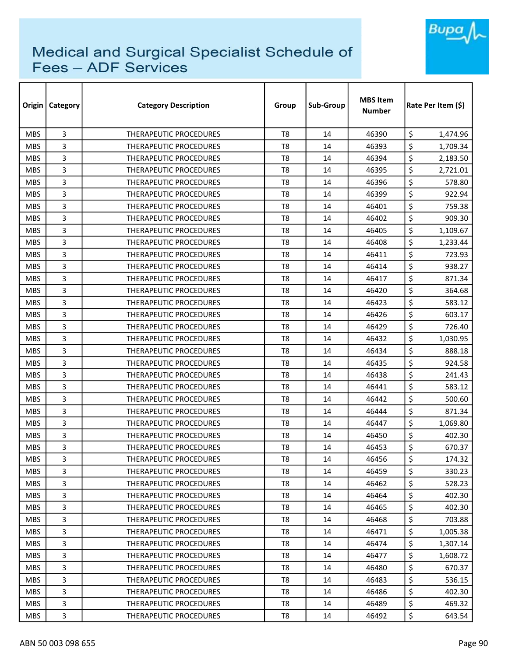

| Origin     | Category | <b>Category Description</b>   | Group          | Sub-Group | <b>MBS Item</b><br><b>Number</b> | Rate Per Item (S) |  |
|------------|----------|-------------------------------|----------------|-----------|----------------------------------|-------------------|--|
| <b>MBS</b> | 3        | <b>THERAPEUTIC PROCEDURES</b> | T <sub>8</sub> | 14        | 46390                            | \$<br>1,474.96    |  |
| <b>MBS</b> | 3        | <b>THERAPEUTIC PROCEDURES</b> | T <sub>8</sub> | 14        | 46393                            | \$<br>1,709.34    |  |
| <b>MBS</b> | 3        | THERAPEUTIC PROCEDURES        | T <sub>8</sub> | 14        | 46394                            | \$<br>2,183.50    |  |
| <b>MBS</b> | 3        | THERAPEUTIC PROCEDURES        | T <sub>8</sub> | 14        | 46395                            | \$<br>2,721.01    |  |
| <b>MBS</b> | 3        | <b>THERAPEUTIC PROCEDURES</b> | T8             | 14        | 46396                            | \$<br>578.80      |  |
| <b>MBS</b> | 3        | <b>THERAPEUTIC PROCEDURES</b> | T <sub>8</sub> | 14        | 46399                            | \$<br>922.94      |  |
| <b>MBS</b> | 3        | <b>THERAPEUTIC PROCEDURES</b> | T8             | 14        | 46401                            | \$<br>759.38      |  |
| <b>MBS</b> | 3        | THERAPEUTIC PROCEDURES        | T8             | 14        | 46402                            | \$<br>909.30      |  |
| <b>MBS</b> | 3        | <b>THERAPEUTIC PROCEDURES</b> | T <sub>8</sub> | 14        | 46405                            | \$<br>1,109.67    |  |
| <b>MBS</b> | 3        | THERAPEUTIC PROCEDURES        | T <sub>8</sub> | 14        | 46408                            | \$<br>1,233.44    |  |
| <b>MBS</b> | 3        | THERAPEUTIC PROCEDURES        | T <sub>8</sub> | 14        | 46411                            | \$<br>723.93      |  |
| <b>MBS</b> | 3        | <b>THERAPEUTIC PROCEDURES</b> | T8             | 14        | 46414                            | \$<br>938.27      |  |
| <b>MBS</b> | 3        | THERAPEUTIC PROCEDURES        | T <sub>8</sub> | 14        | 46417                            | \$<br>871.34      |  |
| <b>MBS</b> | 3        | <b>THERAPEUTIC PROCEDURES</b> | T8             | 14        | 46420                            | \$<br>364.68      |  |
| <b>MBS</b> | 3        | <b>THERAPEUTIC PROCEDURES</b> | T8             | 14        | 46423                            | \$<br>583.12      |  |
| <b>MBS</b> | 3        | <b>THERAPEUTIC PROCEDURES</b> | T <sub>8</sub> | 14        | 46426                            | \$<br>603.17      |  |
| <b>MBS</b> | 3        | THERAPEUTIC PROCEDURES        | T8             | 14        | 46429                            | \$<br>726.40      |  |
| <b>MBS</b> | 3        | THERAPEUTIC PROCEDURES        | T <sub>8</sub> | 14        | 46432                            | \$<br>1,030.95    |  |
| <b>MBS</b> | 3        | THERAPEUTIC PROCEDURES        | T8             | 14        | 46434                            | \$<br>888.18      |  |
| <b>MBS</b> | 3        | <b>THERAPEUTIC PROCEDURES</b> | T8             | 14        | 46435                            | \$<br>924.58      |  |
| <b>MBS</b> | 3        | <b>THERAPEUTIC PROCEDURES</b> | T8             | 14        | 46438                            | \$<br>241.43      |  |
| <b>MBS</b> | 3        | THERAPEUTIC PROCEDURES        | T <sub>8</sub> | 14        | 46441                            | \$<br>583.12      |  |
| <b>MBS</b> | 3        | <b>THERAPEUTIC PROCEDURES</b> | T <sub>8</sub> | 14        | 46442                            | \$<br>500.60      |  |
| <b>MBS</b> | 3        | <b>THERAPEUTIC PROCEDURES</b> | T8             | 14        | 46444                            | \$<br>871.34      |  |
| <b>MBS</b> | 3        | THERAPEUTIC PROCEDURES        | T8             | 14        | 46447                            | \$<br>1,069.80    |  |
| <b>MBS</b> | 3        | THERAPEUTIC PROCEDURES        | T <sub>8</sub> | 14        | 46450                            | \$<br>402.30      |  |
| <b>MBS</b> | 3        | <b>THERAPEUTIC PROCEDURES</b> | T8             | 14        | 46453                            | \$<br>670.37      |  |
| <b>MBS</b> | 3        | THERAPEUTIC PROCEDURES        | T8             | 14        | 46456                            | \$<br>174.32      |  |
| <b>MBS</b> | 3        | THERAPEUTIC PROCEDURES        | T8             | 14        | 46459                            | \$<br>330.23      |  |
| <b>MBS</b> | 3        | THERAPEUTIC PROCEDURES        | T8             | 14        | 46462                            | \$<br>528.23      |  |
| <b>MBS</b> | 3        | THERAPEUTIC PROCEDURES        | T8             | 14        | 46464                            | \$<br>402.30      |  |
| <b>MBS</b> | 3        | <b>THERAPEUTIC PROCEDURES</b> | T8             | 14        | 46465                            | \$<br>402.30      |  |
| <b>MBS</b> | 3        | THERAPEUTIC PROCEDURES        | T8             | 14        | 46468                            | \$<br>703.88      |  |
| <b>MBS</b> | 3        | <b>THERAPEUTIC PROCEDURES</b> | T8             | 14        | 46471                            | \$<br>1,005.38    |  |
| <b>MBS</b> | 3        | <b>THERAPEUTIC PROCEDURES</b> | T8             | 14        | 46474                            | \$<br>1,307.14    |  |
| <b>MBS</b> | 3        | THERAPEUTIC PROCEDURES        | T8             | 14        | 46477                            | \$<br>1,608.72    |  |
| <b>MBS</b> | 3        | THERAPEUTIC PROCEDURES        | T8             | 14        | 46480                            | \$<br>670.37      |  |
| <b>MBS</b> | 3        | THERAPEUTIC PROCEDURES        | T8             | 14        | 46483                            | \$<br>536.15      |  |
| <b>MBS</b> | 3        | THERAPEUTIC PROCEDURES        | T8             | 14        | 46486                            | \$<br>402.30      |  |
| <b>MBS</b> | 3        | THERAPEUTIC PROCEDURES        | T8             | 14        | 46489                            | \$<br>469.32      |  |
| MBS        | 3        | THERAPEUTIC PROCEDURES        | T8             | 14        | 46492                            | \$<br>643.54      |  |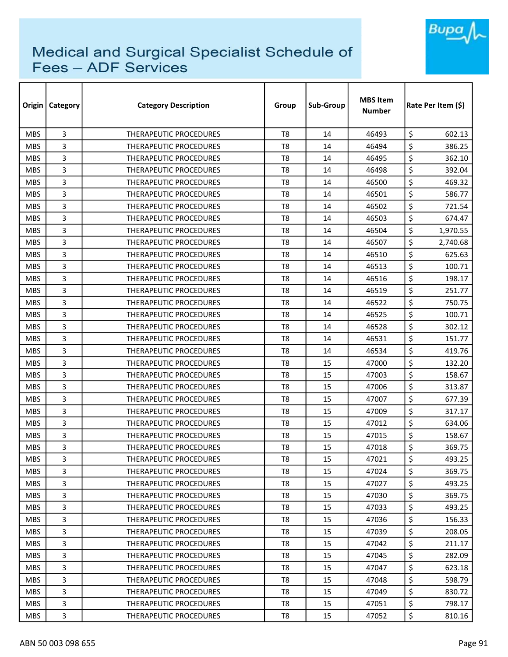

| Origin     | Category | <b>Category Description</b>   | Group          | Sub-Group | <b>MBS Item</b><br>Number | Rate Per Item (\$) |
|------------|----------|-------------------------------|----------------|-----------|---------------------------|--------------------|
| <b>MBS</b> | 3        | <b>THERAPEUTIC PROCEDURES</b> | T <sub>8</sub> | 14        | 46493                     | \$<br>602.13       |
| <b>MBS</b> | 3        | <b>THERAPEUTIC PROCEDURES</b> | T <sub>8</sub> | 14        | 46494                     | \$<br>386.25       |
| <b>MBS</b> | 3        | THERAPEUTIC PROCEDURES        | T8             | 14        | 46495                     | \$<br>362.10       |
| <b>MBS</b> | 3        | THERAPEUTIC PROCEDURES        | T <sub>8</sub> | 14        | 46498                     | \$<br>392.04       |
| <b>MBS</b> | 3        | <b>THERAPEUTIC PROCEDURES</b> | T8             | 14        | 46500                     | \$<br>469.32       |
| <b>MBS</b> | 3        | THERAPEUTIC PROCEDURES        | T8             | 14        | 46501                     | \$<br>586.77       |
| <b>MBS</b> | 3        | THERAPEUTIC PROCEDURES        | T8             | 14        | 46502                     | \$<br>721.54       |
| <b>MBS</b> | 3        | <b>THERAPEUTIC PROCEDURES</b> | T8             | 14        | 46503                     | \$<br>674.47       |
| <b>MBS</b> | 3        | <b>THERAPEUTIC PROCEDURES</b> | T <sub>8</sub> | 14        | 46504                     | \$<br>1,970.55     |
| <b>MBS</b> | 3        | THERAPEUTIC PROCEDURES        | T8             | 14        | 46507                     | \$<br>2,740.68     |
| <b>MBS</b> | 3        | THERAPEUTIC PROCEDURES        | T <sub>8</sub> | 14        | 46510                     | \$<br>625.63       |
| <b>MBS</b> | 3        | THERAPEUTIC PROCEDURES        | T <sub>8</sub> | 14        | 46513                     | \$<br>100.71       |
| <b>MBS</b> | 3        | THERAPEUTIC PROCEDURES        | T <sub>8</sub> | 14        | 46516                     | \$<br>198.17       |
| <b>MBS</b> | 3        | THERAPEUTIC PROCEDURES        | T <sub>8</sub> | 14        | 46519                     | \$<br>251.77       |
| <b>MBS</b> | 3        | <b>THERAPEUTIC PROCEDURES</b> | T8             | 14        | 46522                     | \$<br>750.75       |
| <b>MBS</b> | 3        | <b>THERAPEUTIC PROCEDURES</b> | T <sub>8</sub> | 14        | 46525                     | \$<br>100.71       |
| <b>MBS</b> | 3        | THERAPEUTIC PROCEDURES        | T <sub>8</sub> | 14        | 46528                     | \$<br>302.12       |
| <b>MBS</b> | 3        | THERAPEUTIC PROCEDURES        | T <sub>8</sub> | 14        | 46531                     | \$<br>151.77       |
| <b>MBS</b> | 3        | <b>THERAPEUTIC PROCEDURES</b> | T <sub>8</sub> | 14        | 46534                     | \$<br>419.76       |
| <b>MBS</b> | 3        | <b>THERAPEUTIC PROCEDURES</b> | T <sub>8</sub> | 15        | 47000                     | \$<br>132.20       |
| <b>MBS</b> | 3        | THERAPEUTIC PROCEDURES        | T <sub>8</sub> | 15        | 47003                     | \$<br>158.67       |
| <b>MBS</b> | 3        | THERAPEUTIC PROCEDURES        | T8             | 15        | 47006                     | \$<br>313.87       |
| <b>MBS</b> | 3        | THERAPEUTIC PROCEDURES        | T <sub>8</sub> | 15        | 47007                     | \$<br>677.39       |
| <b>MBS</b> | 3        | <b>THERAPEUTIC PROCEDURES</b> | T8             | 15        | 47009                     | \$<br>317.17       |
| <b>MBS</b> | 3        | THERAPEUTIC PROCEDURES        | T <sub>8</sub> | 15        | 47012                     | \$<br>634.06       |
| <b>MBS</b> | 3        | THERAPEUTIC PROCEDURES        | T8             | 15        | 47015                     | \$<br>158.67       |
| <b>MBS</b> | 3        | <b>THERAPEUTIC PROCEDURES</b> | T8             | 15        | 47018                     | \$<br>369.75       |
| <b>MBS</b> | 3        | THERAPEUTIC PROCEDURES        | T8             | 15        | 47021                     | \$<br>493.25       |
| <b>MBS</b> | 3        | THERAPEUTIC PROCEDURES        | T8             | 15        | 47024                     | \$<br>369.75       |
| <b>MBS</b> | 3        | THERAPEUTIC PROCEDURES        | T <sub>8</sub> | 15        | 47027                     | \$<br>493.25       |
| <b>MBS</b> | 3        | THERAPEUTIC PROCEDURES        | T8             | 15        | 47030                     | \$<br>369.75       |
| <b>MBS</b> | 3        | <b>THERAPEUTIC PROCEDURES</b> | T8             | 15        | 47033                     | \$<br>493.25       |
| MBS.       | 3        | THERAPEUTIC PROCEDURES        | T8             | 15        | 47036                     | \$<br>156.33       |
| <b>MBS</b> | 3        | THERAPEUTIC PROCEDURES        | T8             | 15        | 47039                     | \$<br>208.05       |
| <b>MBS</b> | 3        | THERAPEUTIC PROCEDURES        | T <sub>8</sub> | 15        | 47042                     | \$<br>211.17       |
| <b>MBS</b> | 3        | THERAPEUTIC PROCEDURES        | T8             | 15        | 47045                     | \$<br>282.09       |
| <b>MBS</b> | 3        | THERAPEUTIC PROCEDURES        | T8             | 15        | 47047                     | \$<br>623.18       |
| <b>MBS</b> | 3        | THERAPEUTIC PROCEDURES        | T8             | 15        | 47048                     | \$<br>598.79       |
| MBS.       | 3        | THERAPEUTIC PROCEDURES        | T8             | 15        | 47049                     | \$<br>830.72       |
| <b>MBS</b> | 3        | THERAPEUTIC PROCEDURES        | T8             | 15        | 47051                     | \$<br>798.17       |
| <b>MBS</b> | 3        | THERAPEUTIC PROCEDURES        | T8             | 15        | 47052                     | \$<br>810.16       |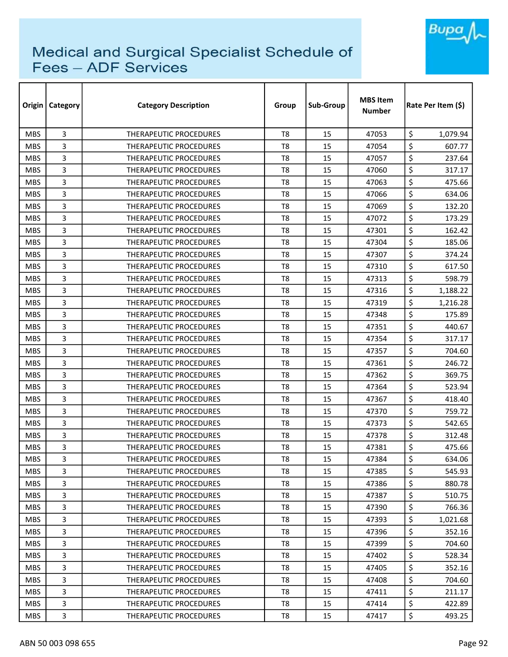

| Origin     | <b>Category</b> | <b>Category Description</b>   | Group          | Sub-Group | <b>MBS Item</b><br><b>Number</b> | Rate Per Item (S) |  |
|------------|-----------------|-------------------------------|----------------|-----------|----------------------------------|-------------------|--|
| <b>MBS</b> | 3               | <b>THERAPEUTIC PROCEDURES</b> | T <sub>8</sub> | 15        | 47053                            | \$<br>1,079.94    |  |
| <b>MBS</b> | 3               | <b>THERAPEUTIC PROCEDURES</b> | T <sub>8</sub> | 15        | 47054                            | \$<br>607.77      |  |
| <b>MBS</b> | 3               | THERAPEUTIC PROCEDURES        | T <sub>8</sub> | 15        | 47057                            | \$<br>237.64      |  |
| <b>MBS</b> | 3               | <b>THERAPEUTIC PROCEDURES</b> | T <sub>8</sub> | 15        | 47060                            | \$<br>317.17      |  |
| <b>MBS</b> | 3               | <b>THERAPEUTIC PROCEDURES</b> | T <sub>8</sub> | 15        | 47063                            | \$<br>475.66      |  |
| <b>MBS</b> | 3               | THERAPEUTIC PROCEDURES        | T <sub>8</sub> | 15        | 47066                            | \$<br>634.06      |  |
| <b>MBS</b> | 3               | <b>THERAPEUTIC PROCEDURES</b> | T8             | 15        | 47069                            | \$<br>132.20      |  |
| <b>MBS</b> | 3               | <b>THERAPEUTIC PROCEDURES</b> | T8             | 15        | 47072                            | \$<br>173.29      |  |
| <b>MBS</b> | 3               | <b>THERAPEUTIC PROCEDURES</b> | T <sub>8</sub> | 15        | 47301                            | \$<br>162.42      |  |
| <b>MBS</b> | 3               | <b>THERAPEUTIC PROCEDURES</b> | T <sub>8</sub> | 15        | 47304                            | \$<br>185.06      |  |
| <b>MBS</b> | 3               | THERAPEUTIC PROCEDURES        | T <sub>8</sub> | 15        | 47307                            | \$<br>374.24      |  |
| <b>MBS</b> | 3               | THERAPEUTIC PROCEDURES        | T <sub>8</sub> | 15        | 47310                            | \$<br>617.50      |  |
| <b>MBS</b> | 3               | <b>THERAPEUTIC PROCEDURES</b> | T <sub>8</sub> | 15        | 47313                            | \$<br>598.79      |  |
| <b>MBS</b> | 3               | <b>THERAPEUTIC PROCEDURES</b> | T <sub>8</sub> | 15        | 47316                            | \$<br>1,188.22    |  |
| <b>MBS</b> | 3               | <b>THERAPEUTIC PROCEDURES</b> | T8             | 15        | 47319                            | \$<br>1,216.28    |  |
| <b>MBS</b> | 3               | <b>THERAPEUTIC PROCEDURES</b> | T <sub>8</sub> | 15        | 47348                            | \$<br>175.89      |  |
| <b>MBS</b> | 3               | <b>THERAPEUTIC PROCEDURES</b> | T8             | 15        | 47351                            | \$<br>440.67      |  |
| <b>MBS</b> | 3               | THERAPEUTIC PROCEDURES        | T <sub>8</sub> | 15        | 47354                            | \$<br>317.17      |  |
| <b>MBS</b> | 3               | THERAPEUTIC PROCEDURES        | T <sub>8</sub> | 15        | 47357                            | \$<br>704.60      |  |
| <b>MBS</b> | 3               | THERAPEUTIC PROCEDURES        | T <sub>8</sub> | 15        | 47361                            | \$<br>246.72      |  |
| <b>MBS</b> | 3               | <b>THERAPEUTIC PROCEDURES</b> | T <sub>8</sub> | 15        | 47362                            | \$<br>369.75      |  |
| <b>MBS</b> | 3               | THERAPEUTIC PROCEDURES        | T <sub>8</sub> | 15        | 47364                            | \$<br>523.94      |  |
| <b>MBS</b> | 3               | <b>THERAPEUTIC PROCEDURES</b> | T <sub>8</sub> | 15        | 47367                            | \$<br>418.40      |  |
| <b>MBS</b> | 3               | <b>THERAPEUTIC PROCEDURES</b> | T <sub>8</sub> | 15        | 47370                            | \$<br>759.72      |  |
| <b>MBS</b> | 3               | THERAPEUTIC PROCEDURES        | T <sub>8</sub> | 15        | 47373                            | \$<br>542.65      |  |
| <b>MBS</b> | 3               | THERAPEUTIC PROCEDURES        | T <sub>8</sub> | 15        | 47378                            | \$<br>312.48      |  |
| <b>MBS</b> | 3               | THERAPEUTIC PROCEDURES        | T8             | 15        | 47381                            | \$<br>475.66      |  |
| <b>MBS</b> | 3               | THERAPEUTIC PROCEDURES        | T <sub>8</sub> | 15        | 47384                            | \$<br>634.06      |  |
| <b>MBS</b> | 3               | THERAPEUTIC PROCEDURES        | T8             | 15        | 47385                            | \$<br>545.93      |  |
| <b>MBS</b> | 3               | THERAPEUTIC PROCEDURES        | T8             | 15        | 47386                            | \$<br>880.78      |  |
| <b>MBS</b> | 3               | THERAPEUTIC PROCEDURES        | T <sub>8</sub> | 15        | 47387                            | \$<br>510.75      |  |
| <b>MBS</b> | 3               | THERAPEUTIC PROCEDURES        | T8             | 15        | 47390                            | \$<br>766.36      |  |
| <b>MBS</b> | 3               | THERAPEUTIC PROCEDURES        | T <sub>8</sub> | 15        | 47393                            | \$<br>1,021.68    |  |
| <b>MBS</b> | 3               | THERAPEUTIC PROCEDURES        | T8             | 15        | 47396                            | \$<br>352.16      |  |
| <b>MBS</b> | 3               | <b>THERAPEUTIC PROCEDURES</b> | T <sub>8</sub> | 15        | 47399                            | \$<br>704.60      |  |
| <b>MBS</b> | 3               | THERAPEUTIC PROCEDURES        | T8             | 15        | 47402                            | \$<br>528.34      |  |
| <b>MBS</b> | 3               | THERAPEUTIC PROCEDURES        | T8             | 15        | 47405                            | \$<br>352.16      |  |
| <b>MBS</b> | 3               | THERAPEUTIC PROCEDURES        | T8             | 15        | 47408                            | \$<br>704.60      |  |
| <b>MBS</b> | 3               | THERAPEUTIC PROCEDURES        | T8             | 15        | 47411                            | \$<br>211.17      |  |
| <b>MBS</b> | 3               | THERAPEUTIC PROCEDURES        | T8             | 15        | 47414                            | \$<br>422.89      |  |
| <b>MBS</b> | 3               | THERAPEUTIC PROCEDURES        | T8             | 15        | 47417                            | \$<br>493.25      |  |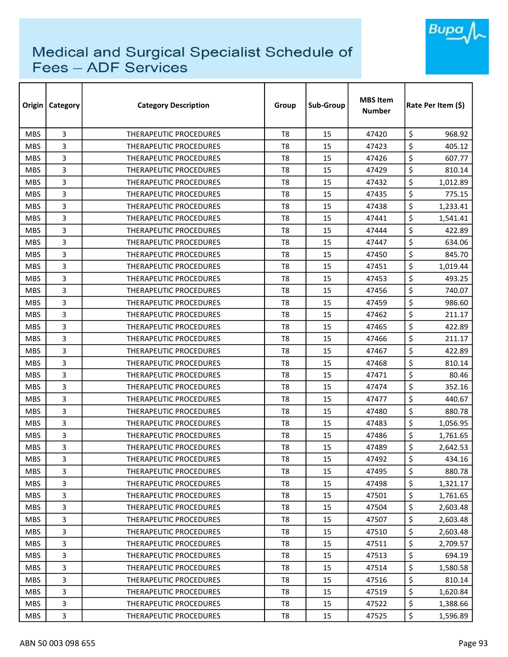

| Origin     | Category | <b>Category Description</b>   | Group          | Sub-Group | <b>MBS Item</b><br><b>Number</b> | Rate Per Item (\$) |  |
|------------|----------|-------------------------------|----------------|-----------|----------------------------------|--------------------|--|
| <b>MBS</b> | 3        | <b>THERAPEUTIC PROCEDURES</b> | T <sub>8</sub> | 15        | 47420                            | \$<br>968.92       |  |
| <b>MBS</b> | 3        | THERAPEUTIC PROCEDURES        | T <sub>8</sub> | 15        | 47423                            | \$<br>405.12       |  |
| <b>MBS</b> | 3        | THERAPEUTIC PROCEDURES        | T <sub>8</sub> | 15        | 47426                            | \$<br>607.77       |  |
| <b>MBS</b> | 3        | THERAPEUTIC PROCEDURES        | T <sub>8</sub> | 15        | 47429                            | \$<br>810.14       |  |
| <b>MBS</b> | 3        | THERAPEUTIC PROCEDURES        | T8             | 15        | 47432                            | \$<br>1,012.89     |  |
| <b>MBS</b> | 3        | <b>THERAPEUTIC PROCEDURES</b> | T <sub>8</sub> | 15        | 47435                            | \$<br>775.15       |  |
| <b>MBS</b> | 3        | <b>THERAPEUTIC PROCEDURES</b> | T8             | 15        | 47438                            | \$<br>1,233.41     |  |
| <b>MBS</b> | 3        | THERAPEUTIC PROCEDURES        | T8             | 15        | 47441                            | \$<br>1,541.41     |  |
| <b>MBS</b> | 3        | THERAPEUTIC PROCEDURES        | T <sub>8</sub> | 15        | 47444                            | \$<br>422.89       |  |
| <b>MBS</b> | 3        | THERAPEUTIC PROCEDURES        | T <sub>8</sub> | 15        | 47447                            | \$<br>634.06       |  |
| <b>MBS</b> | 3        | THERAPEUTIC PROCEDURES        | T <sub>8</sub> | 15        | 47450                            | \$<br>845.70       |  |
| <b>MBS</b> | 3        | THERAPEUTIC PROCEDURES        | T8             | 15        | 47451                            | \$<br>1,019.44     |  |
| <b>MBS</b> | 3        | THERAPEUTIC PROCEDURES        | T <sub>8</sub> | 15        | 47453                            | \$<br>493.25       |  |
| <b>MBS</b> | 3        | THERAPEUTIC PROCEDURES        | T8             | 15        | 47456                            | \$<br>740.07       |  |
| <b>MBS</b> | 3        | THERAPEUTIC PROCEDURES        | T8             | 15        | 47459                            | \$<br>986.60       |  |
| <b>MBS</b> | 3        | <b>THERAPEUTIC PROCEDURES</b> | T <sub>8</sub> | 15        | 47462                            | \$<br>211.17       |  |
| <b>MBS</b> | 3        | THERAPEUTIC PROCEDURES        | T8             | 15        | 47465                            | \$<br>422.89       |  |
| <b>MBS</b> | 3        | THERAPEUTIC PROCEDURES        | T <sub>8</sub> | 15        | 47466                            | \$<br>211.17       |  |
| <b>MBS</b> | 3        | <b>THERAPEUTIC PROCEDURES</b> | T8             | 15        | 47467                            | \$<br>422.89       |  |
| <b>MBS</b> | 3        | <b>THERAPEUTIC PROCEDURES</b> | T8             | 15        | 47468                            | \$<br>810.14       |  |
| <b>MBS</b> | 3        | <b>THERAPEUTIC PROCEDURES</b> | T8             | 15        | 47471                            | \$<br>80.46        |  |
| <b>MBS</b> | 3        | THERAPEUTIC PROCEDURES        | T <sub>8</sub> | 15        | 47474                            | \$<br>352.16       |  |
| <b>MBS</b> | 3        | <b>THERAPEUTIC PROCEDURES</b> | T <sub>8</sub> | 15        | 47477                            | \$<br>440.67       |  |
| <b>MBS</b> | 3        | <b>THERAPEUTIC PROCEDURES</b> | T8             | 15        | 47480                            | \$<br>880.78       |  |
| <b>MBS</b> | 3        | <b>THERAPEUTIC PROCEDURES</b> | T8             | 15        | 47483                            | \$<br>1,056.95     |  |
| <b>MBS</b> | 3        | THERAPEUTIC PROCEDURES        | T <sub>8</sub> | 15        | 47486                            | \$<br>1,761.65     |  |
| <b>MBS</b> | 3        | <b>THERAPEUTIC PROCEDURES</b> | T8             | 15        | 47489                            | \$<br>2,642.53     |  |
| <b>MBS</b> | 3        | THERAPEUTIC PROCEDURES        | T8             | 15        | 47492                            | \$<br>434.16       |  |
| <b>MBS</b> | 3        | THERAPEUTIC PROCEDURES        | T8             | 15        | 47495                            | \$<br>880.78       |  |
| <b>MBS</b> | 3        | THERAPEUTIC PROCEDURES        | T8             | 15        | 47498                            | \$<br>1,321.17     |  |
| <b>MBS</b> | 3        | <b>THERAPEUTIC PROCEDURES</b> | T8             | 15        | 47501                            | \$<br>1,761.65     |  |
| <b>MBS</b> | 3        | THERAPEUTIC PROCEDURES        | T8             | 15        | 47504                            | \$<br>2,603.48     |  |
| <b>MBS</b> | 3        | THERAPEUTIC PROCEDURES        | T8             | 15        | 47507                            | \$<br>2,603.48     |  |
| <b>MBS</b> | 3        | THERAPEUTIC PROCEDURES        | T8             | 15        | 47510                            | \$<br>2,603.48     |  |
| <b>MBS</b> | 3        | THERAPEUTIC PROCEDURES        | T8             | 15        | 47511                            | \$<br>2,709.57     |  |
| <b>MBS</b> | 3        | THERAPEUTIC PROCEDURES        | T8             | 15        | 47513                            | \$<br>694.19       |  |
| <b>MBS</b> | 3        | THERAPEUTIC PROCEDURES        | T8             | 15        | 47514                            | \$<br>1,580.58     |  |
| <b>MBS</b> | 3        | THERAPEUTIC PROCEDURES        | T8             | 15        | 47516                            | \$<br>810.14       |  |
| <b>MBS</b> | 3        | THERAPEUTIC PROCEDURES        | T8             | 15        | 47519                            | \$<br>1,620.84     |  |
| <b>MBS</b> | 3        | THERAPEUTIC PROCEDURES        | T8             | 15        | 47522                            | \$<br>1,388.66     |  |
| <b>MBS</b> | 3        | THERAPEUTIC PROCEDURES        | T8             | 15        | 47525                            | \$<br>1,596.89     |  |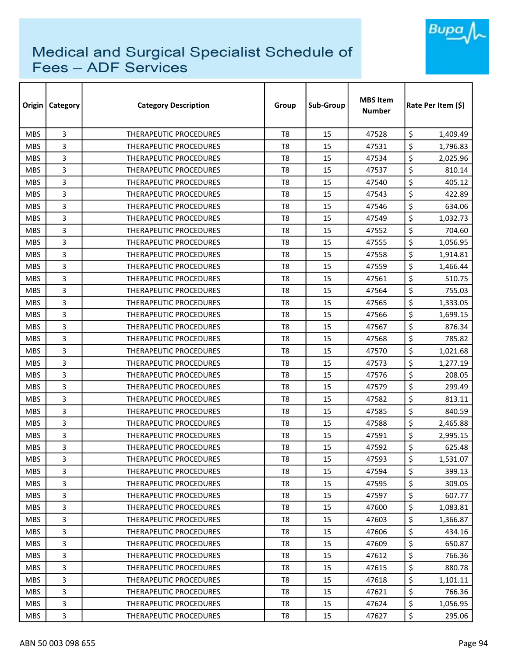

| Origin     | <b>Category</b> | <b>Category Description</b>   | Group          | Sub-Group | <b>MBS Item</b><br><b>Number</b> | Rate Per Item (\$) |
|------------|-----------------|-------------------------------|----------------|-----------|----------------------------------|--------------------|
| <b>MBS</b> | 3               | <b>THERAPEUTIC PROCEDURES</b> | T <sub>8</sub> | 15        | 47528                            | \$<br>1,409.49     |
| <b>MBS</b> | 3               | <b>THERAPEUTIC PROCEDURES</b> | T <sub>8</sub> | 15        | 47531                            | \$<br>1,796.83     |
| <b>MBS</b> | 3               | THERAPEUTIC PROCEDURES        | T8             | 15        | 47534                            | \$<br>2,025.96     |
| <b>MBS</b> | 3               | <b>THERAPEUTIC PROCEDURES</b> | T <sub>8</sub> | 15        | 47537                            | \$<br>810.14       |
| <b>MBS</b> | 3               | <b>THERAPEUTIC PROCEDURES</b> | T8             | 15        | 47540                            | \$<br>405.12       |
| <b>MBS</b> | 3               | <b>THERAPEUTIC PROCEDURES</b> | T <sub>8</sub> | 15        | 47543                            | \$<br>422.89       |
| <b>MBS</b> | 3               | <b>THERAPEUTIC PROCEDURES</b> | T <sub>8</sub> | 15        | 47546                            | \$<br>634.06       |
| <b>MBS</b> | 3               | <b>THERAPEUTIC PROCEDURES</b> | T8             | 15        | 47549                            | \$<br>1,032.73     |
| <b>MBS</b> | 3               | <b>THERAPEUTIC PROCEDURES</b> | T <sub>8</sub> | 15        | 47552                            | \$<br>704.60       |
| <b>MBS</b> | 3               | THERAPEUTIC PROCEDURES        | T <sub>8</sub> | 15        | 47555                            | \$<br>1,056.95     |
| <b>MBS</b> | 3               | THERAPEUTIC PROCEDURES        | T <sub>8</sub> | 15        | 47558                            | \$<br>1,914.81     |
| <b>MBS</b> | 3               | THERAPEUTIC PROCEDURES        | T <sub>8</sub> | 15        | 47559                            | \$<br>1,466.44     |
| <b>MBS</b> | 3               | THERAPEUTIC PROCEDURES        | T <sub>8</sub> | 15        | 47561                            | \$<br>510.75       |
| <b>MBS</b> | 3               | <b>THERAPEUTIC PROCEDURES</b> | T <sub>8</sub> | 15        | 47564                            | \$<br>755.03       |
| <b>MBS</b> | 3               | <b>THERAPEUTIC PROCEDURES</b> | T8             | 15        | 47565                            | \$<br>1,333.05     |
| <b>MBS</b> | 3               | <b>THERAPEUTIC PROCEDURES</b> | T <sub>8</sub> | 15        | 47566                            | \$<br>1,699.15     |
| <b>MBS</b> | 3               | THERAPEUTIC PROCEDURES        | T <sub>8</sub> | 15        | 47567                            | \$<br>876.34       |
| <b>MBS</b> | 3               | THERAPEUTIC PROCEDURES        | T <sub>8</sub> | 15        | 47568                            | \$<br>785.82       |
| <b>MBS</b> | 3               | <b>THERAPEUTIC PROCEDURES</b> | T <sub>8</sub> | 15        | 47570                            | \$<br>1,021.68     |
| <b>MBS</b> | 3               | <b>THERAPEUTIC PROCEDURES</b> | T <sub>8</sub> | 15        | 47573                            | \$<br>1,277.19     |
| <b>MBS</b> | 3               | <b>THERAPEUTIC PROCEDURES</b> | T8             | 15        | 47576                            | \$<br>208.05       |
| <b>MBS</b> | 3               | <b>THERAPEUTIC PROCEDURES</b> | T8             | 15        | 47579                            | \$<br>299.49       |
| <b>MBS</b> | 3               | THERAPEUTIC PROCEDURES        | T <sub>8</sub> | 15        | 47582                            | \$<br>813.11       |
| <b>MBS</b> | 3               | <b>THERAPEUTIC PROCEDURES</b> | T8             | 15        | 47585                            | \$<br>840.59       |
| <b>MBS</b> | 3               | THERAPEUTIC PROCEDURES        | T <sub>8</sub> | 15        | 47588                            | \$<br>2,465.88     |
| <b>MBS</b> | 3               | <b>THERAPEUTIC PROCEDURES</b> | T8             | 15        | 47591                            | \$<br>2,995.15     |
| <b>MBS</b> | 3               | <b>THERAPEUTIC PROCEDURES</b> | T8             | 15        | 47592                            | \$<br>625.48       |
| <b>MBS</b> | 3               | THERAPEUTIC PROCEDURES        | T <sub>8</sub> | 15        | 47593                            | \$<br>1,531.07     |
| <b>MBS</b> | 3               | <b>THERAPEUTIC PROCEDURES</b> | T8             | 15        | 47594                            | \$<br>399.13       |
| <b>MBS</b> | 3               | THERAPEUTIC PROCEDURES        | T8             | 15        | 47595                            | \$<br>309.05       |
| <b>MBS</b> | 3               | THERAPEUTIC PROCEDURES        | T <sub>8</sub> | 15        | 47597                            | \$<br>607.77       |
| <b>MBS</b> | 3               | <b>THERAPEUTIC PROCEDURES</b> | T8             | 15        | 47600                            | \$<br>1,083.81     |
| MBS.       | 3               | <b>THERAPEUTIC PROCEDURES</b> | T <sub>8</sub> | 15        | 47603                            | \$<br>1,366.87     |
| <b>MBS</b> | 3               | <b>THERAPEUTIC PROCEDURES</b> | T8             | 15        | 47606                            | \$<br>434.16       |
| <b>MBS</b> | 3               | <b>THERAPEUTIC PROCEDURES</b> | T <sub>8</sub> | 15        | 47609                            | \$<br>650.87       |
| <b>MBS</b> | 3               | THERAPEUTIC PROCEDURES        | T8             | 15        | 47612                            | \$<br>766.36       |
| <b>MBS</b> | 3               | THERAPEUTIC PROCEDURES        | T8             | 15        | 47615                            | \$<br>880.78       |
| <b>MBS</b> | 3               | THERAPEUTIC PROCEDURES        | T8             | 15        | 47618                            | \$<br>1,101.11     |
| <b>MBS</b> | 3               | THERAPEUTIC PROCEDURES        | T8             | 15        | 47621                            | \$<br>766.36       |
| <b>MBS</b> | 3               | THERAPEUTIC PROCEDURES        | T <sub>8</sub> | 15        | 47624                            | \$<br>1,056.95     |
| <b>MBS</b> | 3               | THERAPEUTIC PROCEDURES        | T8             | 15        | 47627                            | \$<br>295.06       |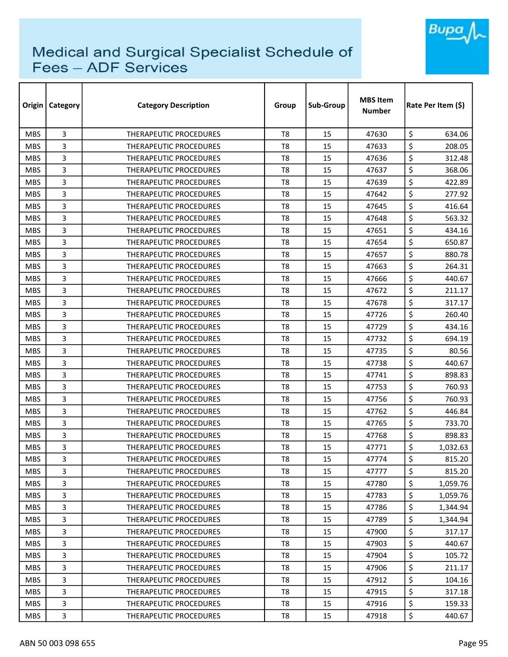

| Origin     | Category | <b>Category Description</b>   | Group          | Sub-Group | <b>MBS Item</b><br>Number | Rate Per Item (\$) |  |
|------------|----------|-------------------------------|----------------|-----------|---------------------------|--------------------|--|
| <b>MBS</b> | 3        | <b>THERAPEUTIC PROCEDURES</b> | T <sub>8</sub> | 15        | 47630                     | \$<br>634.06       |  |
| <b>MBS</b> | 3        | <b>THERAPEUTIC PROCEDURES</b> | T <sub>8</sub> | 15        | 47633                     | \$<br>208.05       |  |
| <b>MBS</b> | 3        | THERAPEUTIC PROCEDURES        | T <sub>8</sub> | 15        | 47636                     | \$<br>312.48       |  |
| <b>MBS</b> | 3        | <b>THERAPEUTIC PROCEDURES</b> | T <sub>8</sub> | 15        | 47637                     | \$<br>368.06       |  |
| <b>MBS</b> | 3        | <b>THERAPEUTIC PROCEDURES</b> | T <sub>8</sub> | 15        | 47639                     | \$<br>422.89       |  |
| <b>MBS</b> | 3        | THERAPEUTIC PROCEDURES        | T <sub>8</sub> | 15        | 47642                     | \$<br>277.92       |  |
| <b>MBS</b> | 3        | <b>THERAPEUTIC PROCEDURES</b> | T8             | 15        | 47645                     | \$<br>416.64       |  |
| <b>MBS</b> | 3        | <b>THERAPEUTIC PROCEDURES</b> | T8             | 15        | 47648                     | \$<br>563.32       |  |
| <b>MBS</b> | 3        | <b>THERAPEUTIC PROCEDURES</b> | T <sub>8</sub> | 15        | 47651                     | \$<br>434.16       |  |
| <b>MBS</b> | 3        | THERAPEUTIC PROCEDURES        | T <sub>8</sub> | 15        | 47654                     | \$<br>650.87       |  |
| <b>MBS</b> | 3        | THERAPEUTIC PROCEDURES        | T8             | 15        | 47657                     | \$<br>880.78       |  |
| <b>MBS</b> | 3        | THERAPEUTIC PROCEDURES        | T <sub>8</sub> | 15        | 47663                     | \$<br>264.31       |  |
| <b>MBS</b> | 3        | <b>THERAPEUTIC PROCEDURES</b> | T <sub>8</sub> | 15        | 47666                     | \$<br>440.67       |  |
| <b>MBS</b> | 3        | THERAPEUTIC PROCEDURES        | T <sub>8</sub> | 15        | 47672                     | \$<br>211.17       |  |
| <b>MBS</b> | 3        | <b>THERAPEUTIC PROCEDURES</b> | T8             | 15        | 47678                     | \$<br>317.17       |  |
| <b>MBS</b> | 3        | <b>THERAPEUTIC PROCEDURES</b> | T <sub>8</sub> | 15        | 47726                     | \$<br>260.40       |  |
| <b>MBS</b> | 3        | <b>THERAPEUTIC PROCEDURES</b> | T8             | 15        | 47729                     | \$<br>434.16       |  |
| <b>MBS</b> | 3        | THERAPEUTIC PROCEDURES        | T <sub>8</sub> | 15        | 47732                     | \$<br>694.19       |  |
| <b>MBS</b> | 3        | THERAPEUTIC PROCEDURES        | T8             | 15        | 47735                     | \$<br>80.56        |  |
| <b>MBS</b> | 3        | THERAPEUTIC PROCEDURES        | T8             | 15        | 47738                     | \$<br>440.67       |  |
| <b>MBS</b> | 3        | <b>THERAPEUTIC PROCEDURES</b> | T <sub>8</sub> | 15        | 47741                     | \$<br>898.83       |  |
| <b>MBS</b> | 3        | THERAPEUTIC PROCEDURES        | T <sub>8</sub> | 15        | 47753                     | \$<br>760.93       |  |
| <b>MBS</b> | 3        | <b>THERAPEUTIC PROCEDURES</b> | T <sub>8</sub> | 15        | 47756                     | \$<br>760.93       |  |
| <b>MBS</b> | 3        | <b>THERAPEUTIC PROCEDURES</b> | T <sub>8</sub> | 15        | 47762                     | \$<br>446.84       |  |
| <b>MBS</b> | 3        | THERAPEUTIC PROCEDURES        | T8             | 15        | 47765                     | \$<br>733.70       |  |
| <b>MBS</b> | 3        | <b>THERAPEUTIC PROCEDURES</b> | T <sub>8</sub> | 15        | 47768                     | \$<br>898.83       |  |
| <b>MBS</b> | 3        | <b>THERAPEUTIC PROCEDURES</b> | T8             | 15        | 47771                     | \$<br>1,032.63     |  |
| <b>MBS</b> | 3        | THERAPEUTIC PROCEDURES        | T <sub>8</sub> | 15        | 47774                     | \$<br>815.20       |  |
| <b>MBS</b> | 3        | THERAPEUTIC PROCEDURES        | T8             | 15        | 47777                     | \$<br>815.20       |  |
| <b>MBS</b> | 3        | THERAPEUTIC PROCEDURES        | T8             | 15        | 47780                     | \$<br>1,059.76     |  |
| <b>MBS</b> | 3        | <b>THERAPEUTIC PROCEDURES</b> | T <sub>8</sub> | 15        | 47783                     | \$<br>1,059.76     |  |
| <b>MBS</b> | 3        | THERAPEUTIC PROCEDURES        | T8             | 15        | 47786                     | \$<br>1,344.94     |  |
| <b>MBS</b> | 3        | THERAPEUTIC PROCEDURES        | T8             | 15        | 47789                     | \$<br>1,344.94     |  |
| <b>MBS</b> | 3        | THERAPEUTIC PROCEDURES        | T8             | 15        | 47900                     | \$<br>317.17       |  |
| <b>MBS</b> | 3        | <b>THERAPEUTIC PROCEDURES</b> | T <sub>8</sub> | 15        | 47903                     | \$<br>440.67       |  |
| <b>MBS</b> | 3        | THERAPEUTIC PROCEDURES        | T8             | 15        | 47904                     | \$<br>105.72       |  |
| <b>MBS</b> | 3        | THERAPEUTIC PROCEDURES        | T8             | 15        | 47906                     | \$<br>211.17       |  |
| <b>MBS</b> | 3        | THERAPEUTIC PROCEDURES        | T8             | 15        | 47912                     | \$<br>104.16       |  |
| <b>MBS</b> | 3        | THERAPEUTIC PROCEDURES        | T8             | 15        | 47915                     | \$<br>317.18       |  |
| <b>MBS</b> | 3        | THERAPEUTIC PROCEDURES        | T8             | 15        | 47916                     | \$<br>159.33       |  |
| <b>MBS</b> | 3        | THERAPEUTIC PROCEDURES        | T8             | 15        | 47918                     | \$<br>440.67       |  |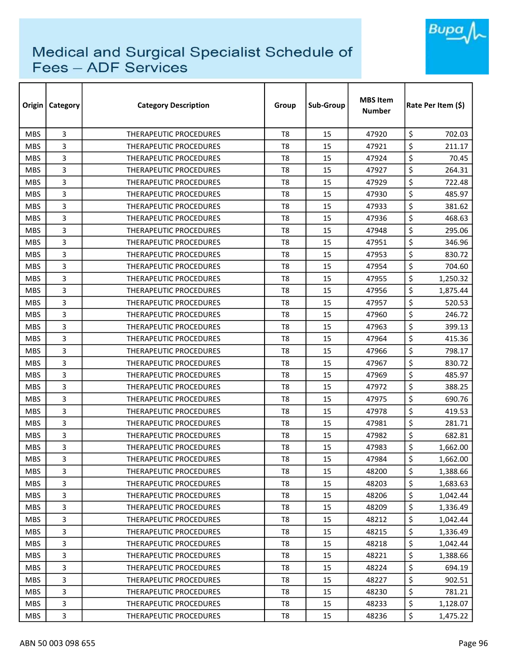

| Origin     | Category       | <b>Category Description</b>   | Group          | Sub-Group | <b>MBS Item</b><br><b>Number</b> | Rate Per Item (\$) |  |
|------------|----------------|-------------------------------|----------------|-----------|----------------------------------|--------------------|--|
| <b>MBS</b> | 3              | <b>THERAPEUTIC PROCEDURES</b> | T <sub>8</sub> | 15        | 47920                            | \$<br>702.03       |  |
| <b>MBS</b> | 3              | <b>THERAPEUTIC PROCEDURES</b> | T8             | 15        | 47921                            | \$<br>211.17       |  |
| <b>MBS</b> | 3              | <b>THERAPEUTIC PROCEDURES</b> | T8             | 15        | 47924                            | \$<br>70.45        |  |
| <b>MBS</b> | 3              | THERAPEUTIC PROCEDURES        | T <sub>8</sub> | 15        | 47927                            | \$<br>264.31       |  |
| <b>MBS</b> | 3              | <b>THERAPEUTIC PROCEDURES</b> | T8             | 15        | 47929                            | \$<br>722.48       |  |
| <b>MBS</b> | 3              | THERAPEUTIC PROCEDURES        | T <sub>8</sub> | 15        | 47930                            | \$<br>485.97       |  |
| <b>MBS</b> | 3              | <b>THERAPEUTIC PROCEDURES</b> | T <sub>8</sub> | 15        | 47933                            | \$<br>381.62       |  |
| <b>MBS</b> | 3              | <b>THERAPEUTIC PROCEDURES</b> | T <sub>8</sub> | 15        | 47936                            | \$<br>468.63       |  |
| <b>MBS</b> | 3              | <b>THERAPEUTIC PROCEDURES</b> | T <sub>8</sub> | 15        | 47948                            | \$<br>295.06       |  |
| <b>MBS</b> | 3              | THERAPEUTIC PROCEDURES        | T <sub>8</sub> | 15        | 47951                            | \$<br>346.96       |  |
| <b>MBS</b> | 3              | THERAPEUTIC PROCEDURES        | T <sub>8</sub> | 15        | 47953                            | \$<br>830.72       |  |
| <b>MBS</b> | 3              | THERAPEUTIC PROCEDURES        | T8             | 15        | 47954                            | \$<br>704.60       |  |
| <b>MBS</b> | 3              | THERAPEUTIC PROCEDURES        | T <sub>8</sub> | 15        | 47955                            | \$<br>1,250.32     |  |
| <b>MBS</b> | 3              | <b>THERAPEUTIC PROCEDURES</b> | T <sub>8</sub> | 15        | 47956                            | \$<br>1,875.44     |  |
| <b>MBS</b> | 3              | <b>THERAPEUTIC PROCEDURES</b> | T8             | 15        | 47957                            | \$<br>520.53       |  |
| <b>MBS</b> | 3              | <b>THERAPEUTIC PROCEDURES</b> | T <sub>8</sub> | 15        | 47960                            | \$<br>246.72       |  |
| <b>MBS</b> | 3              | THERAPEUTIC PROCEDURES        | T8             | 15        | 47963                            | \$<br>399.13       |  |
| <b>MBS</b> | 3              | THERAPEUTIC PROCEDURES        | T <sub>8</sub> | 15        | 47964                            | \$<br>415.36       |  |
| <b>MBS</b> | 3              | <b>THERAPEUTIC PROCEDURES</b> | T8             | 15        | 47966                            | \$<br>798.17       |  |
| <b>MBS</b> | 3              | THERAPEUTIC PROCEDURES        | T <sub>8</sub> | 15        | 47967                            | \$<br>830.72       |  |
| <b>MBS</b> | 3              | <b>THERAPEUTIC PROCEDURES</b> | T8             | 15        | 47969                            | \$<br>485.97       |  |
| <b>MBS</b> | 3              | <b>THERAPEUTIC PROCEDURES</b> | T8             | 15        | 47972                            | \$<br>388.25       |  |
| <b>MBS</b> | 3              | <b>THERAPEUTIC PROCEDURES</b> | T <sub>8</sub> | 15        | 47975                            | \$<br>690.76       |  |
| <b>MBS</b> | 3              | <b>THERAPEUTIC PROCEDURES</b> | T8             | 15        | 47978                            | \$<br>419.53       |  |
| <b>MBS</b> | 3              | THERAPEUTIC PROCEDURES        | T <sub>8</sub> | 15        | 47981                            | \$<br>281.71       |  |
| <b>MBS</b> | 3              | <b>THERAPEUTIC PROCEDURES</b> | T8             | 15        | 47982                            | \$<br>682.81       |  |
| <b>MBS</b> | 3              | <b>THERAPEUTIC PROCEDURES</b> | T8             | 15        | 47983                            | \$<br>1,662.00     |  |
| <b>MBS</b> | 3              | THERAPEUTIC PROCEDURES        | T8             | 15        | 47984                            | \$<br>1,662.00     |  |
| <b>MBS</b> | 3              | THERAPEUTIC PROCEDURES        | T8             | 15        | 48200                            | \$<br>1,388.66     |  |
| <b>MBS</b> | 3              | THERAPEUTIC PROCEDURES        | T8             | 15        | 48203                            | \$<br>1,683.63     |  |
| <b>MBS</b> | 3              | THERAPEUTIC PROCEDURES        | T8             | 15        | 48206                            | \$<br>1,042.44     |  |
| <b>MBS</b> | 3              | THERAPEUTIC PROCEDURES        | T8             | 15        | 48209                            | \$<br>1,336.49     |  |
| <b>MBS</b> | 3              | THERAPEUTIC PROCEDURES        | T8             | 15        | 48212                            | \$<br>1,042.44     |  |
| <b>MBS</b> | 3              | THERAPEUTIC PROCEDURES        | T8             | 15        | 48215                            | \$<br>1,336.49     |  |
| <b>MBS</b> | 3              | THERAPEUTIC PROCEDURES        | T8             | 15        | 48218                            | \$<br>1,042.44     |  |
| <b>MBS</b> | $\overline{3}$ | THERAPEUTIC PROCEDURES        | T8             | 15        | 48221                            | \$<br>1,388.66     |  |
| <b>MBS</b> | 3              | THERAPEUTIC PROCEDURES        | T8             | 15        | 48224                            | \$<br>694.19       |  |
| <b>MBS</b> | 3              | THERAPEUTIC PROCEDURES        | T8             | 15        | 48227                            | \$<br>902.51       |  |
| <b>MBS</b> | 3              | THERAPEUTIC PROCEDURES        | T8             | 15        | 48230                            | \$<br>781.21       |  |
| <b>MBS</b> | 3              | THERAPEUTIC PROCEDURES        | T8             | 15        | 48233                            | \$<br>1,128.07     |  |
| <b>MBS</b> | 3              | THERAPEUTIC PROCEDURES        | T8             | 15        | 48236                            | \$<br>1,475.22     |  |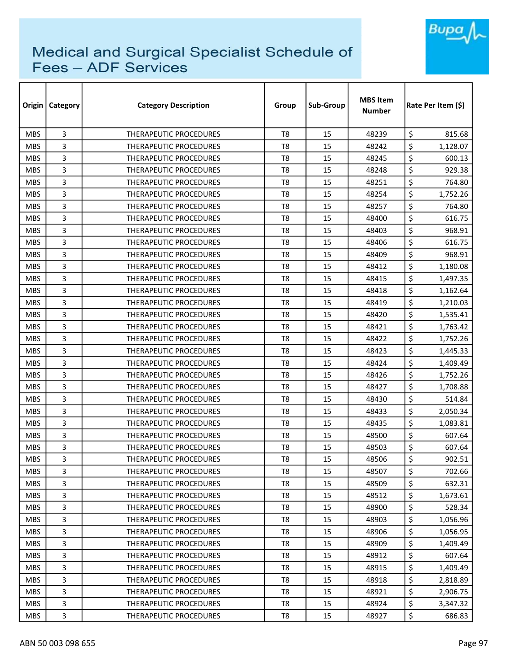

| Origin     | <b>Category</b> | <b>Category Description</b>   | Group          | Sub-Group | <b>MBS Item</b><br><b>Number</b> | Rate Per Item (\$) |
|------------|-----------------|-------------------------------|----------------|-----------|----------------------------------|--------------------|
| <b>MBS</b> | 3               | <b>THERAPEUTIC PROCEDURES</b> | T <sub>8</sub> | 15        | 48239                            | \$<br>815.68       |
| <b>MBS</b> | 3               | THERAPEUTIC PROCEDURES        | T <sub>8</sub> | 15        | 48242                            | \$<br>1,128.07     |
| <b>MBS</b> | 3               | THERAPEUTIC PROCEDURES        | T8             | 15        | 48245                            | \$<br>600.13       |
| <b>MBS</b> | 3               | THERAPEUTIC PROCEDURES        | T <sub>8</sub> | 15        | 48248                            | \$<br>929.38       |
| <b>MBS</b> | 3               | THERAPEUTIC PROCEDURES        | T8             | 15        | 48251                            | \$<br>764.80       |
| <b>MBS</b> | 3               | THERAPEUTIC PROCEDURES        | T <sub>8</sub> | 15        | 48254                            | \$<br>1,752.26     |
| <b>MBS</b> | 3               | THERAPEUTIC PROCEDURES        | T8             | 15        | 48257                            | \$<br>764.80       |
| <b>MBS</b> | 3               | <b>THERAPEUTIC PROCEDURES</b> | T8             | 15        | 48400                            | \$<br>616.75       |
| <b>MBS</b> | 3               | THERAPEUTIC PROCEDURES        | T <sub>8</sub> | 15        | 48403                            | \$<br>968.91       |
| <b>MBS</b> | 3               | THERAPEUTIC PROCEDURES        | T <sub>8</sub> | 15        | 48406                            | \$<br>616.75       |
| <b>MBS</b> | 3               | THERAPEUTIC PROCEDURES        | T <sub>8</sub> | 15        | 48409                            | \$<br>968.91       |
| <b>MBS</b> | 3               | THERAPEUTIC PROCEDURES        | T <sub>8</sub> | 15        | 48412                            | \$<br>1,180.08     |
| <b>MBS</b> | 3               | <b>THERAPEUTIC PROCEDURES</b> | T <sub>8</sub> | 15        | 48415                            | \$<br>1,497.35     |
| <b>MBS</b> | 3               | THERAPEUTIC PROCEDURES        | T <sub>8</sub> | 15        | 48418                            | \$<br>1,162.64     |
| <b>MBS</b> | 3               | THERAPEUTIC PROCEDURES        | T8             | 15        | 48419                            | \$<br>1,210.03     |
| <b>MBS</b> | 3               | THERAPEUTIC PROCEDURES        | T <sub>8</sub> | 15        | 48420                            | \$<br>1,535.41     |
| <b>MBS</b> | 3               | THERAPEUTIC PROCEDURES        | T <sub>8</sub> | 15        | 48421                            | \$<br>1,763.42     |
| <b>MBS</b> | 3               | THERAPEUTIC PROCEDURES        | T <sub>8</sub> | 15        | 48422                            | \$<br>1,752.26     |
| <b>MBS</b> | 3               | <b>THERAPEUTIC PROCEDURES</b> | T <sub>8</sub> | 15        | 48423                            | \$<br>1,445.33     |
| <b>MBS</b> | 3               | <b>THERAPEUTIC PROCEDURES</b> | T <sub>8</sub> | 15        | 48424                            | \$<br>1,409.49     |
| <b>MBS</b> | 3               | <b>THERAPEUTIC PROCEDURES</b> | T8             | 15        | 48426                            | \$<br>1,752.26     |
| <b>MBS</b> | 3               | <b>THERAPEUTIC PROCEDURES</b> | T8             | 15        | 48427                            | \$<br>1,708.88     |
| <b>MBS</b> | 3               | THERAPEUTIC PROCEDURES        | T <sub>8</sub> | 15        | 48430                            | \$<br>514.84       |
| <b>MBS</b> | 3               | <b>THERAPEUTIC PROCEDURES</b> | T8             | 15        | 48433                            | \$<br>2,050.34     |
| <b>MBS</b> | 3               | THERAPEUTIC PROCEDURES        | T <sub>8</sub> | 15        | 48435                            | \$<br>1,083.81     |
| <b>MBS</b> | 3               | <b>THERAPEUTIC PROCEDURES</b> | T8             | 15        | 48500                            | \$<br>607.64       |
| <b>MBS</b> | 3               | <b>THERAPEUTIC PROCEDURES</b> | T8             | 15        | 48503                            | \$<br>607.64       |
| <b>MBS</b> | 3               | THERAPEUTIC PROCEDURES        | T <sub>8</sub> | 15        | 48506                            | \$<br>902.51       |
| <b>MBS</b> | 3               | THERAPEUTIC PROCEDURES        | T8             | 15        | 48507                            | \$<br>702.66       |
| <b>MBS</b> | 3               | THERAPEUTIC PROCEDURES        | T8             | 15        | 48509                            | \$<br>632.31       |
| <b>MBS</b> | 3               | THERAPEUTIC PROCEDURES        | T8             | 15        | 48512                            | \$<br>1,673.61     |
| <b>MBS</b> | 3               | <b>THERAPEUTIC PROCEDURES</b> | T8             | 15        | 48900                            | \$<br>528.34       |
| MBS.       | 3               | THERAPEUTIC PROCEDURES        | T8             | 15        | 48903                            | \$<br>1,056.96     |
| <b>MBS</b> | 3               | <b>THERAPEUTIC PROCEDURES</b> | T8             | 15        | 48906                            | \$<br>1,056.95     |
| <b>MBS</b> | 3               | THERAPEUTIC PROCEDURES        | T <sub>8</sub> | 15        | 48909                            | \$<br>1,409.49     |
| <b>MBS</b> | 3               | THERAPEUTIC PROCEDURES        | T8             | 15        | 48912                            | \$<br>607.64       |
| <b>MBS</b> | 3               | THERAPEUTIC PROCEDURES        | T8             | 15        | 48915                            | \$<br>1,409.49     |
| <b>MBS</b> | 3               | THERAPEUTIC PROCEDURES        | T8             | 15        | 48918                            | \$<br>2,818.89     |
| <b>MBS</b> | 3               | THERAPEUTIC PROCEDURES        | T8             | 15        | 48921                            | \$<br>2,906.75     |
| <b>MBS</b> | 3               | THERAPEUTIC PROCEDURES        | T8             | 15        | 48924                            | \$<br>3,347.32     |
| <b>MBS</b> | 3               | THERAPEUTIC PROCEDURES        | T8             | 15        | 48927                            | \$<br>686.83       |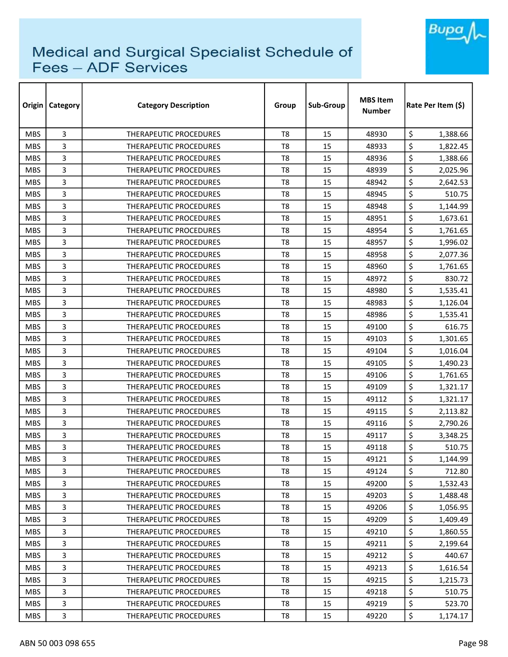

| Origin     | Category | <b>Category Description</b>   | Group          | Sub-Group | <b>MBS Item</b><br><b>Number</b> | Rate Per Item (\$) |
|------------|----------|-------------------------------|----------------|-----------|----------------------------------|--------------------|
| <b>MBS</b> | 3        | <b>THERAPEUTIC PROCEDURES</b> | T <sub>8</sub> | 15        | 48930                            | \$<br>1,388.66     |
| <b>MBS</b> | 3        | <b>THERAPEUTIC PROCEDURES</b> | T8             | 15        | 48933                            | \$<br>1,822.45     |
| <b>MBS</b> | 3        | THERAPEUTIC PROCEDURES        | T <sub>8</sub> | 15        | 48936                            | \$<br>1,388.66     |
| <b>MBS</b> | 3        | THERAPEUTIC PROCEDURES        | T <sub>8</sub> | 15        | 48939                            | \$<br>2,025.96     |
| <b>MBS</b> | 3        | <b>THERAPEUTIC PROCEDURES</b> | T <sub>8</sub> | 15        | 48942                            | \$<br>2,642.53     |
| <b>MBS</b> | 3        | THERAPEUTIC PROCEDURES        | T <sub>8</sub> | 15        | 48945                            | \$<br>510.75       |
| <b>MBS</b> | 3        | <b>THERAPEUTIC PROCEDURES</b> | T8             | 15        | 48948                            | \$<br>1,144.99     |
| <b>MBS</b> | 3        | <b>THERAPEUTIC PROCEDURES</b> | T8             | 15        | 48951                            | \$<br>1,673.61     |
| <b>MBS</b> | 3        | <b>THERAPEUTIC PROCEDURES</b> | T <sub>8</sub> | 15        | 48954                            | \$<br>1,761.65     |
| <b>MBS</b> | 3        | <b>THERAPEUTIC PROCEDURES</b> | T <sub>8</sub> | 15        | 48957                            | \$<br>1,996.02     |
| <b>MBS</b> | 3        | THERAPEUTIC PROCEDURES        | T <sub>8</sub> | 15        | 48958                            | \$<br>2,077.36     |
| <b>MBS</b> | 3        | THERAPEUTIC PROCEDURES        | T <sub>8</sub> | 15        | 48960                            | \$<br>1,761.65     |
| <b>MBS</b> | 3        | <b>THERAPEUTIC PROCEDURES</b> | T8             | 15        | 48972                            | \$<br>830.72       |
| <b>MBS</b> | 3        | THERAPEUTIC PROCEDURES        | T <sub>8</sub> | 15        | 48980                            | \$<br>1,535.41     |
| <b>MBS</b> | 3        | <b>THERAPEUTIC PROCEDURES</b> | T8             | 15        | 48983                            | \$<br>1,126.04     |
| <b>MBS</b> | 3        | <b>THERAPEUTIC PROCEDURES</b> | T <sub>8</sub> | 15        | 48986                            | \$<br>1,535.41     |
| <b>MBS</b> | 3        | <b>THERAPEUTIC PROCEDURES</b> | T8             | 15        | 49100                            | \$<br>616.75       |
| <b>MBS</b> | 3        | THERAPEUTIC PROCEDURES        | T <sub>8</sub> | 15        | 49103                            | \$<br>1,301.65     |
| <b>MBS</b> | 3        | <b>THERAPEUTIC PROCEDURES</b> | T8             | 15        | 49104                            | \$<br>1,016.04     |
| <b>MBS</b> | 3        | <b>THERAPEUTIC PROCEDURES</b> | T8             | 15        | 49105                            | \$<br>1,490.23     |
| <b>MBS</b> | 3        | <b>THERAPEUTIC PROCEDURES</b> | T8             | 15        | 49106                            | \$<br>1,761.65     |
| <b>MBS</b> | 3        | THERAPEUTIC PROCEDURES        | T <sub>8</sub> | 15        | 49109                            | \$<br>1,321.17     |
| <b>MBS</b> | 3        | THERAPEUTIC PROCEDURES        | T <sub>8</sub> | 15        | 49112                            | \$<br>1,321.17     |
| <b>MBS</b> | 3        | <b>THERAPEUTIC PROCEDURES</b> | T <sub>8</sub> | 15        | 49115                            | \$<br>2,113.82     |
| <b>MBS</b> | 3        | THERAPEUTIC PROCEDURES        | T8             | 15        | 49116                            | \$<br>2,790.26     |
| <b>MBS</b> | 3        | <b>THERAPEUTIC PROCEDURES</b> | T <sub>8</sub> | 15        | 49117                            | \$<br>3,348.25     |
| <b>MBS</b> | 3        | <b>THERAPEUTIC PROCEDURES</b> | T8             | 15        | 49118                            | \$<br>510.75       |
| <b>MBS</b> | 3        | THERAPEUTIC PROCEDURES        | T <sub>8</sub> | 15        | 49121                            | \$<br>1,144.99     |
| <b>MBS</b> | 3        | THERAPEUTIC PROCEDURES        | T8             | 15        | 49124                            | \$<br>712.80       |
| <b>MBS</b> | 3        | THERAPEUTIC PROCEDURES        | T8             | 15        | 49200                            | \$<br>1,532.43     |
| <b>MBS</b> | 3        | THERAPEUTIC PROCEDURES        | T8             | 15        | 49203                            | \$<br>1,488.48     |
| <b>MBS</b> | 3        | THERAPEUTIC PROCEDURES        | T8             | 15        | 49206                            | \$<br>1,056.95     |
| <b>MBS</b> | 3        | THERAPEUTIC PROCEDURES        | T8             | 15        | 49209                            | \$<br>1,409.49     |
| <b>MBS</b> | 3        | THERAPEUTIC PROCEDURES        | T8             | 15        | 49210                            | \$<br>1,860.55     |
| <b>MBS</b> | 3        | <b>THERAPEUTIC PROCEDURES</b> | T <sub>8</sub> | 15        | 49211                            | \$<br>2,199.64     |
| <b>MBS</b> | 3        | THERAPEUTIC PROCEDURES        | $\mathsf{T}8$  | 15        | 49212                            | \$<br>440.67       |
| <b>MBS</b> | 3        | THERAPEUTIC PROCEDURES        | T8             | 15        | 49213                            | \$<br>1,616.54     |
| <b>MBS</b> | 3        | THERAPEUTIC PROCEDURES        | T8             | 15        | 49215                            | \$<br>1,215.73     |
| <b>MBS</b> | 3        | THERAPEUTIC PROCEDURES        | T8             | 15        | 49218                            | \$<br>510.75       |
| <b>MBS</b> | 3        | THERAPEUTIC PROCEDURES        | T8             | 15        | 49219                            | \$<br>523.70       |
| <b>MBS</b> | 3        | THERAPEUTIC PROCEDURES        | T8             | 15        | 49220                            | \$<br>1,174.17     |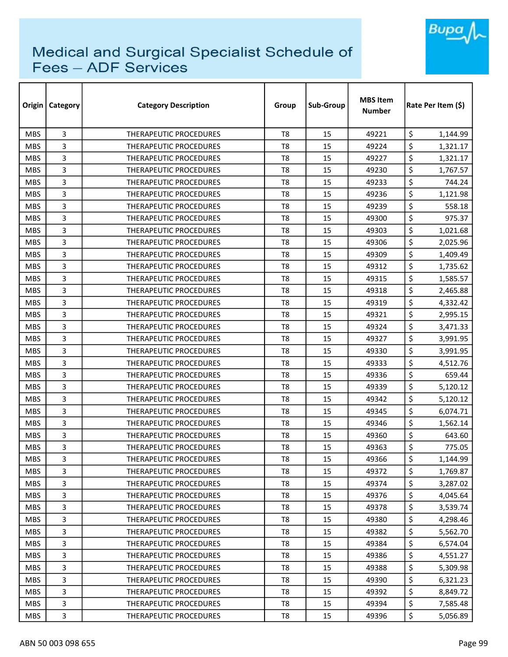

| Origin     | Category       | <b>Category Description</b>   | Group          | Sub-Group | <b>MBS Item</b><br><b>Number</b> | Rate Per Item (\$) |  |
|------------|----------------|-------------------------------|----------------|-----------|----------------------------------|--------------------|--|
| <b>MBS</b> | 3              | THERAPEUTIC PROCEDURES        | T <sub>8</sub> | 15        | 49221                            | \$<br>1,144.99     |  |
| <b>MBS</b> | 3              | <b>THERAPEUTIC PROCEDURES</b> | T8             | 15        | 49224                            | \$<br>1,321.17     |  |
| <b>MBS</b> | 3              | <b>THERAPEUTIC PROCEDURES</b> | T8             | 15        | 49227                            | \$<br>1,321.17     |  |
| <b>MBS</b> | 3              | THERAPEUTIC PROCEDURES        | T <sub>8</sub> | 15        | 49230                            | \$<br>1,767.57     |  |
| <b>MBS</b> | 3              | <b>THERAPEUTIC PROCEDURES</b> | T8             | 15        | 49233                            | \$<br>744.24       |  |
| <b>MBS</b> | 3              | <b>THERAPEUTIC PROCEDURES</b> | T <sub>8</sub> | 15        | 49236                            | \$<br>1,121.98     |  |
| <b>MBS</b> | 3              | THERAPEUTIC PROCEDURES        | T8             | 15        | 49239                            | \$<br>558.18       |  |
| <b>MBS</b> | 3              | <b>THERAPEUTIC PROCEDURES</b> | T8             | 15        | 49300                            | \$<br>975.37       |  |
| <b>MBS</b> | 3              | <b>THERAPEUTIC PROCEDURES</b> | T8             | 15        | 49303                            | \$<br>1,021.68     |  |
| <b>MBS</b> | 3              | <b>THERAPEUTIC PROCEDURES</b> | T8             | 15        | 49306                            | \$<br>2,025.96     |  |
| <b>MBS</b> | 3              | THERAPEUTIC PROCEDURES        | T <sub>8</sub> | 15        | 49309                            | \$<br>1,409.49     |  |
| <b>MBS</b> | 3              | <b>THERAPEUTIC PROCEDURES</b> | T8             | 15        | 49312                            | \$<br>1,735.62     |  |
| <b>MBS</b> | 3              | THERAPEUTIC PROCEDURES        | T <sub>8</sub> | 15        | 49315                            | \$<br>1,585.57     |  |
| <b>MBS</b> | 3              | <b>THERAPEUTIC PROCEDURES</b> | T <sub>8</sub> | 15        | 49318                            | \$<br>2,465.88     |  |
| <b>MBS</b> | 3              | <b>THERAPEUTIC PROCEDURES</b> | T8             | 15        | 49319                            | \$<br>4,332.42     |  |
| <b>MBS</b> | 3              | <b>THERAPEUTIC PROCEDURES</b> | T8             | 15        | 49321                            | \$<br>2,995.15     |  |
| <b>MBS</b> | 3              | <b>THERAPEUTIC PROCEDURES</b> | T8             | 15        | 49324                            | \$<br>3,471.33     |  |
| <b>MBS</b> | 3              | THERAPEUTIC PROCEDURES        | T <sub>8</sub> | 15        | 49327                            | \$<br>3,991.95     |  |
| <b>MBS</b> | 3              | <b>THERAPEUTIC PROCEDURES</b> | T8             | 15        | 49330                            | \$<br>3,991.95     |  |
| <b>MBS</b> | 3              | THERAPEUTIC PROCEDURES        | T8             | 15        | 49333                            | \$<br>4,512.76     |  |
| <b>MBS</b> | 3              | <b>THERAPEUTIC PROCEDURES</b> | T8             | 15        | 49336                            | \$<br>659.44       |  |
| <b>MBS</b> | 3              | THERAPEUTIC PROCEDURES        | T8             | 15        | 49339                            | \$<br>5,120.12     |  |
| <b>MBS</b> | 3              | <b>THERAPEUTIC PROCEDURES</b> | T <sub>8</sub> | 15        | 49342                            | \$<br>5,120.12     |  |
| <b>MBS</b> | 3              | THERAPEUTIC PROCEDURES        | T8             | 15        | 49345                            | \$<br>6,074.71     |  |
| <b>MBS</b> | 3              | THERAPEUTIC PROCEDURES        | T <sub>8</sub> | 15        | 49346                            | \$<br>1,562.14     |  |
| <b>MBS</b> | 3              | <b>THERAPEUTIC PROCEDURES</b> | T8             | 15        | 49360                            | \$<br>643.60       |  |
| <b>MBS</b> | 3              | <b>THERAPEUTIC PROCEDURES</b> | T8             | 15        | 49363                            | \$<br>775.05       |  |
| <b>MBS</b> | 3              | THERAPEUTIC PROCEDURES        | T8             | 15        | 49366                            | \$<br>1,144.99     |  |
| <b>MBS</b> | 3              | THERAPEUTIC PROCEDURES        | T8             | 15        | 49372                            | \$<br>1,769.87     |  |
| <b>MBS</b> | 3              | THERAPEUTIC PROCEDURES        | T8             | 15        | 49374                            | \$<br>3,287.02     |  |
| <b>MBS</b> | 3              | THERAPEUTIC PROCEDURES        | T8             | 15        | 49376                            | \$<br>4,045.64     |  |
| <b>MBS</b> | 3              | THERAPEUTIC PROCEDURES        | T8             | 15        | 49378                            | \$<br>3,539.74     |  |
| <b>MBS</b> | 3              | THERAPEUTIC PROCEDURES        | T8             | 15        | 49380                            | \$<br>4,298.46     |  |
| <b>MBS</b> | 3              | THERAPEUTIC PROCEDURES        | T8             | 15        | 49382                            | \$<br>5,562.70     |  |
| <b>MBS</b> | 3              | THERAPEUTIC PROCEDURES        | T8             | 15        | 49384                            | \$<br>6,574.04     |  |
| <b>MBS</b> | $\overline{3}$ | THERAPEUTIC PROCEDURES        | T8             | 15        | 49386                            | \$<br>4,551.27     |  |
| <b>MBS</b> | 3              | THERAPEUTIC PROCEDURES        | T8             | 15        | 49388                            | \$<br>5,309.98     |  |
| <b>MBS</b> | 3              | THERAPEUTIC PROCEDURES        | T8             | 15        | 49390                            | \$<br>6,321.23     |  |
| <b>MBS</b> | 3              | THERAPEUTIC PROCEDURES        | T8             | 15        | 49392                            | \$<br>8,849.72     |  |
| <b>MBS</b> | 3              | THERAPEUTIC PROCEDURES        | T8             | 15        | 49394                            | \$<br>7,585.48     |  |
| <b>MBS</b> | 3              | THERAPEUTIC PROCEDURES        | T8             | 15        | 49396                            | \$<br>5,056.89     |  |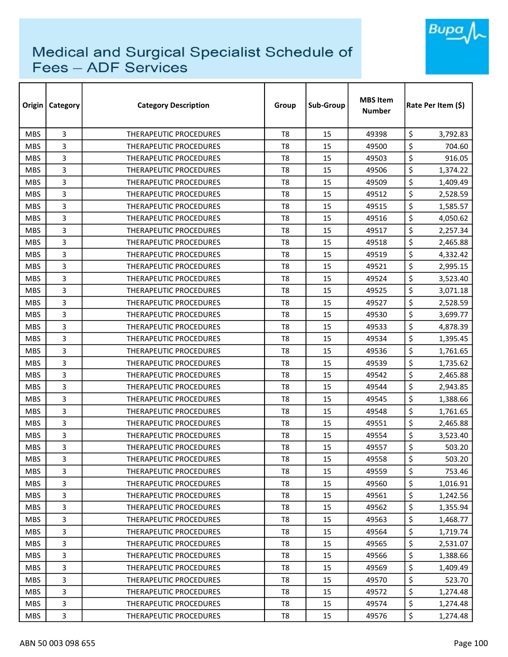

| Origin     | <b>Category</b> | <b>Category Description</b>   | Group          | Sub-Group | <b>MBS Item</b><br><b>Number</b> | Rate Per Item (\$) |
|------------|-----------------|-------------------------------|----------------|-----------|----------------------------------|--------------------|
| <b>MBS</b> | 3               | <b>THERAPEUTIC PROCEDURES</b> | T <sub>8</sub> | 15        | 49398                            | \$<br>3,792.83     |
| <b>MBS</b> | 3               | THERAPEUTIC PROCEDURES        | T <sub>8</sub> | 15        | 49500                            | \$<br>704.60       |
| <b>MBS</b> | 3               | THERAPEUTIC PROCEDURES        | T8             | 15        | 49503                            | \$<br>916.05       |
| <b>MBS</b> | 3               | <b>THERAPEUTIC PROCEDURES</b> | T <sub>8</sub> | 15        | 49506                            | \$<br>1,374.22     |
| <b>MBS</b> | 3               | <b>THERAPEUTIC PROCEDURES</b> | T8             | 15        | 49509                            | \$<br>1,409.49     |
| <b>MBS</b> | 3               | THERAPEUTIC PROCEDURES        | T8             | 15        | 49512                            | \$<br>2,528.59     |
| <b>MBS</b> | 3               | <b>THERAPEUTIC PROCEDURES</b> | T <sub>8</sub> | 15        | 49515                            | \$<br>1,585.57     |
| <b>MBS</b> | 3               | <b>THERAPEUTIC PROCEDURES</b> | T8             | 15        | 49516                            | \$<br>4,050.62     |
| <b>MBS</b> | 3               | <b>THERAPEUTIC PROCEDURES</b> | T <sub>8</sub> | 15        | 49517                            | \$<br>2,257.34     |
| <b>MBS</b> | 3               | THERAPEUTIC PROCEDURES        | T8             | 15        | 49518                            | \$<br>2,465.88     |
| <b>MBS</b> | 3               | THERAPEUTIC PROCEDURES        | T <sub>8</sub> | 15        | 49519                            | \$<br>4,332.42     |
| <b>MBS</b> | 3               | THERAPEUTIC PROCEDURES        | T <sub>8</sub> | 15        | 49521                            | \$<br>2,995.15     |
| <b>MBS</b> | 3               | THERAPEUTIC PROCEDURES        | T <sub>8</sub> | 15        | 49524                            | \$<br>3,523.40     |
| <b>MBS</b> | 3               | <b>THERAPEUTIC PROCEDURES</b> | T <sub>8</sub> | 15        | 49525                            | \$<br>3,071.18     |
| <b>MBS</b> | 3               | <b>THERAPEUTIC PROCEDURES</b> | T8             | 15        | 49527                            | \$<br>2,528.59     |
| <b>MBS</b> | 3               | <b>THERAPEUTIC PROCEDURES</b> | T8             | 15        | 49530                            | \$<br>3,699.77     |
| <b>MBS</b> | 3               | THERAPEUTIC PROCEDURES        | T8             | 15        | 49533                            | \$<br>4,878.39     |
| <b>MBS</b> | 3               | THERAPEUTIC PROCEDURES        | T <sub>8</sub> | 15        | 49534                            | \$<br>1,395.45     |
| <b>MBS</b> | 3               | <b>THERAPEUTIC PROCEDURES</b> | T <sub>8</sub> | 15        | 49536                            | \$<br>1,761.65     |
| <b>MBS</b> | 3               | <b>THERAPEUTIC PROCEDURES</b> | T8             | 15        | 49539                            | \$<br>1,735.62     |
| <b>MBS</b> | 3               | <b>THERAPEUTIC PROCEDURES</b> | T8             | 15        | 49542                            | \$<br>2,465.88     |
| <b>MBS</b> | 3               | <b>THERAPEUTIC PROCEDURES</b> | T8             | 15        | 49544                            | \$<br>2,943.85     |
| <b>MBS</b> | 3               | THERAPEUTIC PROCEDURES        | T <sub>8</sub> | 15        | 49545                            | \$<br>1,388.66     |
| <b>MBS</b> | 3               | <b>THERAPEUTIC PROCEDURES</b> | T8             | 15        | 49548                            | \$<br>1,761.65     |
| <b>MBS</b> | 3               | THERAPEUTIC PROCEDURES        | T8             | 15        | 49551                            | \$<br>2,465.88     |
| <b>MBS</b> | 3               | <b>THERAPEUTIC PROCEDURES</b> | T8             | 15        | 49554                            | \$<br>3,523.40     |
| <b>MBS</b> | 3               | <b>THERAPEUTIC PROCEDURES</b> | T8             | 15        | 49557                            | \$<br>503.20       |
| <b>MBS</b> | 3               | THERAPEUTIC PROCEDURES        | T <sub>8</sub> | 15        | 49558                            | \$<br>503.20       |
| <b>MBS</b> | 3               | <b>THERAPEUTIC PROCEDURES</b> | T8             | 15        | 49559                            | \$<br>753.46       |
| <b>MBS</b> | 3               | THERAPEUTIC PROCEDURES        | T8             | 15        | 49560                            | \$<br>1,016.91     |
| <b>MBS</b> | 3               | THERAPEUTIC PROCEDURES        | T8             | 15        | 49561                            | \$<br>1,242.56     |
| <b>MBS</b> | 3               | THERAPEUTIC PROCEDURES        | T8             | 15        | 49562                            | \$<br>1,355.94     |
| MBS.       | 3               | THERAPEUTIC PROCEDURES        | T8             | 15        | 49563                            | \$<br>1,468.77     |
| <b>MBS</b> | 3               | THERAPEUTIC PROCEDURES        | T8             | 15        | 49564                            | \$<br>1,719.74     |
| <b>MBS</b> | 3               | <b>THERAPEUTIC PROCEDURES</b> | T8             | 15        | 49565                            | \$<br>2,531.07     |
| <b>MBS</b> | 3               | THERAPEUTIC PROCEDURES        | T8             | 15        | 49566                            | \$<br>1,388.66     |
| <b>MBS</b> | 3               | THERAPEUTIC PROCEDURES        | T8             | 15        | 49569                            | \$<br>1,409.49     |
| <b>MBS</b> | 3               | THERAPEUTIC PROCEDURES        | T8             | 15        | 49570                            | \$<br>523.70       |
| <b>MBS</b> | 3               | THERAPEUTIC PROCEDURES        | T8             | 15        | 49572                            | \$<br>1,274.48     |
| <b>MBS</b> | 3               | THERAPEUTIC PROCEDURES        | T8             | 15        | 49574                            | \$<br>1,274.48     |
| <b>MBS</b> | 3               | THERAPEUTIC PROCEDURES        | T8             | 15        | 49576                            | \$<br>1,274.48     |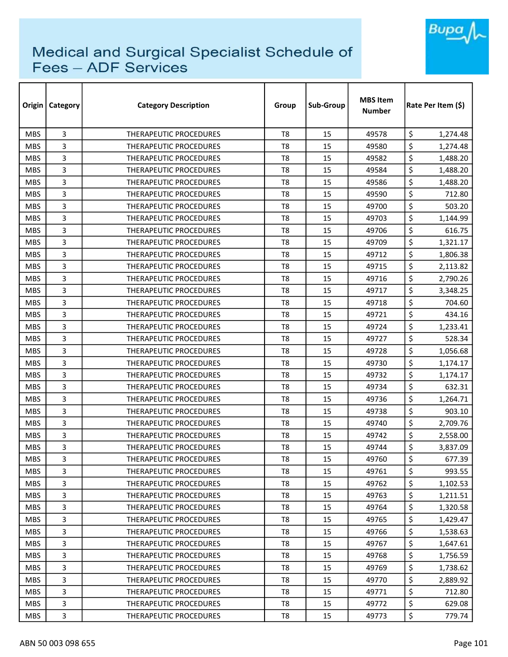

| Origin     | Category       | <b>Category Description</b>   | Group          | Sub-Group | <b>MBS Item</b><br><b>Number</b> | Rate Per Item (\$) |
|------------|----------------|-------------------------------|----------------|-----------|----------------------------------|--------------------|
| <b>MBS</b> | 3              | THERAPEUTIC PROCEDURES        | T <sub>8</sub> | 15        | 49578                            | \$<br>1,274.48     |
| <b>MBS</b> | 3              | THERAPEUTIC PROCEDURES        | T8             | 15        | 49580                            | \$<br>1,274.48     |
| <b>MBS</b> | 3              | THERAPEUTIC PROCEDURES        | T8             | 15        | 49582                            | \$<br>1,488.20     |
| <b>MBS</b> | 3              | THERAPEUTIC PROCEDURES        | T <sub>8</sub> | 15        | 49584                            | \$<br>1,488.20     |
| <b>MBS</b> | 3              | THERAPEUTIC PROCEDURES        | T8             | 15        | 49586                            | \$<br>1,488.20     |
| <b>MBS</b> | 3              | THERAPEUTIC PROCEDURES        | T <sub>8</sub> | 15        | 49590                            | \$<br>712.80       |
| <b>MBS</b> | 3              | THERAPEUTIC PROCEDURES        | T8             | 15        | 49700                            | \$<br>503.20       |
| <b>MBS</b> | 3              | THERAPEUTIC PROCEDURES        | T8             | 15        | 49703                            | \$<br>1,144.99     |
| <b>MBS</b> | 3              | THERAPEUTIC PROCEDURES        | T8             | 15        | 49706                            | \$<br>616.75       |
| <b>MBS</b> | 3              | THERAPEUTIC PROCEDURES        | T8             | 15        | 49709                            | \$<br>1,321.17     |
| <b>MBS</b> | 3              | THERAPEUTIC PROCEDURES        | T <sub>8</sub> | 15        | 49712                            | \$<br>1,806.38     |
| <b>MBS</b> | 3              | THERAPEUTIC PROCEDURES        | T8             | 15        | 49715                            | \$<br>2,113.82     |
| <b>MBS</b> | 3              | THERAPEUTIC PROCEDURES        | T <sub>8</sub> | 15        | 49716                            | \$<br>2,790.26     |
| <b>MBS</b> | 3              | THERAPEUTIC PROCEDURES        | T <sub>8</sub> | 15        | 49717                            | \$<br>3,348.25     |
| <b>MBS</b> | 3              | <b>THERAPEUTIC PROCEDURES</b> | T8             | 15        | 49718                            | \$<br>704.60       |
| <b>MBS</b> | 3              | <b>THERAPEUTIC PROCEDURES</b> | T8             | 15        | 49721                            | \$<br>434.16       |
| <b>MBS</b> | 3              | <b>THERAPEUTIC PROCEDURES</b> | T8             | 15        | 49724                            | \$<br>1,233.41     |
| <b>MBS</b> | 3              | THERAPEUTIC PROCEDURES        | T <sub>8</sub> | 15        | 49727                            | \$<br>528.34       |
| <b>MBS</b> | 3              | <b>THERAPEUTIC PROCEDURES</b> | T8             | 15        | 49728                            | \$<br>1,056.68     |
| <b>MBS</b> | 3              | THERAPEUTIC PROCEDURES        | T8             | 15        | 49730                            | \$<br>1,174.17     |
| <b>MBS</b> | 3              | <b>THERAPEUTIC PROCEDURES</b> | T8             | 15        | 49732                            | \$<br>1,174.17     |
| <b>MBS</b> | 3              | <b>THERAPEUTIC PROCEDURES</b> | T8             | 15        | 49734                            | \$<br>632.31       |
| <b>MBS</b> | 3              | THERAPEUTIC PROCEDURES        | T <sub>8</sub> | 15        | 49736                            | \$<br>1,264.71     |
| <b>MBS</b> | 3              | THERAPEUTIC PROCEDURES        | T8             | 15        | 49738                            | \$<br>903.10       |
| <b>MBS</b> | 3              | THERAPEUTIC PROCEDURES        | T <sub>8</sub> | 15        | 49740                            | \$<br>2,709.76     |
| <b>MBS</b> | 3              | THERAPEUTIC PROCEDURES        | T8             | 15        | 49742                            | \$<br>2,558.00     |
| <b>MBS</b> | 3              | <b>THERAPEUTIC PROCEDURES</b> | T8             | 15        | 49744                            | \$<br>3,837.09     |
| <b>MBS</b> | 3              | THERAPEUTIC PROCEDURES        | T8             | 15        | 49760                            | \$<br>677.39       |
| <b>MBS</b> | 3              | THERAPEUTIC PROCEDURES        | T8             | 15        | 49761                            | \$<br>993.55       |
| <b>MBS</b> | 3              | THERAPEUTIC PROCEDURES        | T8             | 15        | 49762                            | \$<br>1,102.53     |
| <b>MBS</b> | 3              | THERAPEUTIC PROCEDURES        | T8             | 15        | 49763                            | \$<br>1,211.51     |
| <b>MBS</b> | 3              | THERAPEUTIC PROCEDURES        | T8             | 15        | 49764                            | \$<br>1,320.58     |
| <b>MBS</b> | 3              | THERAPEUTIC PROCEDURES        | T8             | 15        | 49765                            | \$<br>1,429.47     |
| <b>MBS</b> | 3              | THERAPEUTIC PROCEDURES        | T8             | 15        | 49766                            | \$<br>1,538.63     |
| <b>MBS</b> | 3              | THERAPEUTIC PROCEDURES        | T8             | 15        | 49767                            | \$<br>1,647.61     |
| <b>MBS</b> | $\overline{3}$ | THERAPEUTIC PROCEDURES        | T8             | 15        | 49768                            | \$<br>1,756.59     |
| <b>MBS</b> | 3              | THERAPEUTIC PROCEDURES        | T8             | 15        | 49769                            | \$<br>1,738.62     |
| <b>MBS</b> | 3              | THERAPEUTIC PROCEDURES        | T8             | 15        | 49770                            | \$<br>2,889.92     |
| <b>MBS</b> | 3              | THERAPEUTIC PROCEDURES        | T8             | 15        | 49771                            | \$<br>712.80       |
| <b>MBS</b> | 3              | THERAPEUTIC PROCEDURES        | T8             | 15        | 49772                            | \$<br>629.08       |
| <b>MBS</b> | 3              | THERAPEUTIC PROCEDURES        | T8             | 15        | 49773                            | \$<br>779.74       |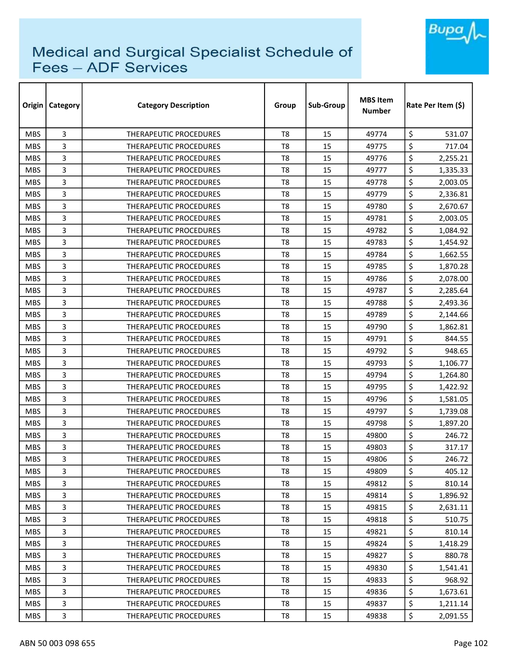

| Origin     | Category       | <b>Category Description</b>   | Group          | Sub-Group | <b>MBS Item</b><br><b>Number</b> | Rate Per Item (\$) |  |
|------------|----------------|-------------------------------|----------------|-----------|----------------------------------|--------------------|--|
| <b>MBS</b> | 3              | THERAPEUTIC PROCEDURES        | T <sub>8</sub> | 15        | 49774                            | \$<br>531.07       |  |
| <b>MBS</b> | 3              | <b>THERAPEUTIC PROCEDURES</b> | T8             | 15        | 49775                            | \$<br>717.04       |  |
| <b>MBS</b> | 3              | <b>THERAPEUTIC PROCEDURES</b> | T8             | 15        | 49776                            | \$<br>2,255.21     |  |
| <b>MBS</b> | 3              | THERAPEUTIC PROCEDURES        | T <sub>8</sub> | 15        | 49777                            | \$<br>1,335.33     |  |
| <b>MBS</b> | 3              | <b>THERAPEUTIC PROCEDURES</b> | T8             | 15        | 49778                            | \$<br>2,003.05     |  |
| <b>MBS</b> | 3              | THERAPEUTIC PROCEDURES        | T <sub>8</sub> | 15        | 49779                            | \$<br>2,336.81     |  |
| <b>MBS</b> | 3              | <b>THERAPEUTIC PROCEDURES</b> | T8             | 15        | 49780                            | \$<br>2,670.67     |  |
| <b>MBS</b> | 3              | THERAPEUTIC PROCEDURES        | T8             | 15        | 49781                            | \$<br>2,003.05     |  |
| <b>MBS</b> | 3              | <b>THERAPEUTIC PROCEDURES</b> | T8             | 15        | 49782                            | \$<br>1,084.92     |  |
| <b>MBS</b> | 3              | <b>THERAPEUTIC PROCEDURES</b> | T8             | 15        | 49783                            | \$<br>1,454.92     |  |
| <b>MBS</b> | 3              | <b>THERAPEUTIC PROCEDURES</b> | T <sub>8</sub> | 15        | 49784                            | \$<br>1,662.55     |  |
| <b>MBS</b> | 3              | THERAPEUTIC PROCEDURES        | T8             | 15        | 49785                            | \$<br>1,870.28     |  |
| <b>MBS</b> | 3              | THERAPEUTIC PROCEDURES        | T <sub>8</sub> | 15        | 49786                            | \$<br>2,078.00     |  |
| <b>MBS</b> | 3              | <b>THERAPEUTIC PROCEDURES</b> | T <sub>8</sub> | 15        | 49787                            | \$<br>2,285.64     |  |
| <b>MBS</b> | 3              | <b>THERAPEUTIC PROCEDURES</b> | T8             | 15        | 49788                            | \$<br>2,493.36     |  |
| <b>MBS</b> | 3              | <b>THERAPEUTIC PROCEDURES</b> | T8             | 15        | 49789                            | \$<br>2,144.66     |  |
| <b>MBS</b> | 3              | <b>THERAPEUTIC PROCEDURES</b> | T8             | 15        | 49790                            | \$<br>1,862.81     |  |
| <b>MBS</b> | 3              | THERAPEUTIC PROCEDURES        | T <sub>8</sub> | 15        | 49791                            | \$<br>844.55       |  |
| <b>MBS</b> | 3              | <b>THERAPEUTIC PROCEDURES</b> | T8             | 15        | 49792                            | \$<br>948.65       |  |
| <b>MBS</b> | 3              | THERAPEUTIC PROCEDURES        | T8             | 15        | 49793                            | \$<br>1,106.77     |  |
| <b>MBS</b> | 3              | <b>THERAPEUTIC PROCEDURES</b> | T8             | 15        | 49794                            | \$<br>1,264.80     |  |
| <b>MBS</b> | 3              | <b>THERAPEUTIC PROCEDURES</b> | T8             | 15        | 49795                            | \$<br>1,422.92     |  |
| <b>MBS</b> | 3              | <b>THERAPEUTIC PROCEDURES</b> | T <sub>8</sub> | 15        | 49796                            | \$<br>1,581.05     |  |
| <b>MBS</b> | 3              | <b>THERAPEUTIC PROCEDURES</b> | T8             | 15        | 49797                            | \$<br>1,739.08     |  |
| <b>MBS</b> | 3              | THERAPEUTIC PROCEDURES        | T <sub>8</sub> | 15        | 49798                            | \$<br>1,897.20     |  |
| <b>MBS</b> | 3              | THERAPEUTIC PROCEDURES        | T8             | 15        | 49800                            | \$<br>246.72       |  |
| <b>MBS</b> | 3              | <b>THERAPEUTIC PROCEDURES</b> | T8             | 15        | 49803                            | \$<br>317.17       |  |
| <b>MBS</b> | 3              | THERAPEUTIC PROCEDURES        | T8             | 15        | 49806                            | \$<br>246.72       |  |
| <b>MBS</b> | 3              | <b>THERAPEUTIC PROCEDURES</b> | T8             | 15        | 49809                            | \$<br>405.12       |  |
| <b>MBS</b> | 3              | THERAPEUTIC PROCEDURES        | T8             | 15        | 49812                            | \$<br>810.14       |  |
| <b>MBS</b> | 3              | THERAPEUTIC PROCEDURES        | T8             | 15        | 49814                            | \$<br>1,896.92     |  |
| <b>MBS</b> | 3              | THERAPEUTIC PROCEDURES        | T8             | 15        | 49815                            | \$<br>2,631.11     |  |
| MBS.       | 3              | THERAPEUTIC PROCEDURES        | T8             | 15        | 49818                            | \$<br>510.75       |  |
| <b>MBS</b> | 3              | THERAPEUTIC PROCEDURES        | T8             | 15        | 49821                            | \$<br>810.14       |  |
| <b>MBS</b> | 3              | THERAPEUTIC PROCEDURES        | T8             | 15        | 49824                            | \$<br>1,418.29     |  |
| <b>MBS</b> | $\overline{3}$ | THERAPEUTIC PROCEDURES        | T8             | 15        | 49827                            | \$<br>880.78       |  |
| <b>MBS</b> | 3              | THERAPEUTIC PROCEDURES        | T8             | 15        | 49830                            | \$<br>1,541.41     |  |
| <b>MBS</b> | 3              | THERAPEUTIC PROCEDURES        | T8             | 15        | 49833                            | \$<br>968.92       |  |
| <b>MBS</b> | 3              | <b>THERAPEUTIC PROCEDURES</b> | T8             | 15        | 49836                            | \$<br>1,673.61     |  |
| <b>MBS</b> | 3              | THERAPEUTIC PROCEDURES        | T8             | 15        | 49837                            | \$<br>1,211.14     |  |
| <b>MBS</b> | 3              | THERAPEUTIC PROCEDURES        | T8             | 15        | 49838                            | \$<br>2,091.55     |  |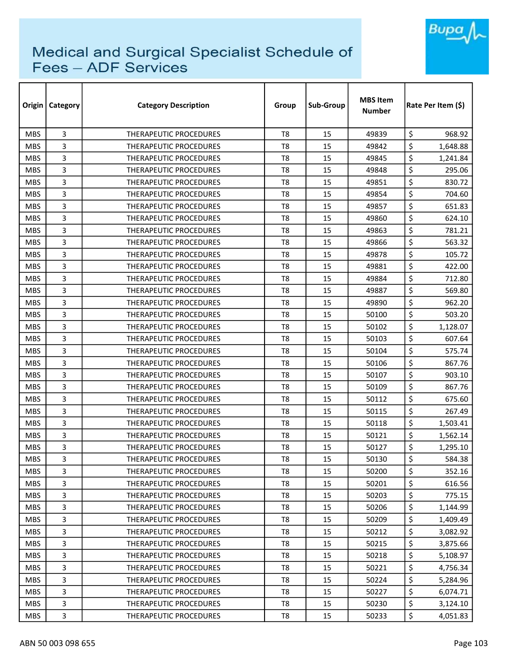

| Origin     | <b>Category</b> | <b>Category Description</b>   | Group          | Sub-Group | <b>MBS Item</b><br><b>Number</b> | Rate Per Item (\$) |  |
|------------|-----------------|-------------------------------|----------------|-----------|----------------------------------|--------------------|--|
| <b>MBS</b> | 3               | <b>THERAPEUTIC PROCEDURES</b> | T <sub>8</sub> | 15        | 49839                            | \$<br>968.92       |  |
| <b>MBS</b> | 3               | <b>THERAPEUTIC PROCEDURES</b> | T <sub>8</sub> | 15        | 49842                            | \$<br>1,648.88     |  |
| <b>MBS</b> | 3               | THERAPEUTIC PROCEDURES        | T <sub>8</sub> | 15        | 49845                            | \$<br>1,241.84     |  |
| <b>MBS</b> | 3               | <b>THERAPEUTIC PROCEDURES</b> | T <sub>8</sub> | 15        | 49848                            | \$<br>295.06       |  |
| <b>MBS</b> | 3               | <b>THERAPEUTIC PROCEDURES</b> | T <sub>8</sub> | 15        | 49851                            | \$<br>830.72       |  |
| <b>MBS</b> | 3               | THERAPEUTIC PROCEDURES        | T <sub>8</sub> | 15        | 49854                            | \$<br>704.60       |  |
| <b>MBS</b> | 3               | <b>THERAPEUTIC PROCEDURES</b> | T8             | 15        | 49857                            | \$<br>651.83       |  |
| <b>MBS</b> | 3               | <b>THERAPEUTIC PROCEDURES</b> | T8             | 15        | 49860                            | \$<br>624.10       |  |
| <b>MBS</b> | 3               | <b>THERAPEUTIC PROCEDURES</b> | T <sub>8</sub> | 15        | 49863                            | \$<br>781.21       |  |
| <b>MBS</b> | 3               | THERAPEUTIC PROCEDURES        | T <sub>8</sub> | 15        | 49866                            | \$<br>563.32       |  |
| <b>MBS</b> | 3               | THERAPEUTIC PROCEDURES        | T <sub>8</sub> | 15        | 49878                            | \$<br>105.72       |  |
| <b>MBS</b> | 3               | THERAPEUTIC PROCEDURES        | T <sub>8</sub> | 15        | 49881                            | \$<br>422.00       |  |
| <b>MBS</b> | 3               | <b>THERAPEUTIC PROCEDURES</b> | T <sub>8</sub> | 15        | 49884                            | \$<br>712.80       |  |
| <b>MBS</b> | 3               | <b>THERAPEUTIC PROCEDURES</b> | T <sub>8</sub> | 15        | 49887                            | \$<br>569.80       |  |
| <b>MBS</b> | 3               | <b>THERAPEUTIC PROCEDURES</b> | T8             | 15        | 49890                            | \$<br>962.20       |  |
| <b>MBS</b> | 3               | <b>THERAPEUTIC PROCEDURES</b> | T <sub>8</sub> | 15        | 50100                            | \$<br>503.20       |  |
| <b>MBS</b> | 3               | <b>THERAPEUTIC PROCEDURES</b> | T8             | 15        | 50102                            | \$<br>1,128.07     |  |
| <b>MBS</b> | 3               | THERAPEUTIC PROCEDURES        | T <sub>8</sub> | 15        | 50103                            | \$<br>607.64       |  |
| <b>MBS</b> | 3               | THERAPEUTIC PROCEDURES        | T <sub>8</sub> | 15        | 50104                            | \$<br>575.74       |  |
| <b>MBS</b> | 3               | THERAPEUTIC PROCEDURES        | T8             | 15        | 50106                            | \$<br>867.76       |  |
| <b>MBS</b> | 3               | <b>THERAPEUTIC PROCEDURES</b> | T <sub>8</sub> | 15        | 50107                            | \$<br>903.10       |  |
| <b>MBS</b> | 3               | THERAPEUTIC PROCEDURES        | T <sub>8</sub> | 15        | 50109                            | \$<br>867.76       |  |
| <b>MBS</b> | 3               | <b>THERAPEUTIC PROCEDURES</b> | T <sub>8</sub> | 15        | 50112                            | \$<br>675.60       |  |
| <b>MBS</b> | 3               | <b>THERAPEUTIC PROCEDURES</b> | T <sub>8</sub> | 15        | 50115                            | \$<br>267.49       |  |
| <b>MBS</b> | 3               | THERAPEUTIC PROCEDURES        | T <sub>8</sub> | 15        | 50118                            | \$<br>1,503.41     |  |
| <b>MBS</b> | 3               | <b>THERAPEUTIC PROCEDURES</b> | T <sub>8</sub> | 15        | 50121                            | \$<br>1,562.14     |  |
| <b>MBS</b> | 3               | <b>THERAPEUTIC PROCEDURES</b> | T8             | 15        | 50127                            | \$<br>1,295.10     |  |
| <b>MBS</b> | 3               | THERAPEUTIC PROCEDURES        | T <sub>8</sub> | 15        | 50130                            | \$<br>584.38       |  |
| <b>MBS</b> | 3               | <b>THERAPEUTIC PROCEDURES</b> | T8             | 15        | 50200                            | \$<br>352.16       |  |
| <b>MBS</b> | 3               | THERAPEUTIC PROCEDURES        | T8             | 15        | 50201                            | \$<br>616.56       |  |
| <b>MBS</b> | 3               | THERAPEUTIC PROCEDURES        | T <sub>8</sub> | 15        | 50203                            | \$<br>775.15       |  |
| <b>MBS</b> | 3               | THERAPEUTIC PROCEDURES        | T8             | 15        | 50206                            | \$<br>1,144.99     |  |
| <b>MBS</b> | 3               | THERAPEUTIC PROCEDURES        | T <sub>8</sub> | 15        | 50209                            | \$<br>1,409.49     |  |
| <b>MBS</b> | 3               | <b>THERAPEUTIC PROCEDURES</b> | T8             | 15        | 50212                            | \$<br>3,082.92     |  |
| <b>MBS</b> | 3               | THERAPEUTIC PROCEDURES        | T8             | 15        | 50215                            | \$<br>3,875.66     |  |
| <b>MBS</b> | 3               | THERAPEUTIC PROCEDURES        | T8             | 15        | 50218                            | \$<br>5,108.97     |  |
| <b>MBS</b> | 3               | THERAPEUTIC PROCEDURES        | T8             | 15        | 50221                            | \$<br>4,756.34     |  |
| <b>MBS</b> | 3               | THERAPEUTIC PROCEDURES        | T8             | 15        | 50224                            | \$<br>5,284.96     |  |
| <b>MBS</b> | 3               | THERAPEUTIC PROCEDURES        | T8             | 15        | 50227                            | \$<br>6,074.71     |  |
| <b>MBS</b> | 3               | THERAPEUTIC PROCEDURES        | T8             | 15        | 50230                            | \$<br>3,124.10     |  |
| <b>MBS</b> | 3               | THERAPEUTIC PROCEDURES        | T8             | 15        | 50233                            | \$<br>4,051.83     |  |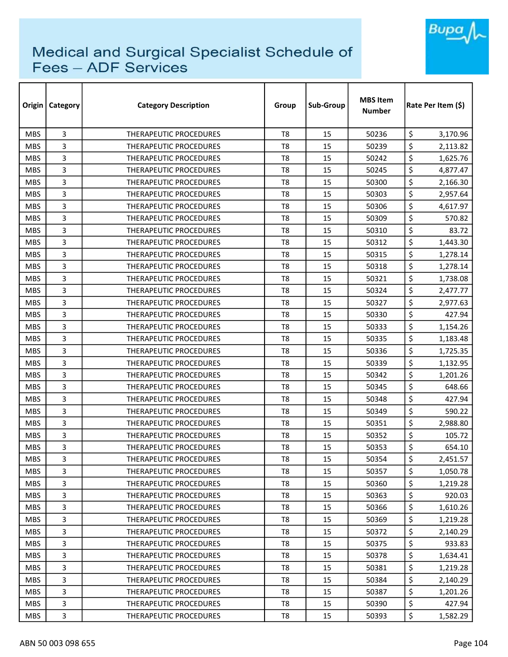

| Origin     | <b>Category</b> | <b>Category Description</b>   | Group          | Sub-Group | <b>MBS Item</b><br><b>Number</b> | Rate Per Item (\$) |
|------------|-----------------|-------------------------------|----------------|-----------|----------------------------------|--------------------|
| <b>MBS</b> | 3               | <b>THERAPEUTIC PROCEDURES</b> | T <sub>8</sub> | 15        | 50236                            | \$<br>3,170.96     |
| <b>MBS</b> | 3               | <b>THERAPEUTIC PROCEDURES</b> | T <sub>8</sub> | 15        | 50239                            | \$<br>2,113.82     |
| <b>MBS</b> | 3               | THERAPEUTIC PROCEDURES        | T <sub>8</sub> | 15        | 50242                            | \$<br>1,625.76     |
| <b>MBS</b> | 3               | THERAPEUTIC PROCEDURES        | T <sub>8</sub> | 15        | 50245                            | \$<br>4,877.47     |
| <b>MBS</b> | 3               | THERAPEUTIC PROCEDURES        | T <sub>8</sub> | 15        | 50300                            | \$<br>2,166.30     |
| <b>MBS</b> | 3               | <b>THERAPEUTIC PROCEDURES</b> | T <sub>8</sub> | 15        | 50303                            | \$<br>2,957.64     |
| <b>MBS</b> | 3               | THERAPEUTIC PROCEDURES        | T8             | 15        | 50306                            | \$<br>4,617.97     |
| <b>MBS</b> | 3               | THERAPEUTIC PROCEDURES        | T8             | 15        | 50309                            | \$<br>570.82       |
| <b>MBS</b> | 3               | <b>THERAPEUTIC PROCEDURES</b> | T <sub>8</sub> | 15        | 50310                            | \$<br>83.72        |
| <b>MBS</b> | 3               | THERAPEUTIC PROCEDURES        | T <sub>8</sub> | 15        | 50312                            | \$<br>1,443.30     |
| <b>MBS</b> | 3               | <b>THERAPEUTIC PROCEDURES</b> | T <sub>8</sub> | 15        | 50315                            | \$<br>1,278.14     |
| <b>MBS</b> | 3               | THERAPEUTIC PROCEDURES        | T <sub>8</sub> | 15        | 50318                            | \$<br>1,278.14     |
| <b>MBS</b> | 3               | <b>THERAPEUTIC PROCEDURES</b> | T <sub>8</sub> | 15        | 50321                            | \$<br>1,738.08     |
| <b>MBS</b> | 3               | THERAPEUTIC PROCEDURES        | T <sub>8</sub> | 15        | 50324                            | \$<br>2,477.77     |
| <b>MBS</b> | 3               | THERAPEUTIC PROCEDURES        | T8             | 15        | 50327                            | \$<br>2,977.63     |
| <b>MBS</b> | 3               | THERAPEUTIC PROCEDURES        | T <sub>8</sub> | 15        | 50330                            | \$<br>427.94       |
| <b>MBS</b> | 3               | <b>THERAPEUTIC PROCEDURES</b> | T8             | 15        | 50333                            | \$<br>1,154.26     |
| <b>MBS</b> | 3               | THERAPEUTIC PROCEDURES        | T <sub>8</sub> | 15        | 50335                            | \$<br>1,183.48     |
| <b>MBS</b> | 3               | THERAPEUTIC PROCEDURES        | T <sub>8</sub> | 15        | 50336                            | \$<br>1,725.35     |
| <b>MBS</b> | 3               | THERAPEUTIC PROCEDURES        | T8             | 15        | 50339                            | \$<br>1,132.95     |
| <b>MBS</b> | 3               | <b>THERAPEUTIC PROCEDURES</b> | T8             | 15        | 50342                            | \$<br>1,201.26     |
| <b>MBS</b> | 3               | THERAPEUTIC PROCEDURES        | T <sub>8</sub> | 15        | 50345                            | \$<br>648.66       |
| <b>MBS</b> | 3               | <b>THERAPEUTIC PROCEDURES</b> | T <sub>8</sub> | 15        | 50348                            | \$<br>427.94       |
| <b>MBS</b> | 3               | <b>THERAPEUTIC PROCEDURES</b> | T <sub>8</sub> | 15        | 50349                            | \$<br>590.22       |
| <b>MBS</b> | 3               | <b>THERAPEUTIC PROCEDURES</b> | T8             | 15        | 50351                            | \$<br>2,988.80     |
| <b>MBS</b> | 3               | <b>THERAPEUTIC PROCEDURES</b> | T <sub>8</sub> | 15        | 50352                            | \$<br>105.72       |
| <b>MBS</b> | 3               | <b>THERAPEUTIC PROCEDURES</b> | T8             | 15        | 50353                            | \$<br>654.10       |
| <b>MBS</b> | 3               | THERAPEUTIC PROCEDURES        | T <sub>8</sub> | 15        | 50354                            | \$<br>2,451.57     |
| <b>MBS</b> | 3               | THERAPEUTIC PROCEDURES        | T8             | 15        | 50357                            | \$<br>1,050.78     |
| <b>MBS</b> | 3               | THERAPEUTIC PROCEDURES        | T8             | 15        | 50360                            | \$<br>1,219.28     |
| <b>MBS</b> | 3               | <b>THERAPEUTIC PROCEDURES</b> | T8             | 15        | 50363                            | \$<br>920.03       |
| <b>MBS</b> | 3               | THERAPEUTIC PROCEDURES        | T8             | 15        | 50366                            | \$<br>1,610.26     |
| <b>MBS</b> | 3               | THERAPEUTIC PROCEDURES        | T8             | 15        | 50369                            | \$<br>1,219.28     |
| <b>MBS</b> | 3               | THERAPEUTIC PROCEDURES        | T8             | 15        | 50372                            | \$<br>2,140.29     |
| <b>MBS</b> | 3               | THERAPEUTIC PROCEDURES        | T <sub>8</sub> | 15        | 50375                            | \$<br>933.83       |
| <b>MBS</b> | 3               | THERAPEUTIC PROCEDURES        | T8             | 15        | 50378                            | \$<br>1,634.41     |
| <b>MBS</b> | 3               | THERAPEUTIC PROCEDURES        | T8             | 15        | 50381                            | \$<br>1,219.28     |
| <b>MBS</b> | 3               | THERAPEUTIC PROCEDURES        | T8             | 15        | 50384                            | \$<br>2,140.29     |
| <b>MBS</b> | 3               | THERAPEUTIC PROCEDURES        | T8             | 15        | 50387                            | \$<br>1,201.26     |
| <b>MBS</b> | 3               | THERAPEUTIC PROCEDURES        | T8             | 15        | 50390                            | \$<br>427.94       |
| <b>MBS</b> | 3               | THERAPEUTIC PROCEDURES        | T8             | 15        | 50393                            | \$<br>1,582.29     |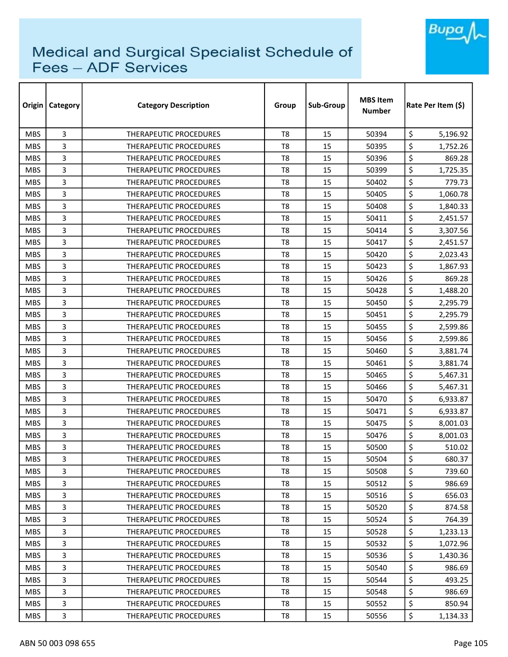

| Origin     | Category | <b>Category Description</b>   | Group          | Sub-Group | <b>MBS Item</b><br><b>Number</b> | Rate Per Item (S) |
|------------|----------|-------------------------------|----------------|-----------|----------------------------------|-------------------|
| <b>MBS</b> | 3        | THERAPEUTIC PROCEDURES        | T8             | 15        | 50394                            | \$<br>5,196.92    |
| <b>MBS</b> | 3        | <b>THERAPEUTIC PROCEDURES</b> | T <sub>8</sub> | 15        | 50395                            | \$<br>1,752.26    |
| <b>MBS</b> | 3        | THERAPEUTIC PROCEDURES        | T <sub>8</sub> | 15        | 50396                            | \$<br>869.28      |
| <b>MBS</b> | 3        | THERAPEUTIC PROCEDURES        | T <sub>8</sub> | 15        | 50399                            | \$<br>1,725.35    |
| <b>MBS</b> | 3        | <b>THERAPEUTIC PROCEDURES</b> | T <sub>8</sub> | 15        | 50402                            | \$<br>779.73      |
| <b>MBS</b> | 3        | <b>THERAPEUTIC PROCEDURES</b> | T8             | 15        | 50405                            | \$<br>1,060.78    |
| <b>MBS</b> | 3        | <b>THERAPEUTIC PROCEDURES</b> | T8             | 15        | 50408                            | \$<br>1,840.33    |
| <b>MBS</b> | 3        | <b>THERAPEUTIC PROCEDURES</b> | T8             | 15        | 50411                            | \$<br>2,451.57    |
| <b>MBS</b> | 3        | THERAPEUTIC PROCEDURES        | T <sub>8</sub> | 15        | 50414                            | \$<br>3,307.56    |
| <b>MBS</b> | 3        | <b>THERAPEUTIC PROCEDURES</b> | T <sub>8</sub> | 15        | 50417                            | \$<br>2,451.57    |
| <b>MBS</b> | 3        | <b>THERAPEUTIC PROCEDURES</b> | T <sub>8</sub> | 15        | 50420                            | \$<br>2,023.43    |
| <b>MBS</b> | 3        | <b>THERAPEUTIC PROCEDURES</b> | T <sub>8</sub> | 15        | 50423                            | \$<br>1,867.93    |
| <b>MBS</b> | 3        | <b>THERAPEUTIC PROCEDURES</b> | T8             | 15        | 50426                            | \$<br>869.28      |
| <b>MBS</b> | 3        | <b>THERAPEUTIC PROCEDURES</b> | T <sub>8</sub> | 15        | 50428                            | \$<br>1,488.20    |
| <b>MBS</b> | 3        | THERAPEUTIC PROCEDURES        | T <sub>8</sub> | 15        | 50450                            | \$<br>2,295.79    |
| <b>MBS</b> | 3        | <b>THERAPEUTIC PROCEDURES</b> | T <sub>8</sub> | 15        | 50451                            | \$<br>2,295.79    |
| <b>MBS</b> | 3        | THERAPEUTIC PROCEDURES        | T <sub>8</sub> | 15        | 50455                            | \$<br>2,599.86    |
| <b>MBS</b> | 3        | <b>THERAPEUTIC PROCEDURES</b> | T <sub>8</sub> | 15        | 50456                            | \$<br>2,599.86    |
| <b>MBS</b> | 3        | <b>THERAPEUTIC PROCEDURES</b> | T <sub>8</sub> | 15        | 50460                            | \$<br>3,881.74    |
| <b>MBS</b> | 3        | <b>THERAPEUTIC PROCEDURES</b> | T8             | 15        | 50461                            | \$<br>3,881.74    |
| <b>MBS</b> | 3        | <b>THERAPEUTIC PROCEDURES</b> | T <sub>8</sub> | 15        | 50465                            | \$<br>5,467.31    |
| <b>MBS</b> | 3        | <b>THERAPEUTIC PROCEDURES</b> | T <sub>8</sub> | 15        | 50466                            | \$<br>5,467.31    |
| <b>MBS</b> | 3        | THERAPEUTIC PROCEDURES        | T <sub>8</sub> | 15        | 50470                            | \$<br>6,933.87    |
| <b>MBS</b> | 3        | <b>THERAPEUTIC PROCEDURES</b> | T <sub>8</sub> | 15        | 50471                            | \$<br>6,933.87    |
| <b>MBS</b> | 3        | THERAPEUTIC PROCEDURES        | T <sub>8</sub> | 15        | 50475                            | \$<br>8,001.03    |
| <b>MBS</b> | 3        | <b>THERAPEUTIC PROCEDURES</b> | T8             | 15        | 50476                            | \$<br>8,001.03    |
| <b>MBS</b> | 3        | <b>THERAPEUTIC PROCEDURES</b> | T8             | 15        | 50500                            | \$<br>510.02      |
| <b>MBS</b> | 3        | THERAPEUTIC PROCEDURES        | T <sub>8</sub> | 15        | 50504                            | \$<br>680.37      |
| <b>MBS</b> | 3        | <b>THERAPEUTIC PROCEDURES</b> | T8             | 15        | 50508                            | \$<br>739.60      |
| <b>MBS</b> | 3        | THERAPEUTIC PROCEDURES        | T8             | 15        | 50512                            | \$<br>986.69      |
| <b>MBS</b> | 3        | THERAPEUTIC PROCEDURES        | T <sub>8</sub> | 15        | 50516                            | \$<br>656.03      |
| <b>MBS</b> | 3        | <b>THERAPEUTIC PROCEDURES</b> | T8             | 15        | 50520                            | \$<br>874.58      |
| <b>MBS</b> | 3        | THERAPEUTIC PROCEDURES        | T8             | 15        | 50524                            | \$<br>764.39      |
| <b>MBS</b> | 3        | THERAPEUTIC PROCEDURES        | T8             | 15        | 50528                            | \$<br>1,233.13    |
| <b>MBS</b> | 3        | THERAPEUTIC PROCEDURES        | T8             | 15        | 50532                            | \$<br>1,072.96    |
| <b>MBS</b> | 3        | <b>THERAPEUTIC PROCEDURES</b> | T <sub>8</sub> | 15        | 50536                            | \$<br>1,430.36    |
| <b>MBS</b> | 3        | THERAPEUTIC PROCEDURES        | T8             | 15        | 50540                            | \$<br>986.69      |
| <b>MBS</b> | 3        | THERAPEUTIC PROCEDURES        | T8             | 15        | 50544                            | \$<br>493.25      |
| <b>MBS</b> | 3        | THERAPEUTIC PROCEDURES        | T8             | 15        | 50548                            | \$<br>986.69      |
| <b>MBS</b> | 3        | THERAPEUTIC PROCEDURES        | T8             | 15        | 50552                            | \$<br>850.94      |
| MBS        | 3        | THERAPEUTIC PROCEDURES        | T8             | 15        | 50556                            | \$<br>1,134.33    |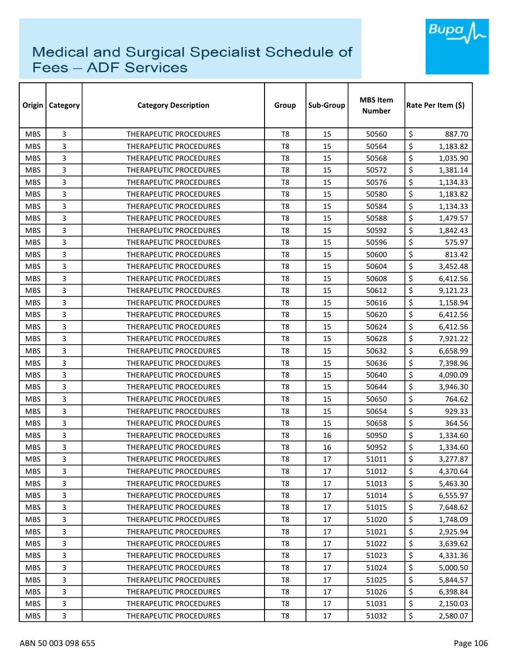

| Origin     | <b>Category</b> | <b>Category Description</b>   | Group          | Sub-Group | <b>MBS Item</b><br><b>Number</b> | Rate Per Item (\$) |
|------------|-----------------|-------------------------------|----------------|-----------|----------------------------------|--------------------|
| <b>MBS</b> | 3               | <b>THERAPEUTIC PROCEDURES</b> | T <sub>8</sub> | 15        | 50560                            | \$<br>887.70       |
| <b>MBS</b> | 3               | <b>THERAPEUTIC PROCEDURES</b> | T <sub>8</sub> | 15        | 50564                            | \$<br>1,183.82     |
| <b>MBS</b> | 3               | THERAPEUTIC PROCEDURES        | T8             | 15        | 50568                            | \$<br>1,035.90     |
| <b>MBS</b> | 3               | <b>THERAPEUTIC PROCEDURES</b> | T <sub>8</sub> | 15        | 50572                            | \$<br>1,381.14     |
| <b>MBS</b> | 3               | <b>THERAPEUTIC PROCEDURES</b> | T8             | 15        | 50576                            | \$<br>1,134.33     |
| <b>MBS</b> | 3               | THERAPEUTIC PROCEDURES        | T <sub>8</sub> | 15        | 50580                            | \$<br>1,183.82     |
| <b>MBS</b> | 3               | <b>THERAPEUTIC PROCEDURES</b> | T <sub>8</sub> | 15        | 50584                            | \$<br>1,134.33     |
| <b>MBS</b> | 3               | <b>THERAPEUTIC PROCEDURES</b> | T8             | 15        | 50588                            | \$<br>1,479.57     |
| <b>MBS</b> | 3               | <b>THERAPEUTIC PROCEDURES</b> | T8             | 15        | 50592                            | \$<br>1,842.43     |
| <b>MBS</b> | 3               | THERAPEUTIC PROCEDURES        | T8             | 15        | 50596                            | \$<br>575.97       |
| <b>MBS</b> | 3               | THERAPEUTIC PROCEDURES        | T <sub>8</sub> | 15        | 50600                            | \$<br>813.42       |
| <b>MBS</b> | 3               | THERAPEUTIC PROCEDURES        | T <sub>8</sub> | 15        | 50604                            | \$<br>3,452.48     |
| <b>MBS</b> | 3               | THERAPEUTIC PROCEDURES        | T <sub>8</sub> | 15        | 50608                            | \$<br>6,412.56     |
| <b>MBS</b> | 3               | <b>THERAPEUTIC PROCEDURES</b> | T <sub>8</sub> | 15        | 50612                            | \$<br>9,121.23     |
| <b>MBS</b> | 3               | <b>THERAPEUTIC PROCEDURES</b> | T8             | 15        | 50616                            | \$<br>1,158.94     |
| <b>MBS</b> | 3               | <b>THERAPEUTIC PROCEDURES</b> | T8             | 15        | 50620                            | \$<br>6,412.56     |
| <b>MBS</b> | 3               | THERAPEUTIC PROCEDURES        | T <sub>8</sub> | 15        | 50624                            | \$<br>6,412.56     |
| <b>MBS</b> | 3               | THERAPEUTIC PROCEDURES        | T <sub>8</sub> | 15        | 50628                            | \$<br>7,921.22     |
| <b>MBS</b> | 3               | <b>THERAPEUTIC PROCEDURES</b> | T <sub>8</sub> | 15        | 50632                            | \$<br>6,658.99     |
| <b>MBS</b> | 3               | <b>THERAPEUTIC PROCEDURES</b> | T <sub>8</sub> | 15        | 50636                            | \$<br>7,398.96     |
| <b>MBS</b> | 3               | <b>THERAPEUTIC PROCEDURES</b> | T8             | 15        | 50640                            | \$<br>4,090.09     |
| <b>MBS</b> | 3               | <b>THERAPEUTIC PROCEDURES</b> | T8             | 15        | 50644                            | \$<br>3,946.30     |
| <b>MBS</b> | 3               | THERAPEUTIC PROCEDURES        | T <sub>8</sub> | 15        | 50650                            | \$<br>764.62       |
| <b>MBS</b> | 3               | THERAPEUTIC PROCEDURES        | T8             | 15        | 50654                            | \$<br>929.33       |
| <b>MBS</b> | 3               | <b>THERAPEUTIC PROCEDURES</b> | T <sub>8</sub> | 15        | 50658                            | \$<br>364.56       |
| <b>MBS</b> | 3               | <b>THERAPEUTIC PROCEDURES</b> | T8             | 16        | 50950                            | \$<br>1,334.60     |
| <b>MBS</b> | 3               | THERAPEUTIC PROCEDURES        | T8             | 16        | 50952                            | \$<br>1,334.60     |
| <b>MBS</b> | 3               | THERAPEUTIC PROCEDURES        | T8             | 17        | 51011                            | \$<br>3,277.87     |
| <b>MBS</b> | 3               | THERAPEUTIC PROCEDURES        | T8             | 17        | 51012                            | \$<br>4,370.64     |
| <b>MBS</b> | 3               | THERAPEUTIC PROCEDURES        | T8             | 17        | 51013                            | \$<br>5,463.30     |
| <b>MBS</b> | 3               | THERAPEUTIC PROCEDURES        | T <sub>8</sub> | 17        | 51014                            | \$<br>6,555.97     |
| <b>MBS</b> | 3               | THERAPEUTIC PROCEDURES        | T8             | 17        | 51015                            | \$<br>7,648.62     |
| <b>MBS</b> | 3               | <b>THERAPEUTIC PROCEDURES</b> | T <sub>8</sub> | 17        | 51020                            | \$<br>1,748.09     |
| <b>MBS</b> | 3               | THERAPEUTIC PROCEDURES        | T <sub>8</sub> | 17        | 51021                            | \$<br>2,925.94     |
| <b>MBS</b> | 3               | THERAPEUTIC PROCEDURES        | T <sub>8</sub> | 17        | 51022                            | \$<br>3,639.62     |
| <b>MBS</b> | 3               | <b>THERAPEUTIC PROCEDURES</b> | T <sub>8</sub> | 17        | 51023                            | \$<br>4,331.36     |
| <b>MBS</b> | 3               | THERAPEUTIC PROCEDURES        | T8             | 17        | 51024                            | \$<br>5,000.50     |
| <b>MBS</b> | 3               | THERAPEUTIC PROCEDURES        | T8             | 17        | 51025                            | \$<br>5,844.57     |
| <b>MBS</b> | 3               | THERAPEUTIC PROCEDURES        | T8             | 17        | 51026                            | \$<br>6,398.84     |
| <b>MBS</b> | 3               | THERAPEUTIC PROCEDURES        | T <sub>8</sub> | 17        | 51031                            | \$<br>2,150.03     |
| <b>MBS</b> | 3               | THERAPEUTIC PROCEDURES        | T8             | 17        | 51032                            | \$<br>2,580.07     |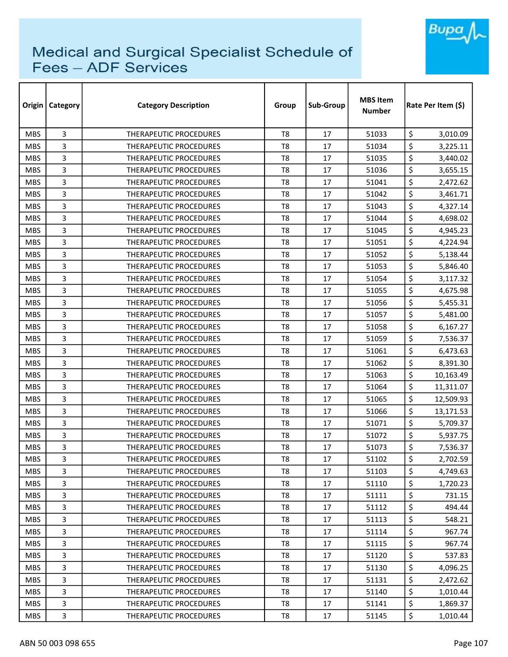

| Origin     | Category | <b>Category Description</b>   | Group          | Sub-Group | <b>MBS Item</b><br><b>Number</b> | Rate Per Item (\$) |
|------------|----------|-------------------------------|----------------|-----------|----------------------------------|--------------------|
| <b>MBS</b> | 3        | THERAPEUTIC PROCEDURES        | T <sub>8</sub> | 17        | 51033                            | \$<br>3,010.09     |
| <b>MBS</b> | 3        | THERAPEUTIC PROCEDURES        | T8             | 17        | 51034                            | \$<br>3,225.11     |
| <b>MBS</b> | 3        | THERAPEUTIC PROCEDURES        | T8             | 17        | 51035                            | \$<br>3,440.02     |
| <b>MBS</b> | 3        | THERAPEUTIC PROCEDURES        | T <sub>8</sub> | 17        | 51036                            | \$<br>3,655.15     |
| <b>MBS</b> | 3        | THERAPEUTIC PROCEDURES        | T8             | 17        | 51041                            | \$<br>2,472.62     |
| <b>MBS</b> | 3        | THERAPEUTIC PROCEDURES        | T <sub>8</sub> | 17        | 51042                            | \$<br>3,461.71     |
| <b>MBS</b> | 3        | <b>THERAPEUTIC PROCEDURES</b> | T8             | 17        | 51043                            | \$<br>4,327.14     |
| <b>MBS</b> | 3        | THERAPEUTIC PROCEDURES        | T8             | 17        | 51044                            | \$<br>4,698.02     |
| <b>MBS</b> | 3        | THERAPEUTIC PROCEDURES        | T <sub>8</sub> | 17        | 51045                            | \$<br>4,945.23     |
| <b>MBS</b> | 3        | THERAPEUTIC PROCEDURES        | T <sub>8</sub> | 17        | 51051                            | \$<br>4,224.94     |
| <b>MBS</b> | 3        | THERAPEUTIC PROCEDURES        | T <sub>8</sub> | 17        | 51052                            | \$<br>5,138.44     |
| <b>MBS</b> | 3        | <b>THERAPEUTIC PROCEDURES</b> | T <sub>8</sub> | 17        | 51053                            | \$<br>5,846.40     |
| <b>MBS</b> | 3        | <b>THERAPEUTIC PROCEDURES</b> | T8             | 17        | 51054                            | \$<br>3,117.32     |
| <b>MBS</b> | 3        | <b>THERAPEUTIC PROCEDURES</b> | T8             | 17        | 51055                            | \$<br>4,675.98     |
| <b>MBS</b> | 3        | <b>THERAPEUTIC PROCEDURES</b> | T8             | 17        | 51056                            | \$<br>5,455.31     |
| <b>MBS</b> | 3        | <b>THERAPEUTIC PROCEDURES</b> | T <sub>8</sub> | 17        | 51057                            | \$<br>5,481.00     |
| <b>MBS</b> | 3        | <b>THERAPEUTIC PROCEDURES</b> | T8             | 17        | 51058                            | \$<br>6,167.27     |
| <b>MBS</b> | 3        | THERAPEUTIC PROCEDURES        | T <sub>8</sub> | 17        | 51059                            | \$<br>7,536.37     |
| <b>MBS</b> | 3        | <b>THERAPEUTIC PROCEDURES</b> | T <sub>8</sub> | 17        | 51061                            | \$<br>6,473.63     |
| <b>MBS</b> | 3        | <b>THERAPEUTIC PROCEDURES</b> | T8             | 17        | 51062                            | \$<br>8,391.30     |
| <b>MBS</b> | 3        | <b>THERAPEUTIC PROCEDURES</b> | T8             | 17        | 51063                            | \$<br>10,163.49    |
| <b>MBS</b> | 3        | <b>THERAPEUTIC PROCEDURES</b> | T8             | 17        | 51064                            | \$<br>11,311.07    |
| <b>MBS</b> | 3        | THERAPEUTIC PROCEDURES        | T <sub>8</sub> | 17        | 51065                            | \$<br>12,509.93    |
| <b>MBS</b> | 3        | <b>THERAPEUTIC PROCEDURES</b> | T8             | 17        | 51066                            | \$<br>13,171.53    |
| <b>MBS</b> | 3        | THERAPEUTIC PROCEDURES        | T <sub>8</sub> | 17        | 51071                            | \$<br>5,709.37     |
| <b>MBS</b> | 3        | <b>THERAPEUTIC PROCEDURES</b> | T8             | 17        | 51072                            | \$<br>5,937.75     |
| <b>MBS</b> | 3        | <b>THERAPEUTIC PROCEDURES</b> | T8             | 17        | 51073                            | \$<br>7,536.37     |
| <b>MBS</b> | 3        | THERAPEUTIC PROCEDURES        | T8             | 17        | 51102                            | \$<br>2,702.59     |
| <b>MBS</b> | 3        | THERAPEUTIC PROCEDURES        | T8             | 17        | 51103                            | \$<br>4,749.63     |
| <b>MBS</b> | 3        | THERAPEUTIC PROCEDURES        | T8             | 17        | 51110                            | \$<br>1,720.23     |
| <b>MBS</b> | 3        | <b>THERAPEUTIC PROCEDURES</b> | T8             | 17        | 51111                            | \$<br>731.15       |
| <b>MBS</b> | 3        | THERAPEUTIC PROCEDURES        | T8             | 17        | 51112                            | \$<br>494.44       |
| <b>MBS</b> | 3        | THERAPEUTIC PROCEDURES        | T8             | 17        | 51113                            | \$<br>548.21       |
| <b>MBS</b> | 3        | THERAPEUTIC PROCEDURES        | T8             | 17        | 51114                            | \$<br>967.74       |
| <b>MBS</b> | 3        | THERAPEUTIC PROCEDURES        | T8             | 17        | 51115                            | \$<br>967.74       |
| <b>MBS</b> | 3        | <b>THERAPEUTIC PROCEDURES</b> | T8             | 17        | 51120                            | \$<br>537.83       |
| <b>MBS</b> | 3        | THERAPEUTIC PROCEDURES        | T8             | 17        | 51130                            | \$<br>4,096.25     |
| <b>MBS</b> | 3        | THERAPEUTIC PROCEDURES        | T8             | 17        | 51131                            | \$<br>2,472.62     |
| <b>MBS</b> | 3        | THERAPEUTIC PROCEDURES        | T8             | 17        | 51140                            | \$<br>1,010.44     |
| <b>MBS</b> | 3        | THERAPEUTIC PROCEDURES        | T8             | 17        | 51141                            | \$<br>1,869.37     |
| <b>MBS</b> | 3        | THERAPEUTIC PROCEDURES        | T8             | 17        | 51145                            | \$<br>1,010.44     |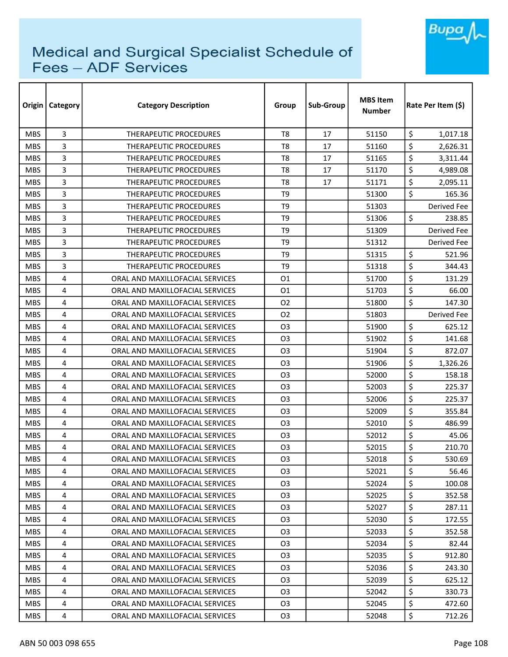

| Origin     | <b>Category</b> | <b>Category Description</b>     | Group          | Sub-Group | <b>MBS Item</b><br><b>Number</b> | Rate Per Item (\$) |
|------------|-----------------|---------------------------------|----------------|-----------|----------------------------------|--------------------|
| <b>MBS</b> | 3               | THERAPEUTIC PROCEDURES          | T <sub>8</sub> | 17        | 51150                            | \$<br>1,017.18     |
| <b>MBS</b> | 3               | <b>THERAPEUTIC PROCEDURES</b>   | T8             | 17        | 51160                            | \$<br>2,626.31     |
| <b>MBS</b> | 3               | <b>THERAPEUTIC PROCEDURES</b>   | T8             | 17        | 51165                            | \$<br>3,311.44     |
| <b>MBS</b> | 3               | THERAPEUTIC PROCEDURES          | T <sub>8</sub> | 17        | 51170                            | \$<br>4,989.08     |
| <b>MBS</b> | 3               | <b>THERAPEUTIC PROCEDURES</b>   | T8             | 17        | 51171                            | \$<br>2,095.11     |
| <b>MBS</b> | 3               | <b>THERAPEUTIC PROCEDURES</b>   | T <sub>9</sub> |           | 51300                            | \$<br>165.36       |
| <b>MBS</b> | 3               | <b>THERAPEUTIC PROCEDURES</b>   | T <sub>9</sub> |           | 51303                            | Derived Fee        |
| <b>MBS</b> | 3               | <b>THERAPEUTIC PROCEDURES</b>   | T <sub>9</sub> |           | 51306                            | \$<br>238.85       |
| <b>MBS</b> | 3               | <b>THERAPEUTIC PROCEDURES</b>   | T <sub>9</sub> |           | 51309                            | Derived Fee        |
| <b>MBS</b> | 3               | THERAPEUTIC PROCEDURES          | T <sub>9</sub> |           | 51312                            | Derived Fee        |
| <b>MBS</b> | 3               | THERAPEUTIC PROCEDURES          | T <sub>9</sub> |           | 51315                            | \$<br>521.96       |
| <b>MBS</b> | 3               | THERAPEUTIC PROCEDURES          | T <sub>9</sub> |           | 51318                            | \$<br>344.43       |
| <b>MBS</b> | 4               | ORAL AND MAXILLOFACIAL SERVICES | 01             |           | 51700                            | \$<br>131.29       |
| <b>MBS</b> | 4               | ORAL AND MAXILLOFACIAL SERVICES | 01             |           | 51703                            | \$<br>66.00        |
| <b>MBS</b> | 4               | ORAL AND MAXILLOFACIAL SERVICES | 02             |           | 51800                            | \$<br>147.30       |
| <b>MBS</b> | 4               | ORAL AND MAXILLOFACIAL SERVICES | O <sub>2</sub> |           | 51803                            | Derived Fee        |
| <b>MBS</b> | 4               | ORAL AND MAXILLOFACIAL SERVICES | O3             |           | 51900                            | \$<br>625.12       |
| <b>MBS</b> | 4               | ORAL AND MAXILLOFACIAL SERVICES | O <sub>3</sub> |           | 51902                            | \$<br>141.68       |
| <b>MBS</b> | 4               | ORAL AND MAXILLOFACIAL SERVICES | O <sub>3</sub> |           | 51904                            | \$<br>872.07       |
| <b>MBS</b> | 4               | ORAL AND MAXILLOFACIAL SERVICES | O <sub>3</sub> |           | 51906                            | \$<br>1,326.26     |
| <b>MBS</b> | 4               | ORAL AND MAXILLOFACIAL SERVICES | O <sub>3</sub> |           | 52000                            | \$<br>158.18       |
| <b>MBS</b> | 4               | ORAL AND MAXILLOFACIAL SERVICES | O <sub>3</sub> |           | 52003                            | \$<br>225.37       |
| <b>MBS</b> | 4               | ORAL AND MAXILLOFACIAL SERVICES | O <sub>3</sub> |           | 52006                            | \$<br>225.37       |
| <b>MBS</b> | 4               | ORAL AND MAXILLOFACIAL SERVICES | O3             |           | 52009                            | \$<br>355.84       |
| <b>MBS</b> | 4               | ORAL AND MAXILLOFACIAL SERVICES | O <sub>3</sub> |           | 52010                            | \$<br>486.99       |
| <b>MBS</b> | 4               | ORAL AND MAXILLOFACIAL SERVICES | O3             |           | 52012                            | \$<br>45.06        |
| <b>MBS</b> | 4               | ORAL AND MAXILLOFACIAL SERVICES | O3             |           | 52015                            | \$<br>210.70       |
| <b>MBS</b> | 4               | ORAL AND MAXILLOFACIAL SERVICES | O <sub>3</sub> |           | 52018                            | \$<br>530.69       |
| <b>MBS</b> | 4               | ORAL AND MAXILLOFACIAL SERVICES | O3             |           | 52021                            | \$<br>56.46        |
| <b>MBS</b> | 4               | ORAL AND MAXILLOFACIAL SERVICES | O <sub>3</sub> |           | 52024                            | \$<br>100.08       |
| <b>MBS</b> | 4               | ORAL AND MAXILLOFACIAL SERVICES | O <sub>3</sub> |           | 52025                            | \$<br>352.58       |
| <b>MBS</b> | 4               | ORAL AND MAXILLOFACIAL SERVICES | O <sub>3</sub> |           | 52027                            | \$<br>287.11       |
| MBS.       | 4               | ORAL AND MAXILLOFACIAL SERVICES | O3             |           | 52030                            | \$<br>172.55       |
| <b>MBS</b> | 4               | ORAL AND MAXILLOFACIAL SERVICES | O <sub>3</sub> |           | 52033                            | \$<br>352.58       |
| <b>MBS</b> | 4               | ORAL AND MAXILLOFACIAL SERVICES | O3             |           | 52034                            | \$<br>82.44        |
| <b>MBS</b> | 4               | ORAL AND MAXILLOFACIAL SERVICES | O <sub>3</sub> |           | 52035                            | \$<br>912.80       |
| <b>MBS</b> | 4               | ORAL AND MAXILLOFACIAL SERVICES | O <sub>3</sub> |           | 52036                            | \$<br>243.30       |
| <b>MBS</b> | 4               | ORAL AND MAXILLOFACIAL SERVICES | O <sub>3</sub> |           | 52039                            | \$<br>625.12       |
| MBS.       | 4               | ORAL AND MAXILLOFACIAL SERVICES | O <sub>3</sub> |           | 52042                            | \$<br>330.73       |
| <b>MBS</b> | 4               | ORAL AND MAXILLOFACIAL SERVICES | O <sub>3</sub> |           | 52045                            | \$<br>472.60       |
| MBS        | 4               | ORAL AND MAXILLOFACIAL SERVICES | O <sub>3</sub> |           | 52048                            | \$<br>712.26       |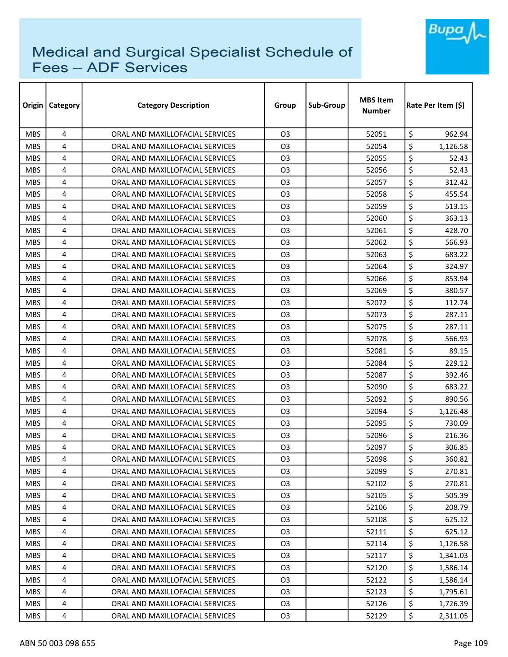

| Origin     | <b>Category</b> | <b>Category Description</b>     | Group          | Sub-Group | <b>MBS Item</b><br><b>Number</b> | Rate Per Item (\$) |  |
|------------|-----------------|---------------------------------|----------------|-----------|----------------------------------|--------------------|--|
| <b>MBS</b> | 4               | ORAL AND MAXILLOFACIAL SERVICES | O <sub>3</sub> |           | 52051                            | \$<br>962.94       |  |
| <b>MBS</b> | 4               | ORAL AND MAXILLOFACIAL SERVICES | O3             |           | 52054                            | \$<br>1,126.58     |  |
| <b>MBS</b> | 4               | ORAL AND MAXILLOFACIAL SERVICES | O3             |           | 52055                            | \$<br>52.43        |  |
| <b>MBS</b> | 4               | ORAL AND MAXILLOFACIAL SERVICES | O3             |           | 52056                            | \$<br>52.43        |  |
| <b>MBS</b> | 4               | ORAL AND MAXILLOFACIAL SERVICES | O3             |           | 52057                            | \$<br>312.42       |  |
| <b>MBS</b> | 4               | ORAL AND MAXILLOFACIAL SERVICES | O <sub>3</sub> |           | 52058                            | \$<br>455.54       |  |
| <b>MBS</b> | 4               | ORAL AND MAXILLOFACIAL SERVICES | O3             |           | 52059                            | \$<br>513.15       |  |
| <b>MBS</b> | 4               | ORAL AND MAXILLOFACIAL SERVICES | O <sub>3</sub> |           | 52060                            | \$<br>363.13       |  |
| <b>MBS</b> | 4               | ORAL AND MAXILLOFACIAL SERVICES | O3             |           | 52061                            | \$<br>428.70       |  |
| <b>MBS</b> | 4               | ORAL AND MAXILLOFACIAL SERVICES | O3             |           | 52062                            | \$<br>566.93       |  |
| <b>MBS</b> | 4               | ORAL AND MAXILLOFACIAL SERVICES | O3             |           | 52063                            | \$<br>683.22       |  |
| <b>MBS</b> | 4               | ORAL AND MAXILLOFACIAL SERVICES | O3             |           | 52064                            | \$<br>324.97       |  |
| <b>MBS</b> | 4               | ORAL AND MAXILLOFACIAL SERVICES | O <sub>3</sub> |           | 52066                            | \$<br>853.94       |  |
| <b>MBS</b> | 4               | ORAL AND MAXILLOFACIAL SERVICES | O3             |           | 52069                            | \$<br>380.57       |  |
| <b>MBS</b> | 4               | ORAL AND MAXILLOFACIAL SERVICES | O <sub>3</sub> |           | 52072                            | \$<br>112.74       |  |
| <b>MBS</b> | 4               | ORAL AND MAXILLOFACIAL SERVICES | O <sub>3</sub> |           | 52073                            | \$<br>287.11       |  |
| <b>MBS</b> | 4               | ORAL AND MAXILLOFACIAL SERVICES | O3             |           | 52075                            | \$<br>287.11       |  |
| <b>MBS</b> | 4               | ORAL AND MAXILLOFACIAL SERVICES | O <sub>3</sub> |           | 52078                            | \$<br>566.93       |  |
| <b>MBS</b> | 4               | ORAL AND MAXILLOFACIAL SERVICES | O <sub>3</sub> |           | 52081                            | \$<br>89.15        |  |
| <b>MBS</b> | 4               | ORAL AND MAXILLOFACIAL SERVICES | O <sub>3</sub> |           | 52084                            | \$<br>229.12       |  |
| <b>MBS</b> | 4               | ORAL AND MAXILLOFACIAL SERVICES | O3             |           | 52087                            | \$<br>392.46       |  |
| <b>MBS</b> | 4               | ORAL AND MAXILLOFACIAL SERVICES | O3             |           | 52090                            | \$<br>683.22       |  |
| <b>MBS</b> | 4               | ORAL AND MAXILLOFACIAL SERVICES | O3             |           | 52092                            | \$<br>890.56       |  |
| <b>MBS</b> | 4               | ORAL AND MAXILLOFACIAL SERVICES | O3             |           | 52094                            | \$<br>1,126.48     |  |
| <b>MBS</b> | 4               | ORAL AND MAXILLOFACIAL SERVICES | O <sub>3</sub> |           | 52095                            | \$<br>730.09       |  |
| <b>MBS</b> | 4               | ORAL AND MAXILLOFACIAL SERVICES | O <sub>3</sub> |           | 52096                            | \$<br>216.36       |  |
| <b>MBS</b> | 4               | ORAL AND MAXILLOFACIAL SERVICES | O3             |           | 52097                            | \$<br>306.85       |  |
| <b>MBS</b> | 4               | ORAL AND MAXILLOFACIAL SERVICES | O <sub>3</sub> |           | 52098                            | \$<br>360.82       |  |
| <b>MBS</b> | 4               | ORAL AND MAXILLOFACIAL SERVICES | O <sub>3</sub> |           | 52099                            | \$<br>270.81       |  |
| <b>MBS</b> | 4               | ORAL AND MAXILLOFACIAL SERVICES | O <sub>3</sub> |           | 52102                            | \$<br>270.81       |  |
| <b>MBS</b> | 4               | ORAL AND MAXILLOFACIAL SERVICES | O <sub>3</sub> |           | 52105                            | \$<br>505.39       |  |
| <b>MBS</b> | 4               | ORAL AND MAXILLOFACIAL SERVICES | O <sub>3</sub> |           | 52106                            | \$<br>208.79       |  |
| <b>MBS</b> | 4               | ORAL AND MAXILLOFACIAL SERVICES | O3             |           | 52108                            | \$<br>625.12       |  |
| <b>MBS</b> | 4               | ORAL AND MAXILLOFACIAL SERVICES | O <sub>3</sub> |           | 52111                            | \$<br>625.12       |  |
| <b>MBS</b> | 4               | ORAL AND MAXILLOFACIAL SERVICES | O <sub>3</sub> |           | 52114                            | \$<br>1,126.58     |  |
| <b>MBS</b> | 4               | ORAL AND MAXILLOFACIAL SERVICES | O <sub>3</sub> |           | 52117                            | \$<br>1,341.03     |  |
| <b>MBS</b> | 4               | ORAL AND MAXILLOFACIAL SERVICES | O <sub>3</sub> |           | 52120                            | \$<br>1,586.14     |  |
| <b>MBS</b> | 4               | ORAL AND MAXILLOFACIAL SERVICES | O <sub>3</sub> |           | 52122                            | \$<br>1,586.14     |  |
| <b>MBS</b> | 4               | ORAL AND MAXILLOFACIAL SERVICES | O <sub>3</sub> |           | 52123                            | \$<br>1,795.61     |  |
| <b>MBS</b> | 4               | ORAL AND MAXILLOFACIAL SERVICES | O <sub>3</sub> |           | 52126                            | \$<br>1,726.39     |  |
| <b>MBS</b> | 4               | ORAL AND MAXILLOFACIAL SERVICES | O <sub>3</sub> |           | 52129                            | \$<br>2,311.05     |  |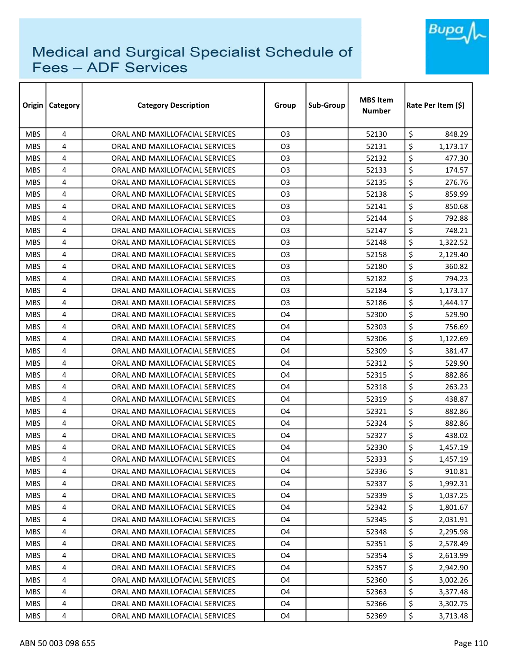

| Origin     | <b>Category</b> | <b>Category Description</b>     | Group          | Sub-Group | <b>MBS</b> Item<br><b>Number</b> |                  | Rate Per Item (\$) |  |
|------------|-----------------|---------------------------------|----------------|-----------|----------------------------------|------------------|--------------------|--|
| <b>MBS</b> | 4               | ORAL AND MAXILLOFACIAL SERVICES | O <sub>3</sub> |           | 52130                            | \$               | 848.29             |  |
| <b>MBS</b> | 4               | ORAL AND MAXILLOFACIAL SERVICES | O3             |           | 52131                            | \$               | 1,173.17           |  |
| <b>MBS</b> | 4               | ORAL AND MAXILLOFACIAL SERVICES | O3             |           | 52132                            | \$               | 477.30             |  |
| <b>MBS</b> | 4               | ORAL AND MAXILLOFACIAL SERVICES | O3             |           | 52133                            | \$               | 174.57             |  |
| <b>MBS</b> | 4               | ORAL AND MAXILLOFACIAL SERVICES | O <sub>3</sub> |           | 52135                            | \$               | 276.76             |  |
| <b>MBS</b> | 4               | ORAL AND MAXILLOFACIAL SERVICES | O3             |           | 52138                            | \$               | 859.99             |  |
| <b>MBS</b> | 4               | ORAL AND MAXILLOFACIAL SERVICES | O3             |           | 52141                            | \$               | 850.68             |  |
| <b>MBS</b> | 4               | ORAL AND MAXILLOFACIAL SERVICES | O <sub>3</sub> |           | 52144                            | \$               | 792.88             |  |
| <b>MBS</b> | 4               | ORAL AND MAXILLOFACIAL SERVICES | O <sub>3</sub> |           | 52147                            | \$               | 748.21             |  |
| <b>MBS</b> | 4               | ORAL AND MAXILLOFACIAL SERVICES | O <sub>3</sub> |           | 52148                            | \$               | 1,322.52           |  |
| <b>MBS</b> | 4               | ORAL AND MAXILLOFACIAL SERVICES | O3             |           | 52158                            | \$               | 2,129.40           |  |
| <b>MBS</b> | 4               | ORAL AND MAXILLOFACIAL SERVICES | O <sub>3</sub> |           | 52180                            | \$               | 360.82             |  |
| <b>MBS</b> | 4               | ORAL AND MAXILLOFACIAL SERVICES | O <sub>3</sub> |           | 52182                            | \$               | 794.23             |  |
| <b>MBS</b> | 4               | ORAL AND MAXILLOFACIAL SERVICES | O <sub>3</sub> |           | 52184                            | \$               | 1,173.17           |  |
| <b>MBS</b> | 4               | ORAL AND MAXILLOFACIAL SERVICES | O <sub>3</sub> |           | 52186                            | \$               | 1,444.17           |  |
| <b>MBS</b> | 4               | ORAL AND MAXILLOFACIAL SERVICES | O4             |           | 52300                            | \$               | 529.90             |  |
| <b>MBS</b> | 4               | ORAL AND MAXILLOFACIAL SERVICES | O4             |           | 52303                            | \$               | 756.69             |  |
| <b>MBS</b> | 4               | ORAL AND MAXILLOFACIAL SERVICES | O4             |           | 52306                            | \$               | 1,122.69           |  |
| <b>MBS</b> | 4               | ORAL AND MAXILLOFACIAL SERVICES | O4             |           | 52309                            | \$               | 381.47             |  |
| <b>MBS</b> | 4               | ORAL AND MAXILLOFACIAL SERVICES | O4             |           | 52312                            | \$               | 529.90             |  |
| <b>MBS</b> | 4               | ORAL AND MAXILLOFACIAL SERVICES | O4             |           | 52315                            | \$               | 882.86             |  |
| <b>MBS</b> | 4               | ORAL AND MAXILLOFACIAL SERVICES | O4             |           | 52318                            | \$               | 263.23             |  |
| <b>MBS</b> | 4               | ORAL AND MAXILLOFACIAL SERVICES | O4             |           | 52319                            | \$               | 438.87             |  |
| <b>MBS</b> | 4               | ORAL AND MAXILLOFACIAL SERVICES | O4             |           | 52321                            | \$               | 882.86             |  |
| <b>MBS</b> | 4               | ORAL AND MAXILLOFACIAL SERVICES | O4             |           | 52324                            | \$               | 882.86             |  |
| <b>MBS</b> | 4               | ORAL AND MAXILLOFACIAL SERVICES | O4             |           | 52327                            | \$               | 438.02             |  |
| <b>MBS</b> | 4               | ORAL AND MAXILLOFACIAL SERVICES | O4             |           | 52330                            | \$               | 1,457.19           |  |
| <b>MBS</b> | 4               | ORAL AND MAXILLOFACIAL SERVICES | O <sub>4</sub> |           | 52333                            | $\overline{\xi}$ | 1,457.19           |  |
| <b>MBS</b> | 4               | ORAL AND MAXILLOFACIAL SERVICES | 04             |           | 52336                            | \$               | 910.81             |  |
| <b>MBS</b> | 4               | ORAL AND MAXILLOFACIAL SERVICES | O <sub>4</sub> |           | 52337                            | \$               | 1,992.31           |  |
| <b>MBS</b> | 4               | ORAL AND MAXILLOFACIAL SERVICES | O4             |           | 52339                            | \$               | 1,037.25           |  |
| <b>MBS</b> | 4               | ORAL AND MAXILLOFACIAL SERVICES | 04             |           | 52342                            | \$               | 1,801.67           |  |
| <b>MBS</b> | 4               | ORAL AND MAXILLOFACIAL SERVICES | O4             |           | 52345                            | \$               | 2,031.91           |  |
| <b>MBS</b> | 4               | ORAL AND MAXILLOFACIAL SERVICES | O <sub>4</sub> |           | 52348                            | \$               | 2,295.98           |  |
| MBS.       | 4               | ORAL AND MAXILLOFACIAL SERVICES | O <sub>4</sub> |           | 52351                            | \$               | 2,578.49           |  |
| <b>MBS</b> | 4               | ORAL AND MAXILLOFACIAL SERVICES | O4             |           | 52354                            | \$               | 2,613.99           |  |
| <b>MBS</b> | 4               | ORAL AND MAXILLOFACIAL SERVICES | 04             |           | 52357                            | \$               | 2,942.90           |  |
| <b>MBS</b> | 4               | ORAL AND MAXILLOFACIAL SERVICES | 04             |           | 52360                            | \$               | 3,002.26           |  |
| <b>MBS</b> | 4               | ORAL AND MAXILLOFACIAL SERVICES | O <sub>4</sub> |           | 52363                            | \$               | 3,377.48           |  |
| <b>MBS</b> | 4               | ORAL AND MAXILLOFACIAL SERVICES | O4             |           | 52366                            | \$               | 3,302.75           |  |
| <b>MBS</b> | 4               | ORAL AND MAXILLOFACIAL SERVICES | O4             |           | 52369                            | \$               | 3,713.48           |  |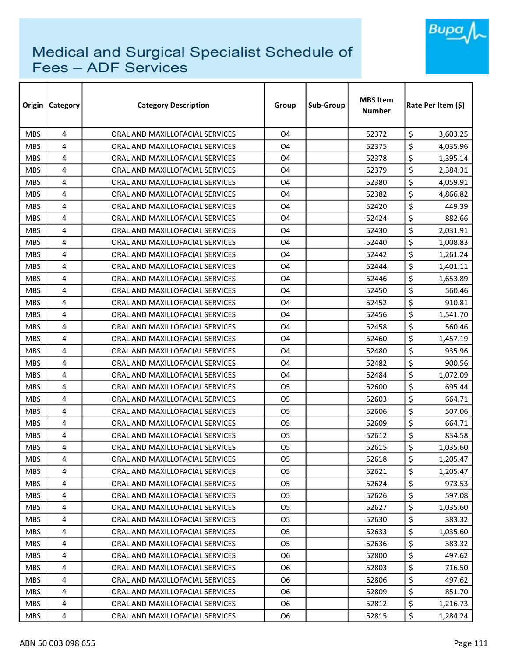

| Origin     | <b>Category</b> | <b>Category Description</b>     | Group          | Sub-Group | <b>MBS Item</b><br><b>Number</b> | Rate Per Item (\$) |  |
|------------|-----------------|---------------------------------|----------------|-----------|----------------------------------|--------------------|--|
| <b>MBS</b> | 4               | ORAL AND MAXILLOFACIAL SERVICES | O <sub>4</sub> |           | 52372                            | \$<br>3,603.25     |  |
| <b>MBS</b> | 4               | ORAL AND MAXILLOFACIAL SERVICES | O4             |           | 52375                            | \$<br>4,035.96     |  |
| <b>MBS</b> | 4               | ORAL AND MAXILLOFACIAL SERVICES | O4             |           | 52378                            | \$<br>1,395.14     |  |
| <b>MBS</b> | 4               | ORAL AND MAXILLOFACIAL SERVICES | O4             |           | 52379                            | \$<br>2,384.31     |  |
| <b>MBS</b> | 4               | ORAL AND MAXILLOFACIAL SERVICES | O4             |           | 52380                            | \$<br>4,059.91     |  |
| <b>MBS</b> | 4               | ORAL AND MAXILLOFACIAL SERVICES | O4             |           | 52382                            | \$<br>4,866.82     |  |
| <b>MBS</b> | 4               | ORAL AND MAXILLOFACIAL SERVICES | O4             |           | 52420                            | \$<br>449.39       |  |
| <b>MBS</b> | 4               | ORAL AND MAXILLOFACIAL SERVICES | O4             |           | 52424                            | \$<br>882.66       |  |
| <b>MBS</b> | 4               | ORAL AND MAXILLOFACIAL SERVICES | O4             |           | 52430                            | \$<br>2,031.91     |  |
| <b>MBS</b> | 4               | ORAL AND MAXILLOFACIAL SERVICES | O4             |           | 52440                            | \$<br>1,008.83     |  |
| <b>MBS</b> | 4               | ORAL AND MAXILLOFACIAL SERVICES | O4             |           | 52442                            | \$<br>1,261.24     |  |
| <b>MBS</b> | 4               | ORAL AND MAXILLOFACIAL SERVICES | O4             |           | 52444                            | \$<br>1,401.11     |  |
| <b>MBS</b> | 4               | ORAL AND MAXILLOFACIAL SERVICES | O4             |           | 52446                            | \$<br>1,653.89     |  |
| <b>MBS</b> | 4               | ORAL AND MAXILLOFACIAL SERVICES | O4             |           | 52450                            | \$<br>560.46       |  |
| <b>MBS</b> | 4               | ORAL AND MAXILLOFACIAL SERVICES | O4             |           | 52452                            | \$<br>910.81       |  |
| <b>MBS</b> | 4               | ORAL AND MAXILLOFACIAL SERVICES | O4             |           | 52456                            | \$<br>1,541.70     |  |
| <b>MBS</b> | 4               | ORAL AND MAXILLOFACIAL SERVICES | O4             |           | 52458                            | \$<br>560.46       |  |
| <b>MBS</b> | 4               | ORAL AND MAXILLOFACIAL SERVICES | O4             |           | 52460                            | \$<br>1,457.19     |  |
| <b>MBS</b> | 4               | ORAL AND MAXILLOFACIAL SERVICES | O4             |           | 52480                            | \$<br>935.96       |  |
| <b>MBS</b> | 4               | ORAL AND MAXILLOFACIAL SERVICES | O4             |           | 52482                            | \$<br>900.56       |  |
| <b>MBS</b> | 4               | ORAL AND MAXILLOFACIAL SERVICES | O4             |           | 52484                            | \$<br>1,072.09     |  |
| <b>MBS</b> | 4               | ORAL AND MAXILLOFACIAL SERVICES | O <sub>5</sub> |           | 52600                            | \$<br>695.44       |  |
| <b>MBS</b> | 4               | ORAL AND MAXILLOFACIAL SERVICES | O5             |           | 52603                            | \$<br>664.71       |  |
| <b>MBS</b> | 4               | ORAL AND MAXILLOFACIAL SERVICES | 05             |           | 52606                            | \$<br>507.06       |  |
| <b>MBS</b> | 4               | ORAL AND MAXILLOFACIAL SERVICES | O <sub>5</sub> |           | 52609                            | \$<br>664.71       |  |
| <b>MBS</b> | 4               | ORAL AND MAXILLOFACIAL SERVICES | O <sub>5</sub> |           | 52612                            | \$<br>834.58       |  |
| <b>MBS</b> | 4               | ORAL AND MAXILLOFACIAL SERVICES | O <sub>5</sub> |           | 52615                            | \$<br>1,035.60     |  |
| <b>MBS</b> | 4               | ORAL AND MAXILLOFACIAL SERVICES | O <sub>5</sub> |           | 52618                            | \$<br>1,205.47     |  |
| <b>MBS</b> | 4               | ORAL AND MAXILLOFACIAL SERVICES | O5             |           | 52621                            | \$<br>1,205.47     |  |
| <b>MBS</b> | 4               | ORAL AND MAXILLOFACIAL SERVICES | <b>O5</b>      |           | 52624                            | \$<br>973.53       |  |
| MBS.       | 4               | ORAL AND MAXILLOFACIAL SERVICES | 05             |           | 52626                            | \$<br>597.08       |  |
| <b>MBS</b> | 4               | ORAL AND MAXILLOFACIAL SERVICES | O <sub>5</sub> |           | 52627                            | \$<br>1,035.60     |  |
| <b>MBS</b> | 4               | ORAL AND MAXILLOFACIAL SERVICES | 05             |           | 52630                            | \$<br>383.32       |  |
| <b>MBS</b> | 4               | ORAL AND MAXILLOFACIAL SERVICES | O5             |           | 52633                            | \$<br>1,035.60     |  |
| <b>MBS</b> | 4               | ORAL AND MAXILLOFACIAL SERVICES | O5             |           | 52636                            | \$<br>383.32       |  |
| <b>MBS</b> | 4               | ORAL AND MAXILLOFACIAL SERVICES | 06             |           | 52800                            | \$<br>497.62       |  |
| <b>MBS</b> | 4               | ORAL AND MAXILLOFACIAL SERVICES | O <sub>6</sub> |           | 52803                            | \$<br>716.50       |  |
| <b>MBS</b> | 4               | ORAL AND MAXILLOFACIAL SERVICES | 06             |           | 52806                            | \$<br>497.62       |  |
| <b>MBS</b> | 4               | ORAL AND MAXILLOFACIAL SERVICES | 06             |           | 52809                            | \$<br>851.70       |  |
| MBS.       | 4               | ORAL AND MAXILLOFACIAL SERVICES | O <sub>6</sub> |           | 52812                            | \$<br>1,216.73     |  |
| <b>MBS</b> | 4               | ORAL AND MAXILLOFACIAL SERVICES | 06             |           | 52815                            | \$<br>1,284.24     |  |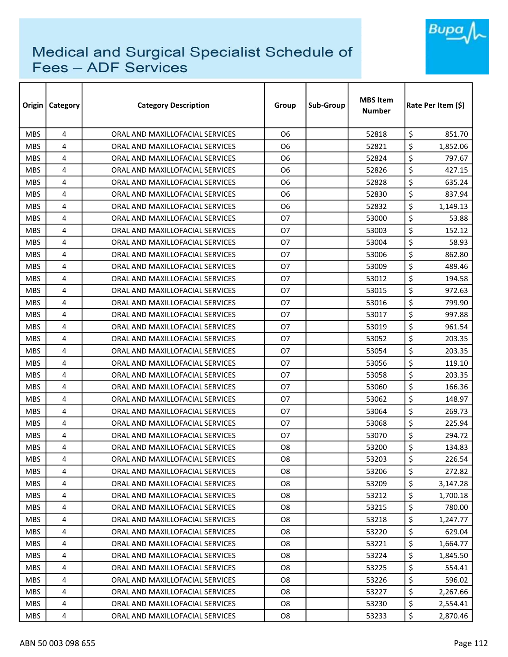

| Origin     | Category       | <b>Category Description</b>     | Group          | Sub-Group | <b>MBS Item</b><br><b>Number</b> |                  | Rate Per Item (\$) |  |
|------------|----------------|---------------------------------|----------------|-----------|----------------------------------|------------------|--------------------|--|
| <b>MBS</b> | 4              | ORAL AND MAXILLOFACIAL SERVICES | O <sub>6</sub> |           | 52818                            | \$               | 851.70             |  |
| <b>MBS</b> | 4              | ORAL AND MAXILLOFACIAL SERVICES | 06             |           | 52821                            | \$               | 1,852.06           |  |
| <b>MBS</b> | 4              | ORAL AND MAXILLOFACIAL SERVICES | 06             |           | 52824                            | \$               | 797.67             |  |
| <b>MBS</b> | 4              | ORAL AND MAXILLOFACIAL SERVICES | 06             |           | 52826                            | \$               | 427.15             |  |
| <b>MBS</b> | 4              | ORAL AND MAXILLOFACIAL SERVICES | 06             |           | 52828                            | \$               | 635.24             |  |
| <b>MBS</b> | 4              | ORAL AND MAXILLOFACIAL SERVICES | Ο6             |           | 52830                            | \$               | 837.94             |  |
| <b>MBS</b> | 4              | ORAL AND MAXILLOFACIAL SERVICES | 06             |           | 52832                            | \$               | 1,149.13           |  |
| <b>MBS</b> | 4              | ORAL AND MAXILLOFACIAL SERVICES | <b>O7</b>      |           | 53000                            | \$               | 53.88              |  |
| <b>MBS</b> | 4              | ORAL AND MAXILLOFACIAL SERVICES | 07             |           | 53003                            | \$               | 152.12             |  |
| <b>MBS</b> | 4              | ORAL AND MAXILLOFACIAL SERVICES | 07             |           | 53004                            | \$               | 58.93              |  |
| <b>MBS</b> | 4              | ORAL AND MAXILLOFACIAL SERVICES | 07             |           | 53006                            | \$               | 862.80             |  |
| <b>MBS</b> | 4              | ORAL AND MAXILLOFACIAL SERVICES | 07             |           | 53009                            | \$               | 489.46             |  |
| <b>MBS</b> | 4              | ORAL AND MAXILLOFACIAL SERVICES | 07             |           | 53012                            | \$               | 194.58             |  |
| <b>MBS</b> | 4              | ORAL AND MAXILLOFACIAL SERVICES | 07             |           | 53015                            | \$               | 972.63             |  |
| <b>MBS</b> | 4              | ORAL AND MAXILLOFACIAL SERVICES | <b>O7</b>      |           | 53016                            | \$               | 799.90             |  |
| <b>MBS</b> | 4              | ORAL AND MAXILLOFACIAL SERVICES | 07             |           | 53017                            | \$               | 997.88             |  |
| <b>MBS</b> | 4              | ORAL AND MAXILLOFACIAL SERVICES | 07             |           | 53019                            | \$               | 961.54             |  |
| <b>MBS</b> | 4              | ORAL AND MAXILLOFACIAL SERVICES | <b>O7</b>      |           | 53052                            | \$               | 203.35             |  |
| <b>MBS</b> | 4              | ORAL AND MAXILLOFACIAL SERVICES | 07             |           | 53054                            | \$               | 203.35             |  |
| <b>MBS</b> | 4              | ORAL AND MAXILLOFACIAL SERVICES | <b>O7</b>      |           | 53056                            | \$               | 119.10             |  |
| <b>MBS</b> | 4              | ORAL AND MAXILLOFACIAL SERVICES | 07             |           | 53058                            | \$               | 203.35             |  |
| <b>MBS</b> | 4              | ORAL AND MAXILLOFACIAL SERVICES | 07             |           | 53060                            | \$               | 166.36             |  |
| <b>MBS</b> | 4              | ORAL AND MAXILLOFACIAL SERVICES | 07             |           | 53062                            | \$               | 148.97             |  |
| <b>MBS</b> | 4              | ORAL AND MAXILLOFACIAL SERVICES | 07             |           | 53064                            | \$               | 269.73             |  |
| <b>MBS</b> | 4              | ORAL AND MAXILLOFACIAL SERVICES | <b>O7</b>      |           | 53068                            | \$               | 225.94             |  |
| <b>MBS</b> | 4              | ORAL AND MAXILLOFACIAL SERVICES | <b>O7</b>      |           | 53070                            | \$               | 294.72             |  |
| <b>MBS</b> | 4              | ORAL AND MAXILLOFACIAL SERVICES | O <sub>8</sub> |           | 53200                            | \$               | 134.83             |  |
| <b>MBS</b> | $\overline{4}$ | ORAL AND MAXILLOFACIAL SERVICES | O8             |           | 53203                            | $\overline{\xi}$ | 226.54             |  |
| <b>MBS</b> | 4              | ORAL AND MAXILLOFACIAL SERVICES | O8             |           | 53206                            | \$               | 272.82             |  |
| <b>MBS</b> | 4              | ORAL AND MAXILLOFACIAL SERVICES | O8             |           | 53209                            | \$               | 3,147.28           |  |
| <b>MBS</b> | 4              | ORAL AND MAXILLOFACIAL SERVICES | O8             |           | 53212                            | \$               | 1,700.18           |  |
| <b>MBS</b> | 4              | ORAL AND MAXILLOFACIAL SERVICES | O8             |           | 53215                            | \$               | 780.00             |  |
| <b>MBS</b> | 4              | ORAL AND MAXILLOFACIAL SERVICES | O8             |           | 53218                            | \$               | 1,247.77           |  |
| <b>MBS</b> | 4              | ORAL AND MAXILLOFACIAL SERVICES | O <sub>8</sub> |           | 53220                            | \$               | 629.04             |  |
| <b>MBS</b> | 4              | ORAL AND MAXILLOFACIAL SERVICES | O <sub>8</sub> |           | 53221                            | \$               | 1,664.77           |  |
| <b>MBS</b> | 4              | ORAL AND MAXILLOFACIAL SERVICES | O8             |           | 53224                            | \$               | 1,845.50           |  |
| <b>MBS</b> | 4              | ORAL AND MAXILLOFACIAL SERVICES | O <sub>8</sub> |           | 53225                            | \$               | 554.41             |  |
| MBS.       | 4              | ORAL AND MAXILLOFACIAL SERVICES | 08             |           | 53226                            | \$               | 596.02             |  |
| <b>MBS</b> | 4              | ORAL AND MAXILLOFACIAL SERVICES | O8             |           | 53227                            | \$               | 2,267.66           |  |
| <b>MBS</b> | 4              | ORAL AND MAXILLOFACIAL SERVICES | O8             |           | 53230                            | \$               | 2,554.41           |  |
| <b>MBS</b> | 4              | ORAL AND MAXILLOFACIAL SERVICES | O8             |           | 53233                            | \$               | 2,870.46           |  |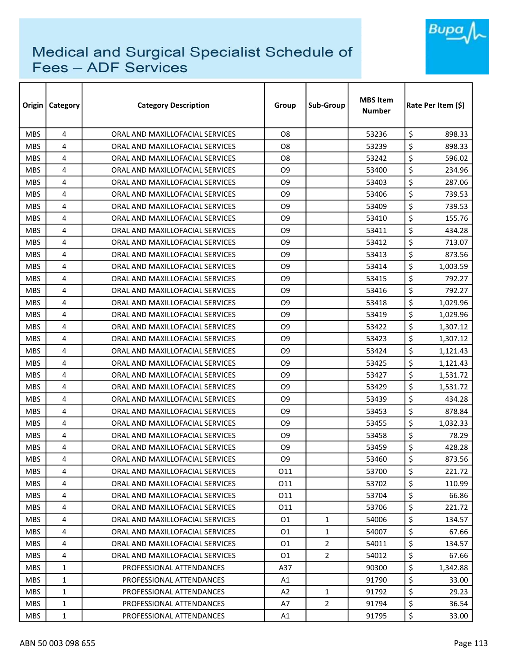

| Origin     | <b>Category</b> | <b>Category Description</b>     | Group          | Sub-Group      | <b>MBS Item</b><br><b>Number</b> | Rate Per Item (\$) |  |
|------------|-----------------|---------------------------------|----------------|----------------|----------------------------------|--------------------|--|
| <b>MBS</b> | 4               | ORAL AND MAXILLOFACIAL SERVICES | O <sub>8</sub> |                | 53236                            | \$<br>898.33       |  |
| <b>MBS</b> | 4               | ORAL AND MAXILLOFACIAL SERVICES | O8             |                | 53239                            | \$<br>898.33       |  |
| <b>MBS</b> | 4               | ORAL AND MAXILLOFACIAL SERVICES | O8             |                | 53242                            | \$<br>596.02       |  |
| <b>MBS</b> | 4               | ORAL AND MAXILLOFACIAL SERVICES | O9             |                | 53400                            | \$<br>234.96       |  |
| <b>MBS</b> | 4               | ORAL AND MAXILLOFACIAL SERVICES | O9             |                | 53403                            | \$<br>287.06       |  |
| <b>MBS</b> | 4               | ORAL AND MAXILLOFACIAL SERVICES | O <sub>9</sub> |                | 53406                            | \$<br>739.53       |  |
| <b>MBS</b> | 4               | ORAL AND MAXILLOFACIAL SERVICES | O9             |                | 53409                            | \$<br>739.53       |  |
| <b>MBS</b> | 4               | ORAL AND MAXILLOFACIAL SERVICES | O9             |                | 53410                            | \$<br>155.76       |  |
| <b>MBS</b> | 4               | ORAL AND MAXILLOFACIAL SERVICES | O9             |                | 53411                            | \$<br>434.28       |  |
| <b>MBS</b> | 4               | ORAL AND MAXILLOFACIAL SERVICES | O9             |                | 53412                            | \$<br>713.07       |  |
| <b>MBS</b> | 4               | ORAL AND MAXILLOFACIAL SERVICES | O9             |                | 53413                            | \$<br>873.56       |  |
| <b>MBS</b> | 4               | ORAL AND MAXILLOFACIAL SERVICES | O9             |                | 53414                            | \$<br>1,003.59     |  |
| <b>MBS</b> | 4               | ORAL AND MAXILLOFACIAL SERVICES | O <sub>9</sub> |                | 53415                            | \$<br>792.27       |  |
| <b>MBS</b> | 4               | ORAL AND MAXILLOFACIAL SERVICES | O9             |                | 53416                            | \$<br>792.27       |  |
| <b>MBS</b> | 4               | ORAL AND MAXILLOFACIAL SERVICES | O9             |                | 53418                            | \$<br>1,029.96     |  |
| <b>MBS</b> | 4               | ORAL AND MAXILLOFACIAL SERVICES | O9             |                | 53419                            | \$<br>1,029.96     |  |
| <b>MBS</b> | 4               | ORAL AND MAXILLOFACIAL SERVICES | O9             |                | 53422                            | \$<br>1,307.12     |  |
| <b>MBS</b> | 4               | ORAL AND MAXILLOFACIAL SERVICES | O <sub>9</sub> |                | 53423                            | \$<br>1,307.12     |  |
| <b>MBS</b> | 4               | ORAL AND MAXILLOFACIAL SERVICES | O <sub>9</sub> |                | 53424                            | \$<br>1,121.43     |  |
| <b>MBS</b> | 4               | ORAL AND MAXILLOFACIAL SERVICES | O <sub>9</sub> |                | 53425                            | \$<br>1,121.43     |  |
| <b>MBS</b> | 4               | ORAL AND MAXILLOFACIAL SERVICES | O9             |                | 53427                            | \$<br>1,531.72     |  |
| <b>MBS</b> | 4               | ORAL AND MAXILLOFACIAL SERVICES | O9             |                | 53429                            | \$<br>1,531.72     |  |
| <b>MBS</b> | 4               | ORAL AND MAXILLOFACIAL SERVICES | O9             |                | 53439                            | \$<br>434.28       |  |
| <b>MBS</b> | 4               | ORAL AND MAXILLOFACIAL SERVICES | O9             |                | 53453                            | \$<br>878.84       |  |
| <b>MBS</b> | 4               | ORAL AND MAXILLOFACIAL SERVICES | O <sub>9</sub> |                | 53455                            | \$<br>1,032.33     |  |
| <b>MBS</b> | 4               | ORAL AND MAXILLOFACIAL SERVICES | O <sub>9</sub> |                | 53458                            | \$<br>78.29        |  |
| <b>MBS</b> | 4               | ORAL AND MAXILLOFACIAL SERVICES | O9             |                | 53459                            | \$<br>428.28       |  |
| <b>MBS</b> | 4               | ORAL AND MAXILLOFACIAL SERVICES | O <sub>9</sub> |                | 53460                            | \$<br>873.56       |  |
| <b>MBS</b> | 4               | ORAL AND MAXILLOFACIAL SERVICES | 011            |                | 53700                            | \$<br>221.72       |  |
| <b>MBS</b> | 4               | ORAL AND MAXILLOFACIAL SERVICES | 011            |                | 53702                            | \$<br>110.99       |  |
| MBS.       | 4               | ORAL AND MAXILLOFACIAL SERVICES | 011            |                | 53704                            | \$<br>66.86        |  |
| <b>MBS</b> | 4               | ORAL AND MAXILLOFACIAL SERVICES | 011            |                | 53706                            | \$<br>221.72       |  |
| <b>MBS</b> | 4               | ORAL AND MAXILLOFACIAL SERVICES | 01             | $\mathbf{1}$   | 54006                            | \$<br>134.57       |  |
| MBS.       | 4               | ORAL AND MAXILLOFACIAL SERVICES | 01             | $\mathbf{1}$   | 54007                            | \$<br>67.66        |  |
| <b>MBS</b> | 4               | ORAL AND MAXILLOFACIAL SERVICES | 01             | $\overline{2}$ | 54011                            | \$<br>134.57       |  |
| <b>MBS</b> | 4               | ORAL AND MAXILLOFACIAL SERVICES | 01             | $\overline{2}$ | 54012                            | \$<br>67.66        |  |
| <b>MBS</b> | $\mathbf{1}$    | PROFESSIONAL ATTENDANCES        | A37            |                | 90300                            | \$<br>1,342.88     |  |
| <b>MBS</b> | $\mathbf{1}$    | PROFESSIONAL ATTENDANCES        | Α1             |                | 91790                            | \$<br>33.00        |  |
| <b>MBS</b> | 1               | PROFESSIONAL ATTENDANCES        | A2             | $\mathbf{1}$   | 91792                            | \$<br>29.23        |  |
| MBS.       | $\mathbf{1}$    | PROFESSIONAL ATTENDANCES        | A7             | $\overline{2}$ | 91794                            | \$<br>36.54        |  |
| <b>MBS</b> | 1               | PROFESSIONAL ATTENDANCES        | A1             |                | 91795                            | \$<br>33.00        |  |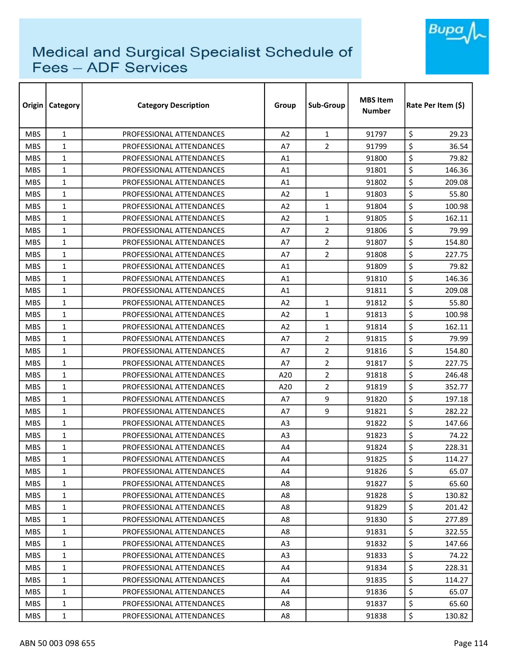

| Origin     | Category     | <b>Category Description</b> | Group          | Sub-Group      | <b>MBS Item</b><br><b>Number</b> | Rate Per Item (\$) |  |
|------------|--------------|-----------------------------|----------------|----------------|----------------------------------|--------------------|--|
| <b>MBS</b> | $\mathbf{1}$ | PROFESSIONAL ATTENDANCES    | A <sub>2</sub> | $\mathbf{1}$   | 91797                            | \$<br>29.23        |  |
| <b>MBS</b> | $\mathbf{1}$ | PROFESSIONAL ATTENDANCES    | A7             | 2              | 91799                            | \$<br>36.54        |  |
| <b>MBS</b> | 1            | PROFESSIONAL ATTENDANCES    | A1             |                | 91800                            | \$<br>79.82        |  |
| <b>MBS</b> | $\mathbf{1}$ | PROFESSIONAL ATTENDANCES    | A1             |                | 91801                            | \$<br>146.36       |  |
| <b>MBS</b> | 1            | PROFESSIONAL ATTENDANCES    | A1             |                | 91802                            | \$<br>209.08       |  |
| <b>MBS</b> | $\mathbf{1}$ | PROFESSIONAL ATTENDANCES    | A2             | $\mathbf{1}$   | 91803                            | \$<br>55.80        |  |
| <b>MBS</b> | $\mathbf{1}$ | PROFESSIONAL ATTENDANCES    | A <sub>2</sub> | $\mathbf{1}$   | 91804                            | \$<br>100.98       |  |
| <b>MBS</b> | 1            | PROFESSIONAL ATTENDANCES    | A2             | $\mathbf{1}$   | 91805                            | \$<br>162.11       |  |
| <b>MBS</b> | $\mathbf{1}$ | PROFESSIONAL ATTENDANCES    | A7             | $\overline{2}$ | 91806                            | \$<br>79.99        |  |
| <b>MBS</b> | $\mathbf{1}$ | PROFESSIONAL ATTENDANCES    | A7             | $\overline{2}$ | 91807                            | \$<br>154.80       |  |
| <b>MBS</b> | $\mathbf{1}$ | PROFESSIONAL ATTENDANCES    | A7             | $\overline{2}$ | 91808                            | \$<br>227.75       |  |
| <b>MBS</b> | $\mathbf{1}$ | PROFESSIONAL ATTENDANCES    | A1             |                | 91809                            | \$<br>79.82        |  |
| <b>MBS</b> | $\mathbf{1}$ | PROFESSIONAL ATTENDANCES    | A1             |                | 91810                            | \$<br>146.36       |  |
| <b>MBS</b> | $\mathbf{1}$ | PROFESSIONAL ATTENDANCES    | A1             |                | 91811                            | \$<br>209.08       |  |
| <b>MBS</b> | $\mathbf{1}$ | PROFESSIONAL ATTENDANCES    | A2             | $\mathbf{1}$   | 91812                            | \$<br>55.80        |  |
| <b>MBS</b> | $\mathbf{1}$ | PROFESSIONAL ATTENDANCES    | A2             | $\mathbf{1}$   | 91813                            | \$<br>100.98       |  |
| <b>MBS</b> | $\mathbf{1}$ | PROFESSIONAL ATTENDANCES    | A2             | $\mathbf{1}$   | 91814                            | \$<br>162.11       |  |
| <b>MBS</b> | $\mathbf{1}$ | PROFESSIONAL ATTENDANCES    | A7             | $\overline{2}$ | 91815                            | \$<br>79.99        |  |
| <b>MBS</b> | $\mathbf{1}$ | PROFESSIONAL ATTENDANCES    | A7             | $\overline{2}$ | 91816                            | \$<br>154.80       |  |
| <b>MBS</b> | $\mathbf{1}$ | PROFESSIONAL ATTENDANCES    | A7             | 2              | 91817                            | \$<br>227.75       |  |
| <b>MBS</b> | $\mathbf{1}$ | PROFESSIONAL ATTENDANCES    | A20            | $\overline{2}$ | 91818                            | \$<br>246.48       |  |
| <b>MBS</b> | $\mathbf{1}$ | PROFESSIONAL ATTENDANCES    | A20            | $\overline{2}$ | 91819                            | \$<br>352.77       |  |
| <b>MBS</b> | $\mathbf{1}$ | PROFESSIONAL ATTENDANCES    | A7             | 9              | 91820                            | \$<br>197.18       |  |
| <b>MBS</b> | $\mathbf{1}$ | PROFESSIONAL ATTENDANCES    | A7             | 9              | 91821                            | \$<br>282.22       |  |
| <b>MBS</b> | $\mathbf{1}$ | PROFESSIONAL ATTENDANCES    | A <sub>3</sub> |                | 91822                            | \$<br>147.66       |  |
| <b>MBS</b> | $\mathbf{1}$ | PROFESSIONAL ATTENDANCES    | A <sub>3</sub> |                | 91823                            | \$<br>74.22        |  |
| <b>MBS</b> | 1            | PROFESSIONAL ATTENDANCES    | A4             |                | 91824                            | \$<br>228.31       |  |
| <b>MBS</b> | $\mathbf{1}$ | PROFESSIONAL ATTENDANCES    | A4             |                | 91825                            | \$<br>114.27       |  |
| <b>MBS</b> | 1            | PROFESSIONAL ATTENDANCES    | A4             |                | 91826                            | \$<br>65.07        |  |
| <b>MBS</b> | $\mathbf{1}$ | PROFESSIONAL ATTENDANCES    | A8             |                | 91827                            | \$<br>65.60        |  |
| MBS.       | 1            | PROFESSIONAL ATTENDANCES    | A8             |                | 91828                            | \$<br>130.82       |  |
| <b>MBS</b> | $\mathbf{1}$ | PROFESSIONAL ATTENDANCES    | A8             |                | 91829                            | \$<br>201.42       |  |
| <b>MBS</b> | $\mathbf{1}$ | PROFESSIONAL ATTENDANCES    | A8             |                | 91830                            | \$<br>277.89       |  |
| MBS.       | 1            | PROFESSIONAL ATTENDANCES    | A8             |                | 91831                            | \$<br>322.55       |  |
| <b>MBS</b> | $\mathbf{1}$ | PROFESSIONAL ATTENDANCES    | A <sub>3</sub> |                | 91832                            | \$<br>147.66       |  |
| <b>MBS</b> | 1            | PROFESSIONAL ATTENDANCES    | A3             |                | 91833                            | \$<br>74.22        |  |
| <b>MBS</b> | $\mathbf{1}$ | PROFESSIONAL ATTENDANCES    | A4             |                | 91834                            | \$<br>228.31       |  |
| <b>MBS</b> | $\mathbf{1}$ | PROFESSIONAL ATTENDANCES    | A4             |                | 91835                            | \$<br>114.27       |  |
| <b>MBS</b> | 1            | PROFESSIONAL ATTENDANCES    | A4             |                | 91836                            | \$<br>65.07        |  |
| MBS.       | $\mathbf{1}$ | PROFESSIONAL ATTENDANCES    | A8             |                | 91837                            | \$<br>65.60        |  |
| <b>MBS</b> | 1            | PROFESSIONAL ATTENDANCES    | A8             |                | 91838                            | \$<br>130.82       |  |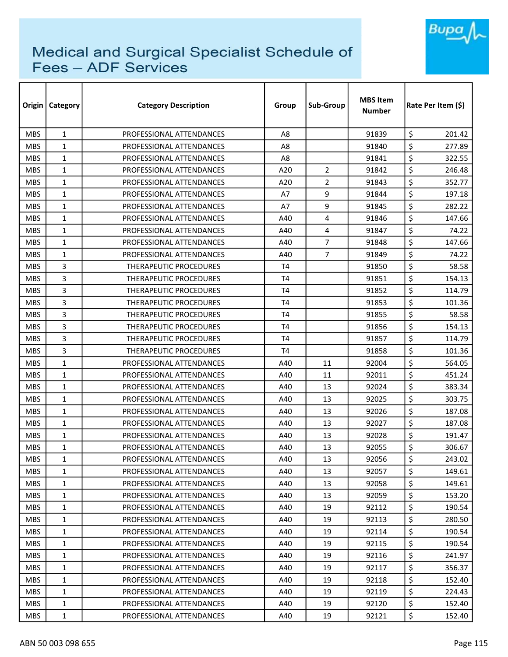

| Origin     | <b>Category</b> | <b>Category Description</b>   | Group          | Sub-Group      | <b>MBS Item</b><br><b>Number</b> | Rate Per Item (\$) |  |
|------------|-----------------|-------------------------------|----------------|----------------|----------------------------------|--------------------|--|
| <b>MBS</b> | $\mathbf{1}$    | PROFESSIONAL ATTENDANCES      | A8             |                | 91839                            | \$<br>201.42       |  |
| <b>MBS</b> | $\mathbf{1}$    | PROFESSIONAL ATTENDANCES      | A8             |                | 91840                            | \$<br>277.89       |  |
| <b>MBS</b> | $\mathbf{1}$    | PROFESSIONAL ATTENDANCES      | A8             |                | 91841                            | \$<br>322.55       |  |
| <b>MBS</b> | $\mathbf{1}$    | PROFESSIONAL ATTENDANCES      | A20            | $\overline{2}$ | 91842                            | \$<br>246.48       |  |
| <b>MBS</b> | $\mathbf{1}$    | PROFESSIONAL ATTENDANCES      | A20            | $\overline{2}$ | 91843                            | \$<br>352.77       |  |
| <b>MBS</b> | $\mathbf{1}$    | PROFESSIONAL ATTENDANCES      | A7             | 9              | 91844                            | \$<br>197.18       |  |
| <b>MBS</b> | $\mathbf{1}$    | PROFESSIONAL ATTENDANCES      | A7             | 9              | 91845                            | \$<br>282.22       |  |
| <b>MBS</b> | $\mathbf{1}$    | PROFESSIONAL ATTENDANCES      | A40            | 4              | 91846                            | \$<br>147.66       |  |
| <b>MBS</b> | $\mathbf{1}$    | PROFESSIONAL ATTENDANCES      | A40            | 4              | 91847                            | \$<br>74.22        |  |
| <b>MBS</b> | $\mathbf{1}$    | PROFESSIONAL ATTENDANCES      | A40            | $\overline{7}$ | 91848                            | \$<br>147.66       |  |
| <b>MBS</b> | $\mathbf{1}$    | PROFESSIONAL ATTENDANCES      | A40            | $\overline{7}$ | 91849                            | \$<br>74.22        |  |
| <b>MBS</b> | 3               | THERAPEUTIC PROCEDURES        | T4             |                | 91850                            | \$<br>58.58        |  |
| <b>MBS</b> | 3               | <b>THERAPEUTIC PROCEDURES</b> | T <sub>4</sub> |                | 91851                            | \$<br>154.13       |  |
| <b>MBS</b> | 3               | THERAPEUTIC PROCEDURES        | T <sub>4</sub> |                | 91852                            | \$<br>114.79       |  |
| <b>MBS</b> | 3               | <b>THERAPEUTIC PROCEDURES</b> | T4             |                | 91853                            | \$<br>101.36       |  |
| <b>MBS</b> | 3               | THERAPEUTIC PROCEDURES        | T4             |                | 91855                            | \$<br>58.58        |  |
| <b>MBS</b> | 3               | THERAPEUTIC PROCEDURES        | T <sub>4</sub> |                | 91856                            | \$<br>154.13       |  |
| <b>MBS</b> | 3               | THERAPEUTIC PROCEDURES        | T <sub>4</sub> |                | 91857                            | \$<br>114.79       |  |
| <b>MBS</b> | 3               | THERAPEUTIC PROCEDURES        | T <sub>4</sub> |                | 91858                            | \$<br>101.36       |  |
| <b>MBS</b> | $\mathbf{1}$    | PROFESSIONAL ATTENDANCES      | A40            | 11             | 92004                            | \$<br>564.05       |  |
| <b>MBS</b> | $\mathbf{1}$    | PROFESSIONAL ATTENDANCES      | A40            | 11             | 92011                            | \$<br>451.24       |  |
| <b>MBS</b> | $\mathbf{1}$    | PROFESSIONAL ATTENDANCES      | A40            | 13             | 92024                            | \$<br>383.34       |  |
| <b>MBS</b> | $\mathbf{1}$    | PROFESSIONAL ATTENDANCES      | A40            | 13             | 92025                            | \$<br>303.75       |  |
| <b>MBS</b> | $\mathbf{1}$    | PROFESSIONAL ATTENDANCES      | A40            | 13             | 92026                            | \$<br>187.08       |  |
| <b>MBS</b> | $\mathbf{1}$    | PROFESSIONAL ATTENDANCES      | A40            | 13             | 92027                            | \$<br>187.08       |  |
| <b>MBS</b> | $\mathbf{1}$    | PROFESSIONAL ATTENDANCES      | A40            | 13             | 92028                            | \$<br>191.47       |  |
| <b>MBS</b> | 1               | PROFESSIONAL ATTENDANCES      | A40            | 13             | 92055                            | \$<br>306.67       |  |
| <b>MBS</b> | 1               | PROFESSIONAL ATTENDANCES      | A40            | 13             | 92056                            | \$<br>243.02       |  |
| <b>MBS</b> | 1               | PROFESSIONAL ATTENDANCES      | A40            | 13             | 92057                            | \$<br>149.61       |  |
| <b>MBS</b> | $\mathbf{1}$    | PROFESSIONAL ATTENDANCES      | A40            | 13             | 92058                            | \$<br>149.61       |  |
| <b>MBS</b> | $\mathbf{1}$    | PROFESSIONAL ATTENDANCES      | A40            | 13             | 92059                            | \$<br>153.20       |  |
| <b>MBS</b> | 1               | PROFESSIONAL ATTENDANCES      | A40            | 19             | 92112                            | \$<br>190.54       |  |
| MBS.       | $\mathbf{1}$    | PROFESSIONAL ATTENDANCES      | A40            | 19             | 92113                            | \$<br>280.50       |  |
| <b>MBS</b> | 1               | PROFESSIONAL ATTENDANCES      | A40            | 19             | 92114                            | \$<br>190.54       |  |
| <b>MBS</b> | $\mathbf{1}$    | PROFESSIONAL ATTENDANCES      | A40            | 19             | 92115                            | \$<br>190.54       |  |
| <b>MBS</b> | $\mathbf{1}$    | PROFESSIONAL ATTENDANCES      | A40            | 19             | 92116                            | \$<br>241.97       |  |
| <b>MBS</b> | 1               | PROFESSIONAL ATTENDANCES      | A40            | 19             | 92117                            | \$<br>356.37       |  |
| <b>MBS</b> | $\mathbf{1}$    | PROFESSIONAL ATTENDANCES      | A40            | 19             | 92118                            | \$<br>152.40       |  |
| <b>MBS</b> | 1               | PROFESSIONAL ATTENDANCES      | A40            | 19             | 92119                            | \$<br>224.43       |  |
| <b>MBS</b> | $\mathbf{1}$    | PROFESSIONAL ATTENDANCES      | A40            | 19             | 92120                            | \$<br>152.40       |  |
| <b>MBS</b> | 1               | PROFESSIONAL ATTENDANCES      | A40            | 19             | 92121                            | \$<br>152.40       |  |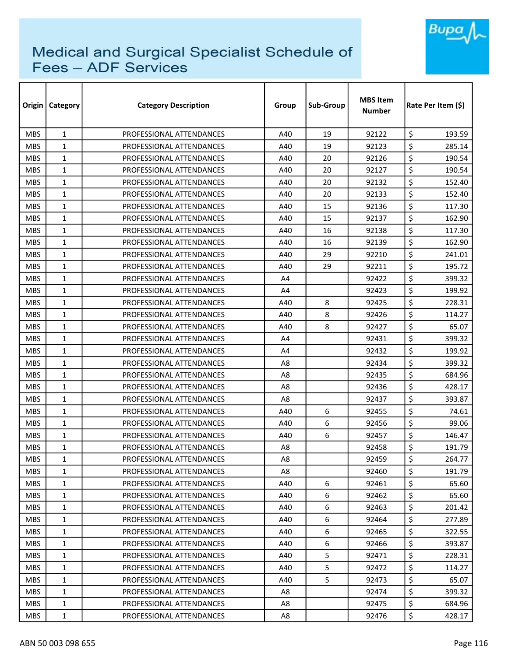

| Origin     | <b>Category</b> | <b>Category Description</b> | Group | Sub-Group | <b>MBS Item</b><br><b>Number</b> | Rate Per Item (\$) |  |
|------------|-----------------|-----------------------------|-------|-----------|----------------------------------|--------------------|--|
| <b>MBS</b> | $\mathbf{1}$    | PROFESSIONAL ATTENDANCES    | A40   | 19        | 92122                            | \$<br>193.59       |  |
| <b>MBS</b> | $\mathbf{1}$    | PROFESSIONAL ATTENDANCES    | A40   | 19        | 92123                            | \$<br>285.14       |  |
| <b>MBS</b> | $\mathbf{1}$    | PROFESSIONAL ATTENDANCES    | A40   | 20        | 92126                            | \$<br>190.54       |  |
| <b>MBS</b> | $\mathbf{1}$    | PROFESSIONAL ATTENDANCES    | A40   | 20        | 92127                            | \$<br>190.54       |  |
| <b>MBS</b> | $\mathbf{1}$    | PROFESSIONAL ATTENDANCES    | A40   | 20        | 92132                            | \$<br>152.40       |  |
| <b>MBS</b> | $\mathbf{1}$    | PROFESSIONAL ATTENDANCES    | A40   | 20        | 92133                            | \$<br>152.40       |  |
| <b>MBS</b> | $\mathbf{1}$    | PROFESSIONAL ATTENDANCES    | A40   | 15        | 92136                            | \$<br>117.30       |  |
| <b>MBS</b> | $\mathbf{1}$    | PROFESSIONAL ATTENDANCES    | A40   | 15        | 92137                            | \$<br>162.90       |  |
| <b>MBS</b> | $\mathbf{1}$    | PROFESSIONAL ATTENDANCES    | A40   | 16        | 92138                            | \$<br>117.30       |  |
| <b>MBS</b> | $\mathbf{1}$    | PROFESSIONAL ATTENDANCES    | A40   | 16        | 92139                            | \$<br>162.90       |  |
| <b>MBS</b> | $\mathbf{1}$    | PROFESSIONAL ATTENDANCES    | A40   | 29        | 92210                            | \$<br>241.01       |  |
| <b>MBS</b> | $\mathbf{1}$    | PROFESSIONAL ATTENDANCES    | A40   | 29        | 92211                            | \$<br>195.72       |  |
| <b>MBS</b> | 1               | PROFESSIONAL ATTENDANCES    | A4    |           | 92422                            | \$<br>399.32       |  |
| <b>MBS</b> | $\mathbf{1}$    | PROFESSIONAL ATTENDANCES    | A4    |           | 92423                            | \$<br>199.92       |  |
| <b>MBS</b> | 1               | PROFESSIONAL ATTENDANCES    | A40   | 8         | 92425                            | \$<br>228.31       |  |
| <b>MBS</b> | $\mathbf{1}$    | PROFESSIONAL ATTENDANCES    | A40   | 8         | 92426                            | \$<br>114.27       |  |
| <b>MBS</b> | $\mathbf{1}$    | PROFESSIONAL ATTENDANCES    | A40   | 8         | 92427                            | \$<br>65.07        |  |
| <b>MBS</b> | $\mathbf{1}$    | PROFESSIONAL ATTENDANCES    | A4    |           | 92431                            | \$<br>399.32       |  |
| <b>MBS</b> | $\mathbf{1}$    | PROFESSIONAL ATTENDANCES    | A4    |           | 92432                            | \$<br>199.92       |  |
| <b>MBS</b> | 1               | PROFESSIONAL ATTENDANCES    | A8    |           | 92434                            | \$<br>399.32       |  |
| <b>MBS</b> | $\mathbf{1}$    | PROFESSIONAL ATTENDANCES    | A8    |           | 92435                            | \$<br>684.96       |  |
| <b>MBS</b> | $\mathbf{1}$    | PROFESSIONAL ATTENDANCES    | A8    |           | 92436                            | \$<br>428.17       |  |
| <b>MBS</b> | $\mathbf{1}$    | PROFESSIONAL ATTENDANCES    | A8    |           | 92437                            | \$<br>393.87       |  |
| <b>MBS</b> | 1               | PROFESSIONAL ATTENDANCES    | A40   | 6         | 92455                            | \$<br>74.61        |  |
| <b>MBS</b> | $\mathbf{1}$    | PROFESSIONAL ATTENDANCES    | A40   | 6         | 92456                            | \$<br>99.06        |  |
| <b>MBS</b> | $\mathbf{1}$    | PROFESSIONAL ATTENDANCES    | A40   | 6         | 92457                            | \$<br>146.47       |  |
| <b>MBS</b> | 1               | PROFESSIONAL ATTENDANCES    | A8    |           | 92458                            | \$<br>191.79       |  |
| <b>MBS</b> | 1               | PROFESSIONAL ATTENDANCES    | A8    |           | 92459                            | \$<br>264.77       |  |
| <b>MBS</b> | 1               | PROFESSIONAL ATTENDANCES    | A8    |           | 92460                            | \$<br>191.79       |  |
| <b>MBS</b> | $\mathbf{1}$    | PROFESSIONAL ATTENDANCES    | A40   | 6         | 92461                            | \$<br>65.60        |  |
| <b>MBS</b> | $\mathbf{1}$    | PROFESSIONAL ATTENDANCES    | A40   | 6         | 92462                            | \$<br>65.60        |  |
| <b>MBS</b> | $\mathbf{1}$    | PROFESSIONAL ATTENDANCES    | A40   | 6         | 92463                            | \$<br>201.42       |  |
| MBS.       | $\mathbf{1}$    | PROFESSIONAL ATTENDANCES    | A40   | 6         | 92464                            | \$<br>277.89       |  |
| <b>MBS</b> | 1               | PROFESSIONAL ATTENDANCES    | A40   | 6         | 92465                            | \$<br>322.55       |  |
| <b>MBS</b> | $\mathbf{1}$    | PROFESSIONAL ATTENDANCES    | A40   | 6         | 92466                            | \$<br>393.87       |  |
| <b>MBS</b> | 1               | PROFESSIONAL ATTENDANCES    | A40   | 5         | 92471                            | \$<br>228.31       |  |
| <b>MBS</b> | 1               | PROFESSIONAL ATTENDANCES    | A40   | 5         | 92472                            | \$<br>114.27       |  |
| <b>MBS</b> | $\mathbf{1}$    | PROFESSIONAL ATTENDANCES    | A40   | 5         | 92473                            | \$<br>65.07        |  |
| <b>MBS</b> | 1               | PROFESSIONAL ATTENDANCES    | A8    |           | 92474                            | \$<br>399.32       |  |
| <b>MBS</b> | 1               | PROFESSIONAL ATTENDANCES    | A8    |           | 92475                            | \$<br>684.96       |  |
| <b>MBS</b> | $\mathbf{1}$    | PROFESSIONAL ATTENDANCES    | A8    |           | 92476                            | \$<br>428.17       |  |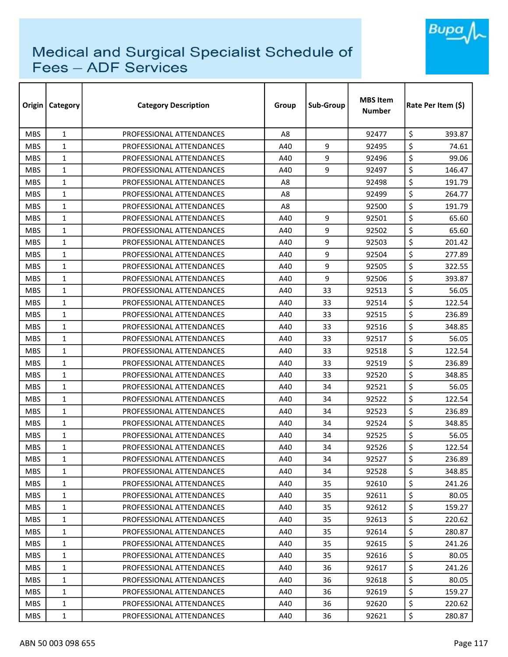

| Origin     | <b>Category</b> | <b>Category Description</b> | Group          | Sub-Group | <b>MBS Item</b><br><b>Number</b> | Rate Per Item (\$) |  |
|------------|-----------------|-----------------------------|----------------|-----------|----------------------------------|--------------------|--|
| <b>MBS</b> | $\mathbf{1}$    | PROFESSIONAL ATTENDANCES    | A <sub>8</sub> |           | 92477                            | \$<br>393.87       |  |
| <b>MBS</b> | $\mathbf{1}$    | PROFESSIONAL ATTENDANCES    | A40            | 9         | 92495                            | \$<br>74.61        |  |
| <b>MBS</b> | $\mathbf{1}$    | PROFESSIONAL ATTENDANCES    | A40            | 9         | 92496                            | \$<br>99.06        |  |
| <b>MBS</b> | $\mathbf{1}$    | PROFESSIONAL ATTENDANCES    | A40            | 9         | 92497                            | \$<br>146.47       |  |
| <b>MBS</b> | $\mathbf{1}$    | PROFESSIONAL ATTENDANCES    | A8             |           | 92498                            | \$<br>191.79       |  |
| <b>MBS</b> | 1               | PROFESSIONAL ATTENDANCES    | A8             |           | 92499                            | \$<br>264.77       |  |
| <b>MBS</b> | $\mathbf{1}$    | PROFESSIONAL ATTENDANCES    | A8             |           | 92500                            | \$<br>191.79       |  |
| <b>MBS</b> | 1               | PROFESSIONAL ATTENDANCES    | A40            | 9         | 92501                            | \$<br>65.60        |  |
| <b>MBS</b> | 1               | PROFESSIONAL ATTENDANCES    | A40            | 9         | 92502                            | \$<br>65.60        |  |
| <b>MBS</b> | 1               | PROFESSIONAL ATTENDANCES    | A40            | 9         | 92503                            | \$<br>201.42       |  |
| <b>MBS</b> | $\mathbf{1}$    | PROFESSIONAL ATTENDANCES    | A40            | 9         | 92504                            | \$<br>277.89       |  |
| <b>MBS</b> | $\mathbf{1}$    | PROFESSIONAL ATTENDANCES    | A40            | 9         | 92505                            | \$<br>322.55       |  |
| <b>MBS</b> | 1               | PROFESSIONAL ATTENDANCES    | A40            | 9         | 92506                            | \$<br>393.87       |  |
| <b>MBS</b> | $\mathbf{1}$    | PROFESSIONAL ATTENDANCES    | A40            | 33        | 92513                            | \$<br>56.05        |  |
| <b>MBS</b> | $\mathbf{1}$    | PROFESSIONAL ATTENDANCES    | A40            | 33        | 92514                            | \$<br>122.54       |  |
| <b>MBS</b> | $\mathbf{1}$    | PROFESSIONAL ATTENDANCES    | A40            | 33        | 92515                            | \$<br>236.89       |  |
| <b>MBS</b> | 1               | PROFESSIONAL ATTENDANCES    | A40            | 33        | 92516                            | \$<br>348.85       |  |
| <b>MBS</b> | $\mathbf{1}$    | PROFESSIONAL ATTENDANCES    | A40            | 33        | 92517                            | \$<br>56.05        |  |
| <b>MBS</b> | $\mathbf{1}$    | PROFESSIONAL ATTENDANCES    | A40            | 33        | 92518                            | \$<br>122.54       |  |
| <b>MBS</b> | 1               | PROFESSIONAL ATTENDANCES    | A40            | 33        | 92519                            | \$<br>236.89       |  |
| <b>MBS</b> | $\mathbf{1}$    | PROFESSIONAL ATTENDANCES    | A40            | 33        | 92520                            | \$<br>348.85       |  |
| <b>MBS</b> | $\mathbf{1}$    | PROFESSIONAL ATTENDANCES    | A40            | 34        | 92521                            | \$<br>56.05        |  |
| <b>MBS</b> | $\mathbf{1}$    | PROFESSIONAL ATTENDANCES    | A40            | 34        | 92522                            | \$<br>122.54       |  |
| <b>MBS</b> | $\mathbf{1}$    | PROFESSIONAL ATTENDANCES    | A40            | 34        | 92523                            | \$<br>236.89       |  |
| <b>MBS</b> | 1               | PROFESSIONAL ATTENDANCES    | A40            | 34        | 92524                            | \$<br>348.85       |  |
| <b>MBS</b> | $\mathbf{1}$    | PROFESSIONAL ATTENDANCES    | A40            | 34        | 92525                            | \$<br>56.05        |  |
| <b>MBS</b> | 1               | PROFESSIONAL ATTENDANCES    | A40            | 34        | 92526                            | \$<br>122.54       |  |
| <b>MBS</b> | $\mathbf{1}$    | PROFESSIONAL ATTENDANCES    | A40            | 34        | 92527                            | \$<br>236.89       |  |
| <b>MBS</b> | 1               | PROFESSIONAL ATTENDANCES    | A40            | 34        | 92528                            | \$<br>348.85       |  |
| <b>MBS</b> | 1               | PROFESSIONAL ATTENDANCES    | A40            | 35        | 92610                            | \$<br>241.26       |  |
| <b>MBS</b> | $\mathbf{1}$    | PROFESSIONAL ATTENDANCES    | A40            | 35        | 92611                            | \$<br>80.05        |  |
| <b>MBS</b> | 1               | PROFESSIONAL ATTENDANCES    | A40            | 35        | 92612                            | \$<br>159.27       |  |
| <b>MBS</b> | $\mathbf{1}$    | PROFESSIONAL ATTENDANCES    | A40            | 35        | 92613                            | \$<br>220.62       |  |
| <b>MBS</b> | $\mathbf{1}$    | PROFESSIONAL ATTENDANCES    | A40            | 35        | 92614                            | \$<br>280.87       |  |
| <b>MBS</b> | $\mathbf{1}$    | PROFESSIONAL ATTENDANCES    | A40            | 35        | 92615                            | \$<br>241.26       |  |
| <b>MBS</b> | $\mathbf{1}$    | PROFESSIONAL ATTENDANCES    | A40            | 35        | 92616                            | \$<br>80.05        |  |
| <b>MBS</b> | 1               | PROFESSIONAL ATTENDANCES    | A40            | 36        | 92617                            | \$<br>241.26       |  |
| <b>MBS</b> | $\mathbf{1}$    | PROFESSIONAL ATTENDANCES    | A40            | 36        | 92618                            | \$<br>80.05        |  |
| <b>MBS</b> | 1               | PROFESSIONAL ATTENDANCES    | A40            | 36        | 92619                            | \$<br>159.27       |  |
| <b>MBS</b> | $\mathbf{1}$    | PROFESSIONAL ATTENDANCES    | A40            | 36        | 92620                            | \$<br>220.62       |  |
| <b>MBS</b> | 1               | PROFESSIONAL ATTENDANCES    | A40            | 36        | 92621                            | \$<br>280.87       |  |